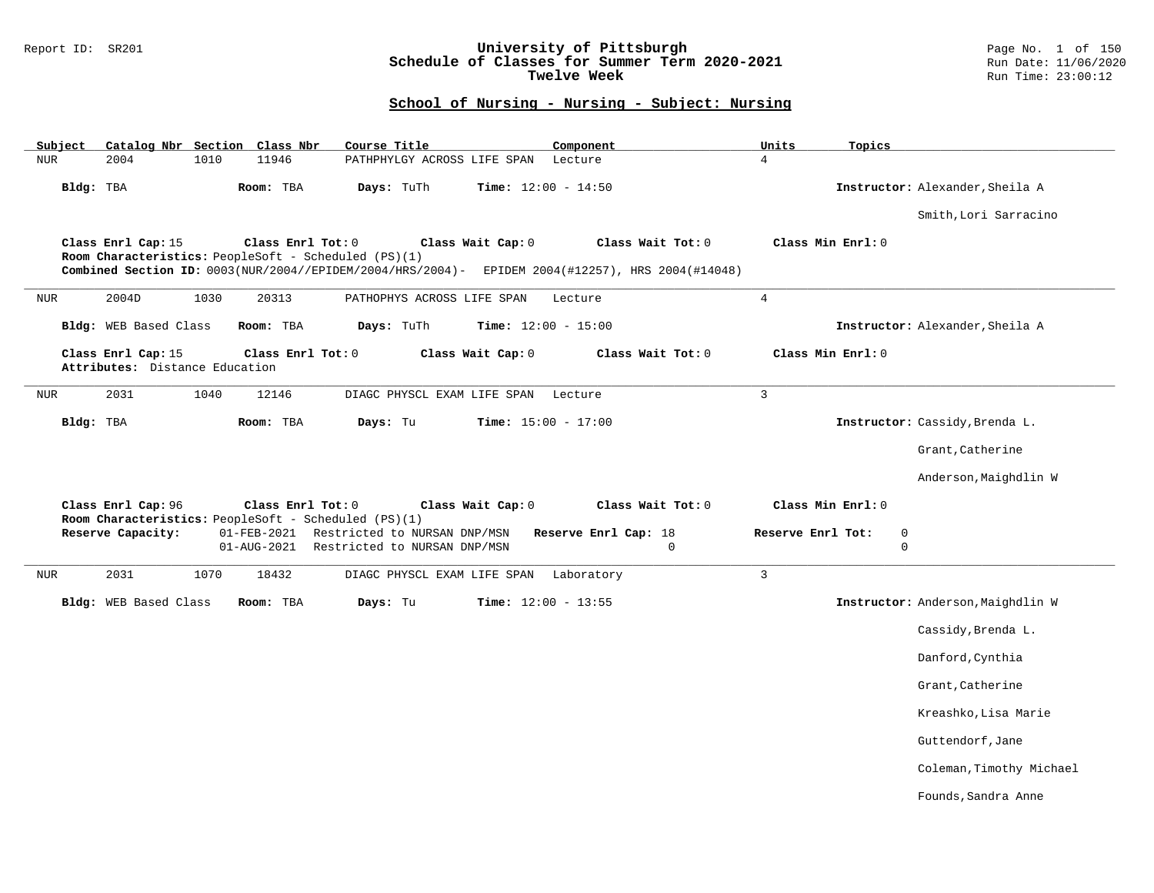### Report ID: SR201 **University of Pittsburgh** Page No. 1 of 150 **Schedule of Classes for Summer Term 2020-2021** Run Date: 11/06/2020 **Twelve Week Run Time:** 23:00:12

|            |                                                      |      | Catalog Nbr Section Class Nbr | Course Title                                                                                                                                 |                              | Component                                                                                                             | Units             | Topics            |                                   |
|------------|------------------------------------------------------|------|-------------------------------|----------------------------------------------------------------------------------------------------------------------------------------------|------------------------------|-----------------------------------------------------------------------------------------------------------------------|-------------------|-------------------|-----------------------------------|
| <b>NUR</b> | 2004                                                 | 1010 | 11946                         | PATHPHYLGY ACROSS LIFE SPAN                                                                                                                  |                              | Lecture                                                                                                               | $\overline{4}$    |                   |                                   |
| Bldg: TBA  |                                                      |      | Room: TBA                     | Days: TuTh                                                                                                                                   | <b>Time:</b> $12:00 - 14:50$ |                                                                                                                       |                   |                   | Instructor: Alexander, Sheila A   |
|            |                                                      |      |                               |                                                                                                                                              |                              |                                                                                                                       |                   |                   | Smith, Lori Sarracino             |
|            | Class Enrl Cap: 15                                   |      | Class Enrl Tot: 0             | Room Characteristics: PeopleSoft - Scheduled (PS)(1)                                                                                         | Class Wait Cap: 0            | Class Wait Tot: 0<br>Combined Section ID: 0003(NUR/2004//EPIDEM/2004/HRS/2004)- EPIDEM 2004(#12257), HRS 2004(#14048) |                   | Class Min Enrl: 0 |                                   |
| <b>NUR</b> | 2004D                                                | 1030 | 20313                         | PATHOPHYS ACROSS LIFE SPAN                                                                                                                   |                              | Lecture                                                                                                               | $\overline{4}$    |                   |                                   |
|            | Bldg: WEB Based Class                                |      | Room: TBA                     | Days: TuTh                                                                                                                                   | <b>Time:</b> $12:00 - 15:00$ |                                                                                                                       |                   |                   | Instructor: Alexander, Sheila A   |
|            | Class Enrl Cap: 15<br>Attributes: Distance Education |      | Class Enrl Tot: 0             |                                                                                                                                              | Class Wait Cap: 0            | Class Wait Tot: 0                                                                                                     |                   | Class Min Enrl: 0 |                                   |
| <b>NUR</b> | 2031                                                 | 1040 | 12146                         | DIAGC PHYSCL EXAM LIFE SPAN                                                                                                                  |                              | Lecture                                                                                                               | $\overline{3}$    |                   |                                   |
| Bldg: TBA  |                                                      |      | Room: TBA                     | Days: Tu                                                                                                                                     | <b>Time:</b> $15:00 - 17:00$ |                                                                                                                       |                   |                   | Instructor: Cassidy, Brenda L.    |
|            |                                                      |      |                               |                                                                                                                                              |                              |                                                                                                                       |                   |                   | Grant, Catherine                  |
|            |                                                      |      |                               |                                                                                                                                              |                              |                                                                                                                       |                   |                   |                                   |
|            |                                                      |      |                               |                                                                                                                                              |                              |                                                                                                                       |                   |                   | Anderson, Maighdlin W             |
|            | Class Enrl Cap: 96                                   |      | Class Enrl Tot: 0             |                                                                                                                                              | Class Wait Cap: 0            | Class Wait Tot: 0                                                                                                     |                   | Class Min Enrl: 0 |                                   |
|            | Reserve Capacity:                                    |      |                               | Room Characteristics: PeopleSoft - Scheduled (PS)(1)<br>01-FEB-2021 Restricted to NURSAN DNP/MSN<br>01-AUG-2021 Restricted to NURSAN DNP/MSN |                              | Reserve Enrl Cap: 18<br>$\mathbf 0$                                                                                   | Reserve Enrl Tot: |                   | 0<br>$\overline{0}$               |
|            | 2031                                                 | 1070 | 18432                         | DIAGC PHYSCL EXAM LIFE SPAN                                                                                                                  |                              | Laboratory                                                                                                            | $\mathbf{3}$      |                   |                                   |
|            | Bldg: WEB Based Class                                |      | Room: TBA                     | Days: Tu                                                                                                                                     | <b>Time:</b> $12:00 - 13:55$ |                                                                                                                       |                   |                   | Instructor: Anderson, Maighdlin W |
|            |                                                      |      |                               |                                                                                                                                              |                              |                                                                                                                       |                   |                   | Cassidy, Brenda L.                |
|            |                                                      |      |                               |                                                                                                                                              |                              |                                                                                                                       |                   |                   | Danford, Cynthia                  |
|            |                                                      |      |                               |                                                                                                                                              |                              |                                                                                                                       |                   |                   | Grant, Catherine                  |
|            |                                                      |      |                               |                                                                                                                                              |                              |                                                                                                                       |                   |                   | Kreashko, Lisa Marie              |
|            |                                                      |      |                               |                                                                                                                                              |                              |                                                                                                                       |                   |                   | Guttendorf, Jane                  |
|            |                                                      |      |                               |                                                                                                                                              |                              |                                                                                                                       |                   |                   | Coleman, Timothy Michael          |
| NUR        |                                                      |      |                               |                                                                                                                                              |                              |                                                                                                                       |                   |                   | Founds, Sandra Anne               |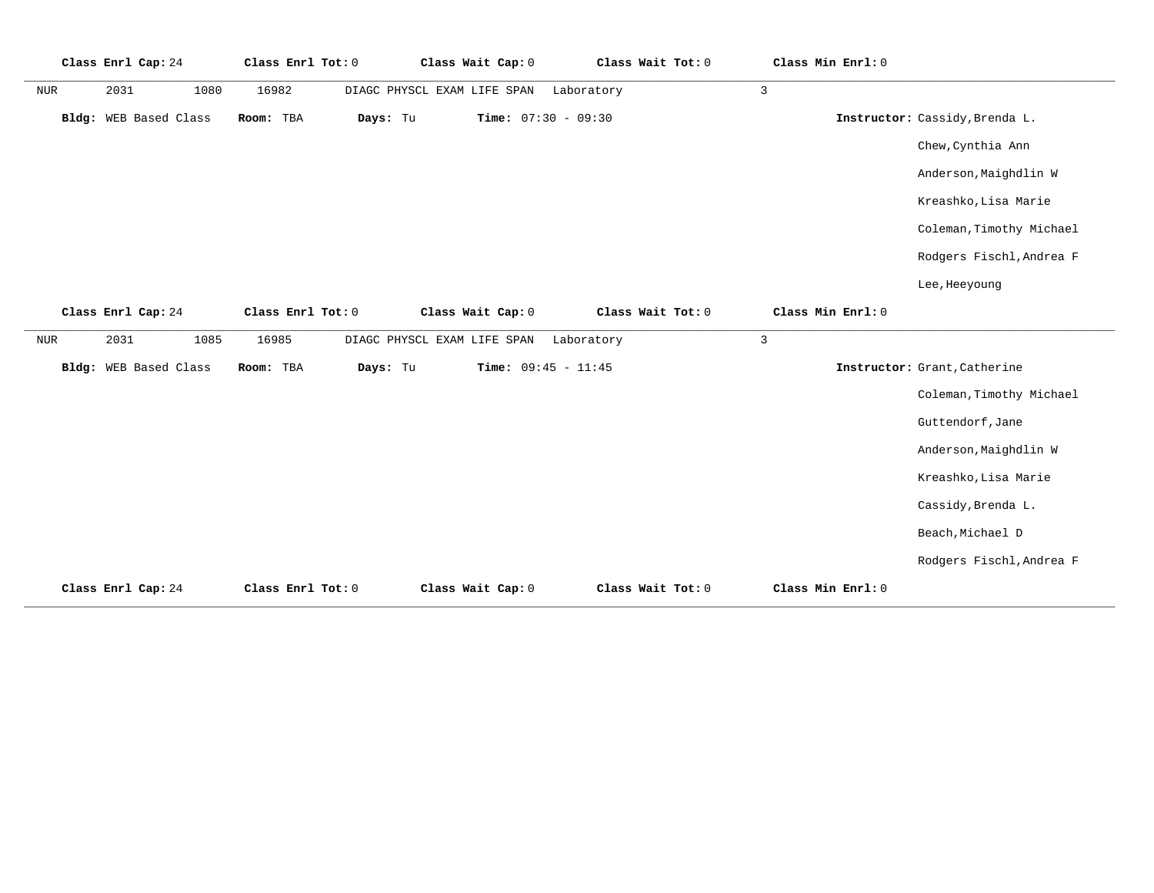|     | Class Enrl Cap: 24    | Class Enrl Tot: 0 |          | Class Wait Cap: 0           | Class Wait Tot: 0 |              | Class Min Enrl: 0 |                                |
|-----|-----------------------|-------------------|----------|-----------------------------|-------------------|--------------|-------------------|--------------------------------|
| NUR | 2031<br>1080          | 16982             |          | DIAGC PHYSCL EXAM LIFE SPAN | Laboratory        | $\mathbf{3}$ |                   |                                |
|     | Bldg: WEB Based Class | Room: TBA         | Days: Tu | Time: $07:30 - 09:30$       |                   |              |                   | Instructor: Cassidy, Brenda L. |
|     |                       |                   |          |                             |                   |              |                   | Chew, Cynthia Ann              |
|     |                       |                   |          |                             |                   |              |                   | Anderson, Maighdlin W          |
|     |                       |                   |          |                             |                   |              |                   | Kreashko, Lisa Marie           |
|     |                       |                   |          |                             |                   |              |                   | Coleman, Timothy Michael       |
|     |                       |                   |          |                             |                   |              |                   | Rodgers Fischl, Andrea F       |
|     |                       |                   |          |                             |                   |              |                   | Lee, Heeyoung                  |
|     | Class Enrl Cap: 24    | Class Enrl Tot: 0 |          | Class Wait Cap: 0           | Class Wait Tot: 0 |              | Class Min Enrl: 0 |                                |
| NUR | 2031<br>1085          | 16985             |          | DIAGC PHYSCL EXAM LIFE SPAN | Laboratory        | 3            |                   |                                |
|     | Bldg: WEB Based Class | Room: TBA         | Days: Tu | Time: $09:45 - 11:45$       |                   |              |                   | Instructor: Grant, Catherine   |
|     |                       |                   |          |                             |                   |              |                   | Coleman, Timothy Michael       |
|     |                       |                   |          |                             |                   |              |                   | Guttendorf, Jane               |
|     |                       |                   |          |                             |                   |              |                   | Anderson, Maighdlin W          |
|     |                       |                   |          |                             |                   |              |                   | Kreashko, Lisa Marie           |
|     |                       |                   |          |                             |                   |              |                   | Cassidy, Brenda L.             |
|     |                       |                   |          |                             |                   |              |                   | Beach, Michael D               |
|     |                       |                   |          |                             |                   |              |                   | Rodgers Fischl, Andrea F       |
|     | Class Enrl Cap: 24    | Class Enrl Tot: 0 |          | Class Wait Cap: 0           | Class Wait Tot: 0 |              | Class Min Enrl: 0 |                                |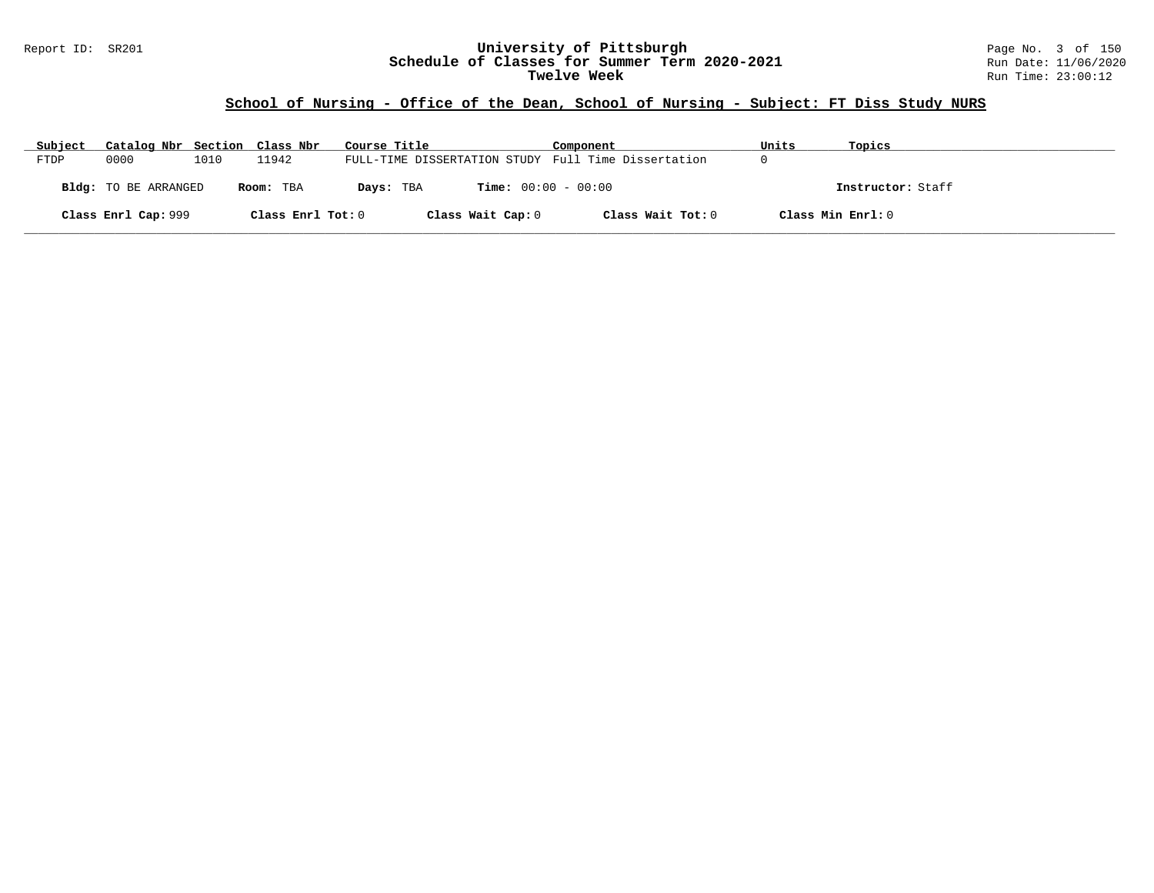#### Report ID: SR201 **University of Pittsburgh** Page No. 3 of 150 **Schedule of Classes for Summer Term 2020-2021** Run Date: 11/06/2020 **Twelve Week** Run Time: 23:00:12

# **School of Nursing - Office of the Dean, School of Nursing - Subject: FT Diss Study NURS**

| Subject | Catalog Nbr Section Class Nbr |      |                   | Course Title                                        | Component         | Units             | Topics            |
|---------|-------------------------------|------|-------------------|-----------------------------------------------------|-------------------|-------------------|-------------------|
| FTDP    | 0000                          | 1010 | 11942             | FULL-TIME DISSERTATION STUDY Full Time Dissertation |                   |                   |                   |
|         | <b>Bldg:</b> TO BE ARRANGED   |      | Room: TBA         | <b>Time:</b> $00:00 - 00:00$<br>Days: TBA           |                   |                   | Instructor: Staff |
|         | Class Enrl Cap: 999           |      | Class Enrl Tot: 0 | Class Wait Cap: 0                                   | Class Wait Tot: 0 | Class Min Enrl: 0 |                   |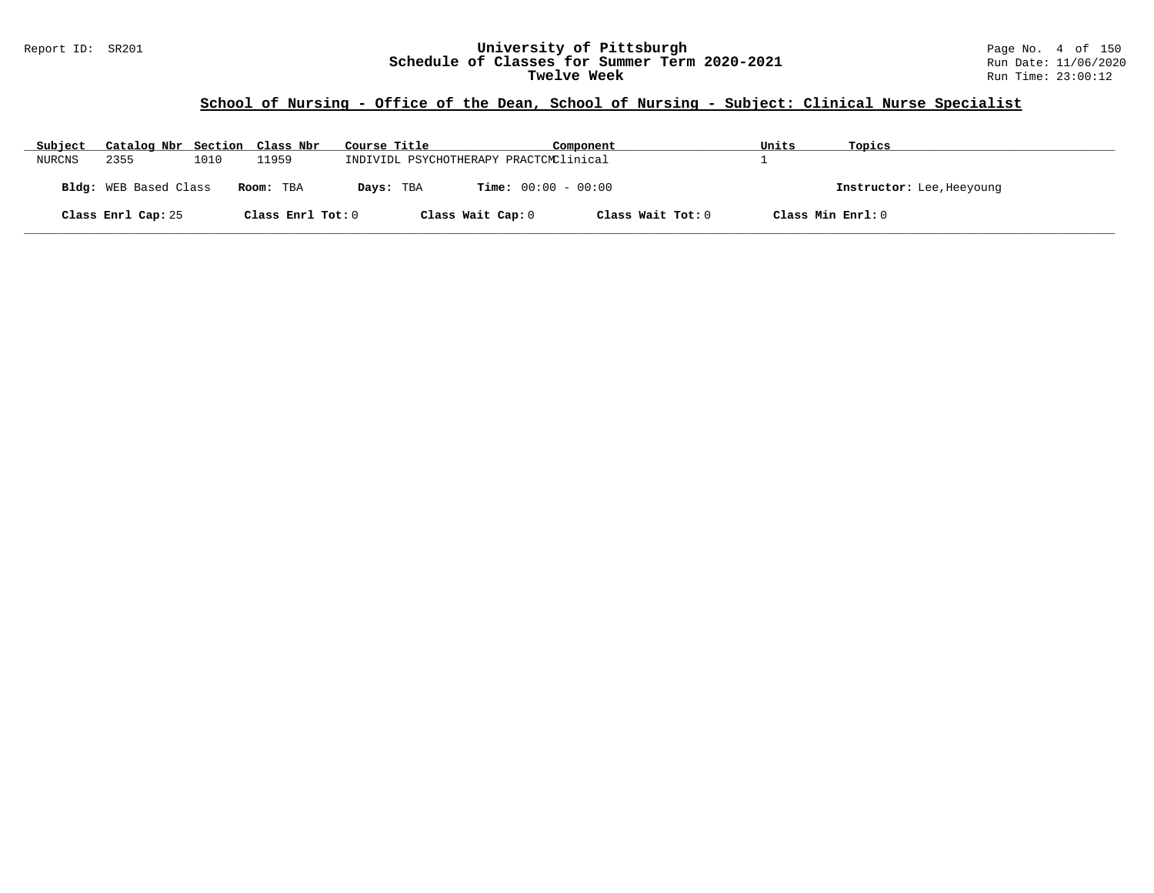#### Report ID: SR201 **University of Pittsburgh** Page No. 4 of 150 **Schedule of Classes for Summer Term 2020-2021** Run Date: 11/06/2020 **Twelve Week** Run Time: 23:00:12

# **School of Nursing - Office of the Dean, School of Nursing - Subject: Clinical Nurse Specialist**

| Subject | Catalog Nbr Section Class Nbr |      |                   | Course Title                           | Component                    | Units             | Topics                    |
|---------|-------------------------------|------|-------------------|----------------------------------------|------------------------------|-------------------|---------------------------|
| NURCNS  | 2355                          | 1010 | 11959             | INDIVIDL PSYCHOTHERAPY PRACTCMClinical |                              |                   |                           |
|         | Bldg: WEB Based Class         |      | Room: TBA         | Days: TBA                              | <b>Time:</b> $00:00 - 00:00$ |                   | Instructor: Lee, Heeyoung |
|         | Class Enrl Cap: 25            |      | Class Enrl Tot: 0 | Class Wait Cap: 0                      | Class Wait Tot: 0            | Class Min Enrl: 0 |                           |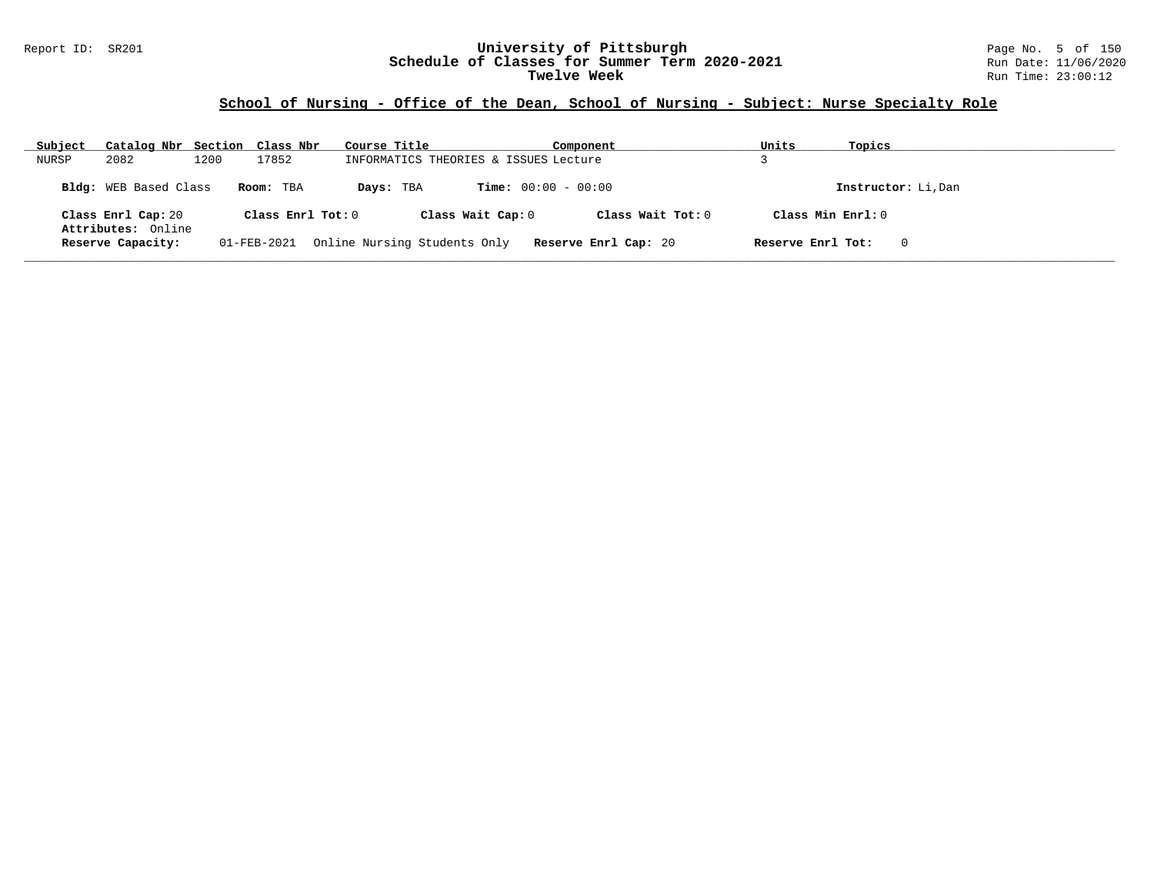#### Report ID: SR201 **University of Pittsburgh** Page No. 5 of 150 **Schedule of Classes for Summer Term 2020-2021** Run Date: 11/06/2020 **Twelve Week** Run Time: 23:00:12

# **School of Nursing - Office of the Dean, School of Nursing - Subject: Nurse Specialty Role**

| Subject<br>Catalog Nbr Section Class Nbr               | Course Title                              | Component            | Units               | Topics              |
|--------------------------------------------------------|-------------------------------------------|----------------------|---------------------|---------------------|
| 2082<br>1200<br>17852<br>NURSP                         | INFORMATICS THEORIES & ISSUES Lecture     |                      |                     |                     |
| Bldg: WEB Based Class<br>Room: TBA                     | <b>Time:</b> $00:00 - 00:00$<br>Days: TBA |                      |                     | Instructor: Li, Dan |
| Class Enrl Cap: 20                                     | Class Enrl Tot: 0<br>Class Wait Cap: 0    | Class Wait $Tot: 0$  | Class Min $Enrl: 0$ |                     |
| Attributes: Online<br>Reserve Capacity:<br>01-FEB-2021 | Online Nursing Students Only              | Reserve Enrl Cap: 20 | Reserve Enrl Tot:   | 0                   |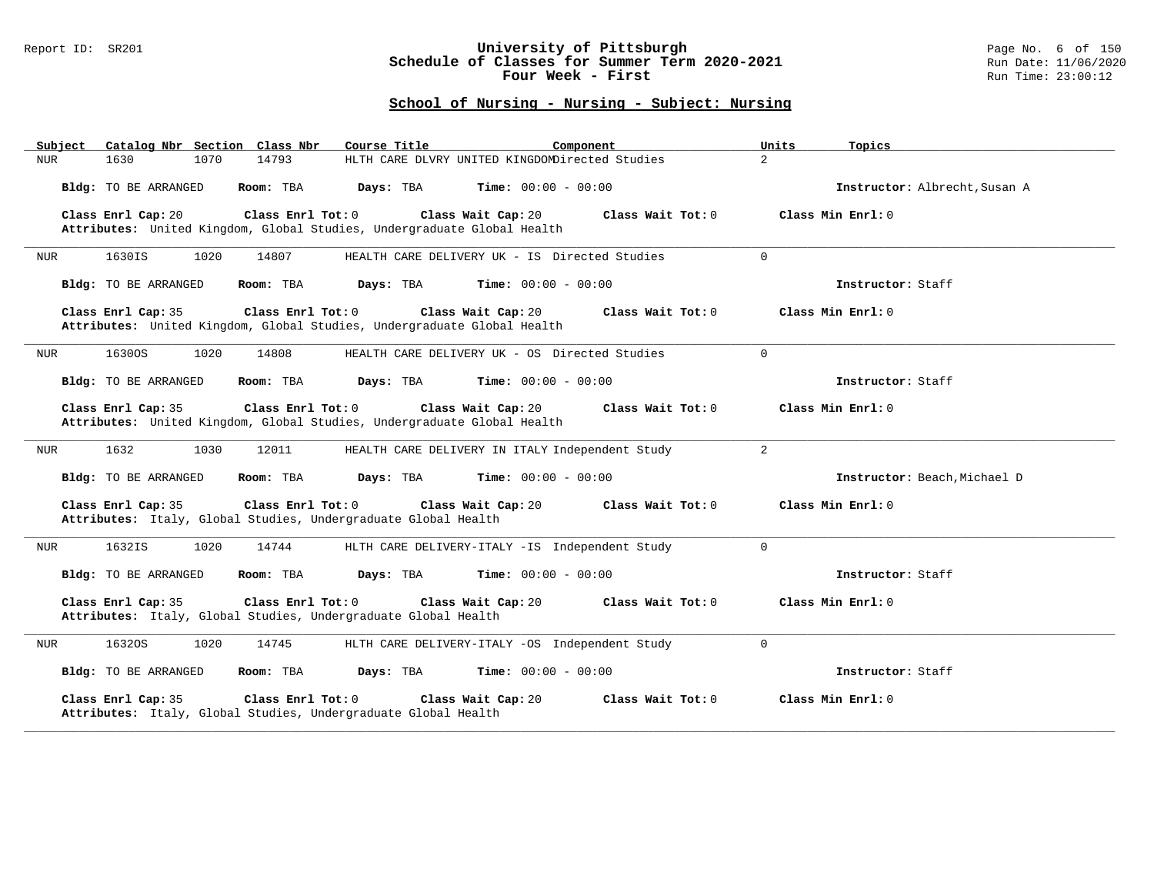### Report ID: SR201 **University of Pittsburgh** Page No. 6 of 150 **Schedule of Classes for Summer Term 2020-2021** Run Date: 11/06/2020 **Four Week - First** Run Time: 23:00:12

| Catalog Nbr Section Class Nbr<br>Subject                                                                           | Course Title<br>Component                       | Units<br>Topics               |
|--------------------------------------------------------------------------------------------------------------------|-------------------------------------------------|-------------------------------|
| 14793<br><b>NUR</b><br>1630<br>1070                                                                                | HLTH CARE DLVRY UNITED KINGDOMDirected Studies  | $\overline{a}$                |
| Bldg: TO BE ARRANGED<br>Room: TBA                                                                                  | Time: $00:00 - 00:00$<br>Days: TBA              | Instructor: Albrecht, Susan A |
| Class Enrl Cap: 20<br>Class Enrl Tot: 0<br>Attributes: United Kingdom, Global Studies, Undergraduate Global Health | Class Wait Cap: 20<br>Class Wait Tot: 0         | Class Min Enrl: 0             |
| 1630IS<br>1020<br>14807<br>NUR                                                                                     | HEALTH CARE DELIVERY UK - IS Directed Studies   | $\Omega$                      |
| Bldg: TO BE ARRANGED<br>Room: TBA                                                                                  | Days: TBA<br><b>Time:</b> $00:00 - 00:00$       | Instructor: Staff             |
| Class Enrl Cap: 35<br>Class Enrl Tot: 0<br>Attributes: United Kingdom, Global Studies, Undergraduate Global Health | Class Wait Cap: 20<br>Class Wait Tot: 0         | Class Min Enrl: 0             |
| 1630OS<br>1020<br>14808<br>NUR                                                                                     | HEALTH CARE DELIVERY UK - OS Directed Studies   | $\mathbf 0$                   |
| Bldg: TO BE ARRANGED<br>Room: TBA                                                                                  | <b>Time:</b> $00:00 - 00:00$<br>Days: TBA       | Instructor: Staff             |
| Class Enrl Cap: 35<br>Class Enrl Tot: 0<br>Attributes: United Kingdom, Global Studies, Undergraduate Global Health | Class Wait Cap: 20<br>Class Wait Tot: 0         | Class Min Enrl: 0             |
| 1632<br>1030<br>NUR<br>12011                                                                                       | HEALTH CARE DELIVERY IN ITALY Independent Study | $\overline{2}$                |
| Room: TBA<br>Bldg: TO BE ARRANGED                                                                                  | Days: TBA<br><b>Time:</b> $00:00 - 00:00$       | Instructor: Beach, Michael D  |
| Class Enrl Cap: 35<br>Class Enrl Tot: 0<br>Attributes: Italy, Global Studies, Undergraduate Global Health          | Class Wait Cap: 20<br>Class Wait Tot: 0         | Class Min Enrl: 0             |
| 1632IS<br>1020<br>NUR<br>14744                                                                                     | HLTH CARE DELIVERY-ITALY -IS Independent Study  | $\Omega$                      |
| Bldg: TO BE ARRANGED<br>Room: TBA                                                                                  | Days: TBA<br><b>Time:</b> $00:00 - 00:00$       | Instructor: Staff             |
| Class Enrl Cap: 35<br>Class Enrl Tot: 0<br>Attributes: Italy, Global Studies, Undergraduate Global Health          | Class Wait Cap: 20<br>Class Wait Tot: 0         | Class Min $Enr1: 0$           |
| 16320S<br>1020<br>14745<br>NUR                                                                                     | HLTH CARE DELIVERY-ITALY -OS Independent Study  | $\mathbf 0$                   |
| <b>Bldg:</b> TO BE ARRANGED<br>Room: TBA                                                                           | Days: TBA<br><b>Time:</b> $00:00 - 00:00$       | Instructor: Staff             |
| Class Enrl Cap: 35<br>Class Enrl Tot: 0<br>Attributes: Italy, Global Studies, Undergraduate Global Health          | Class Wait Cap: 20<br>Class Wait Tot: 0         | Class Min Enrl: 0             |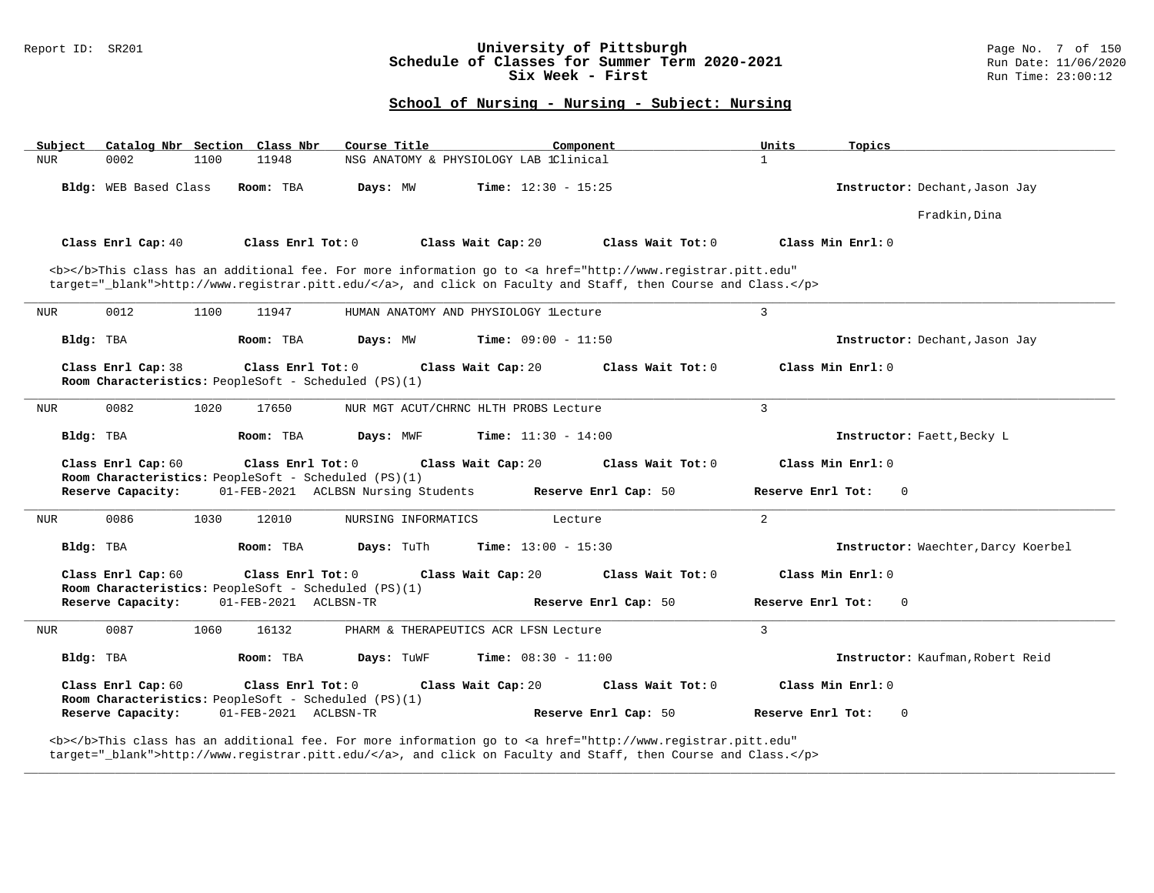### Report ID: SR201 **1988 Mage No. 7 of 150**<br>**Schedule of Classes for Summer Term 2020-2021** 1988 Run Date: 11/06/2020 **Schedule of Classes for Summer Term 2020-2021** Run Date: 11/06/2020<br>Six Week - First Run Time: 23:00:12 Six Week - First

## **School of Nursing - Nursing - Subject: Nursing**

| Catalog Nbr Section Class Nbr<br>Subject                                                           | Course Title<br>Component                                                                                                                                                                                                          | Units<br>Topics                     |
|----------------------------------------------------------------------------------------------------|------------------------------------------------------------------------------------------------------------------------------------------------------------------------------------------------------------------------------------|-------------------------------------|
| 0002<br>1100<br>11948<br><b>NUR</b>                                                                | NSG ANATOMY & PHYSIOLOGY LAB 1Clinical                                                                                                                                                                                             | $\mathbf{1}$                        |
| Bldg: WEB Based Class<br>Room: TBA                                                                 | Days: MW<br><b>Time:</b> $12:30 - 15:25$                                                                                                                                                                                           | Instructor: Dechant, Jason Jay      |
|                                                                                                    |                                                                                                                                                                                                                                    | Fradkin, Dina                       |
| Class Enrl Cap: 40<br>Class Enrl Tot: 0                                                            | Class Wait Cap: 20<br>Class Wait Tot: 0                                                                                                                                                                                            | Class Min Enrl: 0                   |
|                                                                                                    | <b></b> This class has an additional fee. For more information go to <a <br="" href="http://www.registrar.pitt.edu">target="_blank"&gt;http://www.registrar.pitt.edu/</a> , and click on Faculty and Staff, then Course and Class. |                                     |
| 0012<br><b>NUR</b><br>1100<br>11947                                                                | HUMAN ANATOMY AND PHYSIOLOGY lLecture                                                                                                                                                                                              | $\mathbf{3}$                        |
| Bldg: TBA<br>Room: TBA                                                                             | Days: MW<br><b>Time:</b> $09:00 - 11:50$                                                                                                                                                                                           | Instructor: Dechant, Jason Jay      |
| Class Enrl Cap: 38<br>Class Enrl Tot: 0<br>Room Characteristics: PeopleSoft - Scheduled (PS)(1)    | Class Wait Cap: 20<br>Class Wait Tot: 0                                                                                                                                                                                            | Class Min Enrl: 0                   |
| 0082<br><b>NUR</b><br>1020<br>17650                                                                | NUR MGT ACUT/CHRNC HLTH PROBS Lecture                                                                                                                                                                                              | $\overline{3}$                      |
| Bldg: TBA<br>Room: TBA                                                                             | Days: MWF<br><b>Time:</b> $11:30 - 14:00$                                                                                                                                                                                          | Instructor: Faett, Becky L          |
| Class Enrl Cap: 60<br>Class Enrl Tot: 0                                                            | Class Wait Cap: 20<br>Class Wait Tot: 0                                                                                                                                                                                            | Class Min Enrl: 0                   |
| Room Characteristics: PeopleSoft - Scheduled (PS)(1)<br>Reserve Capacity:                          | 01-FEB-2021 ACLBSN Nursing Students<br>Reserve Enrl Cap: 50                                                                                                                                                                        | Reserve Enrl Tot:<br>$\mathbf{0}$   |
| 0086<br>1030<br>12010<br>NUR                                                                       | NURSING INFORMATICS<br>Lecture                                                                                                                                                                                                     | 2                                   |
| Bldg: TBA<br>Room: TBA                                                                             | Days: TuTh<br><b>Time:</b> $13:00 - 15:30$                                                                                                                                                                                         | Instructor: Waechter, Darcy Koerbel |
| Class Enrl Cap: 60<br>Class Enrl Tot: 0<br>Room Characteristics: PeopleSoft - Scheduled (PS)(1)    | Class Wait Cap: 20<br>Class Wait Tot: 0                                                                                                                                                                                            | Class Min Enrl: 0                   |
| Reserve Capacity:<br>01-FEB-2021 ACLBSN-TR                                                         | Reserve Enrl Cap: 50                                                                                                                                                                                                               | Reserve Enrl Tot:<br>0              |
|                                                                                                    |                                                                                                                                                                                                                                    |                                     |
| 0087<br>1060<br>16132<br>NUR                                                                       | PHARM & THERAPEUTICS ACR LFSN Lecture                                                                                                                                                                                              | $\overline{3}$                      |
| Bldg: TBA<br>Room: TBA                                                                             | <b>Time:</b> $08:30 - 11:00$<br>Days: TuWF                                                                                                                                                                                         | Instructor: Kaufman, Robert Reid    |
| Class Enrl Cap: 60<br>Class Enrl Tot: 0                                                            | Class Wait Cap: 20<br>Class Wait Tot: 0                                                                                                                                                                                            | Class Min Enrl: 0                   |
| Room Characteristics: PeopleSoft - Scheduled (PS)(1)<br>Reserve Capacity:<br>01-FEB-2021 ACLBSN-TR | Reserve Enrl Cap: 50                                                                                                                                                                                                               | Reserve Enrl Tot:<br>$\Omega$       |

**\_\_\_\_\_\_\_\_\_\_\_\_\_\_\_\_\_\_\_\_\_\_\_\_\_\_\_\_\_\_\_\_\_\_\_\_\_\_\_\_\_\_\_\_\_\_\_\_\_\_\_\_\_\_\_\_\_\_\_\_\_\_\_\_\_\_\_\_\_\_\_\_\_\_\_\_\_\_\_\_\_\_\_\_\_\_\_\_\_\_\_\_\_\_\_\_\_\_\_\_\_\_\_\_\_\_\_\_\_\_\_\_\_\_\_\_\_\_\_\_\_\_\_\_\_\_\_\_\_\_\_\_\_\_\_\_\_\_\_\_\_\_\_\_\_\_\_\_\_\_\_\_\_\_\_\_**

target="\_blank">http://www.registrar.pitt.edu/</a>, and click on Faculty and Staff, then Course and Class.</p>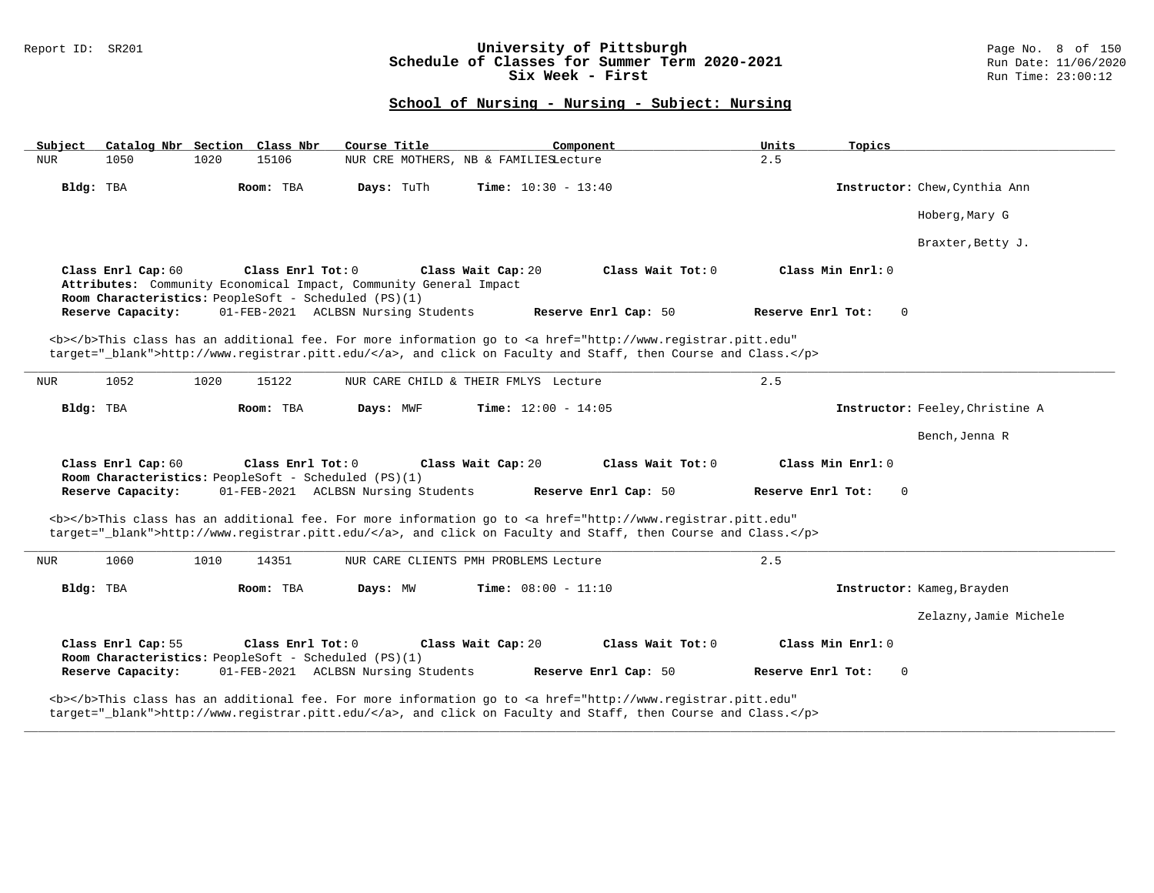### Report ID: SR201 **University of Pittsburgh** Page No. 8 of 150 **Schedule of Classes for Summer Term 2020-2021** Run Date: 11/06/2020 **Six Week - First Run Time: 23:00:12** Run Time: 23:00:12

# **School of Nursing - Nursing - Subject: Nursing**

|                    |                                                                           | Course Title                                                                            | Component                                                                                                                                                                                                                          | Units<br>Topics                   |                                 |
|--------------------|---------------------------------------------------------------------------|-----------------------------------------------------------------------------------------|------------------------------------------------------------------------------------------------------------------------------------------------------------------------------------------------------------------------------------|-----------------------------------|---------------------------------|
| <b>NUR</b><br>1050 | 1020<br>15106                                                             | NUR CRE MOTHERS, NB & FAMILIESLecture                                                   |                                                                                                                                                                                                                                    | 2.5                               |                                 |
| Bldg: TBA          | Room: TBA                                                                 | Days: TuTh                                                                              | <b>Time:</b> $10:30 - 13:40$                                                                                                                                                                                                       |                                   | Instructor: Chew, Cynthia Ann   |
|                    |                                                                           |                                                                                         |                                                                                                                                                                                                                                    |                                   | Hoberg, Mary G                  |
|                    |                                                                           |                                                                                         |                                                                                                                                                                                                                                    |                                   | Braxter, Betty J.               |
| Class Enrl Cap: 60 | Class Enrl Tot: 0<br>Room Characteristics: PeopleSoft - Scheduled (PS)(1) | Class Wait Cap: 20<br>Attributes: Community Economical Impact, Community General Impact | Class Wait Tot: 0                                                                                                                                                                                                                  | Class Min Enrl: 0                 |                                 |
| Reserve Capacity:  |                                                                           | 01-FEB-2021 ACLBSN Nursing Students                                                     | Reserve Enrl Cap: 50                                                                                                                                                                                                               | Reserve Enrl Tot:<br>$\mathbf{0}$ |                                 |
|                    |                                                                           |                                                                                         | <b></b> This class has an additional fee. For more information go to <a <br="" href="http://www.registrar.pitt.edu">target="_blank"&gt;http://www.registrar.pitt.edu/</a> , and click on Faculty and Staff, then Course and Class. |                                   |                                 |
| 1052<br>NUR        | 1020<br>15122                                                             | NUR CARE CHILD & THEIR FMLYS Lecture                                                    |                                                                                                                                                                                                                                    | 2.5                               |                                 |
| Bldg: TBA          | Room: TBA                                                                 | Days: MWF                                                                               | <b>Time:</b> $12:00 - 14:05$                                                                                                                                                                                                       |                                   | Instructor: Feeley, Christine A |
|                    |                                                                           |                                                                                         |                                                                                                                                                                                                                                    |                                   | Bench, Jenna R                  |
|                    |                                                                           | Class Wait Cap: 20                                                                      | Class Wait Tot: 0                                                                                                                                                                                                                  | Class Min Enrl: 0                 |                                 |
| Class Enrl Cap: 60 | Class Enrl Tot: 0                                                         |                                                                                         |                                                                                                                                                                                                                                    |                                   |                                 |
| Reserve Capacity:  | Room Characteristics: PeopleSoft - Scheduled (PS)(1)                      | 01-FEB-2021 ACLBSN Nursing Students                                                     | Reserve Enrl Cap: 50                                                                                                                                                                                                               | Reserve Enrl Tot:<br>$\Omega$     |                                 |
|                    |                                                                           |                                                                                         | <b></b> This class has an additional fee. For more information go to <a <="" href="http://www.registrar.pitt.edu" td=""><td></td><td></td></a>                                                                                     |                                   |                                 |
|                    |                                                                           |                                                                                         | target="_blank">http://www.registrar.pitt.edu/, and click on Faculty and Staff, then Course and Class.                                                                                                                             |                                   |                                 |
| 1060<br>NUR        | 1010<br>14351                                                             | NUR CARE CLIENTS PMH PROBLEMS Lecture                                                   |                                                                                                                                                                                                                                    | 2.5                               |                                 |
| Bldg: TBA          | Room: TBA                                                                 | Days: MW                                                                                | <b>Time:</b> $08:00 - 11:10$                                                                                                                                                                                                       |                                   | Instructor: Kameg, Brayden      |
|                    |                                                                           |                                                                                         |                                                                                                                                                                                                                                    |                                   | Zelazny, Jamie Michele          |
| Class Enrl Cap: 55 | Class Enrl Tot: 0<br>Room Characteristics: PeopleSoft - Scheduled (PS)(1) | Class Wait Cap: 20                                                                      | Class Wait Tot: 0                                                                                                                                                                                                                  | Class Min Enrl: 0                 |                                 |
| Reserve Capacity:  |                                                                           | 01-FEB-2021 ACLBSN Nursing Students                                                     | Reserve Enrl Cap: 50                                                                                                                                                                                                               | Reserve Enrl Tot:<br>$\Omega$     |                                 |

**\_\_\_\_\_\_\_\_\_\_\_\_\_\_\_\_\_\_\_\_\_\_\_\_\_\_\_\_\_\_\_\_\_\_\_\_\_\_\_\_\_\_\_\_\_\_\_\_\_\_\_\_\_\_\_\_\_\_\_\_\_\_\_\_\_\_\_\_\_\_\_\_\_\_\_\_\_\_\_\_\_\_\_\_\_\_\_\_\_\_\_\_\_\_\_\_\_\_\_\_\_\_\_\_\_\_\_\_\_\_\_\_\_\_\_\_\_\_\_\_\_\_\_\_\_\_\_\_\_\_\_\_\_\_\_\_\_\_\_\_\_\_\_\_\_\_\_\_\_\_\_\_\_\_\_\_**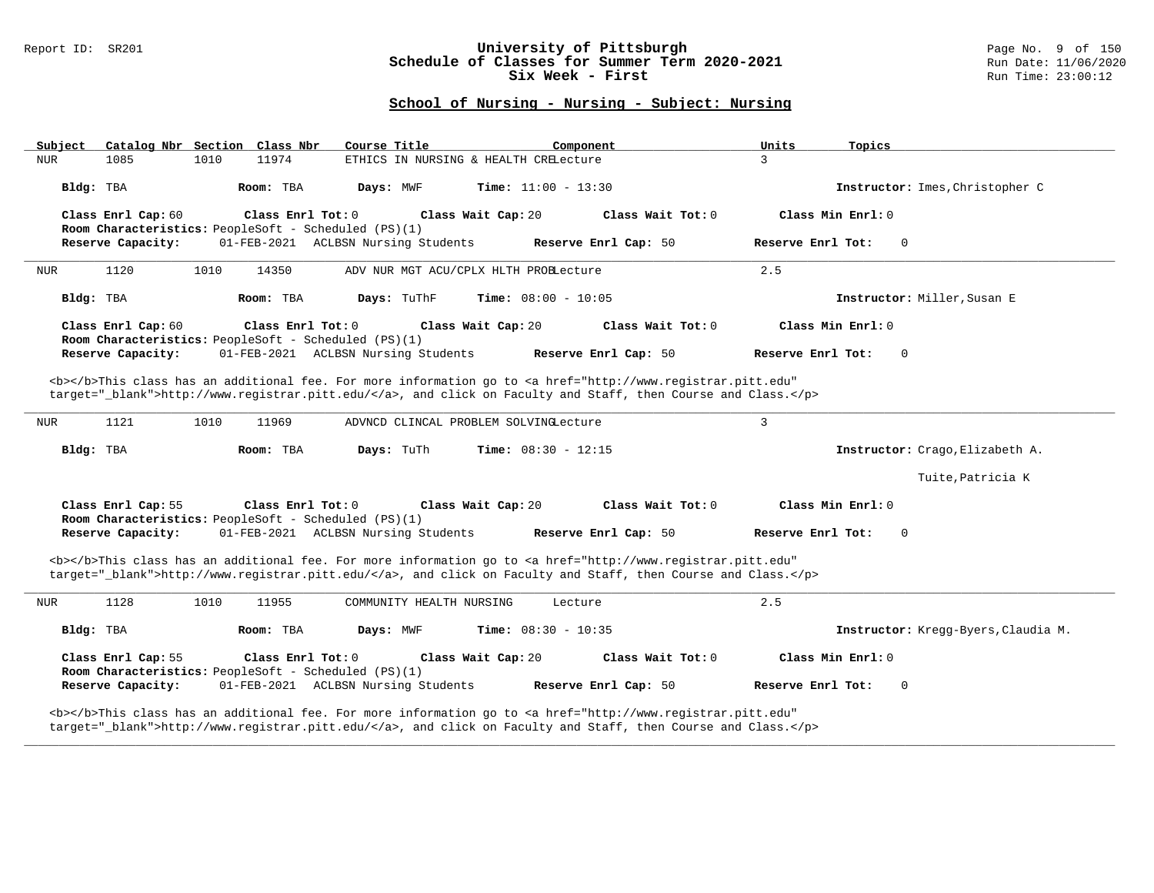### Report ID: SR201 **University of Pittsburgh** Page No. 9 of 150 **Schedule of Classes for Summer Term 2020-2021** Run Date: 11/06/2020 **Six Week - First Run Time: 23:00:12** Run Time: 23:00:12

# **School of Nursing - Nursing - Subject: Nursing**

| Course Title<br>Catalog Nbr Section Class Nbr<br>Subject                                                                                                                                                                           | Units<br>Component           | Topics                              |
|------------------------------------------------------------------------------------------------------------------------------------------------------------------------------------------------------------------------------------|------------------------------|-------------------------------------|
| 11974<br><b>NUR</b><br>1085<br>1010<br>ETHICS IN NURSING & HEALTH CRELecture                                                                                                                                                       | 3                            |                                     |
| Bldg: TBA<br>Room: TBA<br>Days: MWF                                                                                                                                                                                                | <b>Time:</b> $11:00 - 13:30$ | Instructor: Imes, Christopher C     |
| Class Enrl Cap: 60<br>Class Enrl Tot: 0<br>Class Wait Cap: 20                                                                                                                                                                      | Class Wait Tot: 0            | Class Min Enrl: 0                   |
| Room Characteristics: PeopleSoft - Scheduled (PS)(1)                                                                                                                                                                               |                              |                                     |
| Reserve Capacity:<br>01-FEB-2021 ACLBSN Nursing Students                                                                                                                                                                           | Reserve Enrl Cap: 50         | $\mathbf 0$<br>Reserve Enrl Tot:    |
| 1120<br>1010<br>14350<br>ADV NUR MGT ACU/CPLX HLTH PROBLecture<br><b>NUR</b>                                                                                                                                                       | 2.5                          |                                     |
| Days: TuThF<br>Bldg: TBA<br>Room: TBA                                                                                                                                                                                              | <b>Time:</b> $08:00 - 10:05$ | Instructor: Miller, Susan E         |
| Class Enrl Cap: 60<br>Class Enrl Tot: 0<br>Class Wait Cap: 20<br>Room Characteristics: PeopleSoft - Scheduled (PS)(1)                                                                                                              | Class Wait Tot: 0            | Class Min Enrl: 0                   |
| 01-FEB-2021 ACLBSN Nursing Students<br>Reserve Capacity:                                                                                                                                                                           | Reserve Enrl Cap: 50         | Reserve Enrl Tot:<br>$\Omega$       |
| <b></b> This class has an additional fee. For more information go to <a <="" href="http://www.registrar.pitt.edu" td=""><td></td><td></td></a>                                                                                     |                              |                                     |
| target="_blank">http://www.registrar.pitt.edu/, and click on Faculty and Staff, then Course and Class.                                                                                                                             |                              |                                     |
|                                                                                                                                                                                                                                    | $\overline{3}$               |                                     |
| 1121<br>1010<br>11969<br>NUR<br>ADVNCD CLINCAL PROBLEM SOLVINGLecture                                                                                                                                                              |                              |                                     |
|                                                                                                                                                                                                                                    |                              |                                     |
| Room: TBA<br>Days: TuTh<br>Bldg: TBA                                                                                                                                                                                               | <b>Time:</b> $08:30 - 12:15$ | Instructor: Crago, Elizabeth A.     |
|                                                                                                                                                                                                                                    |                              | Tuite, Patricia K                   |
| Class Enrl Cap: 55<br>Class Enrl Tot: 0<br>Class Wait Cap: 20                                                                                                                                                                      | Class Wait Tot: 0            | Class Min Enrl: 0                   |
| Room Characteristics: PeopleSoft - Scheduled (PS)(1)<br>Reserve Capacity:<br>01-FEB-2021 ACLBSN Nursing Students                                                                                                                   | Reserve Enrl Cap: 50         | Reserve Enrl Tot:<br>$\mathbf 0$    |
|                                                                                                                                                                                                                                    |                              |                                     |
| <b></b> This class has an additional fee. For more information go to <a <br="" href="http://www.registrar.pitt.edu">target=" blank"&gt;http://www.registrar.pitt.edu/</a> , and click on Faculty and Staff, then Course and Class. |                              |                                     |
| 1128<br>1010<br>NUR<br>11955<br>COMMUNITY HEALTH NURSING                                                                                                                                                                           | 2.5<br>Lecture               |                                     |
| Bldg: TBA<br>Room: TBA<br>Days: MWF                                                                                                                                                                                                | <b>Time:</b> $08:30 - 10:35$ | Instructor: Kregg-Byers, Claudia M. |
| Class Enrl Cap: 55<br>Class Enrl Tot: 0<br>Class Wait Cap: 20                                                                                                                                                                      | Class Wait Tot: 0            | Class Min Enrl: 0                   |
| Room Characteristics: PeopleSoft - Scheduled (PS)(1)<br>Reserve Capacity:<br>01-FEB-2021 ACLBSN Nursing Students                                                                                                                   | Reserve Enrl Cap: 50         | $\mathbf 0$<br>Reserve Enrl Tot:    |
| <b></b> This class has an additional fee. For more information go to <a <="" href="http://www.registrar.pitt.edu" td=""><td></td><td></td></a>                                                                                     |                              |                                     |

**\_\_\_\_\_\_\_\_\_\_\_\_\_\_\_\_\_\_\_\_\_\_\_\_\_\_\_\_\_\_\_\_\_\_\_\_\_\_\_\_\_\_\_\_\_\_\_\_\_\_\_\_\_\_\_\_\_\_\_\_\_\_\_\_\_\_\_\_\_\_\_\_\_\_\_\_\_\_\_\_\_\_\_\_\_\_\_\_\_\_\_\_\_\_\_\_\_\_\_\_\_\_\_\_\_\_\_\_\_\_\_\_\_\_\_\_\_\_\_\_\_\_\_\_\_\_\_\_\_\_\_\_\_\_\_\_\_\_\_\_\_\_\_\_\_\_\_\_\_\_\_\_\_\_\_\_**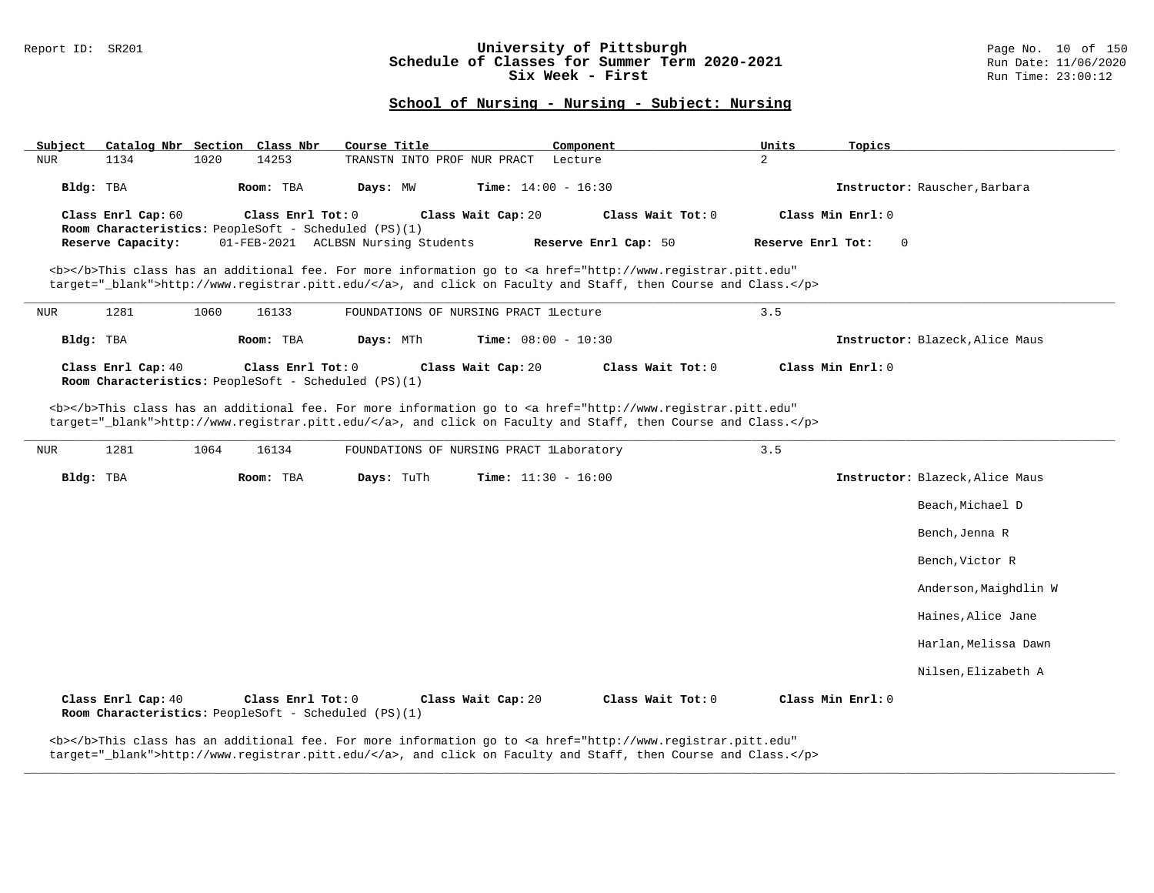### Report ID: SR201 **University of Pittsburgh University of Pittsburgh** Page No. 10 of 150 **Schedule of Classes for Summer Term 2020-2021** Run Date: 11/06/2020 **Schedule of Classes for Summer Term 2020-2021** Run Date: 11/06/2021<br>**Six Week - First** Run Time: 23:00:12 Six Week - First

## **School of Nursing - Nursing - Subject: Nursing**

| Subject<br>NUR | Catalog Nbr Section Class Nbr<br>1134                                                                                                                                    | 1020 | 14253             | Course Title<br>TRANSTN INTO PROF NUR PRACT |                              | Component<br>Lecture                                                                                                                                                                                                               | Units<br>2        | Topics                          |  |
|----------------|--------------------------------------------------------------------------------------------------------------------------------------------------------------------------|------|-------------------|---------------------------------------------|------------------------------|------------------------------------------------------------------------------------------------------------------------------------------------------------------------------------------------------------------------------------|-------------------|---------------------------------|--|
| Bldg: TBA      |                                                                                                                                                                          |      | Room: TBA         | Days: MW                                    | <b>Time:</b> $14:00 - 16:30$ |                                                                                                                                                                                                                                    |                   | Instructor: Rauscher, Barbara   |  |
|                | Class Enrl Tot: $0$<br>Class Wait Cap: 20<br>Class Wait Tot: 0<br>Class Min Enrl: 0<br>Class Enrl Cap: 60<br><b>Room Characteristics:</b> PeopleSoft - Scheduled (PS)(1) |      |                   |                                             |                              |                                                                                                                                                                                                                                    |                   |                                 |  |
|                | Reserve Capacity:                                                                                                                                                        |      |                   | 01-FEB-2021 ACLBSN Nursing Students         |                              | Reserve Enrl Cap: 50                                                                                                                                                                                                               | Reserve Enrl Tot: | $\overline{0}$                  |  |
|                |                                                                                                                                                                          |      |                   |                                             |                              | <b></b> This class has an additional fee. For more information go to <a <br="" href="http://www.registrar.pitt.edu">target="_blank"&gt;http://www.registrar.pitt.edu/</a> , and click on Faculty and Staff, then Course and Class. |                   |                                 |  |
| NUR            | 1281                                                                                                                                                                     | 1060 | 16133             | FOUNDATIONS OF NURSING PRACT LLecture       |                              |                                                                                                                                                                                                                                    | 3.5               |                                 |  |
| Bldg: TBA      |                                                                                                                                                                          |      | Room: TBA         | Days: MTh                                   | <b>Time:</b> $08:00 - 10:30$ |                                                                                                                                                                                                                                    |                   | Instructor: Blazeck, Alice Maus |  |
|                | Class Enrl Cap: 40<br><b>Room Characteristics:</b> PeopleSoft - Scheduled (PS)(1)                                                                                        |      | Class Enrl Tot: 0 |                                             | Class Wait Cap: 20           | Class Wait Tot: 0                                                                                                                                                                                                                  |                   | Class Min Enrl: 0               |  |

<b></b>This class has an additional fee. For more information go to <a href="http://www.registrar.pitt.edu" target="\_blank">http://www.registrar.pitt.edu/</a>, and click on Faculty and Staff, then Course and Class.</p>

| NUR       | 1281               | 1064 | 16134                                                                     |            | FOUNDATIONS OF NURSING PRACT lLaboratory |                              |                   | 3.5 |                   |                                 |
|-----------|--------------------|------|---------------------------------------------------------------------------|------------|------------------------------------------|------------------------------|-------------------|-----|-------------------|---------------------------------|
| Bldg: TBA |                    |      | Room: TBA                                                                 | Days: TuTh |                                          | <b>Time:</b> $11:30 - 16:00$ |                   |     |                   | Instructor: Blazeck, Alice Maus |
|           |                    |      |                                                                           |            |                                          |                              |                   |     |                   | Beach, Michael D                |
|           |                    |      |                                                                           |            |                                          |                              |                   |     |                   | Bench, Jenna R                  |
|           |                    |      |                                                                           |            |                                          |                              |                   |     |                   | Bench, Victor R                 |
|           |                    |      |                                                                           |            |                                          |                              |                   |     |                   | Anderson, Maighdlin W           |
|           |                    |      |                                                                           |            |                                          |                              |                   |     |                   | Haines, Alice Jane              |
|           |                    |      |                                                                           |            |                                          |                              |                   |     |                   | Harlan, Melissa Dawn            |
|           |                    |      |                                                                           |            |                                          |                              |                   |     |                   | Nilsen, Elizabeth A             |
|           | Class Enrl Cap: 40 |      | Class Enrl Tot: 0<br>Room Characteristics: PeopleSoft - Scheduled (PS)(1) |            | Class Wait Cap: 20                       |                              | Class Wait Tot: 0 |     | Class Min Enrl: 0 |                                 |

**\_\_\_\_\_\_\_\_\_\_\_\_\_\_\_\_\_\_\_\_\_\_\_\_\_\_\_\_\_\_\_\_\_\_\_\_\_\_\_\_\_\_\_\_\_\_\_\_\_\_\_\_\_\_\_\_\_\_\_\_\_\_\_\_\_\_\_\_\_\_\_\_\_\_\_\_\_\_\_\_\_\_\_\_\_\_\_\_\_\_\_\_\_\_\_\_\_\_\_\_\_\_\_\_\_\_\_\_\_\_\_\_\_\_\_\_\_\_\_\_\_\_\_\_\_\_\_\_\_\_\_\_\_\_\_\_\_\_\_\_\_\_\_\_\_\_\_\_\_\_\_\_\_\_\_\_**

target="\_blank">http://www.registrar.pitt.edu/</a>, and click on Faculty and Staff, then Course and Class.</p>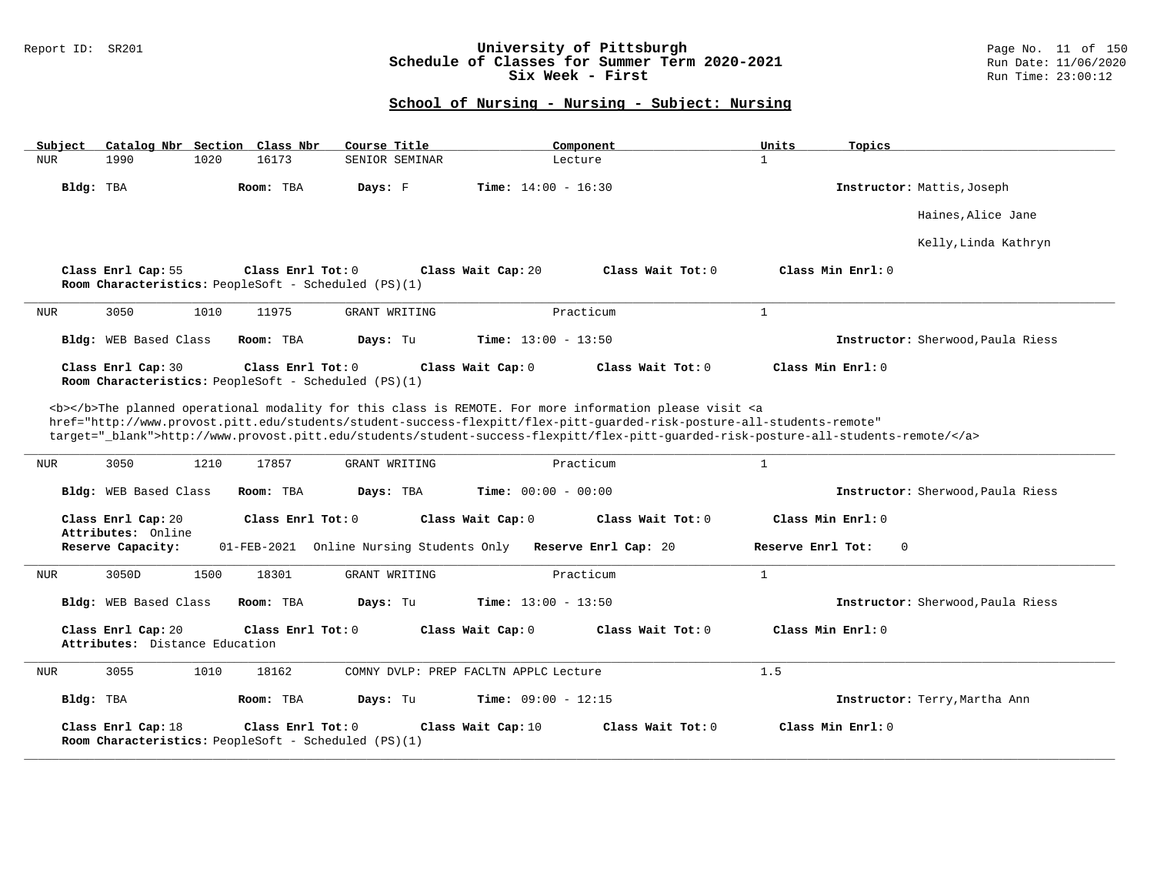### Report ID: SR201 **University of Pittsburgh** Page No. 11 of 150 **Schedule of Classes for Summer Term 2020-2021** Run Date: 11/06/2020 **Six Week - First Run Time: 23:00:12** Run Time: 23:00:12

| Subject<br>Catalog Nbr Section Class Nbr                                     | Course Title                             | Component                                                                                                                                                                                                                                                                                                                                                                          | Units<br>Topics                   |
|------------------------------------------------------------------------------|------------------------------------------|------------------------------------------------------------------------------------------------------------------------------------------------------------------------------------------------------------------------------------------------------------------------------------------------------------------------------------------------------------------------------------|-----------------------------------|
| <b>NUR</b><br>1990<br>1020                                                   | 16173<br>SENIOR SEMINAR                  | Lecture                                                                                                                                                                                                                                                                                                                                                                            | $\mathbf{1}$                      |
| Bldg: TBA                                                                    | Days: F<br>Room: TBA                     | <b>Time:</b> $14:00 - 16:30$                                                                                                                                                                                                                                                                                                                                                       | Instructor: Mattis, Joseph        |
|                                                                              |                                          |                                                                                                                                                                                                                                                                                                                                                                                    | Haines, Alice Jane                |
|                                                                              |                                          |                                                                                                                                                                                                                                                                                                                                                                                    | Kelly, Linda Kathryn              |
| Class Enrl Cap: 55<br>Room Characteristics: PeopleSoft - Scheduled $(PS)(1)$ | Class Enrl Tot: 0                        | Class Wait $Tot: 0$<br>Class Wait Cap: 20                                                                                                                                                                                                                                                                                                                                          | Class Min Enrl: 0                 |
| 3050<br>1010<br>NUR                                                          | 11975<br>GRANT WRITING                   | Practicum                                                                                                                                                                                                                                                                                                                                                                          | $\mathbf{1}$                      |
| Bldg: WEB Based Class                                                        | Room: TBA<br>Days: Tu                    | Time: $13:00 - 13:50$                                                                                                                                                                                                                                                                                                                                                              | Instructor: Sherwood, Paula Riess |
| Class Enrl Cap: 30<br>Room Characteristics: PeopleSoft - Scheduled (PS)(1)   | Class Enrl Tot: 0                        | Class Wait Cap: 0<br>Class Wait Tot: 0                                                                                                                                                                                                                                                                                                                                             | Class Min $Enrl: 0$               |
|                                                                              |                                          | <b></b> The planned operational modality for this class is REMOTE. For more information please visit <a<br>href="http://www.provost.pitt.edu/students/student-success-flexpitt/flex-pitt-quarded-risk-posture-all-students-remote"<br/>target="_blank"&gt;http://www.provost.pitt.edu/students/student-success-flexpitt/flex-pitt-quarded-risk-posture-all-students-remote/</a<br> |                                   |
| 3050<br>1210<br><b>NUR</b>                                                   | 17857<br>GRANT WRITING                   | Practicum                                                                                                                                                                                                                                                                                                                                                                          | $\mathbf{1}$                      |
| Bldg: WEB Based Class                                                        | Room: TBA<br>Days: TBA                   | <b>Time:</b> $00:00 - 00:00$                                                                                                                                                                                                                                                                                                                                                       | Instructor: Sherwood, Paula Riess |
| Class Enrl Cap: 20                                                           | Class Enrl Tot: 0                        | Class Wait Cap: 0<br>Class Wait Tot: 0                                                                                                                                                                                                                                                                                                                                             | Class Min Enrl: 0                 |
| Attributes: Online<br>Reserve Capacity:                                      | 01-FEB-2021 Online Nursing Students Only | Reserve Enrl Cap: 20                                                                                                                                                                                                                                                                                                                                                               | Reserve Enrl Tot:<br>$\mathbf 0$  |
| 1500<br>3050D<br>NUR.                                                        | 18301<br>GRANT WRITING                   | Practicum                                                                                                                                                                                                                                                                                                                                                                          | $\mathbf{1}$                      |
| Bldg: WEB Based Class                                                        | Room: TBA<br>Days: Tu                    | Time: $13:00 - 13:50$                                                                                                                                                                                                                                                                                                                                                              | Instructor: Sherwood, Paula Riess |
| Class Enrl Cap: 20<br>Attributes: Distance Education                         | Class Enrl Tot: $0$                      | Class Wait Cap: 0<br>Class Wait Tot: 0                                                                                                                                                                                                                                                                                                                                             | Class Min Enrl: 0                 |
| 3055<br>1010<br>NUR                                                          | 18162                                    | COMNY DVLP: PREP FACLTN APPLC Lecture                                                                                                                                                                                                                                                                                                                                              | 1.5                               |
| Bldg: TBA                                                                    | Room: TBA<br>Days: Tu                    | Time: $09:00 - 12:15$                                                                                                                                                                                                                                                                                                                                                              | Instructor: Terry, Martha Ann     |
| Class Enrl Cap: 18<br>Room Characteristics: PeopleSoft - Scheduled (PS)(1)   | Class Enrl Tot: $0$                      | Class Wait Cap: 10<br>Class Wait Tot: 0                                                                                                                                                                                                                                                                                                                                            | Class Min Enrl: 0                 |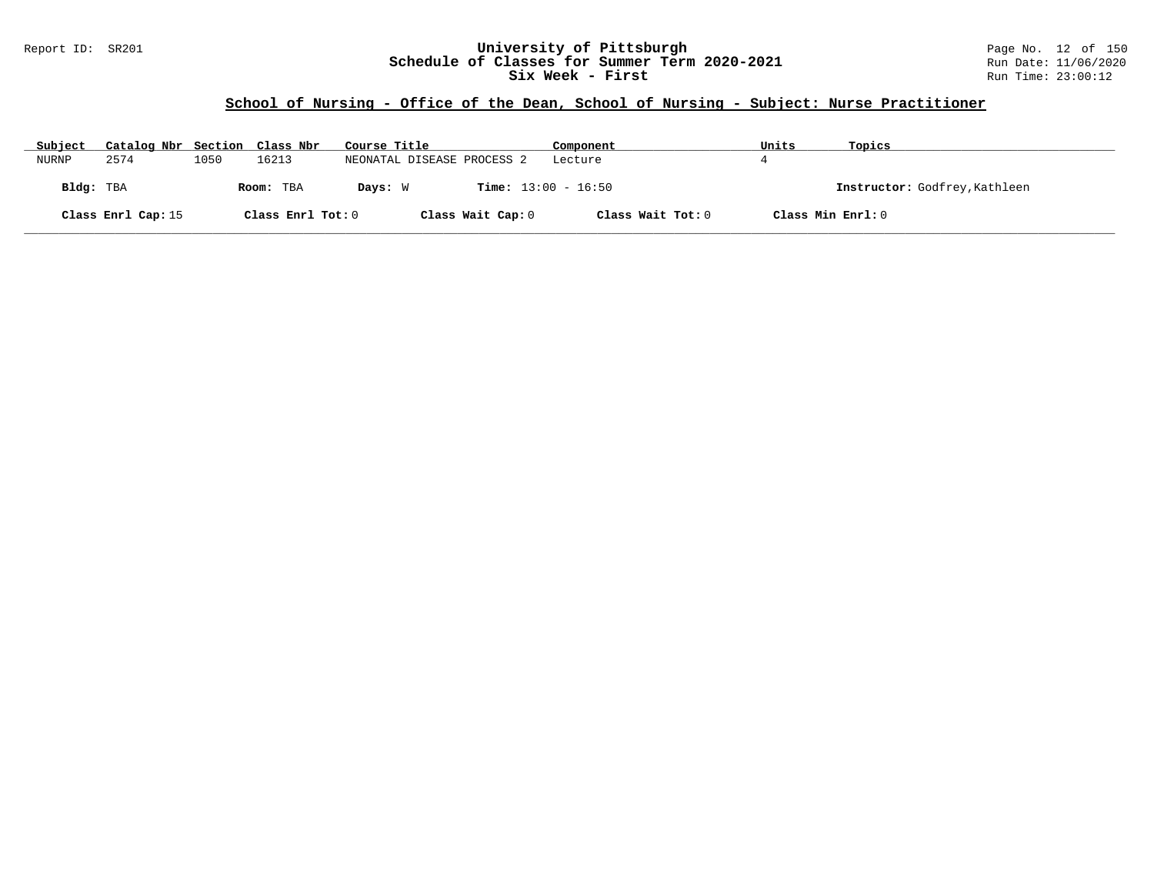## Report ID: SR201 **University of Pittsburgh** Page No. 12 of 150 **Schedule of Classes for Summer Term 2020-2021** Run Date: 11/06/2020 **Six Week - First Run Time: 23:00:12** Run Time: 23:00:12

# **School of Nursing - Office of the Dean, School of Nursing - Subject: Nurse Practitioner**

| Subject   | Catalog Nbr Section Class Nbr |      |                   | Course Title |                              | Component         | Units             | Topics                        |
|-----------|-------------------------------|------|-------------------|--------------|------------------------------|-------------------|-------------------|-------------------------------|
| NURNP     | 2574                          | 1050 | 16213             |              | NEONATAL DISEASE PROCESS 2   | Lecture           |                   |                               |
| Bldg: TBA |                               |      | Room: TBA         | Days: W      | <b>Time:</b> $13:00 - 16:50$ |                   |                   | Instructor: Godfrey, Kathleen |
|           | Class Enrl Cap: 15            |      | Class Enrl Tot: 0 |              | Class Wait Cap: 0            | Class Wait Tot: 0 | Class Min Enrl: 0 |                               |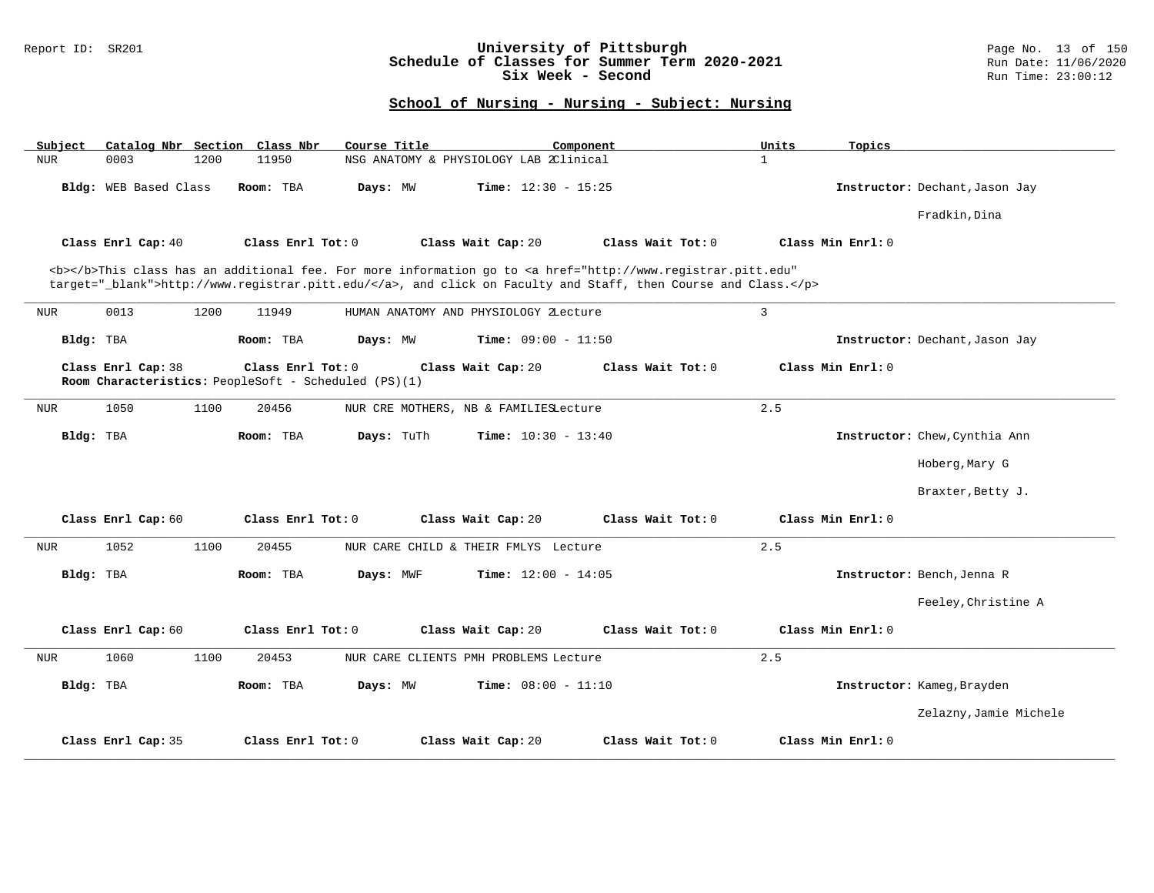### Report ID: SR201 **University of Pittsburgh** Page No. 13 of 150 **Schedule of Classes for Summer Term 2020-2021** Run Date: 11/06/2020 **Six Week - Second Run Time: 23:00:12**

| Catalog Nbr Section Class Nbr<br>Subject                                                        | Course Title                                                                                                                                                                                                                       | Component         | Units<br>Topics                |
|-------------------------------------------------------------------------------------------------|------------------------------------------------------------------------------------------------------------------------------------------------------------------------------------------------------------------------------------|-------------------|--------------------------------|
| <b>NUR</b><br>0003<br>1200<br>11950                                                             | NSG ANATOMY & PHYSIOLOGY LAB 2Clinical                                                                                                                                                                                             | $\mathbf{1}$      |                                |
| <b>Bldg:</b> WEB Based Class<br>Room: TBA                                                       | <b>Time:</b> $12:30 - 15:25$<br>Days: MW                                                                                                                                                                                           |                   | Instructor: Dechant, Jason Jay |
|                                                                                                 |                                                                                                                                                                                                                                    |                   | Fradkin, Dina                  |
| Class Enrl Cap: 40<br>Class Enrl Tot: 0                                                         | Class Wait Cap: 20                                                                                                                                                                                                                 | Class Wait Tot: 0 | Class Min Enrl: 0              |
|                                                                                                 | <b></b> This class has an additional fee. For more information go to <a <br="" href="http://www.registrar.pitt.edu">target="_blank"&gt;http://www.registrar.pitt.edu/</a> , and click on Faculty and Staff, then Course and Class. |                   |                                |
| 0013<br>1200<br>11949<br><b>NUR</b>                                                             | HUMAN ANATOMY AND PHYSIOLOGY ZLecture                                                                                                                                                                                              | 3                 |                                |
| Bldg: TBA<br>Room: TBA                                                                          | <b>Time:</b> $09:00 - 11:50$<br>Days: MW                                                                                                                                                                                           |                   | Instructor: Dechant, Jason Jay |
| Class Enrl Cap: 38<br>Class Enrl Tot: 0<br>Room Characteristics: PeopleSoft - Scheduled (PS)(1) | Class Wait Cap: 20                                                                                                                                                                                                                 | Class Wait Tot: 0 | Class Min Enrl: 0              |
| 1050<br>1100<br>20456<br><b>NUR</b>                                                             | NUR CRE MOTHERS, NB & FAMILIESLecture                                                                                                                                                                                              | 2.5               |                                |
| Bldg: TBA<br>Room: TBA                                                                          | Days: TuTh<br><b>Time:</b> $10:30 - 13:40$                                                                                                                                                                                         |                   | Instructor: Chew, Cynthia Ann  |
|                                                                                                 |                                                                                                                                                                                                                                    |                   | Hoberg, Mary G                 |
|                                                                                                 |                                                                                                                                                                                                                                    |                   | Braxter, Betty J.              |
| Class Enrl Cap: 60<br>Class Enrl Tot: 0                                                         | Class Wait Cap: 20                                                                                                                                                                                                                 | Class Wait Tot: 0 | Class Min Enrl: 0              |
| 1052<br>1100<br>20455<br><b>NUR</b>                                                             | NUR CARE CHILD & THEIR FMLYS Lecture                                                                                                                                                                                               | 2.5               |                                |
| Bldg: TBA<br>Room: TBA                                                                          | <b>Time:</b> $12:00 - 14:05$<br>Days: MWF                                                                                                                                                                                          |                   | Instructor: Bench, Jenna R     |
|                                                                                                 |                                                                                                                                                                                                                                    |                   | Feeley, Christine A            |
| Class Enrl Cap: 60<br>Class Enrl Tot: 0                                                         | Class Wait Cap: 20                                                                                                                                                                                                                 | Class Wait Tot: 0 | Class Min Enrl: 0              |
| <b>NUR</b><br>1060<br>1100<br>20453                                                             | NUR CARE CLIENTS PMH PROBLEMS Lecture                                                                                                                                                                                              | 2.5               |                                |
| Bldg: TBA<br>Room: TBA                                                                          | <b>Time:</b> $08:00 - 11:10$<br>Days: MW                                                                                                                                                                                           |                   | Instructor: Kameg, Brayden     |
|                                                                                                 |                                                                                                                                                                                                                                    |                   | Zelazny, Jamie Michele         |
| Class Enrl Cap: 35<br>Class Enrl Tot: 0                                                         | Class Wait Cap: 20                                                                                                                                                                                                                 | Class Wait Tot: 0 | Class Min Enrl: 0              |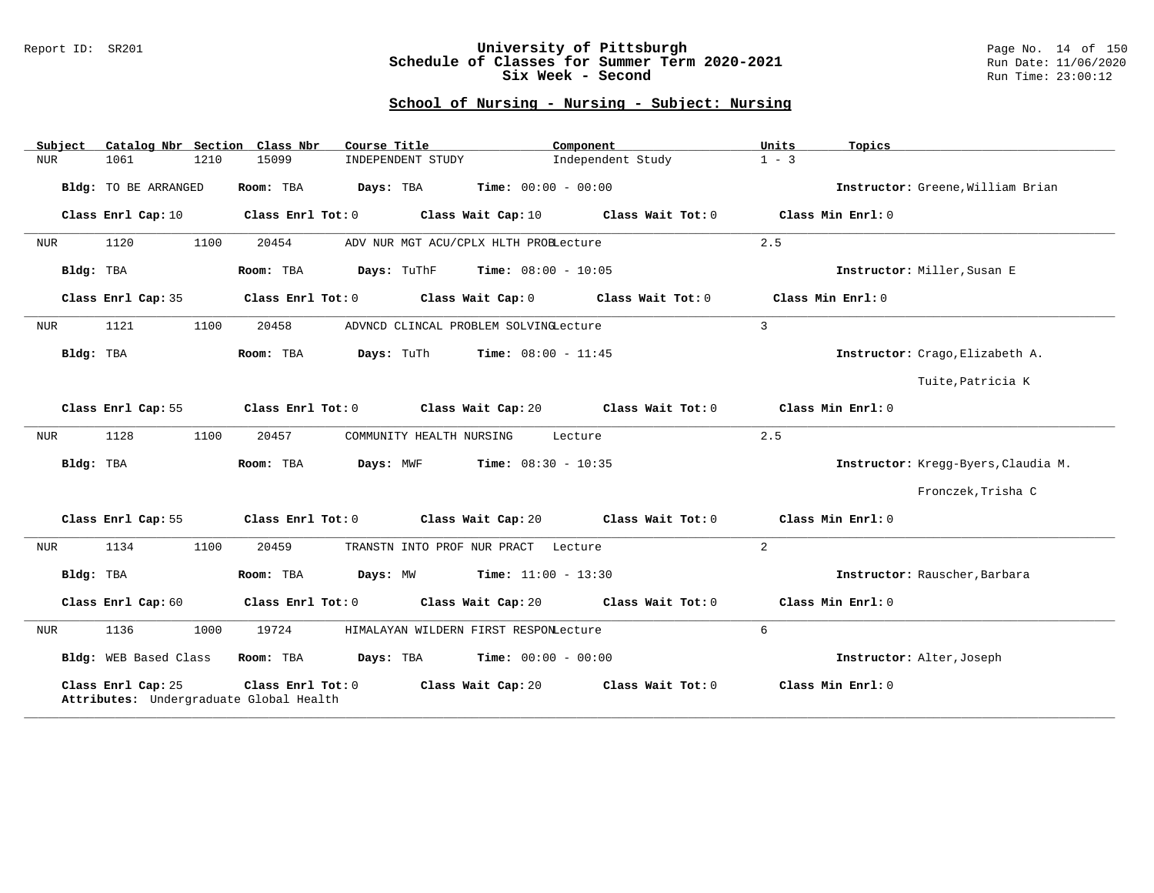### Report ID: SR201 **University of Pittsburgh** Page No. 14 of 150 **Schedule of Classes for Summer Term 2020-2021** Run Date: 11/06/2020 **Six Week - Second Run Time: 23:00:12**

| Subject    | Catalog Nbr Section Class Nbr                                 |      |                   | Course Title |                          |                                                 | Component         | Units          | Topics                              |
|------------|---------------------------------------------------------------|------|-------------------|--------------|--------------------------|-------------------------------------------------|-------------------|----------------|-------------------------------------|
| <b>NUR</b> | 1061                                                          | 1210 | 15099             |              | INDEPENDENT STUDY        |                                                 | Independent Study | $1 - 3$        |                                     |
|            | <b>Bldg:</b> TO BE ARRANGED                                   |      | Room: TBA         | Days: TBA    |                          | <b>Time:</b> $00:00 - 00:00$                    |                   |                | Instructor: Greene, William Brian   |
|            | Class Enrl Cap: 10                                            |      | Class Enrl Tot: 0 |              |                          | Class Wait Cap: 10                              | Class Wait Tot: 0 |                | Class Min Enrl: 0                   |
| NUR        | 1120                                                          | 1100 | 20454             |              |                          | ADV NUR MGT ACU/CPLX HLTH PROBLecture           |                   | 2.5            |                                     |
| Bldg: TBA  |                                                               |      | Room: TBA         |              |                          | <b>Days:</b> TuThF <b>Time:</b> $08:00 - 10:05$ |                   |                | Instructor: Miller, Susan E         |
|            | Class Enrl Cap: 35                                            |      | Class Enrl Tot: 0 |              |                          | Class Wait Cap: 0                               | Class Wait Tot: 0 |                | Class Min Enrl: 0                   |
| NUR        | 1121                                                          | 1100 | 20458             |              |                          | ADVNCD CLINCAL PROBLEM SOLVINGLecture           |                   | 3              |                                     |
| Bldg: TBA  |                                                               |      | Room: TBA         | Days: TuTh   |                          | <b>Time:</b> $08:00 - 11:45$                    |                   |                | Instructor: Crago, Elizabeth A.     |
|            |                                                               |      |                   |              |                          |                                                 |                   |                | Tuite, Patricia K                   |
|            | Class Enrl Cap: 55                                            |      | Class Enrl Tot: 0 |              |                          | Class Wait Cap: 20                              | Class Wait Tot: 0 |                | Class Min Enrl: 0                   |
| <b>NUR</b> | 1128                                                          | 1100 | 20457             |              | COMMUNITY HEALTH NURSING |                                                 | Lecture           | 2.5            |                                     |
| Bldg: TBA  |                                                               |      | Room: TBA         | Days: MWF    |                          | <b>Time:</b> $08:30 - 10:35$                    |                   |                | Instructor: Kregg-Byers, Claudia M. |
|            |                                                               |      |                   |              |                          |                                                 |                   |                | Fronczek, Trisha C                  |
|            | Class Enrl Cap: 55                                            |      | Class Enrl Tot: 0 |              |                          | Class Wait Cap: 20                              | Class Wait Tot: 0 |                | Class Min Enrl: 0                   |
| NUR        | 1134                                                          | 1100 | 20459             |              |                          | TRANSTN INTO PROF NUR PRACT Lecture             |                   | $\overline{2}$ |                                     |
| Bldg: TBA  |                                                               |      | Room: TBA         | Days: MW     |                          | <b>Time:</b> $11:00 - 13:30$                    |                   |                | Instructor: Rauscher, Barbara       |
|            | Class Enrl Cap: 60                                            |      | Class Enrl Tot: 0 |              |                          | Class Wait Cap: 20                              | Class Wait Tot: 0 |                | Class Min Enrl: 0                   |
| NUR        | 1136                                                          | 1000 | 19724             |              |                          | HIMALAYAN WILDERN FIRST RESPONLecture           |                   | 6              |                                     |
|            | Bldg: WEB Based Class                                         |      | Room: TBA         |              |                          | <b>Days:</b> TBA <b>Time:</b> $00:00 - 00:00$   |                   |                | Instructor: Alter, Joseph           |
|            | Class Enrl Cap: 25<br>Attributes: Undergraduate Global Health |      | Class Enrl Tot: 0 |              |                          | Class Wait Cap: 20                              | Class Wait Tot: 0 |                | Class Min Enrl: 0                   |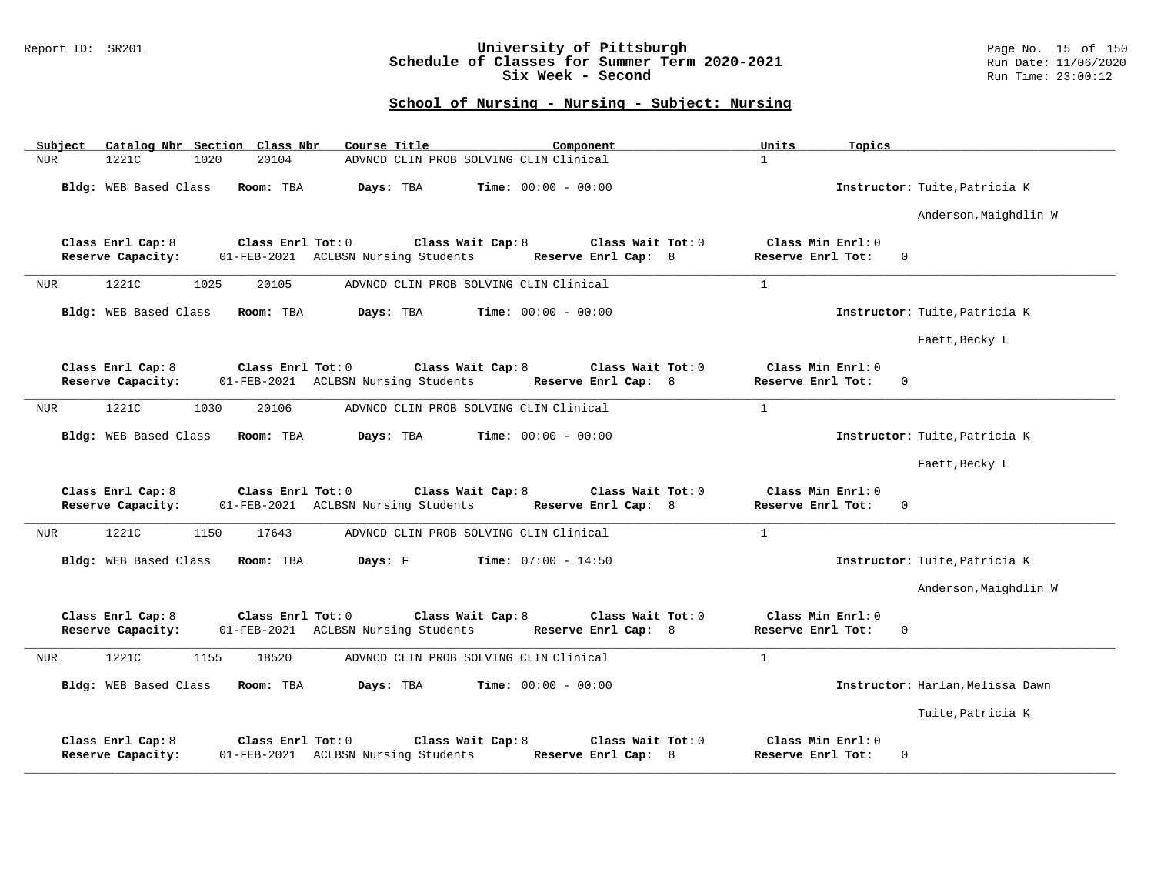### Report ID: SR201 **University of Pittsburgh** Page No. 15 of 150 **Schedule of Classes for Summer Term 2020-2021** Run Date: 11/06/2020 **Six Week - Second Run Time: 23:00:12**

| Subject    | Catalog Nbr Section Class Nbr          |      |                   | Course Title                                             |                              | Component                                  | Units<br>Topics                        |                                  |
|------------|----------------------------------------|------|-------------------|----------------------------------------------------------|------------------------------|--------------------------------------------|----------------------------------------|----------------------------------|
| <b>NUR</b> | 1221C                                  | 1020 | 20104             | ADVNCD CLIN PROB SOLVING CLIN Clinical                   |                              |                                            | $\mathbf{1}$                           |                                  |
|            | Bldg: WEB Based Class                  |      | Room: TBA         | Days: TBA                                                | <b>Time:</b> $00:00 - 00:00$ |                                            |                                        | Instructor: Tuite, Patricia K    |
|            |                                        |      |                   |                                                          |                              |                                            |                                        | Anderson, Maighdlin W            |
|            | Class Enrl Cap: 8<br>Reserve Capacity: |      | Class Enrl Tot: 0 | Class Wait Cap: 8<br>01-FEB-2021 ACLBSN Nursing Students |                              | Class Wait Tot: $0$<br>Reserve Enrl Cap: 8 | Class Min Enrl: 0<br>Reserve Enrl Tot: | $\mathbf 0$                      |
| NUR        | 1221C                                  | 1025 | 20105             | ADVNCD CLIN PROB SOLVING CLIN Clinical                   |                              |                                            | $\mathbf{1}$                           |                                  |
|            | Bldg: WEB Based Class                  |      | Room: TBA         | Days: TBA                                                | <b>Time:</b> $00:00 - 00:00$ |                                            |                                        | Instructor: Tuite, Patricia K    |
|            |                                        |      |                   |                                                          |                              |                                            |                                        | Faett, Becky L                   |
|            | Class Enrl Cap: 8<br>Reserve Capacity: |      | Class Enrl Tot: 0 | 01-FEB-2021 ACLBSN Nursing Students                      | Class Wait Cap: $8$          | Class Wait Tot: 0<br>Reserve Enrl Cap: 8   | Class Min Enrl: 0<br>Reserve Enrl Tot: | $\mathbf{0}$                     |
| <b>NUR</b> | 1221C                                  | 1030 | 20106             | ADVNCD CLIN PROB SOLVING CLIN Clinical                   |                              |                                            | $\mathbf{1}$                           |                                  |
|            | Bldg: WEB Based Class                  |      | Room: TBA         | Days: TBA                                                | <b>Time:</b> $00:00 - 00:00$ |                                            |                                        | Instructor: Tuite, Patricia K    |
|            |                                        |      |                   |                                                          |                              |                                            |                                        | Faett, Becky L                   |
|            | Class Enrl Cap: 8<br>Reserve Capacity: |      | Class Enrl Tot: 0 | 01-FEB-2021 ACLBSN Nursing Students                      | Class Wait Cap: 8            | Class Wait Tot: 0<br>Reserve Enrl Cap: 8   | Class Min Enrl: 0<br>Reserve Enrl Tot: | $\Omega$                         |
| NUR        | 1221C                                  | 1150 | 17643             | ADVNCD CLIN PROB SOLVING CLIN Clinical                   |                              |                                            | $\mathbf{1}$                           |                                  |
|            | Bldg: WEB Based Class                  |      | Room: TBA         | Days: F                                                  | $Time: 07:00 - 14:50$        |                                            |                                        | Instructor: Tuite, Patricia K    |
|            |                                        |      |                   |                                                          |                              |                                            |                                        | Anderson, Maighdlin W            |
|            | Class Enrl Cap: 8<br>Reserve Capacity: |      | Class Enrl Tot: 0 | 01-FEB-2021 ACLBSN Nursing Students                      | Class Wait Cap: 8            | Class Wait Tot: 0<br>Reserve Enrl Cap: 8   | Class Min Enrl: 0<br>Reserve Enrl Tot: | $\mathbf{0}$                     |
| NUR        | 1221C                                  | 1155 | 18520             | ADVNCD CLIN PROB SOLVING CLIN Clinical                   |                              |                                            | $\mathbf{1}$                           |                                  |
|            | Bldg: WEB Based Class                  |      | Room: TBA         | Days: TBA                                                | <b>Time:</b> $00:00 - 00:00$ |                                            |                                        | Instructor: Harlan, Melissa Dawn |
|            |                                        |      |                   |                                                          |                              |                                            |                                        | Tuite, Patricia K                |
|            | Class Enrl Cap: 8<br>Reserve Capacity: |      | Class Enrl Tot: 0 | 01-FEB-2021 ACLBSN Nursing Students                      | Class Wait Cap: 8            | Class Wait Tot: 0<br>Reserve Enrl Cap: 8   | Class Min Enrl: 0<br>Reserve Enrl Tot: | $\mathbf 0$                      |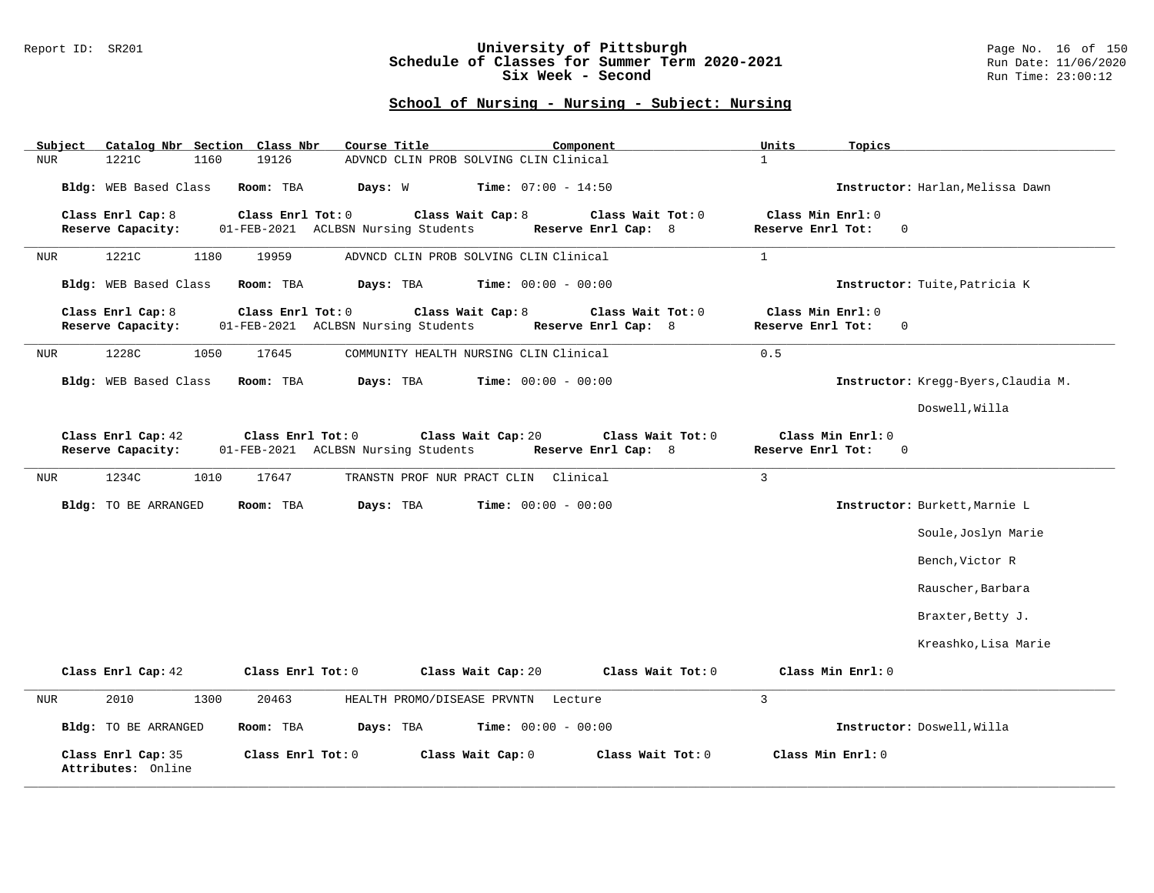### Report ID: SR201 **University of Pittsburgh** Page No. 16 of 150 **Schedule of Classes for Summer Term 2020-2021** Run Date: 11/06/2020 **Six Week - Second Run Time: 23:00:12**

| Catalog Nbr Section Class Nbr<br>Subject | Course Title                                                                   | Component                                | Units<br>Topics                                       |                                     |
|------------------------------------------|--------------------------------------------------------------------------------|------------------------------------------|-------------------------------------------------------|-------------------------------------|
| 1221C<br>1160<br><b>NUR</b>              | 19126<br>ADVNCD CLIN PROB SOLVING CLIN Clinical                                |                                          | $\mathbf{1}$                                          |                                     |
| Bldg: WEB Based Class                    | Room: TBA<br>Days: W                                                           | <b>Time:</b> $07:00 - 14:50$             |                                                       | Instructor: Harlan, Melissa Dawn    |
| Class Enrl Cap: 8<br>Reserve Capacity:   | Class Enrl Tot: 0<br>Class Wait Cap: 8<br>01-FEB-2021 ACLBSN Nursing Students  | Class Wait Tot: 0<br>Reserve Enrl Cap: 8 | Class Min Enrl: 0<br>Reserve Enrl Tot:<br>$\mathbf 0$ |                                     |
| 1221C<br>NUR<br>1180                     | ADVNCD CLIN PROB SOLVING CLIN Clinical<br>19959                                |                                          | $\mathbf{1}$                                          |                                     |
| <b>Bldg:</b> WEB Based Class             | Days: TBA<br>Room: TBA                                                         | <b>Time:</b> $00:00 - 00:00$             |                                                       | Instructor: Tuite, Patricia K       |
| Class Enrl Cap: 8<br>Reserve Capacity:   | Class Enrl Tot: 0<br>Class Wait Cap: 8<br>01-FEB-2021 ACLBSN Nursing Students  | Class Wait Tot: 0<br>Reserve Enrl Cap: 8 | Class Min Enrl: 0<br>Reserve Enrl Tot:<br>$\Omega$    |                                     |
| 1228C<br>1050<br><b>NUR</b>              | 17645<br>COMMUNITY HEALTH NURSING CLIN Clinical                                |                                          | 0.5                                                   |                                     |
| Bldg: WEB Based Class                    | Room: TBA<br>Days: TBA                                                         | <b>Time:</b> $00:00 - 00:00$             |                                                       | Instructor: Kregg-Byers, Claudia M. |
|                                          |                                                                                |                                          |                                                       | Doswell, Willa                      |
| Class Enrl Cap: 42<br>Reserve Capacity:  | Class Wait Cap: 20<br>Class Enrl Tot: 0<br>01-FEB-2021 ACLBSN Nursing Students | Class Wait Tot: 0<br>Reserve Enrl Cap: 8 | Class Min Enrl: 0<br>Reserve Enrl Tot:<br>$\Omega$    |                                     |
| 1234C<br>1010<br>NUR                     | 17647<br>TRANSTN PROF NUR PRACT CLIN Clinical                                  |                                          | $\mathbf{3}$                                          |                                     |
| Bldg: TO BE ARRANGED                     | Room: TBA<br>Days: TBA                                                         | <b>Time:</b> $00:00 - 00:00$             |                                                       | Instructor: Burkett, Marnie L       |
|                                          |                                                                                |                                          |                                                       | Soule, Joslyn Marie                 |
|                                          |                                                                                |                                          |                                                       | Bench, Victor R                     |
|                                          |                                                                                |                                          |                                                       | Rauscher, Barbara                   |
|                                          |                                                                                |                                          |                                                       | Braxter, Betty J.                   |
|                                          |                                                                                |                                          |                                                       | Kreashko, Lisa Marie                |
| Class Enrl Cap: 42                       | Class Enrl Tot: 0<br>Class Wait Cap: 20                                        | Class Wait Tot: 0                        | Class Min Enrl: 0                                     |                                     |
| 2010<br>1300<br>NUR                      | 20463<br>HEALTH PROMO/DISEASE PRVNTN Lecture                                   |                                          | $\overline{3}$                                        |                                     |
| Bldg: TO BE ARRANGED                     | Room: TBA<br>Days: TBA                                                         | <b>Time:</b> $00:00 - 00:00$             | Instructor: Doswell, Willa                            |                                     |
| Class Enrl Cap: 35<br>Attributes: Online | Class Enrl Tot: 0<br>Class Wait Cap: 0                                         | Class Wait Tot: 0                        | Class Min Enrl: 0                                     |                                     |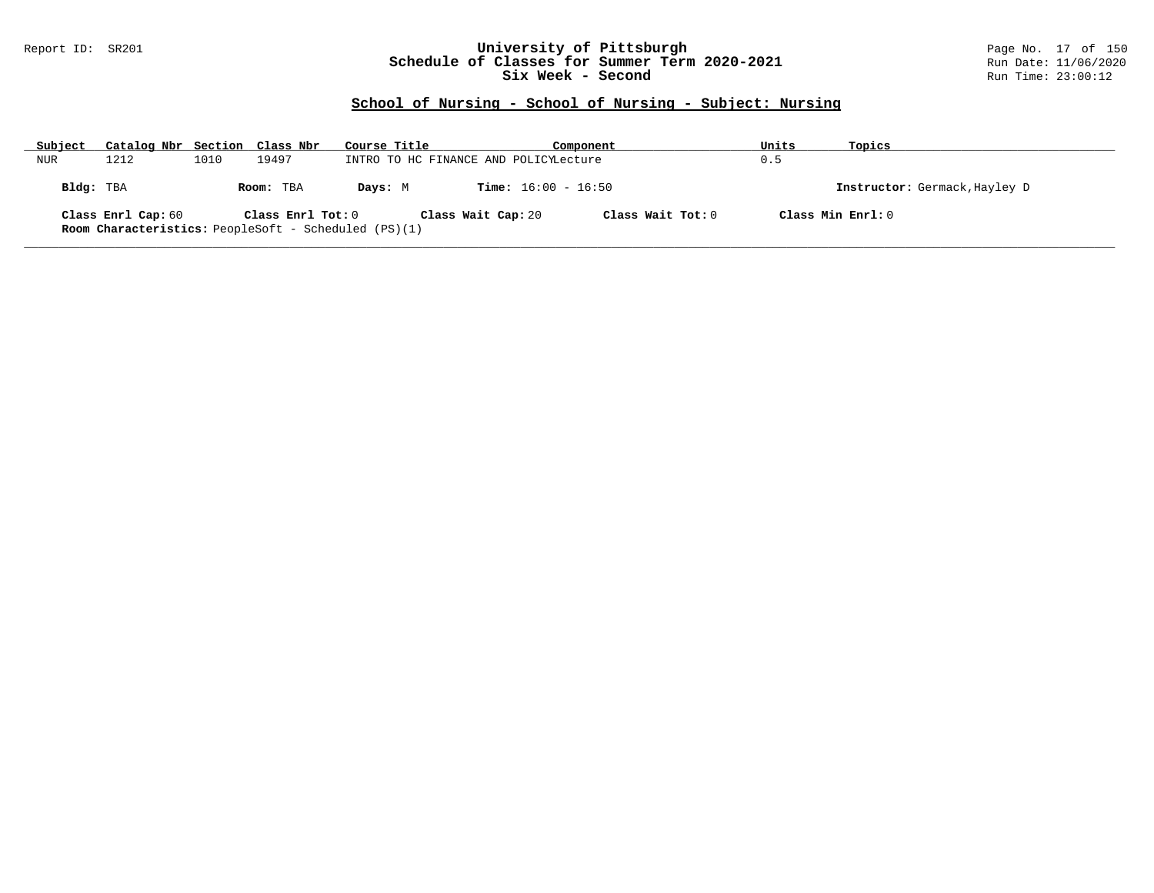### Report ID: SR201 **University of Pittsburgh** Page No. 17 of 150 **Schedule of Classes for Summer Term 2020-2021** Run Date: 11/06/2020 **Six Week - Second Run Time: 23:00:12**

| Subject   | Catalog Nbr Section Class Nbr                                                     |      |                   | Course Title |                                       |                              | Component           | Units | Topics                        |
|-----------|-----------------------------------------------------------------------------------|------|-------------------|--------------|---------------------------------------|------------------------------|---------------------|-------|-------------------------------|
| NUR       | 1212                                                                              | 1010 | 19497             |              | INTRO TO HC FINANCE AND POLICYLecture |                              |                     | 0.5   |                               |
| Bldg: TBA |                                                                                   |      | Room: TBA         | Davs: M      |                                       | <b>Time:</b> $16:00 - 16:50$ |                     |       | Instructor: Germack, Hayley D |
|           | Class Enrl Cap: 60<br><b>Room Characteristics:</b> PeopleSoft - Scheduled (PS)(1) |      | Class Enrl Tot: 0 |              | Class Wait Cap: 20                    |                              | Class Wait Tot: $0$ |       | Class Min Enrl: 0             |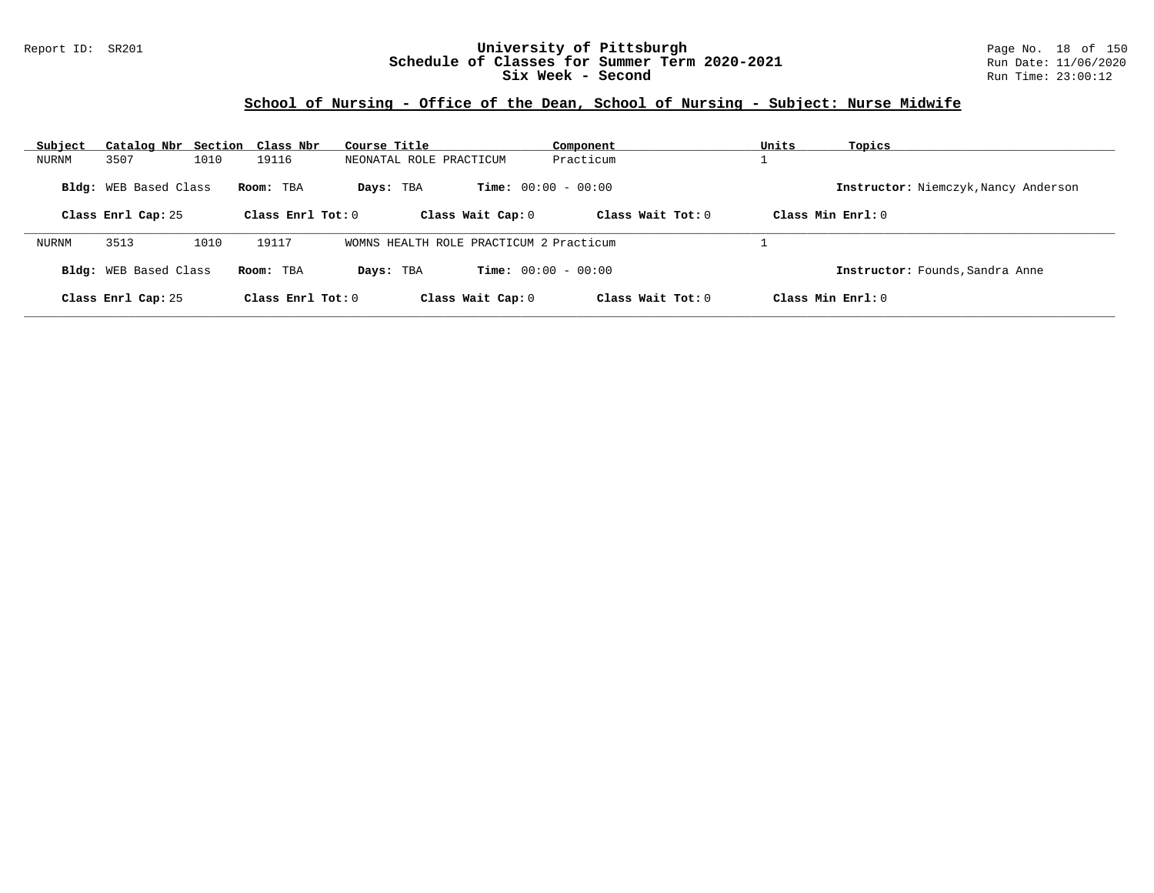## Report ID: SR201 **University of Pittsburgh** Page No. 18 of 150 **Schedule of Classes for Summer Term 2020-2021** Run Date: 11/06/2020 **Six Week - Second Run Time: 23:00:12**

# **School of Nursing - Office of the Dean, School of Nursing - Subject: Nurse Midwife**

| Subject | Catalog Nbr Section Class Nbr |      |                     | Course Title                            | Component                    | Units               | Topics                               |
|---------|-------------------------------|------|---------------------|-----------------------------------------|------------------------------|---------------------|--------------------------------------|
| NURNM   | 3507                          | 1010 | 19116               | NEONATAL ROLE PRACTICUM                 | Practicum                    |                     |                                      |
|         | Bldg: WEB Based Class         |      | Room: TBA           | Days: TBA                               | <b>Time:</b> $00:00 - 00:00$ |                     | Instructor: Niemczyk, Nancy Anderson |
|         | Class Enrl Cap: 25            |      | Class Enrl Tot: $0$ | Class Wait Cap: 0                       | Class Wait $Tot: 0$          | Class Min $Enrl: 0$ |                                      |
| NURNM   | 3513                          | 1010 | 19117               | WOMNS HEALTH ROLE PRACTICUM 2 Practicum |                              |                     |                                      |
|         | Bldg: WEB Based Class         |      | Room: TBA           | Days: TBA                               | <b>Time:</b> $00:00 - 00:00$ |                     | Instructor: Founds, Sandra Anne      |
|         | Class Enrl Cap: 25            |      | Class Enrl Tot: 0   | Class Wait Cap: 0                       | Class Wait Tot: 0            | Class Min $Enrl: 0$ |                                      |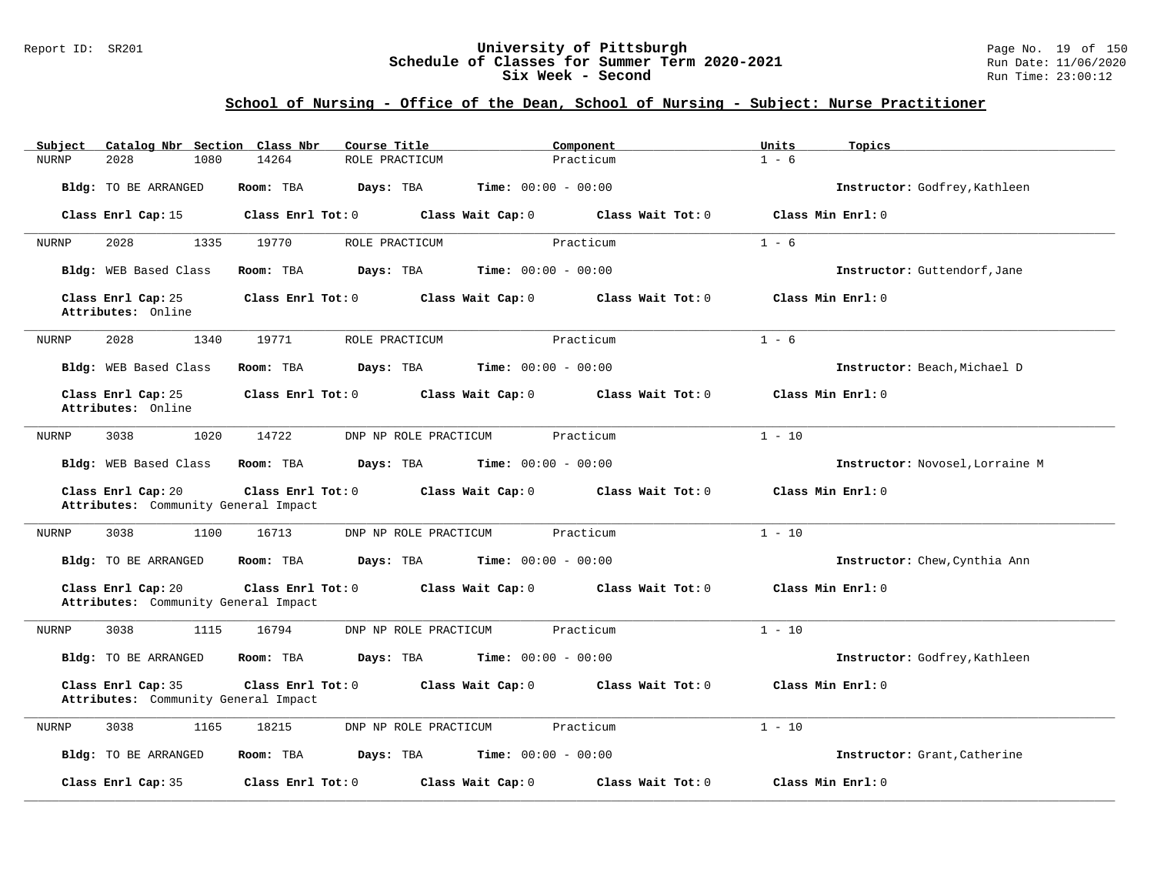### Report ID: SR201 **University of Pittsburgh** Page No. 19 of 150 **Schedule of Classes for Summer Term 2020-2021** Run Date: 11/06/2020 **Six Week - Second Run Time: 23:00:12**

## **School of Nursing - Office of the Dean, School of Nursing - Subject: Nurse Practitioner**

| Subject<br>Catalog Nbr Section Class Nbr                   | Course Title                   | Component                              | Units<br>Topics                 |
|------------------------------------------------------------|--------------------------------|----------------------------------------|---------------------------------|
| 1080<br><b>NURNP</b><br>2028                               | 14264<br>ROLE PRACTICUM        | Practicum                              | $1 - 6$                         |
| Bldg: TO BE ARRANGED                                       | Room: TBA<br>Days: TBA         | <b>Time:</b> $00:00 - 00:00$           | Instructor: Godfrey, Kathleen   |
| Class Enrl Cap: 15                                         | Class Enrl Tot: 0              | Class Wait Tot: 0<br>Class Wait Cap: 0 | Class Min Enrl: 0               |
| 2028<br>1335<br>NURNP                                      | 19770<br>ROLE PRACTICUM        | Practicum                              | $1 - 6$                         |
| Bldg: WEB Based Class                                      | Room: TBA<br>Days: TBA         | <b>Time:</b> $00:00 - 00:00$           | Instructor: Guttendorf, Jane    |
| Class Enrl Cap: 25<br>Attributes: Online                   | Class Enrl Tot: 0              | Class Wait Cap: 0<br>Class Wait Tot: 0 | Class Min Enrl: 0               |
| 2028<br>1340<br><b>NURNP</b>                               | 19771<br>ROLE PRACTICUM        | Practicum                              | $1 - 6$                         |
| Bldg: WEB Based Class                                      | Room: TBA<br>Days: TBA         | <b>Time:</b> $00:00 - 00:00$           | Instructor: Beach, Michael D    |
| Class Enrl Cap: 25<br>Attributes: Online                   | Class Enrl Tot: 0              | Class Wait Cap: 0<br>Class Wait Tot: 0 | Class Min Enrl: 0               |
| 1020<br>NURNP<br>3038                                      | 14722<br>DNP NP ROLE PRACTICUM | Practicum                              | $1 - 10$                        |
| Bldg: WEB Based Class                                      | Room: TBA<br>Days: TBA         | <b>Time:</b> $00:00 - 00:00$           | Instructor: Novosel, Lorraine M |
| Class Enrl Cap: 20<br>Attributes: Community General Impact | Class Enrl Tot: 0              | Class Wait Cap: 0<br>Class Wait Tot: 0 | Class Min $Enrl: 0$             |
| 3038<br>1100<br><b>NURNP</b>                               | 16713<br>DNP NP ROLE PRACTICUM | Practicum                              | $1 - 10$                        |
| Bldg: TO BE ARRANGED                                       | Room: TBA<br>Days: TBA         | <b>Time:</b> $00:00 - 00:00$           | Instructor: Chew, Cynthia Ann   |
| Class Enrl Cap: 20<br>Attributes: Community General Impact | Class Enrl Tot: 0              | Class Wait Cap: 0<br>Class Wait Tot: 0 | Class Min Enrl: 0               |
| 3038<br>1115<br><b>NURNP</b>                               | 16794<br>DNP NP ROLE PRACTICUM | Practicum                              | $1 - 10$                        |
| Bldg: TO BE ARRANGED                                       | Room: TBA<br>Days: TBA         | <b>Time:</b> $00:00 - 00:00$           | Instructor: Godfrey, Kathleen   |
| Class Enrl Cap: 35<br>Attributes: Community General Impact | Class Enrl Tot: 0              | Class Wait Cap: 0<br>Class Wait Tot: 0 | Class Min Enrl: 0               |
| NURNP<br>3038<br>1165                                      | 18215<br>DNP NP ROLE PRACTICUM | Practicum                              | $1 - 10$                        |
| <b>Bldg:</b> TO BE ARRANGED                                | Room: TBA<br>Days: TBA         | Time: $00:00 - 00:00$                  | Instructor: Grant, Catherine    |
| Class Enrl Cap: 35                                         | Class Enrl Tot: 0              | Class Wait Tot: 0<br>Class Wait Cap: 0 | Class Min Enrl: 0               |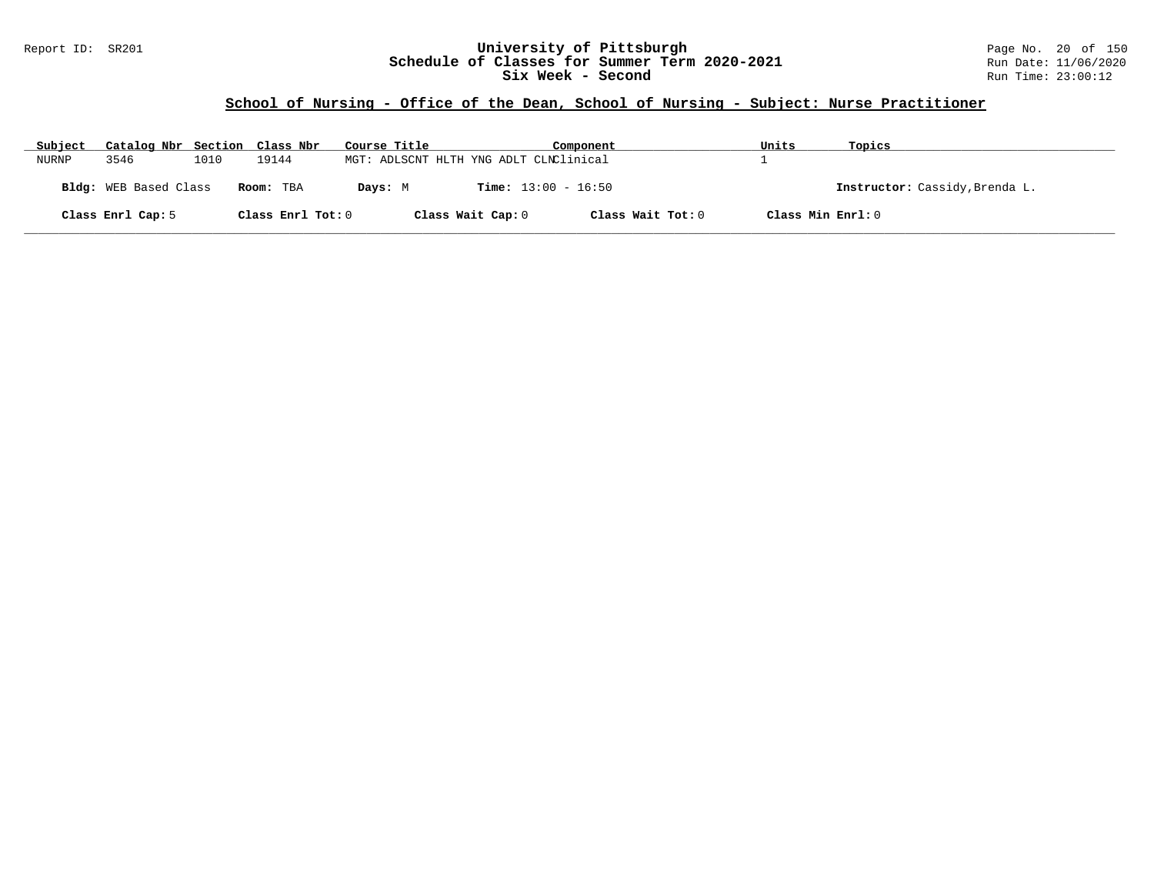## Report ID: SR201 **University of Pittsburgh** Page No. 20 of 150 **Schedule of Classes for Summer Term 2020-2021** Run Date: 11/06/2020 **Six Week - Second Run Time: 23:00:12**

# **School of Nursing - Office of the Dean, School of Nursing - Subject: Nurse Practitioner**

| Subject | Catalog Nbr Section Class Nbr |      |                   | Course Title |                                        | Component         | Units             | Topics                         |
|---------|-------------------------------|------|-------------------|--------------|----------------------------------------|-------------------|-------------------|--------------------------------|
| NURNP   | 3546                          | 1010 | 19144             |              | MGT: ADLSCNT HLTH YNG ADLT CLNClinical |                   |                   |                                |
|         | <b>Bldg:</b> WEB Based Class  |      | Room: TBA         | Days: M      | <b>Time:</b> $13:00 - 16:50$           |                   |                   | Instructor: Cassidy, Brenda L. |
|         | Class Enrl Cap: 5             |      | Class Enrl Tot: 0 |              | Class Wait Cap: 0                      | Class Wait Tot: 0 | Class Min Enrl: 0 |                                |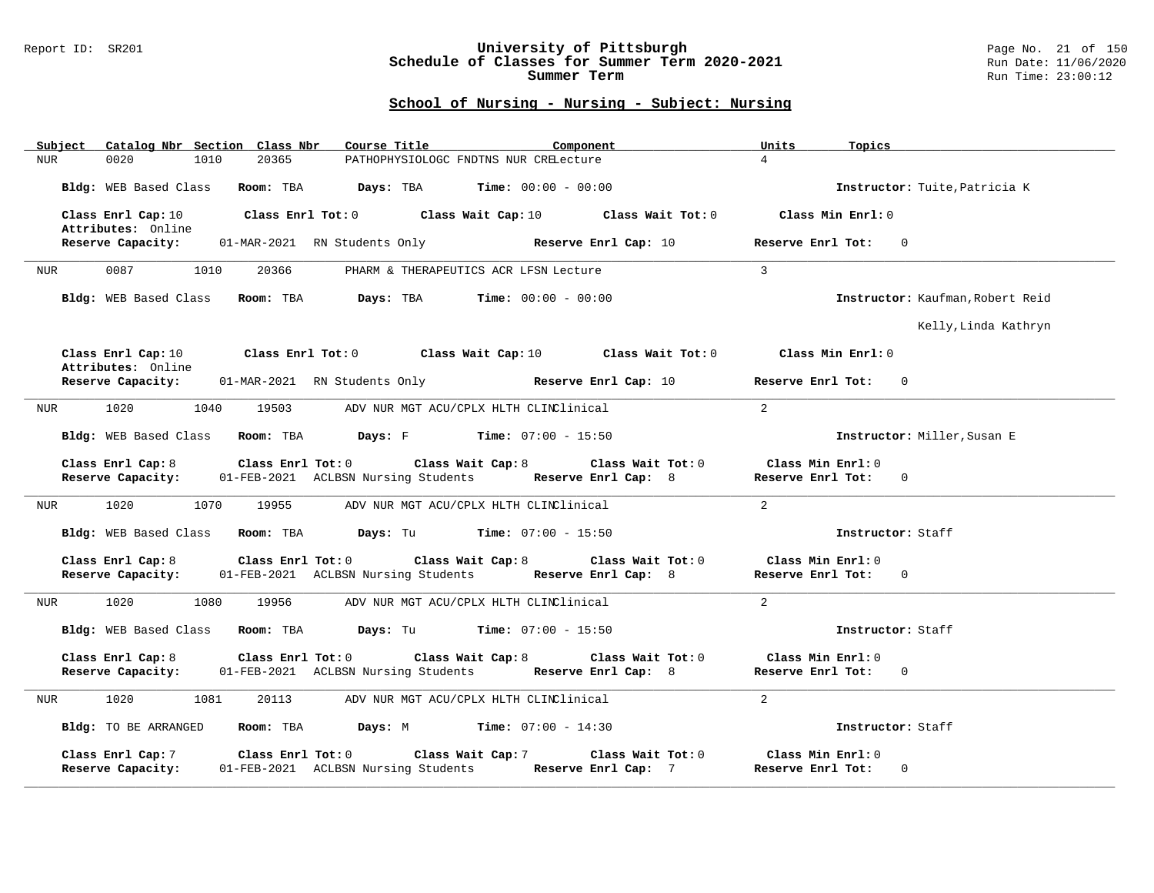### Report ID: SR201 **University of Pittsburgh** Page No. 21 of 150 **Schedule of Classes for Summer Term 2020-2021** Run Date: 11/06/2020 **Summer Term** Run Time: 23:00:12

| Subject Catalog Nbr Section Class Nbr                       | Course Title<br>Component                                                                                                                 | Units<br>Topics                                        |
|-------------------------------------------------------------|-------------------------------------------------------------------------------------------------------------------------------------------|--------------------------------------------------------|
| 20365<br><b>NUR</b><br>0020<br>1010                         | PATHOPHYSIOLOGC FNDTNS NUR CRELecture                                                                                                     | $\overline{4}$                                         |
|                                                             | Bldg: WEB Based Class Room: TBA Days: TBA Time: 00:00 - 00:00                                                                             | Instructor: Tuite, Patricia K                          |
| Class Enrl Cap: 10<br>Attributes: Online                    | Class Enrl Tot: $0$ Class Wait Cap: $10$ Class Wait Tot: $0$                                                                              | Class Min Enrl: 0                                      |
| Reserve Capacity:                                           | 01-MAR-2021 RN Students Only <b>Reserve Enrl Cap:</b> 10                                                                                  | Reserve Enrl Tot: 0                                    |
| 0087<br>1010<br>20366<br>NUR                                | PHARM & THERAPEUTICS ACR LFSN Lecture                                                                                                     | $\mathbf{3}$                                           |
| Bldg: WEB Based Class Room: TBA                             | Davs: TBA<br>$Time: 00:00 - 00:00$                                                                                                        | Instructor: Kaufman, Robert Reid                       |
|                                                             |                                                                                                                                           | Kelly, Linda Kathryn                                   |
| Attributes: Online                                          | Class Enrl Cap:10 $\qquad$ Class Enrl Tot:0 $\qquad$ Class Wait Cap:10 $\qquad$ Class Wait Tot:0                                          | Class Min Enrl: 0                                      |
| Reserve Capacity:                                           | 01-MAR-2021 RN Students Only <b>Reserve Enrl Cap:</b> 10                                                                                  | Reserve Enrl Tot: 0                                    |
| 1020 000<br>1040<br>19503<br>NUR                            | ADV NUR MGT ACU/CPLX HLTH CLINClinical                                                                                                    | 2                                                      |
|                                                             | Bldg: WEB Based Class Room: TBA Days: F Time: 07:00 - 15:50                                                                               | Instructor: Miller, Susan E                            |
| Class Enrl Cap: 8                                           | Class Enrl Tot: $0$ Class Wait Cap: $8$<br>Class Wait Tot: 0                                                                              | Class Min Enrl: 0                                      |
| Reserve Capacity:                                           | 01-FEB-2021 ACLBSN Nursing Students Reserve Enrl Cap: 8                                                                                   | Reserve Enrl Tot: 0                                    |
| 1020<br>1070<br>19955<br>NUR                                | ADV NUR MGT ACU/CPLX HLTH CLINClinical                                                                                                    | 2                                                      |
| Bldg: WEB Based Class                                       | <b>Room:</b> TBA $\qquad \qquad$ <b>Days:</b> Tu $\qquad \qquad$ <b>Time:</b> $07:00 - 15:50$                                             | Instructor: Staff                                      |
| Class Enrl Cap: 8                                           | Class Enrl Tot: 0 Class Wait Cap: 8<br>Class Wait Tot: 0                                                                                  | Class Min Enrl: 0                                      |
|                                                             | Reserve Capacity: 01-FEB-2021 ACLBSN Nursing Students Reserve Enrl Cap: 8                                                                 | Reserve Enrl Tot: 0                                    |
| 1020<br>1080<br>19956<br>NUR                                | ADV NUR MGT ACU/CPLX HLTH CLINClinical                                                                                                    | 2                                                      |
| Bldg: WEB Based Class Room: TBA                             | <b>Days:</b> Tu <b>Time:</b> $07:00 - 15:50$                                                                                              | Instructor: Staff                                      |
| Class Enrl Cap: 8                                           | Class Enrl Tot: $0$ Class Wait Cap: $8$<br>Class Wait Tot: 0<br>Reserve Capacity: 01-FEB-2021 ACLBSN Nursing Students Reserve Enrl Cap: 8 | Class Min Enrl: 0<br>Reserve Enrl Tot: 0               |
| 1020<br>1081<br>20113<br>NUR                                | ADV NUR MGT ACU/CPLX HLTH CLINClinical                                                                                                    | 2                                                      |
| Bldg: TO BE ARRANGED                                        | Room: TBA $Days: M$ Time: $07:00 - 14:30$                                                                                                 | Instructor: Staff                                      |
| Class Enrl Tot: 0<br>Class Enrl Cap: 7<br>Reserve Capacity: | Class Wait Cap: 7<br>Class Wait Tot: 0<br>01-FEB-2021 ACLBSN Nursing Students Reserve Enrl Cap: 7                                         | Class Min Enrl: 0<br>Reserve Enrl Tot:<br>$\mathbf{0}$ |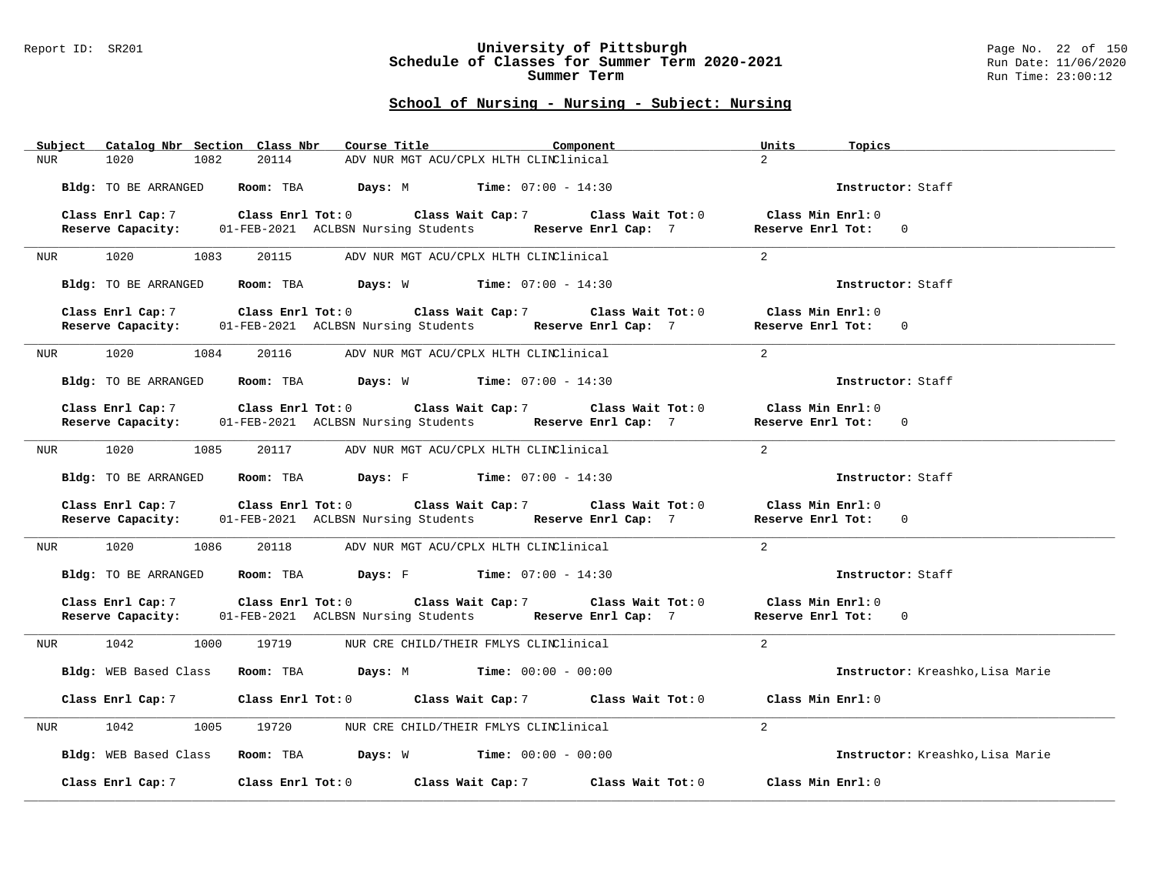### Report ID: SR201 **University of Pittsburgh** Page No. 22 of 150 **Schedule of Classes for Summer Term 2020-2021** Run Date: 11/06/2020 **Summer Term** Run Time: 23:00:12

|     | Subject Catalog Nbr Section Class Nbr |      |       |                                                                                                    | Course Title Component                 |  | Units               | Topics |                                  |
|-----|---------------------------------------|------|-------|----------------------------------------------------------------------------------------------------|----------------------------------------|--|---------------------|--------|----------------------------------|
| NUR | 1020                                  | 1082 | 20114 |                                                                                                    | ADV NUR MGT ACU/CPLX HLTH CLINClinical |  | $2^{\circ}$         |        |                                  |
|     | Bldg: TO BE ARRANGED                  |      |       | Room: TBA $Days: M$ Time: $07:00 - 14:30$                                                          |                                        |  |                     |        | Instructor: Staff                |
|     | Class Enrl Cap: 7                     |      |       | Class Enrl Tot: 0 Class Wait Cap: 7 Class Wait Tot: 0                                              |                                        |  | Class Min Enrl: 0   |        |                                  |
|     | Reserve Capacity:                     |      |       | 01-FEB-2021 ACLBSN Nursing Students Reserve Enrl Cap: 7                                            |                                        |  | Reserve Enrl Tot: 0 |        |                                  |
|     |                                       |      |       |                                                                                                    |                                        |  |                     |        |                                  |
|     | NUR 1020 1083                         |      | 20115 |                                                                                                    | ADV NUR MGT ACU/CPLX HLTH CLINClinical |  | 2                   |        |                                  |
|     | Bldg: TO BE ARRANGED                  |      |       | Room: TBA $Days: W$ Time: $07:00 - 14:30$                                                          |                                        |  |                     |        | Instructor: Staff                |
|     | Class Enrl Cap: 7                     |      |       | Class Enrl Tot: $0$ Class Wait Cap: 7 $\hspace{1.6cm}$ Class Wait Tot: $0$                         |                                        |  | Class Min Enrl: 0   |        |                                  |
|     |                                       |      |       | Reserve Capacity: 01-FEB-2021 ACLBSN Nursing Students Reserve Enrl Cap: 7                          |                                        |  | Reserve Enrl Tot: 0 |        |                                  |
| NUR | 1020                                  | 1084 |       | 20116 ADV NUR MGT ACU/CPLX HLTH CLINClinical                                                       |                                        |  | 2                   |        |                                  |
|     | Bldg: TO BE ARRANGED                  |      |       | Room: TBA $Days: W$ Time: $07:00 - 14:30$                                                          |                                        |  |                     |        | Instructor: Staff                |
|     | Class Enrl Cap: 7                     |      |       | Class Enrl Tot: $0$ Class Wait Cap: 7 Class Wait Tot: $0$                                          |                                        |  | Class Min Enrl: 0   |        |                                  |
|     | Reserve Capacity:                     |      |       | 01-FEB-2021 ACLBSN Nursing Students Reserve Enrl Cap: 7                                            |                                        |  | Reserve Enrl Tot: 0 |        |                                  |
|     |                                       |      |       |                                                                                                    |                                        |  |                     |        |                                  |
|     | NUR 1020 1085                         |      | 20117 | ADV NUR MGT ACU/CPLX HLTH CLINClinical                                                             |                                        |  | 2                   |        |                                  |
|     |                                       |      |       | Bldg: TO BE ARRANGED Room: TBA Days: F Time: 07:00 - 14:30                                         |                                        |  |                     |        | Instructor: Staff                |
|     |                                       |      |       | Class Enrl Cap: 7 $\qquad$ Class Enrl Tot: 0 $\qquad$ Class Wait Cap: 7 $\qquad$ Class Wait Tot: 0 |                                        |  | Class Min Enrl: 0   |        |                                  |
|     | Reserve Capacity:                     |      |       | 01-FEB-2021 ACLBSN Nursing Students Reserve Enrl Cap: 7                                            |                                        |  | Reserve Enrl Tot: 0 |        |                                  |
| NUR | 1020                                  | 1086 |       | 20118 ADV NUR MGT ACU/CPLX HLTH CLINClinical                                                       |                                        |  | 2                   |        |                                  |
|     | Bldg: TO BE ARRANGED                  |      |       | <b>Room:</b> TBA <b>Days:</b> F <b>Time:</b> 07:00 - 14:30                                         |                                        |  |                     |        | Instructor: Staff                |
|     | Class Enrl Cap: 7                     |      |       | Class Enrl Tot: $0$ Class Wait Cap: $7$ Class Wait Tot: $0$                                        |                                        |  | Class Min Enrl: 0   |        |                                  |
|     | Reserve Capacity:                     |      |       | 01-FEB-2021 ACLBSN Nursing Students Reserve Enrl Cap: 7                                            |                                        |  | Reserve Enrl Tot: 0 |        |                                  |
|     | NUR 1042                              | 1000 | 19719 |                                                                                                    | NUR CRE CHILD/THEIR FMLYS CLINClinical |  | $\overline{2}$      |        |                                  |
|     |                                       |      |       | Bldg: WEB Based Class Room: TBA Days: M Time: 00:00 - 00:00                                        |                                        |  |                     |        | Instructor: Kreashko, Lisa Marie |
|     | Class Enrl Cap: 7                     |      |       | Class Enrl Tot: 0 Class Wait Cap: 7 Class Wait Tot: 0                                              |                                        |  | Class Min Enrl: 0   |        |                                  |
| NUR | 1042                                  | 1005 | 19720 |                                                                                                    | NUR CRE CHILD/THEIR FMLYS CLINClinical |  | $\overline{a}$      |        |                                  |
|     | Bldg: WEB Based Class                 |      |       | <b>Room:</b> TBA $\qquad \qquad$ <b>Days:</b> W $\qquad \qquad$ <b>Time:</b> 00:00 - 00:00         |                                        |  |                     |        | Instructor: Kreashko, Lisa Marie |
|     | Class Enrl Cap: 7                     |      |       | Class Enrl Tot: 0 Class Wait Cap: 7 Class Wait Tot: 0                                              |                                        |  | Class Min Enrl: 0   |        |                                  |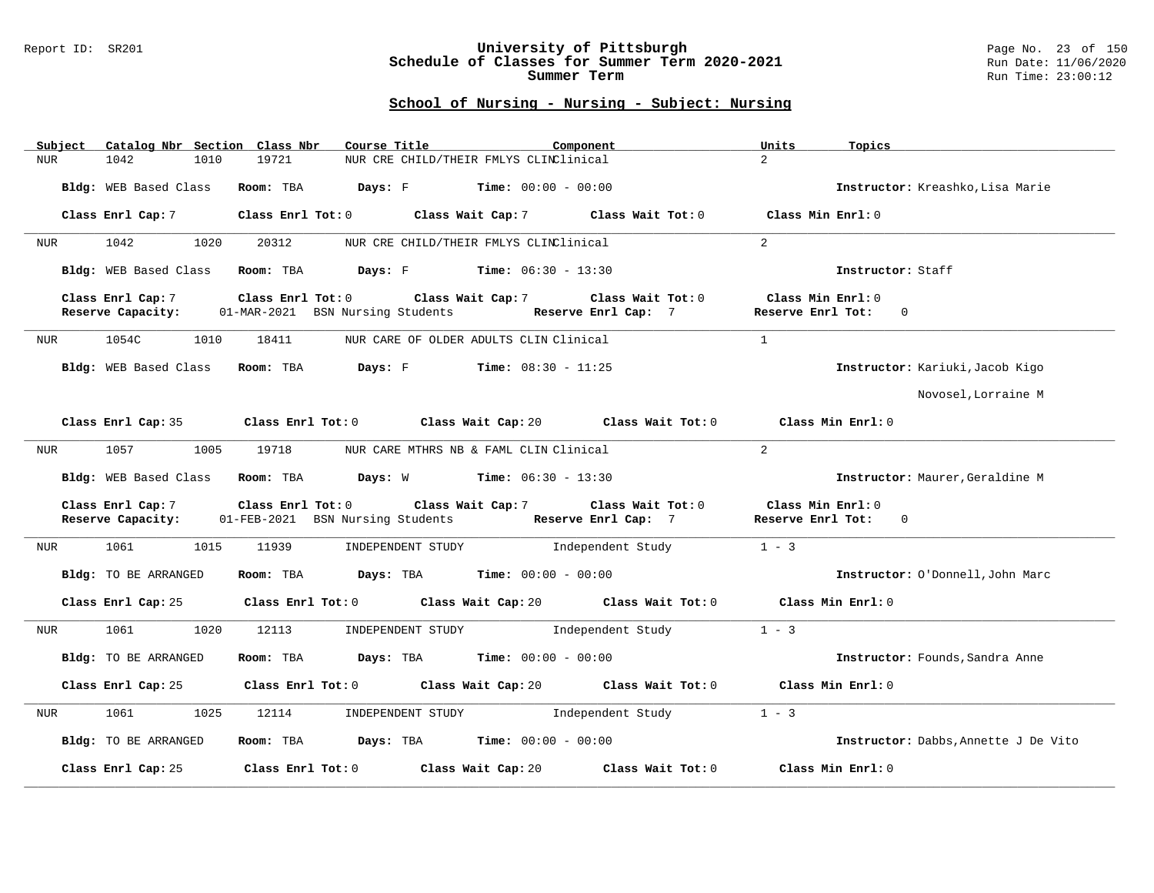### Report ID: SR201 **University of Pittsburgh** Page No. 23 of 150 **Schedule of Classes for Summer Term 2020-2021** Run Date: 11/06/2020 **Summer Term** Run Time: 23:00:12

| Catalog Nbr Section Class Nbr<br>Subject | Course Title<br>Component                                                                         | Units<br>Topics                                                               |
|------------------------------------------|---------------------------------------------------------------------------------------------------|-------------------------------------------------------------------------------|
| <b>NUR</b><br>1042<br>1010               | 19721<br>NUR CRE CHILD/THEIR FMLYS CLINClinical                                                   | $\overline{2}$                                                                |
| Bldg: WEB Based Class                    | Room: TBA<br><b>Days:</b> $F$ <b>Time:</b> $00:00 - 00:00$                                        | Instructor: Kreashko, Lisa Marie                                              |
| Class Enrl Cap: 7                        | Class Enrl Tot: 0 Class Wait Cap: 7 Class Wait Tot: 0                                             | Class Min Enrl: 0                                                             |
| 1042<br>1020<br>NUR                      | 20312<br>NUR CRE CHILD/THEIR FMLYS CLINClinical                                                   | $\overline{2}$                                                                |
| Bldg: WEB Based Class                    | <b>Days:</b> F Time: $06:30 - 13:30$<br>Room: TBA                                                 | Instructor: Staff                                                             |
| Class Enrl Cap: 7<br>Reserve Capacity:   | Class Enrl Tot: 0<br>Class Wait Cap: 7<br>01-MAR-2021 BSN Nursing Students<br>Reserve Enrl Cap: 7 | Class Min Enrl: 0<br>Class Wait Tot: 0<br>Reserve Enrl Tot:<br>$\Omega$       |
| 1054C<br>1010<br>NUR                     | NUR CARE OF OLDER ADULTS CLIN Clinical<br>18411                                                   | $\mathbf{1}$                                                                  |
| Bldg: WEB Based Class                    | Room: TBA<br><b>Days:</b> F Time: $08:30 - 11:25$                                                 | Instructor: Kariuki, Jacob Kigo                                               |
|                                          |                                                                                                   | Novosel, Lorraine M                                                           |
| Class Enrl Cap: 35                       | Class Enrl Tot: 0 Class Wait Cap: 20 Class Wait Tot: 0                                            | Class Min Enrl: 0                                                             |
| 1057<br>1005<br>NUR                      | 19718<br>NUR CARE MTHRS NB & FAML CLIN Clinical                                                   | 2                                                                             |
| Bldg: WEB Based Class                    | <b>Days:</b> W <b>Time:</b> $06:30 - 13:30$<br>Room: TBA                                          | Instructor: Maurer, Geraldine M                                               |
| Class Enrl Cap: 7<br>Reserve Capacity:   | Class Wait Cap: 7<br>Class Enrl Tot: 0<br>01-FEB-2021 BSN Nursing Students<br>Reserve Enrl Cap: 7 | Class Wait Tot: 0<br>Class Min Enrl: 0<br>Reserve Enrl Tot:<br>$\overline{0}$ |
| 1061 700<br>1015<br>NUR                  | 11939<br>Independent Study<br>INDEPENDENT STUDY                                                   | $1 - 3$                                                                       |
| Bldg: TO BE ARRANGED                     | Room: TBA<br>$\texttt{Days:}$ TBA $\texttt{Time:}$ 00:00 - 00:00                                  | Instructor: O'Donnell, John Marc                                              |
| Class Enrl Cap: 25                       | Class Enrl Tot: 0 Class Wait Cap: 20 Class Wait Tot: 0                                            | Class Min Enrl: 0                                                             |
| 1061<br>1020<br>NUR                      | 12113<br>INDEPENDENT STUDY<br>Independent Study                                                   | $1 - 3$                                                                       |
| Bldg: TO BE ARRANGED                     | Room: TBA<br><b>Days:</b> TBA <b>Time:</b> $00:00 - 00:00$                                        | Instructor: Founds, Sandra Anne                                               |
| Class Enrl Cap: 25                       | Class Enrl Tot: 0 Class Wait Cap: 20 Class Wait Tot: 0                                            | Class Min Enrl: 0                                                             |
| 1061<br>1025<br>NUR                      | Independent Study<br>12114<br>INDEPENDENT STUDY                                                   | $1 - 3$                                                                       |
| Bldg: TO BE ARRANGED                     | Room: TBA $Days:$ TBA $Time: 00:00 - 00:00$                                                       | Instructor: Dabbs, Annette J De Vito                                          |
| Class Enrl Cap: 25                       | Class Enrl Tot: 0<br>Class Wait Cap: 20                                                           | Class Wait Tot: 0<br>Class Min Enrl: 0                                        |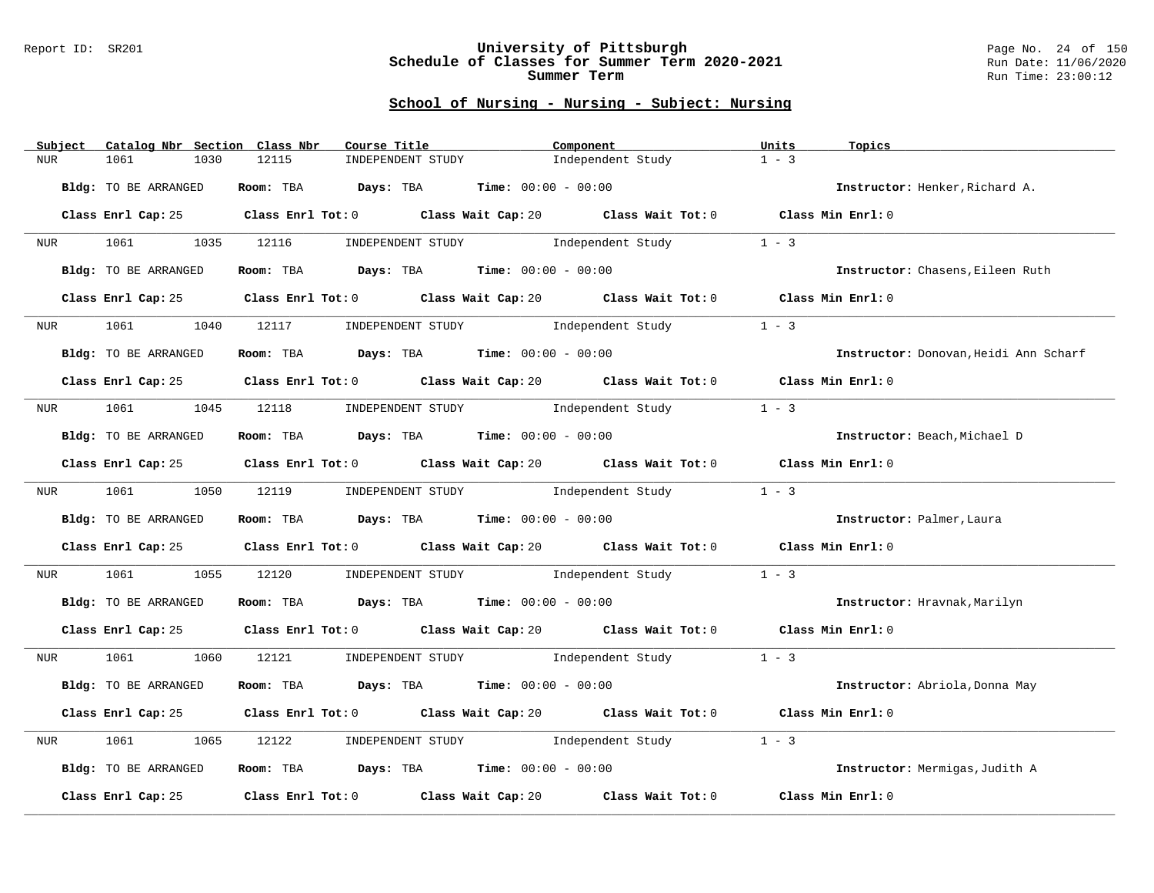### Report ID: SR201 **University of Pittsburgh** Page No. 24 of 150 **Schedule of Classes for Summer Term 2020-2021** Run Date: 11/06/2020 **Summer Term** Run Time: 23:00:12

| Subject          | Catalog Nbr Section  | Class Nbr<br>Course Title                                      | Component                                                                                   | Units<br>Topics                       |
|------------------|----------------------|----------------------------------------------------------------|---------------------------------------------------------------------------------------------|---------------------------------------|
| NUR              | 1030<br>1061         | 12115<br>INDEPENDENT STUDY                                     | Independent Study                                                                           | $1 - 3$                               |
|                  | Bldg: TO BE ARRANGED | Room: TBA $Days:$ TBA $Time: 00:00 - 00:00$                    |                                                                                             | Instructor: Henker, Richard A.        |
|                  |                      |                                                                | Class Enrl Cap: 25 Class Enrl Tot: 0 Class Wait Cap: 20 Class Wait Tot: 0 Class Min Enrl: 0 |                                       |
| <b>NUR</b>       |                      |                                                                | 1061 1035 12116 INDEPENDENT STUDY Independent Study                                         | $1 - 3$                               |
|                  | Bldg: TO BE ARRANGED | Room: TBA $Days:$ TBA $Time: 00:00 - 00:00$                    |                                                                                             | Instructor: Chasens, Eileen Ruth      |
|                  | Class Enrl Cap: 25   |                                                                | Class Enrl Tot: 0 Class Wait Cap: 20 Class Wait Tot: 0 Class Min Enrl: 0                    |                                       |
| NUR <b>NUR</b>   | 1061<br>1040         |                                                                | 12117 INDEPENDENT STUDY 1ndependent Study                                                   | $1 - 3$                               |
|                  | Bldg: TO BE ARRANGED | Room: TBA $Days:$ TBA $Time: 00:00 - 00:00$                    |                                                                                             | Instructor: Donovan, Heidi Ann Scharf |
|                  | Class Enrl Cap: 25   |                                                                | Class Enrl Tot: $0$ Class Wait Cap: $20$ Class Wait Tot: $0$ Class Min Enrl: $0$            |                                       |
|                  |                      |                                                                | NUR 1061 1045 12118 INDEPENDENT STUDY Independent Study                                     | $1 - 3$                               |
|                  | Bldg: TO BE ARRANGED | Room: TBA $Days:$ TBA $Time: 00:00 - 00:00$                    |                                                                                             | Instructor: Beach, Michael D          |
|                  |                      |                                                                | Class Enrl Cap: 25 Class Enrl Tot: 0 Class Wait Cap: 20 Class Wait Tot: 0 Class Min Enrl: 0 |                                       |
| NUR <sub>e</sub> |                      |                                                                | 1061 1050 12119 INDEPENDENT STUDY 1ndependent Study                                         | $1 - 3$                               |
|                  | Bldg: TO BE ARRANGED | Room: TBA $Days:$ TBA $Time: 00:00 - 00:00$                    |                                                                                             | Instructor: Palmer, Laura             |
|                  |                      |                                                                | Class Enrl Cap: 25 Class Enrl Tot: 0 Class Wait Cap: 20 Class Wait Tot: 0 Class Min Enrl: 0 |                                       |
| NUR              | 1061 200             |                                                                | 1055 12120 INDEPENDENT STUDY Independent Study                                              | $1 - 3$                               |
|                  | Bldg: TO BE ARRANGED | Room: TBA $\rule{1em}{0.15mm}$ Days: TBA Time: $00:00 - 00:00$ |                                                                                             | Instructor: Hravnak, Marilyn          |
|                  |                      |                                                                | Class Enrl Cap: 25 Class Enrl Tot: 0 Class Wait Cap: 20 Class Wait Tot: 0 Class Min Enrl: 0 |                                       |
| NUR <sub>p</sub> |                      |                                                                | 1061 1060 12121 INDEPENDENT STUDY Independent Study 1 - 3                                   |                                       |
|                  | Bldg: TO BE ARRANGED | Room: TBA $Days:$ TBA $Time: 00:00 - 00:00$                    |                                                                                             | Instructor: Abriola, Donna May        |
|                  | Class Enrl Cap: 25   |                                                                | Class Enrl Tot: $0$ Class Wait Cap: $20$ Class Wait Tot: $0$ Class Min Enrl: $0$            |                                       |
| NUR              | 1061<br>1065         | 12122                                                          | INDEPENDENT STUDY 1ndependent Study                                                         | $1 - 3$                               |
|                  | Bldg: TO BE ARRANGED | Room: TBA $Days:$ TBA $Time: 00:00 - 00:00$                    |                                                                                             | Instructor: Mermigas, Judith A        |
|                  | Class Enrl Cap: 25   | Class Enrl Tot: 0 Class Wait Cap: 20                           | Class Wait Tot: 0                                                                           | Class Min Enrl: 0                     |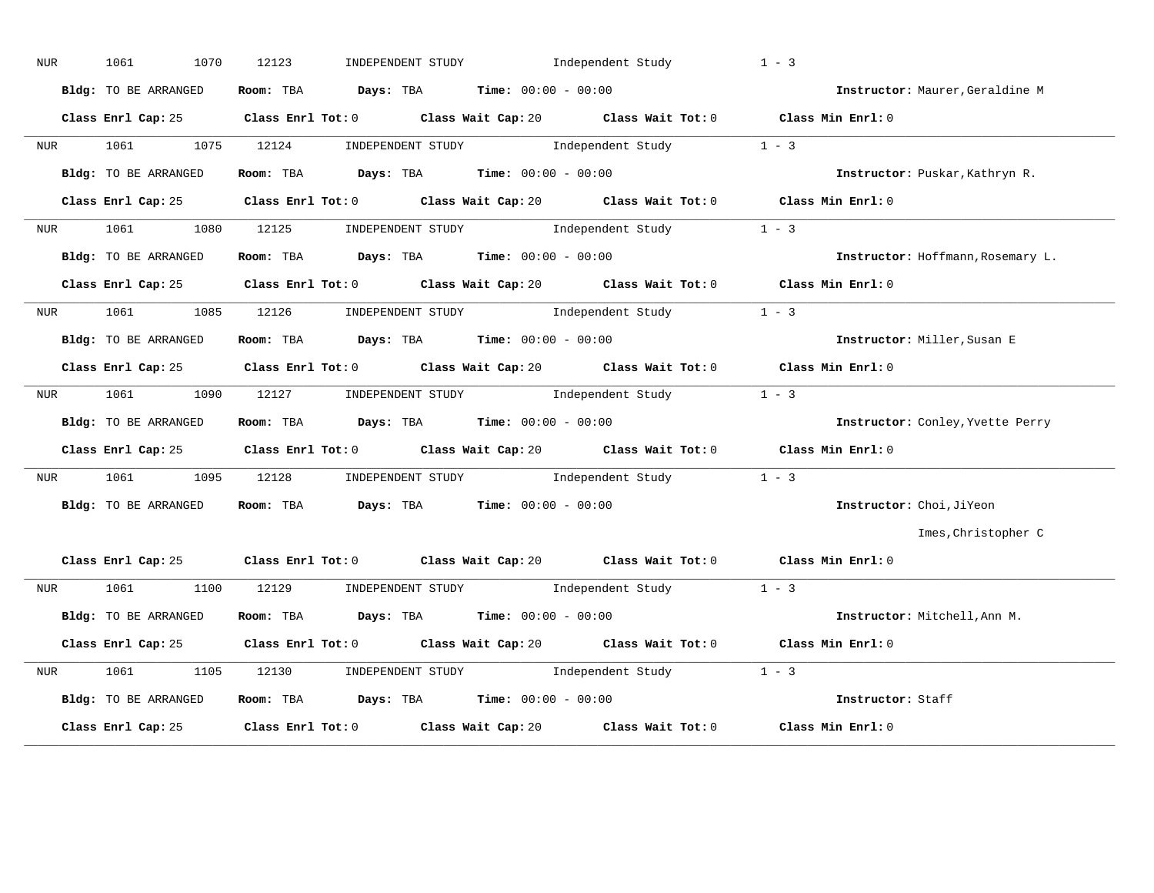| NUR              | 1070<br>1061         | INDEPENDENT STUDY 1ndependent Study<br>12123                                                | $1 - 3$                           |
|------------------|----------------------|---------------------------------------------------------------------------------------------|-----------------------------------|
|                  | Bldg: TO BE ARRANGED | Room: TBA $Days:$ TBA $Time: 00:00 - 00:00$                                                 | Instructor: Maurer, Geraldine M   |
|                  |                      | Class Enrl Cap: 25 Class Enrl Tot: 0 Class Wait Cap: 20 Class Wait Tot: 0 Class Min Enrl: 0 |                                   |
| NUR <sub>p</sub> | 1061 700             | INDEPENDENT STUDY 1 - 3<br>1075 12124                                                       |                                   |
|                  | Bldg: TO BE ARRANGED | <b>Room:</b> TBA <b>Days:</b> TBA <b>Time:</b> 00:00 - 00:00                                | Instructor: Puskar, Kathryn R.    |
|                  | Class Enrl Cap: 25   | Class Enrl Tot: $0$ Class Wait Cap: $20$ Class Wait Tot: $0$ Class Min Enrl: $0$            |                                   |
| NUR <sub>p</sub> | 1061 200             | INDEPENDENT STUDY 1ndependent Study<br>1080 12125                                           | $1 - 3$                           |
|                  | Bldg: TO BE ARRANGED | Room: TBA $Days:$ TBA $Time: 00:00 - 00:00$                                                 | Instructor: Hoffmann, Rosemary L. |
|                  |                      | Class Enrl Cap: 25 Class Enrl Tot: 0 Class Wait Cap: 20 Class Wait Tot: 0 Class Min Enrl: 0 |                                   |
| <b>NUR</b>       |                      | 1061 1085 12126 INDEPENDENT STUDY Independent Study 1 - 3                                   |                                   |
|                  | Bldg: TO BE ARRANGED | Room: TBA $Days:$ TBA $Time:$ $00:00 - 00:00$                                               | Instructor: Miller, Susan E       |
|                  | Class Enrl Cap: 25   | Class Enrl Tot: $0$ Class Wait Cap: $20$ Class Wait Tot: $0$                                | Class Min Enrl: 0                 |
| NUR <sub>p</sub> | 1061                 | 1090 12127 INDEPENDENT STUDY Independent Study                                              | $1 - 3$                           |
|                  | Bldg: TO BE ARRANGED | Room: TBA $Days:$ TBA $Time: 00:00 - 00:00$                                                 | Instructor: Conley, Yvette Perry  |
|                  | Class Enrl Cap: 25   | Class Enrl Tot: $0$ Class Wait Cap: $20$ Class Wait Tot: $0$ Class Min Enrl: $0$            |                                   |
| <b>NUR</b>       |                      | 1061 1095 12128 INDEPENDENT STUDY Independent Study 1 - 3                                   |                                   |
|                  | Bldg: TO BE ARRANGED | Room: TBA $Days:$ TBA $Time: 00:00 - 00:00$                                                 | Instructor: Choi, JiYeon          |
|                  |                      |                                                                                             | Imes, Christopher C               |
|                  |                      | Class Enrl Cap: 25 Class Enrl Tot: 0 Class Wait Cap: 20 Class Wait Tot: 0 Class Min Enrl: 0 |                                   |
|                  |                      | NUR 1061 1100 12129 INDEPENDENT STUDY Independent Study 1 - 3                               |                                   |
|                  | Bldg: TO BE ARRANGED | Room: TBA $Days:$ TBA $Time: 00:00 - 00:00$                                                 | Instructor: Mitchell, Ann M.      |
|                  | Class Enrl Cap: 25   | Class Enrl Tot: 0 Class Wait Cap: 20 Class Wait Tot: 0 Class Min Enrl: 0                    |                                   |
| <b>NUR</b>       | 1061 000             | 1105 12130 INDEPENDENT STUDY Independent Study 1 - 3                                        |                                   |
|                  | Bldg: TO BE ARRANGED | Room: TBA $Days:$ TBA $Time: 00:00 - 00:00$                                                 | Instructor: Staff                 |
|                  | Class Enrl Cap: 25   | Class Enrl Tot: 0 Class Wait Cap: 20 Class Wait Tot: 0                                      | Class Min Enrl: 0                 |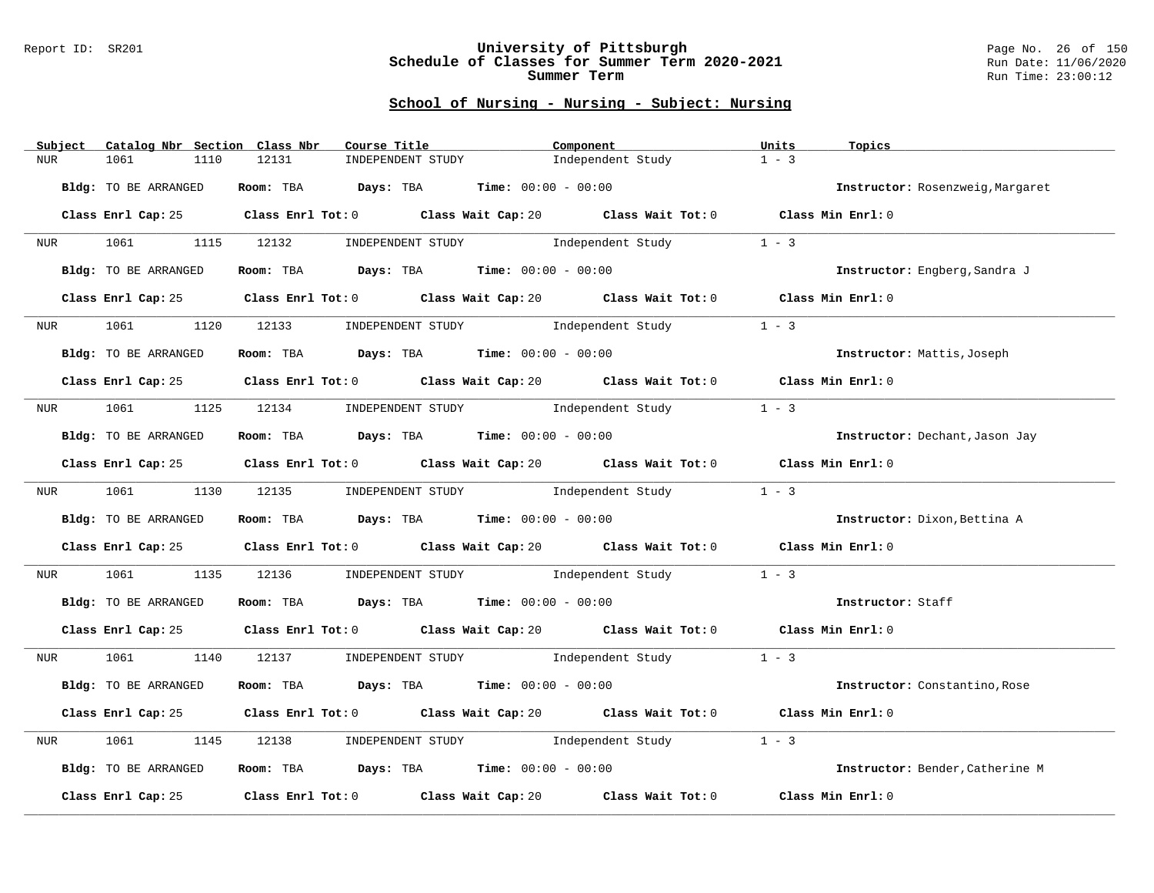### Report ID: SR201 **University of Pittsburgh** Page No. 26 of 150 **Schedule of Classes for Summer Term 2020-2021** Run Date: 11/06/2020 **Summer Term** Run Time: 23:00:12

| Subject    | Catalog Nbr Section Class Nbr | Course Title                                  | Component                                                                                   | Units<br>Topics                  |
|------------|-------------------------------|-----------------------------------------------|---------------------------------------------------------------------------------------------|----------------------------------|
| <b>NUR</b> | 1061<br>1110                  | 12131<br>INDEPENDENT STUDY                    | Independent Study                                                                           | $1 - 3$                          |
|            | Bldg: TO BE ARRANGED          | Room: TBA $Days:$ TBA $Time: 00:00 - 00:00$   |                                                                                             | Instructor: Rosenzweig, Margaret |
|            |                               |                                               | Class Enrl Cap: 25 Class Enrl Tot: 0 Class Wait Cap: 20 Class Wait Tot: 0 Class Min Enrl: 0 |                                  |
|            |                               |                                               | NUR 1061 1115 12132 INDEPENDENT STUDY Independent Study 1 - 3                               |                                  |
|            | Bldg: TO BE ARRANGED          | Room: TBA $Days:$ TBA $Time: 00:00 - 00:00$   |                                                                                             | Instructor: Engberg, Sandra J    |
|            | Class Enrl Cap: 25            |                                               | Class Enrl Tot: 0 Class Wait Cap: 20 Class Wait Tot: 0 Class Min Enrl: 0                    |                                  |
| <b>NUR</b> | 1061<br>1120                  |                                               | 12133 INDEPENDENT STUDY Independent Study                                                   | $1 - 3$                          |
|            | Bldg: TO BE ARRANGED          | Room: TBA $Days:$ TBA $Time: 00:00 - 00:00$   |                                                                                             | Instructor: Mattis, Joseph       |
|            |                               |                                               | Class Enrl Cap: 25 Class Enrl Tot: 0 Class Wait Cap: 20 Class Wait Tot: 0 Class Min Enrl: 0 |                                  |
|            |                               |                                               | NUR 1061 1125 12134 INDEPENDENT STUDY Independent Study                                     | $1 - 3$                          |
|            | Bldg: TO BE ARRANGED          | Room: TBA $Days:$ TBA $Time: 00:00 - 00:00$   |                                                                                             | Instructor: Dechant, Jason Jay   |
|            |                               |                                               | Class Enrl Cap: 25 Class Enrl Tot: 0 Class Wait Cap: 20 Class Wait Tot: 0 Class Min Enrl: 0 |                                  |
|            |                               | NUR 1061 1130 12135 INDEPENDENT STUDY         | Independent Study                                                                           | $1 - 3$                          |
|            | Bldg: TO BE ARRANGED          | Room: TBA $Days: TBA$ Time: $00:00 - 00:00$   |                                                                                             | Instructor: Dixon, Bettina A     |
|            |                               |                                               | Class Enrl Cap: 25 Class Enrl Tot: 0 Class Wait Cap: 20 Class Wait Tot: 0 Class Min Enrl: 0 |                                  |
| <b>NUR</b> |                               |                                               | 1061 1135 12136 INDEPENDENT STUDY Independent Study 1 - 3                                   |                                  |
|            | Bldg: TO BE ARRANGED          | Room: TBA $Days:$ TBA Time: $00:00 - 00:00$   |                                                                                             | Instructor: Staff                |
|            |                               |                                               | Class Enrl Cap: 25 Class Enrl Tot: 0 Class Wait Cap: 20 Class Wait Tot: 0 Class Min Enrl: 0 |                                  |
|            |                               |                                               | NUR 1061 1140 12137 INDEPENDENT STUDY Independent Study 1 - 3                               |                                  |
|            | Bldg: TO BE ARRANGED          | Room: TBA $Days:$ TBA $Time:$ $00:00 - 00:00$ |                                                                                             | Instructor: Constantino, Rose    |
|            |                               |                                               | Class Enrl Cap: 25 Class Enrl Tot: 0 Class Wait Cap: 20 Class Wait Tot: 0 Class Min Enrl: 0 |                                  |
| NUR        | 1061<br>1145                  | 12138                                         | INDEPENDENT STUDY 1ndependent Study                                                         | $1 - 3$                          |
|            | Bldg: TO BE ARRANGED          | Room: TBA $Days:$ TBA Time: $00:00 - 00:00$   |                                                                                             | Instructor: Bender, Catherine M  |
|            | Class Enrl Cap: 25            |                                               | Class Enrl Tot: $0$ Class Wait Cap: $20$ Class Wait Tot: $0$                                | Class Min Enrl: 0                |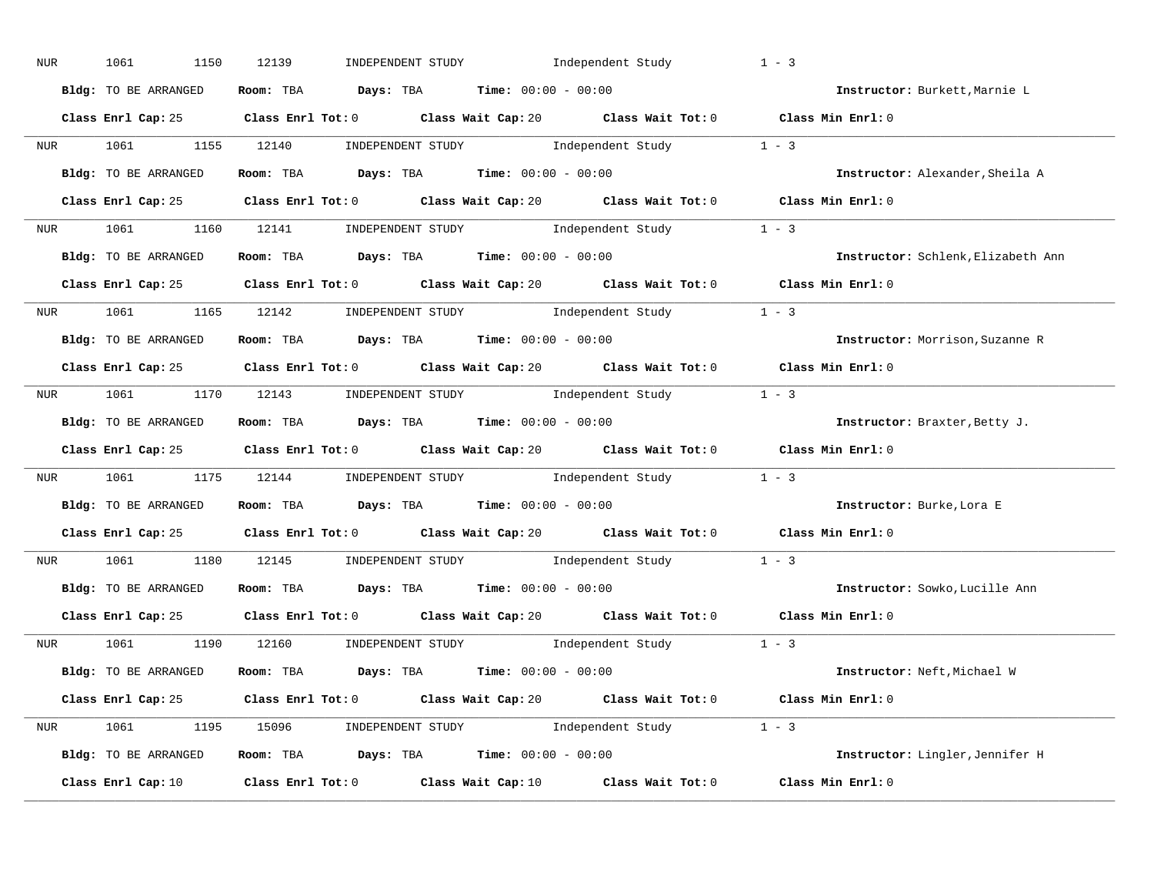| NUR              | 1061<br>1150         | 12139<br>INDEPENDENT STUDY                                                                                                                                                                                                                                                                                     | Independent Study                                                                                                                                                                                                                                                                                                                                                                                                 | $1 - 3$                            |
|------------------|----------------------|----------------------------------------------------------------------------------------------------------------------------------------------------------------------------------------------------------------------------------------------------------------------------------------------------------------|-------------------------------------------------------------------------------------------------------------------------------------------------------------------------------------------------------------------------------------------------------------------------------------------------------------------------------------------------------------------------------------------------------------------|------------------------------------|
|                  | Bldg: TO BE ARRANGED | Room: TBA $Days:$ TBA $Time: 00:00 - 00:00$                                                                                                                                                                                                                                                                    |                                                                                                                                                                                                                                                                                                                                                                                                                   | Instructor: Burkett, Marnie L      |
|                  |                      | Class Enrl Cap: 25 Class Enrl Tot: 0 Class Wait Cap: 20 Class Wait Tot: 0 Class Min Enrl: 0                                                                                                                                                                                                                    |                                                                                                                                                                                                                                                                                                                                                                                                                   |                                    |
|                  | NUR 1061 1155 12140  |                                                                                                                                                                                                                                                                                                                | $\begin{minipage}[c]{0.9\linewidth} \textbf{INDEX} & \textbf{STUDY} \\ \textbf{1 - 3} & \textbf{1 - 3} \\ \textbf{2 - 1} & \textbf{1 - 3} \\ \textbf{3 - 2} & \textbf{1 - 3} \\ \textbf{4 - 3} & \textbf{1 - 3} \\ \textbf{5 - 4} & \textbf{1 - 3} \\ \textbf{6 - 1} & \textbf{1 - 3} \\ \textbf{7 - 2} & \textbf{1 - 3} \\ \textbf{8 - 1} & \textbf{1 - 3} \\ \textbf{9 - 1} & \textbf{1 - 3} \\ \textbf{1 - 3}$ |                                    |
|                  | Bldg: TO BE ARRANGED | Room: TBA $Days:$ TBA $Time: 00:00 - 00:00$                                                                                                                                                                                                                                                                    |                                                                                                                                                                                                                                                                                                                                                                                                                   | Instructor: Alexander, Sheila A    |
|                  |                      | Class Enrl Cap: 25 Class Enrl Tot: 0 Class Wait Cap: 20 Class Wait Tot: 0 Class Min Enrl: 0                                                                                                                                                                                                                    |                                                                                                                                                                                                                                                                                                                                                                                                                   |                                    |
|                  |                      | NUR 1061 1160 12141 INDEPENDENT STUDY Independent Study 1 - 3                                                                                                                                                                                                                                                  |                                                                                                                                                                                                                                                                                                                                                                                                                   |                                    |
|                  |                      | <b>Bldg:</b> TO BE ARRANGED <b>Room:</b> TBA <b>Days:</b> TBA <b>Time:</b> $00:00 - 00:00$                                                                                                                                                                                                                     |                                                                                                                                                                                                                                                                                                                                                                                                                   | Instructor: Schlenk, Elizabeth Ann |
|                  |                      | Class Enrl Cap: 25 Class Enrl Tot: 0 Class Wait Cap: 20 Class Wait Tot: 0 Class Min Enrl: 0                                                                                                                                                                                                                    |                                                                                                                                                                                                                                                                                                                                                                                                                   |                                    |
|                  |                      | NUR 1061 1165 12142 INDEPENDENT STUDY Independent Study 1 - 3                                                                                                                                                                                                                                                  |                                                                                                                                                                                                                                                                                                                                                                                                                   |                                    |
|                  | Bldg: TO BE ARRANGED | Room: TBA $\rule{1em}{0.5em}$ Days: TBA $\rule{1.5em}{0.5em}$ Time: $00:00 - 00:00$                                                                                                                                                                                                                            |                                                                                                                                                                                                                                                                                                                                                                                                                   | Instructor: Morrison, Suzanne R    |
|                  |                      | Class Enrl Cap: 25 Class Enrl Tot: 0 Class Wait Cap: 20 Class Wait Tot: 0 Class Min Enrl: 0                                                                                                                                                                                                                    |                                                                                                                                                                                                                                                                                                                                                                                                                   |                                    |
|                  |                      | NUR 1061 1170 12143 INDEPENDENT STUDY Independent Study 1 - 3                                                                                                                                                                                                                                                  |                                                                                                                                                                                                                                                                                                                                                                                                                   |                                    |
|                  | Bldg: TO BE ARRANGED | Room: TBA $Days: TBA$ Time: $00:00 - 00:00$                                                                                                                                                                                                                                                                    |                                                                                                                                                                                                                                                                                                                                                                                                                   | Instructor: Braxter, Betty J.      |
|                  |                      | Class Enrl Cap: 25 Class Enrl Tot: 0 Class Wait Cap: 20 Class Wait Tot: 0 Class Min Enrl: 0                                                                                                                                                                                                                    |                                                                                                                                                                                                                                                                                                                                                                                                                   |                                    |
|                  |                      | NUR 1061 1175 12144 INDEPENDENT STUDY Independent Study 1 - 3                                                                                                                                                                                                                                                  |                                                                                                                                                                                                                                                                                                                                                                                                                   |                                    |
|                  | Bldg: TO BE ARRANGED | Room: TBA $\rule{1em}{0.15mm}$ Days: TBA Time: $00:00 - 00:00$                                                                                                                                                                                                                                                 |                                                                                                                                                                                                                                                                                                                                                                                                                   | Instructor: Burke, Lora E          |
|                  |                      | Class Enrl Cap: 25 Class Enrl Tot: 0 Class Wait Cap: 20 Class Wait Tot: 0                                                                                                                                                                                                                                      |                                                                                                                                                                                                                                                                                                                                                                                                                   | Class Min $Enrl: 0$                |
| NUR <sub>p</sub> | 1061 700             | 1180 12145                                                                                                                                                                                                                                                                                                     | $\begin{minipage}[c]{0.9\linewidth} \textbf{INDEX} & \textbf{STUDY} \\ \textbf{1 - 3} & \textbf{1 - 3} \\ \textbf{1 - 2} & \textbf{1 - 3} \\ \textbf{2 - 3} & \textbf{1 - 3} \\ \textbf{3 - 4} & \textbf{1 - 2} \\ \textbf{4 - 3} & \textbf{1 - 3} \\ \textbf{5 - 4} & \textbf{1 - 3} \\ \textbf{6 - 1} & \textbf{1 - 3} \\ \textbf{1 - 2} & \textbf{1 - 3} \\ \textbf{2 - 2} & \textbf{1 - 3} \\ \textbf{3 - 4}$ |                                    |
|                  | Bldg: TO BE ARRANGED | Room: TBA $\rule{1em}{0.15mm}$ Days: TBA Time: $00:00 - 00:00$                                                                                                                                                                                                                                                 |                                                                                                                                                                                                                                                                                                                                                                                                                   | Instructor: Sowko, Lucille Ann     |
|                  |                      | Class Enrl Cap: 25 Class Enrl Tot: 0 Class Wait Cap: 20 Class Wait Tot: 0 Class Min Enrl: 0                                                                                                                                                                                                                    |                                                                                                                                                                                                                                                                                                                                                                                                                   |                                    |
|                  |                      | NUR 1061 1190 12160 INDEPENDENT STUDY Independent Study 1 - 3                                                                                                                                                                                                                                                  |                                                                                                                                                                                                                                                                                                                                                                                                                   |                                    |
|                  | Bldg: TO BE ARRANGED | Room: TBA $\rule{1em}{0.15mm}$ Days: TBA Time: $00:00 - 00:00$                                                                                                                                                                                                                                                 |                                                                                                                                                                                                                                                                                                                                                                                                                   | Instructor: Neft, Michael W        |
|                  |                      | Class Enrl Cap: 25 Class Enrl Tot: 0 Class Wait Cap: 20 Class Wait Tot: 0 Class Min Enrl: 0                                                                                                                                                                                                                    |                                                                                                                                                                                                                                                                                                                                                                                                                   |                                    |
|                  |                      | NUR 1061 1195 15096 INDEPENDENT STUDY Independent Study 1 - 3                                                                                                                                                                                                                                                  |                                                                                                                                                                                                                                                                                                                                                                                                                   |                                    |
|                  | Bldg: TO BE ARRANGED | <b>Room:</b> TBA $\rule{1em}{0.15mm}$ $\rule{1.5em}{0.15mm}$ $\rule{1.5em}{0.15mm}$ $\rule{1.5em}{0.15mm}$ $\rule{1.5em}{0.15mm}$ $\rule{1.5em}{0.15mm}$ $\rule{1.5em}{0.15mm}$ $\rule{1.5em}{0.15mm}$ $\rule{1.5em}{0.15mm}$ $\rule{1.5em}{0.15mm}$ $\rule{1.5em}{0.15mm}$ $\rule{1.5em}{0.15mm}$ $\rule{1.5$ |                                                                                                                                                                                                                                                                                                                                                                                                                   | Instructor: Lingler, Jennifer H    |
|                  | Class Enrl Cap: 10   | Class Enrl Tot: $0$ Class Wait Cap: $10$ Class Wait Tot: $0$                                                                                                                                                                                                                                                   |                                                                                                                                                                                                                                                                                                                                                                                                                   | Class Min Enrl: 0                  |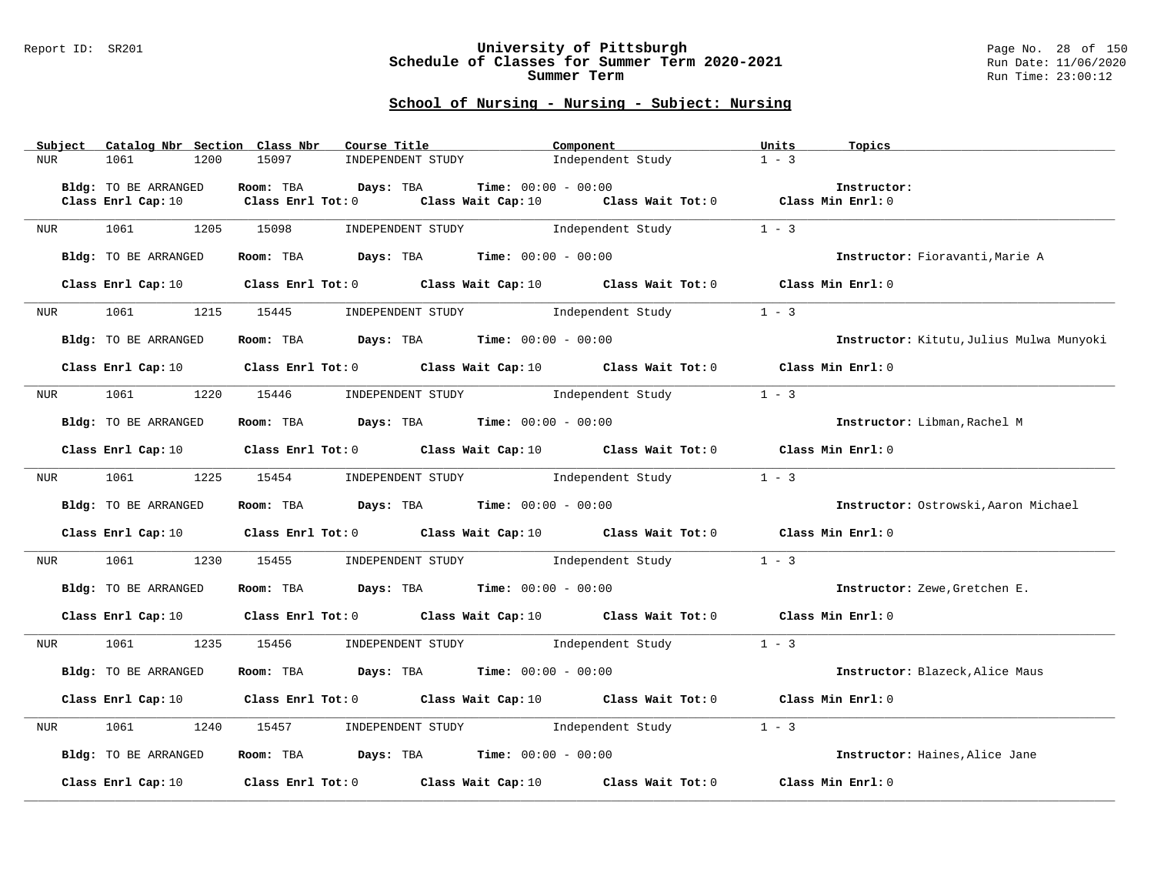### Report ID: SR201 **University of Pittsburgh** Page No. 28 of 150 **Schedule of Classes for Summer Term 2020-2021** Run Date: 11/06/2020 **Summer Term** Run Time: 23:00:12

|     | Subject          |                      |      | Catalog Nbr Section Class Nbr                                                         | Course Title      |                   |  | Component                    |                                                                                                                                 | Units   | Topics                                   |
|-----|------------------|----------------------|------|---------------------------------------------------------------------------------------|-------------------|-------------------|--|------------------------------|---------------------------------------------------------------------------------------------------------------------------------|---------|------------------------------------------|
| NUR |                  | 1061                 | 1200 | 15097                                                                                 |                   | INDEPENDENT STUDY |  |                              | Independent Study                                                                                                               | $1 - 3$ |                                          |
|     |                  |                      |      |                                                                                       |                   |                   |  |                              |                                                                                                                                 |         |                                          |
|     |                  | Bldg: TO BE ARRANGED |      | Room: TBA                                                                             | Days: TBA         |                   |  | <b>Time:</b> $00:00 - 00:00$ |                                                                                                                                 |         | Instructor:                              |
|     |                  | Class Enrl Cap: 10   |      |                                                                                       | Class Enrl Tot: 0 |                   |  |                              | Class Wait Cap: 10 Class Wait Tot: 0 Class Min Enrl: 0                                                                          |         |                                          |
|     |                  | 1061                 | 1205 | 15098                                                                                 |                   |                   |  |                              |                                                                                                                                 | $1 - 3$ |                                          |
| NUR |                  |                      |      |                                                                                       |                   |                   |  |                              | INDEPENDENT STUDY 1ndependent Study                                                                                             |         |                                          |
|     |                  | Bldg: TO BE ARRANGED |      | Room: TBA $Days:$ TBA Time: $00:00 - 00:00$                                           |                   |                   |  |                              |                                                                                                                                 |         | Instructor: Fioravanti, Marie A          |
|     |                  |                      |      |                                                                                       |                   |                   |  |                              |                                                                                                                                 |         |                                          |
|     |                  |                      |      |                                                                                       |                   |                   |  |                              | Class Enrl Cap: 10 Class Enrl Tot: 0 Class Wait Cap: 10 Class Wait Tot: 0 Class Min Enrl: 0                                     |         |                                          |
|     |                  |                      |      |                                                                                       |                   |                   |  |                              |                                                                                                                                 |         |                                          |
|     | NUR <b>NUR</b>   |                      |      |                                                                                       |                   |                   |  |                              | 1061 1215 15445 INDEPENDENT STUDY Independent Study 1 - 3                                                                       |         |                                          |
|     |                  |                      |      |                                                                                       |                   |                   |  |                              |                                                                                                                                 |         |                                          |
|     |                  | Bldg: TO BE ARRANGED |      | Room: TBA $\rule{1em}{0.15mm}$ Days: TBA Time: $00:00 - 00:00$                        |                   |                   |  |                              |                                                                                                                                 |         | Instructor: Kitutu, Julius Mulwa Munyoki |
|     |                  |                      |      |                                                                                       |                   |                   |  |                              |                                                                                                                                 |         |                                          |
|     |                  |                      |      |                                                                                       |                   |                   |  |                              | Class Enrl Cap: 10 $\qquad$ Class Enrl Tot: 0 $\qquad$ Class Wait Cap: 10 $\qquad$ Class Wait Tot: 0 $\qquad$ Class Min Enrl: 0 |         |                                          |
|     |                  |                      |      |                                                                                       |                   |                   |  |                              |                                                                                                                                 |         |                                          |
|     | NUR <sub>p</sub> | 1061                 | 1220 |                                                                                       |                   |                   |  |                              | 15446 INDEPENDENT STUDY 1ndependent Study                                                                                       | $1 - 3$ |                                          |
|     |                  |                      |      |                                                                                       |                   |                   |  |                              |                                                                                                                                 |         |                                          |
|     |                  | Bldg: TO BE ARRANGED |      | Room: TBA $Days:$ TBA $Time: 00:00 - 00:00$                                           |                   |                   |  |                              |                                                                                                                                 |         | Instructor: Libman, Rachel M             |
|     |                  |                      |      |                                                                                       |                   |                   |  |                              |                                                                                                                                 |         |                                          |
|     |                  |                      |      |                                                                                       |                   |                   |  |                              | Class Enrl Cap: 10 Class Enrl Tot: 0 Class Wait Cap: 10 Class Wait Tot: 0 Class Min Enrl: 0                                     |         |                                          |
| NUR |                  | 1061                 |      |                                                                                       |                   |                   |  |                              | 1225 15454 INDEPENDENT STUDY Independent Study                                                                                  | $1 - 3$ |                                          |
|     |                  |                      |      |                                                                                       |                   |                   |  |                              |                                                                                                                                 |         |                                          |
|     |                  | Bldg: TO BE ARRANGED |      | Room: TBA $\rule{1em}{0.15mm}$ Days: TBA $\rule{1.5mm}{0.15mm}$ Time: $00:00 - 00:00$ |                   |                   |  |                              |                                                                                                                                 |         | Instructor: Ostrowski, Aaron Michael     |
|     |                  |                      |      |                                                                                       |                   |                   |  |                              |                                                                                                                                 |         |                                          |
|     |                  |                      |      |                                                                                       |                   |                   |  |                              | Class Enrl Cap: 10 $\qquad$ Class Enrl Tot: 0 $\qquad$ Class Wait Cap: 10 $\qquad$ Class Wait Tot: 0 $\qquad$ Class Min Enrl: 0 |         |                                          |
|     |                  |                      |      |                                                                                       |                   |                   |  |                              |                                                                                                                                 |         |                                          |
| NUR |                  |                      |      |                                                                                       |                   |                   |  |                              | 1061 1230 15455 INDEPENDENT STUDY Independent Study 1 - 3                                                                       |         |                                          |
|     |                  |                      |      |                                                                                       |                   |                   |  |                              |                                                                                                                                 |         |                                          |
|     |                  | Bldg: TO BE ARRANGED |      | Room: TBA $Days:$ TBA $Time: 00:00 - 00:00$                                           |                   |                   |  |                              |                                                                                                                                 |         | Instructor: Zewe, Gretchen E.            |
|     |                  |                      |      |                                                                                       |                   |                   |  |                              |                                                                                                                                 |         |                                          |
|     |                  |                      |      |                                                                                       |                   |                   |  |                              | Class Enrl Cap: 10 $\qquad$ Class Enrl Tot: 0 $\qquad$ Class Wait Cap: 10 $\qquad$ Class Wait Tot: 0 $\qquad$ Class Min Enrl: 0 |         |                                          |
|     |                  |                      |      |                                                                                       |                   |                   |  |                              |                                                                                                                                 |         |                                          |
|     | NUR <sub>p</sub> | 1061 700             | 1235 | 15456 INDEPENDENT STUDY                                                               |                   |                   |  |                              | Independent Study                                                                                                               | $1 - 3$ |                                          |
|     |                  |                      |      |                                                                                       |                   |                   |  |                              |                                                                                                                                 |         |                                          |
|     |                  | Bldg: TO BE ARRANGED |      | Room: TBA $Days:$ TBA $Time: 00:00 - 00:00$                                           |                   |                   |  |                              |                                                                                                                                 |         | Instructor: Blazeck, Alice Maus          |
|     |                  |                      |      |                                                                                       |                   |                   |  |                              | Class Enrl Cap: 10 Class Enrl Tot: 0 Class Wait Cap: 10 Class Wait Tot: 0 Class Min Enrl: 0                                     |         |                                          |
|     |                  |                      |      |                                                                                       |                   |                   |  |                              |                                                                                                                                 |         |                                          |
| NUR |                  | 1061                 | 1240 |                                                                                       |                   |                   |  |                              | 15457       INDEPENDENT STUDY               Independent Study                                                                   | $1 - 3$ |                                          |
|     |                  |                      |      |                                                                                       |                   |                   |  |                              |                                                                                                                                 |         |                                          |
|     |                  | Bldg: TO BE ARRANGED |      | Room: TBA $Days:$ TBA $Time:$ 00:00 - 00:00                                           |                   |                   |  |                              |                                                                                                                                 |         | Instructor: Haines. Alice Jane           |
|     |                  |                      |      |                                                                                       |                   |                   |  |                              |                                                                                                                                 |         |                                          |
|     |                  |                      |      |                                                                                       |                   |                   |  |                              | Class Enrl Cap: 10 $\qquad$ Class Enrl Tot: 0 $\qquad$ Class Wait Cap: 10 $\qquad$ Class Wait Tot: 0                            |         | Class Min Enrl: 0                        |
|     |                  |                      |      |                                                                                       |                   |                   |  |                              |                                                                                                                                 |         |                                          |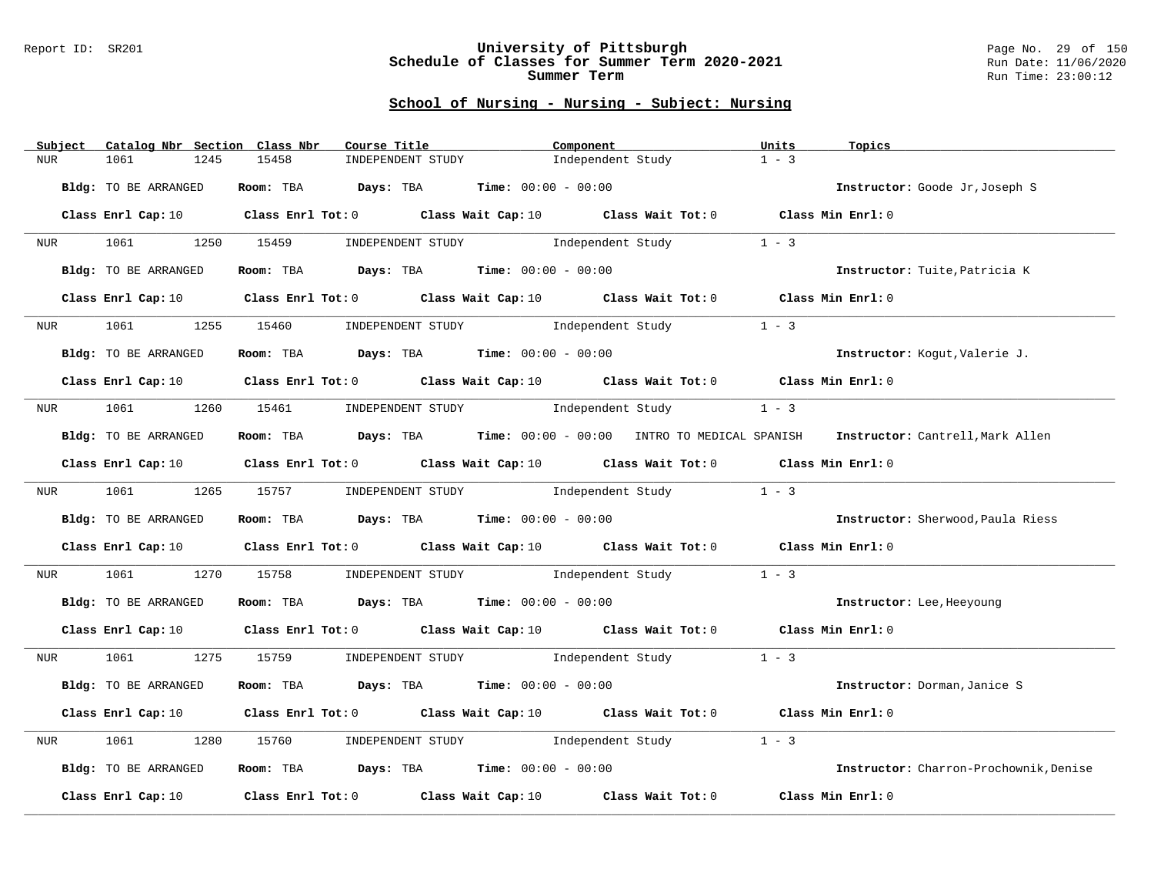### Report ID: SR201 **University of Pittsburgh** Page No. 29 of 150 **Schedule of Classes for Summer Term 2020-2021** Run Date: 11/06/2020 **Summer Term** Run Time: 23:00:12

|            | Subject    |                      | Catalog Nbr Section Class Nbr | Course Title                                                                                                                    | Component                           |                   | Units   | Topics                                                                                            |
|------------|------------|----------------------|-------------------------------|---------------------------------------------------------------------------------------------------------------------------------|-------------------------------------|-------------------|---------|---------------------------------------------------------------------------------------------------|
| <b>NUR</b> |            | 1061                 | 1245<br>15458                 | INDEPENDENT STUDY                                                                                                               |                                     | Independent Study | $1 - 3$ |                                                                                                   |
|            |            | Bldg: TO BE ARRANGED |                               | Room: TBA $Days:$ TBA $Time: 00:00 - 00:00$                                                                                     |                                     |                   |         | Instructor: Goode Jr, Joseph S                                                                    |
|            |            |                      |                               | Class Enrl Cap: 10 Class Enrl Tot: 0 Class Wait Cap: 10 Class Wait Tot: 0 Class Min Enrl: 0                                     |                                     |                   |         |                                                                                                   |
|            |            |                      |                               | NUR 1061 1250 15459 INDEPENDENT STUDY Independent Study 1 - 3                                                                   |                                     |                   |         |                                                                                                   |
|            |            | Bldg: TO BE ARRANGED |                               | Room: TBA $Days:$ TBA $Time: 00:00 - 00:00$                                                                                     |                                     |                   |         | Instructor: Tuite, Patricia K                                                                     |
|            |            | Class Enrl Cap: 10   |                               | Class Enrl Tot: $0$ Class Wait Cap: $10$ Class Wait Tot: $0$ Class Min Enrl: $0$                                                |                                     |                   |         |                                                                                                   |
|            | <b>NUR</b> | 1061                 |                               | 1255 15460 INDEPENDENT STUDY Independent Study                                                                                  |                                     |                   | $1 - 3$ |                                                                                                   |
|            |            | Bldg: TO BE ARRANGED |                               | Room: TBA $Days:$ TBA $Time: 00:00 - 00:00$                                                                                     |                                     |                   |         | Instructor: Kogut, Valerie J.                                                                     |
|            |            |                      |                               | Class Enrl Cap: 10 $\qquad$ Class Enrl Tot: 0 $\qquad$ Class Wait Cap: 10 $\qquad$ Class Wait Tot: 0 $\qquad$ Class Min Enrl: 0 |                                     |                   |         |                                                                                                   |
|            |            |                      |                               | NUR 1061 1260 15461 INDEPENDENT STUDY Independent Study 1 - 3                                                                   |                                     |                   |         |                                                                                                   |
|            |            | Bldg: TO BE ARRANGED |                               |                                                                                                                                 |                                     |                   |         | Room: TBA Days: TBA Time: 00:00 - 00:00 INTRO TO MEDICAL SPANISH Instructor: Cantrell, Mark Allen |
|            |            |                      |                               | Class Enrl Cap: 10 Class Enrl Tot: 0 Class Wait Cap: 10 Class Wait Tot: 0 Class Min Enrl: 0                                     |                                     |                   |         |                                                                                                   |
|            |            |                      |                               | NUR 1061 1265 15757 INDEPENDENT STUDY                                                                                           | Independent Study                   |                   | $1 - 3$ |                                                                                                   |
|            |            | Bldg: TO BE ARRANGED |                               | Room: TBA $Days:$ TBA Time: $00:00 - 00:00$                                                                                     |                                     |                   |         | Instructor: Sherwood, Paula Riess                                                                 |
|            |            |                      |                               | Class Enrl Cap: 10 Class Enrl Tot: 0 Class Wait Cap: 10 Class Wait Tot: 0 Class Min Enrl: 0                                     |                                     |                   |         |                                                                                                   |
|            | <b>NUR</b> |                      |                               | 1061 1270 15758 INDEPENDENT STUDY Independent Study 1 - 3                                                                       |                                     |                   |         |                                                                                                   |
|            |            | Bldg: TO BE ARRANGED |                               | Room: TBA Days: TBA Time: $00:00 - 00:00$                                                                                       |                                     |                   |         | Instructor: Lee, Heeyoung                                                                         |
|            |            |                      |                               | Class Enrl Cap: 10 $\qquad$ Class Enrl Tot: 0 $\qquad$ Class Wait Cap: 10 $\qquad$ Class Wait Tot: 0 $\qquad$ Class Min Enrl: 0 |                                     |                   |         |                                                                                                   |
|            |            |                      |                               | NUR 1061 1275 15759 INDEPENDENT STUDY Independent Study 1 - 3                                                                   |                                     |                   |         |                                                                                                   |
|            |            | Bldg: TO BE ARRANGED |                               | Room: TBA $Days:$ TBA $Time:$ $00:00 - 00:00$                                                                                   |                                     |                   |         | Instructor: Dorman, Janice S                                                                      |
|            |            |                      |                               | Class Enrl Cap: 10 $\qquad$ Class Enrl Tot: 0 $\qquad$ Class Wait Cap: 10 $\qquad$ Class Wait Tot: 0 $\qquad$ Class Min Enrl: 0 |                                     |                   |         |                                                                                                   |
| NUR        |            | 1061                 | 1280<br>15760                 |                                                                                                                                 | INDEPENDENT STUDY 1ndependent Study |                   | $1 - 3$ |                                                                                                   |
|            |            | Bldg: TO BE ARRANGED |                               | Room: TBA $Days:$ TBA $Time: 00:00 - 00:00$                                                                                     |                                     |                   |         | Instructor: Charron-Prochownik, Denise                                                            |
|            |            |                      |                               | Class Enrl Cap: 10 $\qquad$ Class Enrl Tot: 0 $\qquad$ Class Wait Cap: 10 $\qquad$ Class Wait Tot: 0 $\qquad$ Class Min Enrl: 0 |                                     |                   |         |                                                                                                   |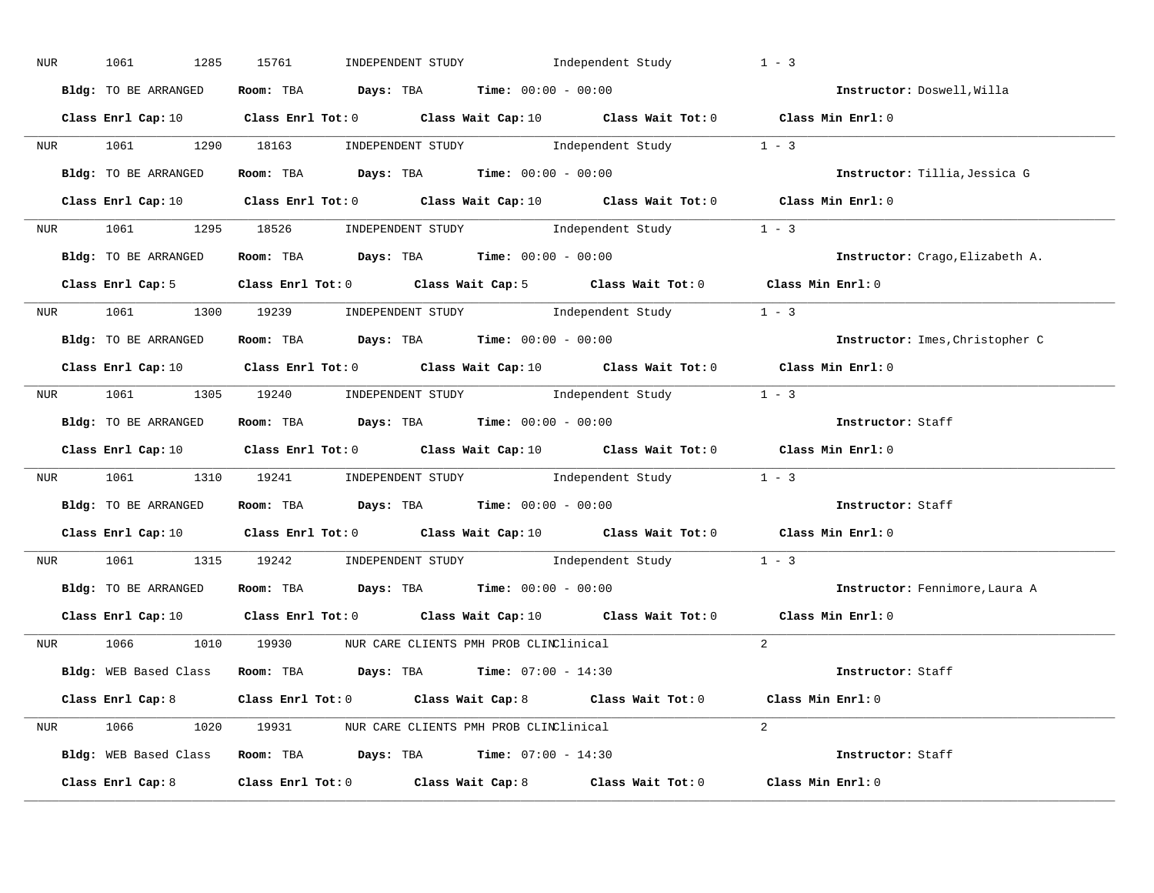| NUR <sub>p</sub> | 1061<br>1285         | INDEPENDENT STUDY 1ndependent Study<br>15761                                                                                    | $1 - 3$                         |
|------------------|----------------------|---------------------------------------------------------------------------------------------------------------------------------|---------------------------------|
|                  | Bldg: TO BE ARRANGED | Room: TBA $Days:$ TBA $Time:$ $00:00 - 00:00$                                                                                   | Instructor: Doswell, Willa      |
|                  |                      | Class Enrl Cap: 10 $\qquad$ Class Enrl Tot: 0 $\qquad$ Class Wait Cap: 10 $\qquad$ Class Wait Tot: 0 $\qquad$ Class Min Enrl: 0 |                                 |
|                  |                      | NUR 1061 1290 18163 INDEPENDENT STUDY Independent Study 1 - 3                                                                   |                                 |
|                  | Bldg: TO BE ARRANGED | Room: TBA $Days:$ TBA Time: $00:00 - 00:00$                                                                                     | Instructor: Tillia, Jessica G   |
|                  |                      | Class Enrl Cap: 10 $\qquad$ Class Enrl Tot: 0 $\qquad$ Class Wait Cap: 10 $\qquad$ Class Wait Tot: 0 $\qquad$ Class Min Enrl: 0 |                                 |
|                  |                      | NUR 1061 1295 18526 INDEPENDENT STUDY Independent Study 1 - 3                                                                   |                                 |
|                  |                      | Bldg: TO BE ARRANGED ROOM: TBA Days: TBA Time: 00:00 - 00:00                                                                    | Instructor: Crago, Elizabeth A. |
|                  |                      | Class Enrl Cap: 5 Class Enrl Tot: 0 Class Wait Cap: 5 Class Wait Tot: 0 Class Min Enrl: 0                                       |                                 |
|                  |                      | NUR 1061 1300 19239 INDEPENDENT STUDY Independent Study 1 - 3                                                                   |                                 |
|                  | Bldg: TO BE ARRANGED | Room: TBA $Days:$ TBA Time: $00:00 - 00:00$                                                                                     | Instructor: Imes, Christopher C |
|                  |                      | Class Enrl Cap: 10 Class Enrl Tot: 0 Class Wait Cap: 10 Class Wait Tot: 0 Class Min Enrl: 0                                     |                                 |
|                  |                      | NUR 1061 1305 19240 INDEPENDENT STUDY Independent Study 1 - 3                                                                   |                                 |
|                  | Bldg: TO BE ARRANGED | Room: TBA Days: TBA Time: $00:00 - 00:00$                                                                                       | Instructor: Staff               |
|                  |                      | Class Enrl Cap: 10 $\qquad$ Class Enrl Tot: 0 $\qquad$ Class Wait Cap: 10 $\qquad$ Class Wait Tot: 0 $\qquad$ Class Min Enrl: 0 |                                 |
|                  |                      | NUR 1061 1310 19241 INDEPENDENT STUDY Independent Study 1 - 3                                                                   |                                 |
|                  |                      | Bldg: TO BE ARRANGED Room: TBA Days: TBA Time: 00:00 - 00:00                                                                    | Instructor: Staff               |
|                  |                      | Class Enrl Cap: 10 $\qquad$ Class Enrl Tot: 0 $\qquad$ Class Wait Cap: 10 $\qquad$ Class Wait Tot: 0 $\qquad$ Class Min Enrl: 0 |                                 |
|                  |                      | NUR 1061 1315 19242 INDEPENDENT STUDY Independent Study 1 - 3                                                                   |                                 |
|                  |                      | Bldg: TO BE ARRANGED Room: TBA Days: TBA Time: 00:00 - 00:00                                                                    | Instructor: Fennimore, Laura A  |
|                  | Class Enrl Cap: 10   | Class Enrl Tot: 0 $\qquad$ Class Wait Cap: 10 $\qquad$ Class Wait Tot: 0 $\qquad$ Class Min Enrl: 0                             |                                 |
|                  |                      | NUR 1066 1010 19930 NUR CARE CLIENTS PMH PROB CLINClinical                                                                      | $2^{1}$                         |
|                  |                      |                                                                                                                                 |                                 |
|                  |                      | Bldg: WEB Based Class Room: TBA Days: TBA Time: 07:00 - 14:30                                                                   | Instructor: Staff               |
|                  |                      | Class Enrl Cap: 8 Class Enrl Tot: 0 Class Wait Cap: 8 Class Wait Tot: 0 Class Min Enrl: 0                                       |                                 |
|                  |                      | NUR 1066 1020 19931 NUR CARE CLIENTS PMH PROB CLINClinical                                                                      | $2^{\circ}$                     |
|                  |                      | Bldg: WEB Based Class Room: TBA Days: TBA Time: 07:00 - 14:30                                                                   | Instructor: Staff               |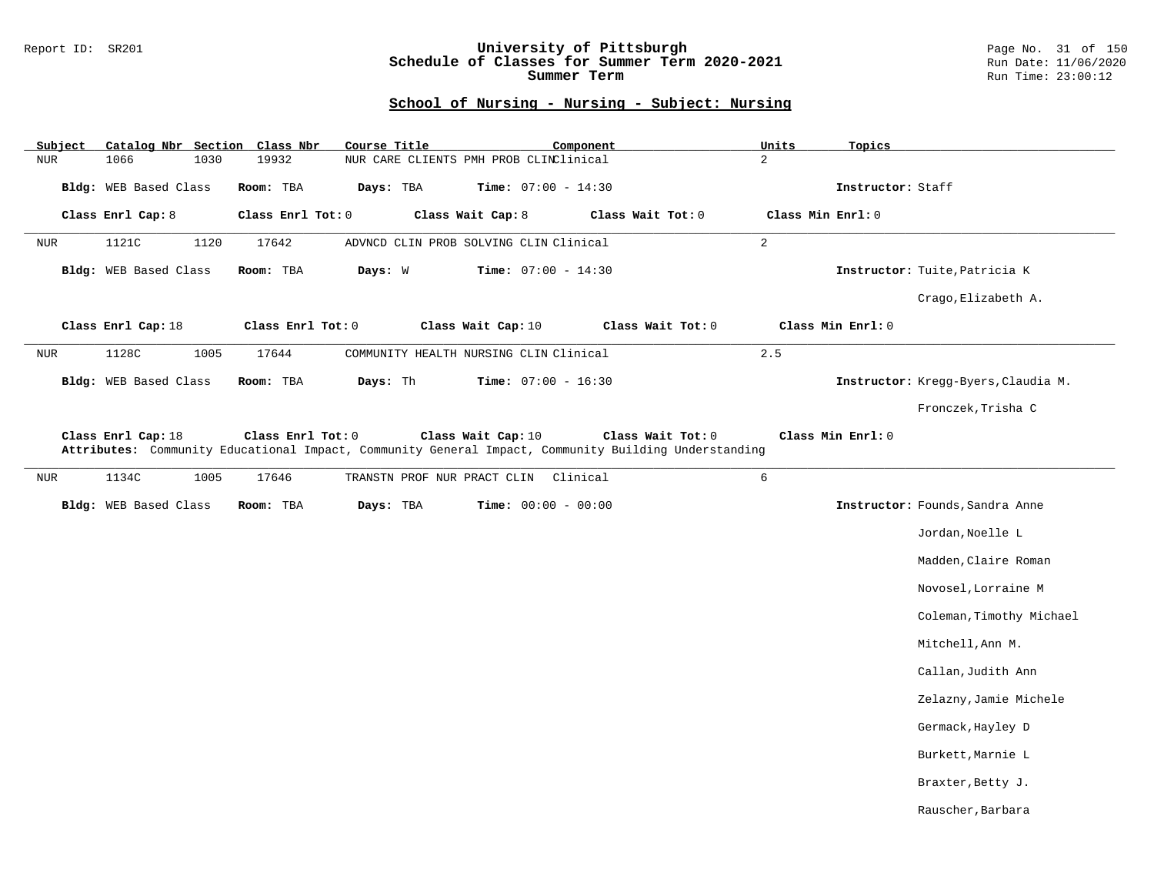### Report ID: SR201 **University of Pittsburgh** Page No. 31 of 150 **Schedule of Classes for Summer Term 2020-2021** Run Date: 11/06/2020 **Summer Term** Run Time: 23:00:12

| Subject    | Catalog Nbr Section Class Nbr |      |                   | Course Title |                                        | Component                    |                                                                                                      | Units          | Topics            |                                     |
|------------|-------------------------------|------|-------------------|--------------|----------------------------------------|------------------------------|------------------------------------------------------------------------------------------------------|----------------|-------------------|-------------------------------------|
| <b>NUR</b> | 1066                          | 1030 | 19932             |              | NUR CARE CLIENTS PMH PROB CLINClinical |                              |                                                                                                      | $\overline{a}$ |                   |                                     |
|            | Bldg: WEB Based Class         |      | Room: TBA         | Days: TBA    |                                        | <b>Time:</b> $07:00 - 14:30$ |                                                                                                      |                | Instructor: Staff |                                     |
|            | Class Enrl Cap: 8             |      | Class Enrl Tot: 0 |              | Class Wait Cap: 8                      |                              | Class Wait Tot: 0                                                                                    |                | Class Min Enrl: 0 |                                     |
| <b>NUR</b> | 1121C                         | 1120 | 17642             |              | ADVNCD CLIN PROB SOLVING CLIN Clinical |                              |                                                                                                      | $\overline{a}$ |                   |                                     |
|            | Bldg: WEB Based Class         |      | Room: TBA         | Days: W      |                                        | <b>Time:</b> $07:00 - 14:30$ |                                                                                                      |                |                   | Instructor: Tuite, Patricia K       |
|            |                               |      |                   |              |                                        |                              |                                                                                                      |                |                   | Crago, Elizabeth A.                 |
|            | Class Enrl Cap: 18            |      | Class Enrl Tot: 0 |              | Class Wait Cap: 10                     |                              | Class Wait Tot: 0                                                                                    |                | Class Min Enrl: 0 |                                     |
| <b>NUR</b> | 1128C                         | 1005 | 17644             |              | COMMUNITY HEALTH NURSING CLIN Clinical |                              |                                                                                                      | 2.5            |                   |                                     |
|            | Bldg: WEB Based Class         |      | Room: TBA         | Days: Th     |                                        | Time: $07:00 - 16:30$        |                                                                                                      |                |                   | Instructor: Kregg-Byers, Claudia M. |
|            |                               |      |                   |              |                                        |                              |                                                                                                      |                |                   | Fronczek, Trisha C                  |
| <b>NUR</b> | 1134C                         | 1005 | 17646             |              | TRANSTN PROF NUR PRACT CLIN            | Clinical                     | Attributes: Community Educational Impact, Community General Impact, Community Building Understanding | $\sqrt{6}$     |                   |                                     |
|            | Bldg: WEB Based Class         |      | Room: TBA         | Days: TBA    |                                        | Time: $00:00 - 00:00$        |                                                                                                      |                |                   | Instructor: Founds, Sandra Anne     |
|            |                               |      |                   |              |                                        |                              |                                                                                                      |                |                   | Jordan, Noelle L                    |
|            |                               |      |                   |              |                                        |                              |                                                                                                      |                |                   | Madden, Claire Roman                |
|            |                               |      |                   |              |                                        |                              |                                                                                                      |                |                   | Novosel, Lorraine M                 |
|            |                               |      |                   |              |                                        |                              |                                                                                                      |                |                   | Coleman, Timothy Michael            |
|            |                               |      |                   |              |                                        |                              |                                                                                                      |                |                   | Mitchell, Ann M.                    |
|            |                               |      |                   |              |                                        |                              |                                                                                                      |                |                   | Callan, Judith Ann                  |
|            |                               |      |                   |              |                                        |                              |                                                                                                      |                |                   | Zelazny, Jamie Michele              |
|            |                               |      |                   |              |                                        |                              |                                                                                                      |                |                   | Germack, Hayley D                   |
|            |                               |      |                   |              |                                        |                              |                                                                                                      |                |                   | Burkett, Marnie L                   |
|            |                               |      |                   |              |                                        |                              |                                                                                                      |                |                   | Braxter, Betty J.                   |
|            |                               |      |                   |              |                                        |                              |                                                                                                      |                |                   | Rauscher, Barbara                   |
|            |                               |      |                   |              |                                        |                              |                                                                                                      |                |                   |                                     |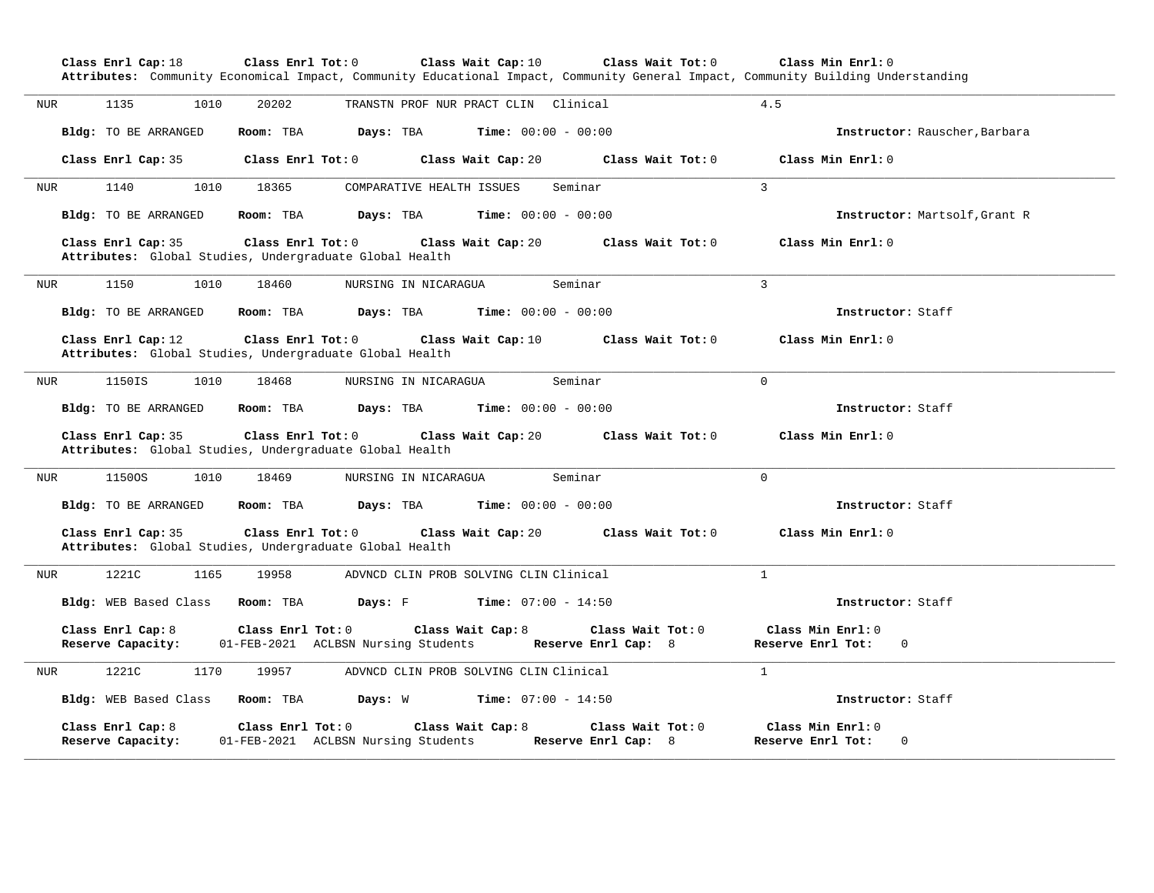|            |                                                                               | Attributes: Community Economical Impact, Community Educational Impact, Community General Impact, Community Building Understanding |                                     |                                        |                                          |                                                       |
|------------|-------------------------------------------------------------------------------|-----------------------------------------------------------------------------------------------------------------------------------|-------------------------------------|----------------------------------------|------------------------------------------|-------------------------------------------------------|
| <b>NUR</b> | 1135<br>1010                                                                  | 20202                                                                                                                             |                                     | TRANSTN PROF NUR PRACT CLIN Clinical   |                                          | 4.5                                                   |
|            | Bldg: TO BE ARRANGED                                                          | Room: TBA                                                                                                                         | Days: TBA                           | <b>Time:</b> $00:00 - 00:00$           |                                          | Instructor: Rauscher, Barbara                         |
|            | Class Enrl Cap: 35                                                            | Class Enrl Tot: 0                                                                                                                 |                                     | Class Wait Cap: 20                     | Class Wait Tot: 0                        | Class Min Enrl: 0                                     |
| <b>NUR</b> | 1140<br>1010                                                                  | 18365                                                                                                                             | COMPARATIVE HEALTH ISSUES           |                                        | Seminar                                  | $\overline{3}$                                        |
|            | Bldg: TO BE ARRANGED                                                          | Room: TBA                                                                                                                         | Days: TBA                           | <b>Time:</b> $00:00 - 00:00$           |                                          | Instructor: Martsolf, Grant R                         |
|            | Class Enrl Cap: 35<br>Attributes: Global Studies, Undergraduate Global Health | Class Enrl Tot: 0                                                                                                                 |                                     | Class Wait Cap: 20                     | Class Wait Tot: 0                        | Class Min Enrl: 0                                     |
| <b>NUR</b> | 1150<br>1010                                                                  | 18460                                                                                                                             | NURSING IN NICARAGUA                |                                        | Seminar                                  | 3                                                     |
|            | Bldg: TO BE ARRANGED                                                          | Room: TBA                                                                                                                         | Days: TBA                           | <b>Time:</b> $00:00 - 00:00$           |                                          | Instructor: Staff                                     |
|            | Class Enrl Cap: 12<br>Attributes: Global Studies, Undergraduate Global Health | Class Enrl Tot: 0                                                                                                                 |                                     | Class Wait Cap: 10                     | Class Wait Tot: 0                        | Class Min Enrl: 0                                     |
|            |                                                                               |                                                                                                                                   |                                     |                                        |                                          |                                                       |
| <b>NUR</b> | 1150IS<br>1010                                                                | 18468                                                                                                                             | NURSING IN NICARAGUA                |                                        | Seminar                                  | $\Omega$                                              |
|            | Bldg: TO BE ARRANGED                                                          | Room: TBA                                                                                                                         | Days: TBA                           | <b>Time:</b> $00:00 - 00:00$           |                                          | Instructor: Staff                                     |
|            | Class Enrl Cap: 35<br>Attributes: Global Studies, Undergraduate Global Health | Class Enrl Tot: 0                                                                                                                 |                                     | Class Wait Cap: 20                     | Class Wait Tot: 0                        | Class Min Enrl: 0                                     |
| NUR        | 11500S<br>1010                                                                | 18469                                                                                                                             | NURSING IN NICARAGUA                |                                        | Seminar                                  | $\Omega$                                              |
|            | Bldg: TO BE ARRANGED                                                          | Room: TBA                                                                                                                         | Days: TBA                           | <b>Time:</b> $00:00 - 00:00$           |                                          | Instructor: Staff                                     |
|            | Class Enrl Cap: 35<br>Attributes: Global Studies, Undergraduate Global Health | Class Enrl Tot: 0                                                                                                                 |                                     | Class Wait Cap: 20                     | Class Wait Tot: 0                        | Class Min Enrl: 0                                     |
|            | 1221C<br>1165                                                                 | 19958                                                                                                                             |                                     | ADVNCD CLIN PROB SOLVING CLIN Clinical |                                          | $\mathbf{1}$                                          |
| <b>NUR</b> | Bldg: WEB Based Class                                                         | Room: TBA                                                                                                                         | Days: F                             | <b>Time:</b> $07:00 - 14:50$           |                                          | Instructor: Staff                                     |
|            | Class Enrl Cap: 8<br>Reserve Capacity:                                        | Class Enrl Tot: 0                                                                                                                 | 01-FEB-2021 ACLBSN Nursing Students | Class Wait Cap: 8                      | Class Wait Tot: 0<br>Reserve Enrl Cap: 8 | Class Min Enrl: 0<br>Reserve Enrl Tot:<br>$\mathbf 0$ |
|            | 1221C<br>1170                                                                 | 19957                                                                                                                             |                                     | ADVNCD CLIN PROB SOLVING CLIN Clinical |                                          | $\mathbf{1}$                                          |
| <b>NUR</b> | Bldg: WEB Based Class                                                         | Room: TBA                                                                                                                         | Days: W                             | <b>Time:</b> $07:00 - 14:50$           |                                          | Instructor: Staff                                     |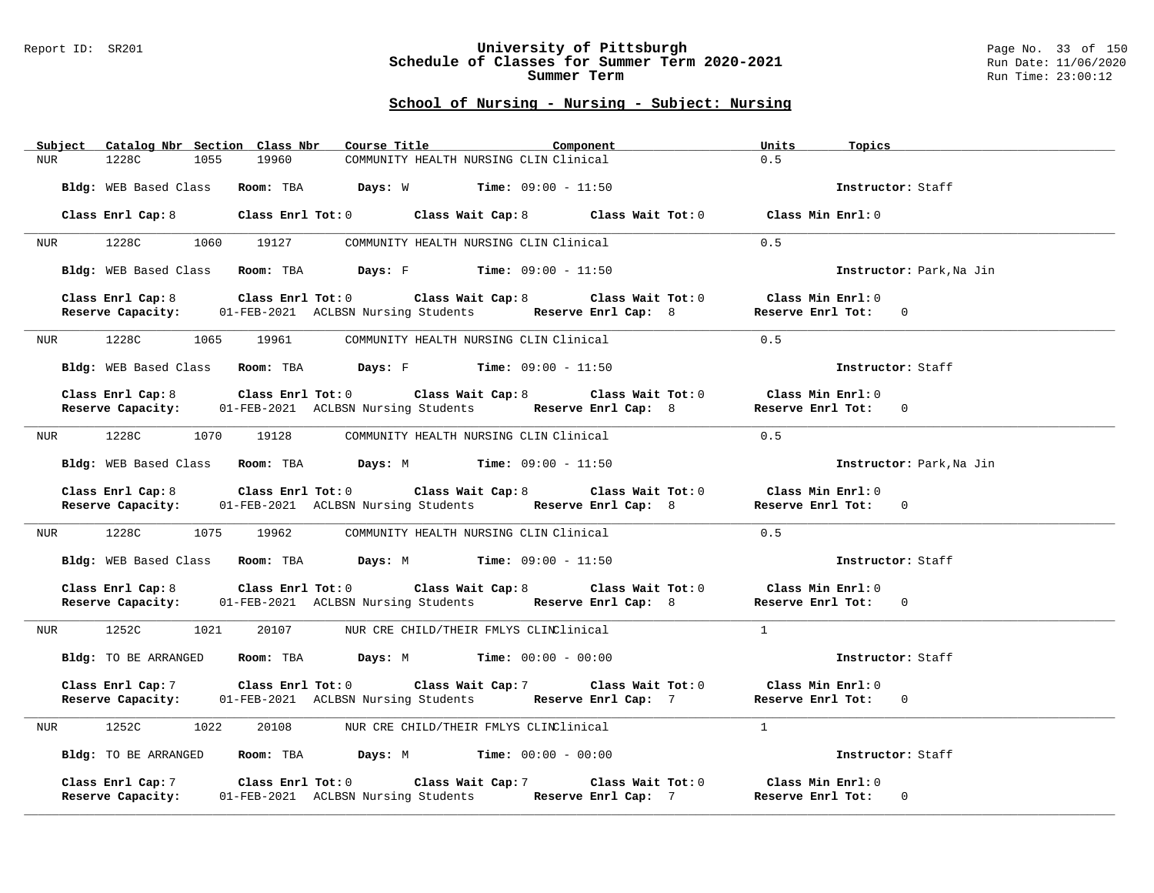### Report ID: SR201 **University of Pittsburgh** Page No. 33 of 150 **Schedule of Classes for Summer Term 2020-2021** Run Date: 11/06/2020 **Summer Term** Run Time: 23:00:12

|                  | Subject Catalog Nbr Section Class Nbr |      |                     | Course Title                                                                                                                                         |                                        | Component |  | Units               | Topics                   |
|------------------|---------------------------------------|------|---------------------|------------------------------------------------------------------------------------------------------------------------------------------------------|----------------------------------------|-----------|--|---------------------|--------------------------|
| NUR              | 1228C                                 | 1055 | 19960               |                                                                                                                                                      | COMMUNITY HEALTH NURSING CLIN Clinical |           |  | 0.5                 |                          |
|                  |                                       |      |                     | Bldg: WEB Based Class Room: TBA Days: W Time: 09:00 - 11:50                                                                                          |                                        |           |  |                     | Instructor: Staff        |
|                  |                                       |      |                     | Class Enrl Cap: 8 Class Enrl Tot: 0 Class Wait Cap: 8 Class Wait Tot: 0 Class Min Enrl: 0                                                            |                                        |           |  |                     |                          |
| NUR <sub>i</sub> | 1228C                                 |      | 1060 19127          |                                                                                                                                                      | COMMUNITY HEALTH NURSING CLIN Clinical |           |  | 0.5                 |                          |
|                  |                                       |      |                     | Bldg: WEB Based Class Room: TBA Days: F Time: 09:00 - 11:50                                                                                          |                                        |           |  |                     | Instructor: Park, Na Jin |
|                  |                                       |      |                     | Class Enrl Cap: 8 Class Enrl Tot: 0 Class Wait Cap: 8 Class Wait Tot: 0 Class Min Enrl: 0                                                            |                                        |           |  |                     |                          |
|                  |                                       |      |                     | Reserve Capacity: 01-FEB-2021 ACLBSN Nursing Students Reserve Enrl Cap: 8 Reserve Enrl Tot: 0                                                        |                                        |           |  |                     |                          |
| NUR              | 1228C                                 | 1065 | 19961               |                                                                                                                                                      | COMMUNITY HEALTH NURSING CLIN Clinical |           |  | 0.5                 |                          |
|                  |                                       |      |                     | Bldg: WEB Based Class Room: TBA Days: F Time: 09:00 - 11:50                                                                                          |                                        |           |  |                     | Instructor: Staff        |
|                  |                                       |      |                     | Class Enrl Cap: 8 Class Enrl Tot: 0 Class Wait Cap: 8 Class Wait Tot: 0                                                                              |                                        |           |  | Class Min $Enr1:0$  |                          |
|                  | Reserve Capacity:                     |      |                     | 01-FEB-2021 ACLBSN Nursing Students Reserve Enrl Cap: 8                                                                                              |                                        |           |  | Reserve Enrl Tot: 0 |                          |
|                  |                                       |      |                     |                                                                                                                                                      |                                        |           |  |                     |                          |
|                  | NUR 1228C                             |      | 1070 19128          |                                                                                                                                                      | COMMUNITY HEALTH NURSING CLIN Clinical |           |  | 0.5                 |                          |
|                  |                                       |      |                     | Bldg: WEB Based Class Room: TBA Days: M Time: 09:00 - 11:50                                                                                          |                                        |           |  |                     | Instructor: Park, Na Jin |
|                  |                                       |      |                     | Class Enrl Cap: 8 Class Enrl Tot: 0 Class Wait Cap: 8 Class Wait Tot: 0<br>Reserve Capacity: 01-FEB-2021 ACLBSN Nursing Students Reserve Enrl Cap: 8 |                                        |           |  | Class Min Enrl: 0   |                          |
|                  |                                       |      |                     | 01-FEB-2021 ACLBSN Nursing Students Reserve Enrl Cap: 8                                                                                              |                                        |           |  | Reserve Enrl Tot: 0 |                          |
|                  | NUR 1228C 1075 19962                  |      |                     |                                                                                                                                                      | COMMUNITY HEALTH NURSING CLIN Clinical |           |  | 0.5                 |                          |
|                  |                                       |      |                     | Bldg: WEB Based Class Room: TBA Days: M Time: 09:00 - 11:50                                                                                          |                                        |           |  |                     | Instructor: Staff        |
|                  |                                       |      |                     | Class Enrl Cap: 8 Class Enrl Tot: 0 Class Wait Cap: 8 Class Wait Tot: 0 Class Min Enrl: 0                                                            |                                        |           |  |                     |                          |
|                  |                                       |      |                     | Reserve Capacity: 01-FEB-2021 ACLBSN Nursing Students Reserve Enrl Cap: 8                                                                            |                                        |           |  | Reserve Enrl Tot: 0 |                          |
| NUR              | 1252C                                 | 1021 | 20107               |                                                                                                                                                      | NUR CRE CHILD/THEIR FMLYS CLINClinical |           |  | $\mathbf{1}$        |                          |
|                  | Bldg: TO BE ARRANGED                  |      |                     | Room: TBA $Days: M$ Time: $00:00 - 00:00$                                                                                                            |                                        |           |  |                     | Instructor: Staff        |
|                  | Class Enrl Cap: 7                     |      |                     | Class Enrl Tot: 0 Class Wait Cap: 7 Class Wait Tot: 0                                                                                                |                                        |           |  | Class Min Enrl: 0   |                          |
|                  | Reserve Capacity:                     |      |                     | 01-FEB-2021 ACLBSN Nursing Students Reserve Enrl Cap: 7                                                                                              |                                        |           |  | Reserve Enrl Tot: 0 |                          |
|                  |                                       |      |                     |                                                                                                                                                      |                                        |           |  | $\overline{1}$      |                          |
|                  | NUR 1252C                             | 1022 |                     | 20108 NUR CRE CHILD/THEIR FMLYS CLINClinical                                                                                                         |                                        |           |  |                     |                          |
|                  |                                       |      |                     | Bldg: TO BE ARRANGED Room: TBA Days: M Time: 00:00 - 00:00                                                                                           |                                        |           |  |                     | Instructor: Staff        |
|                  | Class Enrl Cap: 7                     |      | Class Enrl Tot: $0$ |                                                                                                                                                      | Class Wait Cap: 7 Class Wait Tot: 0    |           |  | Class Min Enrl: 0   |                          |
|                  | Reserve Capacity:                     |      |                     | 01-FEB-2021 ACLBSN Nursing Students Reserve Enrl Cap: 7                                                                                              |                                        |           |  | Reserve Enrl Tot: 0 |                          |
|                  |                                       |      |                     |                                                                                                                                                      |                                        |           |  |                     |                          |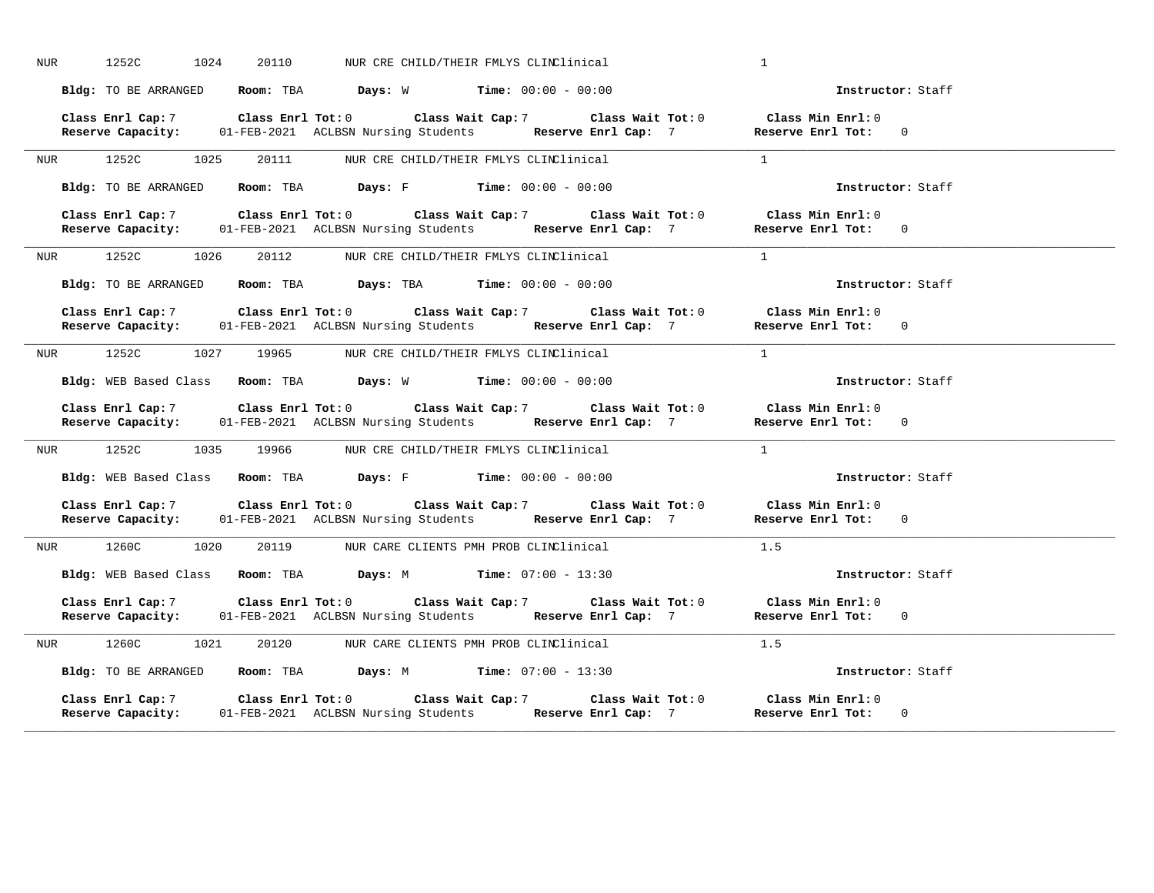| NUR | 1252C                | 1024 | 20110                                                       | NUR CRE CHILD/THEIR FMLYS CLINClinical |                                                                                                                                                                                 | $\mathbf{1}$   |                                                                                               |  |
|-----|----------------------|------|-------------------------------------------------------------|----------------------------------------|---------------------------------------------------------------------------------------------------------------------------------------------------------------------------------|----------------|-----------------------------------------------------------------------------------------------|--|
|     | Bldg: TO BE ARRANGED |      | <b>Room:</b> TBA <b>Days:</b> W <b>Time:</b> 00:00 - 00:00  |                                        |                                                                                                                                                                                 |                | Instructor: Staff                                                                             |  |
|     | Class Enrl Cap: 7    |      |                                                             |                                        | Class Enrl Tot: $0$ Class Wait Cap: 7 Class Wait Tot: $0$ Class Min Enrl: $0$                                                                                                   |                | Reserve Capacity: 01-FEB-2021 ACLBSN Nursing Students Reserve Enrl Cap: 7 Reserve Enrl Tot: 0 |  |
|     | NUR 1252C 1025       |      | 20111 NUR CRE CHILD/THEIR FMLYS CLINClinical                |                                        |                                                                                                                                                                                 | $\mathbf{1}$   |                                                                                               |  |
|     |                      |      | Bldg: TO BE ARRANGED Room: TBA Days: F Time: 00:00 - 00:00  |                                        |                                                                                                                                                                                 |                | Instructor: Staff                                                                             |  |
|     |                      |      |                                                             |                                        | Class Enrl Cap: 7 Class Enrl Tot: 0 Class Wait Cap: 7 Class Wait Tot: 0<br>Reserve Capacity: 01-FEB-2021 ACLBSN Nursing Students Reserve Enrl Cap: 7                            |                | Class Min Enrl: 0<br>Reserve Enrl Tot: 0                                                      |  |
|     |                      |      | NUR 1252C 1026 20112 NUR CRE CHILD/THEIR FMLYS CLINClinical |                                        |                                                                                                                                                                                 | $\overline{1}$ |                                                                                               |  |
|     | Bldg: TO BE ARRANGED |      | Room: TBA $Days:$ TBA $Time: 00:00 - 00:00$                 |                                        |                                                                                                                                                                                 |                | Instructor: Staff                                                                             |  |
|     |                      |      |                                                             |                                        | Class Enrl Cap: 7 $\qquad$ Class Enrl Tot: 0 $\qquad$ Class Wait Cap: 7 $\qquad$ Class Wait Tot: 0<br>Reserve Capacity: 01-FEB-2021 ACLBSN Nursing Students Reserve Enrl Cap: 7 |                | Class Min Enrl: 0<br>Reserve Enrl Tot: 0                                                      |  |
|     | NUR 1252C            |      | 1027 19965 NUR CRE CHILD/THEIR FMLYS CLINClinical           |                                        |                                                                                                                                                                                 | $\overline{1}$ |                                                                                               |  |
|     |                      |      | Bldg: WEB Based Class Room: TBA Days: W Time: 00:00 - 00:00 |                                        |                                                                                                                                                                                 |                | Instructor: Staff                                                                             |  |
|     | Reserve Capacity:    |      |                                                             |                                        | Class Enrl Cap: 7 Class Enrl Tot: 0 Class Wait Cap: 7 Class Wait Tot: 0<br>01-FEB-2021 ACLBSN Nursing Students Reserve Enrl Cap: 7                                              |                | Class Min Enrl: 0<br>Reserve Enrl Tot: 0                                                      |  |
|     |                      |      | NUR 1252C 1035 19966 NUR CRE CHILD/THEIR FMLYS CLINClinical |                                        |                                                                                                                                                                                 | $\overline{1}$ |                                                                                               |  |
|     |                      |      | Bldg: WEB Based Class Room: TBA Days: F Time: 00:00 - 00:00 |                                        |                                                                                                                                                                                 |                | Instructor: Staff                                                                             |  |
|     | Class Enrl Cap: 7    |      |                                                             |                                        | Class Enrl Tot: $0$ Class Wait Cap: $7$ Class Wait Tot: $0$ Class Min Enrl: $0$                                                                                                 |                | Reserve Capacity: 01-FEB-2021 ACLBSN Nursing Students Reserve Enrl Cap: 7 Reserve Enrl Tot: 0 |  |
| NUR | 1260C                | 1020 | 20119 MUR CARE CLIENTS PMH PROB CLINClinical                |                                        |                                                                                                                                                                                 | 1.5            |                                                                                               |  |
|     |                      |      | Bldg: WEB Based Class Room: TBA Days: M Time: 07:00 - 13:30 |                                        |                                                                                                                                                                                 |                | Instructor: Staff                                                                             |  |
|     |                      |      |                                                             |                                        | Class Enrl Cap: 7 Class Enrl Tot: 0 Class Wait Cap: 7 Class Wait Tot: 0<br>Reserve Capacity: 01-FEB-2021 ACLBSN Nursing Students Reserve Enrl Cap: 7                            |                | Class Min Enrl: 0<br>Reserve Enrl Tot: 0                                                      |  |
|     | NUR 1260C 1021       |      | 20120 NUR CARE CLIENTS PMH PROB CLINClinical                |                                        |                                                                                                                                                                                 | 1.5            |                                                                                               |  |
|     |                      |      | Bldg: TO BE ARRANGED Room: TBA Days: M Time: 07:00 - 13:30  |                                        |                                                                                                                                                                                 |                | Instructor: Staff                                                                             |  |
|     | Class Enrl Cap: 7    |      | $\texttt{Class}$ $\texttt{Enrl}$ $\texttt{Tot:}$ $0$        | Class Wait Cap: 7                      | Class Wait Tot: 0<br>Reserve Capacity: 01-FEB-2021 ACLBSN Nursing Students Reserve Enrl Cap: 7                                                                                  |                | Class Min Enrl: 0<br>Reserve Enrl Tot: 0                                                      |  |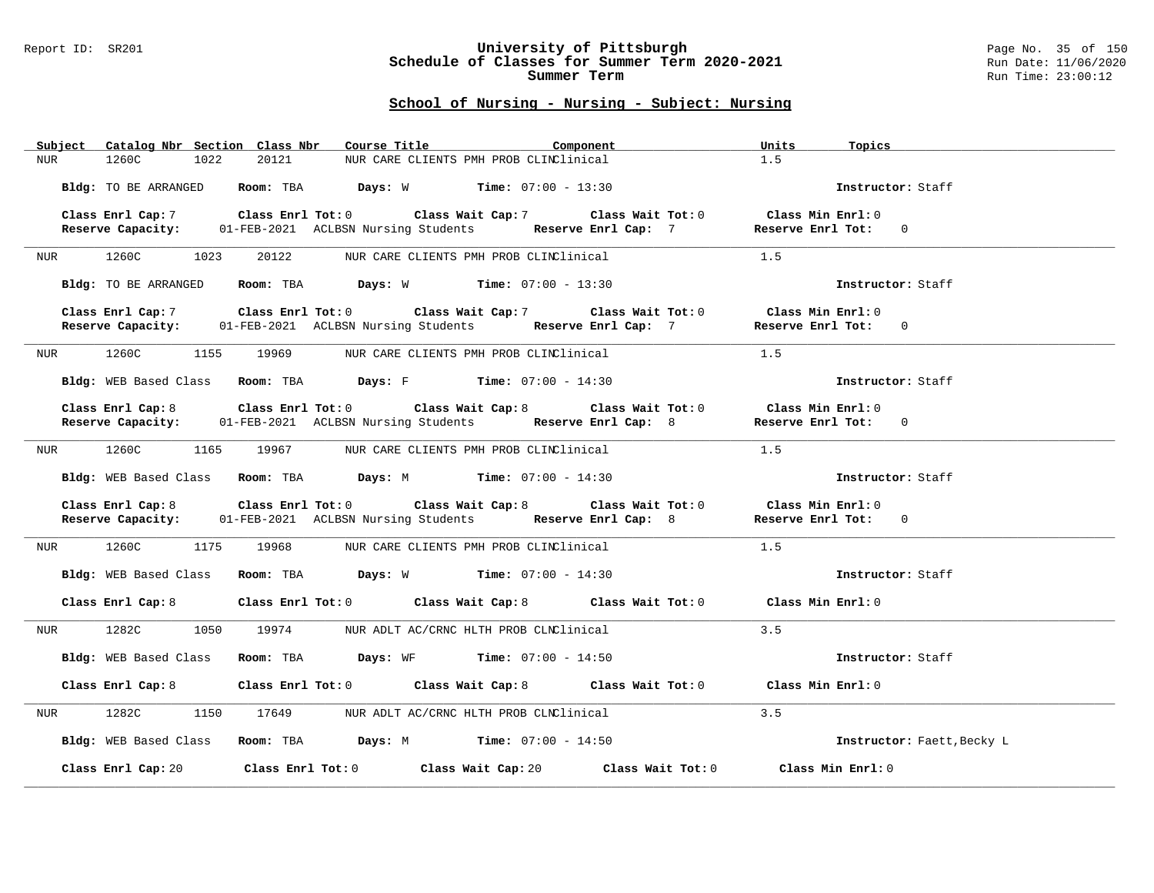### Report ID: SR201 **University of Pittsburgh** Page No. 35 of 150 **Schedule of Classes for Summer Term 2020-2021** Run Date: 11/06/2020 **Summer Term** Run Time: 23:00:12

| Subject Catalog Nbr Section Class Nbr | Course Title <b>Source Search</b><br>Component                                                                                                       | Units<br>Topics                           |
|---------------------------------------|------------------------------------------------------------------------------------------------------------------------------------------------------|-------------------------------------------|
| 1260C<br>1022<br><b>NUR</b>           | 20121<br>NUR CARE CLIENTS PMH PROB CLINClinical                                                                                                      | 1.5                                       |
|                                       | Bldg: TO BE ARRANGED ROOM: TBA Days: W Time: 07:00 - 13:30                                                                                           | Instructor: Staff                         |
| Class Enrl Cap: 7                     | Class Enrl Tot: 0 Class Wait Cap: 7 Class Wait Tot: 0                                                                                                | $\texttt{Class Min}$ $\texttt{Enrl:}$ $0$ |
| Reserve Capacity:                     | 01-FEB-2021 ACLBSN Nursing Students Reserve Enrl Cap: 7                                                                                              | Reserve Enrl Tot: 0                       |
| NUR 1260C 1023                        | 20122 NUR CARE CLIENTS PMH PROB CLINClinical                                                                                                         | 1.5                                       |
| Bldg: TO BE ARRANGED                  | <b>Room:</b> TBA <b>Days:</b> W <b>Time:</b> 07:00 - 13:30                                                                                           | Instructor: Staff                         |
|                                       | Class Enrl Cap: 7 (Class Enrl Tot: 0 (Class Wait Cap: 7 (Class Wait Tot: 0                                                                           | Class Min Enrl: 0                         |
|                                       | Reserve Capacity: 01-FEB-2021 ACLBSN Nursing Students Reserve Enrl Cap: 7                                                                            | Reserve Enrl Tot: 0                       |
|                                       | NUR 1260C 1155 19969 NUR CARE CLIENTS PMH PROB CLINClinical                                                                                          | 1.5                                       |
|                                       | Bldg: WEB Based Class Room: TBA Days: F Time: 07:00 - 14:30                                                                                          | Instructor: Staff                         |
|                                       | Class Enrl Cap: 8 Class Enrl Tot: 0 Class Wait Cap: 8 Class Wait Tot: 0                                                                              | Class Min $Enr1:0$                        |
|                                       | Reserve Capacity: 01-FEB-2021 ACLBSN Nursing Students Reserve Enrl Cap: 8                                                                            | Reserve Enrl Tot: 0                       |
|                                       | NUR 1260C 1165 19967 NUR CARE CLIENTS PMH PROB CLINClinical                                                                                          | 1.5                                       |
|                                       | Bldg: WEB Based Class Room: TBA Days: M Time: 07:00 - 14:30                                                                                          | Instructor: Staff                         |
|                                       | Class Enrl Cap: 8 Class Enrl Tot: 0 Class Wait Cap: 8 Class Wait Tot: 0<br>Reserve Capacity: 01-FEB-2021 ACLBSN Nursing Students Reserve Enrl Cap: 8 | Class Min $Enr1:0$<br>Reserve Enrl Tot: 0 |
| NUR 1260C 1175 19968                  | NUR CARE CLIENTS PMH PROB CLINClinical                                                                                                               | 1.5                                       |
|                                       | Bldg: WEB Based Class Room: TBA Days: W Time: 07:00 - 14:30                                                                                          | Instructor: Staff                         |
|                                       | Class Enrl Cap: 8 Class Enrl Tot: 0 Class Wait Cap: 8 Class Wait Tot: 0                                                                              | Class Min Enrl: 0                         |
| 1282C<br>1050<br>NUR                  | 19974<br>NUR ADLT AC/CRNC HLTH PROB CLNClinical                                                                                                      | 3.5                                       |
|                                       | Bldg: WEB Based Class Room: TBA Days: WF Time: 07:00 - 14:50                                                                                         | Instructor: Staff                         |
|                                       | Class Enrl Cap: 8 Class Enrl Tot: 0 Class Wait Cap: 8 Class Wait Tot: 0 Class Min Enrl: 0                                                            |                                           |
| 1282C<br>NUR <sub>p</sub>             | 1150 17649 NUR ADLT AC/CRNC HLTH PROB CLNClinical                                                                                                    | 3.5                                       |
|                                       | Bldg: WEB Based Class Room: TBA Days: M Time: 07:00 - 14:50                                                                                          | Instructor: Faett, Becky L                |
|                                       | Class Enrl Cap: 20 Class Enrl Tot: 0 Class Wait Cap: 20<br>Class Wait Tot: 0                                                                         | Class Min Enrl: 0                         |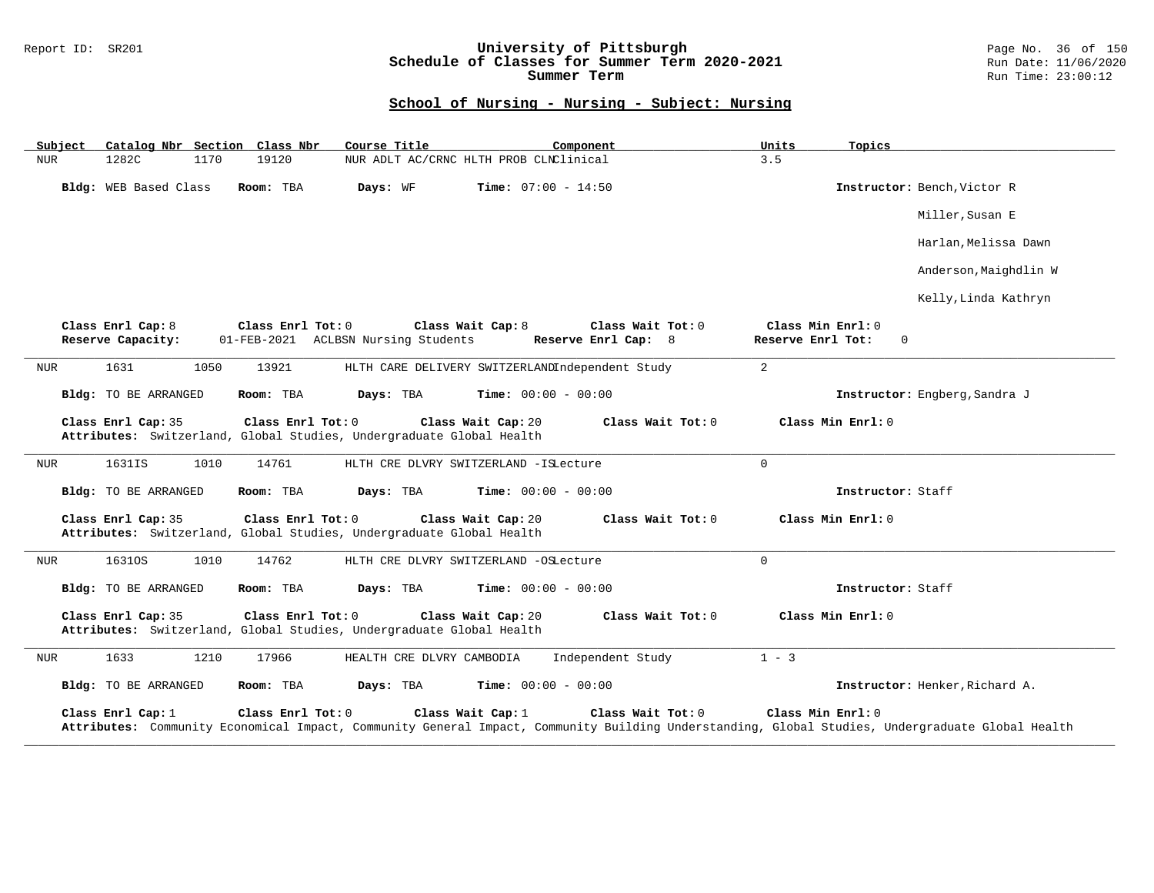### Report ID: SR201 **University of Pittsburgh** Page No. 36 of 150 **Schedule of Classes for Summer Term 2020-2021** Run Date: 11/06/2020 **Summer Term** Run Time: 23:00:12

| Subject                                                                                                                                                                                                                                                   |                                                                                | Catalog Nbr Section Class Nbr            | Course Title                                                         | Component                                                     | Units                                  | Topics                         |  |
|-----------------------------------------------------------------------------------------------------------------------------------------------------------------------------------------------------------------------------------------------------------|--------------------------------------------------------------------------------|------------------------------------------|----------------------------------------------------------------------|---------------------------------------------------------------|----------------------------------------|--------------------------------|--|
| <b>NUR</b><br>1282C                                                                                                                                                                                                                                       | 1170                                                                           | 19120                                    |                                                                      | NUR ADLT AC/CRNC HLTH PROB CLNClinical                        | 3.5                                    |                                |  |
| Bldg: WEB Based Class<br>Room: TBA                                                                                                                                                                                                                        |                                                                                | <b>Time:</b> $07:00 - 14:50$<br>Days: WF |                                                                      | Instructor: Bench, Victor R                                   |                                        |                                |  |
|                                                                                                                                                                                                                                                           |                                                                                |                                          |                                                                      |                                                               |                                        | Miller, Susan E                |  |
|                                                                                                                                                                                                                                                           |                                                                                |                                          |                                                                      |                                                               |                                        | Harlan, Melissa Dawn           |  |
|                                                                                                                                                                                                                                                           |                                                                                |                                          |                                                                      |                                                               |                                        | Anderson, Maighdlin W          |  |
|                                                                                                                                                                                                                                                           |                                                                                |                                          |                                                                      |                                                               |                                        | Kelly, Linda Kathryn           |  |
| Class Enrl Cap: 8<br>Reserve Capacity:                                                                                                                                                                                                                    |                                                                                | Class Enrl Tot: 0                        | 01-FEB-2021 ACLBSN Nursing Students                                  | Class Wait Cap: 8<br>Class Wait Tot: 0<br>Reserve Enrl Cap: 8 | Class Min Enrl: 0<br>Reserve Enrl Tot: | 0                              |  |
| 1631<br><b>NUR</b>                                                                                                                                                                                                                                        | 1050                                                                           | 13921                                    |                                                                      | HLTH CARE DELIVERY SWITZERLANDIndependent Study               | 2                                      |                                |  |
|                                                                                                                                                                                                                                                           | Bldg: TO BE ARRANGED<br>Room: TBA<br>Days: TBA<br><b>Time:</b> $00:00 - 00:00$ |                                          |                                                                      |                                                               |                                        | Instructor: Engberg, Sandra J  |  |
| Class Enrl Cap: 35                                                                                                                                                                                                                                        |                                                                                | Class Enrl Tot: 0                        | Attributes: Switzerland, Global Studies, Undergraduate Global Health | Class Wait Cap: 20<br>Class Wait Tot: 0                       | Class Min Enrl: 0                      |                                |  |
| 1631IS<br><b>NUR</b>                                                                                                                                                                                                                                      | 1010                                                                           | 14761                                    |                                                                      | HLTH CRE DLVRY SWITZERLAND - ISLecture                        | $\mathbf 0$                            |                                |  |
|                                                                                                                                                                                                                                                           | Bldg: TO BE ARRANGED<br>Room: TBA<br>Days: TBA<br><b>Time:</b> $00:00 - 00:00$ |                                          |                                                                      |                                                               | Instructor: Staff                      |                                |  |
| Class Enrl Tot: 0<br>Class Wait Cap: 20<br>Class Wait Tot: 0<br>Class Min Enrl: 0<br>Class Enrl Cap: 35<br>Attributes: Switzerland, Global Studies, Undergraduate Global Health                                                                           |                                                                                |                                          |                                                                      |                                                               |                                        |                                |  |
| 16310S<br><b>NUR</b>                                                                                                                                                                                                                                      | 1010                                                                           | 14762                                    |                                                                      | HLTH CRE DLVRY SWITZERLAND -OSLecture                         | $\mathbf 0$                            |                                |  |
| Bldg: TO BE ARRANGED                                                                                                                                                                                                                                      |                                                                                | Room: TBA                                | Days: TBA                                                            | <b>Time:</b> $00:00 - 00:00$                                  |                                        | Instructor: Staff              |  |
| Class Enrl Cap: 35                                                                                                                                                                                                                                        |                                                                                | Class Enrl Tot: 0                        | Attributes: Switzerland, Global Studies, Undergraduate Global Health | Class Wait Cap: 20<br>Class Wait $Tot: 0$                     | Class Min Enrl: 0                      |                                |  |
| 1633<br>NUR                                                                                                                                                                                                                                               | 1210                                                                           | 17966                                    | HEALTH CRE DLVRY CAMBODIA                                            | Independent Study                                             | $1 - 3$                                |                                |  |
| Bldg: TO BE ARRANGED                                                                                                                                                                                                                                      |                                                                                | Room: TBA                                | Days: TBA                                                            | <b>Time:</b> $00:00 - 00:00$                                  |                                        | Instructor: Henker, Richard A. |  |
| Class Wait Cap: 1<br>Class Wait Tot: 0<br>Class Min Enrl: 0<br>Class Enrl Cap: 1<br>Class Enrl Tot: 0<br>Attributes: Community Economical Impact, Community General Impact, Community Building Understanding, Global Studies, Undergraduate Global Health |                                                                                |                                          |                                                                      |                                                               |                                        |                                |  |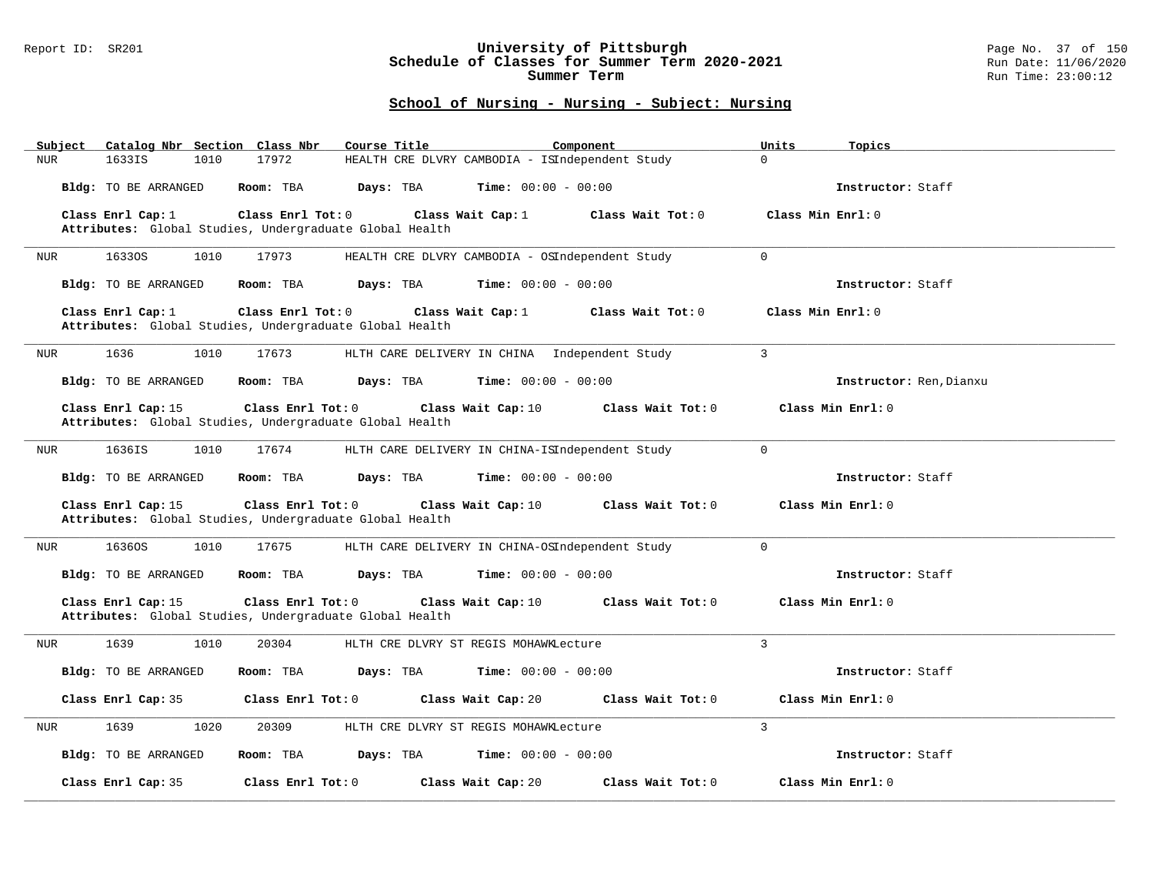### Report ID: SR201 **University of Pittsburgh** Page No. 37 of 150 **Schedule of Classes for Summer Term 2020-2021** Run Date: 11/06/2020 **Summer Term** Run Time: 23:00:12

| Subject Catalog Nbr Section Class Nbr | Course Title                                                                                      | Component                                       | Units<br>Topics         |
|---------------------------------------|---------------------------------------------------------------------------------------------------|-------------------------------------------------|-------------------------|
| 1633IS<br><b>NUR</b><br>1010          | 17972                                                                                             | HEALTH CRE DLVRY CAMBODIA - ISIndependent Study | $\Omega$                |
| Bldg: TO BE ARRANGED                  | Room: TBA<br>Days: TBA                                                                            | <b>Time:</b> $00:00 - 00:00$                    | Instructor: Staff       |
| Class Enrl Cap: 1                     | Class Enrl Tot: 0<br>Class Wait Cap: $1$                                                          | Class Wait Tot: 0                               | Class Min Enrl: 0       |
|                                       | Attributes: Global Studies, Undergraduate Global Health                                           |                                                 |                         |
| 16330S<br>NUR<br>1010                 | 17973                                                                                             | HEALTH CRE DLVRY CAMBODIA - OSIndependent Study | $\Omega$                |
| <b>Bldg:</b> TO BE ARRANGED           | Room: TBA<br>Days: TBA                                                                            | Time: $00:00 - 00:00$                           | Instructor: Staff       |
| Class Enrl Cap: 1                     | Class Enrl Tot: 0<br>Class Wait Cap: 1<br>Attributes: Global Studies, Undergraduate Global Health | Class Wait Tot: 0                               | Class Min Enrl: 0       |
|                                       |                                                                                                   |                                                 |                         |
| 1636<br>1010<br>NUR                   | 17673                                                                                             | HLTH CARE DELIVERY IN CHINA Independent Study   | $\mathbf{3}$            |
| Bldg: TO BE ARRANGED                  | Days: TBA<br>Room: TBA                                                                            | <b>Time:</b> $00:00 - 00:00$                    | Instructor: Ren, Dianxu |
| Class Enrl Cap: 15                    | $Class$ $Enrl$ $Tot: 0$                                                                           | Class Wait Cap: 10<br>Class Wait Tot: 0         | Class Min Enrl: 0       |
|                                       | Attributes: Global Studies, Undergraduate Global Health                                           |                                                 |                         |
| 1636IS<br>1010<br>NUR                 | 17674                                                                                             | HLTH CARE DELIVERY IN CHINA-ISIndependent Study | $\Omega$                |
| Bldg: TO BE ARRANGED                  | Room: TBA<br>Days: TBA                                                                            | <b>Time:</b> $00:00 - 00:00$                    | Instructor: Staff       |
|                                       |                                                                                                   |                                                 |                         |
| Class Enrl Cap: 15                    | Class Enrl Tot: 0<br>Attributes: Global Studies, Undergraduate Global Health                      | Class Wait Cap: 10<br>Class Wait Tot: 0         | Class Min Enrl: 0       |
| 16360S<br>1010<br>NUR                 | 17675                                                                                             | HLTH CARE DELIVERY IN CHINA-OSIndependent Study | $\mathbf 0$             |
| Bldg: TO BE ARRANGED                  | Room: TBA<br>Days: TBA                                                                            | $Time: 00:00 - 00:00$                           | Instructor: Staff       |
| Class Enrl Cap: 15                    | Class Enrl Tot: 0                                                                                 | Class Wait Cap: 10<br>Class Wait Tot: 0         | Class Min Enrl: 0       |
|                                       | Attributes: Global Studies, Undergraduate Global Health                                           |                                                 |                         |
| 1639<br>1010<br>NUR                   | 20304<br>HLTH CRE DLVRY ST REGIS MOHAWKLecture                                                    |                                                 | 3                       |
| Bldg: TO BE ARRANGED                  | Room: TBA<br>Days: TBA                                                                            | $Time: 00:00 - 00:00$                           | Instructor: Staff       |
| Class Enrl Cap: 35                    | Class Enrl Tot: 0                                                                                 | Class Wait Cap: 20<br>Class Wait Tot: 0         | Class Min Enrl: 0       |
| 1639<br>1020<br>NUR                   | 20309<br>HLTH CRE DLVRY ST REGIS MOHAWKLecture                                                    |                                                 | $\overline{3}$          |
| Bldg: TO BE ARRANGED                  | Room: TBA<br>Days: TBA                                                                            | <b>Time:</b> $00:00 - 00:00$                    | Instructor: Staff       |
| Class Enrl Cap: 35                    | Class Enrl Tot: 0                                                                                 | Class Wait Cap: 20<br>Class Wait Tot: 0         | Class Min Enrl: 0       |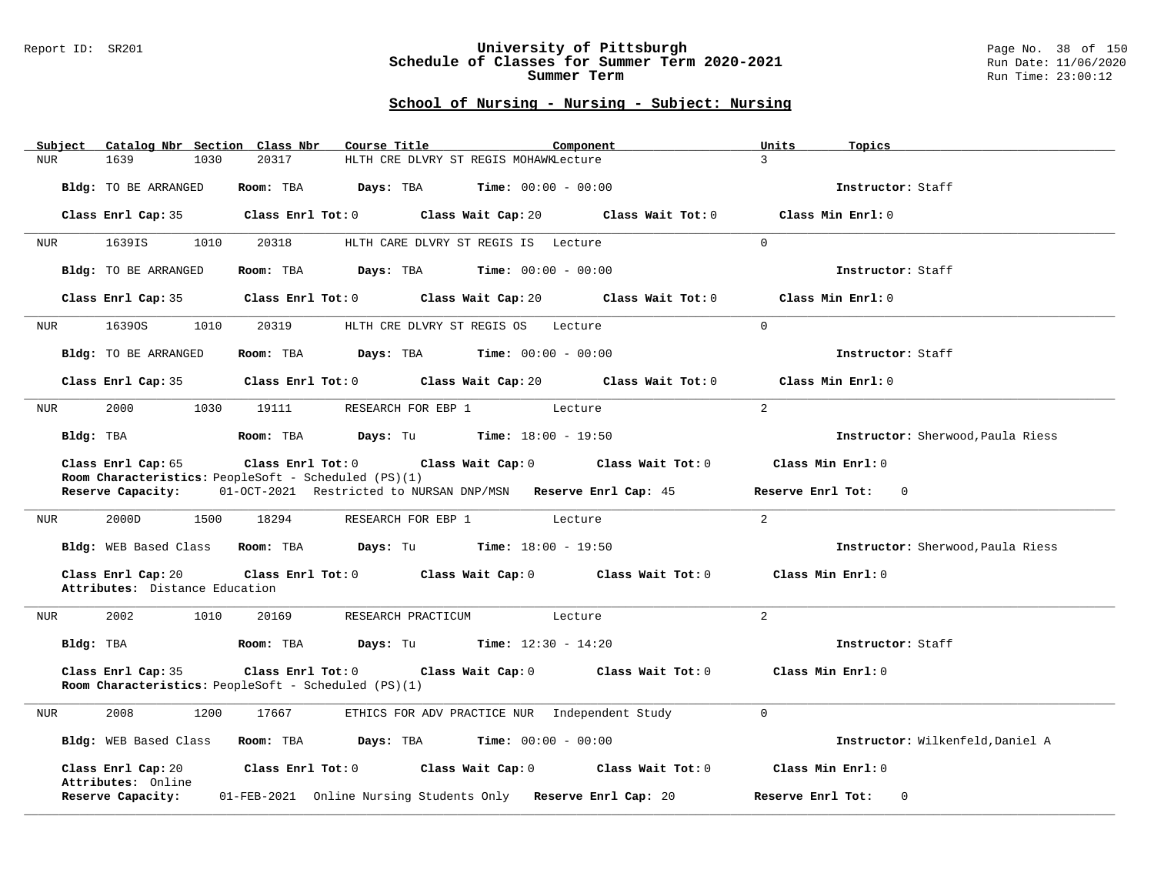### Report ID: SR201 **University of Pittsburgh** Page No. 38 of 150 **Schedule of Classes for Summer Term 2020-2021** Run Date: 11/06/2020 **Summer Term** Run Time: 23:00:12

| Subject Catalog Nbr Section Class Nbr                                      | Course Title<br>Component                                                           | Units<br>Topics                   |
|----------------------------------------------------------------------------|-------------------------------------------------------------------------------------|-----------------------------------|
| 20317<br><b>NUR</b><br>1639<br>1030                                        | HLTH CRE DLVRY ST REGIS MOHAWKLecture                                               | $\mathcal{L}$                     |
| Bldg: TO BE ARRANGED                                                       | Room: TBA $Days:$ TBA $Time: 00:00 - 00:00$                                         | Instructor: Staff                 |
|                                                                            | Class Enrl Cap: 35 Class Enrl Tot: 0 Class Wait Cap: 20 Class Wait Tot: 0           | Class Min Enrl: 0                 |
| 1639IS<br>1010<br>20318<br>NUR                                             | HLTH CARE DLVRY ST REGIS IS Lecture                                                 | $\Omega$                          |
| Bldg: TO BE ARRANGED                                                       | <b>Room:</b> TBA <b>Days:</b> TBA <b>Time:</b> 00:00 - 00:00                        | Instructor: Staff                 |
| Class Enrl Cap: 35                                                         | Class Enrl Tot: 0 Class Wait Cap: 20<br>Class Wait Tot: 0                           | Class Min Enrl: 0                 |
| 16390S<br>1010<br>20319<br>NUR                                             | HLTH CRE DLVRY ST REGIS OS Lecture                                                  | $\Omega$                          |
| Bldg: TO BE ARRANGED                                                       | Room: TBA $Days:$ TBA $Time: 00:00 - 00:00$                                         | Instructor: Staff                 |
|                                                                            | Class Enrl Cap: 35 Class Enrl Tot: 0 Class Wait Cap: 20 Class Wait Tot: 0           | Class Min Enrl: 0                 |
| 2000<br>1030 19111<br>NUR                                                  | RESEARCH FOR EBP 1 Lecture                                                          | $\overline{2}$                    |
| Bldg: TBA                                                                  | <b>Room:</b> TBA <b>Days:</b> Tu <b>Time:</b> $18:00 - 19:50$                       | Instructor: Sherwood, Paula Riess |
| Class Enrl Cap: 65<br>Room Characteristics: PeopleSoft - Scheduled (PS)(1) | Class Enrl Tot: $0$ Class Wait Cap: $0$ Class Wait Tot: $0$                         | Class Min Enrl: 0                 |
| Reserve Capacity:                                                          | 01-OCT-2021 Restricted to NURSAN DNP/MSN Reserve Enrl Cap: 45                       | Reserve Enrl Tot: 0               |
| 2000D<br>1500<br>NUR                                                       | 18294 RESEARCH FOR EBP 1 Lecture                                                    | 2                                 |
|                                                                            | Bldg: WEB Based Class Room: TBA Days: Tu Time: 18:00 - 19:50                        | Instructor: Sherwood, Paula Riess |
| Class Enrl Cap: 20<br>Attributes: Distance Education                       | Class Enrl Tot: $0$ Class Wait Cap: $0$ Class Wait Tot: $0$                         | Class Min Enrl: 0                 |
| 2002<br>20169<br>NUR<br>1010                                               | RESEARCH PRACTICUM<br>Lecture                                                       | $\overline{2}$                    |
|                                                                            | Bldg: TBA                    Room: TBA         Days: Tu         Time: 12:30 - 14:20 | Instructor: Staff                 |
| Class Enrl Cap: 35<br>Room Characteristics: PeopleSoft - Scheduled (PS)(1) | Class Enrl Tot: 0 Class Wait Cap: 0 Class Wait Tot: 0 Class Min Enrl: 0             |                                   |
| 2008<br>1200<br>NUR<br>17667                                               | ETHICS FOR ADV PRACTICE NUR Independent Study                                       | $\overline{0}$                    |
| Bldg: WEB Based Class<br>Room: TBA                                         | <b>Days:</b> TBA <b>Time:</b> $00:00 - 00:00$                                       | Instructor: Wilkenfeld, Daniel A  |
| Class Enrl Cap: 20<br>Attributes: Online                                   | Class Enrl Tot: 0 Class Wait Cap: 0 Class Wait Tot: 0                               | Class Min Enrl: 0                 |
| Reserve Capacity:                                                          | 01-FEB-2021 Online Nursing Students Only Reserve Enrl Cap: 20                       | Reserve Enrl Tot:<br>$\Omega$     |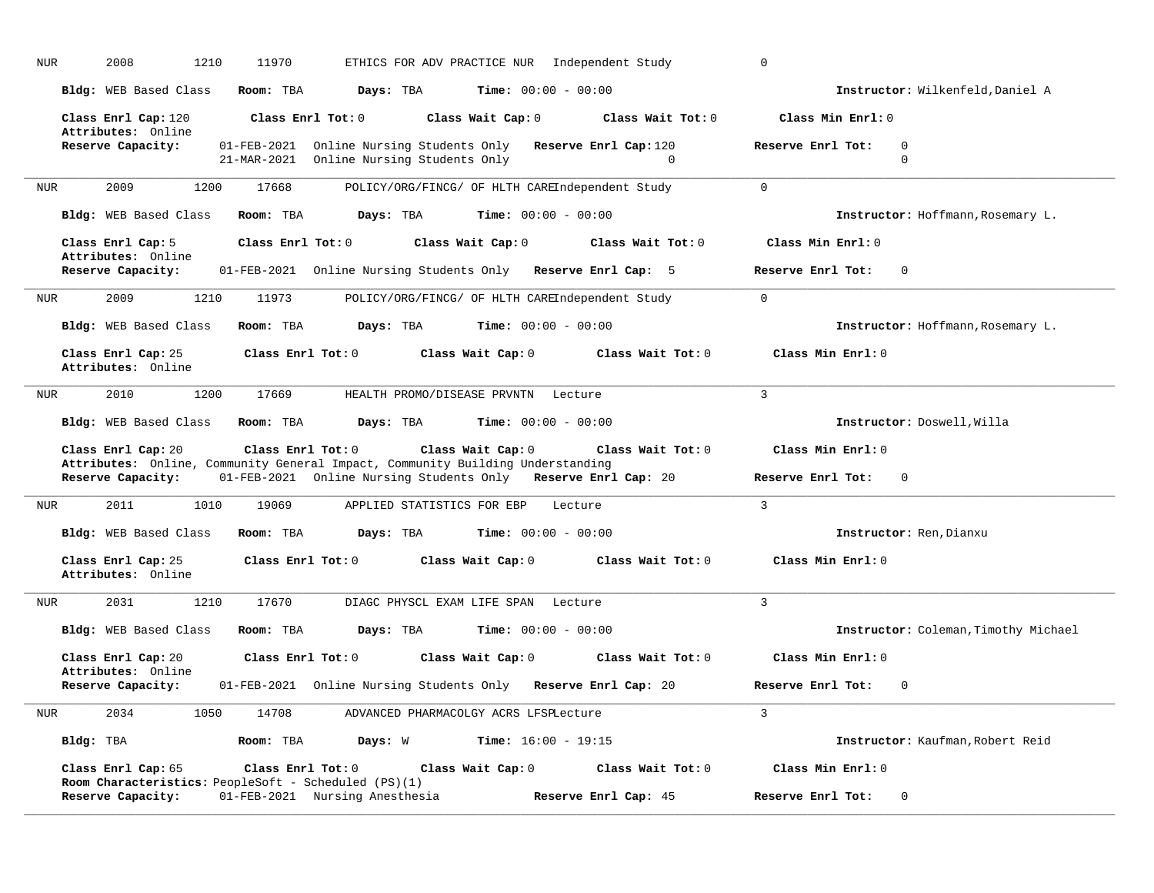| <b>NUR</b> | 2008<br>1210                                                               | 11970             |                                                                                                                                                 |                              | ETHICS FOR ADV PRACTICE NUR Independent Study   | 0                                            |
|------------|----------------------------------------------------------------------------|-------------------|-------------------------------------------------------------------------------------------------------------------------------------------------|------------------------------|-------------------------------------------------|----------------------------------------------|
|            | Bldg: WEB Based Class                                                      | Room: TBA         | Days: TBA                                                                                                                                       | <b>Time:</b> $00:00 - 00:00$ |                                                 | Instructor: Wilkenfeld, Daniel A             |
|            | Class Enrl Cap: 120<br>Attributes: Online                                  |                   | Class Enrl Tot: 0                                                                                                                               | Class Wait Cap: 0            | Class Wait Tot: 0                               | Class Min Enrl: 0                            |
|            | Reserve Capacity:                                                          | 21-MAR-2021       | 01-FEB-2021 Online Nursing Students Only Reserve Enrl Cap:120<br>Online Nursing Students Only                                                   |                              | $\Omega$                                        | Reserve Enrl Tot:<br>$\Omega$<br>$\mathbf 0$ |
| <b>NUR</b> | 2009<br>1200                                                               | 17668             |                                                                                                                                                 |                              | POLICY/ORG/FINCG/ OF HLTH CAREIndependent Study | $\Omega$                                     |
|            | Bldg: WEB Based Class                                                      | Room: TBA         | Days: TBA                                                                                                                                       | Time: $00:00 - 00:00$        |                                                 | Instructor: Hoffmann, Rosemary L.            |
|            | Class Enrl Cap: 5<br>Attributes: Online                                    | Class Enrl Tot: 0 |                                                                                                                                                 | Class Wait Cap: 0            | Class Wait Tot: 0                               | Class Min Enrl: 0                            |
|            | Reserve Capacity:                                                          |                   | 01-FEB-2021 Online Nursing Students Only Reserve Enrl Cap: 5                                                                                    |                              |                                                 | Reserve Enrl Tot:<br>$\mathbf 0$             |
| <b>NUR</b> | 2009<br>1210                                                               | 11973             |                                                                                                                                                 |                              | POLICY/ORG/FINCG/ OF HLTH CAREIndependent Study | $\Omega$                                     |
|            | Bldg: WEB Based Class                                                      | Room: TBA         | Days: TBA                                                                                                                                       | <b>Time:</b> $00:00 - 00:00$ |                                                 | Instructor: Hoffmann, Rosemary L.            |
|            | Class Enrl Cap: 25<br>Attributes: Online                                   | Class Enrl Tot: 0 |                                                                                                                                                 | Class Wait Cap: 0            | Class Wait Tot: 0                               | Class Min Enrl: 0                            |
| <b>NUR</b> | 2010<br>1200                                                               | 17669             | HEALTH PROMO/DISEASE PRVNTN Lecture                                                                                                             |                              |                                                 | $\overline{3}$                               |
|            | Bldg: WEB Based Class                                                      | Room: TBA         | Days: TBA                                                                                                                                       | <b>Time:</b> $00:00 - 00:00$ |                                                 | Instructor: Doswell, Willa                   |
|            | Class Enrl Cap: 20                                                         | Class Enrl Tot: 0 |                                                                                                                                                 | Class Wait Cap: 0            | Class Wait Tot: 0                               | Class Min Enrl: 0                            |
|            |                                                                            |                   |                                                                                                                                                 |                              |                                                 |                                              |
|            | Reserve Capacity:                                                          |                   | Attributes: Online, Community General Impact, Community Building Understanding<br>01-FEB-2021 Online Nursing Students Only Reserve Enrl Cap: 20 |                              |                                                 | Reserve Enrl Tot:<br>$\mathbf 0$             |
| <b>NUR</b> | 2011<br>1010                                                               | 19069             | APPLIED STATISTICS FOR EBP                                                                                                                      |                              | Lecture                                         | $\overline{3}$                               |
|            | Bldg: WEB Based Class                                                      | Room: TBA         | Days: TBA                                                                                                                                       | Time: $00:00 - 00:00$        |                                                 | Instructor: Ren, Dianxu                      |
|            | Class Enrl Cap: 25<br>Attributes: Online                                   | Class Enrl Tot: 0 |                                                                                                                                                 | Class Wait Cap: 0            | Class Wait Tot: 0                               | Class Min Enrl: 0                            |
| NUR        | 2031<br>1210                                                               | 17670             | DIAGC PHYSCL EXAM LIFE SPAN                                                                                                                     |                              | Lecture                                         | 3                                            |
|            | Bldg: WEB Based Class                                                      | Room: TBA         | Days: TBA                                                                                                                                       | Time: $00:00 - 00:00$        |                                                 | Instructor: Coleman, Timothy Michael         |
|            | Class Enrl Cap: 20                                                         | Class Enrl Tot: 0 |                                                                                                                                                 | Class Wait Cap: 0            | Class Wait Tot: 0                               | Class Min Enrl: 0                            |
|            | Attributes: Online<br>Reserve Capacity:                                    |                   | 01-FEB-2021 Online Nursing Students Only Reserve Enrl Cap: 20                                                                                   |                              |                                                 | $\mathbf 0$<br>Reserve Enrl Tot:             |
| NUR        | 2034<br>1050                                                               | 14708             | ADVANCED PHARMACOLGY ACRS LFSPLecture                                                                                                           |                              |                                                 | $\overline{3}$                               |
|            | Bldg: TBA                                                                  | Room: TBA         | Days: W                                                                                                                                         | <b>Time:</b> $16:00 - 19:15$ |                                                 | Instructor: Kaufman, Robert Reid             |
|            | Class Enrl Cap: 65<br>Room Characteristics: PeopleSoft - Scheduled (PS)(1) | Class Enrl Tot: 0 |                                                                                                                                                 | Class Wait Cap: 0            | Class Wait Tot: 0                               | Class Min Enrl: 0                            |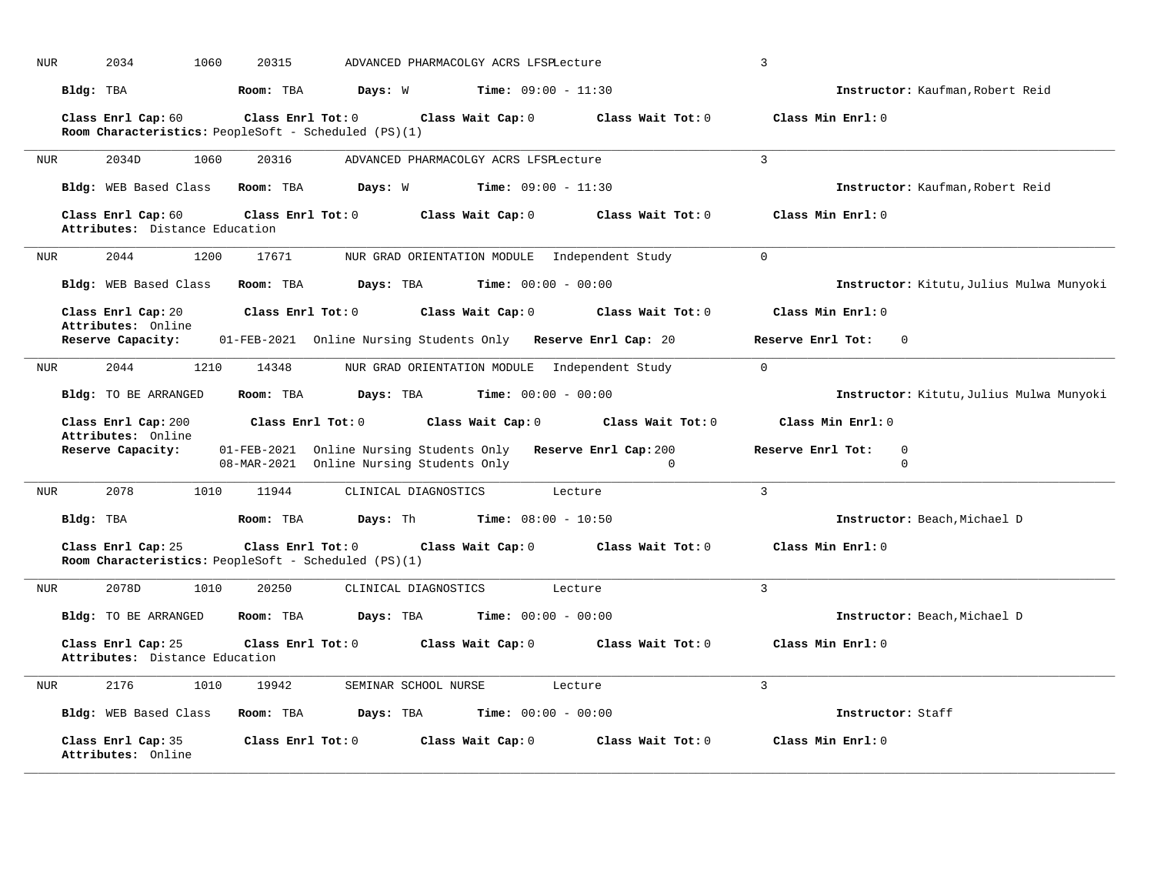| <b>NUR</b> | 2034<br>1060                                                               | 20315             |                                                                          | ADVANCED PHARMACOLGY ACRS LFSPLecture         |                                   | $\mathbf{3}$                             |
|------------|----------------------------------------------------------------------------|-------------------|--------------------------------------------------------------------------|-----------------------------------------------|-----------------------------------|------------------------------------------|
|            | Bldg: TBA                                                                  | Room: TBA         | Days: W                                                                  | <b>Time:</b> $09:00 - 11:30$                  |                                   | Instructor: Kaufman, Robert Reid         |
|            | Class Enrl Cap: 60<br>Room Characteristics: PeopleSoft - Scheduled (PS)(1) | Class Enrl Tot: 0 |                                                                          | Class Wait Cap: 0                             | Class Wait Tot: 0                 | Class Min Enrl: 0                        |
| <b>NUR</b> | 2034D<br>1060                                                              | 20316             |                                                                          | ADVANCED PHARMACOLGY ACRS LFSPLecture         |                                   | $\overline{3}$                           |
|            | <b>Bldg:</b> WEB Based Class                                               | Room: TBA         | Days: W                                                                  | <b>Time:</b> $09:00 - 11:30$                  |                                   | Instructor: Kaufman, Robert Reid         |
|            | Class Enrl Cap: 60<br>Attributes: Distance Education                       | Class Enrl Tot: 0 |                                                                          | Class Wait Cap: 0                             | Class Wait Tot: 0                 | Class Min Enrl: 0                        |
| <b>NUR</b> | 2044<br>1200                                                               | 17671             |                                                                          | NUR GRAD ORIENTATION MODULE Independent Study |                                   | $\mathbf 0$                              |
|            | Bldg: WEB Based Class                                                      | Room: TBA         | Days: TBA                                                                | <b>Time:</b> $00:00 - 00:00$                  |                                   | Instructor: Kitutu, Julius Mulwa Munyoki |
|            | Class Enrl Cap: 20                                                         | Class Enrl Tot: 0 |                                                                          | Class Wait Cap: 0                             | Class Wait Tot: 0                 | Class Min Enrl: 0                        |
|            | Attributes: Online<br>Reserve Capacity:                                    |                   | 01-FEB-2021 Online Nursing Students Only Reserve Enrl Cap: 20            |                                               |                                   | Reserve Enrl Tot:<br>$\Omega$            |
| <b>NUR</b> | 2044<br>1210                                                               | 14348             |                                                                          | NUR GRAD ORIENTATION MODULE Independent Study |                                   | $\mathbf 0$                              |
|            | Bldg: TO BE ARRANGED                                                       | Room: TBA         | Days: TBA                                                                | <b>Time:</b> $00:00 - 00:00$                  |                                   | Instructor: Kitutu, Julius Mulwa Munyoki |
|            | Class Enrl Cap: 200<br>Attributes: Online                                  | Class Enrl Tot: 0 |                                                                          | Class Wait Cap: 0                             | Class Wait Tot: 0                 | Class Min Enrl: 0                        |
|            | Reserve Capacity:                                                          | 08-MAR-2021       | 01-FEB-2021 Online Nursing Students Only<br>Online Nursing Students Only |                                               | Reserve Enrl Cap: 200<br>$\Omega$ | Reserve Enrl Tot:<br>0<br>$\Omega$       |
| <b>NUR</b> | 2078<br>1010                                                               | 11944             | CLINICAL DIAGNOSTICS                                                     |                                               | Lecture                           | $\overline{3}$                           |
|            | Bldg: TBA                                                                  | Room: TBA         | Days: Th                                                                 | <b>Time:</b> $08:00 - 10:50$                  |                                   | Instructor: Beach, Michael D             |
|            | Class Enrl Cap: 25<br>Room Characteristics: PeopleSoft - Scheduled (PS)(1) | Class Enrl Tot: 0 |                                                                          | Class Wait Cap: 0                             | Class Wait Tot: 0                 | Class Min Enrl: 0                        |
| <b>NUR</b> | 2078D<br>1010                                                              | 20250             | CLINICAL DIAGNOSTICS                                                     |                                               | Lecture                           | $\mathbf{3}$                             |
|            | Bldg: TO BE ARRANGED                                                       | Room: TBA         | Days: TBA                                                                | <b>Time:</b> $00:00 - 00:00$                  |                                   | Instructor: Beach, Michael D             |
|            | Class Enrl Cap: 25<br>Attributes: Distance Education                       | Class Enrl Tot: 0 |                                                                          | Class Wait Cap: 0                             | Class Wait Tot: 0                 | Class Min Enrl: 0                        |
| <b>NUR</b> | 2176<br>1010                                                               | 19942             | SEMINAR SCHOOL NURSE                                                     |                                               | Lecture                           | 3                                        |
|            | Bldg: WEB Based Class                                                      | Room: TBA         | Days: TBA                                                                | <b>Time:</b> $00:00 - 00:00$                  |                                   | Instructor: Staff                        |
|            | Class Enrl Cap: 35<br>Attributes: Online                                   | Class Enrl Tot: 0 |                                                                          | Class Wait Cap: 0                             | Class Wait Tot: 0                 | Class Min Enrl: 0                        |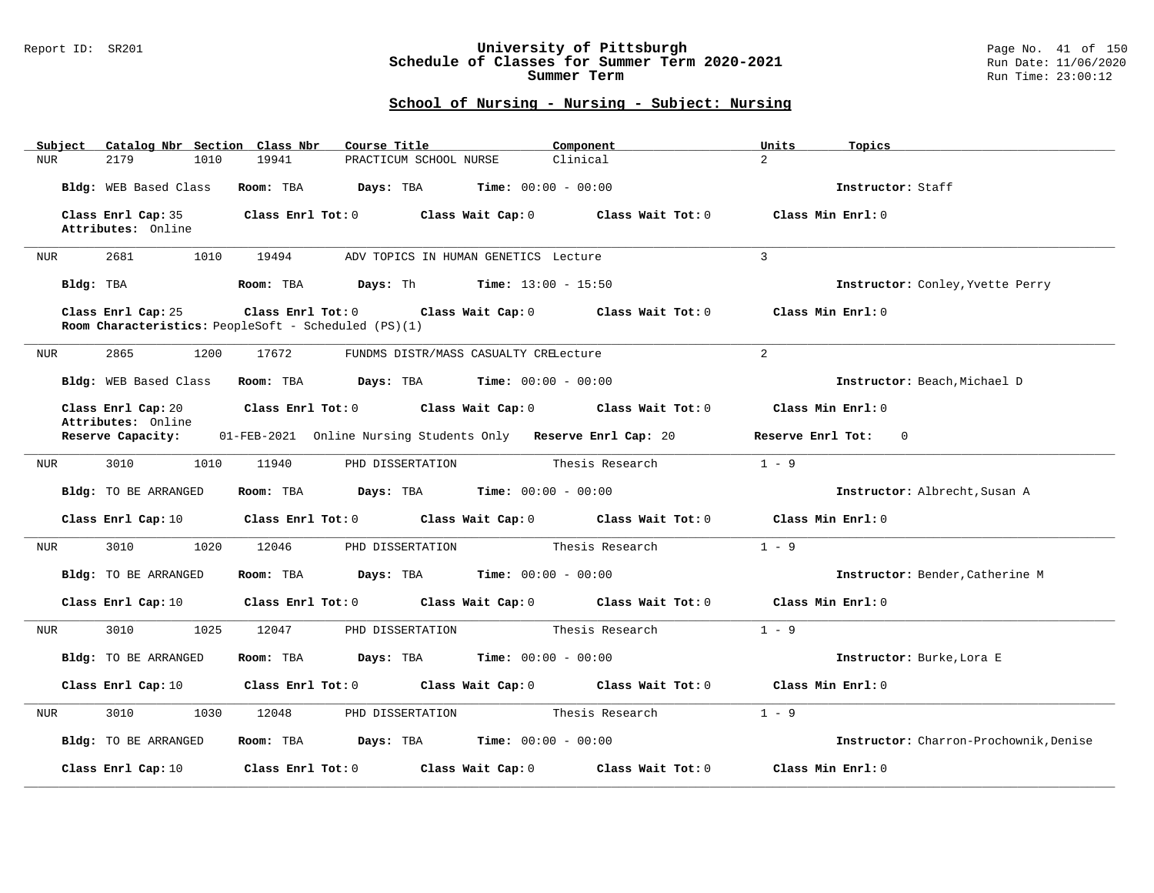### Report ID: SR201 **University of Pittsburgh** Page No. 41 of 150 **Schedule of Classes for Summer Term 2020-2021** Run Date: 11/06/2020 **Summer Term** Run Time: 23:00:12

| Catalog Nbr Section Class Nbr<br>Subject | Course Title                                                                                   | Component                           | Units<br>Topics                        |
|------------------------------------------|------------------------------------------------------------------------------------------------|-------------------------------------|----------------------------------------|
| <b>NUR</b><br>2179<br>1010               | 19941<br>PRACTICUM SCHOOL NURSE                                                                | Clinical                            | $\overline{2}$                         |
| Bldg: WEB Based Class                    | Room: TBA<br>Days: TBA                                                                         | <b>Time:</b> $00:00 - 00:00$        | Instructor: Staff                      |
| Class Enrl Cap: 35<br>Attributes: Online | Class Enrl Tot: 0<br>Class Wait Cap: 0                                                         | Class Wait Tot: 0                   | Class Min Enrl: 0                      |
| 2681<br>1010<br>NUR                      | 19494<br>ADV TOPICS IN HUMAN GENETICS Lecture                                                  |                                     | $\overline{3}$                         |
| Bldg: TBA                                | <b>Days:</b> Th <b>Time:</b> $13:00 - 15:50$<br>Room: TBA                                      |                                     | Instructor: Conley, Yvette Perry       |
| Class Enrl Cap: 25                       | Class Enrl Tot: 0<br>Class Wait Cap: 0<br>Room Characteristics: PeopleSoft - Scheduled (PS)(1) | Class Wait Tot: 0                   | Class Min Enrl: 0                      |
| 2865<br>1200<br>NUR                      | 17672<br>FUNDMS DISTR/MASS CASUALTY CRELecture                                                 |                                     | $\overline{2}$                         |
| Bldg: WEB Based Class                    | <b>Days:</b> TBA <b>Time:</b> $00:00 - 00:00$<br>Room: TBA                                     |                                     | Instructor: Beach, Michael D           |
| Class Enrl Cap: 20<br>Attributes: Online | Class Enrl Tot: 0                                                                              | Class Wait Cap: 0 Class Wait Tot: 0 | Class Min Enrl: 0                      |
| Reserve Capacity:                        | 01-FEB-2021 Online Nursing Students Only Reserve Enrl Cap: 20                                  |                                     | Reserve Enrl Tot:<br>$\overline{0}$    |
| 3010<br>1010<br>NUR                      | 11940<br>PHD DISSERTATION                                                                      | Thesis Research                     | $1 - 9$                                |
| Bldg: TO BE ARRANGED                     | <b>Days:</b> TBA <b>Time:</b> $00:00 - 00:00$<br>Room: TBA                                     |                                     | Instructor: Albrecht, Susan A          |
| Class Enrl Cap: 10                       | Class Enrl Tot: 0<br>Class Wait Cap: 0                                                         | Class Wait Tot: 0                   | Class Min Enrl: 0                      |
| 1020<br>3010<br>NUR                      | 12046<br>PHD DISSERTATION                                                                      | Thesis Research                     | $1 - 9$                                |
| Bldg: TO BE ARRANGED                     | Room: TBA<br>Days: TBA                                                                         | <b>Time:</b> $00:00 - 00:00$        | Instructor: Bender, Catherine M        |
| Class Enrl Cap: 10                       | Class Enrl Tot: 0<br>Class Wait Cap: 0                                                         | Class Wait Tot: 0                   | Class Min Enrl: 0                      |
| 3010<br>1025<br>NUR                      | 12047<br>PHD DISSERTATION                                                                      | Thesis Research                     | $1 - 9$                                |
| Bldg: TO BE ARRANGED                     | Room: TBA<br>Days: TBA                                                                         | <b>Time:</b> $00:00 - 00:00$        | Instructor: Burke, Lora E              |
| Class Enrl Cap: 10                       | Class Enrl Tot: 0<br>Class Wait Cap: 0                                                         | Class Wait Tot: 0                   | Class Min Enrl: 0                      |
| 3010<br>1030<br>NUR                      | 12048<br>PHD DISSERTATION                                                                      | Thesis Research                     | $1 - 9$                                |
| Bldg: TO BE ARRANGED                     | Days: TBA<br>Room: TBA                                                                         | <b>Time:</b> $00:00 - 00:00$        | Instructor: Charron-Prochownik, Denise |
| Class Enrl Cap: 10                       | Class Enrl Tot: 0<br>Class Wait Cap: 0                                                         | Class Wait Tot: 0                   | Class Min Enrl: 0                      |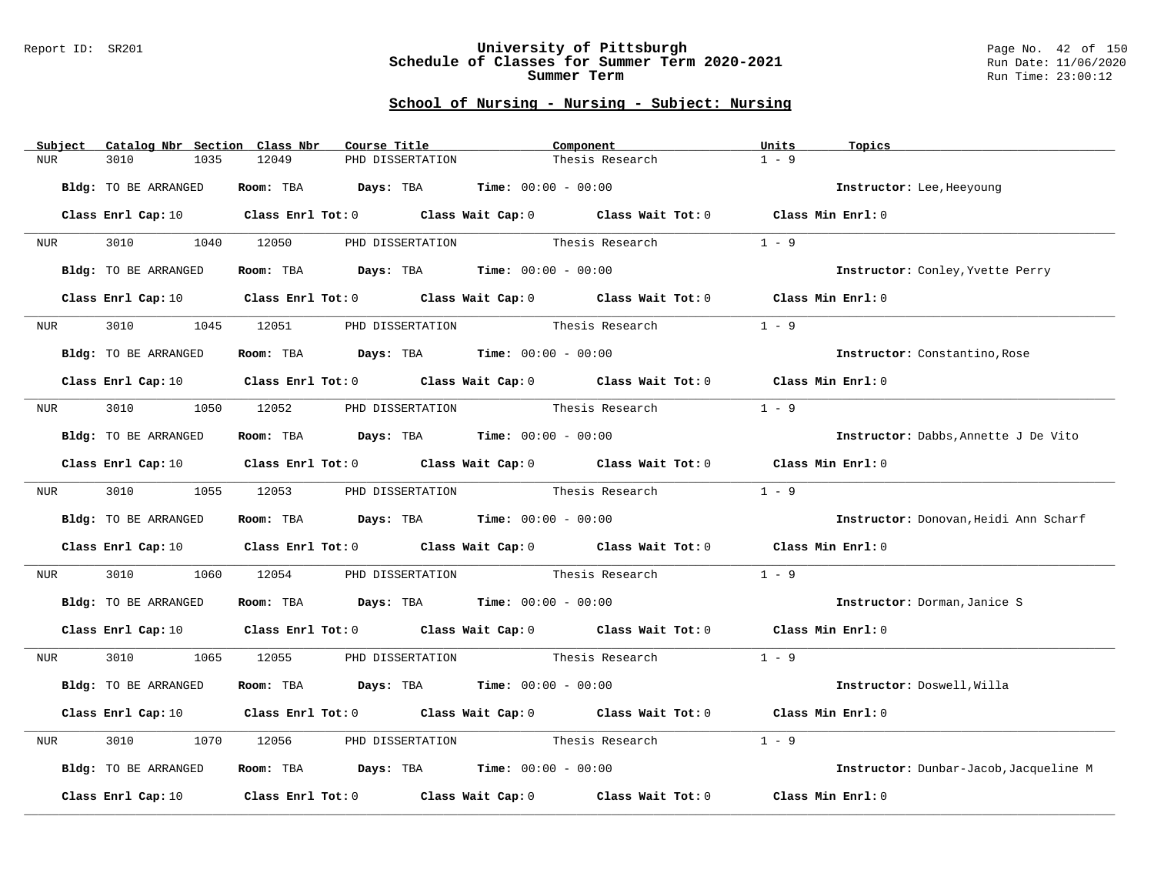### Report ID: SR201 **University of Pittsburgh** Page No. 42 of 150 **Schedule of Classes for Summer Term 2020-2021** Run Date: 11/06/2020 **Summer Term** Run Time: 23:00:12

| Subject          | Catalog Nbr Section Class Nbr | Course Title                                                                                                                   | Component                        |                 | Units<br>Topics                        |
|------------------|-------------------------------|--------------------------------------------------------------------------------------------------------------------------------|----------------------------------|-----------------|----------------------------------------|
| <b>NUR</b>       | 3010<br>1035                  | 12049<br>PHD DISSERTATION                                                                                                      |                                  | Thesis Research | $1 - 9$                                |
|                  |                               |                                                                                                                                |                                  |                 |                                        |
|                  | Bldg: TO BE ARRANGED          | Room: TBA $Days:$ TBA $Time: 00:00 - 00:00$                                                                                    |                                  |                 | Instructor: Lee, Heeyoung              |
|                  |                               | Class Enrl Cap: 10 $\qquad$ Class Enrl Tot: 0 $\qquad$ Class Wait Cap: 0 $\qquad$ Class Wait Tot: 0 $\qquad$ Class Min Enrl: 0 |                                  |                 |                                        |
|                  |                               |                                                                                                                                |                                  |                 |                                        |
| <b>NUR</b>       |                               | 3010 1040 12050 PHD DISSERTATION Thesis Research                                                                               |                                  |                 | $1 - 9$                                |
|                  | Bldg: TO BE ARRANGED          | Room: TBA $Days:$ TBA $Time: 00:00 - 00:00$                                                                                    |                                  |                 | Instructor: Conley, Yvette Perry       |
|                  |                               |                                                                                                                                |                                  |                 |                                        |
|                  | Class Enrl Cap: 10            | Class Enrl Tot: 0 Class Wait Cap: 0 Class Wait Tot: 0 Class Min Enrl: 0                                                        |                                  |                 |                                        |
| NUR              | 3010<br>1045                  | 12051                                                                                                                          | PHD DISSERTATION                 | Thesis Research | $1 - 9$                                |
|                  |                               |                                                                                                                                |                                  |                 |                                        |
|                  | Bldg: TO BE ARRANGED          | Room: TBA $Days:$ TBA $Time: 00:00 - 00:00$                                                                                    |                                  |                 | <b>Instructor:</b> Constantino, Rose   |
|                  |                               | Class Enrl Cap: 10 $\qquad$ Class Enrl Tot: 0 $\qquad$ Class Wait Cap: 0 $\qquad$ Class Wait Tot: 0 $\qquad$ Class Min Enrl: 0 |                                  |                 |                                        |
|                  |                               |                                                                                                                                |                                  |                 |                                        |
| NUR <sub>p</sub> |                               | 3010 1050 12052 PHD DISSERTATION                                                                                               | Thesis Research                  |                 | $1 - 9$                                |
|                  | Bldg: TO BE ARRANGED          | Room: TBA $Days:$ TBA $Time: 00:00 - 00:00$                                                                                    |                                  |                 | Instructor: Dabbs, Annette J De Vito   |
|                  |                               |                                                                                                                                |                                  |                 |                                        |
|                  |                               | Class Enrl Cap: 10 Class Enrl Tot: 0 Class Wait Cap: 0 Class Wait Tot: 0 Class Min Enrl: 0                                     |                                  |                 |                                        |
| NUR <sub>p</sub> |                               | 3010   1055   12053   PHD DISSERTATION                                                                                         | Thesis Research                  |                 | $1 - 9$                                |
|                  |                               |                                                                                                                                |                                  |                 |                                        |
|                  | Bldg: TO BE ARRANGED          | Room: TBA $Days:$ TBA $Time: 00:00 - 00:00$                                                                                    |                                  |                 | Instructor: Donovan, Heidi Ann Scharf  |
|                  |                               | Class Enrl Cap: 10 $\qquad$ Class Enrl Tot: 0 $\qquad$ Class Wait Cap: 0 $\qquad$ Class Wait Tot: 0 $\qquad$ Class Min Enrl: 0 |                                  |                 |                                        |
|                  |                               |                                                                                                                                |                                  |                 |                                        |
| NUR              | 3010 000<br>1060              | 12054                                                                                                                          | PHD DISSERTATION Thesis Research |                 | $1 - 9$                                |
|                  | Bldg: TO BE ARRANGED          | Room: TBA $Days:$ TBA $Time: 00:00 - 00:00$                                                                                    |                                  |                 | Instructor: Dorman, Janice S           |
|                  |                               |                                                                                                                                |                                  |                 |                                        |
|                  |                               | Class Enrl Cap: 10 Class Enrl Tot: 0 Class Wait Cap: 0 Class Wait Tot: 0 Class Min Enrl: 0                                     |                                  |                 |                                        |
| NUR <sub>p</sub> | 3010                          | 1065 12055 PHD DISSERTATION Thesis Research                                                                                    |                                  |                 | $1 - 9$                                |
|                  |                               |                                                                                                                                |                                  |                 |                                        |
|                  | Bldg: TO BE ARRANGED          | Room: TBA $Days:$ TBA $Time: 00:00 - 00:00$                                                                                    |                                  |                 | Instructor: Doswell, Willa             |
|                  |                               |                                                                                                                                |                                  |                 |                                        |
|                  |                               | Class Enrl Cap: 10 $\qquad$ Class Enrl Tot: 0 $\qquad$ Class Wait Cap: 0 $\qquad$ Class Wait Tot: 0 $\qquad$ Class Min Enrl: 0 |                                  |                 |                                        |
| NUR              | 3010<br>1070                  | 12056                                                                                                                          | PHD DISSERTATION Thesis Research |                 | $1 - 9$                                |
|                  |                               |                                                                                                                                |                                  |                 |                                        |
|                  | Bldg: TO BE ARRANGED          | Room: TBA $Days:$ TBA $Time: 00:00 - 00:00$                                                                                    |                                  |                 | Instructor: Dunbar-Jacob, Jacqueline M |
|                  | Class Enrl Cap: 10            | Class Enrl Tot: $0$ Class Wait Cap: $0$ Class Wait Tot: $0$                                                                    |                                  |                 | Class Min Enrl: 0                      |
|                  |                               |                                                                                                                                |                                  |                 |                                        |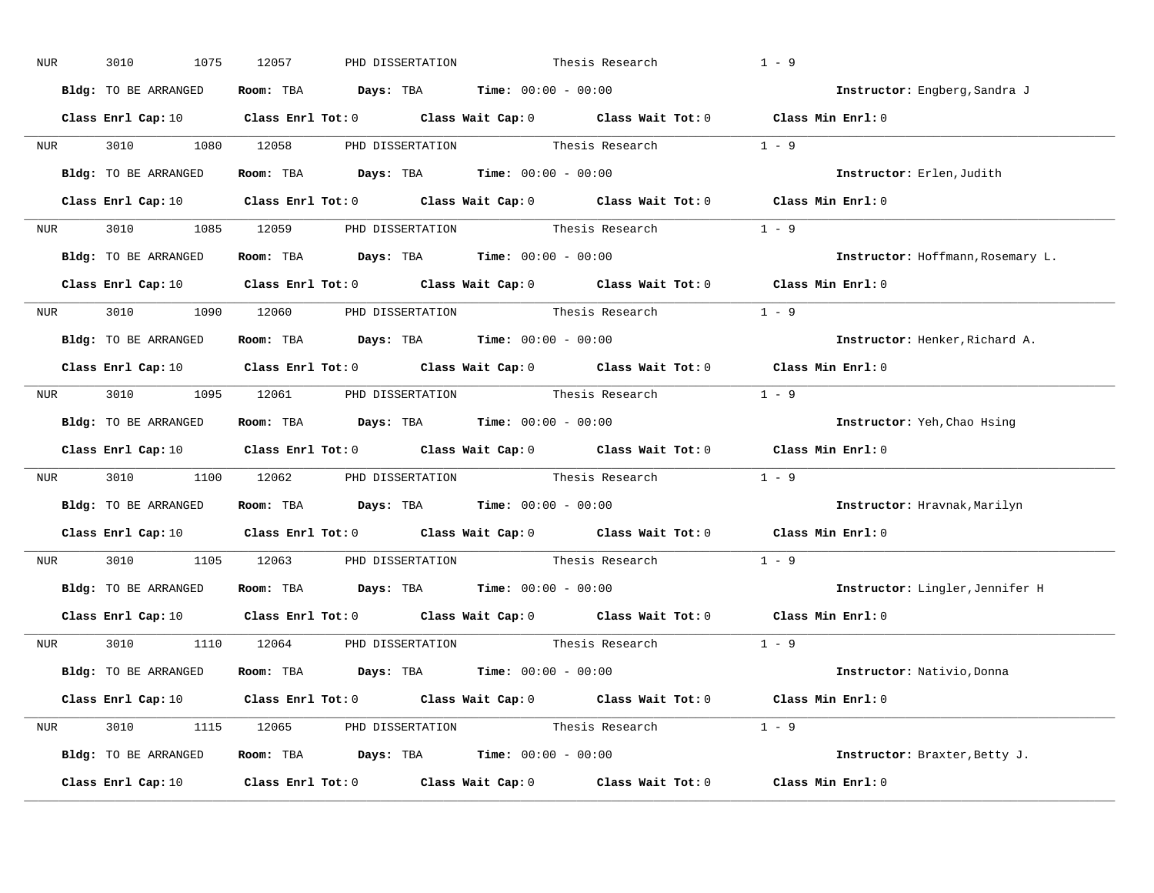| NUR              | 3010<br>1075         | 12057<br>PHD DISSERTATION                                    | Thesis Research                                                                                                                | $1 - 9$                           |
|------------------|----------------------|--------------------------------------------------------------|--------------------------------------------------------------------------------------------------------------------------------|-----------------------------------|
|                  | Bldg: TO BE ARRANGED | Room: TBA $Days:$ TBA $Time: 00:00 - 00:00$                  |                                                                                                                                | Instructor: Engberg, Sandra J     |
|                  |                      |                                                              | Class Enrl Cap: 10 $\qquad$ Class Enrl Tot: 0 $\qquad$ Class Wait Cap: 0 $\qquad$ Class Wait Tot: 0 $\qquad$ Class Min Enrl: 0 |                                   |
|                  | NUR 3010 1080 12058  |                                                              | PHD DISSERTATION Thesis Research                                                                                               | $1 - 9$                           |
|                  | Bldg: TO BE ARRANGED | Room: TBA $Days:$ TBA Time: $00:00 - 00:00$                  |                                                                                                                                | Instructor: Erlen, Judith         |
|                  |                      |                                                              | Class Enrl Cap: 10 $\qquad$ Class Enrl Tot: 0 $\qquad$ Class Wait Cap: 0 $\qquad$ Class Wait Tot: 0 $\qquad$ Class Min Enrl: 0 |                                   |
|                  |                      |                                                              | NUR 3010 1085 12059 PHD DISSERTATION Thesis Research 1 - 9                                                                     |                                   |
|                  | Bldg: TO BE ARRANGED | Room: TBA $Days:$ TBA $Time: 00:00 - 00:00$                  |                                                                                                                                | Instructor: Hoffmann, Rosemary L. |
|                  |                      |                                                              | Class Enrl Cap: 10 $\qquad$ Class Enrl Tot: 0 $\qquad$ Class Wait Cap: 0 $\qquad$ Class Wait Tot: 0 $\qquad$ Class Min Enrl: 0 |                                   |
|                  |                      | NUR 3010 1090 12060 PHD DISSERTATION Thesis Research         |                                                                                                                                | $1 - 9$                           |
|                  | Bldg: TO BE ARRANGED | Room: TBA $Days:$ TBA $Time: 00:00 - 00:00$                  |                                                                                                                                | Instructor: Henker, Richard A.    |
|                  |                      |                                                              | Class Enrl Cap: 10 $\qquad$ Class Enrl Tot: 0 $\qquad$ Class Wait Cap: 0 $\qquad$ Class Wait Tot: 0 $\qquad$ Class Min Enrl: 0 |                                   |
|                  |                      |                                                              | NUR 3010 1095 12061 PHD DISSERTATION Thesis Research 1 - 9                                                                     |                                   |
|                  | Bldg: TO BE ARRANGED | Room: TBA $Days:$ TBA $Time: 00:00 - 00:00$                  |                                                                                                                                | Instructor: Yeh, Chao Hsing       |
|                  |                      |                                                              | Class Enrl Cap: 10 $\qquad$ Class Enrl Tot: 0 $\qquad$ Class Wait Cap: 0 $\qquad$ Class Wait Tot: 0 $\qquad$ Class Min Enrl: 0 |                                   |
| NUR <sub>p</sub> |                      |                                                              | 3010 12062 PHD DISSERTATION Thesis Research 1 - 9                                                                              |                                   |
|                  | Bldg: TO BE ARRANGED | Room: TBA $Days:$ TBA $Time: 00:00 - 00:00$                  |                                                                                                                                | Instructor: Hravnak, Marilyn      |
|                  |                      |                                                              | Class Enrl Cap: 10 $\qquad$ Class Enrl Tot: 0 $\qquad$ Class Wait Cap: 0 $\qquad$ Class Wait Tot: 0                            | Class Min Enrl: 0                 |
| <b>NUR</b>       |                      | 3010 1105 12063 PHD DISSERTATION                             | Thesis Research                                                                                                                | $1 - 9$                           |
|                  |                      | Bldg: TO BE ARRANGED Room: TBA Days: TBA Time: 00:00 - 00:00 |                                                                                                                                | Instructor: Lingler, Jennifer H   |
|                  |                      |                                                              | Class Enrl Cap: 10 $\qquad$ Class Enrl Tot: 0 $\qquad$ Class Wait Cap: 0 $\qquad$ Class Wait Tot: 0                            | Class Min Enrl: 0                 |
|                  |                      |                                                              | NUR 3010 1110 12064 PHD DISSERTATION Thesis Research 1 - 9                                                                     |                                   |
|                  | Bldg: TO BE ARRANGED | Room: TBA $Days:$ TBA $Time: 00:00 - 00:00$                  |                                                                                                                                | Instructor: Nativio, Donna        |
|                  |                      |                                                              | Class Enrl Cap: 10 $\qquad$ Class Enrl Tot: 0 $\qquad$ Class Wait Cap: 0 $\qquad$ Class Wait Tot: 0 $\qquad$ Class Min Enrl: 0 |                                   |
|                  |                      |                                                              | NUR 3010 1115 12065 PHD DISSERTATION Thesis Research 1 - 9                                                                     |                                   |
|                  | Bldg: TO BE ARRANGED | Room: TBA $Days: TBA$ Time: $00:00 - 00:00$                  |                                                                                                                                | Instructor: Braxter, Betty J.     |
|                  | Class Enrl Cap: 10   |                                                              | Class Enrl Tot: $0$ Class Wait Cap: $0$ Class Wait Tot: $0$                                                                    | Class Min Enrl: 0                 |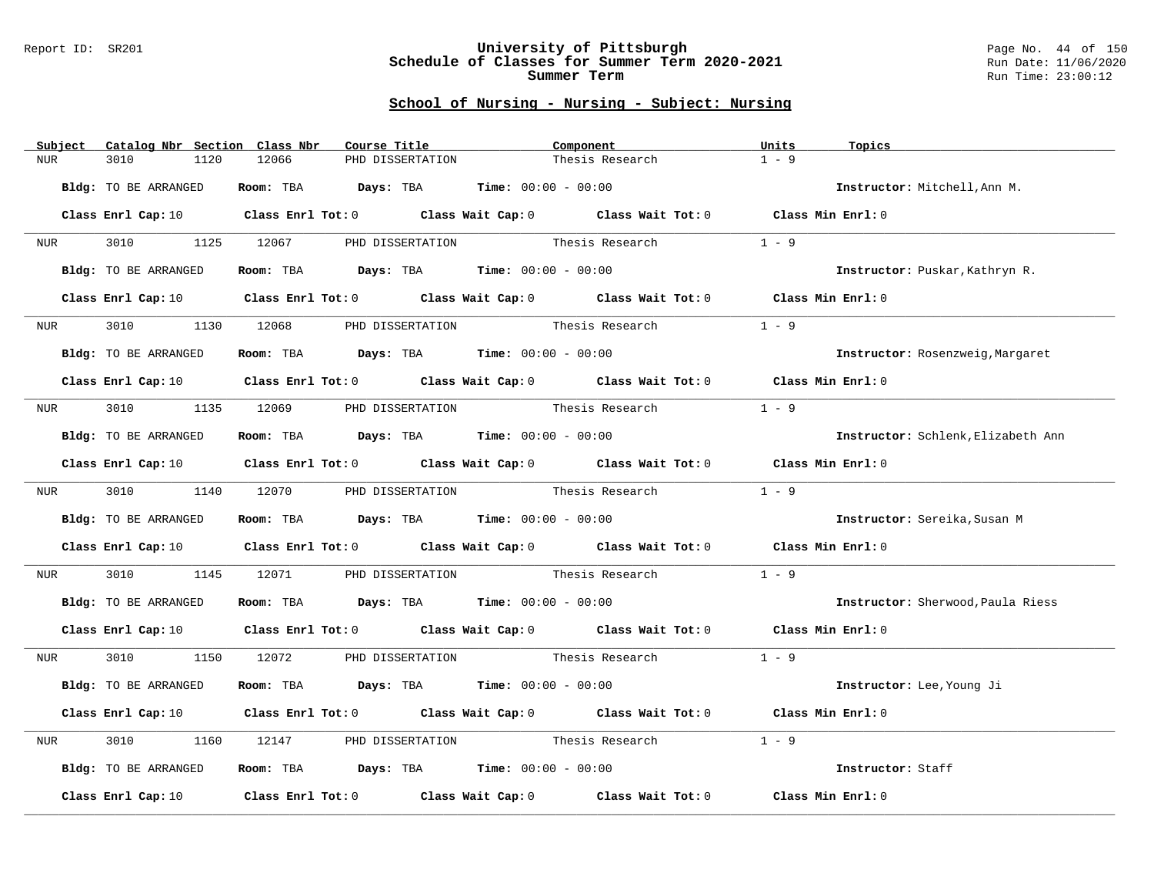### Report ID: SR201 **University of Pittsburgh** Page No. 44 of 150 **Schedule of Classes for Summer Term 2020-2021** Run Date: 11/06/2020 **Summer Term** Run Time: 23:00:12

| Subject          | Catalog Nbr Section Class Nbr | Course Title                                                   | Component                                                                                                                      | Units<br>Topics                    |
|------------------|-------------------------------|----------------------------------------------------------------|--------------------------------------------------------------------------------------------------------------------------------|------------------------------------|
| <b>NUR</b>       | 3010<br>1120                  | 12066<br>PHD DISSERTATION                                      | Thesis Research                                                                                                                | $1 - 9$                            |
|                  | Bldg: TO BE ARRANGED          | Room: TBA $Days:$ TBA $Time: 00:00 - 00:00$                    |                                                                                                                                | Instructor: Mitchell, Ann M.       |
|                  |                               |                                                                | Class Enrl Cap: 10 $\qquad$ Class Enrl Tot: 0 $\qquad$ Class Wait Cap: 0 $\qquad$ Class Wait Tot: 0 $\qquad$ Class Min Enrl: 0 |                                    |
|                  |                               |                                                                |                                                                                                                                |                                    |
| NUR <sub>i</sub> | 3010 000                      |                                                                | 1125 12067 PHD DISSERTATION Thesis Research                                                                                    | $1 - 9$                            |
|                  | Bldg: TO BE ARRANGED          | Room: TBA $Days: TBA$ Time: $00:00 - 00:00$                    |                                                                                                                                | Instructor: Puskar, Kathryn R.     |
|                  | Class Enrl Cap: 10            |                                                                | Class Enrl Tot: 0 Class Wait Cap: 0 Class Wait Tot: 0 Class Min Enrl: 0                                                        |                                    |
| NUR <sub>p</sub> | 3010<br>1130                  | PHD DISSERTATION<br>12068                                      | Thesis Research                                                                                                                | $1 - 9$                            |
|                  | Bldg: TO BE ARRANGED          | Room: TBA $Days:$ TBA $Time: 00:00 - 00:00$                    |                                                                                                                                | Instructor: Rosenzweig, Margaret   |
|                  |                               |                                                                | Class Enrl Cap: 10 $\qquad$ Class Enrl Tot: 0 $\qquad$ Class Wait Cap: 0 $\qquad$ Class Wait Tot: 0 $\qquad$ Class Min Enrl: 0 |                                    |
| NUR <b>NUR</b>   |                               | 3010 1135 12069 PHD DISSERTATION                               | Thesis Research                                                                                                                | $1 - 9$                            |
|                  | Bldg: TO BE ARRANGED          | Room: TBA $\rule{1em}{0.15mm}$ Days: TBA Time: $00:00 - 00:00$ |                                                                                                                                | Instructor: Schlenk, Elizabeth Ann |
|                  |                               |                                                                | Class Enrl Cap: 10 $\qquad$ Class Enrl Tot: 0 $\qquad$ Class Wait Cap: 0 $\qquad$ Class Wait Tot: 0 $\qquad$ Class Min Enrl: 0 |                                    |
| NUR <sub>p</sub> |                               | 3010 1140 12070 PHD DISSERTATION                               | Thesis Research                                                                                                                | $1 - 9$                            |
|                  | Bldg: TO BE ARRANGED          | Room: TBA $\rule{1em}{0.15mm}$ Days: TBA Time: $00:00 - 00:00$ |                                                                                                                                | Instructor: Sereika, Susan M       |
|                  |                               |                                                                | Class Enrl Cap: 10 $\qquad$ Class Enrl Tot: 0 $\qquad$ Class Wait Cap: 0 $\qquad$ Class Wait Tot: 0                            | Class Min Enrl: 0                  |
| NUR              | 3010<br>1145                  | 12071                                                          | PHD DISSERTATION Thesis Research                                                                                               | $1 - 9$                            |
|                  | Bldg: TO BE ARRANGED          | Room: TBA $Days:$ TBA $Time: 00:00 - 00:00$                    |                                                                                                                                | Instructor: Sherwood, Paula Riess  |
|                  |                               |                                                                | Class Enrl Cap: 10 $\qquad$ Class Enrl Tot: 0 $\qquad$ Class Wait Cap: 0 $\qquad$ Class Wait Tot: 0 $\qquad$ Class Min Enrl: 0 |                                    |
| NUR              |                               |                                                                | 3010 1150 12072 PHD DISSERTATION Thesis Research                                                                               | $1 - 9$                            |
|                  | Bldg: TO BE ARRANGED          | Room: TBA $Days: TBA$ Time: $00:00 - 00:00$                    |                                                                                                                                | Instructor: Lee, Young Ji          |
|                  |                               |                                                                | Class Enrl Cap: 10 Class Enrl Tot: 0 Class Wait Cap: 0 Class Wait Tot: 0                                                       | Class Min Enrl: 0                  |
| NUR              | 3010<br>1160                  | 12147                                                          | PHD DISSERTATION Thesis Research                                                                                               | $1 - 9$                            |
|                  | Bldg: TO BE ARRANGED          | Room: TBA $Days:$ TBA $Time: 00:00 - 00:00$                    |                                                                                                                                | Instructor: Staff                  |
|                  | Class Enrl Cap: 10            |                                                                | Class Enrl Tot: 0 Class Wait Cap: 0 Class Wait Tot: 0 Class Min Enrl: 0                                                        |                                    |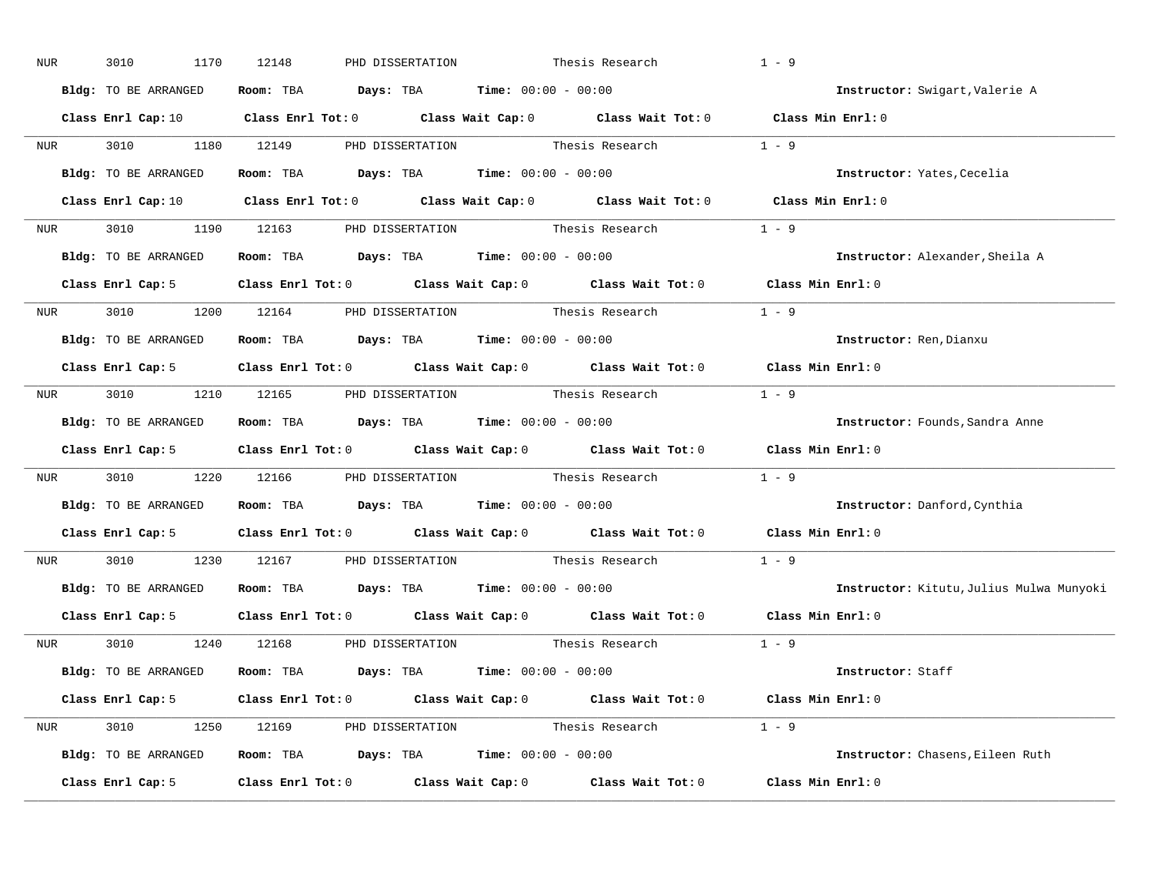| NUR              | 3010<br>1170                                                 | 12148 | PHD DISSERTATION                                                                         | Thesis Research                                                                                                                | $1 - 9$                      |                                          |
|------------------|--------------------------------------------------------------|-------|------------------------------------------------------------------------------------------|--------------------------------------------------------------------------------------------------------------------------------|------------------------------|------------------------------------------|
|                  | Bldg: TO BE ARRANGED                                         |       | Room: TBA $\rule{1em}{0.15mm}$ Days: TBA $\rule{1.5mm}{0.15mm}$ Time: $00:00 - 00:00$    |                                                                                                                                |                              | Instructor: Swigart, Valerie A           |
|                  |                                                              |       |                                                                                          | Class Enrl Cap: 10 $\qquad$ Class Enrl Tot: 0 $\qquad$ Class Wait Cap: 0 $\qquad$ Class Wait Tot: 0 $\qquad$ Class Min Enrl: 0 |                              |                                          |
|                  |                                                              |       |                                                                                          | NUR 3010 1180 12149 PHD DISSERTATION Thesis Research 1 - 9                                                                     |                              |                                          |
|                  | Bldg: TO BE ARRANGED                                         |       | Room: TBA $\rule{1em}{0.15mm}$ Days: TBA Time: $00:00 - 00:00$                           |                                                                                                                                |                              | Instructor: Yates, Cecelia               |
|                  |                                                              |       |                                                                                          | Class Enrl Cap: 10 $\qquad$ Class Enrl Tot: 0 $\qquad$ Class Wait Cap: 0 $\qquad$ Class Wait Tot: 0 $\qquad$ Class Min Enrl: 0 |                              |                                          |
|                  |                                                              |       |                                                                                          | NUR 3010 1190 12163 PHD DISSERTATION Thesis Research 1 - 9                                                                     |                              |                                          |
|                  | Bldg: TO BE ARRANGED Room: TBA Days: TBA Time: 00:00 - 00:00 |       |                                                                                          |                                                                                                                                |                              | Instructor: Alexander, Sheila A          |
|                  |                                                              |       |                                                                                          | Class Enrl Cap: 5 $\qquad$ Class Enrl Tot: 0 $\qquad$ Class Wait Cap: 0 $\qquad$ Class Wait Tot: 0                             | $\texttt{Class Min Enrl:} 0$ |                                          |
|                  |                                                              |       |                                                                                          | NUR 3010 1200 12164 PHD DISSERTATION Thesis Research 1 - 9                                                                     |                              |                                          |
|                  | Bldg: TO BE ARRANGED                                         |       | Room: TBA $\rule{1em}{0.15mm}$ Days: TBA $\rule{1.15mm}]{0.15mm}$ Time: $0.000 - 0.0000$ |                                                                                                                                |                              | Instructor: Ren, Dianxu                  |
|                  |                                                              |       |                                                                                          | Class Enrl Cap: 5 Class Enrl Tot: 0 Class Wait Cap: 0 Class Wait Tot: 0 Class Min Enrl: 0                                      |                              |                                          |
|                  |                                                              |       |                                                                                          | NUR 3010 1210 12165 PHD DISSERTATION Thesis Research                                                                           | $1 - 9$                      |                                          |
|                  | Bldg: TO BE ARRANGED Room: TBA Days: TBA Time: 00:00 - 00:00 |       |                                                                                          |                                                                                                                                |                              | Instructor: Founds, Sandra Anne          |
|                  |                                                              |       |                                                                                          | Class Enrl Cap: 5 Class Enrl Tot: 0 Class Wait Cap: 0 Class Wait Tot: 0 Class Min Enrl: 0                                      |                              |                                          |
| NUR <sub>p</sub> |                                                              |       |                                                                                          | 3010 1220 12166 PHD DISSERTATION Thesis Research                                                                               | $1 - 9$                      |                                          |
|                  | Bldg: TO BE ARRANGED Room: TBA Days: TBA Time: 00:00 - 00:00 |       |                                                                                          |                                                                                                                                |                              | Instructor: Danford, Cynthia             |
|                  |                                                              |       |                                                                                          | Class Enrl Cap: 5 Class Enrl Tot: 0 Class Wait Cap: 0 Class Wait Tot: 0                                                        | Class Min Enrl: 0            |                                          |
| <b>NUR</b>       | 3010 1230 12167 PHD DISSERTATION                             |       |                                                                                          | Thesis Research                                                                                                                | $1 - 9$                      |                                          |
|                  | Bldg: TO BE ARRANGED                                         |       | Room: TBA $\rule{1em}{0.15mm}$ Days: TBA $\rule{1.5mm}{0.15mm}$ Time: $00:00 - 00:00$    |                                                                                                                                |                              | Instructor: Kitutu, Julius Mulwa Munyoki |
|                  |                                                              |       |                                                                                          | Class Enrl Cap: 5 $\qquad$ Class Enrl Tot: 0 $\qquad$ Class Wait Cap: 0 $\qquad$ Class Wait Tot: 0                             | Class Min Enrl: 0            |                                          |
|                  | NUR 3010 1240 12168 PHD DISSERTATION                         |       |                                                                                          | Thesis Research                                                                                                                | $1 - 9$                      |                                          |
|                  | Bldg: TO BE ARRANGED                                         |       | Room: TBA $Days:$ TBA $Time: 00:00 - 00:00$                                              |                                                                                                                                |                              | Instructor: Staff                        |
|                  |                                                              |       |                                                                                          | Class Enrl Cap: 5 Class Enrl Tot: 0 Class Wait Cap: 0 Class Wait Tot: 0 Class Min Enrl: 0                                      |                              |                                          |
|                  |                                                              |       |                                                                                          | NUR 3010 1250 12169 PHD DISSERTATION Thesis Research 1 - 9                                                                     |                              |                                          |
|                  | Bldg: TO BE ARRANGED Room: TBA Days: TBA Time: 00:00 - 00:00 |       |                                                                                          |                                                                                                                                |                              | Instructor: Chasens, Eileen Ruth         |
|                  | Class Enrl Cap: 5                                            |       |                                                                                          | Class Enrl Tot: $0$ Class Wait Cap: $0$ Class Wait Tot: $0$                                                                    | Class Min Enrl: 0            |                                          |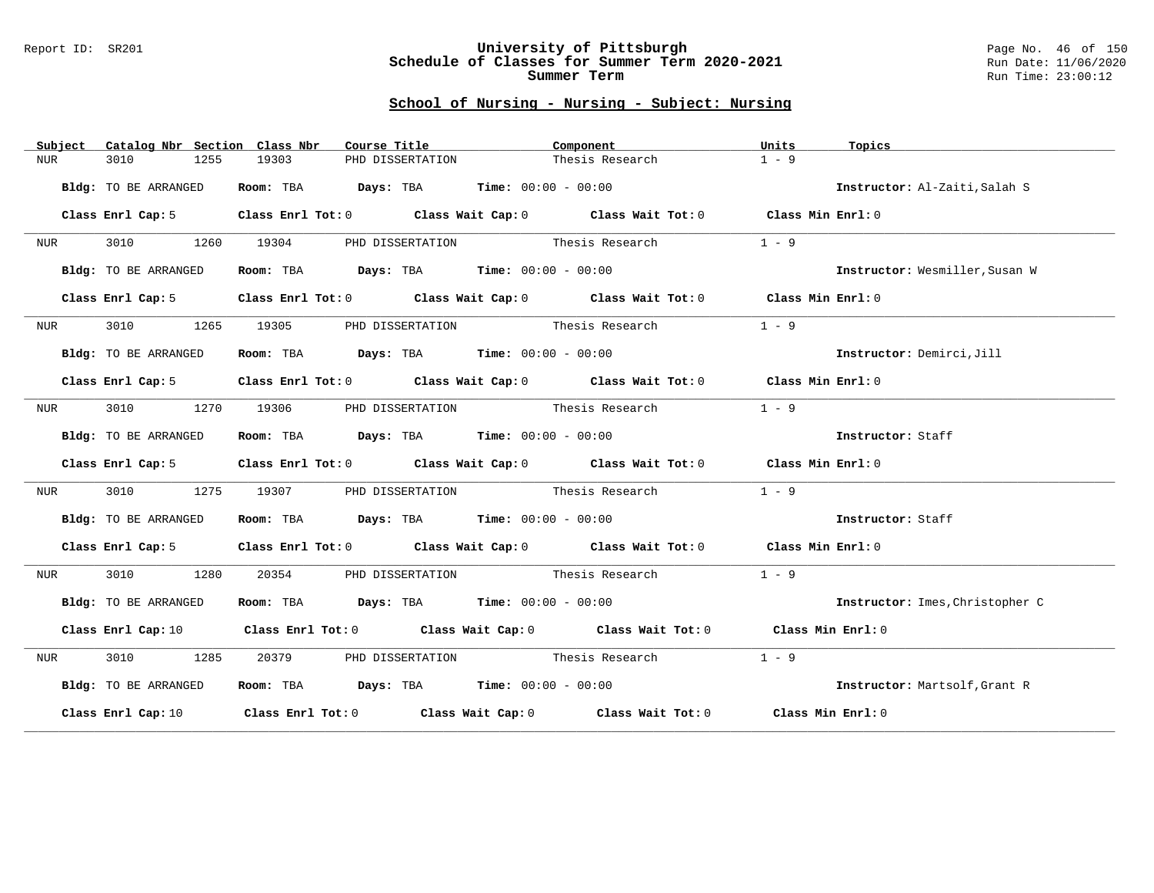### Report ID: SR201 **University of Pittsburgh** Page No. 46 of 150 **Schedule of Classes for Summer Term 2020-2021** Run Date: 11/06/2020 **Summer Term** Run Time: 23:00:12

| Subject          | Catalog Nbr Section Class Nbr | Course Title                                                                           | Component                                                                                                                      | Units<br>Topics                 |
|------------------|-------------------------------|----------------------------------------------------------------------------------------|--------------------------------------------------------------------------------------------------------------------------------|---------------------------------|
| NUR              | 3010<br>1255                  | 19303<br>PHD DISSERTATION                                                              | Thesis Research                                                                                                                | $1 - 9$                         |
|                  | Bldg: TO BE ARRANGED          | Room: TBA $Days:$ TBA $Time: 00:00 - 00:00$                                            |                                                                                                                                | Instructor: Al-Zaiti, Salah S   |
|                  | Class Enrl Cap: 5             |                                                                                        | Class Enrl Tot: 0 Class Wait Cap: 0 Class Wait Tot: 0 Class Min Enrl: 0                                                        |                                 |
| NUR              | 3010 000<br>1260              | 19304                                                                                  | PHD DISSERTATION Thesis Research                                                                                               | $1 - 9$                         |
|                  | Bldg: TO BE ARRANGED          | Room: TBA $Days: TBA$ Time: $00:00 - 00:00$                                            |                                                                                                                                | Instructor: Wesmiller, Susan W  |
|                  | Class Enrl Cap: 5             |                                                                                        | Class Enrl Tot: 0 Class Wait Cap: 0 Class Wait Tot: 0 Class Min Enrl: 0                                                        |                                 |
| NUR              | 3010<br>1265                  | 19305                                                                                  | PHD DISSERTATION Thesis Research                                                                                               | $1 - 9$                         |
|                  | Bldg: TO BE ARRANGED          | Room: TBA $Days:$ TBA $Time: 00:00 - 00:00$                                            |                                                                                                                                | Instructor: Demirci, Jill       |
|                  | Class Enrl Cap: 5             |                                                                                        | Class Enrl Tot: 0 Class Wait Cap: 0 Class Wait Tot: 0 Class Min Enrl: 0                                                        |                                 |
| NUR <sub>e</sub> | 3010<br>1270                  | 19306                                                                                  | PHD DISSERTATION Thesis Research                                                                                               | $1 - 9$                         |
|                  | Bldg: TO BE ARRANGED          | Room: TBA $Days:$ TBA $Time: 00:00 - 00:00$                                            |                                                                                                                                | Instructor: Staff               |
|                  | Class Enrl Cap: 5             |                                                                                        | Class Enrl Tot: 0 Class Wait Cap: 0 Class Wait Tot: 0 Class Min Enrl: 0                                                        |                                 |
| NUR              | 3010<br>1275                  | 19307 1930                                                                             | PHD DISSERTATION Thesis Research                                                                                               | $1 - 9$                         |
|                  | Bldg: TO BE ARRANGED          | Room: TBA $\rule{1em}{0.15mm}$ Days: TBA $\rule{1.15mm}{0.15mm}$ Time: $00:00 - 00:00$ |                                                                                                                                | Instructor: Staff               |
|                  | Class Enrl Cap: 5             |                                                                                        | Class Enrl Tot: 0 Class Wait Cap: 0 Class Wait Tot: 0 Class Min Enrl: 0                                                        |                                 |
| NUR              | 3010<br>1280                  | 20354                                                                                  | PHD DISSERTATION Thesis Research                                                                                               | $1 - 9$                         |
|                  | Bldg: TO BE ARRANGED          |                                                                                        | Room: TBA $Days:$ TBA $Time:$ $00:00 - 00:00$                                                                                  | Instructor: Imes, Christopher C |
|                  |                               |                                                                                        | Class Enrl Cap: 10 $\qquad$ Class Enrl Tot: 0 $\qquad$ Class Wait Cap: 0 $\qquad$ Class Wait Tot: 0 $\qquad$ Class Min Enrl: 0 |                                 |
| NUR              | 3010 1285                     | 20379                                                                                  | PHD DISSERTATION Thesis Research                                                                                               | $1 - 9$                         |
|                  | Bldg: TO BE ARRANGED          | Room: TBA $Days:$ TBA $Time: 00:00 - 00:00$                                            |                                                                                                                                | Instructor: Martsolf, Grant R   |
|                  |                               |                                                                                        | Class Enrl Cap: 10 $\qquad$ Class Enrl Tot: 0 $\qquad$ Class Wait Cap: 0 $\qquad$ Class Wait Tot: 0 $\qquad$ Class Min Enrl: 0 |                                 |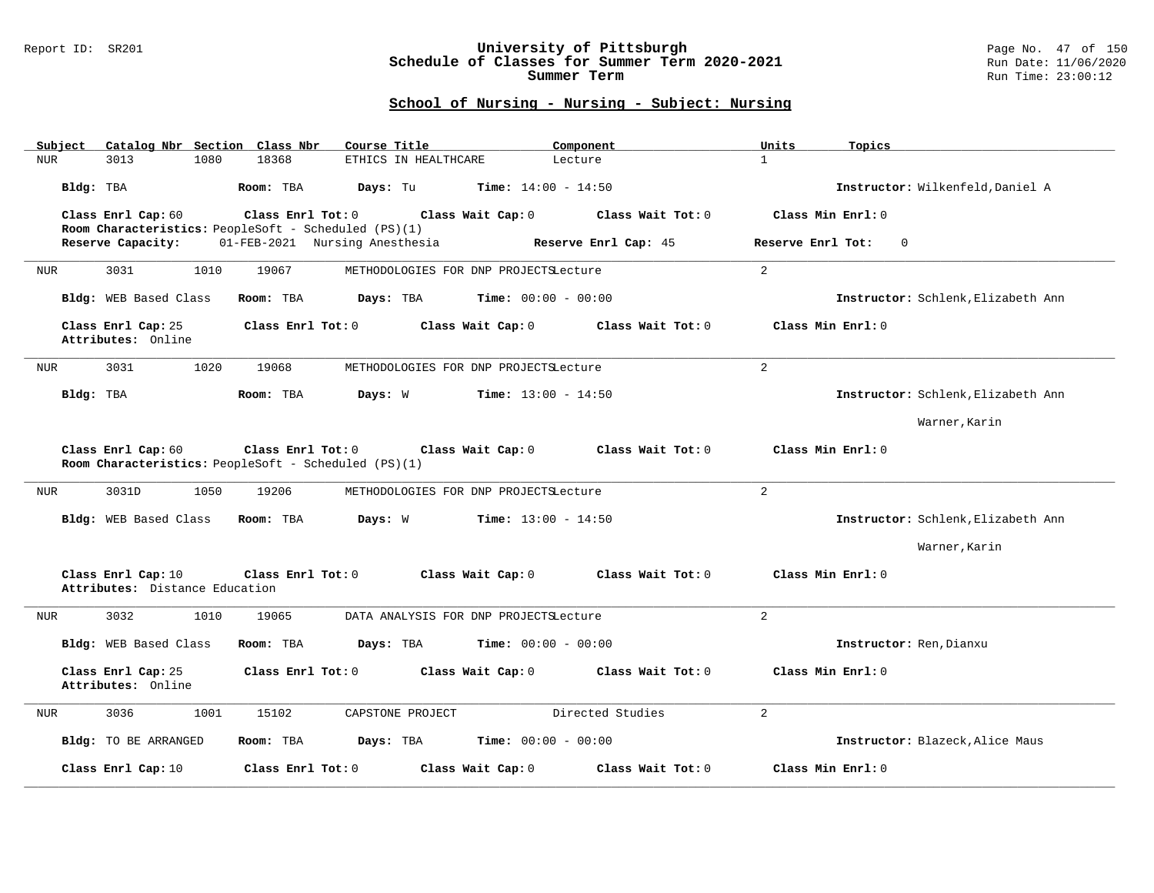### Report ID: SR201 **University of Pittsburgh** Page No. 47 of 150 **Schedule of Classes for Summer Term 2020-2021** Run Date: 11/06/2020 **Summer Term** Run Time: 23:00:12

| Catalog Nbr Section Class Nbr<br>Subject             | Course Title                                                                                   | Units<br>Component                 | Topics                             |
|------------------------------------------------------|------------------------------------------------------------------------------------------------|------------------------------------|------------------------------------|
| 3013<br>1080<br><b>NUR</b>                           | 18368<br>ETHICS IN HEALTHCARE                                                                  | $\mathbf{1}$<br>Lecture            |                                    |
| Bldg: TBA                                            | Room: TBA<br>Days: Tu<br><b>Time:</b> $14:00 - 14:50$                                          |                                    | Instructor: Wilkenfeld, Daniel A   |
| Class Enrl Cap: 60                                   | Class Enrl Tot: 0<br>Class Wait Cap: 0<br>Room Characteristics: PeopleSoft - Scheduled (PS)(1) | Class Wait Tot: 0                  | Class Min Enrl: 0                  |
| Reserve Capacity:                                    | 01-FEB-2021 Nursing Anesthesia                                                                 | Reserve Enrl Cap: 45               | Reserve Enrl Tot:<br>$\Omega$      |
| 3031<br>1010<br>NUR                                  | 19067<br>METHODOLOGIES FOR DNP PROJECTSLecture                                                 | 2                                  |                                    |
| Bldg: WEB Based Class                                | Days: TBA<br><b>Time:</b> $00:00 - 00:00$<br>Room: TBA                                         |                                    | Instructor: Schlenk, Elizabeth Ann |
| Class Enrl Cap: 25<br>Attributes: Online             | Class Enrl Tot: 0<br>Class Wait Cap: 0                                                         | Class Wait Tot: 0                  | Class Min Enrl: 0                  |
| 3031<br>1020<br>NUR                                  | 19068<br>METHODOLOGIES FOR DNP PROJECTSLecture                                                 | $\overline{a}$                     |                                    |
| Bldg: TBA                                            | Room: TBA<br>Days: W<br><b>Time:</b> $13:00 - 14:50$                                           |                                    | Instructor: Schlenk, Elizabeth Ann |
|                                                      |                                                                                                |                                    | Warner, Karin                      |
| Class Enrl Cap: 60                                   | Class Enrl Tot: 0<br>Class Wait Cap: 0<br>Room Characteristics: PeopleSoft - Scheduled (PS)(1) | $\texttt{Class Wait Tot: } 0$      | Class Min Enrl: 0                  |
| 3031D<br>1050<br>NUR                                 | 19206<br>METHODOLOGIES FOR DNP PROJECTSLecture                                                 | $\overline{2}$                     |                                    |
| Bldg: WEB Based Class                                | Room: TBA<br>Days: W<br><b>Time:</b> $13:00 - 14:50$                                           |                                    | Instructor: Schlenk, Elizabeth Ann |
|                                                      |                                                                                                |                                    | Warner, Karin                      |
| Class Enrl Cap: 10<br>Attributes: Distance Education | Class Enrl Tot: 0<br>Class Wait Cap: 0                                                         | Class Wait Tot: 0                  | Class Min Enrl: 0                  |
| 3032<br>1010<br>NUR                                  | 19065<br>DATA ANALYSIS FOR DNP PROJECTSLecture                                                 | $\overline{2}$                     |                                    |
| Bldg: WEB Based Class                                | Room: TBA<br><b>Time:</b> $00:00 - 00:00$<br>Days: TBA                                         |                                    | Instructor: Ren, Dianxu            |
| Class Enrl Cap: 25<br>Attributes: Online             | Class Enrl Tot: 0<br>Class Wait Cap: 0                                                         | Class Wait Tot: 0                  | Class Min Enrl: 0                  |
| 3036<br>1001<br>NUR                                  | 15102<br>CAPSTONE PROJECT                                                                      | Directed Studies<br>$\overline{a}$ |                                    |
| <b>Bldg:</b> TO BE ARRANGED                          | Room: TBA<br>Days: TBA<br><b>Time:</b> $00:00 - 00:00$                                         |                                    | Instructor: Blazeck, Alice Maus    |
| Class Enrl Cap: 10                                   | Class Enrl Tot: 0<br>Class Wait Cap: 0                                                         | Class Wait Tot: 0                  | Class Min Enrl: 0                  |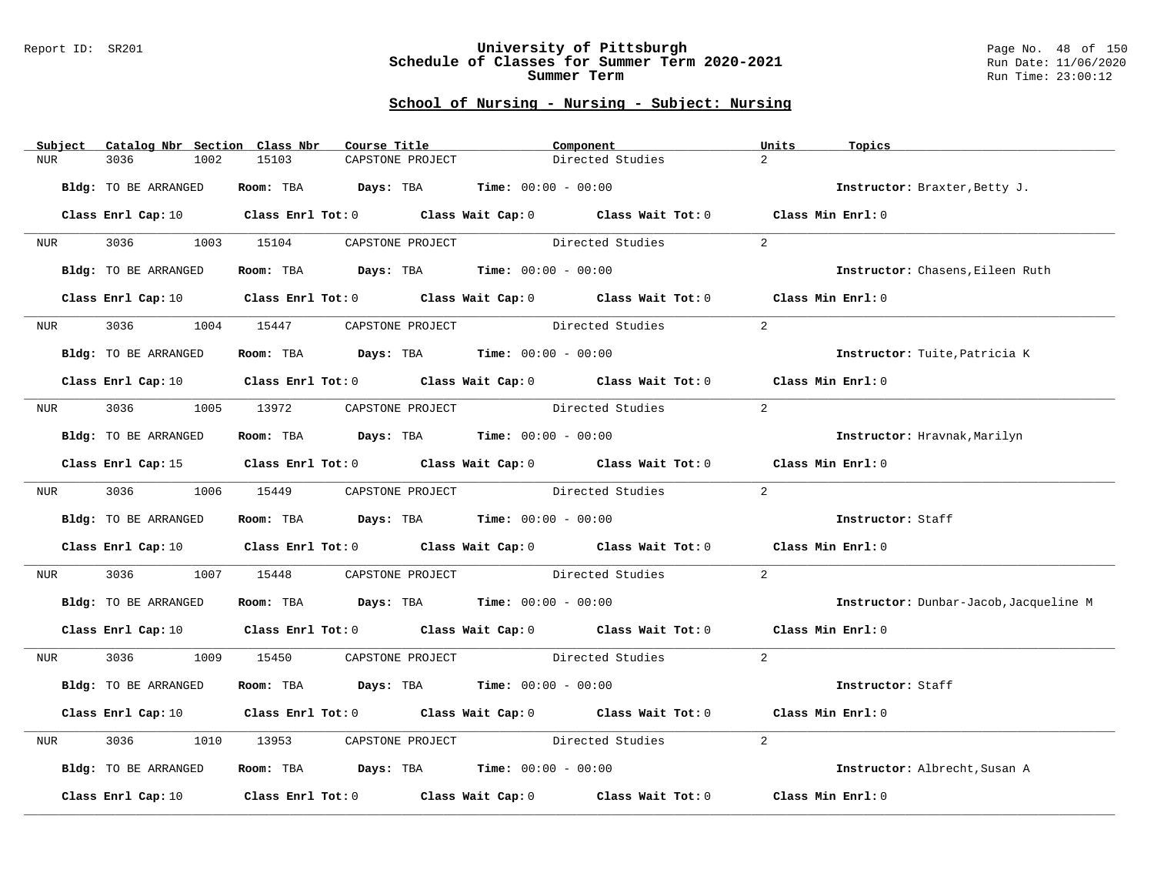### Report ID: SR201 **University of Pittsburgh** Page No. 48 of 150 **Schedule of Classes for Summer Term 2020-2021** Run Date: 11/06/2020 **Summer Term** Run Time: 23:00:12

|            | Subject          |                                                       |      | Catalog Nbr Section Class Nbr | Course Title |                  |                                             | Component        |                                                                                                                                | Units          | Topics                                 |
|------------|------------------|-------------------------------------------------------|------|-------------------------------|--------------|------------------|---------------------------------------------|------------------|--------------------------------------------------------------------------------------------------------------------------------|----------------|----------------------------------------|
| <b>NUR</b> |                  | 3036                                                  | 1002 | 15103                         |              | CAPSTONE PROJECT |                                             | Directed Studies |                                                                                                                                | $\overline{2}$ |                                        |
|            |                  | Bldg: TO BE ARRANGED                                  |      |                               |              |                  | Room: TBA $Days:$ TBA Time: $00:00 - 00:00$ |                  |                                                                                                                                |                | Instructor: Braxter, Betty J.          |
|            |                  |                                                       |      |                               |              |                  |                                             |                  | Class Enrl Cap: 10 $\qquad$ Class Enrl Tot: 0 $\qquad$ Class Wait Cap: 0 $\qquad$ Class Wait Tot: 0 $\qquad$ Class Min Enrl: 0 |                |                                        |
|            | NUR <sub>p</sub> |                                                       |      |                               |              |                  |                                             |                  | 3036 1003 15104 CAPSTONE PROJECT Directed Studies                                                                              | 2              |                                        |
|            |                  | Bldg: TO BE ARRANGED                                  |      |                               |              |                  | Room: TBA $Days:$ TBA $Time: 00:00 - 00:00$ |                  |                                                                                                                                |                | Instructor: Chasens, Eileen Ruth       |
|            |                  | Class Enrl Cap: 10                                    |      |                               |              |                  |                                             |                  | Class Enrl Tot: 0 Class Wait Cap: 0 Class Wait Tot: 0 Class Min Enrl: 0                                                        |                |                                        |
|            | <b>NUR</b>       | 3036 70                                               |      | 1004 15447                    |              |                  | CAPSTONE PROJECT Directed Studies           |                  |                                                                                                                                | 2              |                                        |
|            |                  | Bldg: TO BE ARRANGED                                  |      |                               |              |                  | Room: TBA $Days:$ TBA $Time: 00:00 - 00:00$ |                  |                                                                                                                                |                | Instructor: Tuite, Patricia K          |
|            |                  |                                                       |      |                               |              |                  |                                             |                  | Class Enrl Cap: 10 $\qquad$ Class Enrl Tot: 0 $\qquad$ Class Wait Cap: 0 $\qquad$ Class Wait Tot: 0 $\qquad$ Class Min Enrl: 0 |                |                                        |
|            |                  | NUR 3036 1005 13972 CAPSTONE PROJECT Directed Studies |      |                               |              |                  |                                             |                  |                                                                                                                                | $2^{1}$        |                                        |
|            |                  | Bldg: TO BE ARRANGED                                  |      |                               |              |                  | Room: TBA $Days:$ TBA $Time: 00:00 - 00:00$ |                  |                                                                                                                                |                | Instructor: Hravnak, Marilyn           |
|            |                  |                                                       |      |                               |              |                  |                                             |                  | Class Enrl Cap: 15 Class Enrl Tot: 0 Class Wait Cap: 0 Class Wait Tot: 0 Class Min Enrl: 0                                     |                |                                        |
|            | NUR <sub>p</sub> | 3036 1006 15449 CAPSTONE PROJECT                      |      |                               |              |                  |                                             | Directed Studies |                                                                                                                                | 2              |                                        |
|            |                  | Bldg: TO BE ARRANGED                                  |      |                               |              |                  | Room: TBA $Days:$ TBA $Time: 00:00 - 00:00$ |                  |                                                                                                                                |                | Instructor: Staff                      |
|            |                  |                                                       |      |                               |              |                  |                                             |                  | Class Enrl Cap: 10 Class Enrl Tot: 0 Class Wait Cap: 0 Class Wait Tot: 0 Class Min Enrl: 0                                     |                |                                        |
|            | NUR <sub>p</sub> | 3036 700                                              |      |                               |              |                  |                                             |                  | 1007 15448 CAPSTONE PROJECT Directed Studies                                                                                   | 2              |                                        |
|            |                  | Bldg: TO BE ARRANGED                                  |      |                               |              |                  | Room: TBA $Days:$ TBA $Time: 00:00 - 00:00$ |                  |                                                                                                                                |                | Instructor: Dunbar-Jacob, Jacqueline M |
|            |                  |                                                       |      |                               |              |                  |                                             |                  | Class Enrl Cap: 10 $\qquad$ Class Enrl Tot: 0 $\qquad$ Class Wait Cap: 0 $\qquad$ Class Wait Tot: 0 $\qquad$ Class Min Enrl: 0 |                |                                        |
|            |                  |                                                       |      |                               |              |                  |                                             |                  | NUR 3036 1009 15450 CAPSTONE PROJECT Directed Studies                                                                          | 2              |                                        |
|            |                  | Bldg: TO BE ARRANGED                                  |      |                               |              |                  | Room: TBA $Days: TBA$ Time: $00:00 - 00:00$ |                  |                                                                                                                                |                | Instructor: Staff                      |
|            |                  |                                                       |      |                               |              |                  |                                             |                  | Class Enrl Cap: 10 $\qquad$ Class Enrl Tot: 0 $\qquad$ Class Wait Cap: 0 $\qquad$ Class Wait Tot: 0 $\qquad$ Class Min Enrl: 0 |                |                                        |
| NUR        |                  | 3036                                                  | 1010 |                               |              |                  | 13953 CAPSTONE PROJECT Directed Studies     |                  |                                                                                                                                | $\overline{a}$ |                                        |
|            |                  | Bldg: TO BE ARRANGED                                  |      |                               |              |                  | Room: TBA $Days:$ TBA $Time: 00:00 - 00:00$ |                  |                                                                                                                                |                | Instructor: Albrecht, Susan A          |
|            |                  |                                                       |      |                               |              |                  |                                             |                  | Class Enrl Cap: 10 $\qquad$ Class Enrl Tot: 0 $\qquad$ Class Wait Cap: 0 $\qquad$ Class Wait Tot: 0                            |                | Class Min Enrl: 0                      |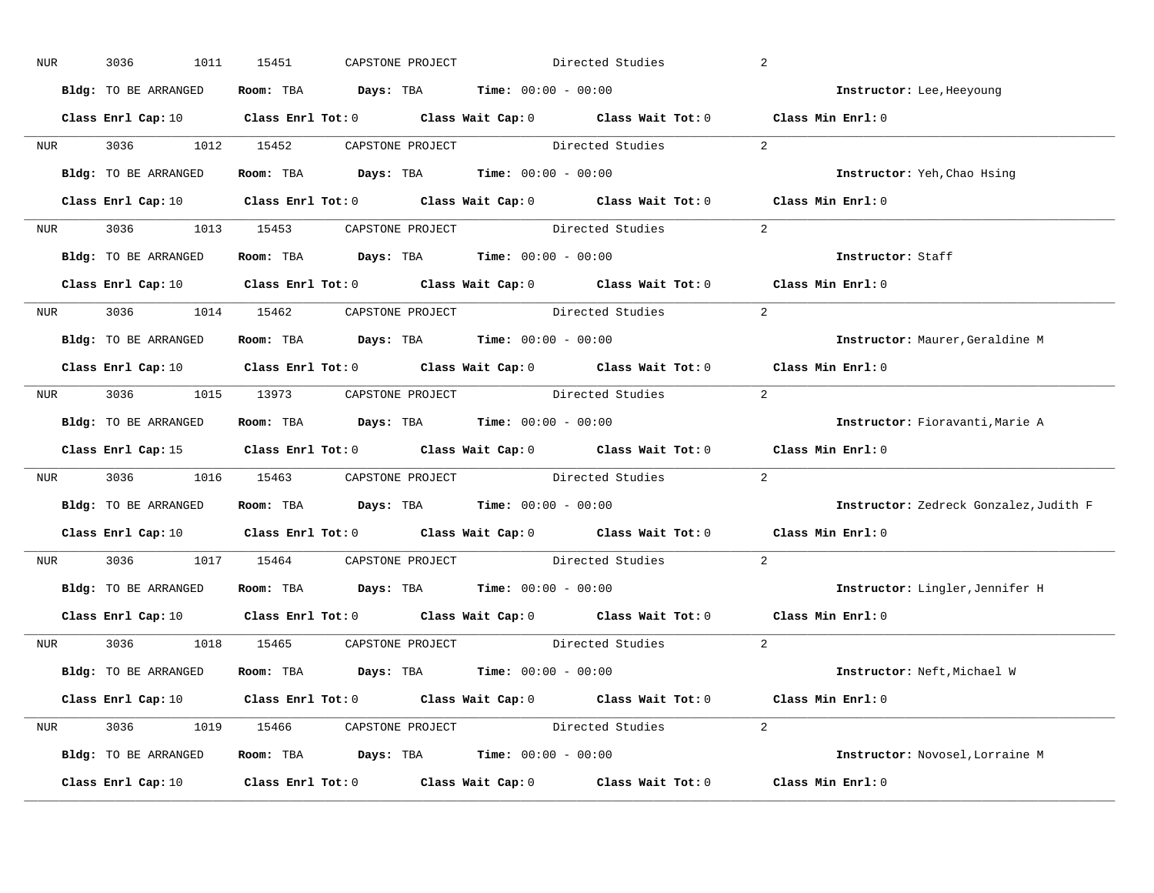| NUR        | 3036<br>1011         | 15451 | CAPSTONE PROJECT |                                                                | Directed Studies                                                                                                               | 2                                      |
|------------|----------------------|-------|------------------|----------------------------------------------------------------|--------------------------------------------------------------------------------------------------------------------------------|----------------------------------------|
|            | Bldg: TO BE ARRANGED |       |                  | Room: TBA $Days: TBA$ Time: $00:00 - 00:00$                    |                                                                                                                                | Instructor: Lee, Heeyoung              |
|            |                      |       |                  |                                                                | Class Enrl Cap: 10 $\qquad$ Class Enrl Tot: 0 $\qquad$ Class Wait Cap: 0 $\qquad$ Class Wait Tot: 0 $\qquad$ Class Min Enrl: 0 |                                        |
|            |                      |       |                  | NUR 3036 1012 15452 CAPSTONE PROJECT Directed Studies          |                                                                                                                                | 2                                      |
|            | Bldg: TO BE ARRANGED |       |                  | Room: TBA $Days:$ TBA Time: $00:00 - 00:00$                    |                                                                                                                                | Instructor: Yeh, Chao Hsing            |
|            |                      |       |                  |                                                                | Class Enrl Cap: 10 $\qquad$ Class Enrl Tot: 0 $\qquad$ Class Wait Cap: 0 $\qquad$ Class Wait Tot: 0 $\qquad$ Class Min Enrl: 0 |                                        |
|            |                      |       |                  |                                                                | NUR 3036 1013 15453 CAPSTONE PROJECT Directed Studies 2                                                                        |                                        |
|            |                      |       |                  | Bldg: TO BE ARRANGED ROOM: TBA Days: TBA Time: 00:00 - 00:00   |                                                                                                                                | Instructor: Staff                      |
|            |                      |       |                  |                                                                | Class Enrl Cap: 10 $\qquad$ Class Enrl Tot: 0 $\qquad$ Class Wait Cap: 0 $\qquad$ Class Wait Tot: 0 $\qquad$ Class Min Enrl: 0 |                                        |
|            |                      |       |                  | NUR 3036 1014 15462 CAPSTONE PROJECT Directed Studies          |                                                                                                                                | 2                                      |
|            | Bldg: TO BE ARRANGED |       |                  | Room: TBA $Days:$ TBA $Time: 00:00 - 00:00$                    |                                                                                                                                | Instructor: Maurer, Geraldine M        |
|            |                      |       |                  |                                                                | Class Enrl Cap: 10 $\qquad$ Class Enrl Tot: 0 $\qquad$ Class Wait Cap: 0 $\qquad$ Class Wait Tot: 0 $\qquad$ Class Min Enrl: 0 |                                        |
|            |                      |       |                  |                                                                | NUR 3036 1015 13973 CAPSTONE PROJECT Directed Studies                                                                          | 2                                      |
|            | Bldg: TO BE ARRANGED |       |                  | Room: TBA $Days:$ TBA $Time: 00:00 - 00:00$                    |                                                                                                                                | Instructor: Fioravanti, Marie A        |
|            |                      |       |                  |                                                                | Class Enrl Cap: 15 Class Enrl Tot: 0 Class Wait Cap: 0 Class Wait Tot: 0 Class Min Enrl: 0                                     |                                        |
|            |                      |       |                  | NUR 3036 1016 15463 CAPSTONE PROJECT Directed Studies          |                                                                                                                                | 2                                      |
|            | Bldg: TO BE ARRANGED |       |                  | Room: TBA $Days:$ TBA $Time: 00:00 - 00:00$                    |                                                                                                                                | Instructor: Zedreck Gonzalez, Judith F |
|            |                      |       |                  |                                                                | Class Enrl Cap: 10 $\qquad$ Class Enrl Tot: 0 $\qquad$ Class Wait Cap: 0 $\qquad$ Class Wait Tot: 0                            | Class Min Enrl: 0                      |
| <b>NUR</b> |                      |       |                  | 3036 1017 15464 CAPSTONE PROJECT Directed Studies              |                                                                                                                                | 2                                      |
|            |                      |       |                  | Bldg: TO BE ARRANGED Room: TBA Days: TBA Time: 00:00 - 00:00   |                                                                                                                                | Instructor: Lingler, Jennifer H        |
|            |                      |       |                  |                                                                | Class Enrl Cap: 10 $\qquad$ Class Enrl Tot: 0 $\qquad$ Class Wait Cap: 0 $\qquad$ Class Wait Tot: 0                            | Class Min Enrl: 0                      |
|            |                      |       |                  | NUR 3036 1018 15465 CAPSTONE PROJECT Directed Studies          |                                                                                                                                | 2                                      |
|            | Bldg: TO BE ARRANGED |       |                  | Room: TBA $\rule{1em}{0.15mm}$ Days: TBA Time: $00:00 - 00:00$ |                                                                                                                                | Instructor: Neft, Michael W            |
|            |                      |       |                  |                                                                | Class Enrl Cap: 10 $\qquad$ Class Enrl Tot: 0 $\qquad$ Class Wait Cap: 0 $\qquad$ Class Wait Tot: 0 $\qquad$ Class Min Enrl: 0 |                                        |
|            |                      |       |                  |                                                                | NUR 3036 1019 15466 CAPSTONE PROJECT Directed Studies 2                                                                        |                                        |
|            | Bldg: TO BE ARRANGED |       |                  | Room: TBA $Days: TBA$ Time: $00:00 - 00:00$                    |                                                                                                                                | Instructor: Novosel, Lorraine M        |
|            | Class Enrl Cap: 10   |       |                  |                                                                | Class Enrl Tot: 0 Class Wait Cap: 0 Class Wait Tot: 0 Class Min Enrl: 0                                                        |                                        |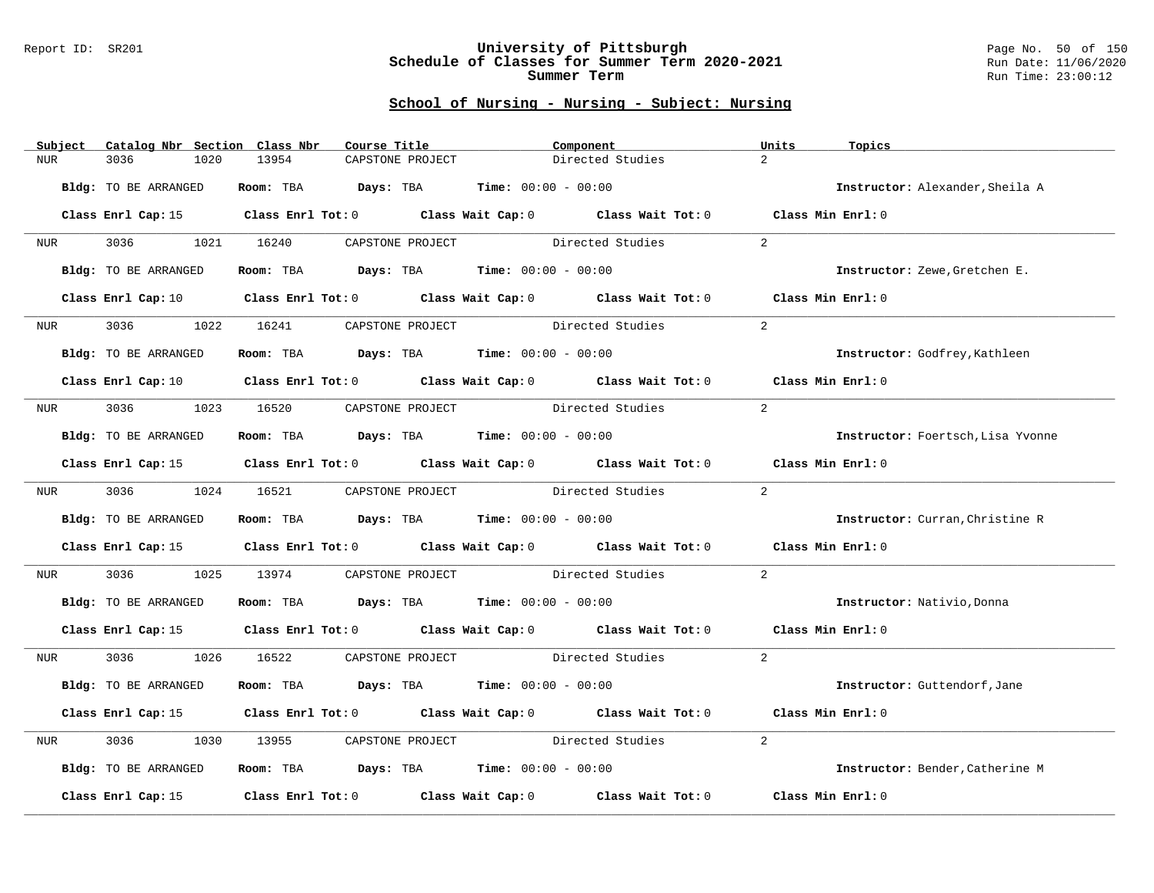### Report ID: SR201 **University of Pittsburgh** Page No. 50 of 150 **Schedule of Classes for Summer Term 2020-2021** Run Date: 11/06/2020 **Summer Term** Run Time: 23:00:12

| Subject          | Catalog Nbr Section Class Nbr | Course Title                                                                                                                   | Component                                                               |                                    | Units<br>Topics                      |
|------------------|-------------------------------|--------------------------------------------------------------------------------------------------------------------------------|-------------------------------------------------------------------------|------------------------------------|--------------------------------------|
| <b>NUR</b>       | 3036<br>1020                  | 13954<br>CAPSTONE PROJECT                                                                                                      |                                                                         | $\overline{2}$<br>Directed Studies |                                      |
|                  | Bldg: TO BE ARRANGED          | Room: TBA $Days:$ TBA $Time: 00:00 - 00:00$                                                                                    |                                                                         |                                    | Instructor: Alexander, Sheila A      |
|                  |                               | Class Enrl Cap: 15 Class Enrl Tot: 0 Class Wait Cap: 0 Class Wait Tot: 0 Class Min Enrl: 0                                     |                                                                         |                                    |                                      |
|                  |                               | NUR 3036 1021 16240 CAPSTONE PROJECT Directed Studies                                                                          |                                                                         | 2                                  |                                      |
|                  | Bldg: TO BE ARRANGED          | Room: TBA $Days:$ TBA $Time: 00:00 - 00:00$                                                                                    |                                                                         |                                    | Instructor: Zewe, Gretchen E.        |
|                  | Class Enrl Cap: 10            |                                                                                                                                | Class Enrl Tot: 0 Class Wait Cap: 0 Class Wait Tot: 0 Class Min Enrl: 0 |                                    |                                      |
| NUR <sub>p</sub> | 3036 700<br>1022              | 16241                                                                                                                          | CAPSTONE PROJECT Directed Studies                                       | $\overline{2}$                     |                                      |
|                  | Bldg: TO BE ARRANGED          | Room: TBA $Days:$ TBA $Time: 00:00 - 00:00$                                                                                    |                                                                         |                                    | <b>Instructor:</b> Godfrey, Kathleen |
|                  |                               | Class Enrl Cap: 10 $\qquad$ Class Enrl Tot: 0 $\qquad$ Class Wait Cap: 0 $\qquad$ Class Wait Tot: 0 $\qquad$ Class Min Enrl: 0 |                                                                         |                                    |                                      |
| NUR <b>NUR</b>   |                               | 3036 1023 16520 CAPSTONE PROJECT Directed Studies                                                                              |                                                                         | $\overline{2}$                     |                                      |
|                  | Bldg: TO BE ARRANGED          | Room: TBA $Days:$ TBA $Time: 00:00 - 00:00$                                                                                    |                                                                         |                                    | Instructor: Foertsch, Lisa Yvonne    |
|                  |                               | Class Enrl Cap: 15 Class Enrl Tot: 0 Class Wait Cap: 0 Class Wait Tot: 0 Class Min Enrl: 0                                     |                                                                         |                                    |                                      |
| <b>NUR</b>       |                               | 3036 1024 16521 CAPSTONE PROJECT                                                                                               | Directed Studies                                                        | $2^{1}$                            |                                      |
|                  | Bldg: TO BE ARRANGED          | Room: TBA $Days:$ TBA $Time: 00:00 - 00:00$                                                                                    |                                                                         |                                    | Instructor: Curran, Christine R      |
|                  |                               | Class Enrl Cap: 15 Class Enrl Tot: 0 Class Wait Cap: 0 Class Wait Tot: 0                                                       |                                                                         |                                    | Class Min $Enr1:0$                   |
| NUR              | 3036 70                       | 1025 13974 CAPSTONE PROJECT Directed Studies                                                                                   |                                                                         | 2                                  |                                      |
|                  | Bldg: TO BE ARRANGED          | Room: TBA $\rule{1em}{0.15mm}$ Days: TBA Time: $00:00 - 00:00$                                                                 |                                                                         |                                    | Instructor: Nativio, Donna           |
|                  |                               | Class Enrl Cap: 15 Class Enrl Tot: 0 Class Wait Cap: 0 Class Wait Tot: 0 Class Min Enrl: 0                                     |                                                                         |                                    |                                      |
|                  |                               | NUR 3036 1026 16522 CAPSTONE PROJECT Directed Studies                                                                          |                                                                         | 2                                  |                                      |
|                  | Bldg: TO BE ARRANGED          | Room: TBA $\rule{1em}{0.15mm}$ Days: TBA $\rule{1.5mm}{0.15mm}$ Time: $00:00 - 00:00$                                          |                                                                         |                                    | Instructor: Guttendorf, Jane         |
|                  |                               | Class Enrl Cap: 15 (Class Enrl Tot: 0 (Class Wait Cap: 0 (Class Wait Tot: 0 (Class Min Enrl: 0)                                |                                                                         |                                    |                                      |
| NUR              | 3036<br>1030                  | 13955 CAPSTONE PROJECT Directed Studies                                                                                        |                                                                         | 2                                  |                                      |
|                  | Bldg: TO BE ARRANGED          | Room: TBA $Days:$ TBA $Time: 00:00 - 00:00$                                                                                    |                                                                         |                                    | Instructor: Bender, Catherine M      |
|                  | Class Enrl Cap: 15            |                                                                                                                                | Class Enrl Tot: 0 Class Wait Cap: 0 Class Wait Tot: 0                   |                                    | Class Min Enrl: 0                    |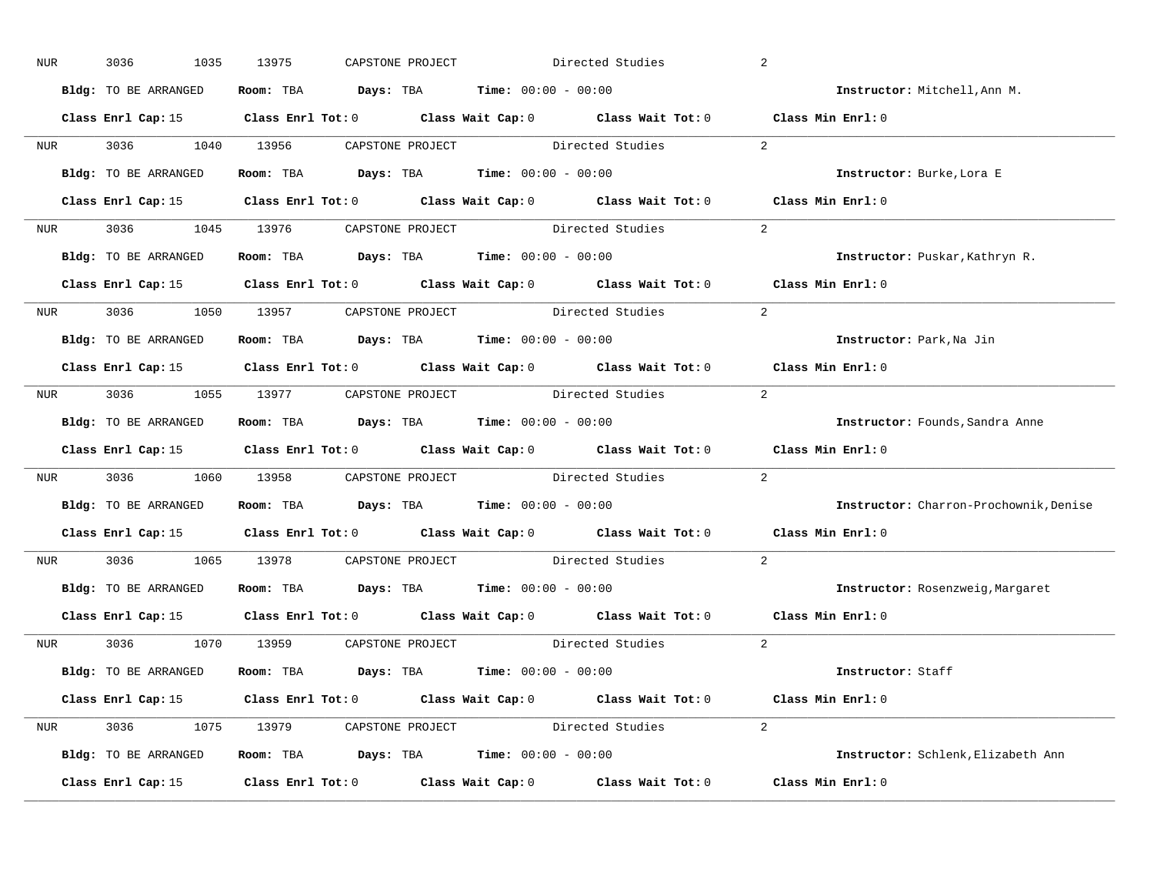| NUR        | 3036<br>1035         | 13975 | CAPSTONE PROJECT |                                                                                       | Directed Studies                                                                                    | 2                                      |
|------------|----------------------|-------|------------------|---------------------------------------------------------------------------------------|-----------------------------------------------------------------------------------------------------|----------------------------------------|
|            | Bldg: TO BE ARRANGED |       |                  | Room: TBA $Days: TBA$ Time: $00:00 - 00:00$                                           |                                                                                                     | Instructor: Mitchell, Ann M.           |
|            |                      |       |                  |                                                                                       | Class Enrl Cap: 15 (Class Enrl Tot: 0 (Class Wait Cap: 0 (Class Wait Tot: 0 (Class Min Enrl: 0)     |                                        |
|            |                      |       |                  | NUR 3036 1040 13956 CAPSTONE PROJECT Directed Studies                                 |                                                                                                     | 2                                      |
|            | Bldg: TO BE ARRANGED |       |                  | Room: TBA $Days:$ TBA Time: $00:00 - 00:00$                                           |                                                                                                     | Instructor: Burke, Lora E              |
|            |                      |       |                  |                                                                                       | Class Enrl Cap: 15 (Class Enrl Tot: 0 (Class Wait Cap: 0 (Class Wait Tot: 0 (Class Min Enrl: 0)     |                                        |
|            |                      |       |                  |                                                                                       | NUR 3036 1045 13976 CAPSTONE PROJECT Directed Studies 2                                             |                                        |
|            |                      |       |                  | Bldg: TO BE ARRANGED Room: TBA Days: TBA Time: 00:00 - 00:00                          |                                                                                                     | Instructor: Puskar, Kathryn R.         |
|            |                      |       |                  |                                                                                       | Class Enrl Cap: 15 Class Enrl Tot: 0 Class Wait Cap: 0 Class Wait Tot: 0 Class Min Enrl: 0          |                                        |
|            |                      |       |                  | NUR 3036 1050 13957 CAPSTONE PROJECT Directed Studies                                 |                                                                                                     | 2                                      |
|            | Bldg: TO BE ARRANGED |       |                  | Room: TBA $Days:$ TBA $Time: 00:00 - 00:00$                                           |                                                                                                     | Instructor: Park, Na Jin               |
|            |                      |       |                  |                                                                                       | Class Enrl Cap: 15 Class Enrl Tot: 0 Class Wait Cap: 0 Class Wait Tot: 0 Class Min Enrl: 0          |                                        |
|            |                      |       |                  |                                                                                       | NUR 3036 1055 13977 CAPSTONE PROJECT Directed Studies                                               | 2                                      |
|            | Bldg: TO BE ARRANGED |       |                  | Room: TBA $Days:$ TBA $Time: 00:00 - 00:00$                                           |                                                                                                     | Instructor: Founds, Sandra Anne        |
|            |                      |       |                  |                                                                                       | Class Enrl Cap: 15 Class Enrl Tot: 0 Class Wait Cap: 0 Class Wait Tot: 0 Class Min Enrl: 0          |                                        |
|            |                      |       |                  | NUR 3036 1060 13958 CAPSTONE PROJECT Directed Studies                                 |                                                                                                     | 2                                      |
|            | Bldg: TO BE ARRANGED |       |                  | Room: TBA $Days:$ TBA $Time: 00:00 - 00:00$                                           |                                                                                                     | Instructor: Charron-Prochownik, Denise |
|            |                      |       |                  |                                                                                       | Class Enrl Cap: 15 $\qquad$ Class Enrl Tot: 0 $\qquad$ Class Wait Cap: 0 $\qquad$ Class Wait Tot: 0 | Class Min Enrl: 0                      |
| <b>NUR</b> |                      |       |                  | 3036 1065 13978 CAPSTONE PROJECT Directed Studies                                     |                                                                                                     | $\overline{2}$                         |
|            |                      |       |                  | Bldg: TO BE ARRANGED Room: TBA Days: TBA Time: 00:00 - 00:00                          |                                                                                                     | Instructor: Rosenzweig, Margaret       |
|            | Class Enrl Cap: 15   |       |                  |                                                                                       | Class Enrl Tot: $0$ Class Wait Cap: $0$ Class Wait Tot: $0$                                         | Class Min Enrl: 0                      |
|            |                      |       |                  | NUR 3036 1070 13959 CAPSTONE PROJECT Directed Studies                                 |                                                                                                     | 2                                      |
|            | Bldg: TO BE ARRANGED |       |                  | Room: TBA $\rule{1em}{0.15mm}$ Days: TBA $\rule{1.5mm}{0.15mm}$ Time: $00:00 - 00:00$ |                                                                                                     | Instructor: Staff                      |
|            |                      |       |                  |                                                                                       | Class Enrl Cap: 15 Class Enrl Tot: 0 Class Wait Cap: 0 Class Wait Tot: 0 Class Min Enrl: 0          |                                        |
|            |                      |       |                  |                                                                                       | NUR 3036 1075 13979 CAPSTONE PROJECT Directed Studies 2                                             |                                        |
|            | Bldg: TO BE ARRANGED |       |                  | Room: TBA $Days:$ TBA $Time: 00:00 - 00:00$                                           |                                                                                                     | Instructor: Schlenk, Elizabeth Ann     |
|            |                      |       |                  |                                                                                       | Class Enrl Cap: 15 Class Enrl Tot: 0 Class Wait Cap: 0 Class Wait Tot: 0 Class Min Enrl: 0          |                                        |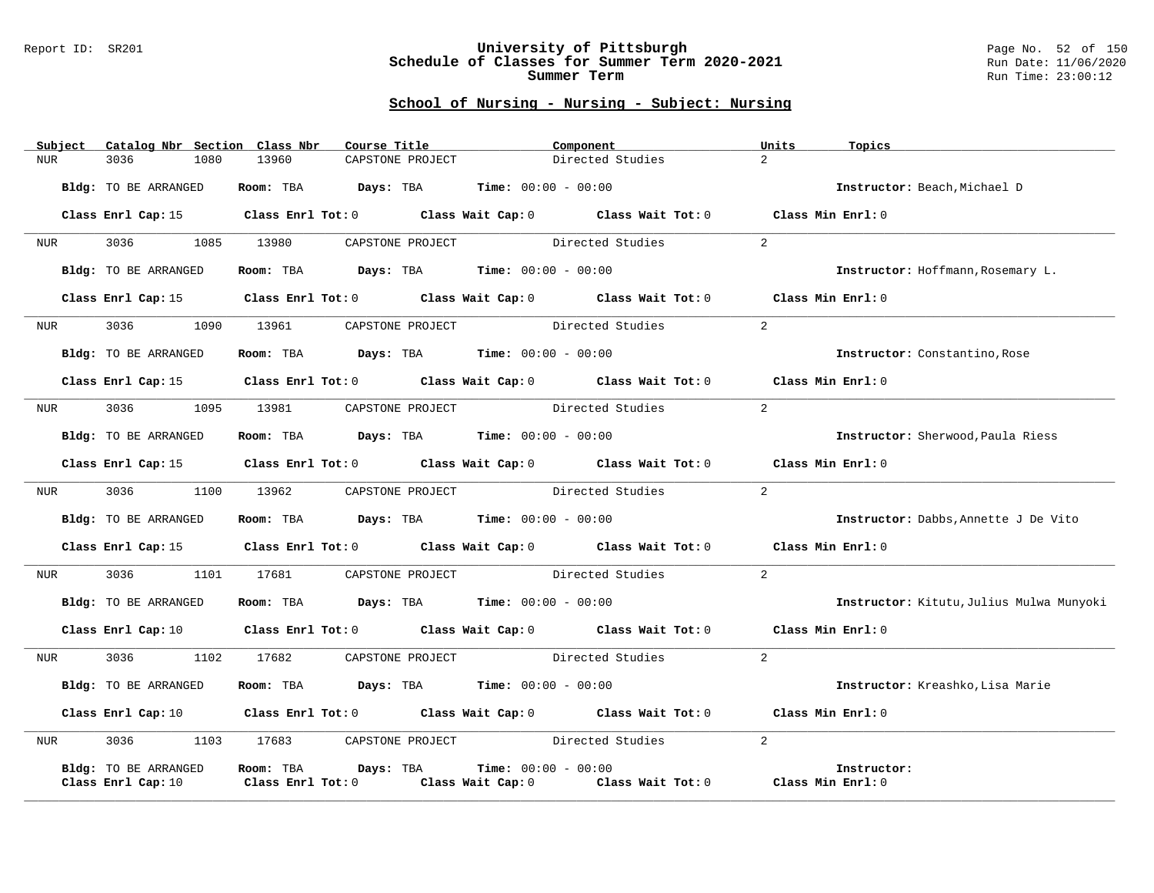### Report ID: SR201 **University of Pittsburgh** Page No. 52 of 150 **Schedule of Classes for Summer Term 2020-2021** Run Date: 11/06/2020 **Summer Term** Run Time: 23:00:12

| Directed Studies<br>$\overline{2}$<br>3036<br>1080<br>13960<br>CAPSTONE PROJECT<br><b>NUR</b><br>Room: TBA $Days:$ TBA $Time: 00:00 - 00:00$<br>Bldg: TO BE ARRANGED<br>Instructor: Beach, Michael D<br>Class Enrl Cap: 15 Class Enrl Tot: 0 Class Wait Cap: 0 Class Wait Tot: 0 Class Min Enrl: 0<br>3036 1085 13980 CAPSTONE PROJECT Directed Studies<br>$\overline{2}$<br>NUR <sub>p</sub><br>Room: TBA $Days:$ TBA $Time: 00:00 - 00:00$<br>Bldg: TO BE ARRANGED<br>Instructor: Hoffmann, Rosemary L. |  |
|-----------------------------------------------------------------------------------------------------------------------------------------------------------------------------------------------------------------------------------------------------------------------------------------------------------------------------------------------------------------------------------------------------------------------------------------------------------------------------------------------------------|--|
|                                                                                                                                                                                                                                                                                                                                                                                                                                                                                                           |  |
|                                                                                                                                                                                                                                                                                                                                                                                                                                                                                                           |  |
|                                                                                                                                                                                                                                                                                                                                                                                                                                                                                                           |  |
|                                                                                                                                                                                                                                                                                                                                                                                                                                                                                                           |  |
|                                                                                                                                                                                                                                                                                                                                                                                                                                                                                                           |  |
| Class Enrl Cap: 15 Class Enrl Tot: 0 Class Wait Cap: 0 Class Wait Tot: 0 Class Min Enrl: 0                                                                                                                                                                                                                                                                                                                                                                                                                |  |
| $\overline{2}$<br>NUR 3036 1090 13961 CAPSTONE PROJECT Directed Studies                                                                                                                                                                                                                                                                                                                                                                                                                                   |  |
| Room: TBA $\rule{1em}{0.15mm}$ Days: TBA Time: $00:00 - 00:00$<br>Bldg: TO BE ARRANGED<br>Instructor: Constantino, Rose                                                                                                                                                                                                                                                                                                                                                                                   |  |
| Class Enrl Cap: 15 Class Enrl Tot: 0 Class Wait Cap: 0 Class Wait Tot: 0 Class Min Enrl: 0                                                                                                                                                                                                                                                                                                                                                                                                                |  |
| 2<br>3036<br>1095<br>CAPSTONE PROJECT Directed Studies<br>13981<br>NUR                                                                                                                                                                                                                                                                                                                                                                                                                                    |  |
| Room: TBA $Days:$ TBA $Time: 00:00 - 00:00$<br>Bldg: TO BE ARRANGED<br>Instructor: Sherwood, Paula Riess                                                                                                                                                                                                                                                                                                                                                                                                  |  |
| Class Enrl Cap: 15 Class Enrl Tot: 0 Class Wait Cap: 0 Class Wait Tot: 0 Class Min Enrl: 0                                                                                                                                                                                                                                                                                                                                                                                                                |  |
| 3036 1100 13962 CAPSTONE PROJECT Directed Studies<br>$\overline{2}$<br>NUR <b>NUR</b>                                                                                                                                                                                                                                                                                                                                                                                                                     |  |
| Room: TBA $Days:$ TBA $Time: 00:00 - 00:00$<br>Bldg: TO BE ARRANGED<br>Instructor: Dabbs, Annette J De Vito                                                                                                                                                                                                                                                                                                                                                                                               |  |
| Class Enrl Cap: 15 (Class Enrl Tot: 0 (Class Wait Cap: 0 (Class Wait Tot: 0 (Class Min Enrl: 0)                                                                                                                                                                                                                                                                                                                                                                                                           |  |
| 3036 1101 17681<br>CAPSTONE PROJECT Directed Studies<br>$\overline{2}$<br><b>NUR</b>                                                                                                                                                                                                                                                                                                                                                                                                                      |  |
| Room: TBA $\rule{1em}{0.15mm}$ Days: TBA Time: $00:00 - 00:00$<br>Bldg: TO BE ARRANGED<br>Instructor: Kitutu, Julius Mulwa Munyoki                                                                                                                                                                                                                                                                                                                                                                        |  |
| Class Enrl Cap: 10 $\qquad$ Class Enrl Tot: 0 $\qquad$ Class Wait Cap: 0 $\qquad$ Class Wait Tot: 0<br>Class Min Enrl: 0                                                                                                                                                                                                                                                                                                                                                                                  |  |
| $\overline{2}$<br>3036<br>CAPSTONE PROJECT Directed Studies<br>1102<br>17682<br>NUR                                                                                                                                                                                                                                                                                                                                                                                                                       |  |
| Room: TBA $Days:$ TBA $Time: 00:00 - 00:00$<br>Bldg: TO BE ARRANGED<br>Instructor: Kreashko, Lisa Marie                                                                                                                                                                                                                                                                                                                                                                                                   |  |
| Class Enrl Cap: 10 $\qquad$ Class Enrl Tot: 0 $\qquad$ Class Wait Cap: 0 $\qquad$ Class Wait Tot: 0 $\qquad$ Class Min Enrl: 0                                                                                                                                                                                                                                                                                                                                                                            |  |
| 3036 1103 17683 CAPSTONE PROJECT Directed Studies<br>2<br>NUR <sub>e</sub>                                                                                                                                                                                                                                                                                                                                                                                                                                |  |
| Room: TBA Days: TBA<br><b>Time:</b> $00:00 - 00:00$<br>Bldg: TO BE ARRANGED<br>Instructor:<br>Class Wait Cap: 0 Class Wait Tot: 0<br>Class Min Enrl: 0<br>Class Enrl Cap: 10<br>$Class$ $Enr1$ $Tot: 0$                                                                                                                                                                                                                                                                                                   |  |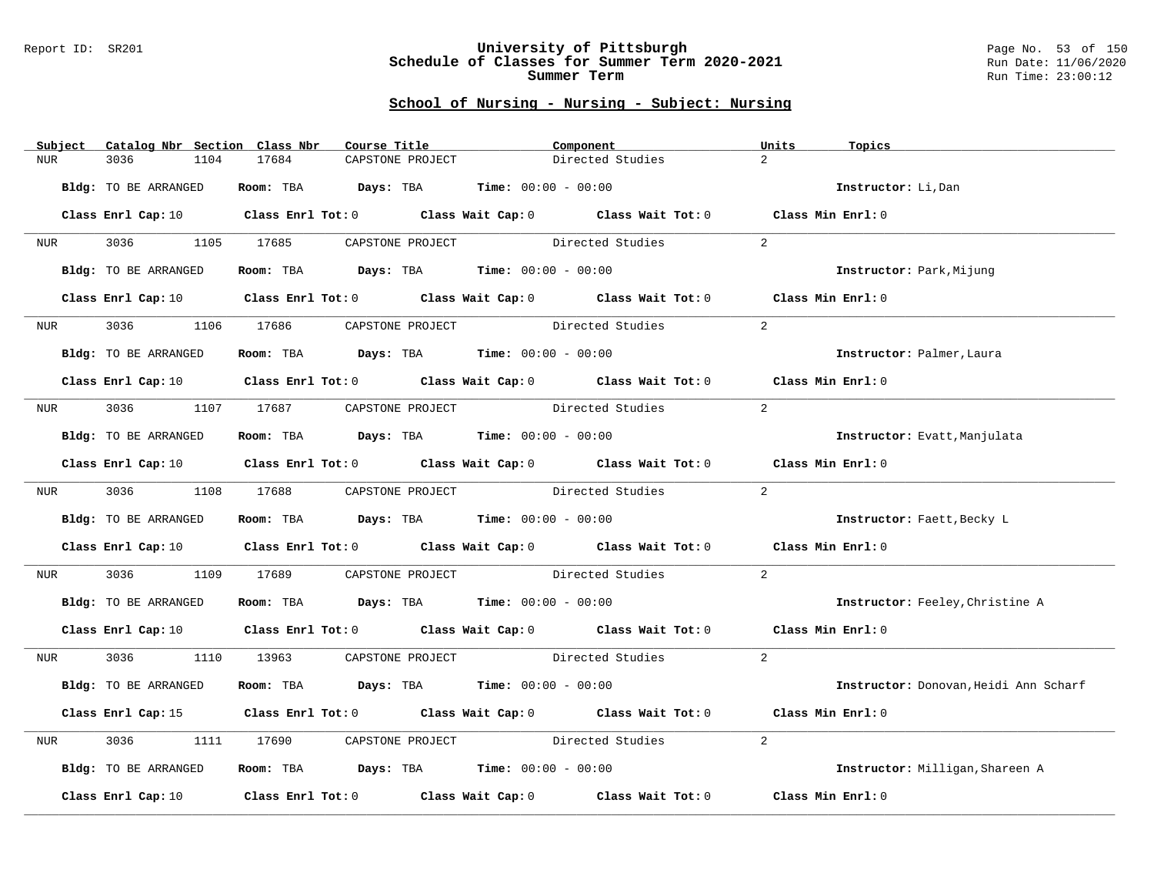### Report ID: SR201 **University of Pittsburgh** Page No. 53 of 150 **Schedule of Classes for Summer Term 2020-2021** Run Date: 11/06/2020 **Summer Term** Run Time: 23:00:12

| Subject          | Catalog Nbr Section Class Nbr | Course Title                                                                                                                   | Component                                                               |                  | Units<br>Topics                       |
|------------------|-------------------------------|--------------------------------------------------------------------------------------------------------------------------------|-------------------------------------------------------------------------|------------------|---------------------------------------|
| NUR.             | 3036<br>1104                  | 17684<br>CAPSTONE PROJECT                                                                                                      |                                                                         | Directed Studies | $\overline{2}$                        |
|                  | Bldg: TO BE ARRANGED          |                                                                                                                                | Room: TBA $Days:$ TBA $Time: 00:00 - 00:00$                             |                  | Instructor: Li, Dan                   |
|                  |                               | Class Enrl Cap: 10 Class Enrl Tot: 0 Class Wait Cap: 0 Class Wait Tot: 0 Class Min Enrl: 0                                     |                                                                         |                  |                                       |
| <b>NUR</b>       |                               | 3036 1105 17685 CAPSTONE PROJECT Directed Studies                                                                              |                                                                         |                  | 2                                     |
|                  | Bldg: TO BE ARRANGED          |                                                                                                                                | Room: TBA $Days:$ TBA $Time:$ 00:00 - 00:00                             |                  | Instructor: Park, Mijung              |
|                  | Class Enrl Cap: 10            |                                                                                                                                | Class Enrl Tot: 0 Class Wait Cap: 0 Class Wait Tot: 0 Class Min Enrl: 0 |                  |                                       |
| NUR <sub>p</sub> | 3036                          | 1106 17686                                                                                                                     | CAPSTONE PROJECT Directed Studies                                       |                  | $\overline{2}$                        |
|                  | Bldg: TO BE ARRANGED          |                                                                                                                                | Room: TBA $Days:$ TBA $Time: 00:00 - 00:00$                             |                  | Instructor: Palmer, Laura             |
|                  |                               | Class Enrl Cap: 10 $\qquad$ Class Enrl Tot: 0 $\qquad$ Class Wait Cap: 0 $\qquad$ Class Wait Tot: 0 $\qquad$ Class Min Enrl: 0 |                                                                         |                  |                                       |
| NUR <b>NUR</b>   |                               | 3036 1107 17687 CAPSTONE PROJECT Directed Studies                                                                              |                                                                         |                  | 2                                     |
|                  | Bldg: TO BE ARRANGED          |                                                                                                                                | Room: TBA $Days:$ TBA $Time: 00:00 - 00:00$                             |                  | Instructor: Evatt, Manjulata          |
|                  |                               | Class Enrl Cap: 10 Class Enrl Tot: 0 Class Wait Cap: 0 Class Wait Tot: 0 Class Min Enrl: 0                                     |                                                                         |                  |                                       |
|                  |                               | NUR 3036 1108 17688 CAPSTONE PROJECT Directed Studies                                                                          |                                                                         |                  | 2                                     |
|                  | Bldg: TO BE ARRANGED          |                                                                                                                                | Room: TBA $\rule{1em}{0.15mm}$ Days: TBA Time: $00:00 - 00:00$          |                  | Instructor: Faett, Becky L            |
|                  |                               | Class Enrl Cap: 10 $\qquad$ Class Enrl Tot: 0 $\qquad$ Class Wait Cap: 0 $\qquad$ Class Wait Tot: 0 $\qquad$ Class Min Enrl: 0 |                                                                         |                  |                                       |
| NUR              | 3036 70                       | 1109 17689 CAPSTONE PROJECT Directed Studies                                                                                   |                                                                         |                  | 2                                     |
|                  | Bldg: TO BE ARRANGED          |                                                                                                                                | Room: TBA $Days:$ TBA $Time: 00:00 - 00:00$                             |                  | Instructor: Feeley, Christine A       |
|                  |                               | Class Enrl Cap: 10 $\qquad$ Class Enrl Tot: 0 $\qquad$ Class Wait Cap: 0 $\qquad$ Class Wait Tot: 0 $\qquad$ Class Min Enrl: 0 |                                                                         |                  |                                       |
| NUR <b>NUR</b>   |                               | 3036 1110 13963 CAPSTONE PROJECT Directed Studies                                                                              |                                                                         |                  | 2                                     |
|                  | Bldg: TO BE ARRANGED          |                                                                                                                                | Room: TBA $Days:$ TBA $Time: 00:00 - 00:00$                             |                  | Instructor: Donovan, Heidi Ann Scharf |
|                  |                               | Class Enrl Cap: 15 (Class Enrl Tot: 0) (Class Wait Cap: 0) (Class Wait Tot: 0)                                                 |                                                                         |                  | Class Min Enrl: 0                     |
| NUR              | 3036                          | 1111 17690                                                                                                                     | CAPSTONE PROJECT Directed Studies                                       |                  | $\overline{a}$                        |
|                  | Bldg: TO BE ARRANGED          |                                                                                                                                | Room: TBA $Days:$ TBA $Time: 00:00 - 00:00$                             |                  | Instructor: Milligan, Shareen A       |
|                  | Class Enrl Cap: 10            |                                                                                                                                | Class Enrl Tot: $0$ Class Wait Cap: $0$ Class Wait Tot: $0$             |                  | Class Min Enrl: 0                     |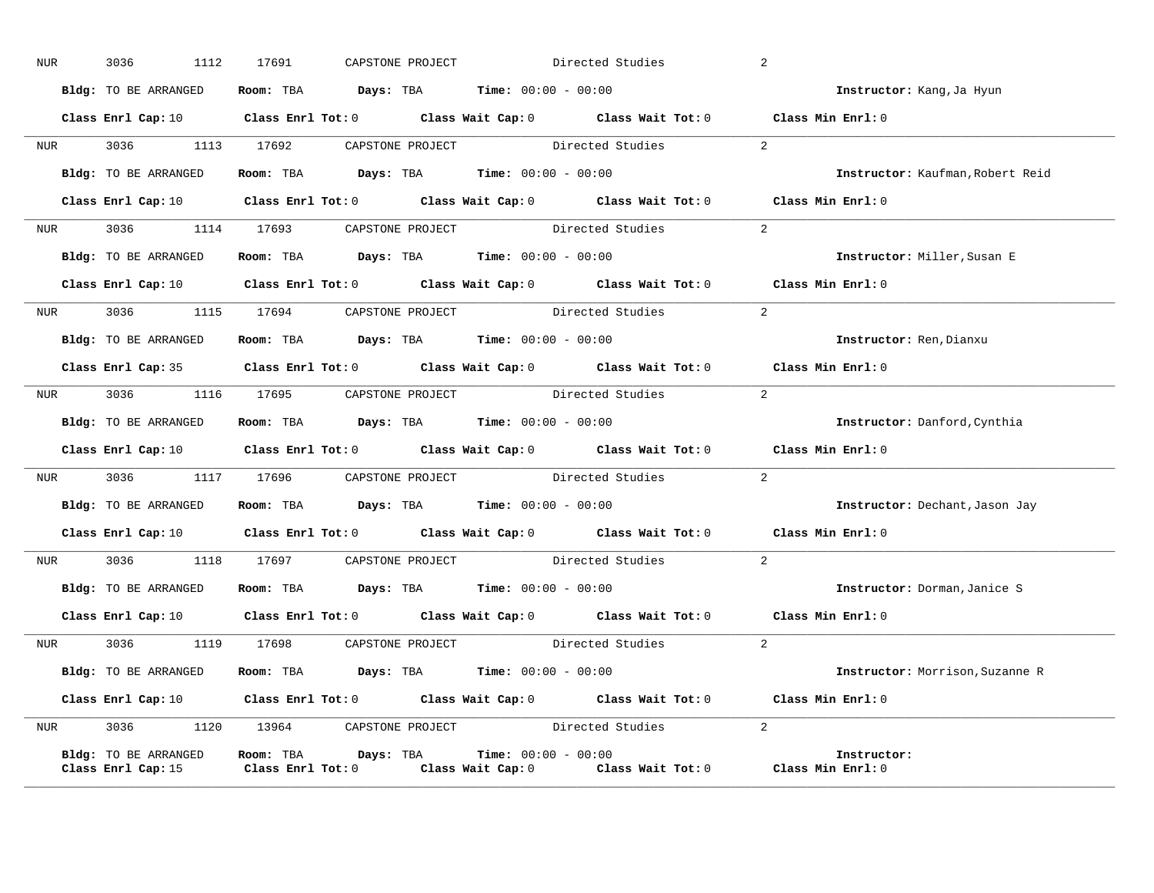| NUR        | 3036 | 1112                                       | 17691 | CAPSTONE PROJECT |                                                                                            | Directed Studies                                                                                                               | 2 |                                  |
|------------|------|--------------------------------------------|-------|------------------|--------------------------------------------------------------------------------------------|--------------------------------------------------------------------------------------------------------------------------------|---|----------------------------------|
|            |      | Bldg: TO BE ARRANGED                       |       |                  | Room: TBA $\rule{1em}{0.15mm}$ Days: TBA Time: $00:00 - 00:00$                             |                                                                                                                                |   | Instructor: Kang, Ja Hyun        |
|            |      |                                            |       |                  |                                                                                            | Class Enrl Cap: 10 $\qquad$ Class Enrl Tot: 0 $\qquad$ Class Wait Cap: 0 $\qquad$ Class Wait Tot: 0 $\qquad$ Class Min Enrl: 0 |   |                                  |
|            |      |                                            |       |                  |                                                                                            | NUR 3036 1113 17692 CAPSTONE PROJECT Directed Studies 2                                                                        |   |                                  |
|            |      |                                            |       |                  | Bldg: TO BE ARRANGED Room: TBA Days: TBA Time: 00:00 - 00:00                               |                                                                                                                                |   | Instructor: Kaufman, Robert Reid |
|            |      |                                            |       |                  |                                                                                            | Class Enrl Cap: 10 $\qquad$ Class Enrl Tot: 0 $\qquad$ Class Wait Cap: 0 $\qquad$ Class Wait Tot: 0 $\qquad$ Class Min Enrl: 0 |   |                                  |
|            |      |                                            |       |                  |                                                                                            | NUR 3036 1114 17693 CAPSTONE PROJECT Directed Studies                                                                          | 2 |                                  |
|            |      | Bldg: TO BE ARRANGED                       |       |                  | Room: TBA $Days:$ TBA Time: $00:00 - 00:00$                                                |                                                                                                                                |   | Instructor: Miller, Susan E      |
|            |      |                                            |       |                  |                                                                                            | Class Enrl Cap: 10 $\qquad$ Class Enrl Tot: 0 $\qquad$ Class Wait Cap: 0 $\qquad$ Class Wait Tot: 0 $\qquad$ Class Min Enrl: 0 |   |                                  |
|            |      |                                            |       |                  |                                                                                            | NUR 3036 1115 17694 CAPSTONE PROJECT Directed Studies 2                                                                        |   |                                  |
|            |      | Bldg: TO BE ARRANGED                       |       |                  | Room: TBA $Days:$ TBA Time: $00:00 - 00:00$                                                |                                                                                                                                |   | Instructor: Ren, Dianxu          |
|            |      |                                            |       |                  |                                                                                            | Class Enrl Cap: 35 Class Enrl Tot: 0 Class Wait Cap: 0 Class Wait Tot: 0 Class Min Enrl: 0                                     |   |                                  |
| <b>NUR</b> |      |                                            |       |                  |                                                                                            | 3036 1116 17695 CAPSTONE PROJECT Directed Studies                                                                              | 2 |                                  |
|            |      |                                            |       |                  | <b>Bldg:</b> TO BE ARRANGED <b>Room:</b> TBA <b>Days:</b> TBA <b>Time:</b> $00:00 - 00:00$ |                                                                                                                                |   | Instructor: Danford, Cynthia     |
|            |      |                                            |       |                  |                                                                                            | Class Enrl Cap: 10 $\qquad$ Class Enrl Tot: 0 $\qquad$ Class Wait Cap: 0 $\qquad$ Class Wait Tot: 0 $\qquad$ Class Min Enrl: 0 |   |                                  |
|            |      |                                            |       |                  |                                                                                            | NUR 3036 1117 17696 CAPSTONE PROJECT Directed Studies 2                                                                        |   |                                  |
|            |      |                                            |       |                  | Bldg: TO BE ARRANGED Room: TBA Days: TBA Time: 00:00 - 00:00                               |                                                                                                                                |   | Instructor: Dechant, Jason Jay   |
|            |      |                                            |       |                  |                                                                                            | Class Enrl Cap: 10 $\qquad$ Class Enrl Tot: 0 $\qquad$ Class Wait Cap: 0 $\qquad$ Class Wait Tot: 0 $\qquad$ Class Min Enrl: 0 |   |                                  |
|            |      |                                            |       |                  |                                                                                            | NUR 3036 1118 17697 CAPSTONE PROJECT Directed Studies 2                                                                        |   |                                  |
|            |      | Bldg: TO BE ARRANGED                       |       |                  | <b>Room:</b> TBA $\rho$ <b>Days:</b> TBA <b>Time:</b> $00:00 - 00:00$                      |                                                                                                                                |   | Instructor: Dorman, Janice S     |
|            |      |                                            |       |                  |                                                                                            | Class Enrl Cap: 10 $\qquad$ Class Enrl Tot: 0 $\qquad$ Class Wait Cap: 0 $\qquad$ Class Wait Tot: 0 $\qquad$ Class Min Enrl: 0 |   |                                  |
|            |      |                                            |       |                  |                                                                                            | NUR 3036 1119 17698 CAPSTONE PROJECT Directed Studies                                                                          | 2 |                                  |
|            |      |                                            |       |                  | Bldg: TO BE ARRANGED Room: TBA Days: TBA Time: 00:00 - 00:00                               |                                                                                                                                |   | Instructor: Morrison, Suzanne R  |
|            |      |                                            |       |                  |                                                                                            | Class Enrl Cap: 10 $\qquad$ Class Enrl Tot: 0 $\qquad$ Class Wait Cap: 0 $\qquad$ Class Wait Tot: 0 $\qquad$ Class Min Enrl: 0 |   |                                  |
| <b>NUR</b> |      |                                            |       |                  |                                                                                            | 3036 1120 13964 CAPSTONE PROJECT Directed Studies 2                                                                            |   |                                  |
|            |      | Bldg: TO BE ARRANGED<br>Class Enrl Cap: 15 |       |                  | Room: TBA $Days:$ TBA $Time: 00:00 - 00:00$                                                | Class Enrl Tot: $0$ Class Wait Cap: $0$ Class Wait Tot: $0$ Class Min Enrl: $0$                                                |   | Instructor:                      |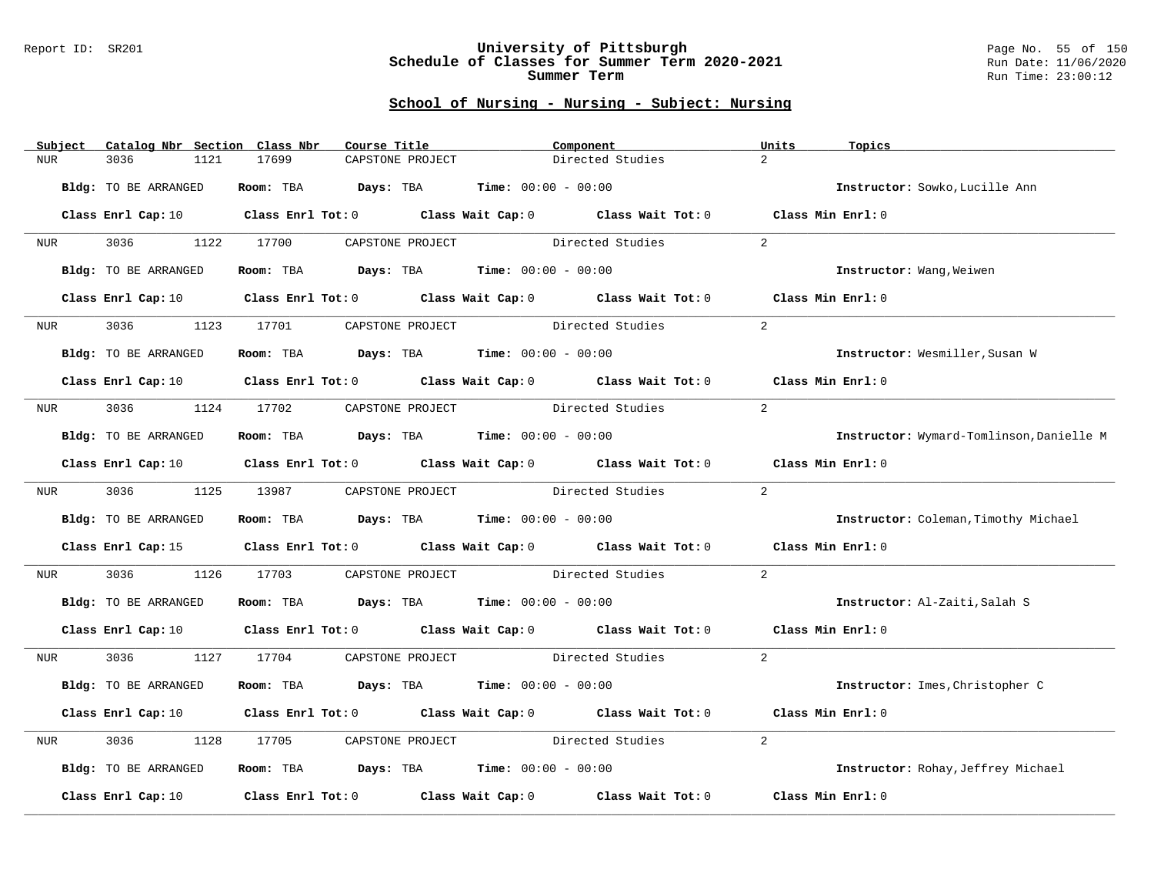### Report ID: SR201 **University of Pittsburgh** Page No. 55 of 150 **Schedule of Classes for Summer Term 2020-2021** Run Date: 11/06/2020 **Summer Term** Run Time: 23:00:12

| Subject | Catalog Nbr Section Class Nbr | Course Title                     | Component                                                                                                                      |                  | Units<br>Topics                          |
|---------|-------------------------------|----------------------------------|--------------------------------------------------------------------------------------------------------------------------------|------------------|------------------------------------------|
| NUR.    | 3036<br>1121                  | 17699<br>CAPSTONE PROJECT        |                                                                                                                                | Directed Studies | $\overline{2}$                           |
|         | Bldg: TO BE ARRANGED          | Room: TBA                        | <b>Days:</b> TBA <b>Time:</b> $00:00 - 00:00$                                                                                  |                  | Instructor: Sowko, Lucille Ann           |
|         |                               |                                  | Class Enrl Cap: 10 $\qquad$ Class Enrl Tot: 0 $\qquad$ Class Wait Cap: 0 $\qquad$ Class Wait Tot: 0 $\qquad$ Class Min Enrl: 0 |                  |                                          |
| NUR     | 3036                          |                                  | 1122 17700 CAPSTONE PROJECT Directed Studies                                                                                   |                  | $\overline{2}$                           |
|         | Bldg: TO BE ARRANGED          |                                  | Room: TBA $Days:$ TBA $Time: 00:00 - 00:00$                                                                                    |                  | Instructor: Wang, Weiwen                 |
|         | Class Enrl Cap: 10            |                                  | Class Enrl Tot: 0 Class Wait Cap: 0 Class Wait Tot: 0                                                                          |                  | Class Min Enrl: 0                        |
| NUR     | 3036<br>1123                  | 17701                            | CAPSTONE PROJECT                                                                                                               | Directed Studies | 2                                        |
|         | Bldg: TO BE ARRANGED          |                                  | Room: TBA $Days:$ TBA $Time: 00:00 - 00:00$                                                                                    |                  | Instructor: Wesmiller, Susan W           |
|         |                               |                                  | Class Enrl Cap: 10 $\qquad$ Class Enrl Tot: 0 $\qquad$ Class Wait Cap: 0 $\qquad$ Class Wait Tot: 0 $\qquad$ Class Min Enrl: 0 |                  |                                          |
| NUR     |                               | 3036 1124 17702 CAPSTONE PROJECT | Directed Studies                                                                                                               |                  | 2                                        |
|         | Bldg: TO BE ARRANGED          |                                  | Room: TBA $Days:$ TBA Time: $00:00 - 00:00$                                                                                    |                  | Instructor: Wymard-Tomlinson, Danielle M |
|         |                               |                                  | Class Enrl Cap: 10 $\qquad$ Class Enrl Tot: 0 $\qquad$ Class Wait Cap: 0 $\qquad$ Class Wait Tot: 0                            |                  | Class Min Enrl: 0                        |
| NUR     | 3036                          | 1125 13987                       | Directed Studies<br>CAPSTONE PROJECT                                                                                           |                  | $2^{1}$                                  |
|         | Bldg: TO BE ARRANGED          |                                  | Room: TBA $Days:$ TBA $Time: 00:00 - 00:00$                                                                                    |                  | Instructor: Coleman, Timothy Michael     |
|         |                               |                                  | Class Enrl Cap: 15 Class Enrl Tot: 0 Class Wait Cap: 0 Class Wait Tot: 0                                                       |                  | Class Min Enrl: 0                        |
| NUR     | 3036<br>1126                  | 17703                            | CAPSTONE PROJECT Directed Studies                                                                                              |                  | $\overline{2}$                           |
|         | Bldg: TO BE ARRANGED          |                                  | Room: TBA $Days:$ TBA Time: $00:00 - 00:00$                                                                                    |                  | Instructor: Al-Zaiti, Salah S            |
|         |                               |                                  | Class Enrl Cap: 10 $\qquad$ Class Enrl Tot: 0 $\qquad$ Class Wait Cap: 0 $\qquad$ Class Wait Tot: 0 $\qquad$ Class Min Enrl: 0 |                  |                                          |
| NUR     | 3036 300                      | 1127 17704                       | CAPSTONE PROJECT Directed Studies                                                                                              |                  | 2                                        |
|         | Bldg: TO BE ARRANGED          |                                  | Room: TBA $Days:$ TBA $Time: 00:00 - 00:00$                                                                                    |                  | Instructor: Imes, Christopher C          |
|         |                               |                                  | Class Enrl Cap: 10 Class Enrl Tot: 0 Class Wait Cap: 0 Class Wait Tot: 0                                                       |                  | Class Min Enrl: 0                        |
| NUR     | 3036<br>1128                  | CAPSTONE PROJECT<br>17705        |                                                                                                                                | Directed Studies | 2                                        |
|         | Bldg: TO BE ARRANGED          |                                  | Room: TBA $Days:$ TBA $Time: 00:00 - 00:00$                                                                                    |                  | Instructor: Rohay, Jeffrey Michael       |
|         | Class Enrl Cap: 10            |                                  | Class Enrl Tot: 0 Class Wait Cap: 0 Class Wait Tot: 0                                                                          |                  | Class Min Enrl: 0                        |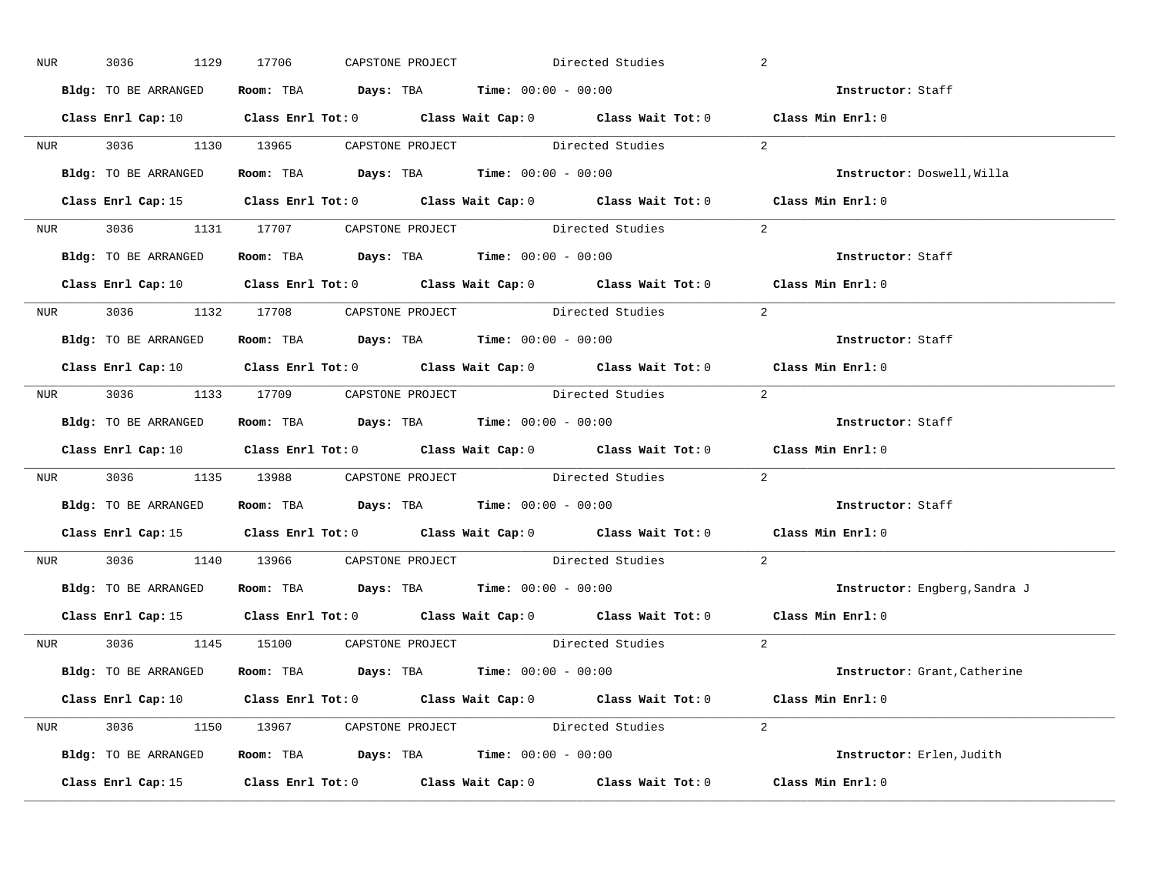| NUR <sub>e</sub> | 3036                 | 1129 17706 | CAPSTONE PROJECT |                                                                                            | Directed Studies                                        | 2                                                                                                                              |
|------------------|----------------------|------------|------------------|--------------------------------------------------------------------------------------------|---------------------------------------------------------|--------------------------------------------------------------------------------------------------------------------------------|
|                  | Bldg: TO BE ARRANGED |            |                  | Room: TBA $Days:$ TBA $Time: 00:00 - 00:00$                                                |                                                         | Instructor: Staff                                                                                                              |
|                  |                      |            |                  |                                                                                            |                                                         | Class Enrl Cap: 10 $\qquad$ Class Enrl Tot: 0 $\qquad$ Class Wait Cap: 0 $\qquad$ Class Wait Tot: 0 $\qquad$ Class Min Enrl: 0 |
|                  |                      |            |                  | NUR 3036 1130 13965 CAPSTONE PROJECT Directed Studies                                      |                                                         | $\sim$ 2                                                                                                                       |
|                  | Bldg: TO BE ARRANGED |            |                  | Room: TBA Days: TBA Time: $00:00 - 00:00$                                                  |                                                         | Instructor: Doswell, Willa                                                                                                     |
|                  |                      |            |                  |                                                                                            |                                                         | Class Enrl Cap: 15 (Class Enrl Tot: 0 (Class Wait Cap: 0 (Class Wait Tot: 0 (Class Min Enrl: 0)                                |
|                  |                      |            |                  |                                                                                            | NUR 3036 1131 17707 CAPSTONE PROJECT Directed Studies 2 |                                                                                                                                |
|                  |                      |            |                  | Bldg: TO BE ARRANGED Room: TBA Days: TBA Time: 00:00 - 00:00                               |                                                         | Instructor: Staff                                                                                                              |
|                  |                      |            |                  |                                                                                            |                                                         | Class Enrl Cap: 10 $\qquad$ Class Enrl Tot: 0 $\qquad$ Class Wait Cap: 0 $\qquad$ Class Wait Tot: 0 $\qquad$ Class Min Enrl: 0 |
|                  |                      |            |                  | NUR 3036 1132 17708 CAPSTONE PROJECT Directed Studies                                      |                                                         | 2                                                                                                                              |
|                  | Bldg: TO BE ARRANGED |            |                  | Room: TBA $\rule{1em}{0.15mm}$ Days: TBA Time: $00:00 - 00:00$                             |                                                         | Instructor: Staff                                                                                                              |
|                  |                      |            |                  |                                                                                            |                                                         | Class Enrl Cap: 10 $\qquad$ Class Enrl Tot: 0 $\qquad$ Class Wait Cap: 0 $\qquad$ Class Wait Tot: 0 $\qquad$ Class Min Enrl: 0 |
|                  |                      |            |                  |                                                                                            | NUR 3036 1133 17709 CAPSTONE PROJECT Directed Studies 2 |                                                                                                                                |
|                  |                      |            |                  | <b>Bldg:</b> TO BE ARRANGED <b>ROOM:</b> TBA <b>Days:</b> TBA <b>Time:</b> $00:00 - 00:00$ |                                                         | Instructor: Staff                                                                                                              |
|                  |                      |            |                  |                                                                                            |                                                         | Class Enrl Cap: 10 Class Enrl Tot: 0 Class Wait Cap: 0 Class Wait Tot: 0 Class Min Enrl: 0                                     |
|                  |                      |            |                  |                                                                                            | NUR 3036 1135 13988 CAPSTONE PROJECT Directed Studies   | 2                                                                                                                              |
|                  |                      |            |                  | Bldg: TO BE ARRANGED Room: TBA Days: TBA Time: 00:00 - 00:00                               |                                                         | Instructor: Staff                                                                                                              |
|                  |                      |            |                  |                                                                                            |                                                         | Class Enrl Cap: 15 (Class Enrl Tot: 0 (Class Wait Cap: 0 (Class Wait Tot: 0 (Class Min Enrl: 0                                 |
|                  |                      |            |                  | NUR 3036 1140 13966 CAPSTONE PROJECT Directed Studies                                      |                                                         | 2                                                                                                                              |
|                  |                      |            |                  | Bldg: TO BE ARRANGED Room: TBA Days: TBA Time: 00:00 - 00:00                               |                                                         | Instructor: Engberg, Sandra J                                                                                                  |
|                  |                      |            |                  |                                                                                            |                                                         | Class Enrl Cap: 15 Class Enrl Tot: 0 Class Wait Cap: 0 Class Wait Tot: 0 Class Min Enrl: 0                                     |
|                  |                      |            |                  |                                                                                            | NUR 3036 1145 15100 CAPSTONE PROJECT Directed Studies   | 2                                                                                                                              |
|                  |                      |            |                  | Bldg: TO BE ARRANGED Room: TBA Days: TBA Time: 00:00 - 00:00                               |                                                         | Instructor: Grant, Catherine                                                                                                   |
|                  |                      |            |                  |                                                                                            |                                                         | Class Enrl Cap: 10 $\qquad$ Class Enrl Tot: 0 $\qquad$ Class Wait Cap: 0 $\qquad$ Class Wait Tot: 0 $\qquad$ Class Min Enrl: 0 |
|                  |                      |            |                  |                                                                                            | NUR 3036 1150 13967 CAPSTONE PROJECT Directed Studies 2 |                                                                                                                                |
|                  |                      |            |                  | Bldg: TO BE ARRANGED Room: TBA Days: TBA Time: 00:00 - 00:00                               |                                                         | Instructor: Erlen, Judith                                                                                                      |
|                  |                      |            |                  |                                                                                            |                                                         | Class Enrl Cap: 15 Class Enrl Tot: 0 Class Wait Cap: 0 Class Wait Tot: 0 Class Min Enrl: 0                                     |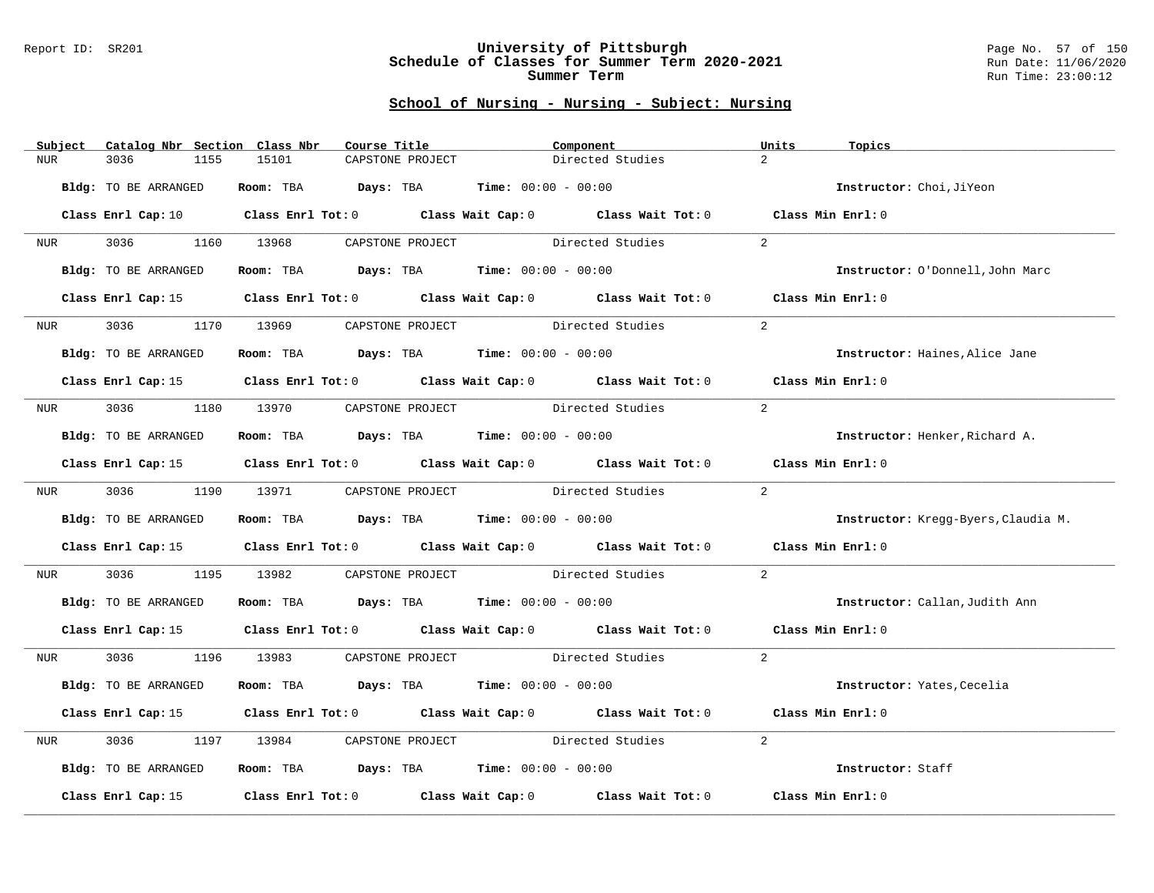### Report ID: SR201 **University of Pittsburgh** Page No. 57 of 150 **Schedule of Classes for Summer Term 2020-2021** Run Date: 11/06/2020 **Summer Term** Run Time: 23:00:12

| $\overline{2}$<br>3036<br>15101<br>Directed Studies<br><b>NUR</b><br>1155<br>CAPSTONE PROJECT<br>Room: TBA $Days:$ TBA Time: $00:00 - 00:00$<br>Bldg: TO BE ARRANGED<br>Instructor: Choi, JiYeon<br>Class Enrl Cap: 10 $\qquad$ Class Enrl Tot: 0 $\qquad$ Class Wait Cap: 0 $\qquad$ Class Wait Tot: 0 $\qquad$ Class Min Enrl: 0<br>2<br>3036 1160 13968 CAPSTONE PROJECT Directed Studies<br>NUR <sub>p</sub><br>Room: TBA $Days:$ TBA $Time: 00:00 - 00:00$<br>Bldg: TO BE ARRANGED<br>Instructor: O'Donnell, John Marc<br>Class Enrl Tot: 0 Class Wait Cap: 0 Class Wait Tot: 0 Class Min Enrl: 0<br>Class Enrl Cap: 15<br>13969 CAPSTONE PROJECT Directed Studies<br>$\overline{a}$<br>3036 70<br>1170<br><b>NUR</b><br>Room: TBA $\rule{1em}{0.15mm}$ Days: TBA Time: $00:00 - 00:00$<br>Bldg: TO BE ARRANGED<br>Instructor: Haines, Alice Jane<br>Class Enrl Cap: 15 Class Enrl Tot: 0 Class Wait Cap: 0 Class Wait Tot: 0 Class Min Enrl: 0 |  |
|------------------------------------------------------------------------------------------------------------------------------------------------------------------------------------------------------------------------------------------------------------------------------------------------------------------------------------------------------------------------------------------------------------------------------------------------------------------------------------------------------------------------------------------------------------------------------------------------------------------------------------------------------------------------------------------------------------------------------------------------------------------------------------------------------------------------------------------------------------------------------------------------------------------------------------------------------|--|
|                                                                                                                                                                                                                                                                                                                                                                                                                                                                                                                                                                                                                                                                                                                                                                                                                                                                                                                                                      |  |
|                                                                                                                                                                                                                                                                                                                                                                                                                                                                                                                                                                                                                                                                                                                                                                                                                                                                                                                                                      |  |
|                                                                                                                                                                                                                                                                                                                                                                                                                                                                                                                                                                                                                                                                                                                                                                                                                                                                                                                                                      |  |
|                                                                                                                                                                                                                                                                                                                                                                                                                                                                                                                                                                                                                                                                                                                                                                                                                                                                                                                                                      |  |
|                                                                                                                                                                                                                                                                                                                                                                                                                                                                                                                                                                                                                                                                                                                                                                                                                                                                                                                                                      |  |
|                                                                                                                                                                                                                                                                                                                                                                                                                                                                                                                                                                                                                                                                                                                                                                                                                                                                                                                                                      |  |
|                                                                                                                                                                                                                                                                                                                                                                                                                                                                                                                                                                                                                                                                                                                                                                                                                                                                                                                                                      |  |
|                                                                                                                                                                                                                                                                                                                                                                                                                                                                                                                                                                                                                                                                                                                                                                                                                                                                                                                                                      |  |
|                                                                                                                                                                                                                                                                                                                                                                                                                                                                                                                                                                                                                                                                                                                                                                                                                                                                                                                                                      |  |
|                                                                                                                                                                                                                                                                                                                                                                                                                                                                                                                                                                                                                                                                                                                                                                                                                                                                                                                                                      |  |
| $2^{1}$<br>NUR 3036 1180 13970 CAPSTONE PROJECT Directed Studies                                                                                                                                                                                                                                                                                                                                                                                                                                                                                                                                                                                                                                                                                                                                                                                                                                                                                     |  |
| Room: TBA $Days:$ TBA $Time: 00:00 - 00:00$<br>Bldg: TO BE ARRANGED<br>Instructor: Henker, Richard A.                                                                                                                                                                                                                                                                                                                                                                                                                                                                                                                                                                                                                                                                                                                                                                                                                                                |  |
| Class Enrl Cap: 15 Class Enrl Tot: 0 Class Wait Cap: 0 Class Wait Tot: 0 Class Min Enrl: 0                                                                                                                                                                                                                                                                                                                                                                                                                                                                                                                                                                                                                                                                                                                                                                                                                                                           |  |
| 2<br>3036 1190 13971 CAPSTONE PROJECT<br>Directed Studies<br>NUR <sub>p</sub>                                                                                                                                                                                                                                                                                                                                                                                                                                                                                                                                                                                                                                                                                                                                                                                                                                                                        |  |
| Room: TBA $Days:$ TBA $Time: 00:00 - 00:00$<br>Bldg: TO BE ARRANGED<br>Instructor: Kregg-Byers, Claudia M.                                                                                                                                                                                                                                                                                                                                                                                                                                                                                                                                                                                                                                                                                                                                                                                                                                           |  |
| Class Enrl Cap: 15 (class Enrl Tot: 0 (class Wait Cap: 0 (class Wait Tot: 0 (class Min Enrl: 0)                                                                                                                                                                                                                                                                                                                                                                                                                                                                                                                                                                                                                                                                                                                                                                                                                                                      |  |
| 2<br>3036 1195 13982 CAPSTONE PROJECT Directed Studies<br><b>NUR</b>                                                                                                                                                                                                                                                                                                                                                                                                                                                                                                                                                                                                                                                                                                                                                                                                                                                                                 |  |
| Room: TBA $\rule{1em}{0.15mm}$ Days: TBA Time: $00:00 - 00:00$<br>Bldg: TO BE ARRANGED<br>Instructor: Callan, Judith Ann                                                                                                                                                                                                                                                                                                                                                                                                                                                                                                                                                                                                                                                                                                                                                                                                                             |  |
| Class Enrl Cap: 15 (Class Enrl Tot: 0 (Class Wait Cap: 0 (Class Wait Tot: 0 (Class Min Enrl: 0                                                                                                                                                                                                                                                                                                                                                                                                                                                                                                                                                                                                                                                                                                                                                                                                                                                       |  |
| 2<br>NUR 3036 1196 13983 CAPSTONE PROJECT Directed Studies                                                                                                                                                                                                                                                                                                                                                                                                                                                                                                                                                                                                                                                                                                                                                                                                                                                                                           |  |
| Bldg: TO BE ARRANGED<br>Room: TBA $Days:$ TBA $Time: 00:00 - 00:00$<br>Instructor: Yates, Cecelia                                                                                                                                                                                                                                                                                                                                                                                                                                                                                                                                                                                                                                                                                                                                                                                                                                                    |  |
| Class Enrl Cap: 15 Class Enrl Tot: 0 Class Wait Cap: 0 Class Wait Tot: 0 Class Min Enrl: 0                                                                                                                                                                                                                                                                                                                                                                                                                                                                                                                                                                                                                                                                                                                                                                                                                                                           |  |
| 13984 CAPSTONE PROJECT Directed Studies<br>$\overline{a}$<br>3036<br>1197<br>NUR                                                                                                                                                                                                                                                                                                                                                                                                                                                                                                                                                                                                                                                                                                                                                                                                                                                                     |  |
| Room: TBA $Days:$ TBA $Time: 00:00 - 00:00$<br>Bldg: TO BE ARRANGED<br>Instructor: Staff                                                                                                                                                                                                                                                                                                                                                                                                                                                                                                                                                                                                                                                                                                                                                                                                                                                             |  |
| Class Enrl Tot: $0$ Class Wait Cap: $0$ Class Wait Tot: $0$<br>Class Min Enrl: 0<br>Class Enrl Cap: 15                                                                                                                                                                                                                                                                                                                                                                                                                                                                                                                                                                                                                                                                                                                                                                                                                                               |  |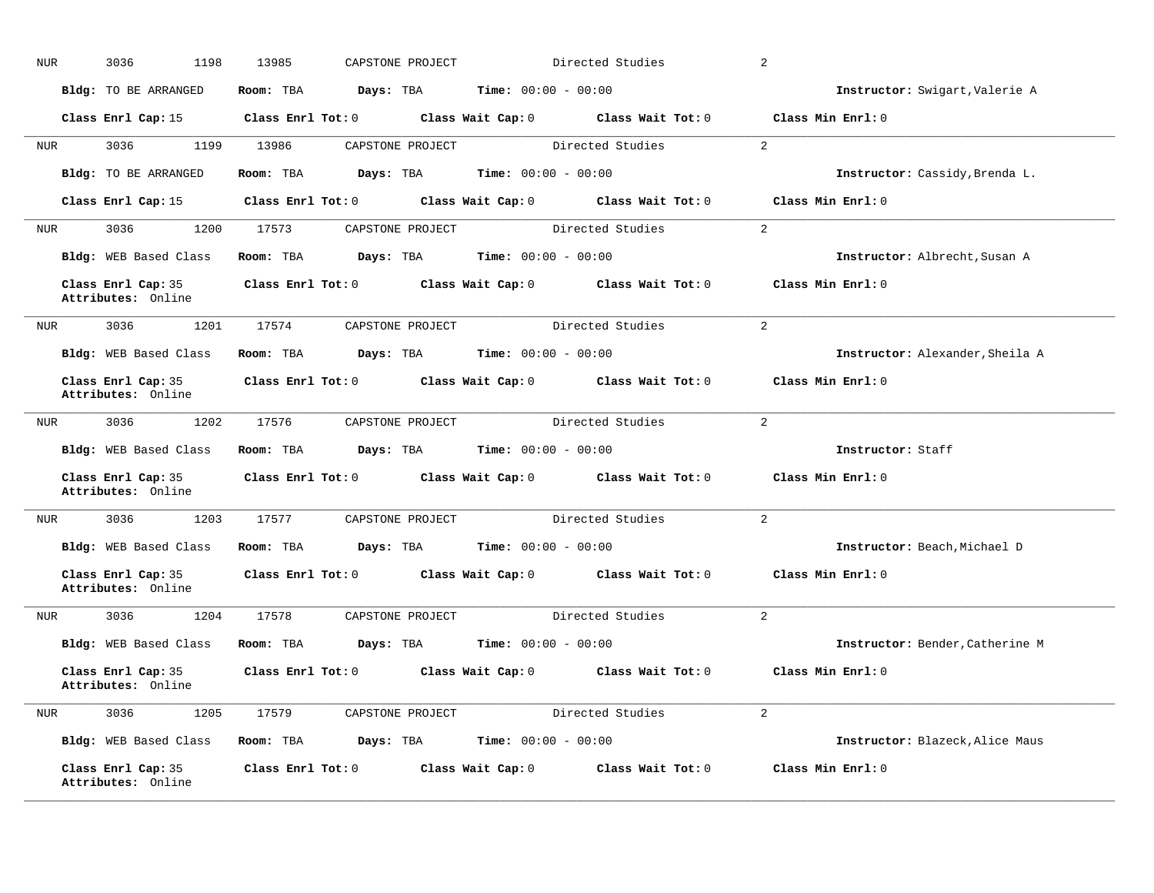| <b>NUR</b> | 3036<br>1198                             | 13985                   | CAPSTONE PROJECT |                              | Directed Studies                                      | 2                               |
|------------|------------------------------------------|-------------------------|------------------|------------------------------|-------------------------------------------------------|---------------------------------|
|            | Bldg: TO BE ARRANGED                     | Room: TBA               | Days: TBA        | <b>Time:</b> $00:00 - 00:00$ |                                                       | Instructor: Swigart, Valerie A  |
|            | Class Enrl Cap: 15                       | Class Enrl Tot: 0       |                  | Class Wait Cap: 0            | Class Wait Tot: 0                                     | Class Min Enrl: 0               |
| NUR        | 3036<br>1199                             | 13986                   | CAPSTONE PROJECT |                              | Directed Studies                                      | $\overline{2}$                  |
|            | Bldg: TO BE ARRANGED                     | Room: TBA               | Days: TBA        | <b>Time:</b> $00:00 - 00:00$ |                                                       | Instructor: Cassidy, Brenda L.  |
|            | Class Enrl Cap: 15                       | Class Enrl Tot: 0       |                  |                              | Class Wait Cap: 0 Class Wait Tot: 0                   | Class Min Enrl: 0               |
| NUR        | 3036<br>1200                             | 17573                   | CAPSTONE PROJECT |                              | Directed Studies                                      | 2                               |
|            | Bldg: WEB Based Class                    | Room: TBA               | Days: TBA        | <b>Time:</b> $00:00 - 00:00$ |                                                       | Instructor: Albrecht, Susan A   |
|            | Class Enrl Cap: 35<br>Attributes: Online | Class Enrl Tot: 0       |                  | Class Wait Cap: 0            | Class Wait Tot: 0                                     | Class Min Enrl: 0               |
| NUR        | 3036<br>1201                             | 17574                   | CAPSTONE PROJECT |                              | Directed Studies                                      | $\overline{2}$                  |
|            | Bldg: WEB Based Class                    | Room: TBA               | Days: TBA        | <b>Time:</b> $00:00 - 00:00$ |                                                       | Instructor: Alexander, Sheila A |
|            | Class Enrl Cap: 35<br>Attributes: Online | Class Enrl Tot: 0       |                  |                              | Class Wait Cap: 0 Class Wait Tot: 0                   | Class Min Enrl: 0               |
| NUR        | 3036<br>1202                             | 17576                   | CAPSTONE PROJECT |                              | Directed Studies                                      | 2                               |
|            | Bldg: WEB Based Class                    | Room: TBA               | Days: TBA        | <b>Time:</b> $00:00 - 00:00$ |                                                       | Instructor: Staff               |
|            | Class Enrl Cap: 35<br>Attributes: Online | $Class$ $Enrl$ $Tot: 0$ |                  |                              | Class Wait Cap: 0 Class Wait Tot: 0                   | Class Min Enrl: 0               |
| NUR        | 3036<br>1203                             | 17577                   | CAPSTONE PROJECT |                              | Directed Studies                                      | $\overline{2}$                  |
|            | Bldg: WEB Based Class                    | Room: TBA               | Days: TBA        | <b>Time:</b> $00:00 - 00:00$ |                                                       | Instructor: Beach, Michael D    |
|            | Class Enrl Cap: 35<br>Attributes: Online |                         |                  |                              | Class Enrl Tot: 0 Class Wait Cap: 0 Class Wait Tot: 0 | Class Min Enrl: 0               |
| <b>NUR</b> | 3036<br>1204                             | 17578                   | CAPSTONE PROJECT |                              | Directed Studies                                      | 2                               |
|            | Bldg: WEB Based Class                    | Room: TBA               | Days: TBA        | <b>Time:</b> $00:00 - 00:00$ |                                                       | Instructor: Bender, Catherine M |
|            | Class Enrl Cap: 35<br>Attributes: Online | Class Enrl Tot: 0       |                  | Class Wait Cap: 0            | Class Wait Tot: 0                                     | Class Min Enrl: 0               |
| NUR        | 3036<br>1205                             | 17579                   | CAPSTONE PROJECT |                              | Directed Studies                                      | $\overline{2}$                  |
|            | Bldg: WEB Based Class                    | Room: TBA               | Days: TBA        | <b>Time:</b> $00:00 - 00:00$ |                                                       | Instructor: Blazeck, Alice Maus |
|            | Class Enrl Cap: 35<br>Attributes: Online | Class Enrl Tot: 0       |                  | Class Wait Cap: 0            | Class Wait Tot: 0                                     | Class Min Enrl: 0               |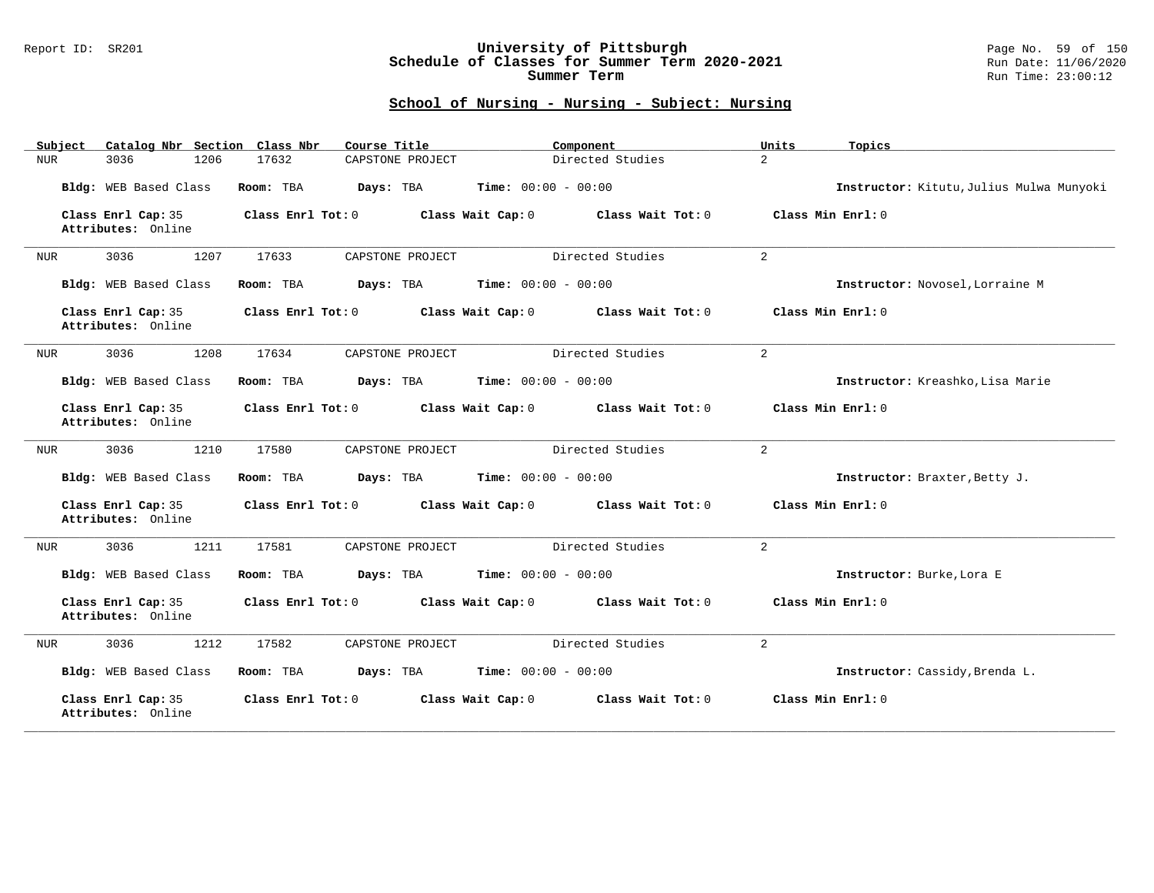## Report ID: SR201 **University of Pittsburgh** Page No. 59 of 150 **Schedule of Classes for Summer Term 2020-2021** Run Date: 11/06/2020 **Summer Term** Run Time: 23:00:12

| Catalog Nbr Section Class Nbr<br>Subject | Course Title              | Component                              | Units<br>Topics                          |
|------------------------------------------|---------------------------|----------------------------------------|------------------------------------------|
| 1206<br>3036<br>NUR                      | 17632<br>CAPSTONE PROJECT | Directed Studies                       | $\overline{a}$                           |
| Bldg: WEB Based Class                    | Room: TBA<br>Days: TBA    | <b>Time:</b> $00:00 - 00:00$           | Instructor: Kitutu, Julius Mulwa Munyoki |
| Class Enrl Cap: 35<br>Attributes: Online | Class Enrl Tot: 0         | Class Wait Tot: 0<br>Class Wait Cap: 0 | Class Min Enrl: 0                        |
| 3036<br>1207<br>NUR                      | 17633<br>CAPSTONE PROJECT | Directed Studies                       | 2                                        |
| Bldg: WEB Based Class                    | Room: TBA<br>Days: TBA    | <b>Time:</b> $00:00 - 00:00$           | Instructor: Novosel, Lorraine M          |
| Class Enrl Cap: 35<br>Attributes: Online | Class Enrl Tot: 0         | Class Wait Cap: 0<br>Class Wait Tot: 0 | Class Min Enrl: 0                        |
| 3036<br>1208<br>NUR                      | 17634<br>CAPSTONE PROJECT | Directed Studies                       | 2                                        |
| Bldg: WEB Based Class                    | Room: TBA<br>Days: TBA    | Time: $00:00 - 00:00$                  | Instructor: Kreashko, Lisa Marie         |
| Class Enrl Cap: 35<br>Attributes: Online | Class Enrl Tot: 0         | Class Wait Cap: 0<br>Class Wait Tot: 0 | Class Min Enrl: 0                        |
| 1210<br>3036<br>NUR                      | 17580<br>CAPSTONE PROJECT | Directed Studies                       | 2                                        |
| Bldg: WEB Based Class                    | Room: TBA<br>Days: TBA    | <b>Time:</b> $00:00 - 00:00$           | Instructor: Braxter, Betty J.            |
| Class Enrl Cap: 35<br>Attributes: Online | Class Enrl Tot: 0         | Class Wait Cap: 0<br>Class Wait Tot: 0 | Class Min Enrl: 0                        |
| 3036<br>1211<br>NUR                      | 17581<br>CAPSTONE PROJECT | Directed Studies                       | 2                                        |
| Bldg: WEB Based Class                    | Room: TBA<br>Days: TBA    | <b>Time:</b> $00:00 - 00:00$           | Instructor: Burke, Lora E                |
| Class Enrl Cap: 35<br>Attributes: Online | Class Enrl Tot: 0         | Class Wait Cap: 0<br>Class Wait Tot: 0 | Class Min Enrl: 0                        |
| 3036<br>1212<br><b>NUR</b>               | 17582<br>CAPSTONE PROJECT | Directed Studies                       | 2                                        |
| Bldg: WEB Based Class                    | Room: TBA<br>Days: TBA    | <b>Time:</b> $00:00 - 00:00$           | Instructor: Cassidy, Brenda L.           |
| Class Enrl Cap: 35<br>Attributes: Online | Class Enrl Tot: 0         | Class Wait Cap: 0<br>Class Wait Tot: 0 | Class Min Enrl: 0                        |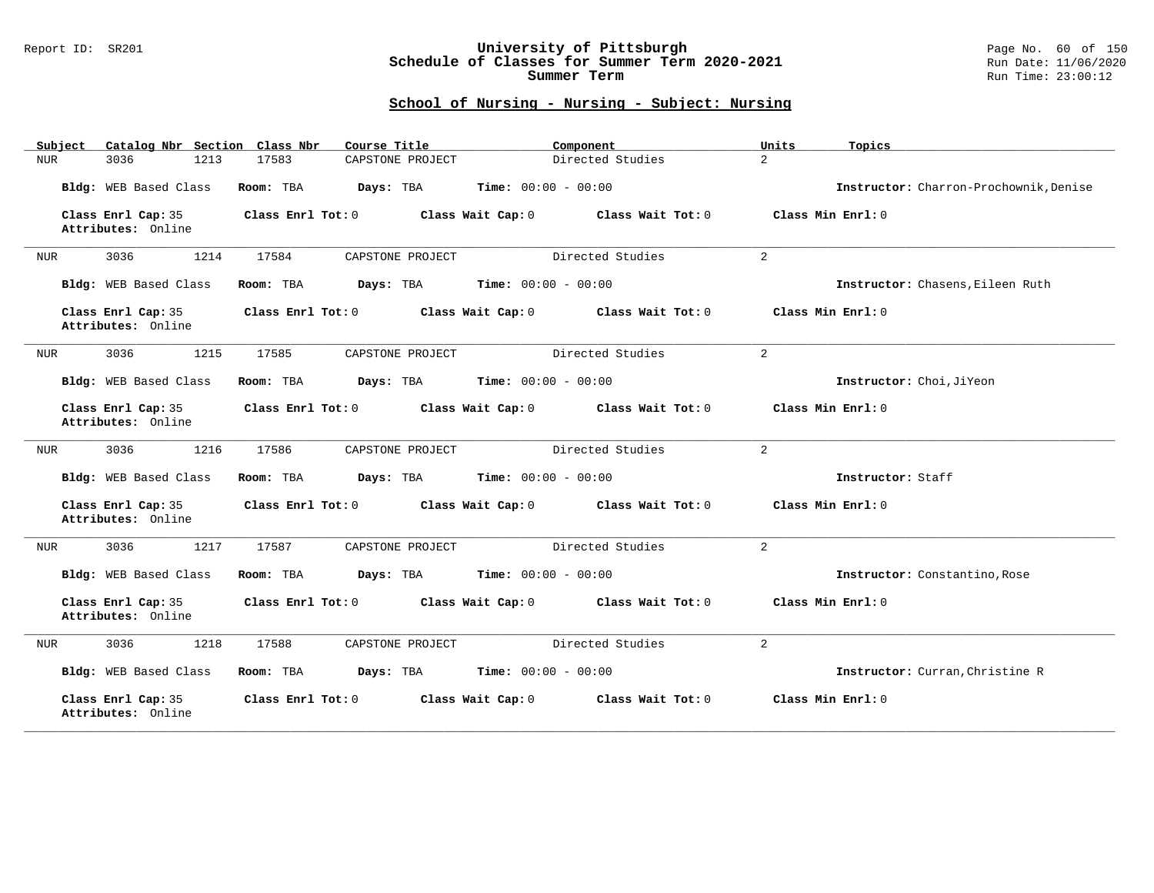## Report ID: SR201 **University of Pittsburgh** Page No. 60 of 150 **Schedule of Classes for Summer Term 2020-2021** Run Date: 11/06/2020 **Summer Term** Run Time: 23:00:12

| Catalog Nbr Section Class Nbr<br>Subject | Course Title              | Component                              | Units<br>Topics                        |
|------------------------------------------|---------------------------|----------------------------------------|----------------------------------------|
| 1213<br>3036<br>NUR                      | 17583<br>CAPSTONE PROJECT | Directed Studies                       | $\overline{a}$                         |
| Bldg: WEB Based Class                    | Room: TBA<br>Days: TBA    | <b>Time:</b> $00:00 - 00:00$           | Instructor: Charron-Prochownik, Denise |
| Class Enrl Cap: 35<br>Attributes: Online | Class Enrl Tot: 0         | Class Wait Cap: 0<br>Class Wait Tot: 0 | Class Min Enrl: 0                      |
| 3036<br>1214<br>NUR                      | 17584<br>CAPSTONE PROJECT | Directed Studies                       | $\overline{2}$                         |
| Bldg: WEB Based Class                    | Room: TBA<br>Days: TBA    | <b>Time:</b> $00:00 - 00:00$           | Instructor: Chasens, Eileen Ruth       |
| Class Enrl Cap: 35<br>Attributes: Online | Class Enrl Tot: 0         | Class Wait Cap: 0<br>Class Wait Tot: 0 | Class Min Enrl: 0                      |
| 3036<br>1215<br>NUR                      | 17585<br>CAPSTONE PROJECT | Directed Studies                       | $\overline{2}$                         |
| Bldg: WEB Based Class                    | Room: TBA<br>Days: TBA    | <b>Time:</b> $00:00 - 00:00$           | Instructor: Choi, JiYeon               |
| Class Enrl Cap: 35<br>Attributes: Online | Class Enrl Tot: 0         | Class Wait Cap: 0<br>Class Wait Tot: 0 | Class Min Enrl: 0                      |
| 1216<br>3036<br>NUR                      | 17586<br>CAPSTONE PROJECT | Directed Studies                       | 2                                      |
| Bldg: WEB Based Class                    | Room: TBA<br>Days: TBA    | <b>Time:</b> $00:00 - 00:00$           | Instructor: Staff                      |
| Class Enrl Cap: 35<br>Attributes: Online | Class Enrl Tot: 0         | Class Wait Cap: 0<br>Class Wait Tot: 0 | Class Min Enrl: 0                      |
| 3036<br>1217<br>NUR                      | 17587<br>CAPSTONE PROJECT | Directed Studies                       | $\overline{2}$                         |
| Bldg: WEB Based Class                    | Room: TBA<br>Days: TBA    | <b>Time:</b> $00:00 - 00:00$           | Instructor: Constantino, Rose          |
| Class Enrl Cap: 35<br>Attributes: Online | Class Enrl Tot: 0         | Class Wait Cap: 0<br>Class Wait Tot: 0 | Class Min Enrl: 0                      |
| 3036<br>1218<br><b>NUR</b>               | 17588<br>CAPSTONE PROJECT | Directed Studies                       | $\overline{2}$                         |
| Bldg: WEB Based Class                    | Days: TBA<br>Room: TBA    | <b>Time:</b> $00:00 - 00:00$           | Instructor: Curran, Christine R        |
| Class Enrl Cap: 35<br>Attributes: Online | Class Enrl Tot: 0         | Class Wait Cap: 0<br>Class Wait Tot: 0 | Class Min Enrl: 0                      |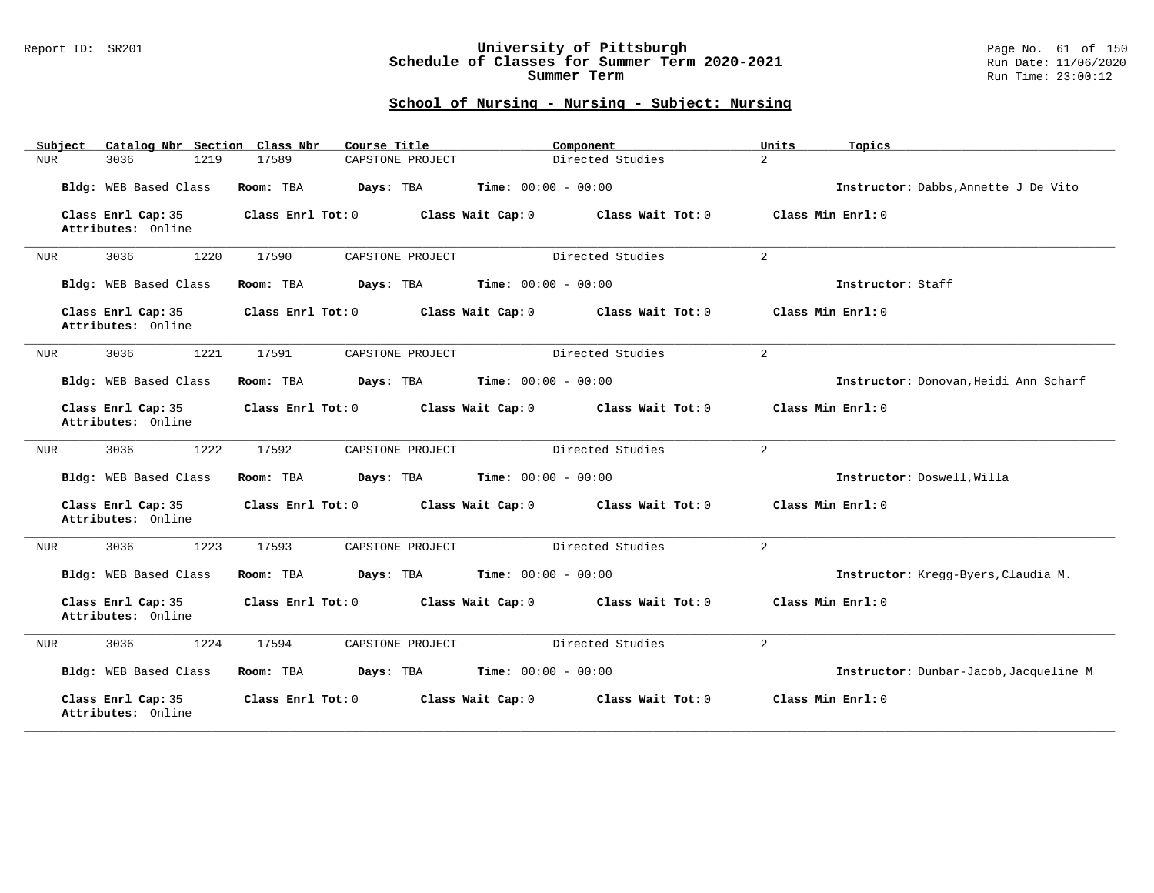## Report ID: SR201 **University of Pittsburgh** Page No. 61 of 150 **Schedule of Classes for Summer Term 2020-2021** Run Date: 11/06/2020 **Summer Term** Run Time: 23:00:12

| Catalog Nbr Section Class Nbr<br>Subject | Course Title              | Component                              | Units<br>Topics                        |
|------------------------------------------|---------------------------|----------------------------------------|----------------------------------------|
| 3036<br>1219<br>NUR                      | CAPSTONE PROJECT<br>17589 | Directed Studies                       | $\overline{a}$                         |
| Bldg: WEB Based Class                    | Room: TBA<br>Days: TBA    | <b>Time:</b> $00:00 - 00:00$           | Instructor: Dabbs, Annette J De Vito   |
| Class Enrl Cap: 35<br>Attributes: Online | Class Enrl Tot: 0         | Class Wait Cap: 0<br>Class Wait Tot: 0 | Class Min Enrl: 0                      |
| 3036<br>1220<br>NUR                      | 17590<br>CAPSTONE PROJECT | Directed Studies                       | $\overline{a}$                         |
| Bldg: WEB Based Class                    | Room: TBA<br>Days: TBA    | <b>Time:</b> $00:00 - 00:00$           | Instructor: Staff                      |
| Class Enrl Cap: 35<br>Attributes: Online | Class Enrl Tot: 0         | Class Wait Cap: 0<br>Class Wait Tot: 0 | Class Min Enrl: 0                      |
| 1221<br>3036<br>NUR                      | 17591<br>CAPSTONE PROJECT | Directed Studies                       | $\overline{2}$                         |
| Bldg: WEB Based Class                    | Room: TBA<br>Days: TBA    | <b>Time:</b> $00:00 - 00:00$           | Instructor: Donovan, Heidi Ann Scharf  |
| Class Enrl Cap: 35<br>Attributes: Online | Class Enrl Tot: 0         | Class Wait Cap: 0<br>Class Wait Tot: 0 | Class Min Enrl: 0                      |
| 3036<br>1222<br>NUR                      | 17592<br>CAPSTONE PROJECT | Directed Studies                       | 2                                      |
| Bldg: WEB Based Class                    | Days: TBA<br>Room: TBA    | <b>Time:</b> $00:00 - 00:00$           | Instructor: Doswell, Willa             |
| Class Enrl Cap: 35<br>Attributes: Online | Class Enrl Tot: 0         | Class Wait Cap: 0<br>Class Wait Tot: 0 | Class Min Enrl: 0                      |
| 3036<br>1223<br><b>NUR</b>               | 17593<br>CAPSTONE PROJECT | Directed Studies                       | 2                                      |
| Bldg: WEB Based Class                    | Room: TBA<br>Days: TBA    | <b>Time:</b> $00:00 - 00:00$           | Instructor: Kregg-Byers, Claudia M.    |
| Class Enrl Cap: 35<br>Attributes: Online | Class Enrl Tot: 0         | Class Wait Cap: 0<br>Class Wait Tot: 0 | Class Min Enrl: 0                      |
| 3036<br>1224<br><b>NUR</b>               | 17594<br>CAPSTONE PROJECT | Directed Studies                       | $\overline{a}$                         |
| Bldg: WEB Based Class                    | Room: TBA<br>Days: TBA    | <b>Time:</b> $00:00 - 00:00$           | Instructor: Dunbar-Jacob, Jacqueline M |
| Class Enrl Cap: 35<br>Attributes: Online | Class Enrl Tot: 0         | Class Wait Cap: 0<br>Class Wait Tot: 0 | Class Min Enrl: 0                      |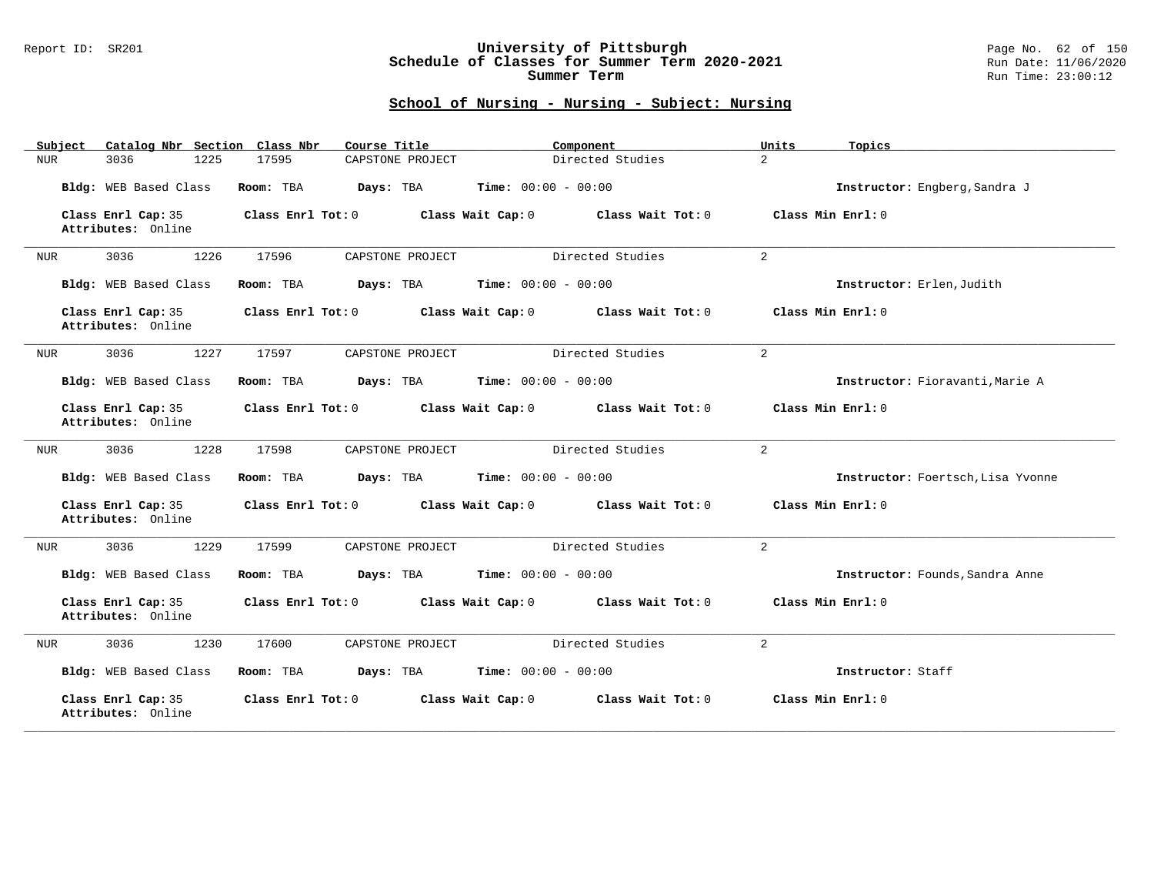## Report ID: SR201 **University of Pittsburgh** Page No. 62 of 150 **Schedule of Classes for Summer Term 2020-2021** Run Date: 11/06/2020 **Summer Term** Run Time: 23:00:12

| Catalog Nbr Section Class Nbr<br>Subject | Course Title                           | Component                    | Units<br>Topics                   |
|------------------------------------------|----------------------------------------|------------------------------|-----------------------------------|
| 3036<br>1225<br>NUR                      | CAPSTONE PROJECT<br>17595              | Directed Studies             | $\overline{a}$                    |
| Bldg: WEB Based Class                    | Room: TBA<br>Days: TBA                 | <b>Time:</b> $00:00 - 00:00$ | Instructor: Engberg, Sandra J     |
| Class Enrl Cap: 35<br>Attributes: Online | Class Enrl Tot: 0<br>Class Wait Cap: 0 | Class Wait Tot: 0            | Class Min Enrl: 0                 |
| 3036<br>1226<br>NUR                      | 17596<br>CAPSTONE PROJECT              | Directed Studies             | $\overline{a}$                    |
| Bldg: WEB Based Class                    | Room: TBA<br>Days: TBA                 | <b>Time:</b> $00:00 - 00:00$ | Instructor: Erlen, Judith         |
| Class Enrl Cap: 35<br>Attributes: Online | Class Enrl Tot: 0<br>Class Wait Cap: 0 | Class Wait Tot: 0            | Class Min Enrl: 0                 |
| 1227<br>3036<br>NUR                      | 17597<br>CAPSTONE PROJECT              | Directed Studies             | $\overline{a}$                    |
| Bldg: WEB Based Class                    | Room: TBA<br>Days: TBA                 | <b>Time:</b> $00:00 - 00:00$ | Instructor: Fioravanti, Marie A   |
| Class Enrl Cap: 35<br>Attributes: Online | Class Enrl Tot: 0<br>Class Wait Cap: 0 | Class Wait Tot: 0            | Class Min Enrl: 0                 |
| 3036<br>1228<br>NUR                      | CAPSTONE PROJECT<br>17598              | Directed Studies             | $\overline{a}$                    |
| Bldg: WEB Based Class                    | Room: TBA<br>Days: TBA                 | <b>Time:</b> $00:00 - 00:00$ | Instructor: Foertsch, Lisa Yvonne |
| Class Enrl Cap: 35<br>Attributes: Online | Class Enrl Tot: 0<br>Class Wait Cap: 0 | Class Wait Tot: 0            | Class Min Enrl: 0                 |
| 3036<br>1229<br>NUR                      | 17599<br>CAPSTONE PROJECT              | Directed Studies             | 2                                 |
| Bldg: WEB Based Class                    | Room: TBA<br>Days: TBA                 | <b>Time:</b> $00:00 - 00:00$ | Instructor: Founds, Sandra Anne   |
| Class Enrl Cap: 35<br>Attributes: Online | Class Enrl Tot: 0<br>Class Wait Cap: 0 | Class Wait Tot: 0            | Class Min Enrl: 0                 |
| 3036<br>1230<br>NUR                      | 17600<br>CAPSTONE PROJECT              | Directed Studies             | $\overline{a}$                    |
| Bldg: WEB Based Class                    | Days: TBA<br>Room: TBA                 | <b>Time:</b> $00:00 - 00:00$ | Instructor: Staff                 |
| Class Enrl Cap: 35<br>Attributes: Online | Class Enrl Tot: 0<br>Class Wait Cap: 0 | Class Wait Tot: 0            | Class Min Enrl: 0                 |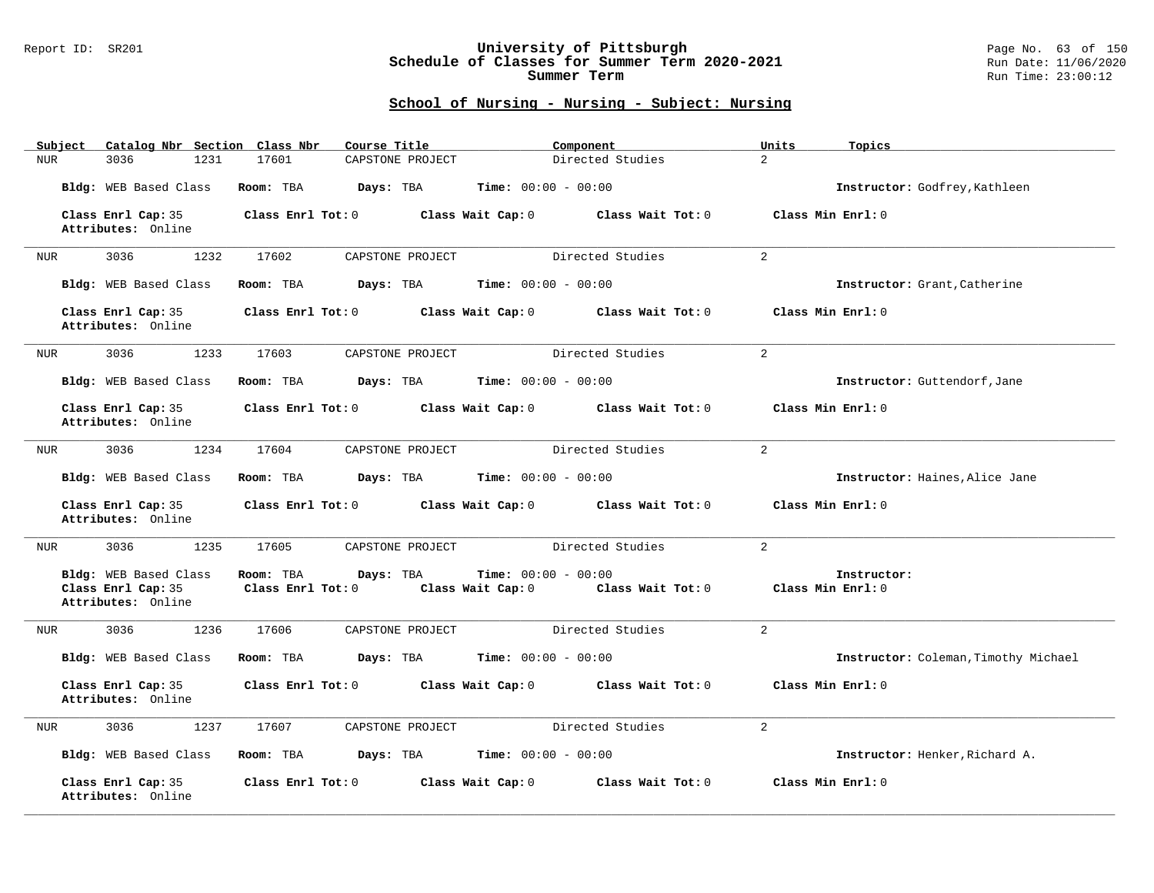## Report ID: SR201 **University of Pittsburgh** Page No. 63 of 150 **Schedule of Classes for Summer Term 2020-2021** Run Date: 11/06/2020 **Summer Term** Run Time: 23:00:12

| Catalog Nbr Section Class Nbr<br>Subject                          | Course Title                                      | Component                                                       | Units<br>Topics                      |
|-------------------------------------------------------------------|---------------------------------------------------|-----------------------------------------------------------------|--------------------------------------|
| 3036<br>1231<br>NUR                                               | 17601<br>CAPSTONE PROJECT                         | Directed Studies                                                | $\overline{2}$                       |
| Bldg: WEB Based Class                                             | Room: TBA<br>Days: TBA                            | <b>Time:</b> $00:00 - 00:00$                                    | Instructor: Godfrey, Kathleen        |
| Class Enrl Cap: 35<br>Attributes: Online                          | Class Enrl Tot: 0                                 | Class Wait Cap: 0<br>Class Wait Tot: 0                          | Class Min Enrl: 0                    |
| 3036<br>1232<br>NUR                                               | 17602<br>CAPSTONE PROJECT                         | Directed Studies                                                | $\overline{2}$                       |
| Bldg: WEB Based Class                                             | Days: TBA<br>Room: TBA                            | <b>Time:</b> $00:00 - 00:00$                                    | Instructor: Grant, Catherine         |
| Class Enrl Cap: 35<br>Attributes: Online                          | Class Enrl Tot: 0                                 | Class Wait Cap: 0<br>Class Wait Tot: 0                          | Class Min Enrl: 0                    |
| 3036<br>1233<br>NUR                                               | 17603<br>CAPSTONE PROJECT                         | Directed Studies                                                | $\overline{a}$                       |
| Bldg: WEB Based Class                                             | Room: TBA                                         | <b>Days:</b> TBA <b>Time:</b> $00:00 - 00:00$                   | Instructor: Guttendorf, Jane         |
| Class Enrl Cap: 35<br>Attributes: Online                          | Class Enrl Tot: 0<br>Class Wait Cap: 0            | Class Wait Tot: 0                                               | Class Min Enrl: 0                    |
| 1234<br>3036<br>NUR                                               | 17604<br>CAPSTONE PROJECT                         | Directed Studies                                                | $\overline{a}$                       |
| Bldg: WEB Based Class                                             | Days: TBA<br>Room: TBA                            | <b>Time:</b> $00:00 - 00:00$                                    | Instructor: Haines, Alice Jane       |
| Class Enrl Cap: 35<br>Attributes: Online                          | Class Enrl Tot: 0                                 | Class Wait Cap: 0<br>Class Wait Tot: 0                          | Class Min Enrl: 0                    |
| 3036<br>1235<br>NUR                                               | 17605<br>CAPSTONE PROJECT                         | Directed Studies                                                | $\overline{2}$                       |
| Bldg: WEB Based Class<br>Class Enrl Cap: 35<br>Attributes: Online | Room: TBA<br>Days: TBA<br>$Class$ $Enr1$ $Tot: 0$ | Time: $00:00 - 00:00$<br>Class Wait Cap: 0<br>Class Wait Tot: 0 | Instructor:<br>Class Min Enrl: 0     |
| 1236<br>3036<br>NUR                                               | 17606<br>CAPSTONE PROJECT                         | Directed Studies                                                | $\overline{a}$                       |
| Bldg: WEB Based Class                                             | Room: TBA<br>Days: TBA                            | <b>Time:</b> $00:00 - 00:00$                                    | Instructor: Coleman, Timothy Michael |
| Class Enrl Cap: 35<br>Attributes: Online                          | Class Enrl Tot: 0                                 | Class Wait Cap: 0<br>Class Wait Tot: 0                          | Class Min Enrl: 0                    |
| 3036<br>1237<br>NUR                                               | 17607<br>CAPSTONE PROJECT                         | Directed Studies                                                | $\overline{2}$                       |
| Bldg: WEB Based Class                                             | Room: TBA<br>Days: TBA                            | <b>Time:</b> $00:00 - 00:00$                                    | Instructor: Henker, Richard A.       |
| Class Enrl Cap: 35<br>Attributes: Online                          | Class Enrl Tot: 0                                 | Class Wait Cap: 0<br>Class Wait Tot: 0                          | Class Min Enrl: 0                    |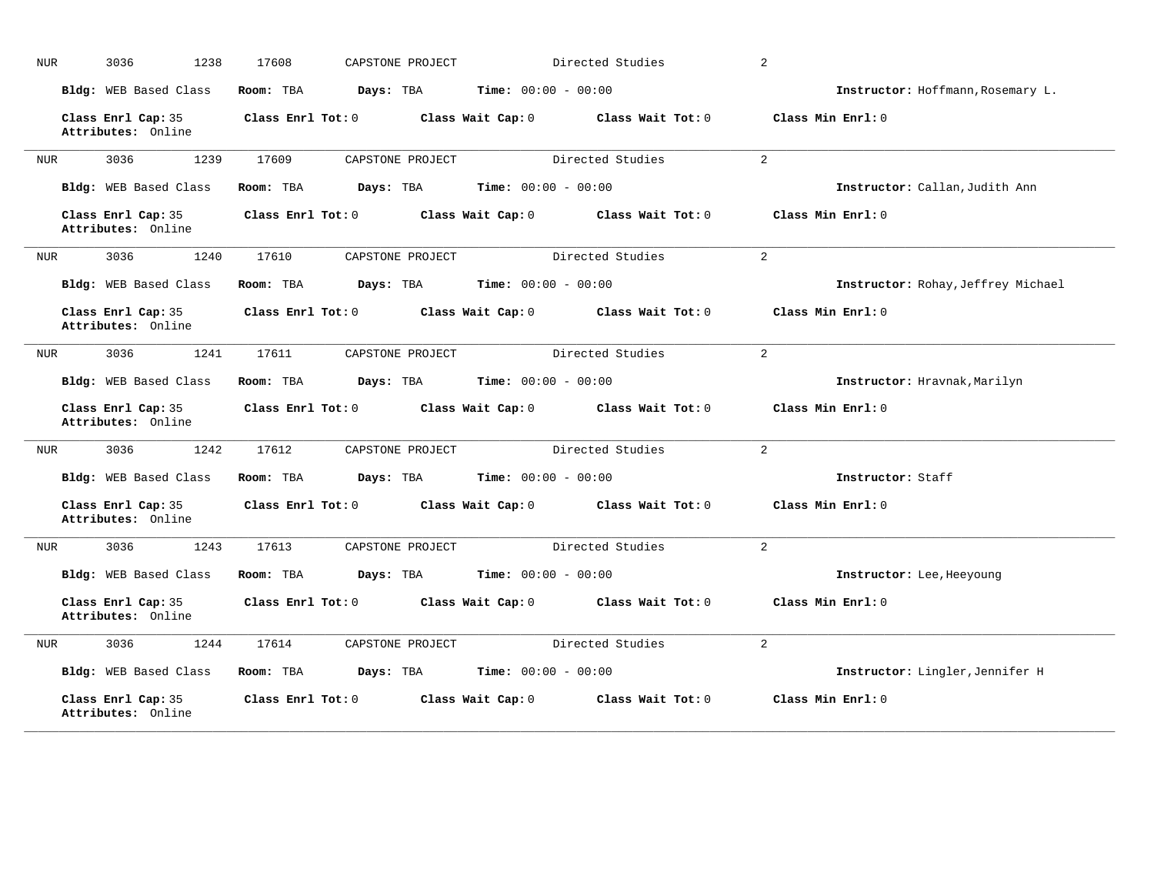| <b>NUR</b> | 3036<br>1238                             | 17608             | CAPSTONE PROJECT |                              | Directed Studies  | $\overline{a}$                     |
|------------|------------------------------------------|-------------------|------------------|------------------------------|-------------------|------------------------------------|
|            | Bldg: WEB Based Class                    | Room: TBA         | Days: TBA        | <b>Time:</b> $00:00 - 00:00$ |                   | Instructor: Hoffmann, Rosemary L.  |
|            | Class Enrl Cap: 35<br>Attributes: Online | Class Enrl Tot: 0 |                  | Class Wait Cap: 0            | Class Wait Tot: 0 | Class Min Enrl: 0                  |
| <b>NUR</b> | 3036<br>1239                             | 17609             | CAPSTONE PROJECT |                              | Directed Studies  | $\overline{2}$                     |
|            | Bldg: WEB Based Class                    | Room: TBA         | Days: TBA        | <b>Time:</b> $00:00 - 00:00$ |                   | Instructor: Callan, Judith Ann     |
|            | Class Enrl Cap: 35<br>Attributes: Online | Class Enrl Tot: 0 |                  | Class Wait Cap: 0            | Class Wait Tot: 0 | Class Min Enrl: 0                  |
| NUR        | 3036<br>1240                             | 17610             | CAPSTONE PROJECT |                              | Directed Studies  | 2                                  |
|            | Bldg: WEB Based Class                    | Room: TBA         | Days: TBA        | Time: $00:00 - 00:00$        |                   | Instructor: Rohay, Jeffrey Michael |
|            | Class Enrl Cap: 35<br>Attributes: Online | Class Enrl Tot: 0 |                  | Class Wait Cap: 0            | Class Wait Tot: 0 | Class Min Enrl: 0                  |
| <b>NUR</b> | 3036<br>1241                             | 17611             | CAPSTONE PROJECT |                              | Directed Studies  | $\overline{2}$                     |
|            | Bldg: WEB Based Class                    | Room: TBA         | Days: TBA        | <b>Time:</b> $00:00 - 00:00$ |                   | Instructor: Hravnak, Marilyn       |
|            | Class Enrl Cap: 35<br>Attributes: Online | Class Enrl Tot: 0 |                  | Class Wait Cap: 0            | Class Wait Tot: 0 | Class Min Enrl: 0                  |
| <b>NUR</b> | 3036<br>1242                             | 17612             | CAPSTONE PROJECT |                              | Directed Studies  | $\overline{2}$                     |
|            | Bldg: WEB Based Class                    | Room: TBA         | Days: TBA        | <b>Time:</b> $00:00 - 00:00$ |                   | Instructor: Staff                  |
|            | Class Enrl Cap: 35<br>Attributes: Online | Class Enrl Tot: 0 |                  | Class Wait Cap: 0            | Class Wait Tot: 0 | Class Min Enrl: 0                  |
| <b>NUR</b> | 1243<br>3036                             | 17613             | CAPSTONE PROJECT |                              | Directed Studies  | 2                                  |
|            | Bldg: WEB Based Class                    | Room: TBA         | Days: TBA        | <b>Time:</b> $00:00 - 00:00$ |                   | Instructor: Lee, Heeyoung          |
|            | Class Enrl Cap: 35<br>Attributes: Online | Class Enrl Tot: 0 |                  | Class Wait Cap: 0            | Class Wait Tot: 0 | Class Min Enrl: 0                  |
| <b>NUR</b> | 3036<br>1244                             | 17614             | CAPSTONE PROJECT |                              | Directed Studies  | $\overline{2}$                     |
|            | Bldg: WEB Based Class                    | Room: TBA         | Days: TBA        | <b>Time:</b> $00:00 - 00:00$ |                   | Instructor: Lingler, Jennifer H    |
|            | Class Enrl Cap: 35<br>Attributes: Online | Class Enrl Tot: 0 |                  | Class Wait Cap: 0            | Class Wait Tot: 0 | Class Min Enrl: 0                  |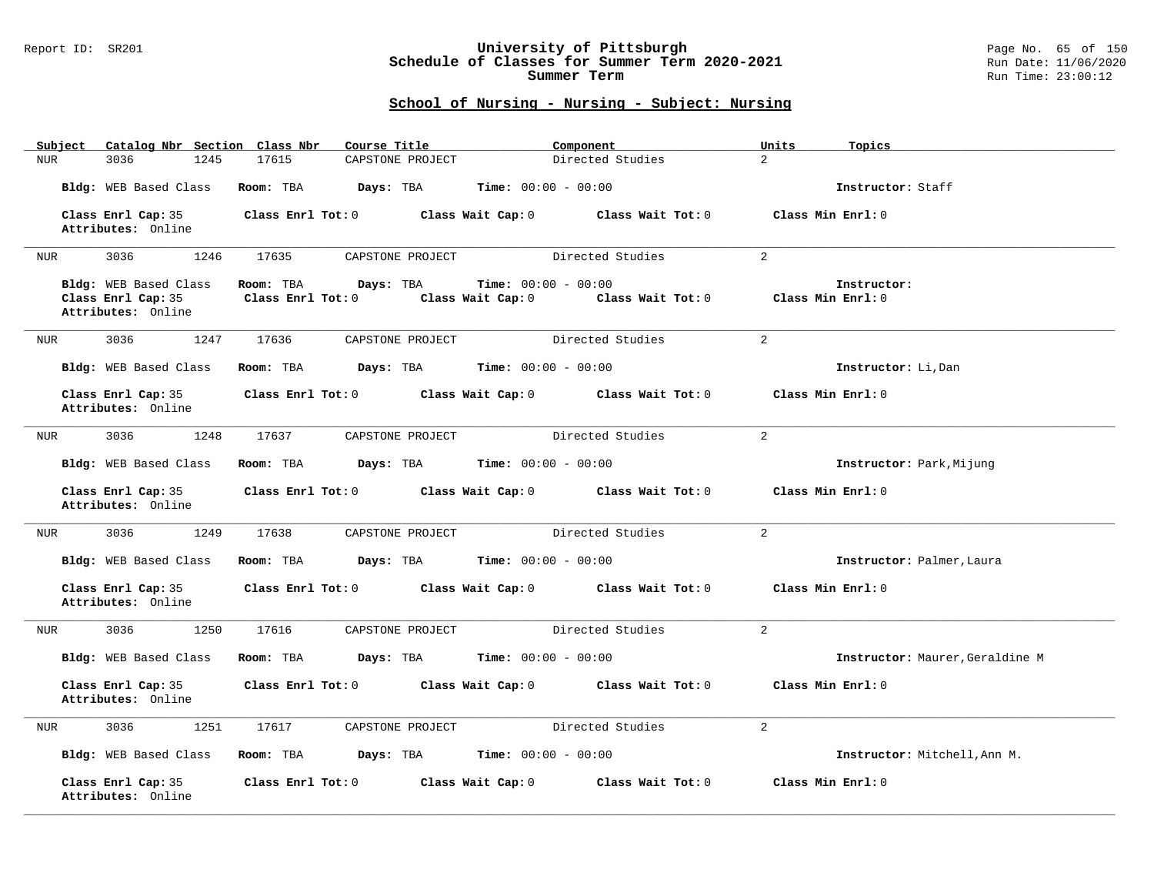## Report ID: SR201 **University of Pittsburgh** Page No. 65 of 150 **Schedule of Classes for Summer Term 2020-2021** Run Date: 11/06/2020 **Summer Term** Run Time: 23:00:12

| Subject | Catalog Nbr Section Class Nbr                                     | Course Title                                      |                                                   | Component                           | Units<br>Topics                  |
|---------|-------------------------------------------------------------------|---------------------------------------------------|---------------------------------------------------|-------------------------------------|----------------------------------|
| NUR     | 3036<br>1245                                                      | 17615                                             | CAPSTONE PROJECT                                  | Directed Studies                    | $\overline{2}$                   |
|         | Bldg: WEB Based Class                                             | Room: TBA                                         | Days: TBA<br>Time: $00:00 - 00:00$                |                                     | Instructor: Staff                |
|         | Class Enrl Cap: 35<br>Attributes: Online                          | Class Enrl Tot: 0                                 | Class Wait Cap: 0                                 | Class Wait Tot: 0                   | Class Min Enrl: 0                |
| NUR     | 3036<br>1246                                                      | 17635                                             | CAPSTONE PROJECT                                  | Directed Studies                    | $\overline{a}$                   |
|         | Bldg: WEB Based Class<br>Class Enrl Cap: 35<br>Attributes: Online | Room: TBA<br>Days: TBA<br>$Class$ $Enr1$ $Tot: 0$ | <b>Time:</b> $00:00 - 00:00$<br>Class Wait Cap: 0 | Class Wait Tot: 0                   | Instructor:<br>Class Min Enrl: 0 |
| NUR     | 3036<br>1247                                                      | 17636                                             | CAPSTONE PROJECT                                  | Directed Studies                    | 2                                |
|         | Bldg: WEB Based Class                                             | Room: TBA<br>Days: TBA                            | <b>Time:</b> $00:00 - 00:00$                      |                                     | Instructor: Li, Dan              |
|         | Class Enrl Cap: 35<br>Attributes: Online                          | $Class$ $Enrl$ $Tot: 0$                           |                                                   | Class Wait Cap: 0 Class Wait Tot: 0 | Class Min Enrl: 0                |
| NUR     | 3036<br>1248                                                      | 17637                                             | CAPSTONE PROJECT                                  | Directed Studies                    | $\overline{2}$                   |
|         | Bldg: WEB Based Class                                             | Room: TBA                                         | Days: TBA<br><b>Time:</b> $00:00 - 00:00$         |                                     | Instructor: Park, Mijung         |
|         | Class Enrl Cap: 35<br>Attributes: Online                          | $Class$ $Enr1$ $Tot: 0$                           | Class Wait Cap: 0                                 | Class Wait Tot: 0                   | Class Min Enrl: 0                |
| NUR     | 3036<br>1249                                                      | 17638                                             | CAPSTONE PROJECT                                  | Directed Studies                    | $\overline{2}$                   |
|         | Bldg: WEB Based Class                                             | Room: TBA                                         | <b>Days:</b> TBA <b>Time:</b> $00:00 - 00:00$     |                                     | Instructor: Palmer, Laura        |
|         | Class Enrl Cap: 35<br>Attributes: Online                          | Class Enrl Tot: 0                                 | Class Wait Cap: 0                                 | Class Wait Tot: 0                   | Class Min Enrl: 0                |
| NUR     | 3036<br>1250                                                      | 17616                                             | CAPSTONE PROJECT                                  | Directed Studies                    | 2                                |
|         | Bldg: WEB Based Class                                             | Room: TBA                                         | Days: TBA<br><b>Time:</b> $00:00 - 00:00$         |                                     | Instructor: Maurer, Geraldine M  |
|         | Class Enrl Cap: 35<br>Attributes: Online                          | Class Enrl Tot: 0                                 |                                                   | Class Wait Cap: 0 Class Wait Tot: 0 | Class Min Enrl: 0                |
| NUR     | 3036<br>1251                                                      | 17617                                             | CAPSTONE PROJECT                                  | Directed Studies                    | $\overline{2}$                   |
|         | Bldg: WEB Based Class                                             | Room: TBA<br>Days: TBA                            | <b>Time:</b> $00:00 - 00:00$                      |                                     | Instructor: Mitchell, Ann M.     |
|         | Class Enrl Cap: 35<br>Attributes: Online                          | Class Enrl Tot: 0                                 | Class Wait Cap: 0                                 | Class Wait Tot: 0                   | Class Min Enrl: 0                |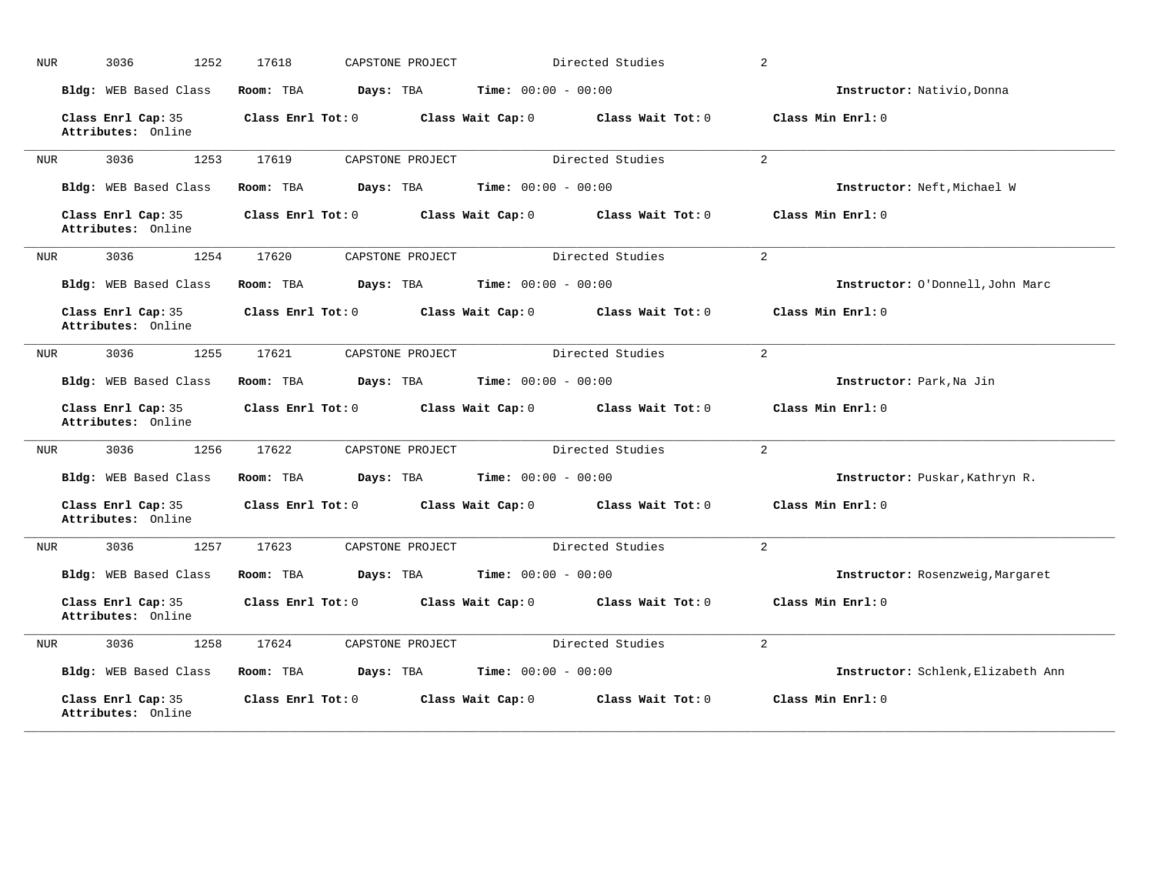| <b>NUR</b> | 3036<br>1252                             | 17618             | CAPSTONE PROJECT |                              | Directed Studies  | $\overline{a}$                     |
|------------|------------------------------------------|-------------------|------------------|------------------------------|-------------------|------------------------------------|
|            | Bldg: WEB Based Class                    | Room: TBA         | Days: TBA        | <b>Time:</b> $00:00 - 00:00$ |                   | Instructor: Nativio, Donna         |
|            | Class Enrl Cap: 35<br>Attributes: Online | Class Enrl Tot: 0 |                  | Class Wait Cap: 0            | Class Wait Tot: 0 | Class Min Enrl: 0                  |
| <b>NUR</b> | 3036<br>1253                             | 17619             | CAPSTONE PROJECT |                              | Directed Studies  | $\overline{2}$                     |
|            | Bldg: WEB Based Class                    | Room: TBA         | Days: TBA        | <b>Time:</b> $00:00 - 00:00$ |                   | Instructor: Neft, Michael W        |
|            | Class Enrl Cap: 35<br>Attributes: Online | Class Enrl Tot: 0 |                  | Class Wait Cap: 0            | Class Wait Tot: 0 | Class Min Enrl: 0                  |
| NUR        | 3036<br>1254                             | 17620             | CAPSTONE PROJECT |                              | Directed Studies  | 2                                  |
|            | Bldg: WEB Based Class                    | Room: TBA         | Days: TBA        | Time: $00:00 - 00:00$        |                   | Instructor: O'Donnell, John Marc   |
|            | Class Enrl Cap: 35<br>Attributes: Online | Class Enrl Tot: 0 |                  | Class Wait Cap: 0            | Class Wait Tot: 0 | Class Min Enrl: 0                  |
| <b>NUR</b> | 3036<br>1255                             | 17621             | CAPSTONE PROJECT |                              | Directed Studies  | $\overline{2}$                     |
|            | Bldg: WEB Based Class                    | Room: TBA         | Days: TBA        | <b>Time:</b> $00:00 - 00:00$ |                   | Instructor: Park, Na Jin           |
|            | Class Enrl Cap: 35<br>Attributes: Online | Class Enrl Tot: 0 |                  | Class Wait Cap: 0            | Class Wait Tot: 0 | Class Min Enrl: 0                  |
| <b>NUR</b> | 3036<br>1256                             | 17622             | CAPSTONE PROJECT |                              | Directed Studies  | $\overline{2}$                     |
|            | Bldg: WEB Based Class                    | Room: TBA         | Days: TBA        | Time: $00:00 - 00:00$        |                   | Instructor: Puskar, Kathryn R.     |
|            | Class Enrl Cap: 35<br>Attributes: Online | Class Enrl Tot: 0 |                  | Class Wait Cap: 0            | Class Wait Tot: 0 | Class Min Enrl: 0                  |
| <b>NUR</b> | 1257<br>3036                             | 17623             | CAPSTONE PROJECT |                              | Directed Studies  | 2                                  |
|            | Bldg: WEB Based Class                    | Room: TBA         | Days: TBA        | <b>Time:</b> $00:00 - 00:00$ |                   | Instructor: Rosenzweig, Margaret   |
|            | Class Enrl Cap: 35<br>Attributes: Online | Class Enrl Tot: 0 |                  | Class Wait Cap: 0            | Class Wait Tot: 0 | Class Min Enrl: 0                  |
| <b>NUR</b> | 3036<br>1258                             | 17624             | CAPSTONE PROJECT |                              | Directed Studies  | $\overline{2}$                     |
|            | Bldg: WEB Based Class                    | Room: TBA         | Days: TBA        | <b>Time:</b> $00:00 - 00:00$ |                   | Instructor: Schlenk, Elizabeth Ann |
|            | Class Enrl Cap: 35<br>Attributes: Online | Class Enrl Tot: 0 |                  | Class Wait Cap: 0            | Class Wait Tot: 0 | Class Min Enrl: 0                  |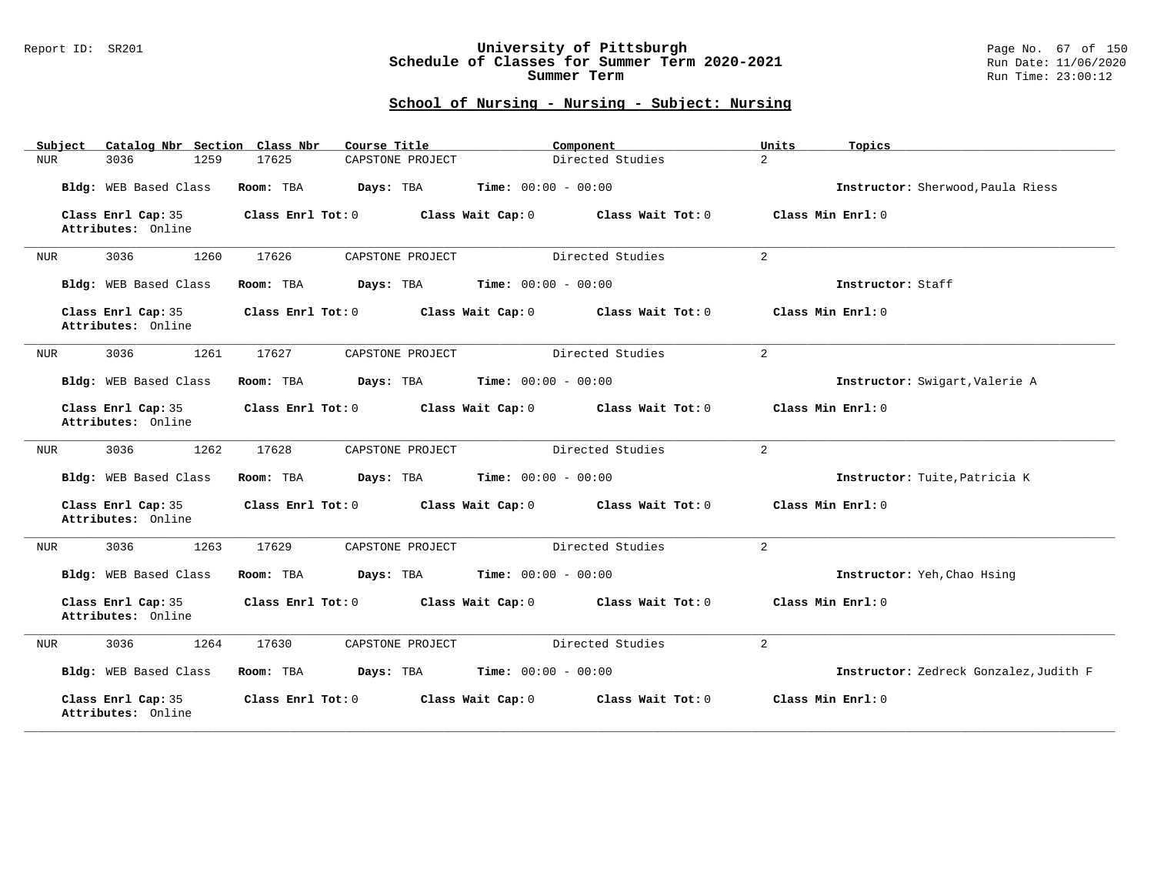## Report ID: SR201 **University of Pittsburgh** Page No. 67 of 150 **Schedule of Classes for Summer Term 2020-2021** Run Date: 11/06/2020 **Summer Term** Run Time: 23:00:12

| Catalog Nbr Section Class Nbr<br>Subject | Course Title                           | Component                    | Units<br>Topics                        |
|------------------------------------------|----------------------------------------|------------------------------|----------------------------------------|
| 3036<br>1259<br>NUR                      | 17625<br>CAPSTONE PROJECT              | Directed Studies             | $\overline{a}$                         |
| Bldg: WEB Based Class                    | Room: TBA<br>Days: TBA                 | <b>Time:</b> $00:00 - 00:00$ | Instructor: Sherwood, Paula Riess      |
| Class Enrl Cap: 35<br>Attributes: Online | Class Enrl Tot: 0<br>Class Wait Cap: 0 | Class Wait Tot: 0            | Class Min Enrl: 0                      |
| 3036<br>1260<br>NUR                      | 17626<br>CAPSTONE PROJECT              | Directed Studies             | 2                                      |
| Bldg: WEB Based Class                    | Room: TBA<br>Days: TBA                 | <b>Time:</b> $00:00 - 00:00$ | Instructor: Staff                      |
| Class Enrl Cap: 35<br>Attributes: Online | Class Enrl Tot: 0<br>Class Wait Cap: 0 | Class Wait Tot: 0            | Class Min Enrl: 0                      |
| 1261<br>3036<br>NUR                      | 17627<br>CAPSTONE PROJECT              | Directed Studies             | $\overline{a}$                         |
| Bldg: WEB Based Class                    | Room: TBA<br>Days: TBA                 | <b>Time:</b> $00:00 - 00:00$ | Instructor: Swigart, Valerie A         |
| Class Enrl Cap: 35<br>Attributes: Online | Class Enrl Tot: 0<br>Class Wait Cap: 0 | Class Wait Tot: 0            | Class Min Enrl: 0                      |
| 3036<br>1262<br>NUR                      | 17628<br>CAPSTONE PROJECT              | Directed Studies             | 2                                      |
| Bldg: WEB Based Class                    | Room: TBA<br>Days: TBA                 | <b>Time:</b> $00:00 - 00:00$ | Instructor: Tuite, Patricia K          |
| Class Enrl Cap: 35<br>Attributes: Online | Class Enrl Tot: 0<br>Class Wait Cap: 0 | Class Wait Tot: 0            | Class Min Enrl: 0                      |
| 3036<br>1263<br>NUR                      | 17629<br>CAPSTONE PROJECT              | Directed Studies             | 2                                      |
| Bldg: WEB Based Class                    | Room: TBA<br>Days: TBA                 | <b>Time:</b> $00:00 - 00:00$ | Instructor: Yeh, Chao Hsing            |
| Class Enrl Cap: 35<br>Attributes: Online | Class Enrl Tot: 0<br>Class Wait Cap: 0 | Class Wait Tot: 0            | Class Min Enrl: 0                      |
| 3036<br>1264<br><b>NUR</b>               | 17630<br>CAPSTONE PROJECT              | Directed Studies             | $\overline{2}$                         |
| Bldg: WEB Based Class                    | Room: TBA<br>Days: TBA                 | <b>Time:</b> $00:00 - 00:00$ | Instructor: Zedreck Gonzalez, Judith F |
| Class Enrl Cap: 35<br>Attributes: Online | Class Enrl Tot: 0<br>Class Wait Cap: 0 | Class Wait Tot: 0            | Class Min Enrl: 0                      |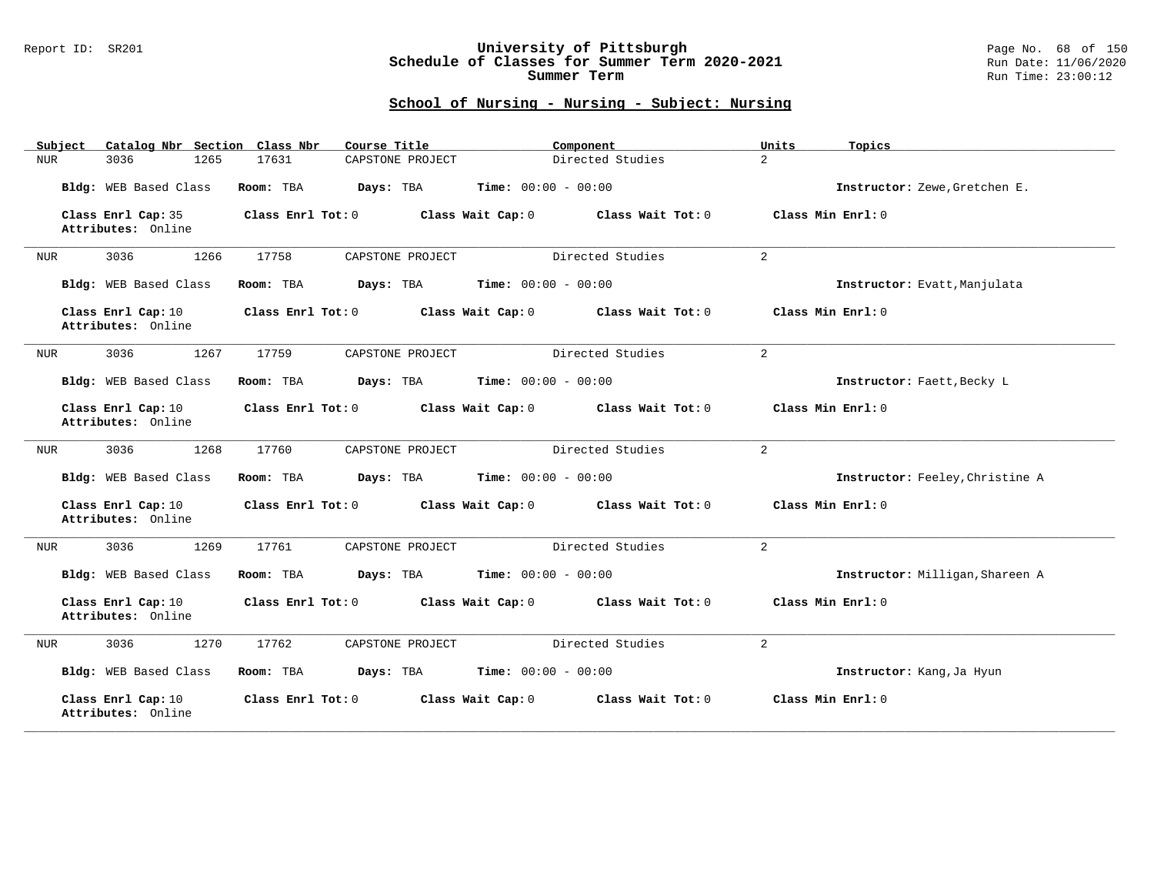## Report ID: SR201 **University of Pittsburgh** Page No. 68 of 150 **Schedule of Classes for Summer Term 2020-2021** Run Date: 11/06/2020 **Summer Term** Run Time: 23:00:12

| Catalog Nbr Section Class Nbr<br>Subject | Course Title                                           | Component                          | Units<br>Topics                 |
|------------------------------------------|--------------------------------------------------------|------------------------------------|---------------------------------|
| 1265<br>3036<br>NUR                      | CAPSTONE PROJECT<br>17631                              | $\overline{a}$<br>Directed Studies |                                 |
| Bldg: WEB Based Class                    | <b>Time:</b> $00:00 - 00:00$<br>Room: TBA<br>Days: TBA |                                    | Instructor: Zewe, Gretchen E.   |
| Class Enrl Cap: 35<br>Attributes: Online | Class Enrl Tot: 0<br>Class Wait Cap: 0                 | Class Wait Tot: 0                  | Class Min Enrl: 0               |
| 3036<br>1266<br><b>NUR</b>               | 17758<br>CAPSTONE PROJECT                              | Directed Studies<br>2              |                                 |
| Bldg: WEB Based Class                    | Time: $00:00 - 00:00$<br>Room: TBA<br>Days: TBA        |                                    | Instructor: Evatt, Manjulata    |
| Class Enrl Cap: 10<br>Attributes: Online | Class Enrl Tot: 0<br>Class Wait Cap: 0                 | Class Wait Tot: 0                  | Class Min Enrl: 0               |
| 1267<br>3036<br><b>NUR</b>               | 17759<br>CAPSTONE PROJECT                              | Directed Studies<br>$\overline{2}$ |                                 |
| Bldg: WEB Based Class                    | Days: TBA<br><b>Time:</b> $00:00 - 00:00$<br>Room: TBA |                                    | Instructor: Faett, Becky L      |
| Class Enrl Cap: 10<br>Attributes: Online | Class Enrl Tot: 0<br>Class Wait Cap: 0                 | Class Wait Tot: 0                  | Class Min Enrl: 0               |
| 3036<br>1268<br>NUR                      | 17760<br>CAPSTONE PROJECT                              | Directed Studies<br>2              |                                 |
| Bldg: WEB Based Class                    | Room: TBA<br>Days: TBA<br><b>Time:</b> $00:00 - 00:00$ |                                    | Instructor: Feeley, Christine A |
| Class Enrl Cap: 10<br>Attributes: Online | Class Enrl Tot: 0<br>Class Wait Cap: 0                 | Class Wait Tot: 0                  | Class Min Enrl: 0               |
| 3036<br>1269<br><b>NUR</b>               | 17761<br>CAPSTONE PROJECT                              | Directed Studies<br>2              |                                 |
| Bldg: WEB Based Class                    | Days: TBA<br><b>Time:</b> $00:00 - 00:00$<br>Room: TBA |                                    | Instructor: Milligan, Shareen A |
| Class Enrl Cap: 10<br>Attributes: Online | Class Enrl Tot: 0<br>Class Wait Cap: 0                 | Class Wait Tot: 0                  | Class Min Enrl: 0               |
| 1270<br>3036<br><b>NUR</b>               | 17762<br>CAPSTONE PROJECT                              | $\overline{a}$<br>Directed Studies |                                 |
| Bldg: WEB Based Class                    | <b>Time:</b> $00:00 - 00:00$<br>Room: TBA<br>Days: TBA |                                    | Instructor: Kang, Ja Hyun       |
| Class Enrl Cap: 10<br>Attributes: Online | Class Enrl Tot: 0<br>Class Wait Cap: 0                 | Class Wait Tot: 0                  | Class Min Enrl: 0               |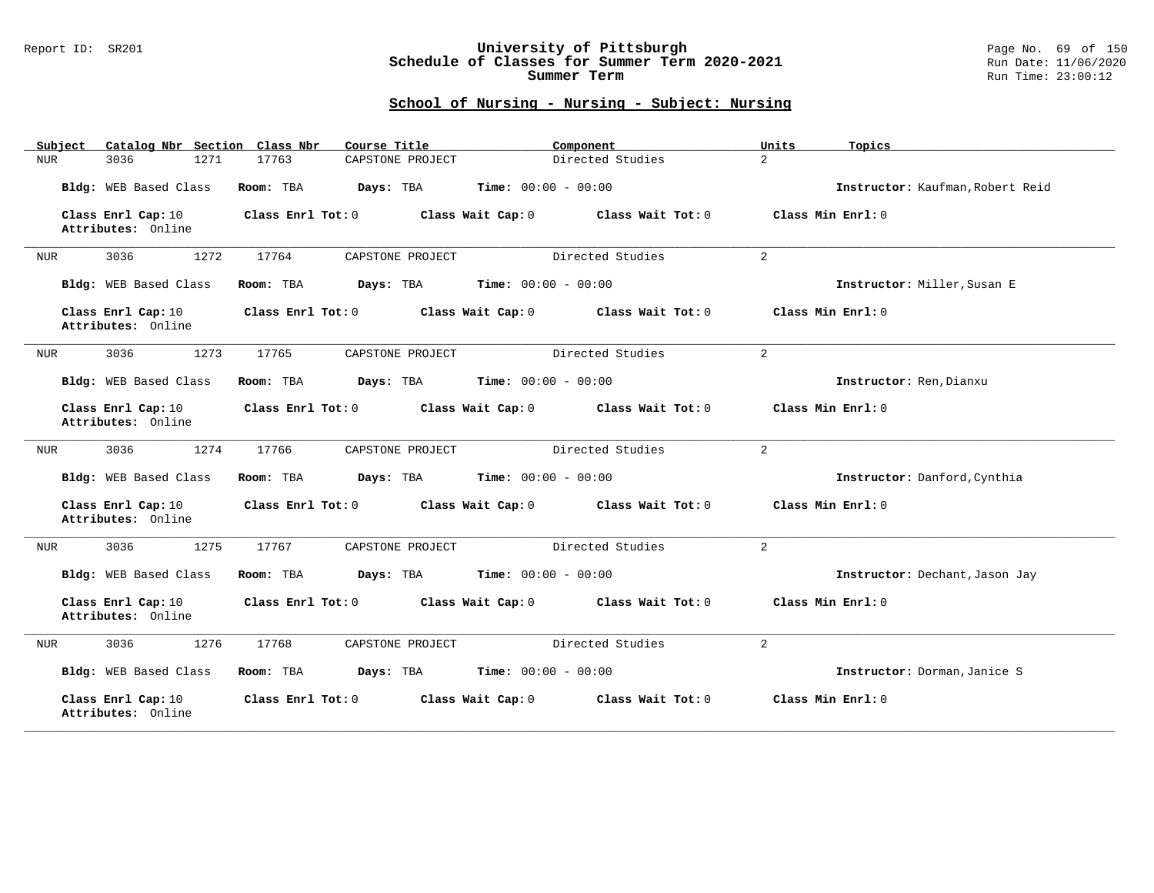## Report ID: SR201 **University of Pittsburgh** Page No. 69 of 150 **Schedule of Classes for Summer Term 2020-2021** Run Date: 11/06/2020 **Summer Term** Run Time: 23:00:12

| Catalog Nbr Section Class Nbr<br>Subject | Course Title              | Component                              | Units<br>Topics                  |
|------------------------------------------|---------------------------|----------------------------------------|----------------------------------|
| 3036<br>1271<br>NUR                      | 17763<br>CAPSTONE PROJECT | Directed Studies                       | $\overline{a}$                   |
| Bldg: WEB Based Class                    | Room: TBA<br>Days: TBA    | <b>Time:</b> $00:00 - 00:00$           | Instructor: Kaufman, Robert Reid |
| Class Enrl Cap: 10<br>Attributes: Online | Class Enrl Tot: 0         | Class Wait Tot: 0<br>Class Wait Cap: 0 | Class Min Enrl: 0                |
| 3036<br>1272<br>NUR                      | 17764<br>CAPSTONE PROJECT | Directed Studies                       | 2                                |
| Bldg: WEB Based Class                    | Room: TBA<br>Days: TBA    | <b>Time:</b> $00:00 - 00:00$           | Instructor: Miller, Susan E      |
| Class Enrl Cap: 10<br>Attributes: Online | Class Enrl Tot: 0         | Class Wait Cap: 0<br>Class Wait Tot: 0 | Class Min Enrl: 0                |
| 3036<br>1273<br>NUR                      | 17765<br>CAPSTONE PROJECT | Directed Studies                       | 2                                |
| Bldg: WEB Based Class                    | Room: TBA<br>Days: TBA    | Time: $00:00 - 00:00$                  | Instructor: Ren, Dianxu          |
| Class Enrl Cap: 10<br>Attributes: Online | Class Enrl Tot: 0         | Class Wait Cap: 0<br>Class Wait Tot: 0 | Class Min Enrl: 0                |
| 1274<br>3036<br>NUR                      | 17766<br>CAPSTONE PROJECT | Directed Studies                       | 2                                |
| Bldg: WEB Based Class                    | Room: TBA<br>Days: TBA    | <b>Time:</b> $00:00 - 00:00$           | Instructor: Danford, Cynthia     |
| Class Enrl Cap: 10<br>Attributes: Online | Class Enrl Tot: 0         | Class Wait Cap: 0<br>Class Wait Tot: 0 | Class Min Enrl: 0                |
| 3036<br>1275<br>NUR                      | 17767<br>CAPSTONE PROJECT | Directed Studies                       | 2                                |
| Bldg: WEB Based Class                    | Room: TBA<br>Days: TBA    | <b>Time:</b> $00:00 - 00:00$           | Instructor: Dechant, Jason Jay   |
| Class Enrl Cap: 10<br>Attributes: Online | Class Enrl Tot: 0         | Class Wait Cap: 0<br>Class Wait Tot: 0 | Class Min Enrl: 0                |
| 3036<br>1276<br><b>NUR</b>               | 17768<br>CAPSTONE PROJECT | Directed Studies                       | 2                                |
| Bldg: WEB Based Class                    | Room: TBA<br>Days: TBA    | <b>Time:</b> $00:00 - 00:00$           | Instructor: Dorman, Janice S     |
| Class Enrl Cap: 10<br>Attributes: Online | Class Enrl Tot: 0         | Class Wait Cap: 0<br>Class Wait Tot: 0 | Class Min Enrl: 0                |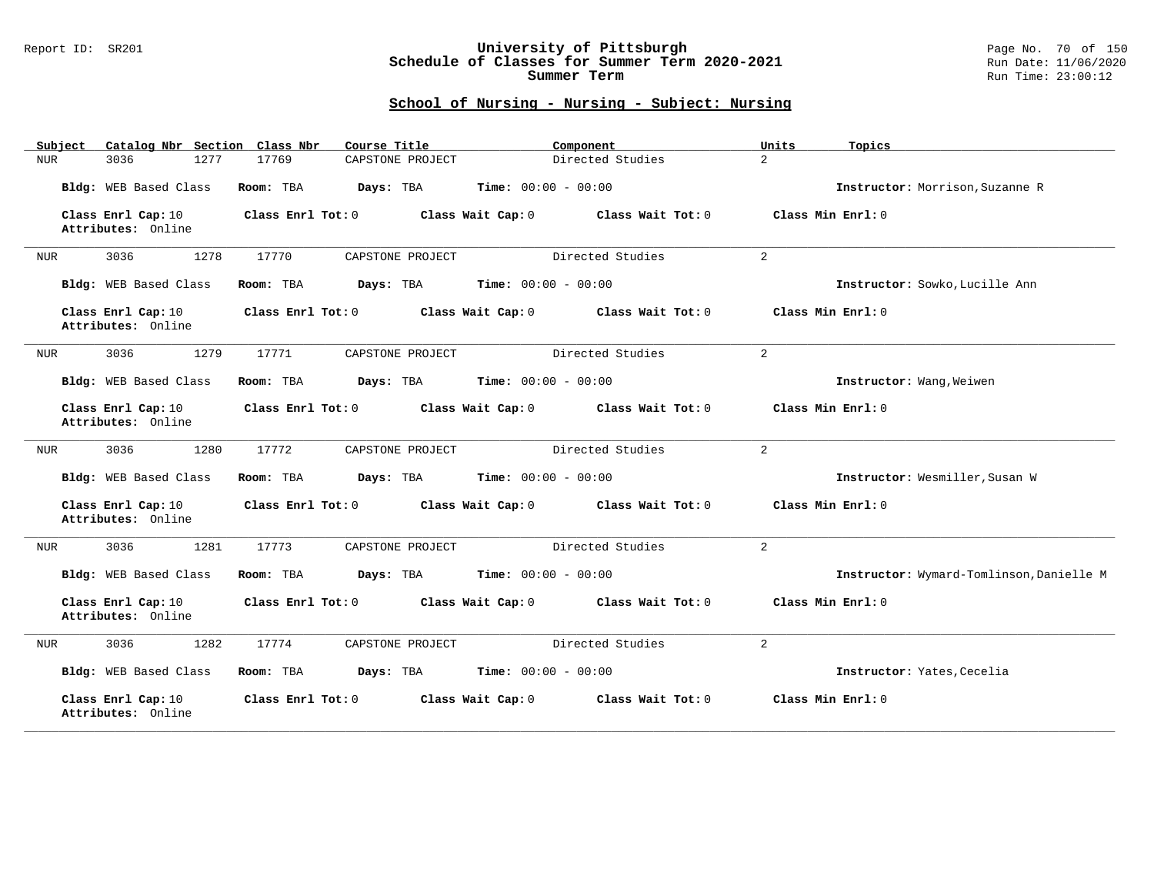## Report ID: SR201 **University of Pittsburgh** Page No. 70 of 150 **Schedule of Classes for Summer Term 2020-2021** Run Date: 11/06/2020 **Summer Term** Run Time: 23:00:12

| Catalog Nbr Section Class Nbr<br>Subject | Course Title              | Component                              | Units<br>Topics                          |
|------------------------------------------|---------------------------|----------------------------------------|------------------------------------------|
| <b>NUR</b><br>3036<br>1277               | 17769<br>CAPSTONE PROJECT | Directed Studies                       | $\overline{a}$                           |
| Bldg: WEB Based Class                    | Room: TBA<br>Days: TBA    | Time: $00:00 - 00:00$                  | Instructor: Morrison, Suzanne R          |
| Class Enrl Cap: 10<br>Attributes: Online | Class Enrl Tot: 0         | Class Wait Cap: 0<br>Class Wait Tot: 0 | Class Min Enrl: 0                        |
| 3036<br>1278<br>NUR                      | 17770<br>CAPSTONE PROJECT | Directed Studies                       | 2                                        |
| Bldg: WEB Based Class                    | Room: TBA<br>Days: TBA    | <b>Time:</b> $00:00 - 00:00$           | Instructor: Sowko, Lucille Ann           |
| Class Enrl Cap: 10<br>Attributes: Online | Class Enrl Tot: 0         | Class Wait Cap: 0<br>Class Wait Tot: 0 | Class Min Enrl: 0                        |
| 1279<br>3036<br>NUR                      | 17771<br>CAPSTONE PROJECT | Directed Studies                       | $\overline{2}$                           |
| Bldg: WEB Based Class                    | Room: TBA<br>Days: TBA    | <b>Time:</b> $00:00 - 00:00$           | Instructor: Wang, Weiwen                 |
| Class Enrl Cap: 10<br>Attributes: Online | Class Enrl Tot: 0         | Class Wait Cap: 0<br>Class Wait Tot: 0 | Class Min Enrl: 0                        |
| 3036<br>1280<br>NUR                      | 17772<br>CAPSTONE PROJECT | Directed Studies                       | $\overline{a}$                           |
| Bldg: WEB Based Class                    | Room: TBA<br>Days: TBA    | <b>Time:</b> $00:00 - 00:00$           | Instructor: Wesmiller, Susan W           |
| Class Enrl Cap: 10<br>Attributes: Online | Class Enrl Tot: 0         | Class Wait Cap: 0<br>Class Wait Tot: 0 | Class Min Enrl: 0                        |
| 3036<br>1281<br><b>NUR</b>               | 17773<br>CAPSTONE PROJECT | Directed Studies                       | 2                                        |
| Bldg: WEB Based Class                    | Room: TBA<br>Days: TBA    | <b>Time:</b> $00:00 - 00:00$           | Instructor: Wymard-Tomlinson, Danielle M |
| Class Enrl Cap: 10<br>Attributes: Online | Class Enrl Tot: 0         | Class Wait Tot: 0<br>Class Wait Cap: 0 | Class Min Enrl: 0                        |
| 3036<br>1282<br><b>NUR</b>               | 17774<br>CAPSTONE PROJECT | Directed Studies                       | $\overline{2}$                           |
| Bldg: WEB Based Class                    | Room: TBA<br>Days: TBA    | <b>Time:</b> $00:00 - 00:00$           | Instructor: Yates, Cecelia               |
| Class Enrl Cap: 10<br>Attributes: Online | Class Enrl Tot: 0         | Class Wait Cap: 0<br>Class Wait Tot: 0 | Class Min Enrl: 0                        |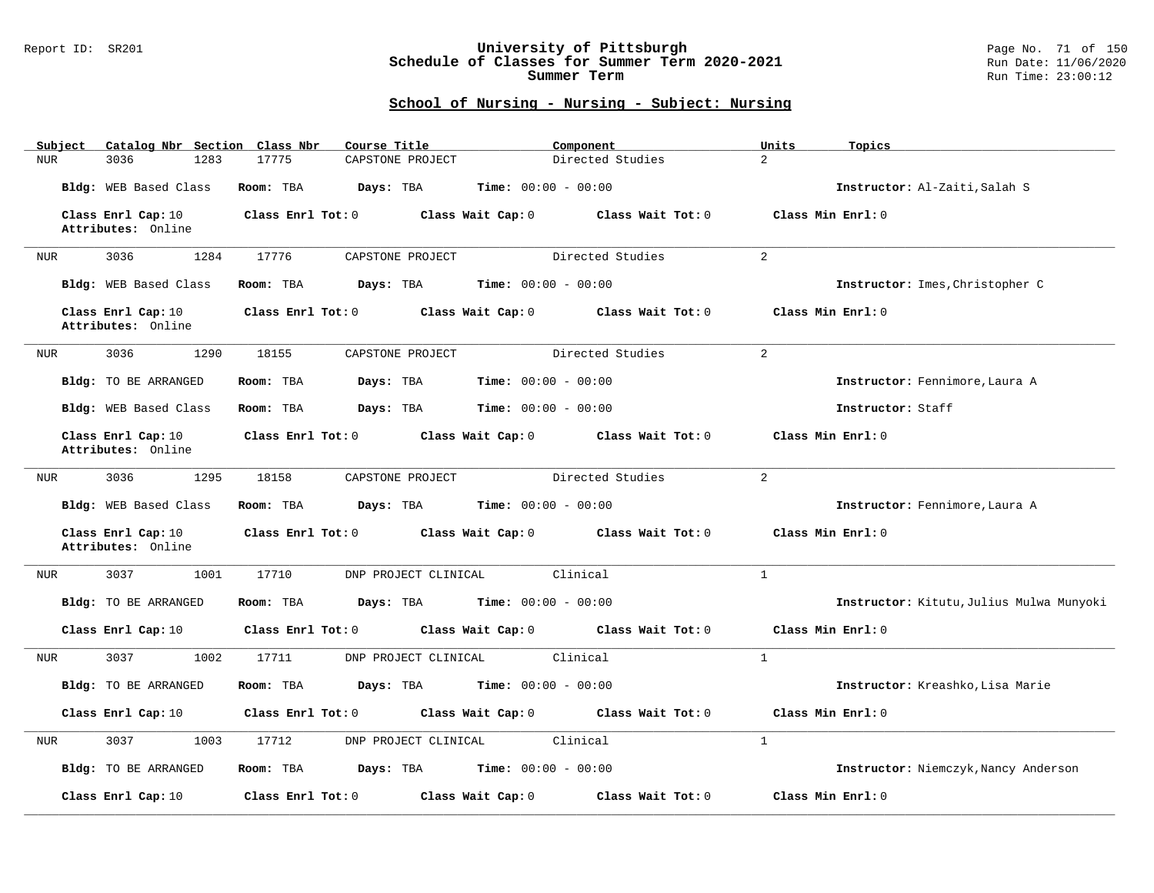## Report ID: SR201 **University of Pittsburgh** Page No. 71 of 150 **Schedule of Classes for Summer Term 2020-2021** Run Date: 11/06/2020 **Summer Term** Run Time: 23:00:12

| Subject    | Catalog Nbr Section Class Nbr            | Course Title                  | Component                              | Units<br>Topics                          |
|------------|------------------------------------------|-------------------------------|----------------------------------------|------------------------------------------|
| <b>NUR</b> | 3036<br>1283                             | 17775<br>CAPSTONE PROJECT     | Directed Studies                       | $\overline{2}$                           |
|            | Bldg: WEB Based Class                    | Room: TBA<br>Days: TBA        | <b>Time:</b> $00:00 - 00:00$           | Instructor: Al-Zaiti, Salah S            |
|            | Class Enrl Cap: 10<br>Attributes: Online | Class Enrl Tot: 0             | Class Wait Cap: 0<br>Class Wait Tot: 0 | Class Min Enrl: 0                        |
| NUR        | 3036<br>1284                             | 17776<br>CAPSTONE PROJECT     | Directed Studies                       | $\overline{2}$                           |
|            | Bldg: WEB Based Class                    | Room: TBA<br>Days: TBA        | <b>Time:</b> $00:00 - 00:00$           | Instructor: Imes, Christopher C          |
|            | Class Enrl Cap: 10<br>Attributes: Online | Class Enrl Tot: 0             | Class Wait Cap: 0<br>Class Wait Tot: 0 | Class Min Enrl: 0                        |
| NUR        | 3036<br>1290                             | 18155<br>CAPSTONE PROJECT     | Directed Studies                       | $\overline{2}$                           |
|            | Bldg: TO BE ARRANGED                     | Room: TBA<br>Days: TBA        | <b>Time:</b> $00:00 - 00:00$           | Instructor: Fennimore, Laura A           |
|            | Bldg: WEB Based Class                    | Days: TBA<br>Room: TBA        | $Time: 00:00 - 00:00$                  | Instructor: Staff                        |
|            | Class Enrl Cap: 10<br>Attributes: Online | Class Enrl Tot: 0             | Class Wait Tot: 0<br>Class Wait Cap: 0 | Class Min Enrl: 0                        |
| <b>NUR</b> | 1295<br>3036                             | 18158<br>CAPSTONE PROJECT     | Directed Studies                       | $\overline{2}$                           |
|            | Bldg: WEB Based Class                    | Room: TBA<br>Days: TBA        | <b>Time:</b> $00:00 - 00:00$           | Instructor: Fennimore, Laura A           |
|            | Class Enrl Cap: 10<br>Attributes: Online | Class Enrl Tot: 0             | Class Wait Cap: 0<br>Class Wait Tot: 0 | Class Min Enrl: 0                        |
| NUR        | 3037<br>1001                             | 17710<br>DNP PROJECT CLINICAL | Clinical                               | $\mathbf{1}$                             |
|            | Bldg: TO BE ARRANGED                     | Room: TBA<br>Days: TBA        | <b>Time:</b> $00:00 - 00:00$           | Instructor: Kitutu, Julius Mulwa Munyoki |
|            | Class Enrl Cap: 10                       | Class Enrl Tot: 0             | Class Wait Cap: 0<br>Class Wait Tot: 0 | Class Min Enrl: 0                        |
| <b>NUR</b> | 3037<br>1002                             | 17711<br>DNP PROJECT CLINICAL | Clinical                               | $\mathbf{1}$                             |
|            | Bldg: TO BE ARRANGED                     | Room: TBA<br>Days: TBA        | <b>Time:</b> $00:00 - 00:00$           | Instructor: Kreashko, Lisa Marie         |
|            | Class Enrl Cap: 10                       | Class Enrl Tot: 0             | Class Wait Cap: 0<br>Class Wait Tot: 0 | Class Min Enrl: 0                        |
| <b>NUR</b> | 3037<br>1003                             | DNP PROJECT CLINICAL<br>17712 | Clinical                               | $\mathbf{1}$                             |
|            | Bldg: TO BE ARRANGED                     | Room: TBA<br>Days: TBA        | <b>Time:</b> $00:00 - 00:00$           | Instructor: Niemczyk, Nancy Anderson     |
|            | Class Enrl Cap: 10                       | Class Enrl Tot: 0             | Class Wait Tot: 0<br>Class Wait Cap: 0 | Class Min Enrl: 0                        |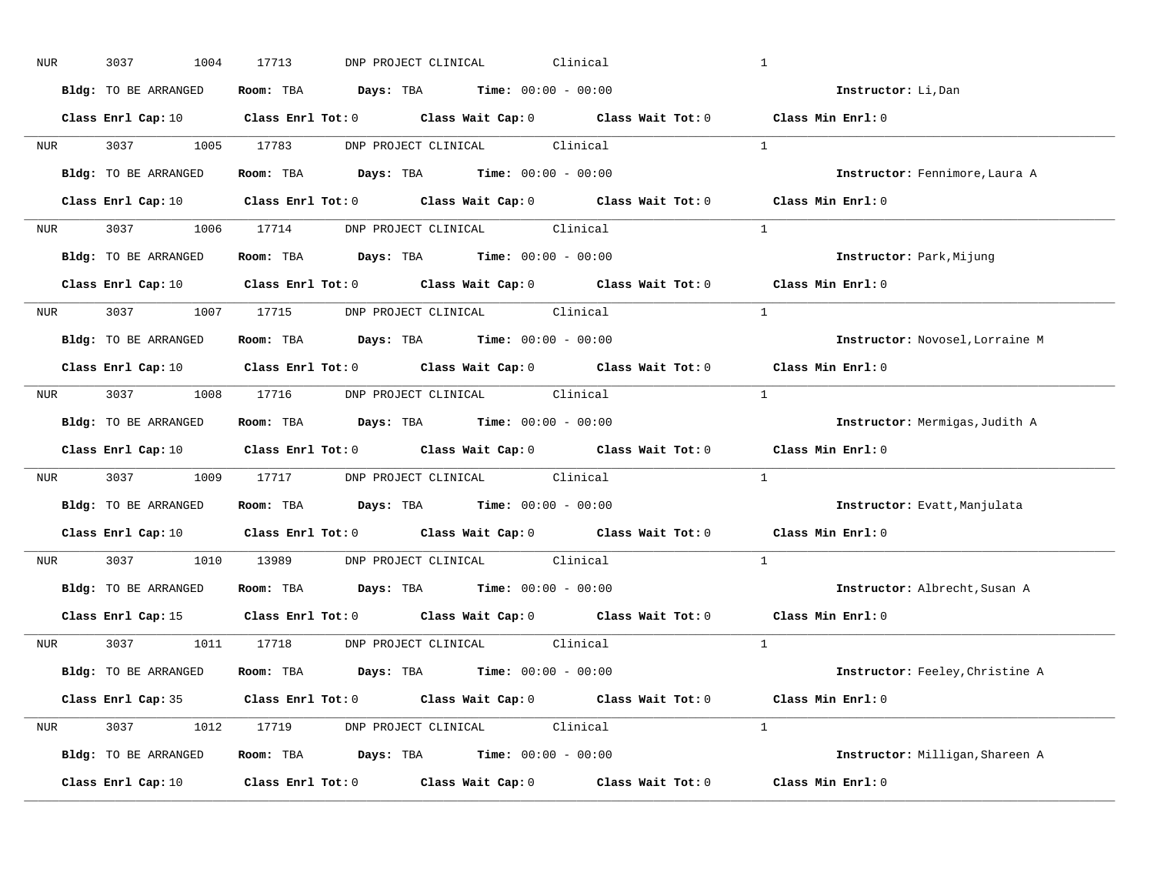| NUR              | 3037<br>1004         | 17713<br>DNP PROJECT CLINICAL<br>Clinical                                                                                      | $\mathbf{1}$                    |
|------------------|----------------------|--------------------------------------------------------------------------------------------------------------------------------|---------------------------------|
|                  | Bldg: TO BE ARRANGED | Room: TBA $Days: TBA$ Time: $00:00 - 00:00$                                                                                    | Instructor: Li, Dan             |
|                  |                      | Class Enrl Cap: 10 $\qquad$ Class Enrl Tot: 0 $\qquad$ Class Wait Cap: 0 $\qquad$ Class Wait Tot: 0 $\qquad$ Class Min Enrl: 0 |                                 |
|                  | NUR 3037 1005 17783  | DNP PROJECT CLINICAL Clinical                                                                                                  | $\overline{1}$                  |
|                  | Bldg: TO BE ARRANGED | Room: TBA $Days:$ TBA $Time:$ $00:00 - 00:00$                                                                                  | Instructor: Fennimore, Laura A  |
|                  |                      | Class Enrl Cap: 10 $\qquad$ Class Enrl Tot: 0 $\qquad$ Class Wait Cap: 0 $\qquad$ Class Wait Tot: 0 $\qquad$ Class Min Enrl: 0 |                                 |
|                  |                      | NUR 3037 1006 17714 DNP PROJECT CLINICAL Clinical                                                                              | $\sim$ 1                        |
|                  | Bldg: TO BE ARRANGED | Room: TBA $Days:$ TBA $Time: 00:00 - 00:00$                                                                                    | Instructor: Park, Mijung        |
|                  |                      | Class Enrl Cap: 10 $\qquad$ Class Enrl Tot: 0 $\qquad$ Class Wait Cap: 0 $\qquad$ Class Wait Tot: 0 $\qquad$ Class Min Enrl: 0 |                                 |
|                  |                      | NUR 3037 1007 17715 DNP PROJECT CLINICAL Clinical                                                                              | $\overline{1}$                  |
|                  | Bldg: TO BE ARRANGED | Room: TBA $Days:$ TBA $Time: 00:00 - 00:00$                                                                                    | Instructor: Novosel, Lorraine M |
|                  |                      | Class Enrl Cap: 10 Class Enrl Tot: 0 Class Wait Cap: 0 Class Wait Tot: 0                                                       | Class Min Enrl: 0               |
|                  |                      | NUR 3037 1008 17716 DNP PROJECT CLINICAL Clinical                                                                              | $\overline{1}$                  |
|                  | Bldg: TO BE ARRANGED | Room: TBA $Days:$ TBA $Time: 00:00 - 00:00$                                                                                    | Instructor: Mermigas, Judith A  |
|                  |                      | Class Enrl Cap: 10 $\qquad$ Class Enrl Tot: 0 $\qquad$ Class Wait Cap: 0 $\qquad$ Class Wait Tot: 0                            | Class Min Enrl: 0               |
| NUR <sub>p</sub> |                      | 3037 1009 17717 DNP PROJECT CLINICAL Clinical                                                                                  | $\mathbf{1}$                    |
|                  | Bldg: TO BE ARRANGED | Room: TBA $Days:$ TBA $Time: 00:00 - 00:00$                                                                                    | Instructor: Evatt, Manjulata    |
|                  |                      | Class Enrl Cap: 10 Class Enrl Tot: 0 Class Wait Cap: 0 Class Wait Tot: 0                                                       | Class Min Enrl: 0               |
|                  |                      |                                                                                                                                |                                 |
| NUR <sub>i</sub> |                      | 3037 1010 13989 DNP PROJECT CLINICAL Clinical                                                                                  | $\mathbf{1}$                    |
|                  | Bldg: TO BE ARRANGED | Room: TBA $Days:$ TBA Time: $00:00 - 00:00$                                                                                    | Instructor: Albrecht, Susan A   |
|                  |                      | Class Enrl Cap: 15 Class Enrl Tot: 0 Class Wait Cap: 0 Class Wait Tot: 0                                                       | Class Min Enrl: 0               |
|                  |                      | NUR 3037 1011 17718 DNP PROJECT CLINICAL Clinical                                                                              | $\overline{1}$                  |
|                  | Bldg: TO BE ARRANGED | Room: TBA $Days:$ TBA $Time: 00:00 - 00:00$                                                                                    | Instructor: Feeley, Christine A |
|                  |                      | Class Enrl Cap: 35 Class Enrl Tot: 0 Class Wait Cap: 0 Class Wait Tot: 0 Class Min Enrl: 0                                     |                                 |
|                  |                      | NUR 3037 1012 17719 DNP PROJECT CLINICAL Clinical                                                                              | $\overline{1}$                  |
|                  | Bldg: TO BE ARRANGED | <b>Room:</b> TBA $Days: TBA$ <b>Time:</b> $00:00 - 00:00$                                                                      | Instructor: Milligan, Shareen A |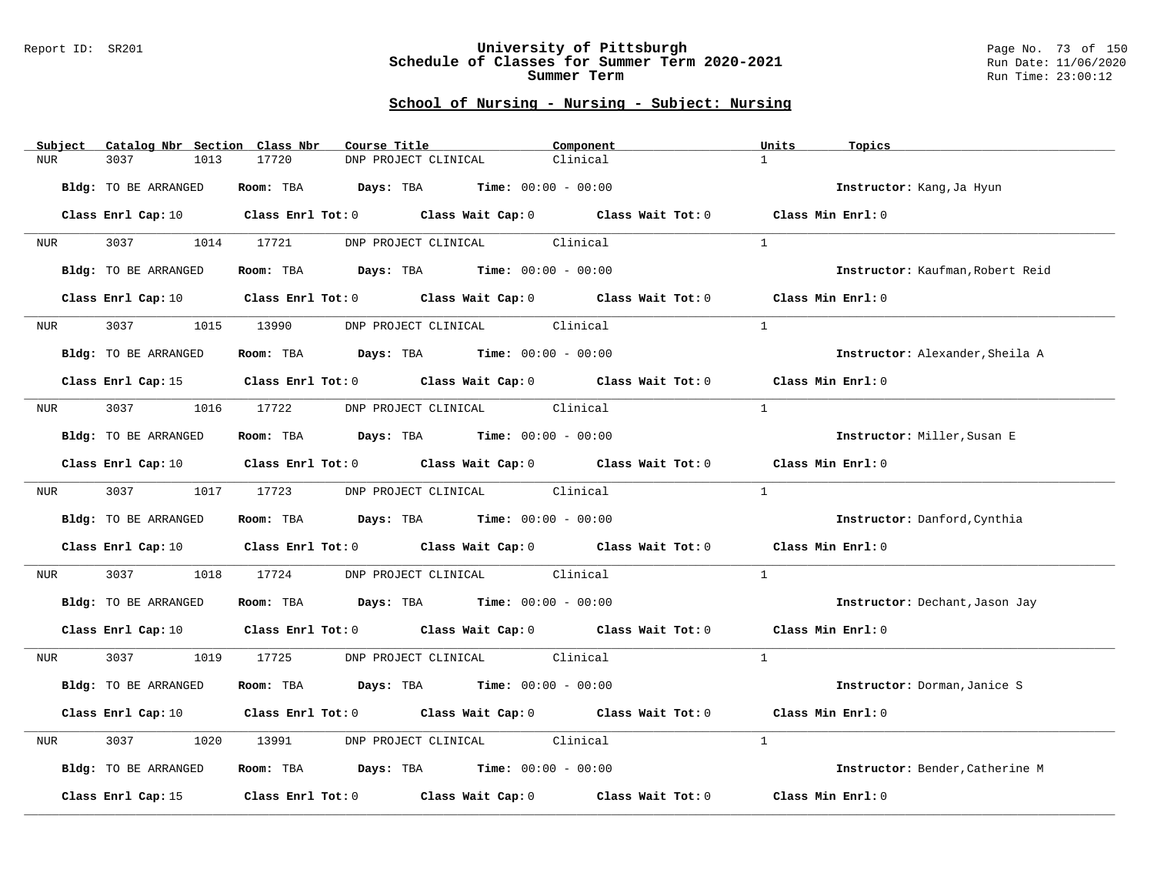#### Report ID: SR201 **University of Pittsburgh** Page No. 73 of 150 **Schedule of Classes for Summer Term 2020-2021** Run Date: 11/06/2020 **Summer Term** Run Time: 23:00:12

| Subject | Catalog Nbr Section Class Nbr | Course Title | Component                                                                                                                      | Units<br>Topics                  |
|---------|-------------------------------|--------------|--------------------------------------------------------------------------------------------------------------------------------|----------------------------------|
| NUR.    | 3037<br>1013                  | 17720        | Clinical<br>DNP PROJECT CLINICAL                                                                                               | $\mathbf{1}$                     |
|         | Bldg: TO BE ARRANGED          |              | Room: TBA $Days:$ TBA $Time: 00:00 - 00:00$                                                                                    | Instructor: Kang, Ja Hyun        |
|         |                               |              | Class Enrl Cap: 10 $\qquad$ Class Enrl Tot: 0 $\qquad$ Class Wait Cap: 0 $\qquad$ Class Wait Tot: 0 $\qquad$ Class Min Enrl: 0 |                                  |
| NUR     | 3037 1014 17721               |              | DNP PROJECT CLINICAL Clinical                                                                                                  | <sup>1</sup>                     |
|         | Bldg: TO BE ARRANGED          |              | Room: TBA $Days:$ TBA $Time: 00:00 - 00:00$                                                                                    | Instructor: Kaufman, Robert Reid |
|         | Class Enrl Cap: 10            |              | Class Enrl Tot: 0 Class Wait Cap: 0 Class Wait Tot: 0                                                                          | Class Min Enrl: 0                |
| NUR     | 3037<br>1015                  | 13990        | DNP PROJECT CLINICAL Clinical                                                                                                  | $\mathbf{1}$                     |
|         | Bldg: TO BE ARRANGED          |              | Room: TBA $Days:$ TBA $Time: 00:00 - 00:00$                                                                                    | Instructor: Alexander, Sheila A  |
|         |                               |              | Class Enrl Cap: 15 Class Enrl Tot: 0 Class Wait Cap: 0 Class Wait Tot: 0 Class Min Enrl: 0                                     |                                  |
| NUR     | 3037 1016 17722               |              | DNP PROJECT CLINICAL Clinical                                                                                                  | $\mathbf{1}$                     |
|         | Bldg: TO BE ARRANGED          |              | Room: TBA $Days: TBA$ Time: $00:00 - 00:00$                                                                                    | Instructor: Miller, Susan E      |
|         |                               |              | Class Enrl Cap: 10 		 Class Enrl Tot: 0 		 Class Wait Cap: 0 		 Class Wait Tot: 0                                              | Class Min Enrl: 0                |
| NUR     | 3037 1017 17723               |              | DNP PROJECT CLINICAL Clinical                                                                                                  | $\overline{1}$                   |
|         | Bldg: TO BE ARRANGED          |              | Room: TBA $Days: TBA$ Time: $00:00 - 00:00$                                                                                    | Instructor: Danford, Cynthia     |
|         |                               |              | Class Enrl Cap: 10 Class Enrl Tot: 0 Class Wait Cap: 0 Class Wait Tot: 0                                                       | Class Min Enrl: 0                |
| NUR     | 3037<br>1018                  | 17724        | DNP PROJECT CLINICAL Clinical                                                                                                  | 1                                |
|         | Bldg: TO BE ARRANGED          |              | Room: TBA $Days:$ TBA Time: $00:00 - 00:00$                                                                                    | Instructor: Dechant, Jason Jay   |
|         |                               |              | Class Enrl Cap: 10 Class Enrl Tot: 0 Class Wait Cap: 0 Class Wait Tot: 0 Class Min Enrl: 0                                     |                                  |
| NUR     |                               |              | 3037 1019 17725 DNP PROJECT CLINICAL Clinical                                                                                  | $\overline{1}$                   |
|         | Bldg: TO BE ARRANGED          |              | Room: TBA $Days:$ TBA $Time: 00:00 - 00:00$                                                                                    | Instructor: Dorman, Janice S     |
|         |                               |              | Class Enrl Cap: 10 Class Enrl Tot: 0 Class Wait Cap: 0 Class Wait Tot: 0                                                       | Class Min Enrl: 0                |
| NUR     | 3037<br>1020                  | 13991        | DNP PROJECT CLINICAL Clinical                                                                                                  | $\mathbf{1}$                     |
|         | Bldg: TO BE ARRANGED          |              | Room: TBA $Days:$ TBA $Time: 00:00 - 00:00$                                                                                    | Instructor: Bender, Catherine M  |
|         | Class Enrl Cap: 15            |              | Class Enrl Tot: 0 Class Wait Cap: 0 Class Wait Tot: 0                                                                          | Class Min Enrl: 0                |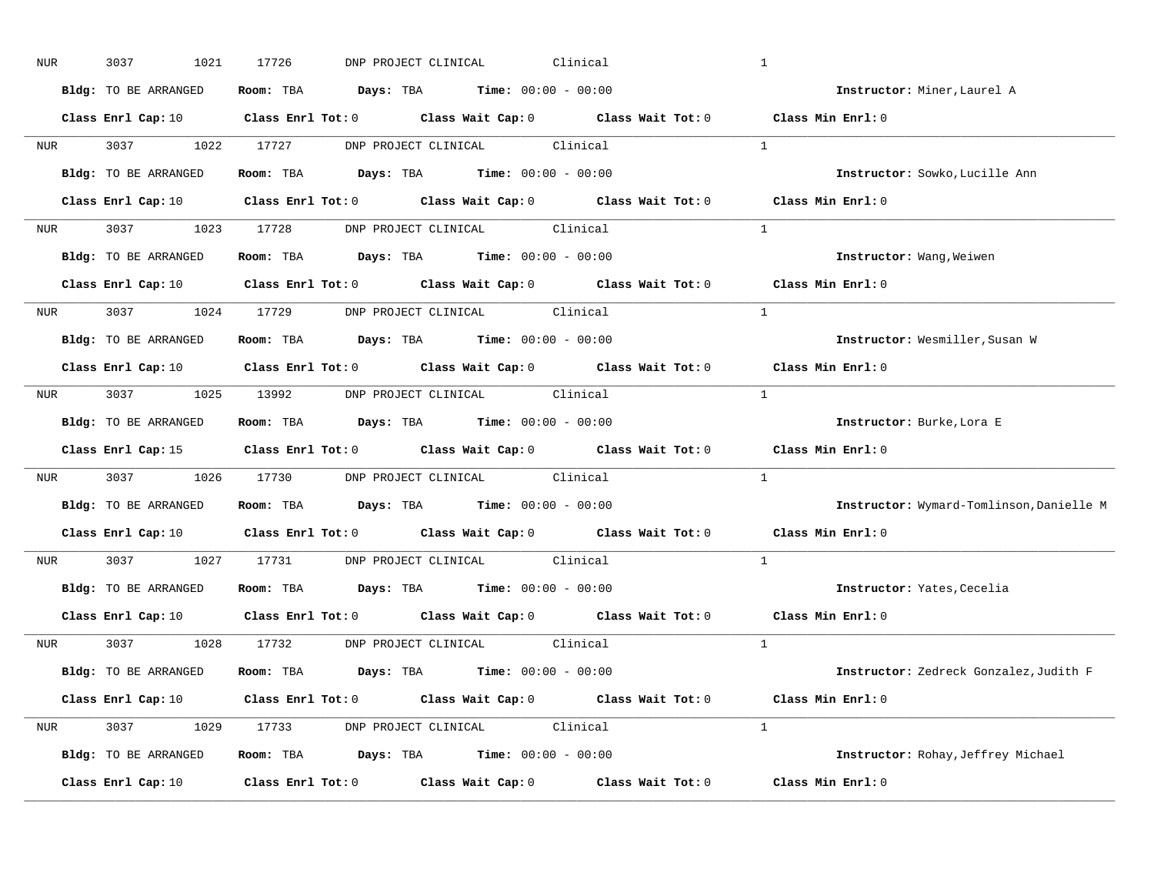| NUR              | 3037<br>1021         | 17726<br>Clinical<br>DNP PROJECT CLINICAL                                                                                      | $\mathbf{1}$                             |
|------------------|----------------------|--------------------------------------------------------------------------------------------------------------------------------|------------------------------------------|
|                  | Bldg: TO BE ARRANGED | Room: TBA $Days:$ TBA $Time: 00:00 - 00:00$                                                                                    | Instructor: Miner, Laurel A              |
|                  |                      | Class Enrl Cap: 10 $\qquad$ Class Enrl Tot: 0 $\qquad$ Class Wait Cap: 0 $\qquad$ Class Wait Tot: 0 $\qquad$ Class Min Enrl: 0 |                                          |
|                  | NUR 3037 1022 17727  | DNP PROJECT CLINICAL Clinical                                                                                                  | $\overline{1}$                           |
|                  | Bldg: TO BE ARRANGED | Room: TBA $Days:$ TBA $Time: 00:00 - 00:00$                                                                                    | Instructor: Sowko, Lucille Ann           |
|                  |                      | Class Enrl Cap: 10 $\qquad$ Class Enrl Tot: 0 $\qquad$ Class Wait Cap: 0 $\qquad$ Class Wait Tot: 0 $\qquad$ Class Min Enrl: 0 |                                          |
|                  |                      | NUR 3037 1023 17728 DNP PROJECT CLINICAL Clinical                                                                              | $\sim$ 1                                 |
|                  |                      | Bldg: TO BE ARRANGED Room: TBA Days: TBA Time: 00:00 - 00:00                                                                   | Instructor: Wang, Weiwen                 |
|                  |                      | Class Enrl Cap: 10 $\qquad$ Class Enrl Tot: 0 $\qquad$ Class Wait Cap: 0 $\qquad$ Class Wait Tot: 0 $\qquad$ Class Min Enrl: 0 |                                          |
|                  |                      | NUR 3037 1024 17729 DNP PROJECT CLINICAL Clinical                                                                              | $\overline{1}$                           |
|                  | Bldg: TO BE ARRANGED | Room: TBA $Days:$ TBA Time: $00:00 - 00:00$                                                                                    | Instructor: Wesmiller, Susan W           |
|                  |                      | Class Enrl Cap: 10 Class Enrl Tot: 0 Class Wait Cap: 0 Class Wait Tot: 0                                                       | Class Min Enrl: 0                        |
|                  |                      | NUR 3037 1025 13992 DNP PROJECT CLINICAL Clinical                                                                              | $\frac{1}{2}$                            |
|                  | Bldg: TO BE ARRANGED | Room: TBA $Days: TBA$ Time: $00:00 - 00:00$                                                                                    | Instructor: Burke, Lora E                |
|                  |                      | Class Enrl Cap: 15 Class Enrl Tot: 0 Class Wait Cap: 0 Class Wait Tot: 0                                                       | Class Min Enrl: 0                        |
| NUR <sub>p</sub> |                      | 3037 1026 17730 DNP PROJECT CLINICAL Clinical                                                                                  | $\mathbf{1}$                             |
|                  | Bldg: TO BE ARRANGED | Room: TBA $Days:$ TBA $Time: 00:00 - 00:00$                                                                                    | Instructor: Wymard-Tomlinson, Danielle M |
|                  |                      | Class Enrl Cap: 10 Class Enrl Tot: 0 Class Wait Cap: 0 Class Wait Tot: 0                                                       | Class Min Enrl: 0                        |
| <b>NUR</b>       |                      | 3037 1027 17731 DNP PROJECT CLINICAL Clinical                                                                                  | $\mathbf{1}$                             |
|                  |                      | Bldg: TO BE ARRANGED ROOM: TBA Days: TBA Time: 00:00 - 00:00                                                                   | Instructor: Yates, Cecelia               |
|                  |                      | Class Enrl Cap: 10 $\qquad$ Class Enrl Tot: 0 $\qquad$ Class Wait Cap: 0 $\qquad$ Class Wait Tot: 0                            | Class Min Enrl: 0                        |
|                  |                      | NUR 3037 1028 17732 DNP PROJECT CLINICAL Clinical                                                                              | $\overline{1}$                           |
|                  | Bldg: TO BE ARRANGED | Room: TBA $Days:$ TBA $Time: 00:00 - 00:00$                                                                                    | Instructor: Zedreck Gonzalez, Judith F   |
|                  |                      | Class Enrl Cap: 10 $\qquad$ Class Enrl Tot: 0 $\qquad$ Class Wait Cap: 0 $\qquad$ Class Wait Tot: 0 $\qquad$ Class Min Enrl: 0 |                                          |
|                  |                      | NUR 3037 1029 17733 DNP PROJECT CLINICAL Clinical                                                                              | $\overline{1}$                           |
|                  | Bldg: TO BE ARRANGED | Room: TBA $Days: TBA$ Time: $00:00 - 00:00$                                                                                    | Instructor: Rohay, Jeffrey Michael       |
|                  | Class Enrl Cap: 10   | Class Enrl Tot: $0$ Class Wait Cap: $0$ Class Wait Tot: $0$ Class Min Enrl: $0$                                                |                                          |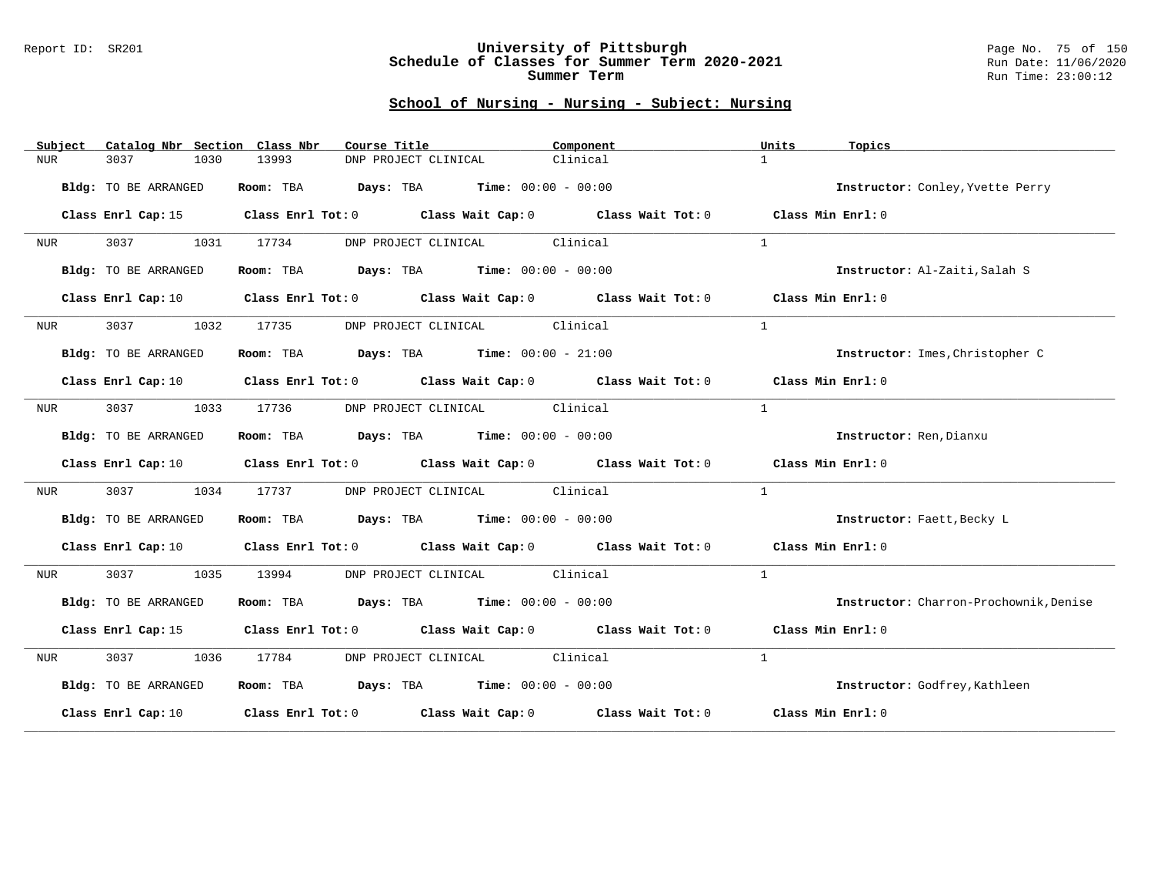#### Report ID: SR201 **University of Pittsburgh** Page No. 75 of 150 **Schedule of Classes for Summer Term 2020-2021** Run Date: 11/06/2020 **Summer Term** Run Time: 23:00:12

| Subject    | Catalog Nbr Section Class Nbr | Course Title                                                   | Component                                                                                                                      | Units<br>Topics                        |
|------------|-------------------------------|----------------------------------------------------------------|--------------------------------------------------------------------------------------------------------------------------------|----------------------------------------|
| <b>NUR</b> | 3037<br>1030                  | 13993<br>DNP PROJECT CLINICAL                                  | Clinical                                                                                                                       | $\mathbf{1}$                           |
|            | Bldg: TO BE ARRANGED          | Room: TBA $\rule{1em}{0.15mm}$ Days: TBA Time: $00:00 - 00:00$ |                                                                                                                                | Instructor: Conley, Yvette Perry       |
|            | Class Enrl Cap: 15            |                                                                | Class Enrl Tot: 0 Class Wait Cap: 0 Class Wait Tot: 0 Class Min Enrl: 0                                                        |                                        |
| NUR        | 3037 1031                     | 17734                                                          | DNP PROJECT CLINICAL Clinical                                                                                                  | $\mathbf{1}$                           |
|            | Bldg: TO BE ARRANGED          | Room: TBA $Days:$ TBA $Time: 00:00 - 00:00$                    |                                                                                                                                | Instructor: Al-Zaiti, Salah S          |
|            | Class Enrl Cap: 10            |                                                                | Class Enrl Tot: 0 Class Wait Cap: 0 Class Wait Tot: 0 Class Min Enrl: 0                                                        |                                        |
| NUR        | 3037 30<br>1032               | 17735                                                          | DNP PROJECT CLINICAL Clinical                                                                                                  | $\mathbf{1}$                           |
|            | Bldg: TO BE ARRANGED          | Room: TBA $Days:$ TBA $Time: 00:00 - 21:00$                    |                                                                                                                                | Instructor: Imes, Christopher C        |
|            |                               |                                                                | Class Enrl Cap: 10 $\qquad$ Class Enrl Tot: 0 $\qquad$ Class Wait Cap: 0 $\qquad$ Class Wait Tot: 0 $\qquad$ Class Min Enrl: 0 |                                        |
| NUR        | 3037<br>1033                  | 17736                                                          | DNP PROJECT CLINICAL Clinical                                                                                                  | $\mathbf{1}$                           |
|            | Bldg: TO BE ARRANGED          | Room: TBA $Days:$ TBA $Time: 00:00 - 00:00$                    |                                                                                                                                | Instructor: Ren, Dianxu                |
|            |                               |                                                                | Class Enrl Cap: 10 Class Enrl Tot: 0 Class Wait Cap: 0 Class Wait Tot: 0 Class Min Enrl: 0                                     |                                        |
| NUR        | 3037<br>1034                  | 17737                                                          | DNP PROJECT CLINICAL Clinical                                                                                                  | $\mathbf{1}$                           |
|            | Bldg: TO BE ARRANGED          | Room: TBA $Days:$ TBA $Time: 00:00 - 00:00$                    |                                                                                                                                | Instructor: Faett, Becky L             |
|            | Class Enrl Cap: 10            |                                                                | Class Enrl Tot: 0 Class Wait Cap: 0 Class Wait Tot: 0                                                                          | Class Min Enrl: 0                      |
| NUR        | 3037<br>1035                  | 13994                                                          | DNP PROJECT CLINICAL Clinical                                                                                                  | $\mathbf{1}$                           |
|            | Bldg: TO BE ARRANGED          | Room: TBA $Days:$ TBA $Time: 00:00 - 00:00$                    |                                                                                                                                | Instructor: Charron-Prochownik, Denise |
|            | Class Enrl Cap: 15            |                                                                | Class Enrl Tot: 0 Class Wait Cap: 0 Class Wait Tot: 0 Class Min Enrl: 0                                                        |                                        |
| NUR        | 3037 1036                     | 17784                                                          | DNP PROJECT CLINICAL Clinical                                                                                                  | $\mathbf{1}$                           |
|            | Bldg: TO BE ARRANGED          | Room: TBA $Days: TBA$ Time: $00:00 - 00:00$                    |                                                                                                                                | Instructor: Godfrey, Kathleen          |
|            | Class Enrl Cap: 10            |                                                                | Class Enrl Tot: $0$ Class Wait Cap: $0$ Class Wait Tot: $0$ Class Min Enrl: $0$                                                |                                        |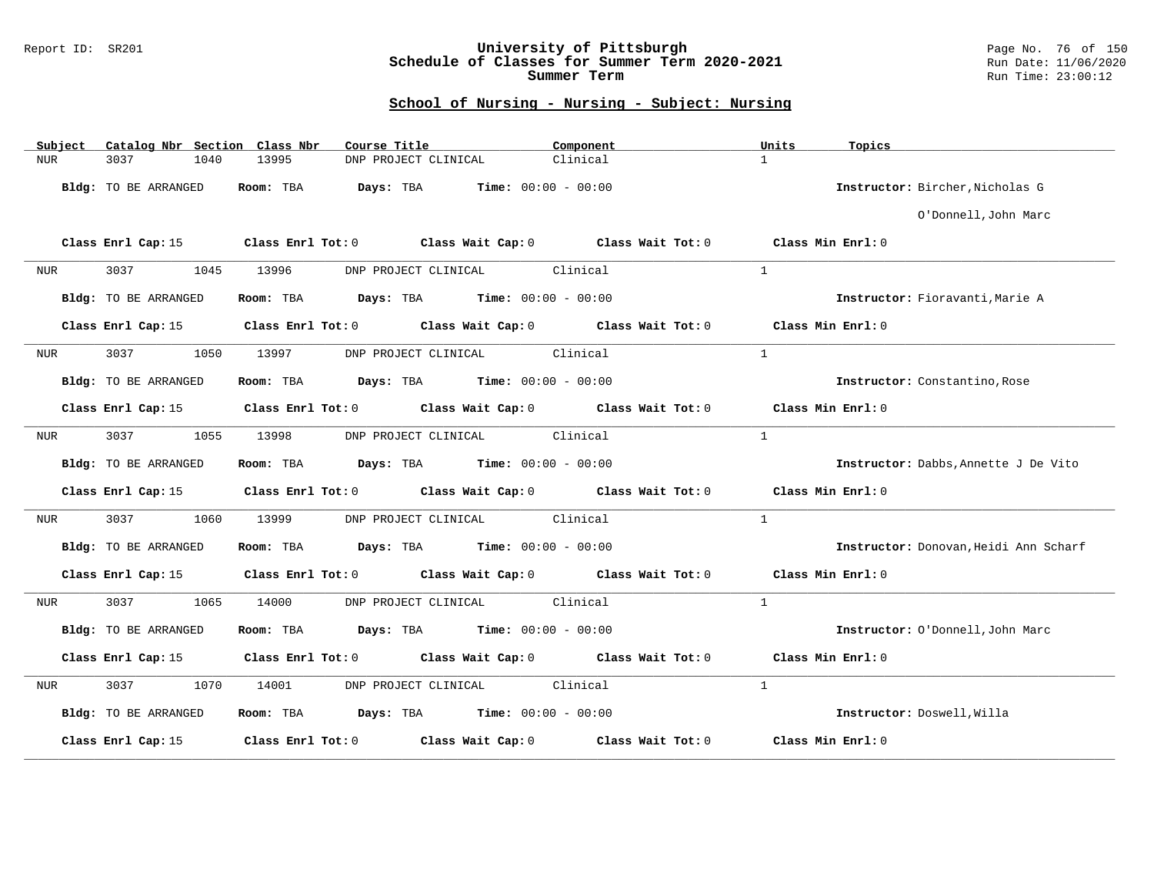### Report ID: SR201 **University of Pittsburgh** Page No. 76 of 150 **Schedule of Classes for Summer Term 2020-2021** Run Date: 11/06/2020 **Summer Term** Run Time: 23:00:12

| Catalog Nbr Section Class Nbr<br>Subject | Course Title                                                                                    | Component | Units<br>Topics                       |
|------------------------------------------|-------------------------------------------------------------------------------------------------|-----------|---------------------------------------|
| 3037<br>NUR<br>1040                      | 13995<br>DNP PROJECT CLINICAL                                                                   | Clinical  | $\mathbf{1}$                          |
| Bldg: TO BE ARRANGED                     | Room: TBA<br>Days: TBA<br>$Time: 00:00 - 00:00$                                                 |           | Instructor: Bircher, Nicholas G       |
|                                          |                                                                                                 |           | O'Donnell, John Marc                  |
|                                          | Class Enrl Cap: 15 (Class Enrl Tot: 0 (Class Wait Cap: 0 (Class Wait Tot: 0 (Class Min Enrl: 0) |           |                                       |
| 3037<br>1045<br>NUR                      | DNP PROJECT CLINICAL Clinical<br>13996                                                          |           | $\mathbf{1}$                          |
| Bldg: TO BE ARRANGED                     | Room: TBA $Days:$ TBA $Time: 00:00 - 00:00$                                                     |           | Instructor: Fioravanti, Marie A       |
|                                          | Class Enrl Cap: 15 Class Enrl Tot: 0 Class Wait Cap: 0 Class Wait Tot: 0 Class Min Enrl: 0      |           |                                       |
| 3037<br>1050<br>NUR                      | DNP PROJECT CLINICAL Clinical<br>13997                                                          |           | $\mathbf{1}$                          |
| Bldg: TO BE ARRANGED                     | Room: TBA $Days:$ TBA $Time: 00:00 - 00:00$                                                     |           | Instructor: Constantino, Rose         |
|                                          | Class Enrl Cap: 15 Class Enrl Tot: 0 Class Wait Cap: 0 Class Wait Tot: 0 Class Min Enrl: 0      |           |                                       |
| 3037<br>1055<br>NUR                      | DNP PROJECT CLINICAL Clinical<br>13998                                                          |           | $\mathbf{1}$                          |
| Bldg: TO BE ARRANGED                     | Room: TBA $Days:$ TBA $Time: 00:00 - 00:00$                                                     |           | Instructor: Dabbs, Annette J De Vito  |
|                                          | Class Enrl Cap: 15 Class Enrl Tot: 0 Class Wait Cap: 0 Class Wait Tot: 0 Class Min Enrl: 0      |           |                                       |
| 3037<br>1060<br>NUR                      | DNP PROJECT CLINICAL Clinical<br>13999                                                          |           | $\mathbf{1}$                          |
| Bldg: TO BE ARRANGED                     | Room: TBA $\rule{1em}{0.15mm}$ Days: TBA $\rule{1.15mm}]{0.15mm}$ Time: $0.000 - 0.0000$        |           | Instructor: Donovan, Heidi Ann Scharf |
|                                          | Class Enrl Cap: 15 (Class Enrl Tot: 0 (Class Wait Cap: 0 (Class Wait Tot: 0 (Class Min Enrl: 0) |           |                                       |
| 3037<br>1065<br>NUR                      | DNP PROJECT CLINICAL Clinical<br>14000                                                          |           | <sup>1</sup>                          |
| Bldg: TO BE ARRANGED                     | Room: TBA $Days:$ TBA Time: $00:00 - 00:00$                                                     |           | Instructor: O'Donnell, John Marc      |
| Class Enrl Cap: 15                       | Class Enrl Tot: $0$ Class Wait Cap: $0$ Class Wait Tot: $0$ Class Min Enrl: $0$                 |           |                                       |
| 3037<br>1070<br>NUR                      | 14001<br>DNP PROJECT CLINICAL Clinical                                                          |           | $\mathbf{1}$                          |
| Bldg: TO BE ARRANGED                     | Room: TBA $\rule{1em}{0.15mm}$ Days: TBA Time: $00:00 - 00:00$                                  |           | Instructor: Doswell, Willa            |
| Class Enrl Cap: 15                       | Class Enrl Tot: $0$ Class Wait Cap: $0$ Class Wait Tot: $0$                                     |           | Class Min Enrl: 0                     |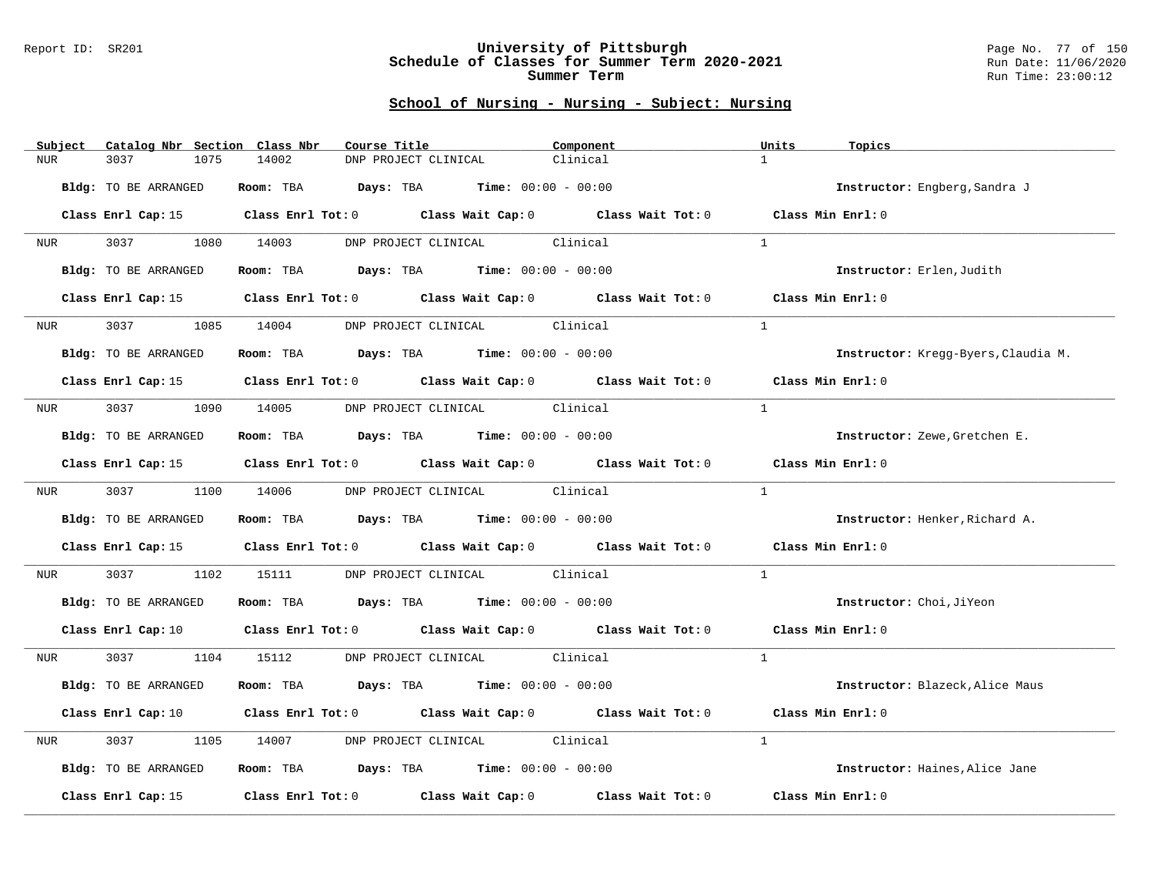#### Report ID: SR201 **University of Pittsburgh** Page No. 77 of 150 **Schedule of Classes for Summer Term 2020-2021** Run Date: 11/06/2020 **Summer Term** Run Time: 23:00:12

| Catalog Nbr Section Class Nbr<br>Subject | Course Title                                                                                    | Component | Units<br>Topics                     |
|------------------------------------------|-------------------------------------------------------------------------------------------------|-----------|-------------------------------------|
| 3037<br><b>NUR</b><br>1075               | 14002<br>DNP PROJECT CLINICAL                                                                   | Clinical  | $\mathbf{1}$                        |
| Bldg: TO BE ARRANGED                     | Room: TBA $Days:$ TBA $Time: 00:00 - 00:00$                                                     |           | Instructor: Engberg, Sandra J       |
|                                          | Class Enrl Cap: 15 Class Enrl Tot: 0 Class Wait Cap: 0 Class Wait Tot: 0 Class Min Enrl: 0      |           |                                     |
| 3037<br><b>NUR</b>                       | DNP PROJECT CLINICAL Clinical<br>1080 14003                                                     |           | $\mathbf{1}$                        |
| Bldg: TO BE ARRANGED                     | Room: TBA $Days:$ TBA $Time: 00:00 - 00:00$                                                     |           | Instructor: Erlen, Judith           |
| Class Enrl Cap: 15                       | Class Enrl Tot: 0 Class Wait Cap: 0 Class Wait Tot: 0                                           |           | Class Min Enrl: 0                   |
| 3037<br>1085<br>NUR <sub>i</sub>         | DNP PROJECT CLINICAL Clinical<br>14004                                                          |           | <sup>1</sup>                        |
| Bldg: TO BE ARRANGED                     | Room: TBA $Days:$ TBA $Time: 00:00 - 00:00$                                                     |           | Instructor: Kregg-Byers, Claudia M. |
|                                          | Class Enrl Cap: 15 (Class Enrl Tot: 0 (Class Wait Cap: 0 (Class Wait Tot: 0 (Class Min Enrl: 0) |           |                                     |
| 3037 1090 14005<br>NUR <b>NUR</b>        | DNP PROJECT CLINICAL Clinical                                                                   |           | $\mathbf{1}$                        |
| Bldg: TO BE ARRANGED                     | Room: TBA $Days:$ TBA Time: $00:00 - 00:00$                                                     |           | Instructor: Zewe, Gretchen E.       |
|                                          | Class Enrl Cap: 15 Class Enrl Tot: 0 Class Wait Cap: 0 Class Wait Tot: 0                        |           | Class Min Enrl: 0                   |
|                                          | NUR 3037 1100 14006 DNP PROJECT CLINICAL Clinical                                               |           | $\mathbf{1}$                        |
| Bldg: TO BE ARRANGED                     | Room: TBA $Days: TBA$ Time: $00:00 - 00:00$                                                     |           | Instructor: Henker, Richard A.      |
|                                          | Class Enrl Cap: 15 Class Enrl Tot: 0 Class Wait Cap: 0 Class Wait Tot: 0                        |           | Class Min Enrl: 0                   |
| 3037 30<br>1102<br>NUR                   | DNP PROJECT CLINICAL Clinical<br>15111                                                          |           | <sup>1</sup>                        |
| Bldg: TO BE ARRANGED                     | Room: TBA $Days:$ TBA Time: $00:00 - 00:00$                                                     |           | Instructor: Choi, JiYeon            |
|                                          | Class Enrl Cap: 10 Class Enrl Tot: 0 Class Wait Cap: 0 Class Wait Tot: 0 Class Min Enrl: 0      |           |                                     |
| <b>NUR</b>                               | 3037 1104 15112 DNP PROJECT CLINICAL Clinical                                                   |           | $\overline{1}$                      |
| Bldg: TO BE ARRANGED                     | Room: TBA $Days:$ TBA $Time: 00:00 - 00:00$                                                     |           | Instructor: Blazeck, Alice Maus     |
|                                          | Class Enrl Cap: 10 Class Enrl Tot: 0 Class Wait Cap: 0 Class Wait Tot: 0                        |           | Class Min Enrl: 0                   |
| 3037<br>1105<br>NUR                      | DNP PROJECT CLINICAL Clinical<br>14007                                                          |           | $\mathbf{1}$                        |
| Bldg: TO BE ARRANGED                     | Room: TBA $Days: TBA$ Time: $00:00 - 00:00$                                                     |           | Instructor: Haines, Alice Jane      |
| Class Enrl Cap: 15                       | Class Enrl Tot: 0 Class Wait Cap: 0 Class Wait Tot: 0                                           |           | Class Min Enrl: 0                   |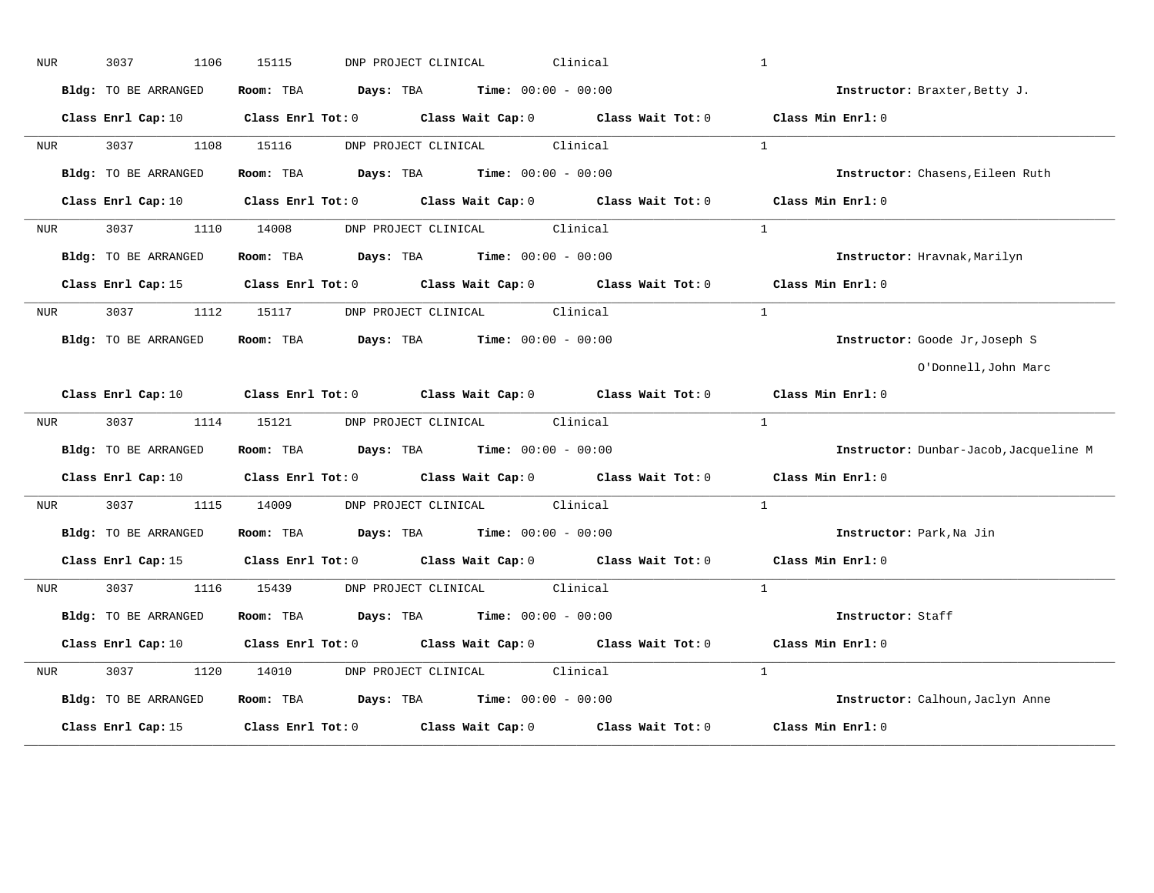| NUR              | 3037<br>1106                | 15115<br>DNP PROJECT CLINICAL                                                                                                  | Clinical | $\mathbf{1}$                           |
|------------------|-----------------------------|--------------------------------------------------------------------------------------------------------------------------------|----------|----------------------------------------|
|                  | Bldg: TO BE ARRANGED        | Room: TBA $Days:$ TBA $Time: 00:00 - 00:00$                                                                                    |          | Instructor: Braxter, Betty J.          |
|                  |                             | Class Enrl Cap: 10 $\qquad$ Class Enrl Tot: 0 $\qquad$ Class Wait Cap: 0 $\qquad$ Class Wait Tot: 0 $\qquad$ Class Min Enrl: 0 |          |                                        |
| NUR <sub>p</sub> |                             | 3037 1108 15116 DNP PROJECT CLINICAL Clinical                                                                                  |          | $\mathbf{1}$                           |
|                  | Bldg: TO BE ARRANGED        | Room: TBA $Days:$ TBA $Time: 00:00 - 00:00$                                                                                    |          | Instructor: Chasens, Eileen Ruth       |
|                  | Class Enrl Cap: 10          | Class Enrl Tot: 0 Class Wait Cap: 0 Class Wait Tot: 0                                                                          |          | Class Min Enrl: 0                      |
| NUR <sub>i</sub> | 3037 300                    | DNP PROJECT CLINICAL Clinical<br>1110 14008                                                                                    |          | $\mathbf{1}$                           |
|                  | Bldg: TO BE ARRANGED        | Room: TBA $Days:$ TBA $Time: 00:00 - 00:00$                                                                                    |          | Instructor: Hravnak, Marilyn           |
|                  |                             | Class Enrl Cap: 15 Class Enrl Tot: 0 Class Wait Cap: 0 Class Wait Tot: 0 Class Min Enrl: 0                                     |          |                                        |
| <b>NUR</b>       |                             | 3037 1112 15117 DNP PROJECT CLINICAL Clinical                                                                                  |          | <sup>1</sup>                           |
|                  | Bldg: TO BE ARRANGED        | Room: TBA $Days:$ TBA $Time: 00:00 - 00:00$                                                                                    |          | Instructor: Goode Jr, Joseph S         |
|                  |                             |                                                                                                                                |          | O'Donnell, John Marc                   |
|                  |                             | Class Enrl Cap: 10 $\qquad$ Class Enrl Tot: 0 $\qquad$ Class Wait Cap: 0 $\qquad$ Class Wait Tot: 0 $\qquad$ Class Min Enrl: 0 |          |                                        |
| <b>NUR</b>       |                             | 3037 1114 15121 DNP PROJECT CLINICAL Clinical                                                                                  |          | $\mathbf{1}$                           |
|                  | <b>Bldg:</b> TO BE ARRANGED | Room: TBA $Days:$ TBA $Time: 00:00 - 00:00$                                                                                    |          | Instructor: Dunbar-Jacob, Jacqueline M |
|                  | Class Enrl Cap: 10          | Class Enrl Tot: 0 $\qquad$ Class Wait Cap: 0 $\qquad$ Class Wait Tot: 0 $\qquad$ Class Min Enrl: 0                             |          |                                        |
| NUR <b>NUR</b>   | 3037<br>1115                | 14009 DNP PROJECT CLINICAL Clinical                                                                                            |          | $\mathbf{1}$                           |
|                  | Bldg: TO BE ARRANGED        | Room: TBA $Days:$ TBA $Time: 00:00 - 00:00$                                                                                    |          | Instructor: Park, Na Jin               |
|                  |                             | Class Enrl Cap: 15 Class Enrl Tot: 0 Class Wait Cap: 0 Class Wait Tot: 0 Class Min Enrl: 0                                     |          |                                        |
| <b>NUR</b>       |                             | 3037 1116 15439 DNP PROJECT CLINICAL Clinical                                                                                  |          | $\overline{1}$                         |
|                  | Bldg: TO BE ARRANGED        | Room: TBA $Days:$ TBA $Time: 00:00 - 00:00$                                                                                    |          | Instructor: Staff                      |
|                  |                             | Class Enrl Cap: 10 $\qquad$ Class Enrl Tot: 0 $\qquad$ Class Wait Cap: 0 $\qquad$ Class Wait Tot: 0 $\qquad$ Class Min Enrl: 0 |          |                                        |
| NUR <sub>e</sub> | 3037<br>1120                | DNP PROJECT CLINICAL Clinical<br>14010                                                                                         |          | $\mathbf{1}$                           |
|                  | Bldg: TO BE ARRANGED        | Room: TBA $\rule{1em}{0.15mm}$ Days: TBA Time: $00:00 - 00:00$                                                                 |          | Instructor: Calhoun, Jaclyn Anne       |
|                  | Class Enrl Cap: 15          | Class Enrl Tot: $0$ Class Wait Cap: $0$ Class Wait Tot: $0$                                                                    |          | Class Min Enrl: 0                      |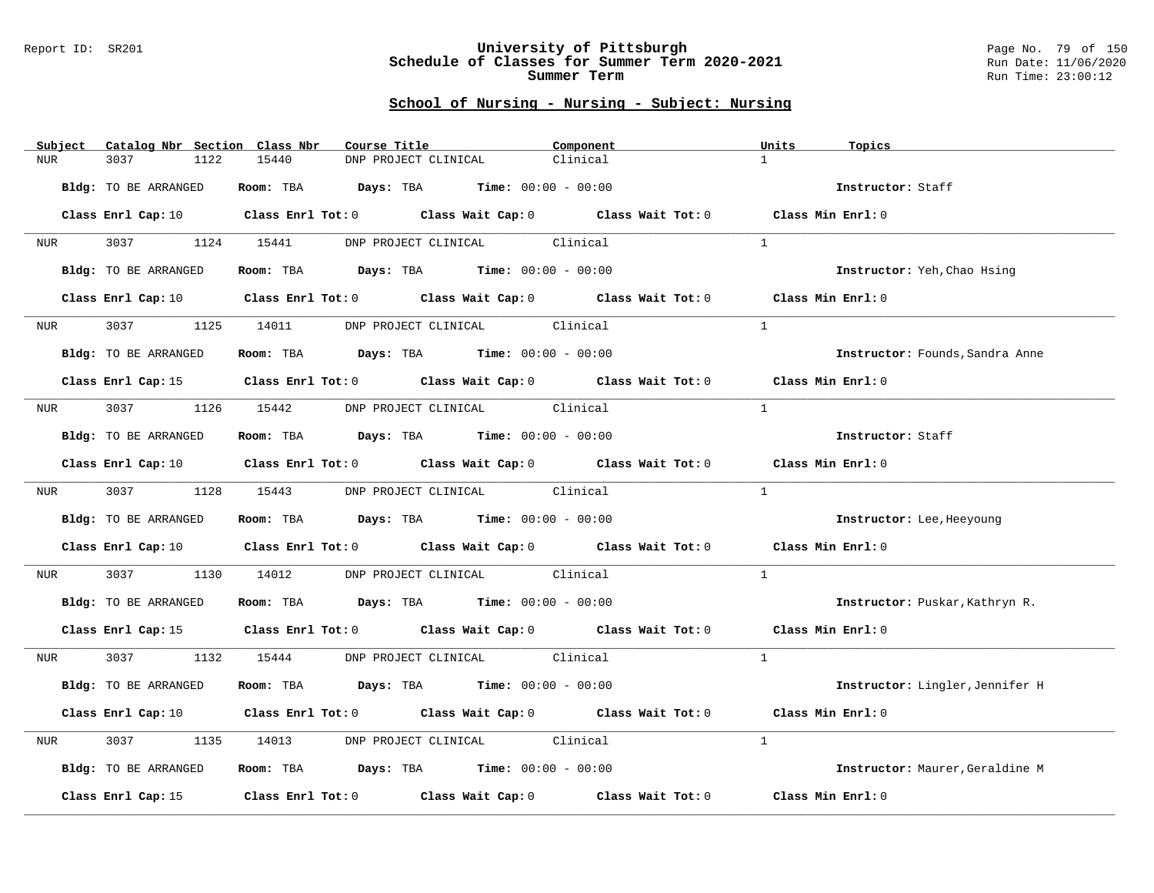#### Report ID: SR201 **University of Pittsburgh** Page No. 79 of 150 **Schedule of Classes for Summer Term 2020-2021** Run Date: 11/06/2020 **Summer Term** Run Time: 23:00:12

| Subject          | Catalog Nbr Section Class Nbr | Course Title                                                                                                                   | Component | Units<br>Topics                 |
|------------------|-------------------------------|--------------------------------------------------------------------------------------------------------------------------------|-----------|---------------------------------|
| <b>NUR</b>       | 3037<br>1122                  | 15440<br>DNP PROJECT CLINICAL                                                                                                  | Clinical  | $\mathbf{1}$                    |
|                  | Bldg: TO BE ARRANGED          | Room: TBA $Days:$ TBA $Time: 00:00 - 00:00$                                                                                    |           | Instructor: Staff               |
|                  |                               | Class Enrl Cap: 10 Class Enrl Tot: 0 Class Wait Cap: 0 Class Wait Tot: 0 Class Min Enrl: 0                                     |           |                                 |
| <b>NUR</b>       | 3037 1124 15441               | DNP PROJECT CLINICAL Clinical                                                                                                  |           | $\mathbf{1}$                    |
|                  | Bldg: TO BE ARRANGED          | Room: TBA $Days:$ TBA $Time: 00:00 - 00:00$                                                                                    |           | Instructor: Yeh, Chao Hsing     |
|                  |                               | Class Enrl Cap: 10 $\qquad$ Class Enrl Tot: 0 $\qquad$ Class Wait Cap: 0 $\qquad$ Class Wait Tot: 0 $\qquad$ Class Min Enrl: 0 |           |                                 |
| NUR <sub>i</sub> | 3037 300                      | 1125 14011 DNP PROJECT CLINICAL Clinical                                                                                       |           | $\overline{1}$                  |
|                  | Bldg: TO BE ARRANGED          | Room: TBA $Days:$ TBA $Time: 00:00 - 00:00$                                                                                    |           | Instructor: Founds, Sandra Anne |
|                  |                               | Class Enrl Cap: 15 (class Enrl Tot: 0 (class Wait Cap: 0 (class Wait Tot: 0 (class Min Enrl: 0)                                |           |                                 |
| NUR <sub>p</sub> | 3037 1126 15442               | DNP PROJECT CLINICAL Clinical                                                                                                  |           | $\mathbf{1}$                    |
|                  | Bldg: TO BE ARRANGED          | Room: TBA $Days:$ TBA Time: $00:00 - 00:00$                                                                                    |           | Instructor: Staff               |
|                  |                               | Class Enrl Cap: 10 $\qquad$ Class Enrl Tot: 0 $\qquad$ Class Wait Cap: 0 $\qquad$ Class Wait Tot: 0 $\qquad$ Class Min Enrl: 0 |           |                                 |
|                  |                               | NUR 3037 1128 15443 DNP PROJECT CLINICAL Clinical                                                                              |           | $\mathbf{1}$                    |
|                  | Bldg: TO BE ARRANGED          | Room: TBA $\rule{1em}{0.15mm}$ Days: TBA Time: $00:00 - 00:00$                                                                 |           | Instructor: Lee, Heeyoung       |
|                  |                               | Class Enrl Cap: 10 Class Enrl Tot: 0 Class Wait Cap: 0 Class Wait Tot: 0 Class Min Enrl: 0                                     |           |                                 |
| NUR              | 3037 300                      | 1130 14012 DNP PROJECT CLINICAL Clinical                                                                                       |           | $\mathbf{1}$                    |
|                  | Bldg: TO BE ARRANGED          | Room: TBA $Days: TBA$ Time: $00:00 - 00:00$                                                                                    |           | Instructor: Puskar, Kathryn R.  |
|                  |                               | Class Enrl Cap: 15 Class Enrl Tot: 0 Class Wait Cap: 0 Class Wait Tot: 0 Class Min Enrl: 0                                     |           |                                 |
| <b>NUR</b>       |                               | 3037 1132 15444 DNP PROJECT CLINICAL Clinical                                                                                  |           | $\mathbf{1}$                    |
|                  | Bldg: TO BE ARRANGED          | Room: TBA $Days:$ TBA $Time: 00:00 - 00:00$                                                                                    |           | Instructor: Lingler, Jennifer H |
|                  |                               | Class Enrl Cap: 10 $\qquad$ Class Enrl Tot: 0 $\qquad$ Class Wait Cap: 0 $\qquad$ Class Wait Tot: 0 $\qquad$ Class Min Enrl: 0 |           |                                 |
| NUR              | 3037<br>1135                  | DNP PROJECT CLINICAL Clinical<br>14013                                                                                         |           | $\mathbf{1}$                    |
|                  | Bldg: TO BE ARRANGED          | Room: TBA $Days: TBA$ Time: $00:00 - 00:00$                                                                                    |           | Instructor: Maurer, Geraldine M |
|                  | Class Enrl Cap: 15            | Class Enrl Tot: $0$ Class Wait Cap: $0$ Class Wait Tot: $0$                                                                    |           | Class Min Enrl: 0               |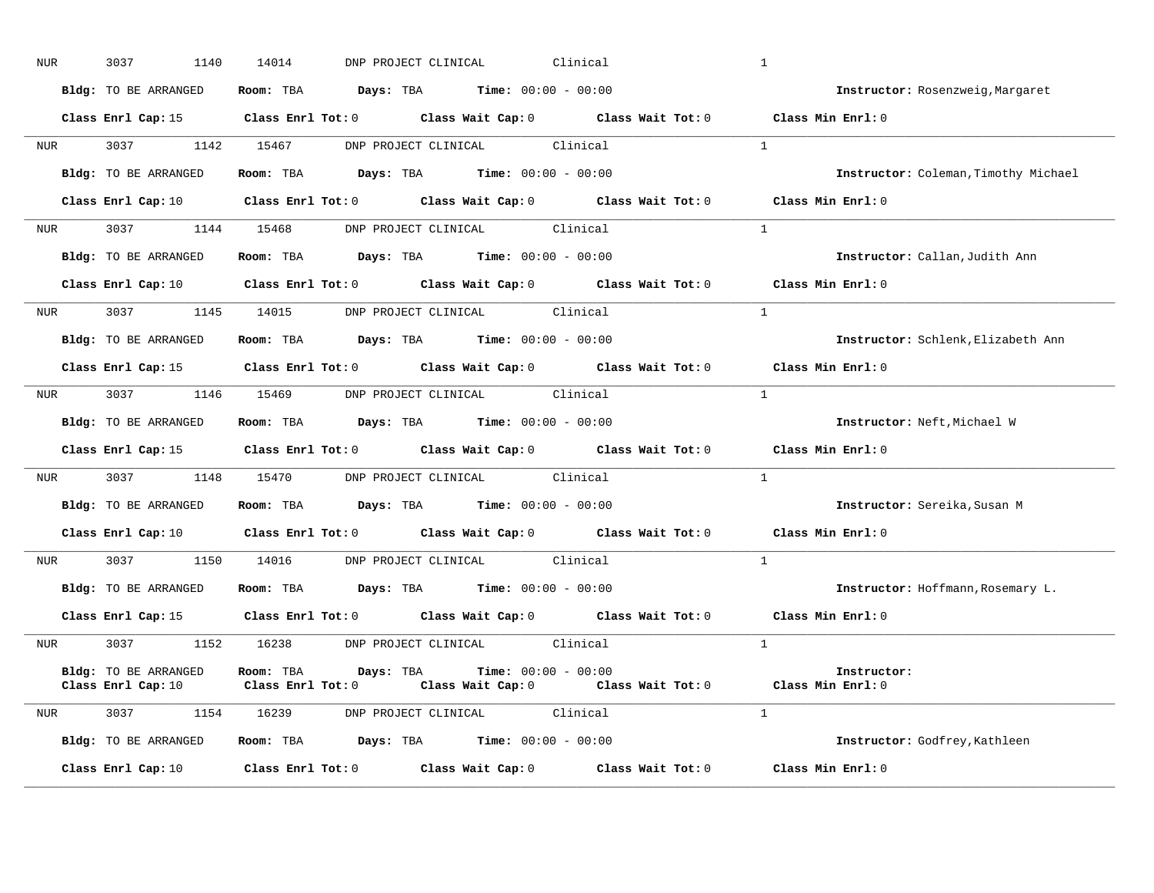| NUR |            | 3037<br>1140         | Clinical<br>14014<br>DNP PROJECT CLINICAL                                                                                                                                     | $\mathbf{1}$                         |
|-----|------------|----------------------|-------------------------------------------------------------------------------------------------------------------------------------------------------------------------------|--------------------------------------|
|     |            | Bldg: TO BE ARRANGED | Room: TBA $Days:$ TBA $Time: 00:00 - 00:00$                                                                                                                                   | Instructor: Rosenzweig, Margaret     |
|     |            |                      | Class Enrl Cap: 15 Class Enrl Tot: 0 Class Wait Cap: 0 Class Wait Tot: 0 Class Min Enrl: 0                                                                                    |                                      |
|     |            |                      | NUR 3037 1142 15467 DNP PROJECT CLINICAL Clinical                                                                                                                             | $\overline{1}$                       |
|     |            |                      | Bldg: TO BE ARRANGED Room: TBA Days: TBA Time: 00:00 - 00:00                                                                                                                  | Instructor: Coleman, Timothy Michael |
|     |            |                      | Class Enrl Cap: 10 $\qquad$ Class Enrl Tot: 0 $\qquad$ Class Wait Cap: 0 $\qquad$ Class Wait Tot: 0                                                                           | Class Min Enrl: 0                    |
|     |            |                      | NUR 3037 1144 15468 DNP PROJECT CLINICAL Clinical                                                                                                                             | $\mathbf{1}$                         |
|     |            | Bldg: TO BE ARRANGED | Room: TBA $\rule{1em}{0.15mm}$ Days: TBA Time: $00:00 - 00:00$                                                                                                                | Instructor: Callan, Judith Ann       |
|     |            |                      | Class Enrl Cap: 10 $\qquad$ Class Enrl Tot: 0 $\qquad$ Class Wait Cap: 0 $\qquad$ Class Wait Tot: 0 $\qquad$ Class Min Enrl: 0                                                |                                      |
|     |            |                      | NUR 3037 1145 14015 DNP PROJECT CLINICAL Clinical                                                                                                                             | $\mathbf{1}$                         |
|     |            | Bldg: TO BE ARRANGED | Room: TBA $Days:$ TBA $Time: 00:00 - 00:00$                                                                                                                                   | Instructor: Schlenk, Elizabeth Ann   |
|     |            |                      | Class Enrl Cap: 15 (class Enrl Tot: 0 (class Wait Cap: 0 (class Wait Tot: 0)                                                                                                  | Class Min Enrl: 0                    |
|     | <b>NUR</b> |                      | 3037 1146 15469 DNP PROJECT CLINICAL Clinical                                                                                                                                 | $\mathbf{1}$                         |
|     |            | Bldg: TO BE ARRANGED | Room: TBA $\rule{1em}{0.15mm}$ Days: TBA $\rule{1.5mm}{0.15mm}$ Time: $00:00 - 00:00$                                                                                         | Instructor: Neft, Michael W          |
|     |            |                      | Class Enrl Cap: 15 Class Enrl Tot: 0 Class Wait Cap: 0 Class Wait Tot: 0 Class Min Enrl: 0                                                                                    |                                      |
|     |            |                      | NUR 3037 1148 15470 DNP PROJECT CLINICAL Clinical                                                                                                                             | $\overline{1}$                       |
|     |            |                      | Bldg: TO BE ARRANGED Room: TBA Days: TBA Time: 00:00 - 00:00                                                                                                                  | Instructor: Sereika, Susan M         |
|     |            |                      | Class Enrl Cap: 10 $\qquad$ Class Enrl Tot: 0 $\qquad$ Class Wait Cap: 0 $\qquad$ Class Wait Tot: 0 $\qquad$ Class Min Enrl: 0                                                |                                      |
|     |            |                      | NUR 3037 1150 14016 DNP PROJECT CLINICAL Clinical                                                                                                                             | $\overline{1}$                       |
|     |            | Bldg: TO BE ARRANGED | Room: TBA $Days:$ TBA $Time: 00:00 - 00:00$                                                                                                                                   | Instructor: Hoffmann, Rosemary L.    |
|     |            |                      | Class Enrl Cap: 15 Class Enrl Tot: 0 Class Wait Cap: 0 Class Wait Tot: 0                                                                                                      | Class Min Enrl: 0                    |
|     |            |                      | NUR 3037 1152 16238 DNP PROJECT CLINICAL Clinical                                                                                                                             | $\mathbf{1}$                         |
|     |            | Bldg: TO BE ARRANGED | Room: TBA $Days:$ TBA $Time: 00:00 - 00:00$<br>Class Enrl Cap: 10 $\qquad$ Class Enrl Tot: 0 $\qquad$ Class Wait Cap: 0 $\qquad$ Class Wait Tot: 0 $\qquad$ Class Min Enrl: 0 | Instructor:                          |
|     |            |                      | NUR 3037 1154 16239 DNP PROJECT CLINICAL Clinical                                                                                                                             | $\overline{1}$                       |
|     |            | Bldg: TO BE ARRANGED | Room: TBA $Days:$ TBA $Time: 00:00 - 00:00$                                                                                                                                   | Instructor: Godfrey, Kathleen        |
|     |            | Class Enrl Cap: 10   | Class Enrl Tot: $0$ Class Wait Cap: $0$ Class Wait Tot: $0$                                                                                                                   | Class Min Enrl: 0                    |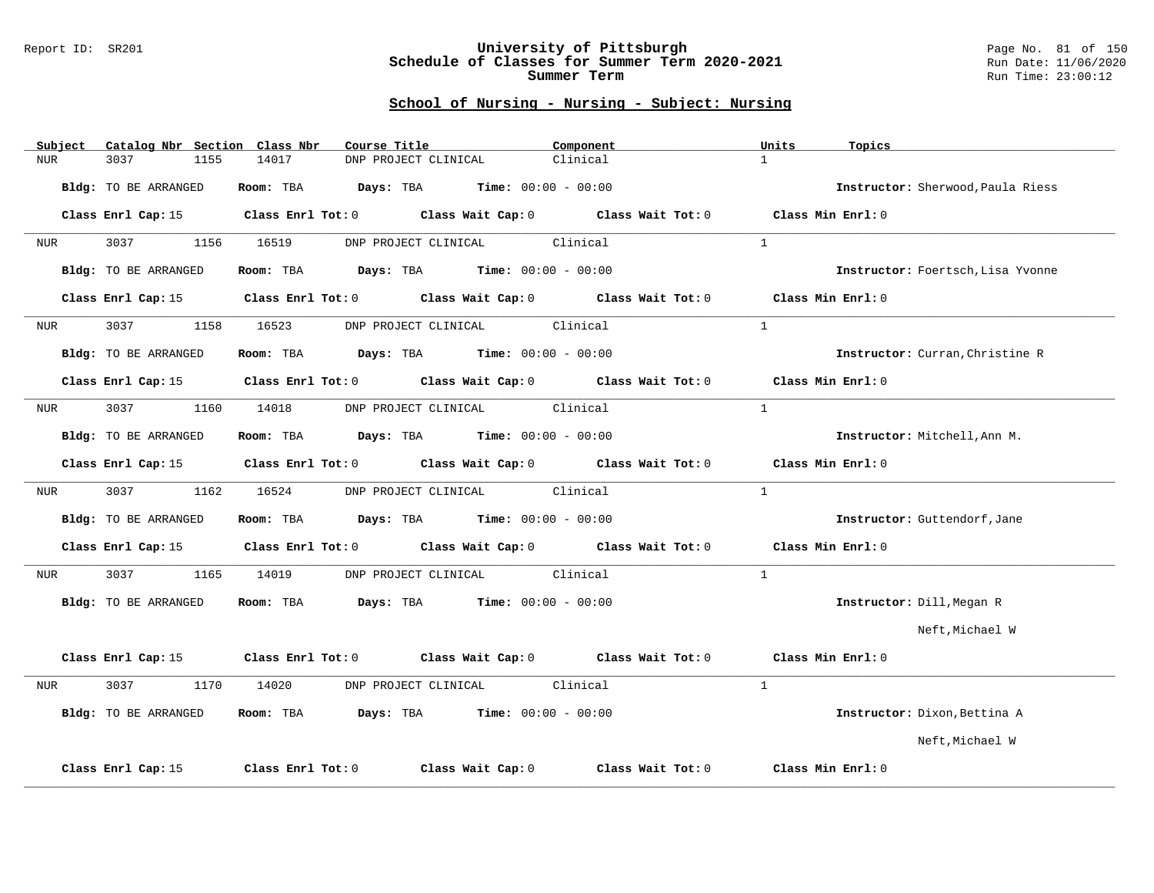#### Report ID: SR201 **University of Pittsburgh** Page No. 81 of 150 **Schedule of Classes for Summer Term 2020-2021** Run Date: 11/06/2020 **Summer Term** Run Time: 23:00:12

| Catalog Nbr Section Class Nbr<br>Subject | Course Title                                                     | Component                           | Units<br>Topics                   |
|------------------------------------------|------------------------------------------------------------------|-------------------------------------|-----------------------------------|
| <b>NUR</b><br>3037<br>1155               | 14017<br>DNP PROJECT CLINICAL                                    | Clinical                            | $\mathbf{1}$                      |
| Bldg: TO BE ARRANGED                     | Room: TBA<br>Days: TBA<br>$Time: 00:00 - 00:00$                  |                                     | Instructor: Sherwood, Paula Riess |
| Class Enrl Cap: 15                       | $Class$ $Enrl$ $Tot: 0$                                          | Class Wait Cap: 0 Class Wait Tot: 0 | Class Min Enrl: 0                 |
| 3037<br>1156<br>NUR                      | 16519<br>DNP PROJECT CLINICAL                                    | Clinical                            | $\mathbf{1}$                      |
| Bldg: TO BE ARRANGED                     | <b>Days:</b> TBA <b>Time:</b> $00:00 - 00:00$<br>Room: TBA       |                                     | Instructor: Foertsch, Lisa Yvonne |
| Class Enrl Cap: 15                       | Class Enrl Tot: 0<br>Class Wait Cap: 0                           | Class Wait Tot: 0                   | Class Min $Err1:0$                |
| 3037<br>1158<br><b>NUR</b>               | 16523<br>DNP PROJECT CLINICAL                                    | Clinical                            | $\mathbf{1}$                      |
| Bldg: TO BE ARRANGED                     | $Days: TBA$ Time: $00:00 - 00:00$<br>Room: TBA                   |                                     | Instructor: Curran, Christine R   |
| Class Enrl Cap: 15                       | Class Enrl Tot: 0 Class Wait Cap: 0                              | Class Wait Tot: 0                   | Class Min Enrl: 0                 |
| 3037<br>1160<br>NUR                      | 14018<br>DNP PROJECT CLINICAL                                    | Clinical                            | $\mathbf{1}$                      |
| Bldg: TO BE ARRANGED                     | <b>Days:</b> TBA <b>Time:</b> $00:00 - 00:00$<br>Room: TBA       |                                     | Instructor: Mitchell, Ann M.      |
| Class Enrl Cap: 15                       | Class Enrl Tot: 0                                                | Class Wait Cap: 0 Class Wait Tot: 0 | Class Min Enrl: 0                 |
| 3037<br>1162<br>NUR                      | 16524<br>DNP PROJECT CLINICAL                                    | Clinical                            | $\mathbf{1}$                      |
| Bldg: TO BE ARRANGED                     | Room: TBA<br><b>Days:</b> TBA <b>Time:</b> $00:00 - 00:00$       |                                     | Instructor: Guttendorf, Jane      |
| Class Enrl Cap: 15                       | $Class$ $Enrl$ $Tot: 0$                                          | Class Wait Cap: 0 Class Wait Tot: 0 | Class Min Enrl: 0                 |
| 3037<br>1165<br>NUR                      | 14019<br>DNP PROJECT CLINICAL                                    | Clinical                            | $\mathbf{1}$                      |
| Bldg: TO BE ARRANGED                     | $\texttt{DayS:}$ TBA $\texttt{Time:}$ 00:00 - 00:00<br>Room: TBA |                                     | Instructor: Dill, Megan R         |
|                                          |                                                                  |                                     | Neft, Michael W                   |
| Class Enrl Cap: 15                       | Class Enrl Tot: 0 Class Wait Cap: 0 Class Wait Tot: 0            |                                     | Class Min Enrl: 0                 |
| 3037<br>1170<br>NUR                      | 14020<br>DNP PROJECT CLINICAL                                    | Clinical                            | $\mathbf{1}$                      |
| Bldg: TO BE ARRANGED                     | Room: TBA<br>Days: TBA<br>$Time: 00:00 - 00:00$                  |                                     | Instructor: Dixon, Bettina A      |
|                                          |                                                                  |                                     | Neft, Michael W                   |
| Class Enrl Cap: 15                       | Class Enrl Tot: 0<br>Class Wait Cap: 0                           | Class Wait Tot: 0                   | Class Min Enrl: 0                 |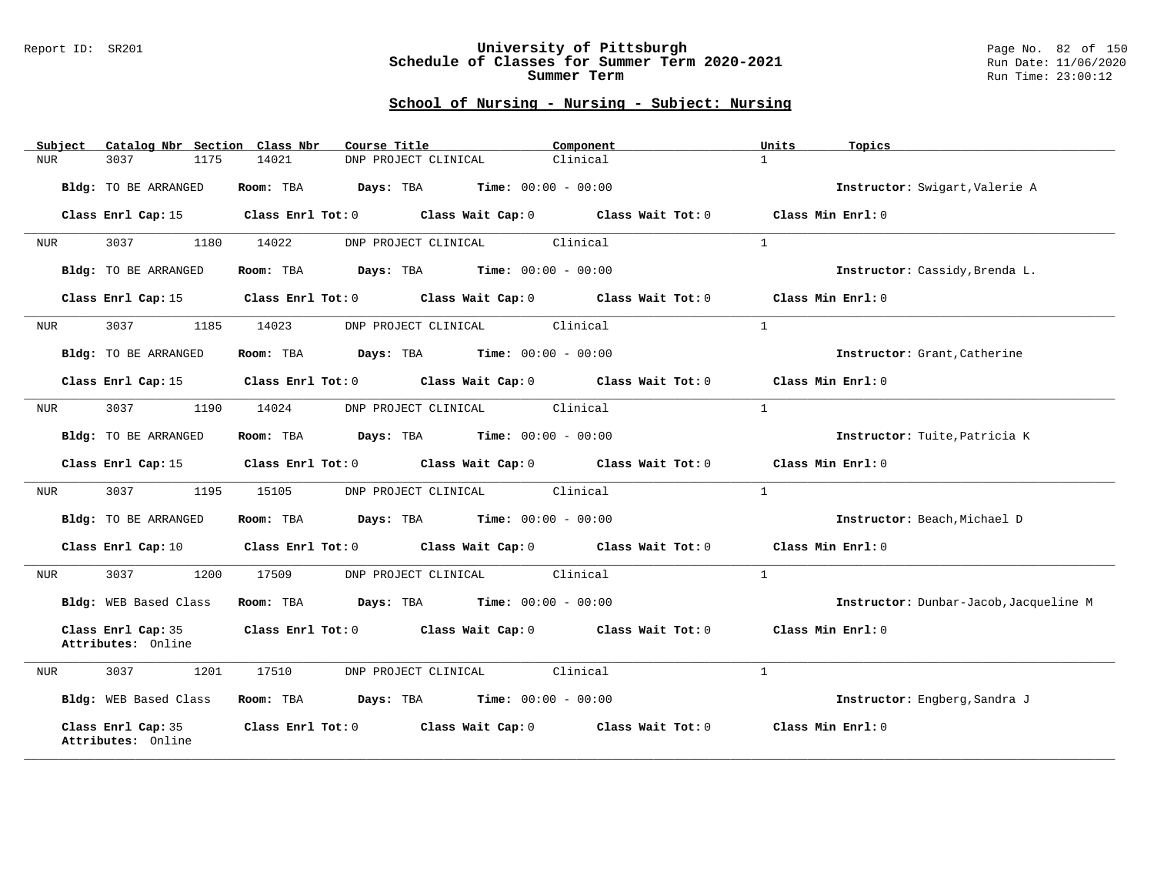#### Report ID: SR201 **University of Pittsburgh** Page No. 82 of 150 **Schedule of Classes for Summer Term 2020-2021** Run Date: 11/06/2020 **Summer Term** Run Time: 23:00:12

| Catalog Nbr Section Class Nbr<br>Subject | Course Title                                                                                    | Component | Units<br>Topics                        |
|------------------------------------------|-------------------------------------------------------------------------------------------------|-----------|----------------------------------------|
| 3037<br>1175<br>NUR                      | 14021<br>DNP PROJECT CLINICAL                                                                   | Clinical  | $\mathbf{1}$                           |
| Bldg: TO BE ARRANGED                     | Room: TBA<br><b>Days:</b> TBA <b>Time:</b> $00:00 - 00:00$                                      |           | Instructor: Swigart, Valerie A         |
|                                          | Class Enrl Cap: 15 (class Enrl Tot: 0 (class Wait Cap: 0 (class Wait Tot: 0 (class Min Enrl: 0) |           |                                        |
| 3037<br>1180<br>NUR                      | 14022<br>DNP PROJECT CLINICAL                                                                   | Clinical  | $\mathbf{1}$                           |
| Bldg: TO BE ARRANGED                     | Room: TBA $Days:$ TBA $Time: 00:00 - 00:00$                                                     |           | Instructor: Cassidy, Brenda L.         |
| Class Enrl Cap: 15                       | Class Enrl Tot: 0 Class Wait Cap: 0 Class Wait Tot: 0                                           |           | Class Min Enrl: 0                      |
| 3037<br>1185<br>NUR                      | 14023<br>DNP PROJECT CLINICAL                                                                   | Clinical  | $\mathbf{1}$                           |
| Bldg: TO BE ARRANGED                     | <b>Room:</b> TBA <b>Days:</b> TBA <b>Time:</b> 00:00 - 00:00                                    |           | Instructor: Grant, Catherine           |
| Class Enrl Cap: 15                       | Class Enrl Tot: 0 Class Wait Cap: 0 Class Wait Tot: 0                                           |           | Class Min Enrl: 0                      |
| 3037<br>1190<br>NUR                      | DNP PROJECT CLINICAL Clinical<br>14024                                                          |           | $\mathbf{1}$                           |
| Bldg: TO BE ARRANGED                     | <b>Room:</b> TBA <b>Days:</b> TBA <b>Time:</b> 00:00 - 00:00                                    |           | Instructor: Tuite, Patricia K          |
| Class Enrl Cap: 15                       | Class Enrl Tot: 0 Class Wait Cap: 0 Class Wait Tot: 0                                           |           | Class Min Enrl: 0                      |
| 3037<br>1195<br>NUR                      | DNP PROJECT CLINICAL Clinical<br>15105                                                          |           | $\mathbf{1}$                           |
| Bldg: TO BE ARRANGED                     | <b>Room:</b> TBA <b>Days:</b> TBA <b>Time:</b> 00:00 - 00:00                                    |           | Instructor: Beach, Michael D           |
| Class Enrl Cap: 10                       | Class Enrl Tot: 0 Class Wait Cap: 0 Class Wait Tot: 0                                           |           | Class Min Enrl: 0                      |
| 3037<br>1200<br>NUR                      | DNP PROJECT CLINICAL Clinical<br>17509                                                          |           | $\mathbf{1}$                           |
| Bldg: WEB Based Class                    | Room: TBA<br><b>Days:</b> TBA <b>Time:</b> $00:00 - 00:00$                                      |           | Instructor: Dunbar-Jacob, Jacqueline M |
| Class Enrl Cap: 35<br>Attributes: Online | Class Enrl Tot: $0$ Class Wait Cap: $0$ Class Wait Tot: $0$ Class Min Enrl: $0$                 |           |                                        |
| 1201<br>3037<br>NUR                      | DNP PROJECT CLINICAL Clinical<br>17510                                                          |           | $\mathbf{1}$                           |
| Bldg: WEB Based Class                    | Room: TBA $Days: TBA$ Time: $00:00 - 00:00$                                                     |           | Instructor: Engberg, Sandra J          |
| Class Enrl Cap: 35<br>Attributes: Online | Class Enrl Tot: 0 Class Wait Cap: 0 Class Wait Tot: 0                                           |           | Class Min Enrl: 0                      |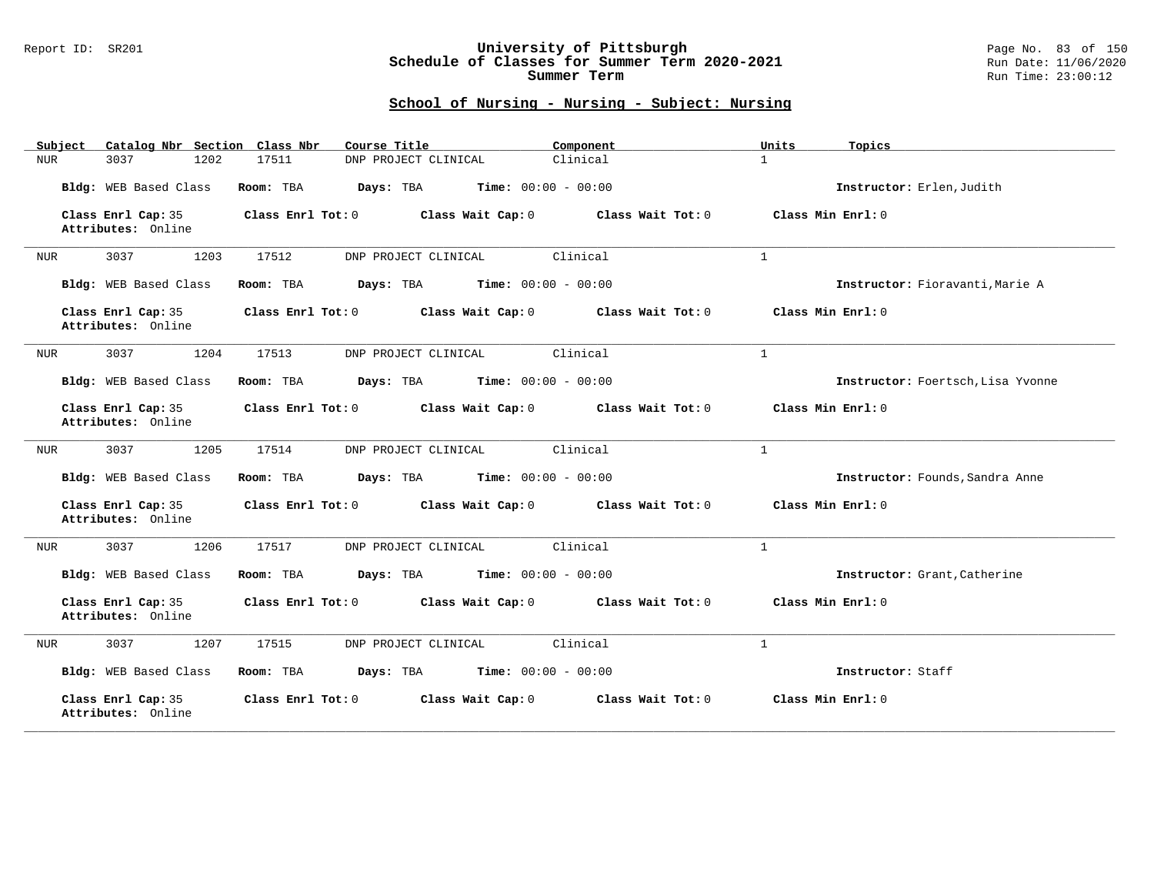#### Report ID: SR201 **University of Pittsburgh** Page No. 83 of 150 **Schedule of Classes for Summer Term 2020-2021** Run Date: 11/06/2020 **Summer Term** Run Time: 23:00:12

| Catalog Nbr Section Class Nbr<br>Subject | Course Title                                           | Component         | Units<br>Topics                   |
|------------------------------------------|--------------------------------------------------------|-------------------|-----------------------------------|
| 3037<br>1202<br>NUR                      | 17511<br>DNP PROJECT CLINICAL                          | Clinical          | $\mathbf{1}$                      |
| Bldg: WEB Based Class                    | Room: TBA<br><b>Time:</b> $00:00 - 00:00$<br>Days: TBA |                   | Instructor: Erlen, Judith         |
| Class Enrl Cap: 35<br>Attributes: Online | Class Enrl Tot: 0<br>Class Wait Cap: 0                 | Class Wait Tot: 0 | Class Min Enrl: 0                 |
| 3037<br>1203<br>NUR                      | 17512<br>DNP PROJECT CLINICAL                          | Clinical          | $\mathbf{1}$                      |
| Bldg: WEB Based Class                    | Time: $00:00 - 00:00$<br>Room: TBA<br>Days: TBA        |                   | Instructor: Fioravanti, Marie A   |
| Class Enrl Cap: 35<br>Attributes: Online | Class Enrl Tot: 0<br>Class Wait Cap: 0                 | Class Wait Tot: 0 | Class Min Enrl: 0                 |
| 1204<br>3037<br><b>NUR</b>               | 17513<br>DNP PROJECT CLINICAL                          | Clinical          | $\mathbf{1}$                      |
| Bldg: WEB Based Class                    | Room: TBA<br>Days: TBA<br><b>Time:</b> $00:00 - 00:00$ |                   | Instructor: Foertsch, Lisa Yvonne |
| Class Enrl Cap: 35<br>Attributes: Online | Class Enrl Tot: 0<br>Class Wait Cap: 0                 | Class Wait Tot: 0 | Class Min Enrl: 0                 |
| 3037<br>1205<br>NUR                      | 17514<br>DNP PROJECT CLINICAL                          | Clinical          | $\mathbf{1}$                      |
| Bldg: WEB Based Class                    | Room: TBA<br>Days: TBA<br><b>Time:</b> $00:00 - 00:00$ |                   | Instructor: Founds, Sandra Anne   |
| Class Enrl Cap: 35<br>Attributes: Online | Class Enrl Tot: 0<br>Class Wait Cap: 0                 | Class Wait Tot: 0 | Class Min Enrl: 0                 |
| 3037<br>1206<br>NUR                      | 17517<br>DNP PROJECT CLINICAL                          | Clinical          | $\mathbf{1}$                      |
| Bldg: WEB Based Class                    | Room: TBA<br>Days: TBA<br><b>Time:</b> $00:00 - 00:00$ |                   | Instructor: Grant, Catherine      |
| Class Enrl Cap: 35<br>Attributes: Online | Class Enrl Tot: 0<br>Class Wait Cap: 0                 | Class Wait Tot: 0 | Class Min Enrl: 0                 |
| 3037<br>1207<br>NUR                      | 17515<br>DNP PROJECT CLINICAL                          | Clinical          | $\mathbf{1}$                      |
| Bldg: WEB Based Class                    | <b>Time:</b> $00:00 - 00:00$<br>Room: TBA<br>Days: TBA |                   | Instructor: Staff                 |
| Class Enrl Cap: 35<br>Attributes: Online | Class Enrl Tot: 0<br>Class Wait Cap: 0                 | Class Wait Tot: 0 | Class Min Enrl: 0                 |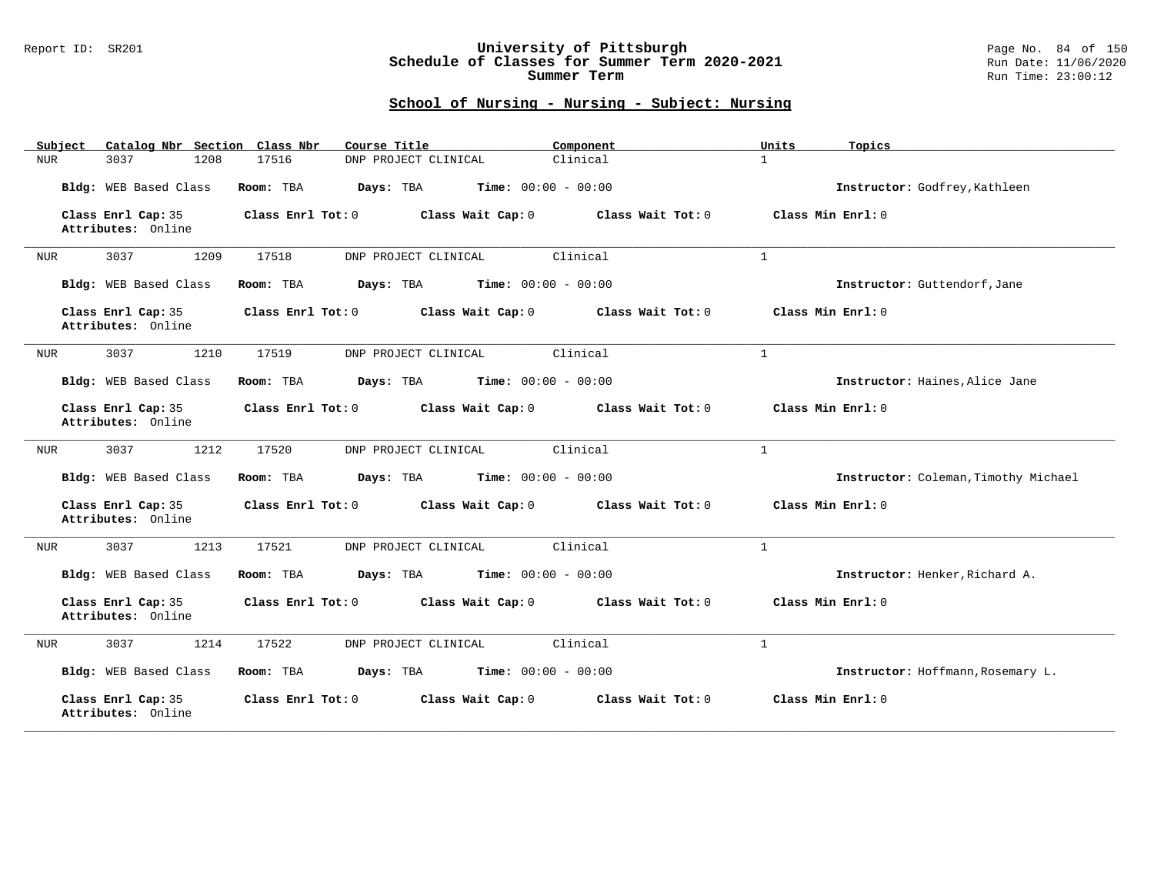### Report ID: SR201 **University of Pittsburgh** Page No. 84 of 150 **Schedule of Classes for Summer Term 2020-2021** Run Date: 11/06/2020 **Summer Term** Run Time: 23:00:12

| Catalog Nbr Section Class Nbr<br>Subject | Course Title                                           | Component         | Units<br>Topics                      |
|------------------------------------------|--------------------------------------------------------|-------------------|--------------------------------------|
| 3037<br>1208<br>NUR                      | 17516<br>DNP PROJECT CLINICAL                          | Clinical          | $\mathbf{1}$                         |
| Bldg: WEB Based Class                    | Time: $00:00 - 00:00$<br>Room: TBA<br>Days: TBA        |                   | Instructor: Godfrey, Kathleen        |
| Class Enrl Cap: 35<br>Attributes: Online | Class Enrl Tot: 0<br>Class Wait Cap: 0                 | Class Wait Tot: 0 | Class Min Enrl: 0                    |
| 3037<br>1209<br>NUR                      | 17518<br>DNP PROJECT CLINICAL                          | Clinical          | $\mathbf{1}$                         |
| Bldg: WEB Based Class                    | Time: $00:00 - 00:00$<br>Room: TBA<br>Days: TBA        |                   | Instructor: Guttendorf, Jane         |
| Class Enrl Cap: 35<br>Attributes: Online | Class Enrl Tot: 0<br>Class Wait Cap: 0                 | Class Wait Tot: 0 | Class Min Enrl: 0                    |
| 3037<br>1210<br>NUR                      | 17519<br>DNP PROJECT CLINICAL                          | Clinical          | $\mathbf{1}$                         |
| Bldg: WEB Based Class                    | <b>Time:</b> $00:00 - 00:00$<br>Room: TBA<br>Days: TBA |                   | Instructor: Haines, Alice Jane       |
| Class Enrl Cap: 35<br>Attributes: Online | Class Enrl Tot: 0<br>Class Wait Cap: 0                 | Class Wait Tot: 0 | Class Min Enrl: 0                    |
| 3037<br>1212<br>NUR                      | 17520<br>DNP PROJECT CLINICAL                          | Clinical          | $\mathbf{1}$                         |
| Bldg: WEB Based Class                    | <b>Time:</b> $00:00 - 00:00$<br>Room: TBA<br>Days: TBA |                   | Instructor: Coleman, Timothy Michael |
| Class Enrl Cap: 35<br>Attributes: Online | Class Enrl Tot: 0<br>Class Wait Cap: 0                 | Class Wait Tot: 0 | Class Min Enrl: 0                    |
| 3037<br>1213<br>NUR                      | 17521<br>DNP PROJECT CLINICAL                          | Clinical          | $\mathbf{1}$                         |
| Bldg: WEB Based Class                    | Room: TBA<br>Days: TBA<br><b>Time:</b> $00:00 - 00:00$ |                   | Instructor: Henker, Richard A.       |
| Class Enrl Cap: 35<br>Attributes: Online | Class Enrl Tot: 0<br>Class Wait Cap: 0                 | Class Wait Tot: 0 | Class Min Enrl: 0                    |
| 1214<br>3037<br><b>NUR</b>               | 17522<br>DNP PROJECT CLINICAL                          | Clinical          | $\mathbf{1}$                         |
| Bldg: WEB Based Class                    | Days: TBA<br><b>Time:</b> $00:00 - 00:00$<br>Room: TBA |                   | Instructor: Hoffmann, Rosemary L.    |
| Class Enrl Cap: 35<br>Attributes: Online | Class Enrl Tot: 0<br>Class Wait Cap: 0                 | Class Wait Tot: 0 | Class Min Enrl: 0                    |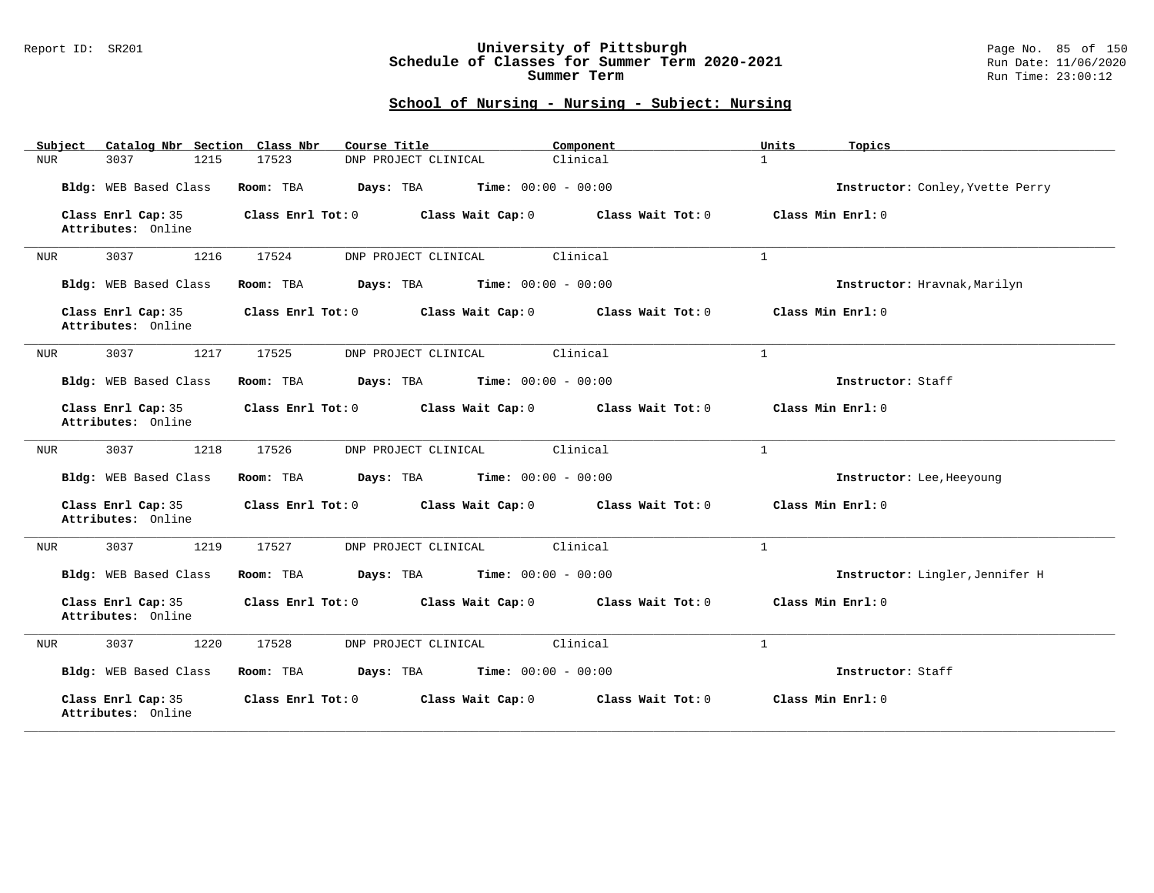### Report ID: SR201 **University of Pittsburgh** Page No. 85 of 150 **Schedule of Classes for Summer Term 2020-2021** Run Date: 11/06/2020 **Summer Term** Run Time: 23:00:12

| Catalog Nbr Section Class Nbr<br>Subject | Course Title                                           | Component         | Units<br>Topics                  |
|------------------------------------------|--------------------------------------------------------|-------------------|----------------------------------|
| 3037<br>1215<br>NUR                      | 17523<br>DNP PROJECT CLINICAL                          | Clinical          | $\mathbf{1}$                     |
| Bldg: WEB Based Class                    | Room: TBA<br>Days: TBA<br><b>Time:</b> $00:00 - 00:00$ |                   | Instructor: Conley, Yvette Perry |
| Class Enrl Cap: 35<br>Attributes: Online | Class Enrl Tot: 0<br>Class Wait Cap: 0                 | Class Wait Tot: 0 | Class Min Enrl: 0                |
| 3037<br>1216<br>NUR                      | 17524<br>DNP PROJECT CLINICAL                          | Clinical          | $\mathbf{1}$                     |
| Bldg: WEB Based Class                    | Room: TBA<br>Days: TBA<br><b>Time:</b> $00:00 - 00:00$ |                   | Instructor: Hravnak, Marilyn     |
| Class Enrl Cap: 35<br>Attributes: Online | Class Enrl Tot: 0<br>Class Wait Cap: 0                 | Class Wait Tot: 0 | Class Min Enrl: 0                |
| 3037<br>1217<br>NUR                      | 17525<br>DNP PROJECT CLINICAL                          | Clinical          | $\mathbf{1}$                     |
| Bldg: WEB Based Class                    | Days: TBA<br><b>Time:</b> $00:00 - 00:00$<br>Room: TBA |                   | Instructor: Staff                |
| Class Enrl Cap: 35<br>Attributes: Online | Class Enrl Tot: 0<br>Class Wait Cap: 0                 | Class Wait Tot: 0 | Class Min Enrl: 0                |
| 3037<br>1218<br>NUR                      | 17526<br>DNP PROJECT CLINICAL                          | Clinical          | $\mathbf{1}$                     |
| Bldg: WEB Based Class                    | Days: TBA<br><b>Time:</b> $00:00 - 00:00$<br>Room: TBA |                   | Instructor: Lee, Heeyoung        |
| Class Enrl Cap: 35<br>Attributes: Online | Class Enrl Tot: 0<br>Class Wait Cap: 0                 | Class Wait Tot: 0 | Class Min Enrl: 0                |
| 3037<br>1219<br>NUR                      | 17527<br>DNP PROJECT CLINICAL                          | Clinical          | $\mathbf{1}$                     |
| Bldg: WEB Based Class                    | Room: TBA<br>Days: TBA<br><b>Time:</b> $00:00 - 00:00$ |                   | Instructor: Lingler, Jennifer H  |
| Class Enrl Cap: 35<br>Attributes: Online | Class Enrl Tot: 0<br>Class Wait Cap: 0                 | Class Wait Tot: 0 | Class Min Enrl: 0                |
| 3037<br>1220<br>NUR                      | 17528<br>DNP PROJECT CLINICAL                          | Clinical          | $\mathbf{1}$                     |
| Bldg: WEB Based Class                    | Room: TBA<br>Days: TBA<br><b>Time:</b> $00:00 - 00:00$ |                   | Instructor: Staff                |
| Class Enrl Cap: 35<br>Attributes: Online | Class Enrl Tot: 0<br>Class Wait Cap: 0                 | Class Wait Tot: 0 | Class Min Enrl: 0                |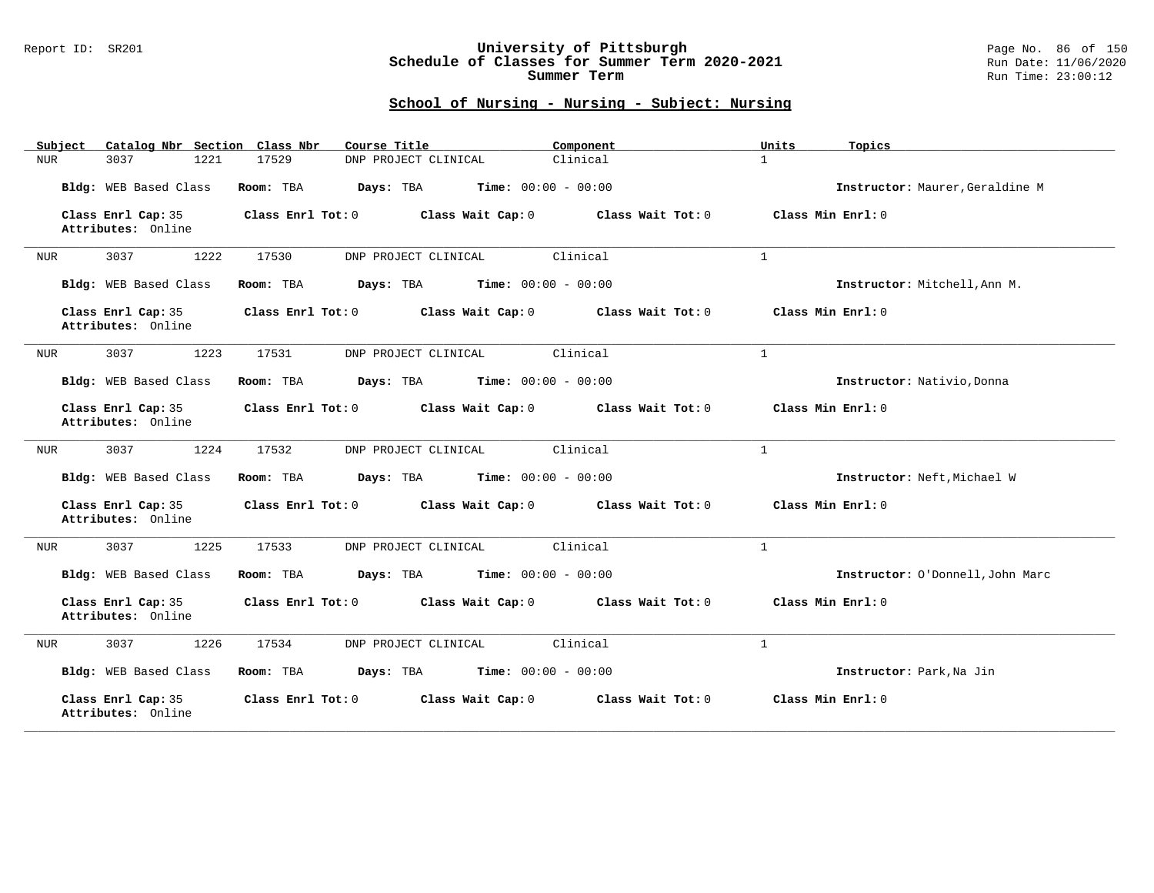### Report ID: SR201 **University of Pittsburgh** Page No. 86 of 150 **Schedule of Classes for Summer Term 2020-2021** Run Date: 11/06/2020 **Summer Term** Run Time: 23:00:12

| Catalog Nbr Section Class Nbr<br>Subject | Course Title                                           | Component         | Units<br>Topics                  |
|------------------------------------------|--------------------------------------------------------|-------------------|----------------------------------|
| 3037<br>1221<br>NUR                      | 17529<br>DNP PROJECT CLINICAL                          | Clinical          | $\mathbf{1}$                     |
| Bldg: WEB Based Class                    | Time: $00:00 - 00:00$<br>Room: TBA<br>Days: TBA        |                   | Instructor: Maurer, Geraldine M  |
| Class Enrl Cap: 35<br>Attributes: Online | Class Enrl Tot: 0<br>Class Wait Cap: 0                 | Class Wait Tot: 0 | Class Min Enrl: 0                |
| 3037<br>1222<br>NUR                      | 17530<br>DNP PROJECT CLINICAL                          | Clinical          | $\mathbf{1}$                     |
| Bldg: WEB Based Class                    | Time: $00:00 - 00:00$<br>Room: TBA<br>Days: TBA        |                   | Instructor: Mitchell, Ann M.     |
| Class Enrl Cap: 35<br>Attributes: Online | Class Enrl Tot: 0<br>Class Wait Cap: 0                 | Class Wait Tot: 0 | Class Min Enrl: 0                |
| 3037<br>1223<br>NUR                      | 17531<br>DNP PROJECT CLINICAL                          | Clinical          | $\mathbf{1}$                     |
| Bldg: WEB Based Class                    | <b>Time:</b> $00:00 - 00:00$<br>Room: TBA<br>Days: TBA |                   | Instructor: Nativio, Donna       |
| Class Enrl Cap: 35<br>Attributes: Online | Class Enrl Tot: 0<br>Class Wait Cap: 0                 | Class Wait Tot: 0 | Class Min Enrl: 0                |
| 3037<br>1224<br>NUR                      | 17532<br>DNP PROJECT CLINICAL                          | Clinical          | $\mathbf{1}$                     |
| Bldg: WEB Based Class                    | Days: TBA<br>Time: $00:00 - 00:00$<br>Room: TBA        |                   | Instructor: Neft, Michael W      |
| Class Enrl Cap: 35<br>Attributes: Online | Class Enrl Tot: 0<br>Class Wait Cap: 0                 | Class Wait Tot: 0 | Class Min Enrl: 0                |
| 3037<br>1225<br>NUR                      | 17533<br>DNP PROJECT CLINICAL                          | Clinical          | $\mathbf{1}$                     |
| Bldg: WEB Based Class                    | Room: TBA<br>Days: TBA<br><b>Time:</b> $00:00 - 00:00$ |                   | Instructor: O'Donnell, John Marc |
| Class Enrl Cap: 35<br>Attributes: Online | Class Enrl Tot: 0<br>Class Wait Cap: 0                 | Class Wait Tot: 0 | Class Min Enrl: 0                |
| 1226<br>3037<br>NUR                      | 17534<br>DNP PROJECT CLINICAL                          | Clinical          | $\mathbf{1}$                     |
| Bldg: WEB Based Class                    | Days: TBA<br><b>Time:</b> $00:00 - 00:00$<br>Room: TBA |                   | Instructor: Park, Na Jin         |
| Class Enrl Cap: 35<br>Attributes: Online | Class Enrl Tot: 0<br>Class Wait Cap: 0                 | Class Wait Tot: 0 | Class Min Enrl: 0                |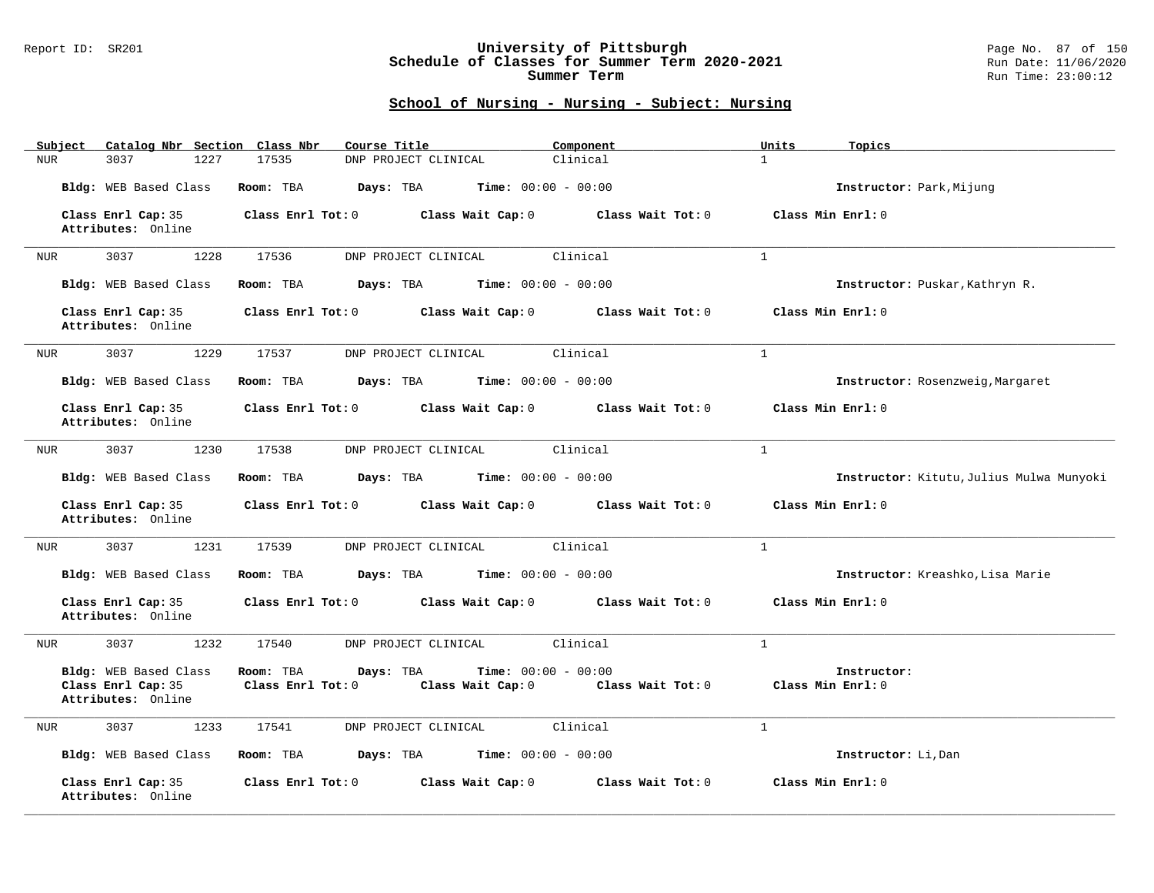### Report ID: SR201 **University of Pittsburgh** Page No. 87 of 150 **Schedule of Classes for Summer Term 2020-2021** Run Date: 11/06/2020 **Summer Term** Run Time: 23:00:12

| Subject Catalog Nbr Section Class Nbr                             | Course Title                                                                                     | Component           | Units<br>Topics                          |
|-------------------------------------------------------------------|--------------------------------------------------------------------------------------------------|---------------------|------------------------------------------|
| <b>NUR</b><br>3037<br>1227                                        | 17535<br>DNP PROJECT CLINICAL                                                                    | Clinical            | $\mathbf{1}$                             |
| Bldg: WEB Based Class                                             | Days: TBA<br><b>Time:</b> $00:00 - 00:00$<br>Room: TBA                                           |                     | Instructor: Park, Mijung                 |
| Class Enrl Cap: 35<br>Attributes: Online                          | Class Enrl Tot: 0<br>Class Wait Cap: 0                                                           | Class Wait Tot: 0   | Class Min Enrl: 0                        |
| 3037<br>1228<br>NUR                                               | 17536<br>DNP PROJECT CLINICAL                                                                    | Clinical            | $\mathbf{1}$                             |
| Bldg: WEB Based Class                                             | Room: TBA<br>Days: TBA<br>$Time: 00:00 - 00:00$                                                  |                     | Instructor: Puskar, Kathryn R.           |
| Class Enrl Cap: 35<br>Attributes: Online                          | Class Enrl Tot: 0<br>Class Wait Cap: 0                                                           | Class Wait Tot: $0$ | Class Min Enrl: 0                        |
| 3037<br>1229<br>NUR                                               | DNP PROJECT CLINICAL<br>17537                                                                    | Clinical            | $\mathbf{1}$                             |
| Bldg: WEB Based Class                                             | <b>Days:</b> TBA <b>Time:</b> $00:00 - 00:00$<br>Room: TBA                                       |                     | Instructor: Rosenzweig, Margaret         |
| Class Enrl Cap: 35<br>Attributes: Online                          | Class Enrl Tot: 0 Class Wait Cap: 0                                                              | Class Wait Tot: 0   | Class Min Enrl: 0                        |
| 3037<br>1230<br>NUR                                               | 17538<br>DNP PROJECT CLINICAL                                                                    | Clinical            | $\mathbf{1}$                             |
| Bldg: WEB Based Class                                             | Room: TBA<br>Days: TBA<br><b>Time:</b> $00:00 - 00:00$                                           |                     | Instructor: Kitutu, Julius Mulwa Munyoki |
| Class Enrl Cap: 35<br>Attributes: Online                          | Class Enrl Tot: 0<br>Class Wait Cap: 0                                                           | Class Wait Tot: 0   | Class Min Enrl: 0                        |
| 3037<br>1231<br>NUR                                               | 17539<br>DNP PROJECT CLINICAL                                                                    | Clinical            | $\mathbf{1}$                             |
| Bldg: WEB Based Class                                             | Room: TBA<br>$Time: 00:00 - 00:00$<br>Days: TBA                                                  |                     | Instructor: Kreashko, Lisa Marie         |
| Class Enrl Cap: 35<br>Attributes: Online                          | Class Wait Cap: 0<br>Class Enrl Tot: 0                                                           | Class Wait Tot: 0   | Class Min Enrl: 0                        |
| 3037<br>1232<br>NUR                                               | 17540<br>DNP PROJECT CLINICAL                                                                    | Clinical            | $\mathbf{1}$                             |
| Bldg: WEB Based Class<br>Class Enrl Cap: 35<br>Attributes: Online | Days: TBA<br><b>Time:</b> $00:00 - 00:00$<br>Room: TBA<br>Class Wait Cap: 0<br>Class Enrl Tot: 0 | Class Wait Tot: 0   | Instructor:<br>Class Min Enrl: 0         |
| 3037<br>1233<br>NUR                                               | 17541<br>DNP PROJECT CLINICAL                                                                    | Clinical            | $\mathbf{1}$                             |
| Bldg: WEB Based Class                                             | <b>Time:</b> $00:00 - 00:00$<br>Room: TBA<br>Days: TBA                                           |                     | Instructor: Li, Dan                      |
| Class Enrl Cap: 35<br>Attributes: Online                          | Class Wait Cap: 0<br>Class Enrl Tot: 0                                                           | Class Wait Tot: 0   | Class Min Enrl: 0                        |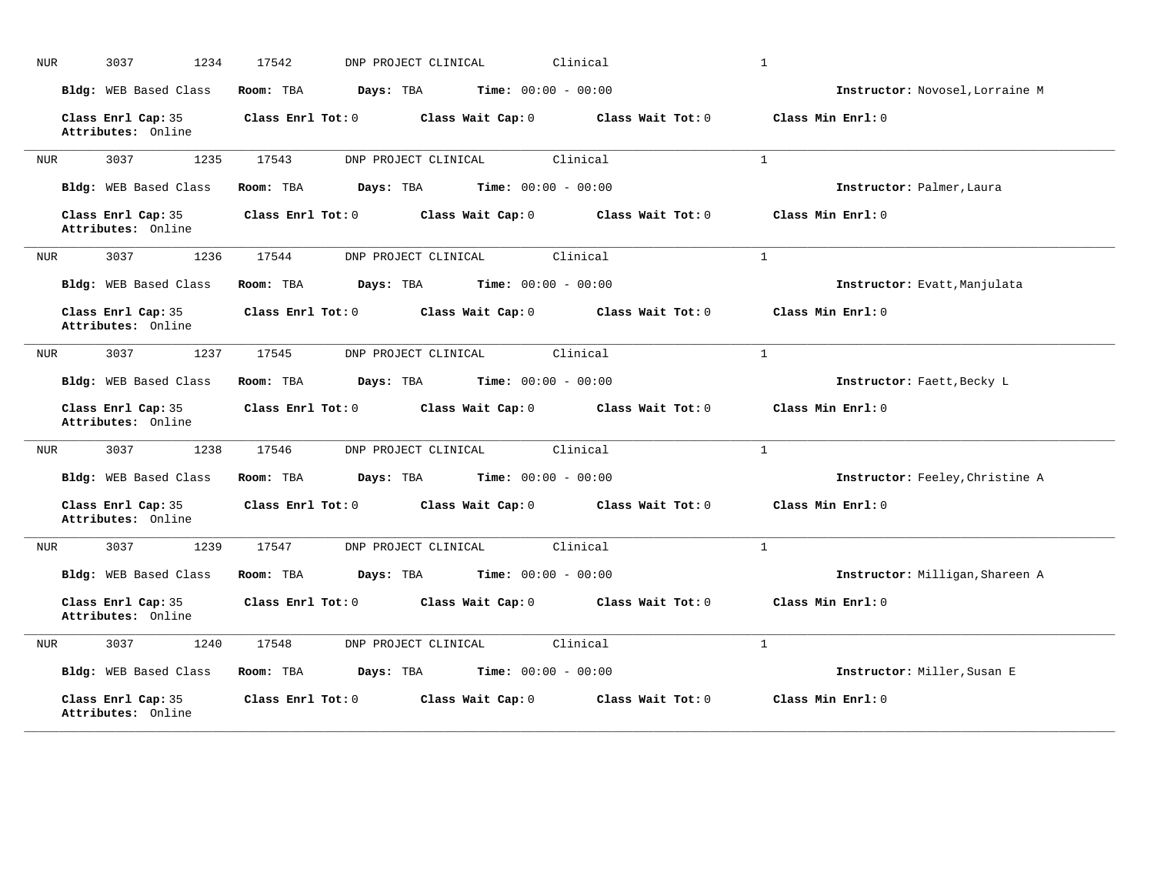| <b>NUR</b> | 3037<br>1234                             | 17542<br>DNP PROJECT CLINICAL | Clinical                     |                   | $\mathbf{1}$                    |
|------------|------------------------------------------|-------------------------------|------------------------------|-------------------|---------------------------------|
|            | <b>Bldg:</b> WEB Based Class             | Room: TBA<br>Days: TBA        | <b>Time:</b> $00:00 - 00:00$ |                   | Instructor: Novosel, Lorraine M |
|            | Class Enrl Cap: 35<br>Attributes: Online | Class Enrl Tot: 0             | Class Wait Cap: 0            | Class Wait Tot: 0 | Class Min Enrl: 0               |
| <b>NUR</b> | 3037<br>1235                             | 17543<br>DNP PROJECT CLINICAL | Clinical                     |                   | $\mathbf{1}$                    |
|            | Bldg: WEB Based Class                    | Room: TBA<br>Days: TBA        | <b>Time:</b> $00:00 - 00:00$ |                   | Instructor: Palmer, Laura       |
|            | Class Enrl Cap: 35<br>Attributes: Online | Class Enrl Tot: 0             | Class Wait Cap: 0            | Class Wait Tot: 0 | Class Min Enrl: 0               |
| NUR        | 3037<br>1236                             | 17544<br>DNP PROJECT CLINICAL | Clinical                     |                   | $\mathbf{1}$                    |
|            | Bldg: WEB Based Class                    | Room: TBA<br>Days: TBA        | Time: $00:00 - 00:00$        |                   | Instructor: Evatt, Manjulata    |
|            | Class Enrl Cap: 35<br>Attributes: Online | Class Enrl Tot: 0             | Class Wait Cap: 0            | Class Wait Tot: 0 | Class Min Enrl: 0               |
| <b>NUR</b> | 3037<br>1237                             | 17545<br>DNP PROJECT CLINICAL | Clinical                     |                   | $\mathbf{1}$                    |
|            | Bldg: WEB Based Class                    | Room: TBA<br>Days: TBA        | <b>Time:</b> $00:00 - 00:00$ |                   | Instructor: Faett, Becky L      |
|            | Class Enrl Cap: 35<br>Attributes: Online | Class Enrl Tot: 0             | Class Wait Cap: 0            | Class Wait Tot: 0 | Class Min Enrl: 0               |
| <b>NUR</b> | 3037<br>1238                             | 17546<br>DNP PROJECT CLINICAL | Clinical                     |                   | $\mathbf{1}$                    |
|            | Bldg: WEB Based Class                    | Days: TBA<br>Room: TBA        | <b>Time:</b> $00:00 - 00:00$ |                   | Instructor: Feeley, Christine A |
|            | Class Enrl Cap: 35<br>Attributes: Online | Class Enrl Tot: 0             | Class Wait Cap: 0            | Class Wait Tot: 0 | Class Min Enrl: 0               |
| <b>NUR</b> | 1239<br>3037                             | 17547<br>DNP PROJECT CLINICAL | Clinical                     |                   | $\mathbf{1}$                    |
|            | Bldg: WEB Based Class                    | Room: TBA<br>Days: TBA        | <b>Time:</b> $00:00 - 00:00$ |                   | Instructor: Milligan, Shareen A |
|            | Class Enrl Cap: 35<br>Attributes: Online | Class Enrl Tot: 0             | Class Wait Cap: 0            | Class Wait Tot: 0 | Class Min Enrl: 0               |
| <b>NUR</b> | 3037<br>1240                             | 17548<br>DNP PROJECT CLINICAL | Clinical                     |                   | $\mathbf{1}$                    |
|            | Bldg: WEB Based Class                    | Room: TBA<br>Days: TBA        | <b>Time:</b> $00:00 - 00:00$ |                   | Instructor: Miller, Susan E     |
|            | Class Enrl Cap: 35<br>Attributes: Online | Class Enrl Tot: 0             | Class Wait Cap: 0            | Class Wait Tot: 0 | Class Min Enrl: 0               |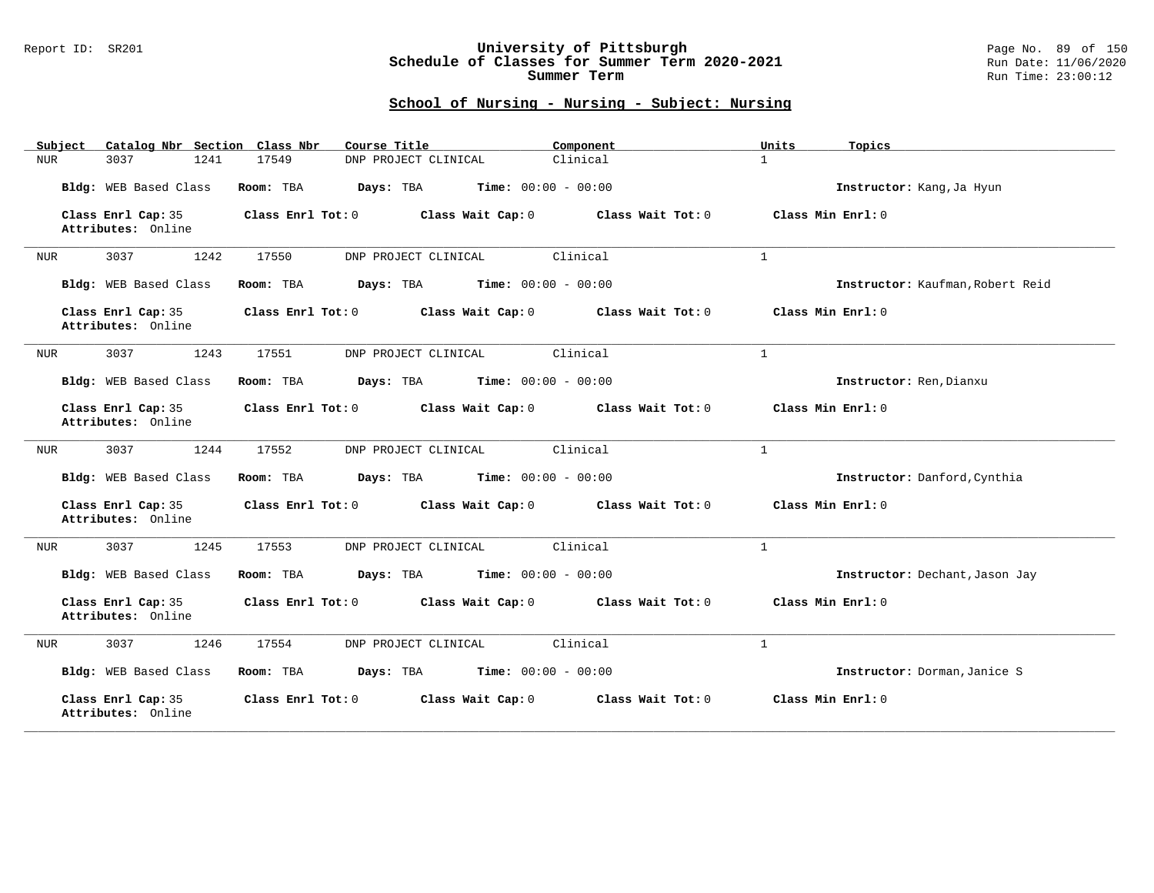#### Report ID: SR201 **University of Pittsburgh** Page No. 89 of 150 **Schedule of Classes for Summer Term 2020-2021** Run Date: 11/06/2020 **Summer Term** Run Time: 23:00:12

| Catalog Nbr Section Class Nbr<br>Subject | Course Title                                           | Component         | Units<br>Topics                  |
|------------------------------------------|--------------------------------------------------------|-------------------|----------------------------------|
| 3037<br>1241<br>NUR                      | 17549<br>DNP PROJECT CLINICAL                          | Clinical          | $\mathbf{1}$                     |
| Bldg: WEB Based Class                    | <b>Time:</b> $00:00 - 00:00$<br>Room: TBA<br>Days: TBA |                   | Instructor: Kang, Ja Hyun        |
| Class Enrl Cap: 35<br>Attributes: Online | Class Enrl Tot: 0<br>Class Wait Cap: 0                 | Class Wait Tot: 0 | Class Min Enrl: 0                |
| 3037<br>1242<br><b>NUR</b>               | 17550<br>DNP PROJECT CLINICAL                          | Clinical          | $\mathbf{1}$                     |
| Bldg: WEB Based Class                    | Time: $00:00 - 00:00$<br>Room: TBA<br>Days: TBA        |                   | Instructor: Kaufman, Robert Reid |
| Class Enrl Cap: 35<br>Attributes: Online | Class Enrl Tot: 0<br>Class Wait Cap: 0                 | Class Wait Tot: 0 | Class Min Enrl: 0                |
| 1243<br>3037<br><b>NUR</b>               | 17551<br>DNP PROJECT CLINICAL                          | Clinical          | $\mathbf{1}$                     |
| Bldg: WEB Based Class                    | Days: TBA<br><b>Time:</b> $00:00 - 00:00$<br>Room: TBA |                   | Instructor: Ren, Dianxu          |
| Class Enrl Cap: 35<br>Attributes: Online | Class Enrl Tot: 0<br>Class Wait Cap: 0                 | Class Wait Tot: 0 | Class Min Enrl: 0                |
| 3037<br>1244<br>NUR                      | 17552<br>DNP PROJECT CLINICAL                          | Clinical          | $\mathbf{1}$                     |
| Bldg: WEB Based Class                    | Time: $00:00 - 00:00$<br>Room: TBA<br>Days: TBA        |                   | Instructor: Danford, Cynthia     |
| Class Enrl Cap: 35<br>Attributes: Online | Class Enrl Tot: 0<br>Class Wait Cap: 0                 | Class Wait Tot: 0 | Class Min Enrl: 0                |
| 3037<br>1245<br>NUR                      | 17553<br>DNP PROJECT CLINICAL                          | Clinical          | $\mathbf{1}$                     |
| Bldg: WEB Based Class                    | Days: TBA<br><b>Time:</b> $00:00 - 00:00$<br>Room: TBA |                   | Instructor: Dechant, Jason Jay   |
| Class Enrl Cap: 35<br>Attributes: Online | Class Enrl Tot: 0<br>Class Wait Cap: 0                 | Class Wait Tot: 0 | Class Min Enrl: 0                |
| 3037<br>1246<br><b>NUR</b>               | 17554<br>DNP PROJECT CLINICAL                          | Clinical          | $\mathbf{1}$                     |
| Bldg: WEB Based Class                    | <b>Time:</b> $00:00 - 00:00$<br>Room: TBA<br>Days: TBA |                   | Instructor: Dorman, Janice S     |
| Class Enrl Cap: 35<br>Attributes: Online | Class Enrl Tot: 0<br>Class Wait Cap: 0                 | Class Wait Tot: 0 | Class Min Enrl: 0                |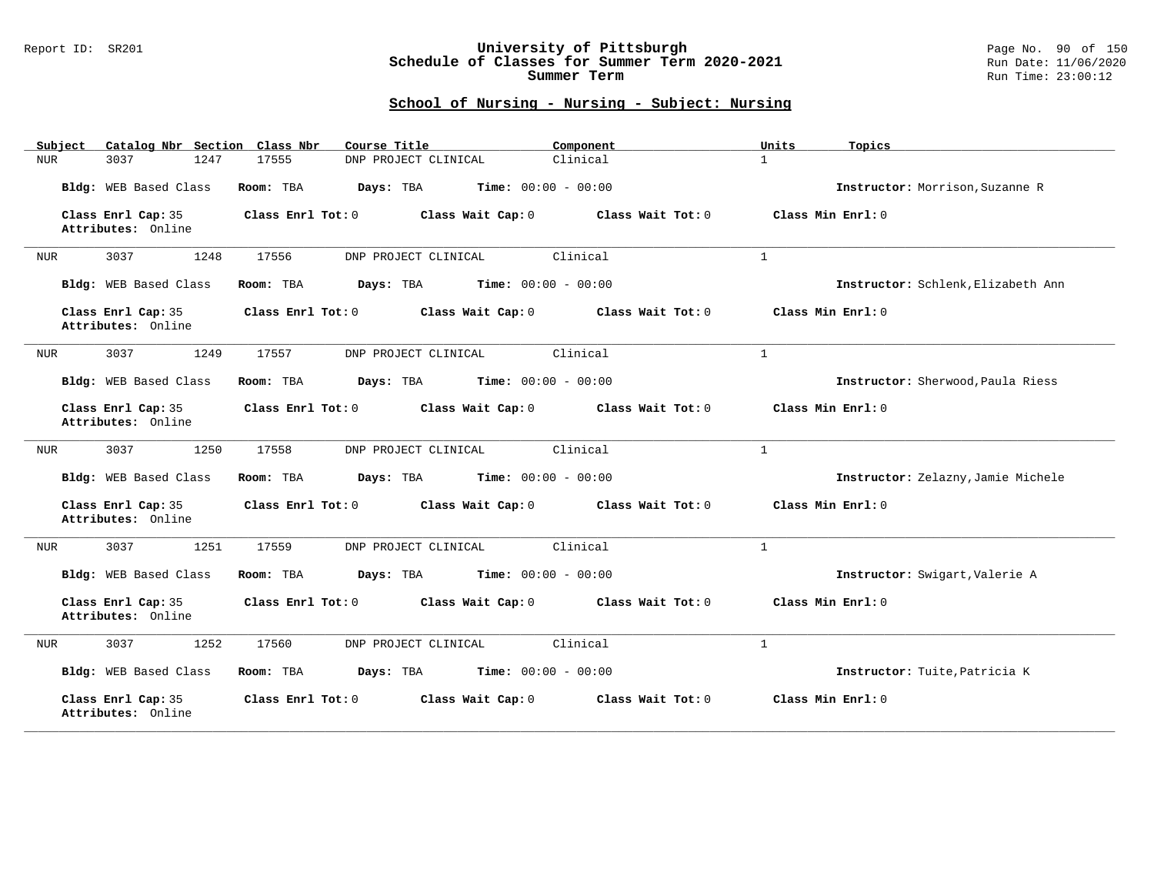### Report ID: SR201 **University of Pittsburgh** Page No. 90 of 150 **Schedule of Classes for Summer Term 2020-2021** Run Date: 11/06/2020 **Summer Term** Run Time: 23:00:12

| Catalog Nbr Section Class Nbr<br>Subject | Course Title                                           | Component         | Units<br>Topics                    |
|------------------------------------------|--------------------------------------------------------|-------------------|------------------------------------|
| 3037<br>1247<br>NUR                      | 17555<br>DNP PROJECT CLINICAL                          | Clinical          | $\mathbf{1}$                       |
| Bldg: WEB Based Class                    | <b>Time:</b> $00:00 - 00:00$<br>Room: TBA<br>Days: TBA |                   | Instructor: Morrison, Suzanne R    |
| Class Enrl Cap: 35<br>Attributes: Online | Class Enrl Tot: 0<br>Class Wait Cap: 0                 | Class Wait Tot: 0 | Class Min Enrl: 0                  |
| 3037<br>1248<br><b>NUR</b>               | 17556<br>DNP PROJECT CLINICAL                          | Clinical          | $\mathbf{1}$                       |
| Bldg: WEB Based Class                    | Time: $00:00 - 00:00$<br>Room: TBA<br>Days: TBA        |                   | Instructor: Schlenk, Elizabeth Ann |
| Class Enrl Cap: 35<br>Attributes: Online | Class Enrl Tot: 0<br>Class Wait Cap: 0                 | Class Wait Tot: 0 | Class Min Enrl: 0                  |
| 1249<br>3037<br><b>NUR</b>               | 17557<br>DNP PROJECT CLINICAL                          | Clinical          | $\mathbf{1}$                       |
| Bldg: WEB Based Class                    | Days: TBA<br><b>Time:</b> $00:00 - 00:00$<br>Room: TBA |                   | Instructor: Sherwood, Paula Riess  |
| Class Enrl Cap: 35<br>Attributes: Online | Class Enrl Tot: 0<br>Class Wait Cap: 0                 | Class Wait Tot: 0 | Class Min Enrl: 0                  |
| 3037<br>1250<br>NUR                      | 17558<br>DNP PROJECT CLINICAL                          | Clinical          | $\mathbf{1}$                       |
| Bldg: WEB Based Class                    | Time: $00:00 - 00:00$<br>Room: TBA<br>Days: TBA        |                   | Instructor: Zelazny, Jamie Michele |
| Class Enrl Cap: 35<br>Attributes: Online | Class Enrl Tot: 0<br>Class Wait Cap: 0                 | Class Wait Tot: 0 | Class Min Enrl: 0                  |
| 1251<br>3037<br><b>NUR</b>               | 17559<br>DNP PROJECT CLINICAL                          | Clinical          | $\mathbf{1}$                       |
| Bldg: WEB Based Class                    | Days: TBA<br><b>Time:</b> $00:00 - 00:00$<br>Room: TBA |                   | Instructor: Swigart, Valerie A     |
| Class Enrl Cap: 35<br>Attributes: Online | Class Enrl Tot: 0<br>Class Wait Cap: 0                 | Class Wait Tot: 0 | Class Min Enrl: 0                  |
| 1252<br>3037<br><b>NUR</b>               | 17560<br>DNP PROJECT CLINICAL                          | Clinical          | $\mathbf{1}$                       |
| Bldg: WEB Based Class                    | <b>Time:</b> $00:00 - 00:00$<br>Room: TBA<br>Days: TBA |                   | Instructor: Tuite, Patricia K      |
| Class Enrl Cap: 35<br>Attributes: Online | Class Enrl Tot: 0<br>Class Wait Cap: 0                 | Class Wait Tot: 0 | Class Min Enrl: 0                  |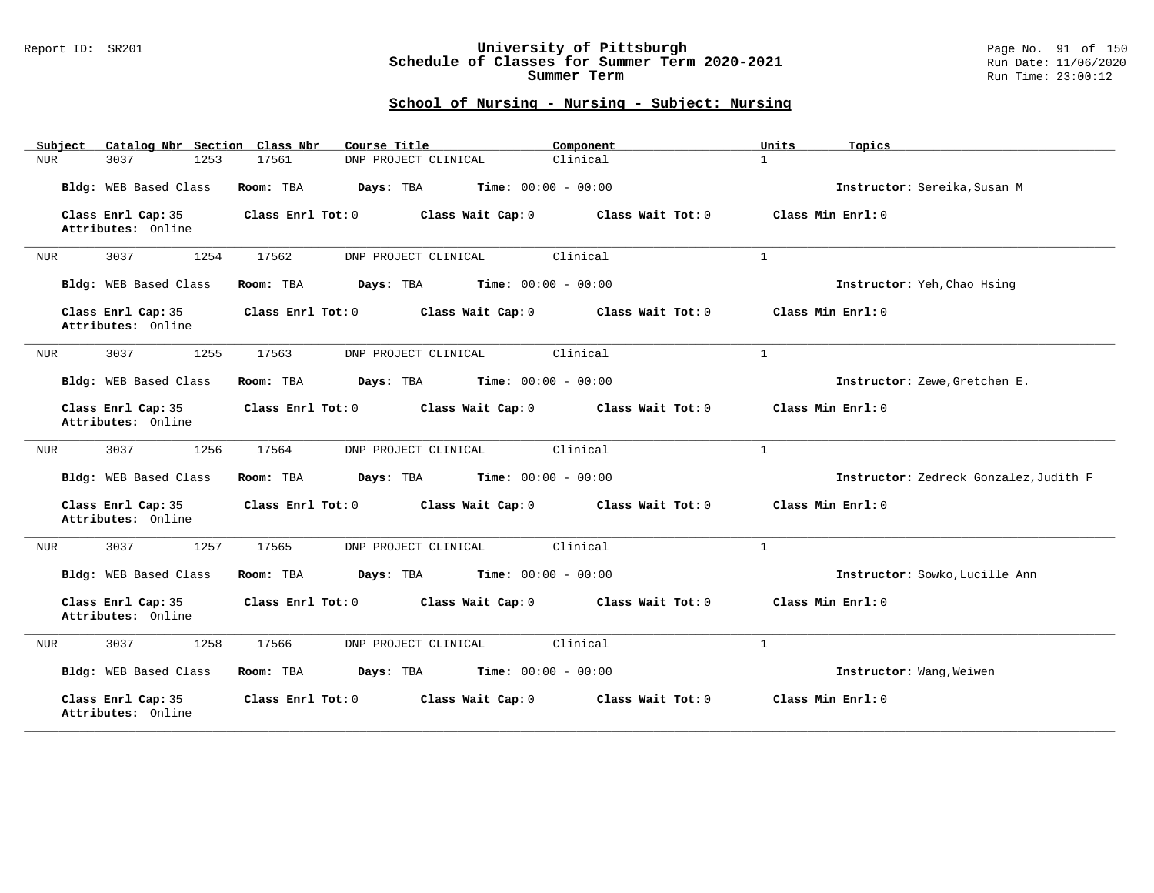#### Report ID: SR201 **University of Pittsburgh** Page No. 91 of 150 **Schedule of Classes for Summer Term 2020-2021** Run Date: 11/06/2020 **Summer Term** Run Time: 23:00:12

| Catalog Nbr Section Class Nbr<br>Subject | Course Title                                           | Component         | Units<br>Topics                        |
|------------------------------------------|--------------------------------------------------------|-------------------|----------------------------------------|
| 3037<br>1253<br>NUR                      | 17561<br>DNP PROJECT CLINICAL                          | Clinical          | $\mathbf{1}$                           |
| Bldg: WEB Based Class                    | <b>Time:</b> $00:00 - 00:00$<br>Room: TBA<br>Days: TBA |                   | Instructor: Sereika, Susan M           |
| Class Enrl Cap: 35<br>Attributes: Online | Class Enrl Tot: 0<br>Class Wait Cap: 0                 | Class Wait Tot: 0 | Class Min Enrl: 0                      |
| 3037<br>1254<br><b>NUR</b>               | 17562<br>DNP PROJECT CLINICAL                          | Clinical          | $\mathbf{1}$                           |
| Bldg: WEB Based Class                    | Time: $00:00 - 00:00$<br>Room: TBA<br>Days: TBA        |                   | Instructor: Yeh, Chao Hsing            |
| Class Enrl Cap: 35<br>Attributes: Online | Class Enrl Tot: 0<br>Class Wait Cap: 0                 | Class Wait Tot: 0 | Class Min Enrl: 0                      |
| 1255<br>3037<br>NUR                      | 17563<br>DNP PROJECT CLINICAL                          | Clinical          | $\mathbf{1}$                           |
| Bldg: WEB Based Class                    | Days: TBA<br><b>Time:</b> $00:00 - 00:00$<br>Room: TBA |                   | Instructor: Zewe, Gretchen E.          |
| Class Enrl Cap: 35<br>Attributes: Online | Class Enrl Tot: 0<br>Class Wait Cap: 0                 | Class Wait Tot: 0 | Class Min Enrl: 0                      |
| 3037<br>1256<br>NUR                      | 17564<br>DNP PROJECT CLINICAL                          | Clinical          | $\mathbf{1}$                           |
| Bldg: WEB Based Class                    | Room: TBA<br>Days: TBA<br><b>Time:</b> $00:00 - 00:00$ |                   | Instructor: Zedreck Gonzalez, Judith F |
| Class Enrl Cap: 35<br>Attributes: Online | Class Enrl Tot: 0<br>Class Wait Cap: 0                 | Class Wait Tot: 0 | Class Min Enrl: 0                      |
| 1257<br>3037<br>NUR                      | 17565<br>DNP PROJECT CLINICAL                          | Clinical          | $\mathbf{1}$                           |
| Bldg: WEB Based Class                    | <b>Time:</b> $00:00 - 00:00$<br>Room: TBA<br>Days: TBA |                   | Instructor: Sowko, Lucille Ann         |
| Class Enrl Cap: 35<br>Attributes: Online | Class Enrl Tot: 0<br>Class Wait Cap: 0                 | Class Wait Tot: 0 | Class Min Enrl: 0                      |
| 3037<br>1258<br><b>NUR</b>               | 17566<br>DNP PROJECT CLINICAL                          | Clinical          | $\mathbf{1}$                           |
| Bldg: WEB Based Class                    | <b>Time:</b> $00:00 - 00:00$<br>Room: TBA<br>Days: TBA |                   | Instructor: Wang, Weiwen               |
| Class Enrl Cap: 35<br>Attributes: Online | Class Enrl Tot: 0<br>Class Wait Cap: 0                 | Class Wait Tot: 0 | Class Min Enrl: 0                      |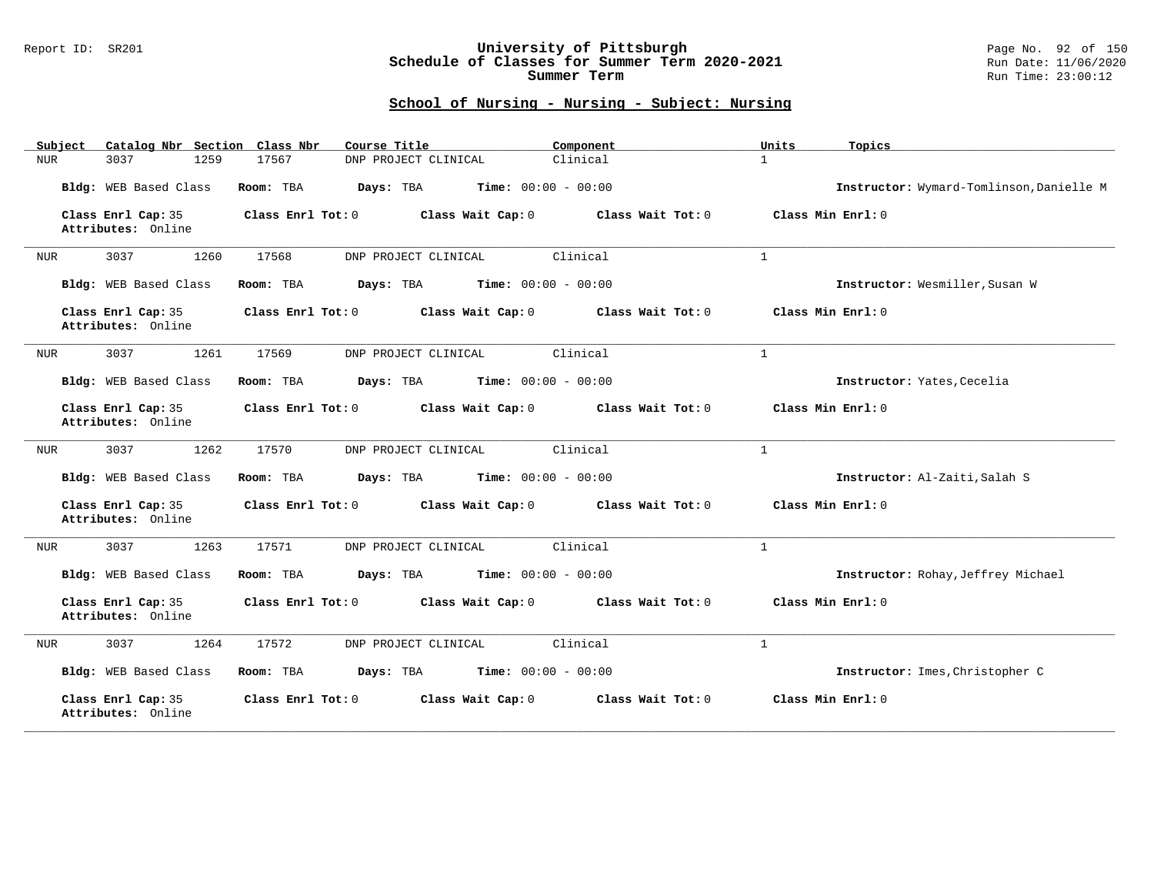### Report ID: SR201 **University of Pittsburgh** Page No. 92 of 150 **Schedule of Classes for Summer Term 2020-2021** Run Date: 11/06/2020 **Summer Term** Run Time: 23:00:12

| Subject<br>Catalog Nbr Section Class Nbr | Course Title                                           | Component         | Units<br>Topics                          |
|------------------------------------------|--------------------------------------------------------|-------------------|------------------------------------------|
| 1259<br>3037<br>NUR                      | DNP PROJECT CLINICAL<br>17567                          | Clinical          | $\mathbf{1}$                             |
| Bldg: WEB Based Class                    | Time: $00:00 - 00:00$<br>Room: TBA<br>Days: TBA        |                   | Instructor: Wymard-Tomlinson, Danielle M |
| Class Enrl Cap: 35<br>Attributes: Online | Class Enrl Tot: 0<br>Class Wait Cap: 0                 | Class Wait Tot: 0 | Class Min Enrl: 0                        |
| 3037<br>1260<br>NUR                      | 17568<br>DNP PROJECT CLINICAL                          | Clinical          | $\mathbf{1}$                             |
| Bldg: WEB Based Class                    | Time: $00:00 - 00:00$<br>Room: TBA<br>Days: TBA        |                   | Instructor: Wesmiller, Susan W           |
| Class Enrl Cap: 35<br>Attributes: Online | Class Enrl Tot: 0<br>Class Wait Cap: 0                 | Class Wait Tot: 0 | Class Min Enrl: 0                        |
| 1261<br>3037<br>NUR                      | 17569<br>DNP PROJECT CLINICAL                          | Clinical          | $\mathbf{1}$                             |
| Bldg: WEB Based Class                    | <b>Time:</b> $00:00 - 00:00$<br>Room: TBA<br>Days: TBA |                   | Instructor: Yates, Cecelia               |
| Class Enrl Cap: 35<br>Attributes: Online | Class Enrl Tot: 0<br>Class Wait Cap: 0                 | Class Wait Tot: 0 | Class Min Enrl: 0                        |
| 3037<br>1262<br>NUR                      | 17570<br>DNP PROJECT CLINICAL                          | Clinical          | $\mathbf{1}$                             |
| Bldg: WEB Based Class                    | Days: TBA<br>Time: $00:00 - 00:00$<br>Room: TBA        |                   | Instructor: Al-Zaiti, Salah S            |
| Class Enrl Cap: 35<br>Attributes: Online | Class Enrl Tot: 0<br>Class Wait Cap: 0                 | Class Wait Tot: 0 | Class Min Enrl: 0                        |
| 3037<br>1263<br>NUR                      | 17571<br>DNP PROJECT CLINICAL                          | Clinical          | $\mathbf{1}$                             |
| Bldg: WEB Based Class                    | Room: TBA<br>Days: TBA<br><b>Time:</b> $00:00 - 00:00$ |                   | Instructor: Rohay, Jeffrey Michael       |
| Class Enrl Cap: 35<br>Attributes: Online | Class Enrl Tot: 0<br>Class Wait Cap: 0                 | Class Wait Tot: 0 | Class Min Enrl: 0                        |
| 1264<br>3037<br>NUR                      | 17572<br>DNP PROJECT CLINICAL                          | Clinical          | $\mathbf{1}$                             |
| Bldg: WEB Based Class                    | Days: TBA<br><b>Time:</b> $00:00 - 00:00$<br>Room: TBA |                   | Instructor: Imes, Christopher C          |
| Class Enrl Cap: 35<br>Attributes: Online | Class Enrl Tot: 0<br>Class Wait Cap: 0                 | Class Wait Tot: 0 | Class Min Enrl: 0                        |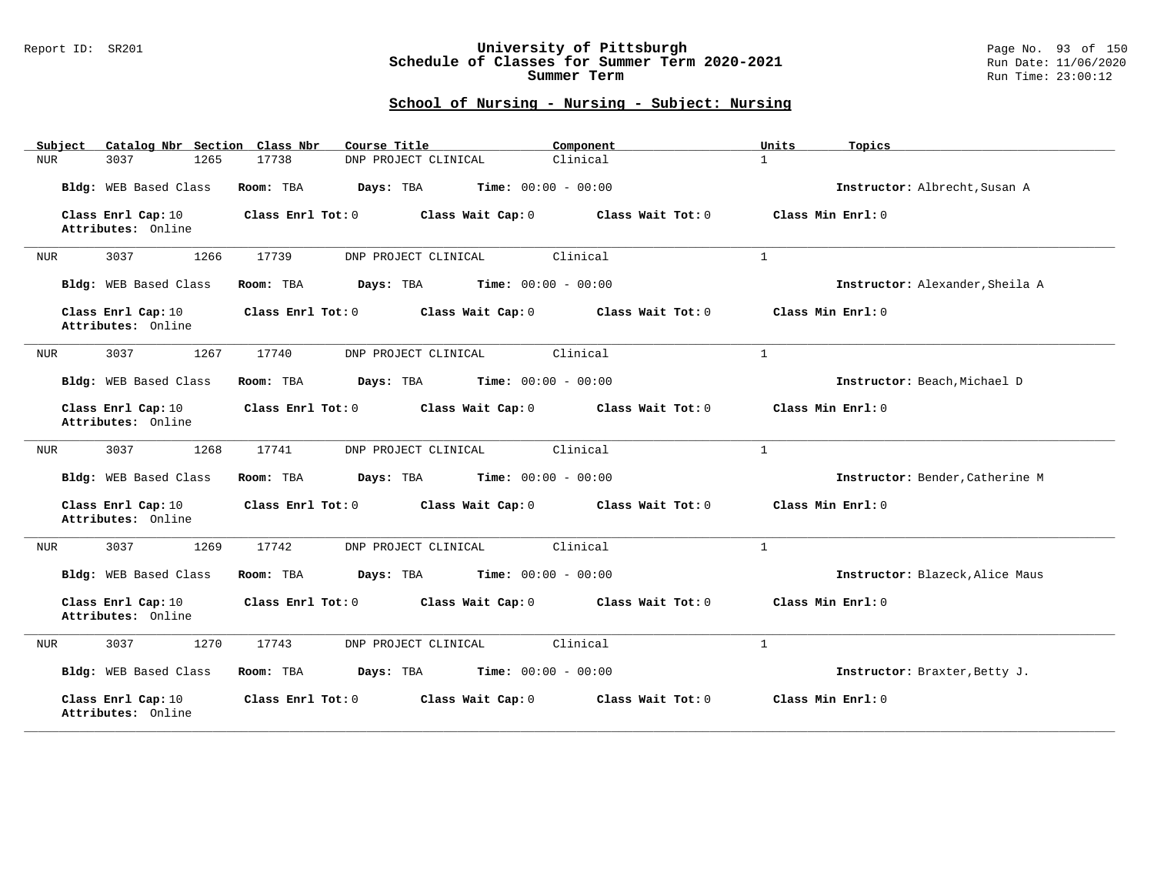### Report ID: SR201 **University of Pittsburgh** Page No. 93 of 150 **Schedule of Classes for Summer Term 2020-2021** Run Date: 11/06/2020 **Summer Term** Run Time: 23:00:12

| Catalog Nbr Section Class Nbr<br>Subject | Course Title                                           | Component         | Units<br>Topics                 |
|------------------------------------------|--------------------------------------------------------|-------------------|---------------------------------|
| 1265<br>3037<br>NUR                      | 17738<br>DNP PROJECT CLINICAL                          | Clinical          | $\mathbf{1}$                    |
| Bldg: WEB Based Class                    | <b>Time:</b> $00:00 - 00:00$<br>Room: TBA<br>Days: TBA |                   | Instructor: Albrecht, Susan A   |
| Class Enrl Cap: 10<br>Attributes: Online | Class Enrl Tot: 0<br>Class Wait Cap: 0                 | Class Wait Tot: 0 | Class Min Enrl: 0               |
| 3037<br>1266<br><b>NUR</b>               | 17739<br>DNP PROJECT CLINICAL                          | Clinical          | $\mathbf{1}$                    |
| Bldg: WEB Based Class                    | Time: $00:00 - 00:00$<br>Room: TBA<br>Days: TBA        |                   | Instructor: Alexander, Sheila A |
| Class Enrl Cap: 10<br>Attributes: Online | Class Enrl Tot: 0<br>Class Wait Cap: 0                 | Class Wait Tot: 0 | Class Min Enrl: 0               |
| 1267<br>3037<br><b>NUR</b>               | 17740<br>DNP PROJECT CLINICAL                          | Clinical          | $\mathbf{1}$                    |
| Bldg: WEB Based Class                    | Days: TBA<br><b>Time:</b> $00:00 - 00:00$<br>Room: TBA |                   | Instructor: Beach, Michael D    |
| Class Enrl Cap: 10<br>Attributes: Online | Class Enrl Tot: 0<br>Class Wait Cap: 0                 | Class Wait Tot: 0 | Class Min Enrl: 0               |
| 3037<br>1268<br>NUR                      | 17741<br>DNP PROJECT CLINICAL                          | Clinical          | $\mathbf{1}$                    |
| Bldg: WEB Based Class                    | Time: $00:00 - 00:00$<br>Room: TBA<br>Days: TBA        |                   | Instructor: Bender, Catherine M |
| Class Enrl Cap: 10<br>Attributes: Online | Class Enrl Tot: 0<br>Class Wait Cap: 0                 | Class Wait Tot: 0 | Class Min Enrl: 0               |
| 3037<br>1269<br><b>NUR</b>               | 17742<br>DNP PROJECT CLINICAL                          | Clinical          | $\mathbf{1}$                    |
| Bldg: WEB Based Class                    | Days: TBA<br><b>Time:</b> $00:00 - 00:00$<br>Room: TBA |                   | Instructor: Blazeck, Alice Maus |
| Class Enrl Cap: 10<br>Attributes: Online | Class Enrl Tot: 0<br>Class Wait Cap: 0                 | Class Wait Tot: 0 | Class Min Enrl: 0               |
| 1270<br>3037<br><b>NUR</b>               | 17743<br>DNP PROJECT CLINICAL                          | Clinical          | $\mathbf{1}$                    |
| Bldg: WEB Based Class                    | <b>Time:</b> $00:00 - 00:00$<br>Room: TBA<br>Days: TBA |                   | Instructor: Braxter, Betty J.   |
| Class Enrl Cap: 10<br>Attributes: Online | Class Enrl Tot: 0<br>Class Wait Cap: 0                 | Class Wait Tot: 0 | Class Min Enrl: 0               |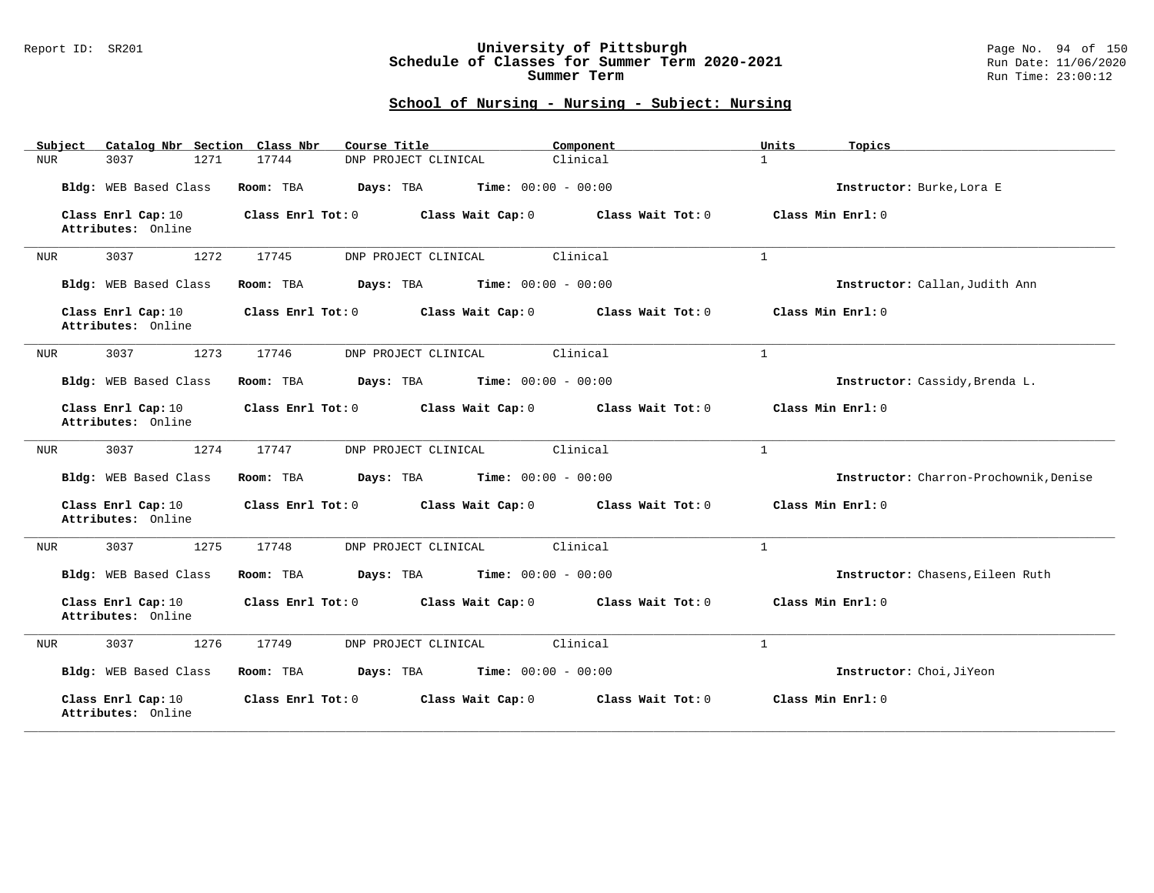### Report ID: SR201 **University of Pittsburgh** Page No. 94 of 150 **Schedule of Classes for Summer Term 2020-2021** Run Date: 11/06/2020 **Summer Term** Run Time: 23:00:12

| Catalog Nbr Section Class Nbr<br>Subject | Course Title                                           | Component         | Units<br>Topics                        |
|------------------------------------------|--------------------------------------------------------|-------------------|----------------------------------------|
| 1271<br>3037<br>NUR                      | 17744<br>DNP PROJECT CLINICAL                          | Clinical          | $\mathbf{1}$                           |
| Bldg: WEB Based Class                    | <b>Time:</b> $00:00 - 00:00$<br>Room: TBA<br>Days: TBA |                   | Instructor: Burke, Lora E              |
| Class Enrl Cap: 10<br>Attributes: Online | Class Enrl Tot: 0<br>Class Wait Cap: 0                 | Class Wait Tot: 0 | Class Min Enrl: 0                      |
| 3037<br>1272<br><b>NUR</b>               | 17745<br>DNP PROJECT CLINICAL                          | Clinical          | $\mathbf{1}$                           |
| Bldg: WEB Based Class                    | Time: $00:00 - 00:00$<br>Room: TBA<br>Days: TBA        |                   | Instructor: Callan, Judith Ann         |
| Class Enrl Cap: 10<br>Attributes: Online | Class Enrl Tot: 0<br>Class Wait Cap: 0                 | Class Wait Tot: 0 | Class Min Enrl: 0                      |
| 1273<br>3037<br><b>NUR</b>               | 17746<br>DNP PROJECT CLINICAL                          | Clinical          | $\mathbf{1}$                           |
| Bldg: WEB Based Class                    | Days: TBA<br><b>Time:</b> $00:00 - 00:00$<br>Room: TBA |                   | Instructor: Cassidy, Brenda L.         |
| Class Enrl Cap: 10<br>Attributes: Online | Class Enrl Tot: 0<br>Class Wait Cap: 0                 | Class Wait Tot: 0 | Class Min Enrl: 0                      |
| 1274<br>3037<br>NUR                      | 17747<br>DNP PROJECT CLINICAL                          | Clinical          | $\mathbf{1}$                           |
| Bldg: WEB Based Class                    | Room: TBA<br>Days: TBA<br><b>Time:</b> $00:00 - 00:00$ |                   | Instructor: Charron-Prochownik, Denise |
| Class Enrl Cap: 10<br>Attributes: Online | Class Enrl Tot: 0<br>Class Wait Cap: 0                 | Class Wait Tot: 0 | Class Min Enrl: 0                      |
| 1275<br>3037<br><b>NUR</b>               | 17748<br>DNP PROJECT CLINICAL                          | Clinical          | $\mathbf{1}$                           |
| Bldg: WEB Based Class                    | Days: TBA<br><b>Time:</b> $00:00 - 00:00$<br>Room: TBA |                   | Instructor: Chasens, Eileen Ruth       |
| Class Enrl Cap: 10<br>Attributes: Online | Class Enrl Tot: 0<br>Class Wait Cap: 0                 | Class Wait Tot: 0 | Class Min Enrl: 0                      |
| 1276<br>3037<br><b>NUR</b>               | 17749<br>DNP PROJECT CLINICAL                          | Clinical          | $\mathbf{1}$                           |
| Bldg: WEB Based Class                    | <b>Time:</b> $00:00 - 00:00$<br>Room: TBA<br>Days: TBA |                   | Instructor: Choi, JiYeon               |
| Class Enrl Cap: 10<br>Attributes: Online | Class Enrl Tot: 0<br>Class Wait Cap: 0                 | Class Wait Tot: 0 | Class Min Enrl: 0                      |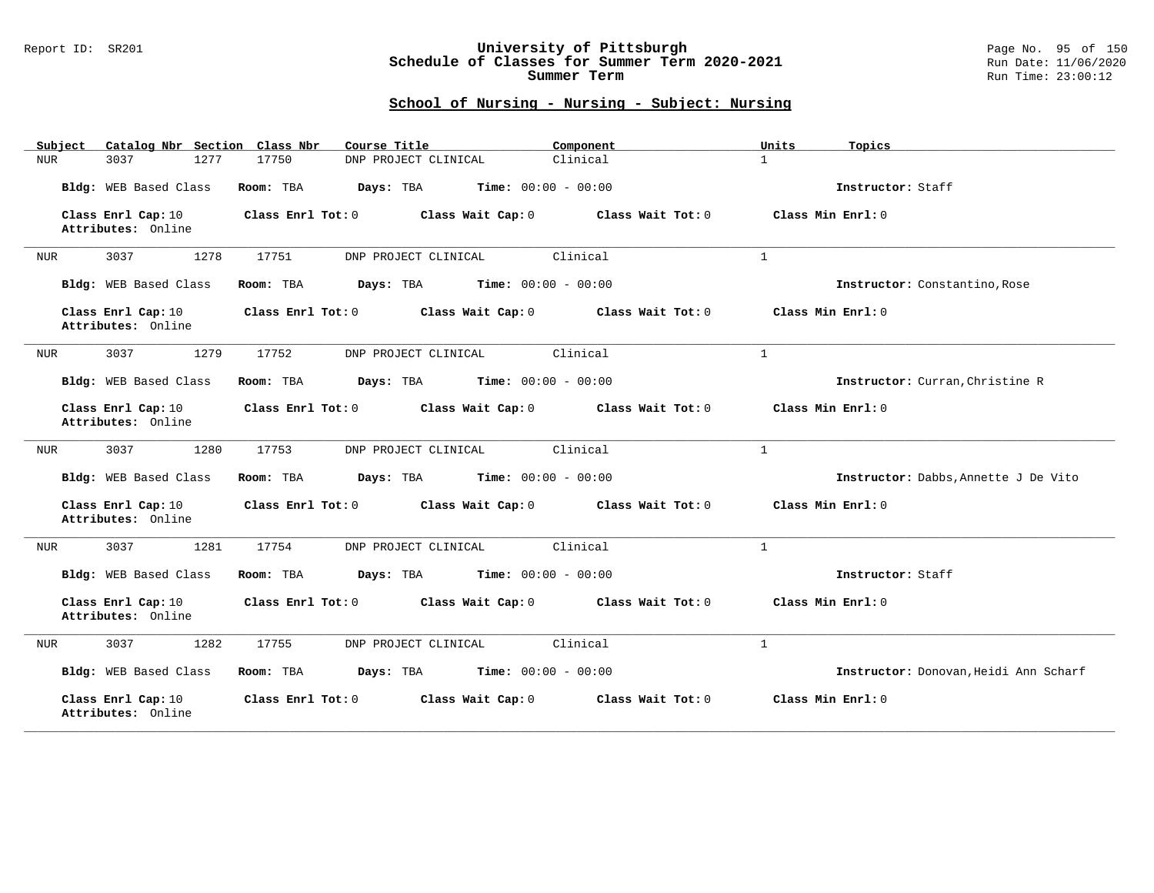#### Report ID: SR201 **University of Pittsburgh** Page No. 95 of 150 **Schedule of Classes for Summer Term 2020-2021** Run Date: 11/06/2020 **Summer Term** Run Time: 23:00:12

| Catalog Nbr Section Class Nbr<br>Subject | Course Title                                           | Component         | Units<br>Topics                       |
|------------------------------------------|--------------------------------------------------------|-------------------|---------------------------------------|
| 1277<br>3037<br>NUR                      | 17750<br>DNP PROJECT CLINICAL                          | Clinical          | $\mathbf{1}$                          |
| Bldg: WEB Based Class                    | Room: TBA<br><b>Time:</b> $00:00 - 00:00$<br>Days: TBA |                   | Instructor: Staff                     |
| Class Enrl Cap: 10<br>Attributes: Online | Class Enrl Tot: 0<br>Class Wait Cap: 0                 | Class Wait Tot: 0 | Class Min Enrl: 0                     |
| 3037<br>1278<br>NUR                      | 17751<br>DNP PROJECT CLINICAL                          | Clinical          | $\mathbf{1}$                          |
| Bldg: WEB Based Class                    | Time: $00:00 - 00:00$<br>Room: TBA<br>Days: TBA        |                   | Instructor: Constantino, Rose         |
| Class Enrl Cap: 10<br>Attributes: Online | Class Enrl Tot: 0<br>Class Wait Cap: 0                 | Class Wait Tot: 0 | Class Min Enrl: 0                     |
| 1279<br>3037<br><b>NUR</b>               | 17752<br>DNP PROJECT CLINICAL                          | Clinical          | $\mathbf{1}$                          |
| Bldg: WEB Based Class                    | Time: $00:00 - 00:00$<br>Room: TBA<br>Days: TBA        |                   | Instructor: Curran, Christine R       |
| Class Enrl Cap: 10<br>Attributes: Online | Class Enrl Tot: 0<br>Class Wait Cap: 0                 | Class Wait Tot: 0 | Class Min Enrl: 0                     |
| 1280<br>3037<br>NUR                      | 17753<br>DNP PROJECT CLINICAL                          | Clinical          | $\mathbf{1}$                          |
| Bldg: WEB Based Class                    | Room: TBA<br>Days: TBA<br><b>Time:</b> $00:00 - 00:00$ |                   | Instructor: Dabbs, Annette J De Vito  |
| Class Enrl Cap: 10<br>Attributes: Online | Class Enrl Tot: 0<br>Class Wait Cap: 0                 | Class Wait Tot: 0 | Class Min Enrl: 0                     |
| 3037<br>1281<br>NUR                      | 17754<br>DNP PROJECT CLINICAL                          | Clinical          | $\mathbf{1}$                          |
| Bldg: WEB Based Class                    | Room: TBA<br>Days: TBA<br><b>Time:</b> $00:00 - 00:00$ |                   | Instructor: Staff                     |
| Class Enrl Cap: 10<br>Attributes: Online | Class Enrl Tot: 0<br>Class Wait Cap: 0                 | Class Wait Tot: 0 | Class Min Enrl: 0                     |
| 1282<br>3037<br><b>NUR</b>               | 17755<br>DNP PROJECT CLINICAL                          | Clinical          | $\mathbf{1}$                          |
| Bldg: WEB Based Class                    | <b>Time:</b> $00:00 - 00:00$<br>Room: TBA<br>Days: TBA |                   | Instructor: Donovan, Heidi Ann Scharf |
| Class Enrl Cap: 10<br>Attributes: Online | Class Enrl Tot: 0<br>Class Wait Cap: 0                 | Class Wait Tot: 0 | Class Min Enrl: 0                     |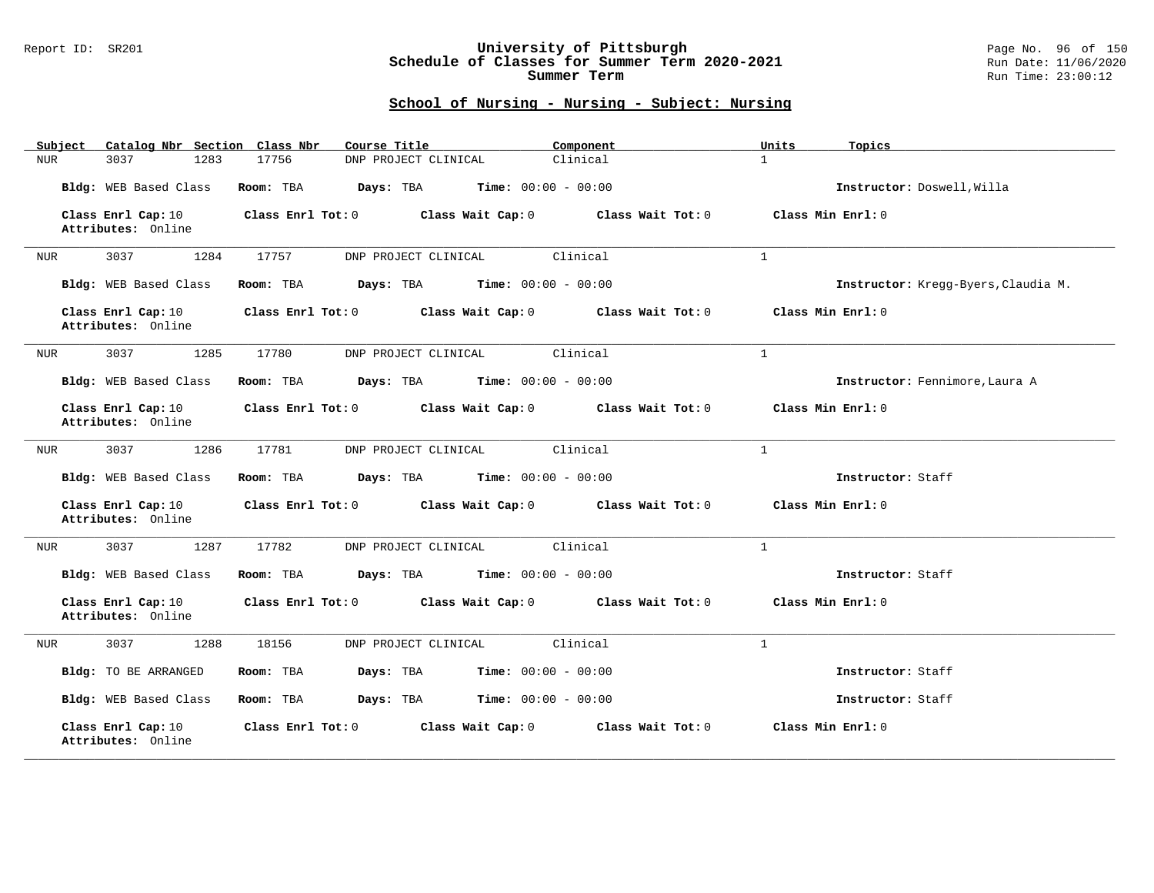#### Report ID: SR201 **University of Pittsburgh** Page No. 96 of 150 **Schedule of Classes for Summer Term 2020-2021** Run Date: 11/06/2020 **Summer Term** Run Time: 23:00:12

| Catalog Nbr Section Class Nbr<br>Subject | Course Title                                           | Component         | Units<br>Topics                     |
|------------------------------------------|--------------------------------------------------------|-------------------|-------------------------------------|
| <b>NUR</b><br>3037<br>1283               | 17756<br>DNP PROJECT CLINICAL                          | Clinical          | $\mathbf{1}$                        |
| Bldg: WEB Based Class                    | Room: TBA<br>Days: TBA<br><b>Time:</b> $00:00 - 00:00$ |                   | Instructor: Doswell, Willa          |
| Class Enrl Cap: 10<br>Attributes: Online | Class Enrl Tot: 0<br>Class Wait Cap: 0                 | Class Wait Tot: 0 | Class Min Enrl: 0                   |
| 3037<br>1284<br>NUR                      | 17757<br>DNP PROJECT CLINICAL                          | Clinical          | $\mathbf{1}$                        |
| Bldg: WEB Based Class                    | Room: TBA<br>Days: TBA<br><b>Time:</b> $00:00 - 00:00$ |                   | Instructor: Kregg-Byers, Claudia M. |
| Class Enrl Cap: 10<br>Attributes: Online | Class Enrl Tot: 0<br>Class Wait Cap: 0                 | Class Wait Tot: 0 | Class Min Enrl: 0                   |
| 3037<br>1285<br>NUR                      | DNP PROJECT CLINICAL<br>17780                          | Clinical          | $\mathbf{1}$                        |
| Bldg: WEB Based Class                    | Room: TBA<br>Days: TBA<br><b>Time:</b> $00:00 - 00:00$ |                   | Instructor: Fennimore, Laura A      |
| Class Enrl Cap: 10<br>Attributes: Online | Class Wait Cap: 0<br>Class Enrl Tot: 0                 | Class Wait Tot: 0 | Class Min Enrl: 0                   |
| 3037<br>1286<br>NUR                      | 17781<br>DNP PROJECT CLINICAL                          | Clinical          | $\mathbf{1}$                        |
| Bldg: WEB Based Class                    | Room: TBA<br>Days: TBA<br><b>Time:</b> $00:00 - 00:00$ |                   | Instructor: Staff                   |
| Class Enrl Cap: 10<br>Attributes: Online | Class Enrl Tot: 0<br>Class Wait Cap: 0                 | Class Wait Tot: 0 | Class Min Enrl: 0                   |
| 3037<br>1287<br>NUR                      | 17782<br>DNP PROJECT CLINICAL                          | Clinical          | $\mathbf{1}$                        |
| Bldg: WEB Based Class                    | <b>Time:</b> $00:00 - 00:00$<br>Room: TBA<br>Days: TBA |                   | Instructor: Staff                   |
| Class Enrl Cap: 10<br>Attributes: Online | Class Enrl Tot: 0<br>Class Wait Cap: 0                 | Class Wait Tot: 0 | Class Min Enrl: 0                   |
| 1288<br>3037<br>NUR                      | DNP PROJECT CLINICAL<br>18156                          | Clinical          | $\mathbf{1}$                        |
| Bldg: TO BE ARRANGED                     | <b>Time:</b> $00:00 - 00:00$<br>Room: TBA<br>Days: TBA |                   | Instructor: Staff                   |
| Bldg: WEB Based Class                    | Room: TBA<br>Days: TBA<br><b>Time:</b> $00:00 - 00:00$ |                   | Instructor: Staff                   |
| Class Enrl Cap: 10<br>Attributes: Online | Class Enrl Tot: 0<br>Class Wait Cap: 0                 | Class Wait Tot: 0 | Class Min Enrl: 0                   |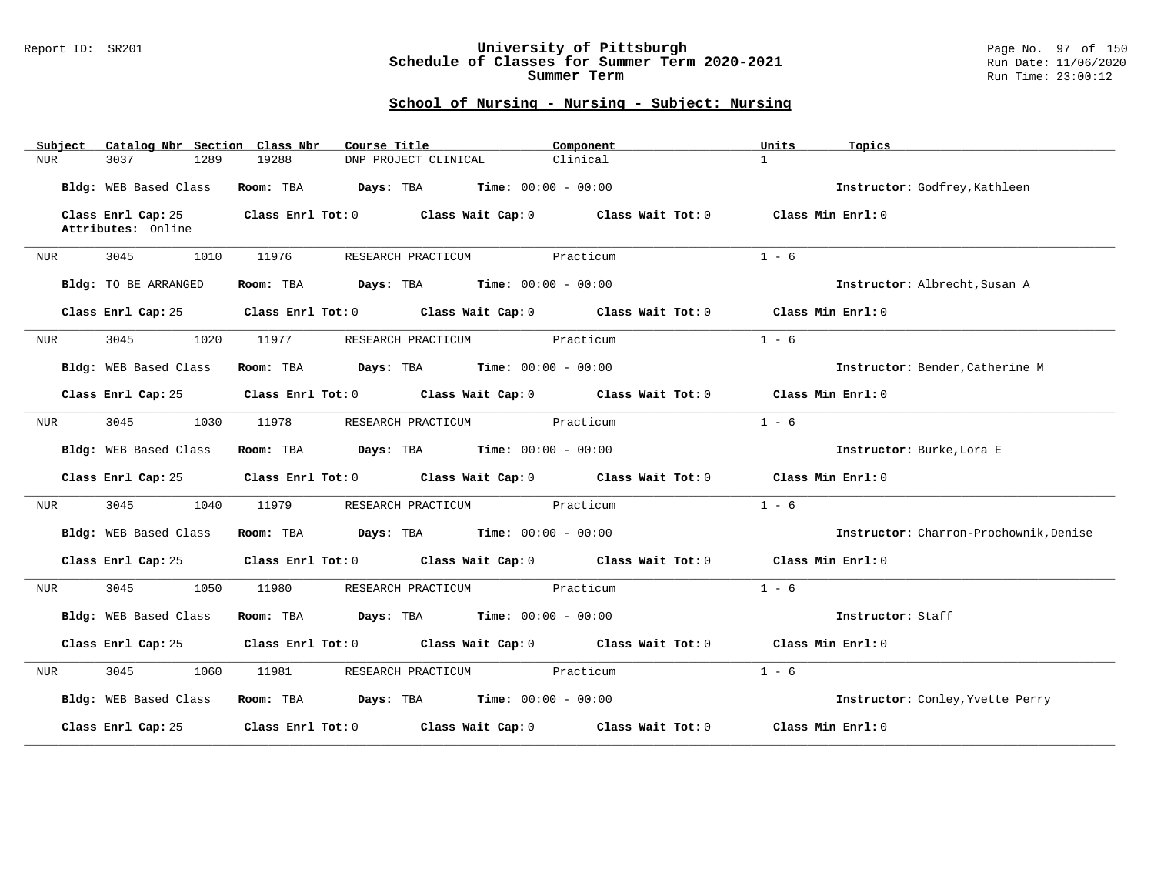#### Report ID: SR201 **University of Pittsburgh** Page No. 97 of 150 **Schedule of Classes for Summer Term 2020-2021** Run Date: 11/06/2020 **Summer Term** Run Time: 23:00:12

| Catalog Nbr Section Class Nbr<br>Subject | Course Title                                                                    | Component | Units<br>Topics                        |
|------------------------------------------|---------------------------------------------------------------------------------|-----------|----------------------------------------|
| 3037<br>1289<br>NUR                      | 19288<br>DNP PROJECT CLINICAL                                                   | Clinical  | $\mathbf{1}$                           |
| Bldg: WEB Based Class                    | <b>Days:</b> TBA <b>Time:</b> $00:00 - 00:00$<br>Room: TBA                      |           | Instructor: Godfrey, Kathleen          |
| Class Enrl Cap: 25<br>Attributes: Online | Class Enrl Tot: 0 Class Wait Cap: 0 Class Wait Tot: 0                           |           | Class Min Enrl: 0                      |
| 3045<br>1010<br>NUR                      | 11976<br>RESEARCH PRACTICUM                                                     | Practicum | $1 - 6$                                |
| Bldg: TO BE ARRANGED                     | Room: TBA $Days:$ TBA $Time: 00:00 - 00:00$                                     |           | Instructor: Albrecht, Susan A          |
| Class Enrl Cap: 25                       | Class Enrl Tot: 0 Class Wait Cap: 0 Class Wait Tot: 0                           |           | Class Min $Enr1:0$                     |
| 3045<br>1020<br>NUR                      | RESEARCH PRACTICUM<br>11977                                                     | Practicum | $1 - 6$                                |
| Bldg: WEB Based Class                    | Room: TBA $Days:$ TBA $Time: 00:00 - 00:00$                                     |           | Instructor: Bender, Catherine M        |
| Class Enrl Cap: 25                       | Class Enrl Tot: 0 Class Wait Cap: 0 Class Wait Tot: 0                           |           | Class Min Enrl: 0                      |
| 3045<br>1030<br>NUR                      | 11978<br>RESEARCH PRACTICUM                                                     | Practicum | $1 - 6$                                |
| Bldg: WEB Based Class                    | Room: TBA $Days:$ TBA $Time: 00:00 - 00:00$                                     |           | Instructor: Burke, Lora E              |
| Class Enrl Cap: 25                       | Class Enrl Tot: 0 Class Wait Cap: 0 Class Wait Tot: 0                           |           | Class Min Enrl: 0                      |
| 3045<br>1040<br>NUR                      | RESEARCH PRACTICUM Practicum<br>11979                                           |           | $1 - 6$                                |
| Bldg: WEB Based Class                    | <b>Days:</b> TBA <b>Time:</b> $00:00 - 00:00$<br>Room: TBA                      |           | Instructor: Charron-Prochownik, Denise |
| Class Enrl Cap: 25                       | Class Enrl Tot: 0 Class Wait Cap: 0 Class Wait Tot: 0                           |           | Class Min Enrl: 0                      |
| 3045<br>1050<br>NUR                      | 11980<br>RESEARCH PRACTICUM                                                     | Practicum | $1 - 6$                                |
| Bldg: WEB Based Class                    | <b>Days:</b> TBA <b>Time:</b> $00:00 - 00:00$<br>Room: TBA                      |           | Instructor: Staff                      |
| Class Enrl Cap: 25                       | Class Enrl Tot: $0$ Class Wait Cap: $0$ Class Wait Tot: $0$ Class Min Enrl: $0$ |           |                                        |
| 3045<br>1060<br>NUR                      | RESEARCH PRACTICUM Practicum<br>11981                                           |           | $1 - 6$                                |
| Bldg: WEB Based Class                    | Room: TBA $Days:$ TBA $Time: 00:00 - 00:00$                                     |           | Instructor: Conley, Yvette Perry       |
| Class Enrl Cap: 25                       | Class Enrl Tot: 0 Class Wait Cap: 0 Class Wait Tot: 0                           |           | Class Min Enrl: 0                      |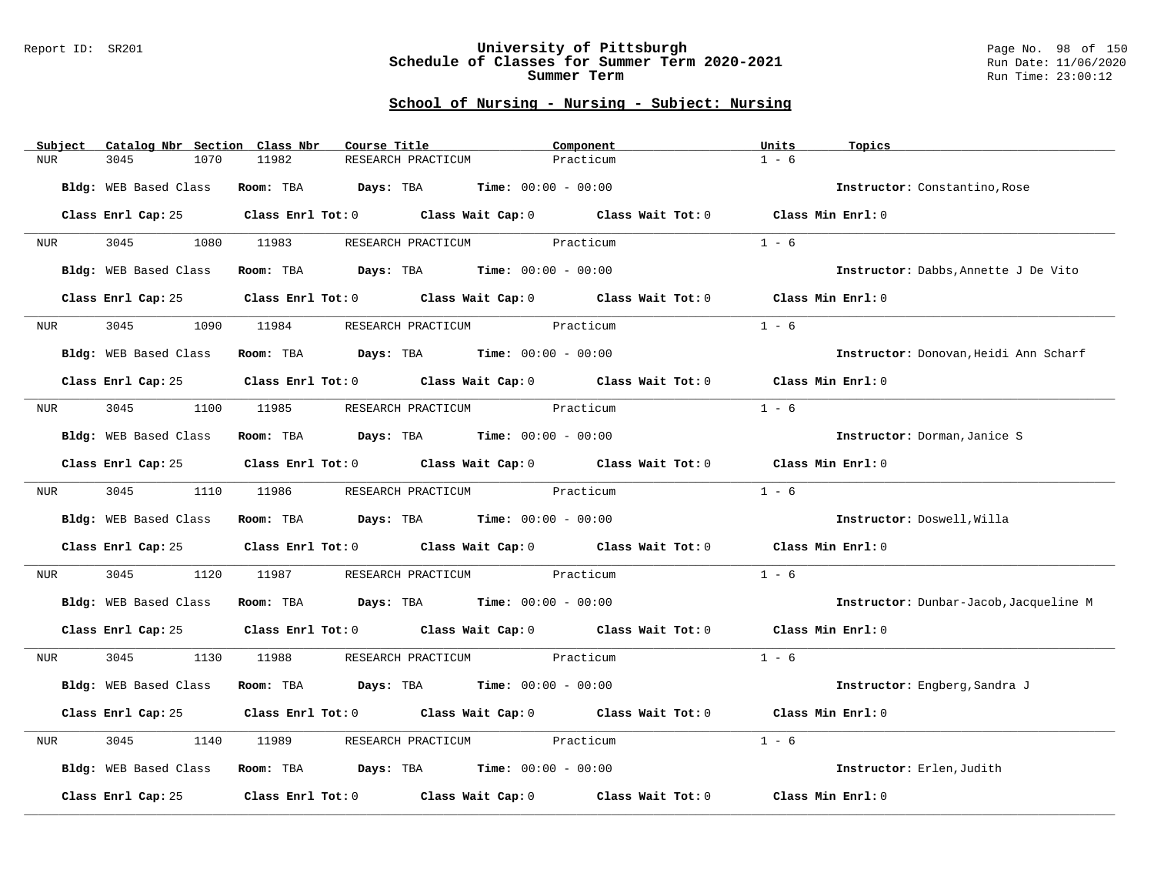#### Report ID: SR201 **University of Pittsburgh** Page No. 98 of 150 **Schedule of Classes for Summer Term 2020-2021** Run Date: 11/06/2020 **Summer Term** Run Time: 23:00:12

| Subject<br>Catalog Nbr Section Class Nbr | Course Title                                                                               | Component                                                                                          | Units<br>Topics                        |
|------------------------------------------|--------------------------------------------------------------------------------------------|----------------------------------------------------------------------------------------------------|----------------------------------------|
| 3045<br>1070<br><b>NUR</b>               | 11982<br>RESEARCH PRACTICUM                                                                | Practicum                                                                                          | $1 - 6$                                |
| Bldg: WEB Based Class                    | Room: TBA $Days:$ TBA $Time: 00:00 - 00:00$                                                |                                                                                                    | Instructor: Constantino, Rose          |
|                                          | Class Enrl Cap: 25 Class Enrl Tot: 0 Class Wait Cap: 0 Class Wait Tot: 0 Class Min Enrl: 0 |                                                                                                    |                                        |
| NUR                                      | 3045 1080 11983 RESEARCH PRACTICUM Practicum                                               |                                                                                                    | $1 - 6$                                |
| Bldg: WEB Based Class                    | Room: TBA $Days:$ TBA $Time: 00:00 - 00:00$                                                |                                                                                                    | Instructor: Dabbs, Annette J De Vito   |
| Class Enrl Cap: 25                       | Class Enrl Tot: 0 Class Wait Cap: 0 Class Wait Tot: 0                                      |                                                                                                    | Class Min Enrl: 0                      |
| 3045<br>1090<br>NUR <b>NUR</b>           | RESEARCH PRACTICUM Practicum<br>11984                                                      |                                                                                                    | $1 - 6$                                |
| Bldg: WEB Based Class                    | Room: TBA $\rule{1em}{0.15mm}$ Days: TBA $\rule{1.5mm}{0.15mm}$ Time: $00:00 - 00:00$      |                                                                                                    | Instructor: Donovan, Heidi Ann Scharf  |
| Class Enrl Cap: 25                       |                                                                                            | Class Enrl Tot: 0 $\qquad$ Class Wait Cap: 0 $\qquad$ Class Wait Tot: 0 $\qquad$ Class Min Enrl: 0 |                                        |
| NUR <sub>p</sub>                         | 3045 1100 11985 RESEARCH PRACTICUM Practicum                                               |                                                                                                    | $1 - 6$                                |
| Bldg: WEB Based Class                    | Room: TBA $Days:$ TBA $Time: 00:00 - 00:00$                                                |                                                                                                    | Instructor: Dorman, Janice S           |
|                                          | Class Enrl Cap: 25 Class Enrl Tot: 0 Class Wait Cap: 0 Class Wait Tot: 0 Class Min Enrl: 0 |                                                                                                    |                                        |
| NUR <sub>p</sub>                         | 3045 1110 11986 RESEARCH PRACTICUM Practicum                                               |                                                                                                    | $1 - 6$                                |
|                                          | Bldg: WEB Based Class Room: TBA Days: TBA Time: 00:00 - 00:00                              |                                                                                                    | Instructor: Doswell, Willa             |
|                                          | Class Enrl Cap: 25 Class Enrl Tot: 0 Class Wait Cap: 0 Class Wait Tot: 0                   |                                                                                                    | Class Min Enrl: 0                      |
| 3045<br>1120<br>NUR                      | 11987<br>RESEARCH PRACTICUM Practicum                                                      |                                                                                                    | $1 - 6$                                |
|                                          | Bldg: WEB Based Class Room: TBA Days: TBA Time: 00:00 - 00:00                              |                                                                                                    | Instructor: Dunbar-Jacob, Jacqueline M |
| Class Enrl Cap: 25                       |                                                                                            | Class Enrl Tot: 0 Class Wait Cap: 0 Class Wait Tot: 0 Class Min Enrl: 0                            |                                        |
| 3045<br>NUR                              | 1130 11988<br>RESEARCH PRACTICUM Practicum                                                 |                                                                                                    | $1 - 6$                                |
| Bldg: WEB Based Class                    | Room: TBA $Days:$ TBA $Time: 00:00 - 00:00$                                                |                                                                                                    | Instructor: Engberg, Sandra J          |
| Class Enrl Cap: 25                       | Class Enrl Tot: 0 Class Wait Cap: 0 Class Wait Tot: 0                                      |                                                                                                    | Class Min Enrl: 0                      |
| 3045<br>1140<br>NUR                      | RESEARCH PRACTICUM Practicum<br>11989                                                      |                                                                                                    | $1 - 6$                                |
| Bldg: WEB Based Class                    | Room: TBA $Days:$ TBA $Time: 00:00 - 00:00$                                                |                                                                                                    | Instructor: Erlen, Judith              |
| Class Enrl Cap: 25                       |                                                                                            | Class Enrl Tot: $0$ Class Wait Cap: $0$ Class Wait Tot: $0$                                        | Class Min Enrl: 0                      |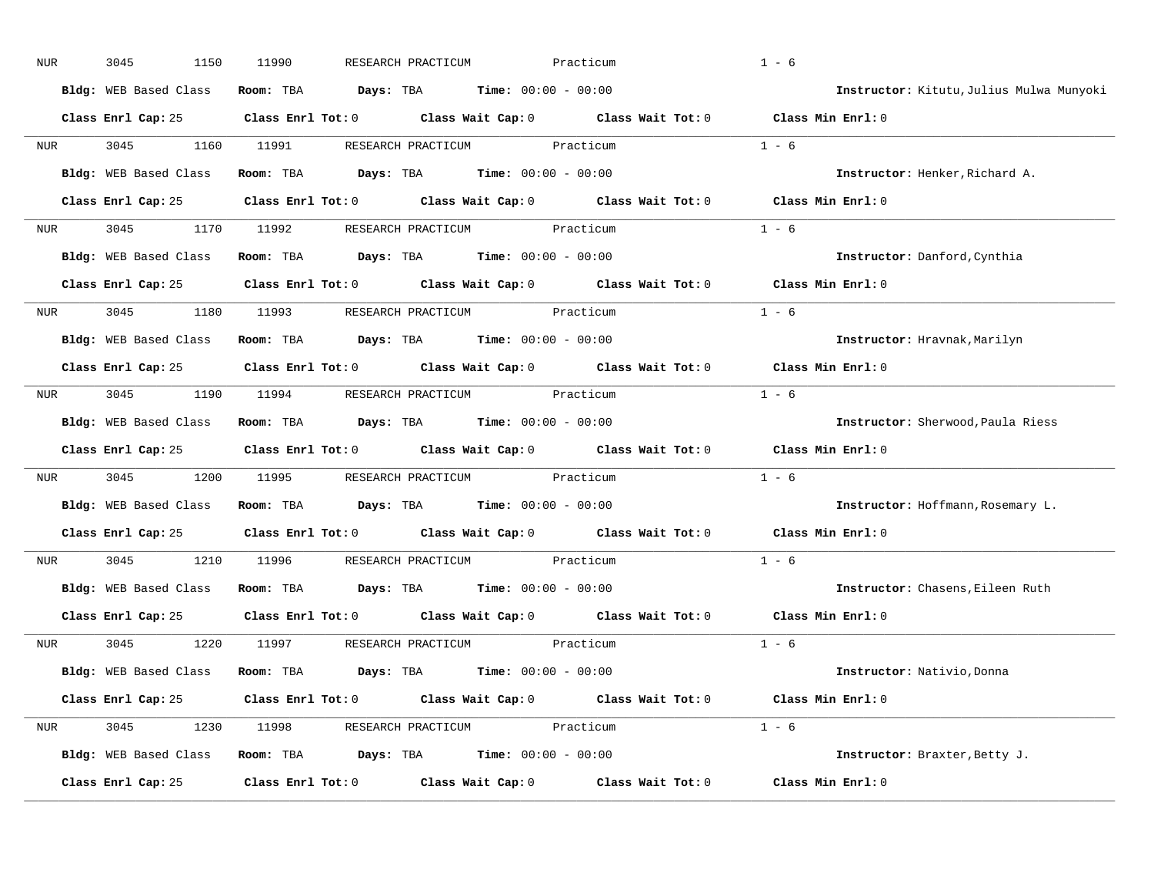| NUR            | 3045<br>1150          | 11990<br>RESEARCH PRACTICUM                                                                | Practicum         | $1 - 6$                                  |
|----------------|-----------------------|--------------------------------------------------------------------------------------------|-------------------|------------------------------------------|
|                | Bldg: WEB Based Class | <b>Days:</b> TBA <b>Time:</b> $00:00 - 00:00$<br>Room: TBA                                 |                   | Instructor: Kitutu, Julius Mulwa Munyoki |
|                |                       | Class Enrl Cap: 25 Class Enrl Tot: 0 Class Wait Cap: 0 Class Wait Tot: 0 Class Min Enrl: 0 |                   |                                          |
| <b>NUR</b>     | 3045<br>1160          | 11991<br>RESEARCH PRACTICUM                                                                | Practicum         | $1 - 6$                                  |
|                | Bldg: WEB Based Class | <b>Days:</b> TBA <b>Time:</b> $00:00 - 00:00$<br>Room: TBA                                 |                   | Instructor: Henker, Richard A.           |
|                |                       | Class Enrl Cap: 25 Class Enrl Tot: 0 Class Wait Cap: 0 Class Wait Tot: 0 Class Min Enrl: 0 |                   |                                          |
| NUR            | 3045                  | 1170 11992<br>RESEARCH PRACTICUM Practicum                                                 |                   | $1 - 6$                                  |
|                | Bldg: WEB Based Class | Room: TBA $\rule{1em}{0.15mm}$ Days: TBA $\rule{1.15mm}]{0.15mm}$ Time: $0.000 - 0.0000$   |                   | Instructor: Danford, Cynthia             |
|                |                       | Class Enrl Cap: 25 Class Enrl Tot: 0 Class Wait Cap: 0 Class Wait Tot: 0                   |                   | Class Min Enrl: 0                        |
| NUR            | 3045<br>1180          | 11993<br>RESEARCH PRACTICUM Practicum                                                      |                   | $1 - 6$                                  |
|                | Bldg: WEB Based Class | Room: TBA $Days:$ TBA $Time: 00:00 - 00:00$                                                |                   | Instructor: Hravnak, Marilyn             |
|                |                       | Class Enrl Cap: 25 Class Enrl Tot: 0 Class Wait Cap: 0 Class Wait Tot: 0                   |                   | Class Min Enrl: 0                        |
| NUR <b>NUR</b> |                       | 3045 1190 11994 RESEARCH PRACTICUM Practicum                                               |                   | $1 - 6$                                  |
|                | Bldg: WEB Based Class | $\texttt{Days:}$ TBA $\texttt{Time:}$ 00:00 - 00:00<br>Room: TBA                           |                   | Instructor: Sherwood, Paula Riess        |
|                |                       | Class Enrl Cap: 25 Class Enrl Tot: 0 Class Wait Cap: 0 Class Wait Tot: 0                   |                   | Class Min Enrl: 0                        |
| NUR            | 3045<br>1200          | 11995<br>RESEARCH PRACTICUM Practicum                                                      |                   | $1 - 6$                                  |
|                | Bldg: WEB Based Class | $\texttt{Days:}$ TBA $\texttt{Time:}$ 00:00 - 00:00<br>Room: TBA                           |                   | Instructor: Hoffmann, Rosemary L.        |
|                |                       | Class Enrl Cap: 25 Class Enrl Tot: 0 Class Wait Cap: 0 Class Wait Tot: 0                   |                   | Class Min Enrl: 0                        |
| NUR            | 3045<br>1210          | 11996<br>RESEARCH PRACTICUM                                                                | Practicum         | $1 - 6$                                  |
|                | Bldg: WEB Based Class | $\texttt{Davis:}$ TBA $\texttt{Time:}$ 00:00 - 00:00<br>Room: TBA                          |                   | Instructor: Chasens, Eileen Ruth         |
|                |                       | Class Enrl Cap: 25 Class Enrl Tot: 0 Class Wait Cap: 0 Class Wait Tot: 0                   |                   | Class Min Enrl: 0                        |
| NUR            | 3045<br>1220          | 11997<br>RESEARCH PRACTICUM Practicum                                                      |                   | $1 - 6$                                  |
|                | Bldg: WEB Based Class | Room: TBA $\rule{1em}{0.15mm}$ Days: TBA $\rule{1.15mm}]{0.15mm}$ Time: $0.000 - 0.0000$   |                   | Instructor: Nativio, Donna               |
|                |                       | Class Enrl Cap: 25 Class Enrl Tot: 0 Class Wait Cap: 0 Class Wait Tot: 0 Class Min Enrl: 0 |                   |                                          |
| NUR            | 3045<br>1230          | 11998<br>RESEARCH PRACTICUM Practicum                                                      |                   | $1 - 6$                                  |
|                | Bldg: WEB Based Class | <b>Room:</b> TBA $\qquad \qquad$ Days: TBA $\qquad \qquad$ Time: $00:00 - 00:00$           |                   | Instructor: Braxter, Betty J.            |
|                |                       |                                                                                            | Class Wait Tot: 0 |                                          |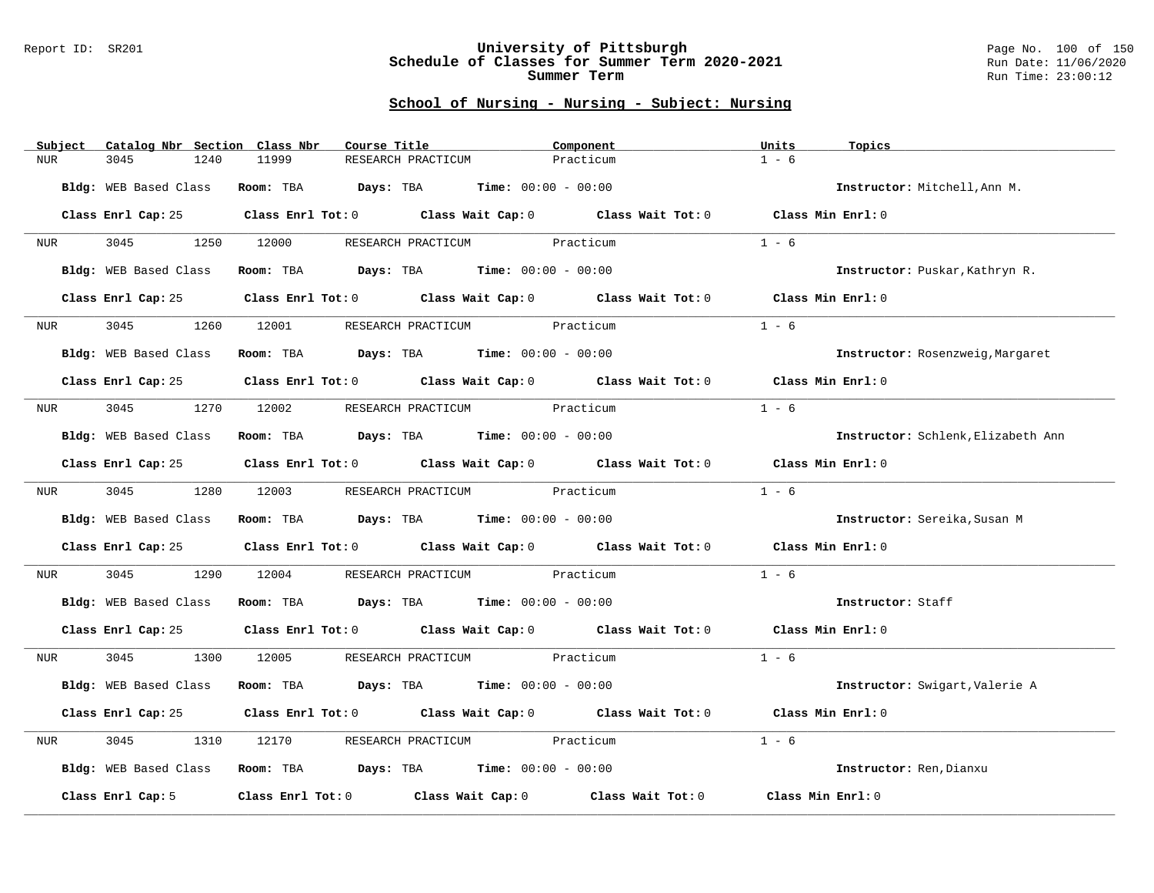#### Report ID: SR201 **University of Pittsburgh** Page No. 100 of 150 **Schedule of Classes for Summer Term 2020-2021** Run Date: 11/06/2020 **Summer Term** Run Time: 23:00:12

| Subject<br>Catalog Nbr Section Class Nbr | Course Title                                                                                       | Component | Units<br>Topics                    |
|------------------------------------------|----------------------------------------------------------------------------------------------------|-----------|------------------------------------|
| <b>NUR</b><br>3045<br>1240               | 11999<br>RESEARCH PRACTICUM                                                                        | Practicum | $1 - 6$                            |
| Bldg: WEB Based Class                    | Room: TBA $Days: TBA$ Time: $00:00 - 00:00$                                                        |           | Instructor: Mitchell, Ann M.       |
| Class Enrl Cap: 25                       | Class Enrl Tot: 0 $\qquad$ Class Wait Cap: 0 $\qquad$ Class Wait Tot: 0 $\qquad$ Class Min Enrl: 0 |           |                                    |
| 3045<br><b>NUR</b>                       | RESEARCH PRACTICUM Practicum<br>1250 12000                                                         |           | $1 - 6$                            |
| Bldg: WEB Based Class                    | Room: TBA $Days:$ TBA $Time: 00:00 - 00:00$                                                        |           | Instructor: Puskar, Kathryn R.     |
| Class Enrl Cap: 25                       | Class Enrl Tot: 0 Class Wait Cap: 0 Class Wait Tot: 0                                              |           | Class Min Enrl: 0                  |
| 3045<br>1260<br>NUR <sub>i</sub>         | RESEARCH PRACTICUM Practicum<br>12001                                                              |           | $1 - 6$                            |
| Bldg: WEB Based Class                    | Room: TBA $Days:$ TBA $Time: 00:00 - 00:00$                                                        |           | Instructor: Rosenzweig, Margaret   |
|                                          | Class Enrl Cap: 25 Class Enrl Tot: 0 Class Wait Cap: 0 Class Wait Tot: 0 Class Min Enrl: 0         |           |                                    |
| NUR <b>NUR</b>                           | 3045 1270 12002 RESEARCH PRACTICUM Practicum                                                       |           | $1 - 6$                            |
| Bldg: WEB Based Class                    | Room: TBA $Days:$ TBA $Time: 00:00 - 00:00$                                                        |           | Instructor: Schlenk, Elizabeth Ann |
| Class Enrl Cap: 25                       | Class Enrl Tot: 0 Class Wait Cap: 0 Class Wait Tot: 0 Class Min Enrl: 0                            |           |                                    |
|                                          | NUR 3045 1280 12003 RESEARCH PRACTICUM Practicum                                                   |           | $1 - 6$                            |
| Bldg: WEB Based Class                    | Room: TBA $Days:$ TBA $Time: 00:00 - 00:00$                                                        |           | Instructor: Sereika, Susan M       |
| Class Enrl Cap: 25                       | Class Enrl Tot: 0 Class Wait Cap: 0 Class Wait Tot: 0                                              |           | Class Min Enrl: 0                  |
| 3045<br>1290<br>NUR                      | 12004<br>RESEARCH PRACTICUM Practicum                                                              |           | $1 - 6$                            |
| Bldg: WEB Based Class                    | Room: TBA $Days:$ TBA $Time:$ $00:00 - 00:00$                                                      |           | Instructor: Staff                  |
| Class Enrl Cap: 25                       | Class Enrl Tot: 0 Class Wait Cap: 0 Class Wait Tot: 0 Class Min Enrl: 0                            |           |                                    |
| 3045<br><b>NUR</b>                       | 1300 12005 RESEARCH PRACTICUM Practicum                                                            |           | $1 - 6$                            |
| Bldg: WEB Based Class                    | Room: TBA $Days:$ TBA $Time: 00:00 - 00:00$                                                        |           | Instructor: Swigart, Valerie A     |
| Class Enrl Cap: 25                       | Class Enrl Tot: 0 Class Wait Cap: 0 Class Wait Tot: 0                                              |           | Class Min Enrl: 0                  |
| 3045<br>1310<br>NUR                      | RESEARCH PRACTICUM Practicum<br>12170                                                              |           | $1 - 6$                            |
| Bldg: WEB Based Class                    | $\textbf{Room}: \text{ TBA}$ Days: TBA $\text{Time}: \text{ } 00:00 - 00:00$                       |           | Instructor: Ren, Dianxu            |
| Class Enrl Cap: 5                        | Class Enrl Tot: 0 Class Wait Cap: 0 Class Wait Tot: 0                                              |           | Class Min Enrl: 0                  |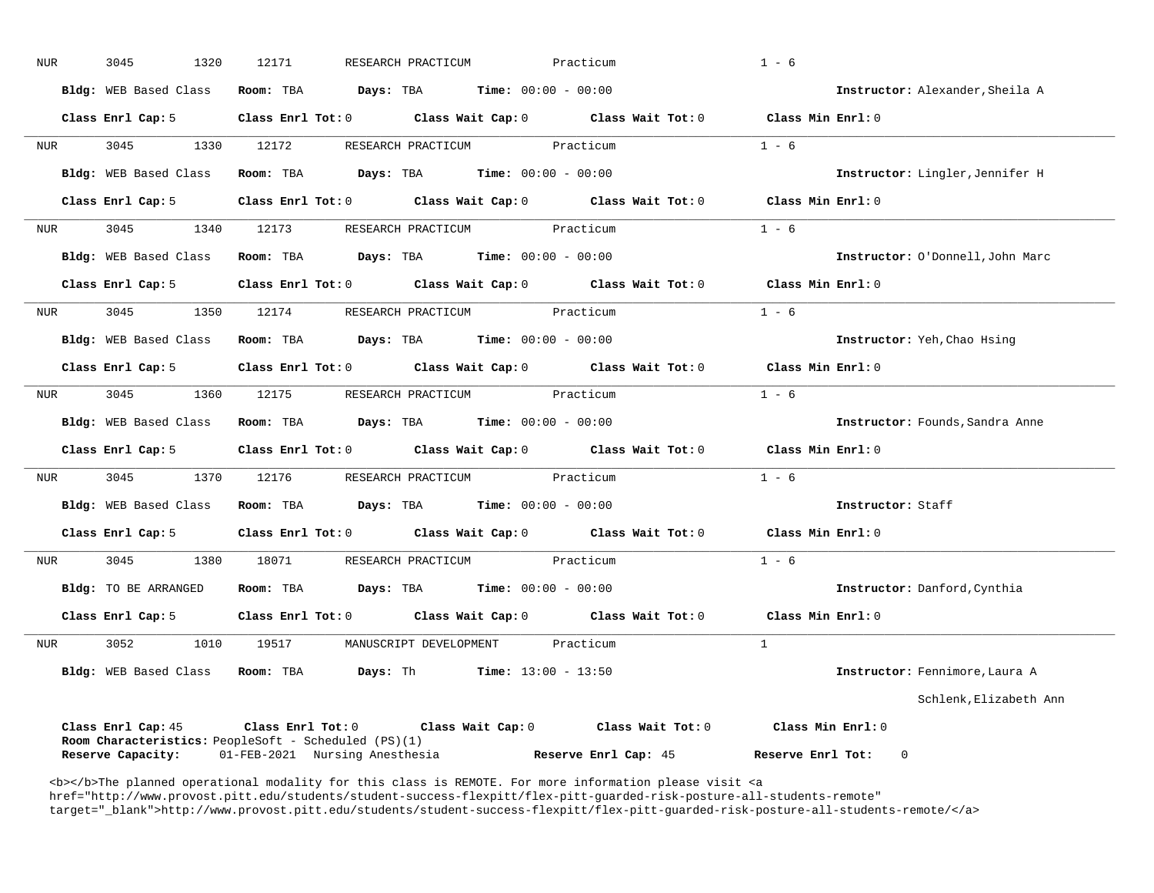| <b>NUR</b>       | 3045<br>1320                    | 12171<br>RESEARCH PRACTICUM                                                                                                                                                                                                                                                                                    | Practicum                                           | $1 - 6$                                                                         |                                  |
|------------------|---------------------------------|----------------------------------------------------------------------------------------------------------------------------------------------------------------------------------------------------------------------------------------------------------------------------------------------------------------|-----------------------------------------------------|---------------------------------------------------------------------------------|----------------------------------|
|                  | Bldg: WEB Based Class Room: TBA |                                                                                                                                                                                                                                                                                                                | <b>Days:</b> TBA <b>Time:</b> $00:00 - 00:00$       |                                                                                 | Instructor: Alexander, Sheila A  |
|                  | Class Enrl Cap: 5               |                                                                                                                                                                                                                                                                                                                |                                                     | Class Enrl Tot: 0 Class Wait Cap: 0 Class Wait Tot: 0 Class Min Enrl: 0         |                                  |
| NUR              | 3045<br>1330                    | 12172                                                                                                                                                                                                                                                                                                          | RESEARCH PRACTICUM Practicum                        | $1 - 6$                                                                         |                                  |
|                  | Bldg: WEB Based Class           | Room: TBA $\rule{1em}{0.15mm}$ Days: TBA $\rule{1.15mm}]{0.15mm}$ Time: $0.000 - 0.0000$                                                                                                                                                                                                                       |                                                     |                                                                                 | Instructor: Lingler, Jennifer H  |
|                  | Class Enrl Cap: 5               | Class Enrl Tot: 0 Class Wait Cap: 0 Class Wait Tot: 0                                                                                                                                                                                                                                                          |                                                     | Class Min Enrl: 0                                                               |                                  |
| NUR              | 3045<br>1340                    | 12173                                                                                                                                                                                                                                                                                                          | RESEARCH PRACTICUM<br>Practicum                     | $1 - 6$                                                                         |                                  |
|                  | <b>Bldg:</b> WEB Based Class    | Room: TBA                                                                                                                                                                                                                                                                                                      | $\texttt{Days:}$ TBA $\texttt{Time:}$ 00:00 - 00:00 |                                                                                 | Instructor: O'Donnell, John Marc |
|                  | Class Enrl Cap: 5               | Class Enrl Tot: 0 Class Wait Cap: 0 Class Wait Tot: 0                                                                                                                                                                                                                                                          |                                                     | Class Min Enrl: 0                                                               |                                  |
| NUR <sub>p</sub> | 3045<br>1350                    | 12174                                                                                                                                                                                                                                                                                                          | Practicum<br>RESEARCH PRACTICUM                     | $1 - 6$                                                                         |                                  |
|                  | Bldg: WEB Based Class           | <b>Room:</b> TBA $Days:$ TBA $Time: 00:00 - 00:00$                                                                                                                                                                                                                                                             |                                                     |                                                                                 | Instructor: Yeh, Chao Hsing      |
|                  | Class Enrl Cap: 5               | Class Enrl Tot: 0 Class Wait Cap: 0 Class Wait Tot: 0                                                                                                                                                                                                                                                          |                                                     | Class Min Enrl: 0                                                               |                                  |
| NUR <sub>i</sub> | 3045                            | 1360 12175                                                                                                                                                                                                                                                                                                     | RESEARCH PRACTICUM Practicum                        | $1 - 6$                                                                         |                                  |
|                  | Bldg: WEB Based Class           | <b>Room:</b> TBA $Days: TBA$ <b>Time:</b> $00:00 - 00:00$                                                                                                                                                                                                                                                      |                                                     |                                                                                 | Instructor: Founds, Sandra Anne  |
|                  | Class Enrl Cap: 5               | Class Enrl Tot: 0 Class Wait Cap: 0 Class Wait Tot: 0                                                                                                                                                                                                                                                          |                                                     | Class Min Enrl: 0                                                               |                                  |
| NUR              | 1370<br>3045                    | 12176                                                                                                                                                                                                                                                                                                          | RESEARCH PRACTICUM<br>Practicum                     | $1 - 6$                                                                         |                                  |
|                  | Bldg: WEB Based Class           | <b>Room:</b> TBA $\rule{1em}{0.15mm}$ $\rule{1.5mm}{0.15mm}$ $\rule{1.5mm}{0.15mm}$ $\rule{1.5mm}{0.15mm}$ $\rule{1.5mm}{0.15mm}$ $\rule{1.5mm}{0.15mm}$ $\rule{1.5mm}{0.15mm}$ $\rule{1.5mm}{0.15mm}$ $\rule{1.5mm}{0.15mm}$ $\rule{1.5mm}{0.15mm}$ $\rule{1.5mm}{0.15mm}$ $\rule{1.5mm}{0.15mm}$ $\rule{1.5$ |                                                     |                                                                                 | Instructor: Staff                |
|                  | Class Enrl Cap: 5               | Class Enrl Tot: 0 Class Wait Cap: 0 Class Wait Tot: 0                                                                                                                                                                                                                                                          |                                                     | Class Min Enrl: 0                                                               |                                  |
| NUR <sub>p</sub> | 3045                            | 1380 18071                                                                                                                                                                                                                                                                                                     | RESEARCH PRACTICUM Practicum                        | $1 - 6$                                                                         |                                  |
|                  | Bldg: TO BE ARRANGED            | Room: TBA $Days:$ TBA $Time: 00:00 - 00:00$                                                                                                                                                                                                                                                                    |                                                     |                                                                                 | Instructor: Danford, Cynthia     |
|                  | Class Enrl Cap: 5               |                                                                                                                                                                                                                                                                                                                |                                                     | Class Enrl Tot: $0$ Class Wait Cap: $0$ Class Wait Tot: $0$ Class Min Enrl: $0$ |                                  |
| NUR              | 3052 200<br>1010                | 19517                                                                                                                                                                                                                                                                                                          | MANUSCRIPT DEVELOPMENT Practicum                    | $\mathbf{1}$                                                                    |                                  |
|                  | Bldg: WEB Based Class Room: TBA |                                                                                                                                                                                                                                                                                                                | <b>Days:</b> Th <b>Time:</b> $13:00 - 13:50$        |                                                                                 | Instructor: Fennimore, Laura A   |
|                  |                                 |                                                                                                                                                                                                                                                                                                                |                                                     |                                                                                 | Schlenk, Elizabeth Ann           |
|                  | Class Enrl Cap: 45              | Class Enrl Tot: $0$ Class Wait Cap: $0$ Class Wait Tot: $0$<br>Room Characteristics: PeopleSoft - Scheduled (PS)(1)                                                                                                                                                                                            |                                                     | Class Min Enrl: 0                                                               |                                  |
|                  | Reserve Capacity:               | 01-FEB-2021 Nursing Anesthesia                                                                                                                                                                                                                                                                                 | Reserve Enrl Cap: 45                                | Reserve Enrl Tot:                                                               | 0                                |

<b></b>The planned operational modality for this class is REMOTE. For more information please visit <a href="http://www.provost.pitt.edu/students/student-success-flexpitt/flex-pitt-guarded-risk-posture-all-students-remote" target="\_blank">http://www.provost.pitt.edu/students/student-success-flexpitt/flex-pitt-guarded-risk-posture-all-students-remote/</a>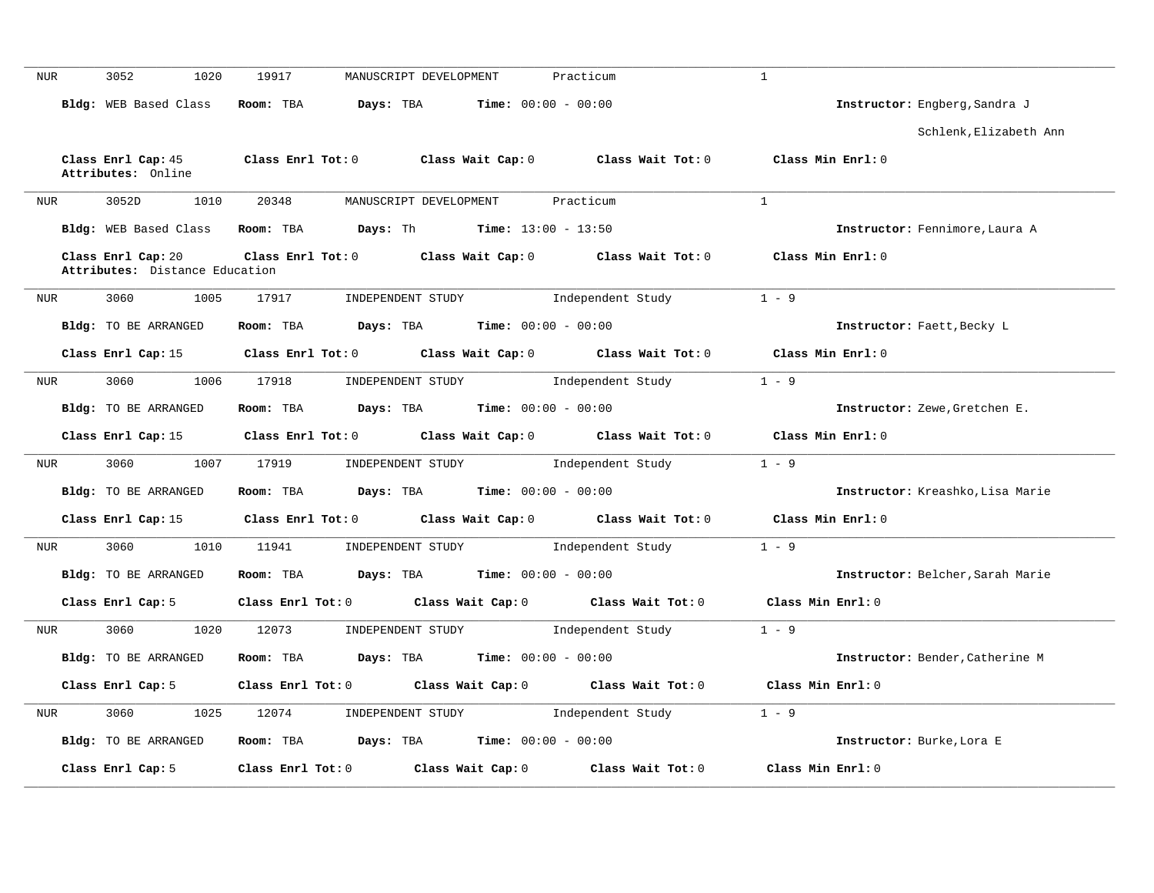| <b>NUR</b> | 3052<br>1020                                         | 19917                   | MANUSCRIPT DEVELOPMENT | Practicum                           | $\mathbf{1}$                     |
|------------|------------------------------------------------------|-------------------------|------------------------|-------------------------------------|----------------------------------|
|            | Bldg: WEB Based Class                                | Room: TBA               | Days: TBA              | Time: $00:00 - 00:00$               | Instructor: Engberg, Sandra J    |
|            |                                                      |                         |                        |                                     | Schlenk, Elizabeth Ann           |
|            | Class Enrl Cap: 45<br>Attributes: Online             | $Class$ $Enr1$ $Tot: 0$ |                        | Class Wait Cap: 0 Class Wait Tot: 0 | Class Min Enrl: 0                |
| <b>NUR</b> | 3052D<br>1010                                        | 20348                   | MANUSCRIPT DEVELOPMENT | Practicum                           | $\mathbf{1}$                     |
|            | Bldg: WEB Based Class                                | Room: TBA               | Days: Th               | <b>Time:</b> $13:00 - 13:50$        | Instructor: Fennimore, Laura A   |
|            | Class Enrl Cap: 20<br>Attributes: Distance Education | $Class$ $Enr1$ $Tot: 0$ | Class Wait Cap: 0      | Class Wait Tot: 0                   | Class Min Enrl: 0                |
| NUR        | 3060<br>1005                                         | 17917                   | INDEPENDENT STUDY      | Independent Study                   | $1 - 9$                          |
|            | Bldg: TO BE ARRANGED                                 | Room: TBA               | Days: TBA              | <b>Time:</b> $00:00 - 00:00$        | Instructor: Faett, Becky L       |
|            | Class Enrl Cap: 15                                   | $Class$ $Enrl$ $Tot: 0$ | Class Wait Cap: 0      | Class Wait Tot: 0                   | Class Min Enrl: 0                |
| NUR        | 3060<br>1006                                         | 17918                   | INDEPENDENT STUDY      | Independent Study                   | $1 - 9$                          |
|            | Bldg: TO BE ARRANGED                                 | Room: TBA               | Days: TBA              | <b>Time:</b> $00:00 - 00:00$        | Instructor: Zewe, Gretchen E.    |
|            | Class Enrl Cap: 15                                   | Class Enrl Tot: 0       | Class Wait Cap: 0      | Class Wait Tot: 0                   | Class Min Enrl: 0                |
| <b>NUR</b> | 3060<br>1007                                         | 17919                   | INDEPENDENT STUDY      | Independent Study                   | $1 - 9$                          |
|            | <b>Bldg:</b> TO BE ARRANGED                          | Room: TBA               | Days: TBA              | <b>Time:</b> $00:00 - 00:00$        | Instructor: Kreashko, Lisa Marie |
|            | Class Enrl Cap: 15                                   | Class Enrl Tot: 0       | Class Wait Cap: 0      | Class Wait Tot: 0                   | Class Min Enrl: 0                |
| <b>NUR</b> | 3060<br>1010                                         | 11941                   | INDEPENDENT STUDY      | Independent Study                   | $1 - 9$                          |
|            | <b>Bldg:</b> TO BE ARRANGED                          | Room: TBA               | Days: TBA              | <b>Time:</b> $00:00 - 00:00$        | Instructor: Belcher, Sarah Marie |
|            | Class Enrl Cap: 5                                    | Class Enrl Tot: 0       | Class Wait Cap: 0      | Class Wait Tot: 0                   | Class Min Enrl: 0                |
|            | 3060<br>1020                                         | 12073                   | INDEPENDENT STUDY      | Independent Study                   | $1 - 9$                          |
| <b>NUR</b> |                                                      |                         |                        |                                     |                                  |
|            | <b>Bldg:</b> TO BE ARRANGED                          | Room: TBA               | Days: TBA              | <b>Time:</b> $00:00 - 00:00$        | Instructor: Bender, Catherine M  |
|            | Class Enrl Cap: 5                                    | $Class$ $Enr1$ $Tot: 0$ | Class Wait Cap: 0      | Class Wait Tot: 0                   | Class Min Enrl: 0                |
| <b>NUR</b> | 3060<br>1025                                         | 12074                   | INDEPENDENT STUDY      | Independent Study                   | $1 - 9$                          |
|            | Bldg: TO BE ARRANGED                                 | Room: TBA               | Days: TBA              | <b>Time:</b> $00:00 - 00:00$        | Instructor: Burke, Lora E        |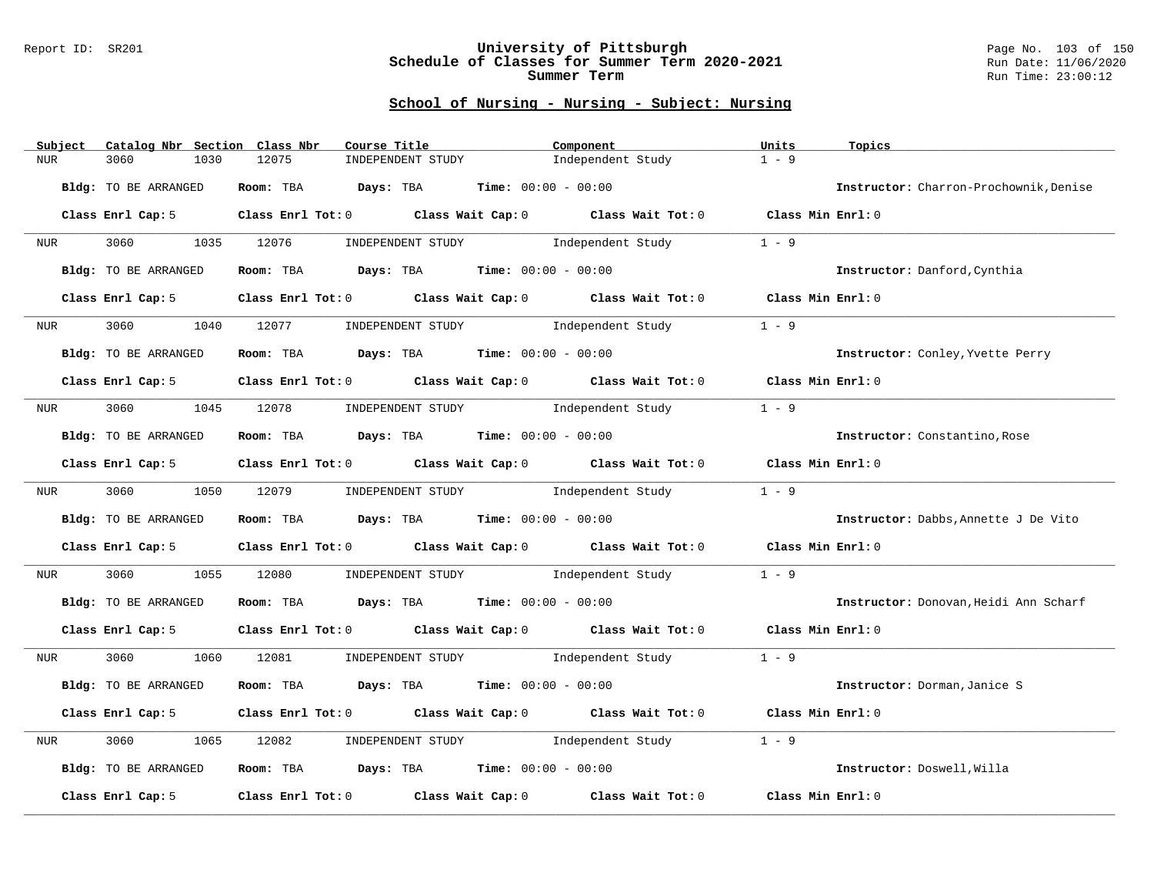#### Report ID: SR201 **University of Pittsburgh** Page No. 103 of 150 **Schedule of Classes for Summer Term 2020-2021** Run Date: 11/06/2020 **Summer Term** Run Time: 23:00:12

| Subject          | Catalog Nbr Section Class Nbr | Course Title                                                                          |                                               | Component                                                                       | Units             | Topics                                 |
|------------------|-------------------------------|---------------------------------------------------------------------------------------|-----------------------------------------------|---------------------------------------------------------------------------------|-------------------|----------------------------------------|
| <b>NUR</b>       | 3060<br>1030                  | 12075                                                                                 | INDEPENDENT STUDY                             | Independent Study                                                               | $1 - 9$           |                                        |
|                  | Bldg: TO BE ARRANGED          | Room: TBA                                                                             | <b>Days:</b> TBA <b>Time:</b> $00:00 - 00:00$ |                                                                                 |                   | Instructor: Charron-Prochownik, Denise |
|                  | Class Enrl Cap: 5             |                                                                                       |                                               | Class Enrl Tot: $0$ Class Wait Cap: $0$ Class Wait Tot: $0$ Class Min Enrl: $0$ |                   |                                        |
| NUR <sub>p</sub> | 3060 000                      | 1035 12076                                                                            | INDEPENDENT STUDY 1ndependent Study           |                                                                                 | $1 - 9$           |                                        |
|                  | Bldg: TO BE ARRANGED          | Room: TBA $Days: TBA$ Time: $00:00 - 00:00$                                           |                                               |                                                                                 |                   | Instructor: Danford, Cynthia           |
|                  | Class Enrl Cap: 5             | Class Enrl Tot: 0 Class Wait Cap: 0 Class Wait Tot: 0                                 |                                               |                                                                                 | Class Min Enrl: 0 |                                        |
| NUR <sub>p</sub> | 3060<br>1040                  | 12077                                                                                 | INDEPENDENT STUDY 1ndependent Study           |                                                                                 | $1 - 9$           |                                        |
|                  | Bldg: TO BE ARRANGED          | Room: TBA $\rule{1em}{0.15mm}$ Days: TBA $\rule{1.5mm}{0.15mm}$ Time: $00:00 - 00:00$ |                                               |                                                                                 |                   | Instructor: Conley, Yvette Perry       |
|                  | Class Enrl Cap: 5             |                                                                                       |                                               | Class Enrl Tot: 0 Class Wait Cap: 0 Class Wait Tot: 0 Class Min Enrl: 0         |                   |                                        |
| NUR <sub>e</sub> |                               | 3060 1045 12078 INDEPENDENT STUDY Independent Study                                   |                                               |                                                                                 | $1 - 9$           |                                        |
|                  | <b>Bldg:</b> TO BE ARRANGED   | Room: TBA $\rule{1em}{0.15mm}$ Days: TBA Time: $00:00 - 00:00$                        |                                               |                                                                                 |                   | Instructor: Constantino, Rose          |
|                  | Class Enrl Cap: 5             | Class Enrl Tot: $0$ Class Wait Cap: $0$ Class Wait Tot: $0$                           |                                               |                                                                                 | Class Min Enrl: 0 |                                        |
| NUR <sub>e</sub> | 3060                          | 1050 12079                                                                            | INDEPENDENT STUDY 1ndependent Study           |                                                                                 | $1 - 9$           |                                        |
|                  | Bldg: TO BE ARRANGED          | <b>Room:</b> TBA $Days: TBA$ <b>Time:</b> $00:00 - 00:00$                             |                                               |                                                                                 |                   | Instructor: Dabbs, Annette J De Vito   |
|                  | Class Enrl Cap: 5             | Class Enrl Tot: 0 Class Wait Cap: 0 Class Wait Tot: 0                                 |                                               |                                                                                 | Class Min Enrl: 0 |                                        |
| NUR              | 3060<br>1055                  | 12080                                                                                 |                                               | INDEPENDENT STUDY 1ndependent Study                                             | $1 - 9$           |                                        |
|                  | Bldg: TO BE ARRANGED          | Room: TBA $Days:$ TBA $Time: 00:00 - 00:00$                                           |                                               |                                                                                 |                   | Instructor: Donovan, Heidi Ann Scharf  |
|                  | Class Enrl Cap: 5             |                                                                                       |                                               | Class Enrl Tot: 0 Class Wait Cap: 0 Class Wait Tot: 0 Class Min Enrl: 0         |                   |                                        |
| NUR              | 3060<br>1060                  | 12081                                                                                 |                                               | INDEPENDENT STUDY 1ndependent Study                                             | $1 - 9$           |                                        |
|                  | Bldg: TO BE ARRANGED          | <b>Room:</b> TBA $Days: TBA$ <b>Time:</b> $00:00 - 00:00$                             |                                               |                                                                                 |                   | Instructor: Dorman, Janice S           |
|                  | Class Enrl Cap: 5             | Class Enrl Tot: 0 Class Wait Cap: 0 Class Wait Tot: 0                                 |                                               |                                                                                 | Class Min Enrl: 0 |                                        |
| NUR              | 3060<br>1065                  | 12082                                                                                 | INDEPENDENT STUDY                             | Independent Study                                                               | $1 - 9$           |                                        |
|                  | Bldg: TO BE ARRANGED          | Room: TBA $Days:$ TBA $Time: 00:00 - 00:00$                                           |                                               |                                                                                 |                   | Instructor: Doswell, Willa             |
|                  | Class Enrl Cap: 5             | Class Enrl Tot: 0 Class Wait Cap: 0                                                   |                                               | Class Wait Tot: 0                                                               | Class Min Enrl: 0 |                                        |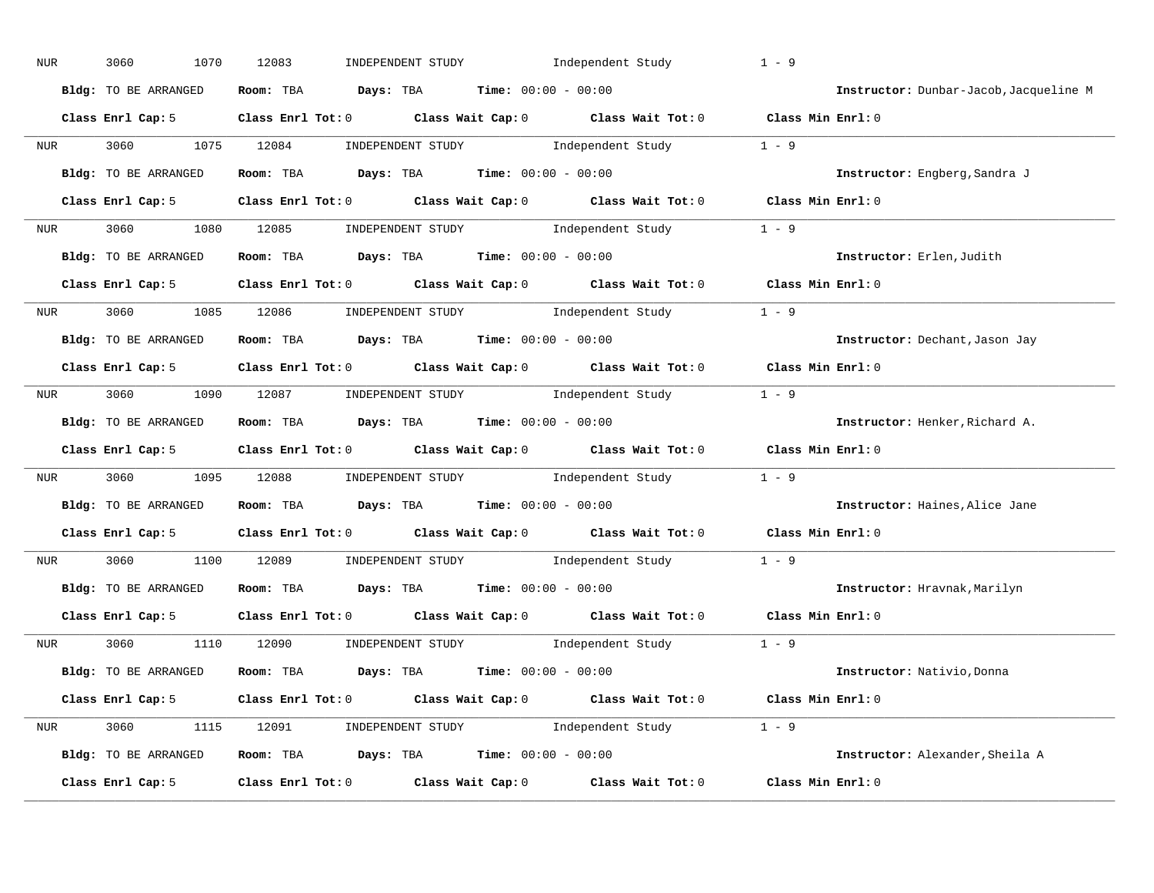| NUR              | 3060<br>1070         | 12083<br>INDEPENDENT STUDY                                                                         | Independent Study | $1 - 9$                                |
|------------------|----------------------|----------------------------------------------------------------------------------------------------|-------------------|----------------------------------------|
|                  | Bldg: TO BE ARRANGED | <b>Days:</b> TBA <b>Time:</b> $00:00 - 00:00$<br>Room: TBA                                         |                   | Instructor: Dunbar-Jacob, Jacqueline M |
|                  | Class Enrl Cap: 5    | Class Enrl Tot: 0 Class Wait Cap: 0 Class Wait Tot: 0 Class Min Enrl: 0                            |                   |                                        |
| NUR              | 3060                 | 1075 12084<br>INDEPENDENT STUDY 1ndependent Study                                                  |                   | $1 - 9$                                |
|                  | Bldg: TO BE ARRANGED | $Days: TBA$ $Time: 00:00 - 00:00$<br>Room: TBA                                                     |                   | Instructor: Engberg, Sandra J          |
|                  | Class Enrl Cap: 5    | Class Enrl Tot: $0$ Class Wait Cap: $0$ Class Wait Tot: $0$                                        |                   | Class Min Enrl: 0                      |
| NUR              | 3060<br>1080         | 12085<br>INDEPENDENT STUDY 1 - 9                                                                   |                   |                                        |
|                  | Bldg: TO BE ARRANGED | Room: TBA $Days: TBA$ Time: $00:00 - 00:00$                                                        |                   | Instructor: Erlen, Judith              |
|                  | Class Enrl Cap: 5    | Class Enrl Tot: 0 Class Wait Cap: 0 Class Wait Tot: 0                                              |                   | Class Min $Enrl: 0$                    |
| NUR <sub>p</sub> | 3060                 | INDEPENDENT STUDY 1ndependent Study<br>1085 12086                                                  |                   | $1 - 9$                                |
|                  | Bldg: TO BE ARRANGED | <b>Days:</b> TBA <b>Time:</b> $00:00 - 00:00$<br>Room: TBA                                         |                   | Instructor: Dechant, Jason Jay         |
|                  | Class Enrl Cap: 5    | Class Enrl Tot: 0 Class Wait Cap: 0 Class Wait Tot: 0                                              |                   | Class Min Enrl: 0                      |
|                  | NUR 3060 1090 12087  | INDEPENDENT STUDY 1 - 9                                                                            |                   |                                        |
|                  | Bldg: TO BE ARRANGED | $\texttt{Days:}$ TBA $\texttt{Time:}$ 00:00 - 00:00<br>Room: TBA                                   |                   | Instructor: Henker, Richard A.         |
|                  | Class Enrl Cap: 5    | Class Enrl Tot: 0 Class Wait Cap: 0 Class Wait Tot: 0                                              |                   | Class Min Enrl: 0                      |
| NUR              | 3060<br>1095         | 12088<br>INDEPENDENT STUDY Independent Study                                                       |                   | $1 - 9$                                |
|                  | Bldg: TO BE ARRANGED | <b>Days:</b> TBA <b>Time:</b> $00:00 - 00:00$<br>Room: TBA                                         |                   | Instructor: Haines, Alice Jane         |
|                  | Class Enrl Cap: 5    | Class Enrl Tot: 0 Class Wait Cap: 0 Class Wait Tot: 0                                              |                   | Class Min Enrl: 0                      |
| NUR              | 3060<br>1100         | INDEPENDENT STUDY<br>12089                                                                         | Independent Study | $1 - 9$                                |
|                  | Bldg: TO BE ARRANGED | Room: TBA $\rule{1em}{0.15mm}$ Days: TBA $\rule{1em}{0.15mm}$ Time: $00:00 - 00:00$                |                   | Instructor: Hravnak, Marilyn           |
|                  | Class Enrl Cap: 5    | Class Enrl Tot: 0 Class Wait Cap: 0 Class Wait Tot: 0                                              |                   | Class Min Enrl: 0                      |
| NUR              | 3060<br>1110         | 12090<br>INDEPENDENT STUDY 1ndependent Study                                                       |                   | $1 - 9$                                |
|                  | Bldg: TO BE ARRANGED | Room: TBA $Days:$ TBA $Time:$ $00:00 - 00:00$                                                      |                   | Instructor: Nativio, Donna             |
|                  | Class Enrl Cap: 5    | Class Enrl Tot: 0 $\qquad$ Class Wait Cap: 0 $\qquad$ Class Wait Tot: 0 $\qquad$ Class Min Enrl: 0 |                   |                                        |
| NUR              | 3060                 | INDEPENDENT STUDY 1 - 9<br>1115 12091                                                              |                   |                                        |
|                  | Bldg: TO BE ARRANGED | Room: TBA $Days:$ TBA $Time: 00:00 - 00:00$                                                        |                   | Instructor: Alexander, Sheila A        |
|                  | Class Enrl Cap: 5    | Class Wait Cap: 0<br>Class Enrl Tot: 0                                                             | Class Wait Tot: 0 | Class Min Enrl: 0                      |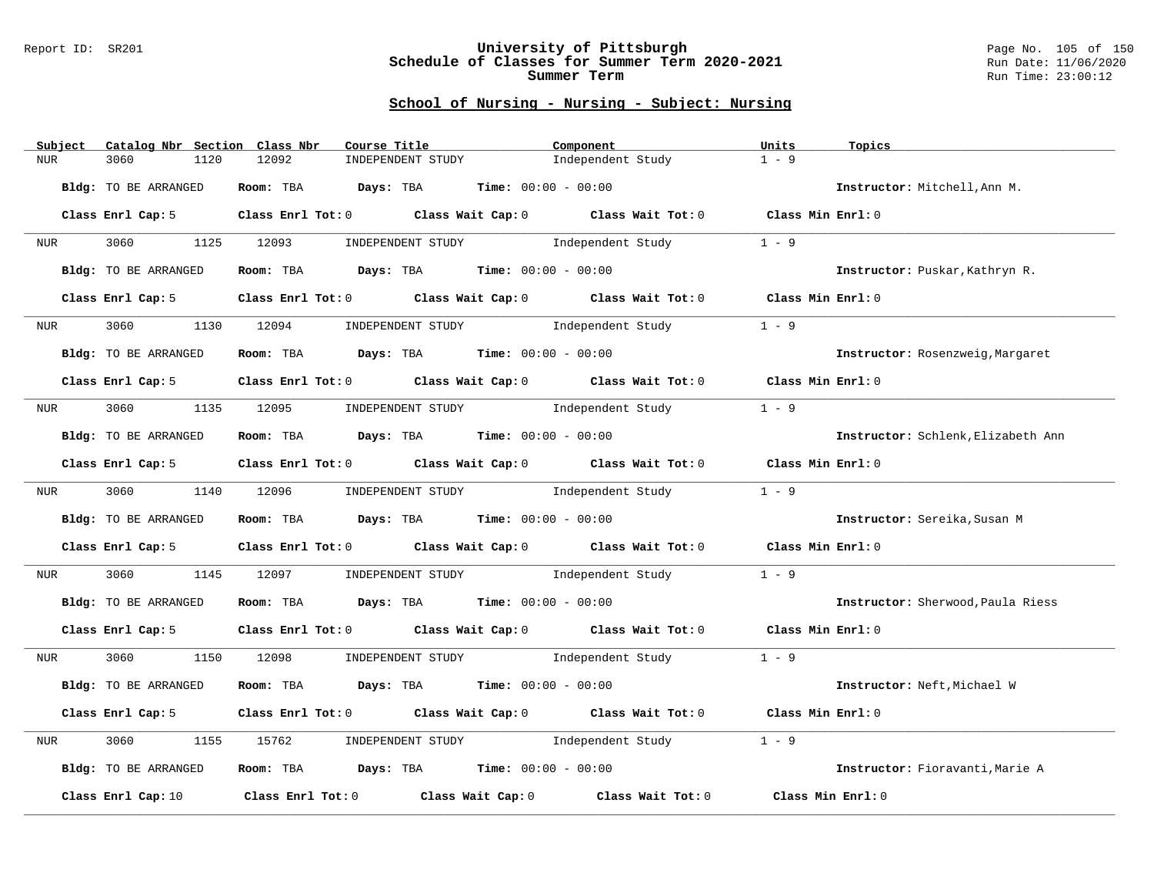#### Report ID: SR201 **University of Pittsburgh** Page No. 105 of 150 **Schedule of Classes for Summer Term 2020-2021** Run Date: 11/06/2020 **Summer Term** Run Time: 23:00:12

| Subject          | Catalog Nbr Section Class Nbr | Course Title                                                                          |                                               | Component                           | Units             | Topics                             |
|------------------|-------------------------------|---------------------------------------------------------------------------------------|-----------------------------------------------|-------------------------------------|-------------------|------------------------------------|
| <b>NUR</b>       | 3060<br>1120                  | 12092<br>INDEPENDENT STUDY                                                            |                                               | Independent Study                   | $1 - 9$           |                                    |
|                  | Bldg: TO BE ARRANGED          | Room: TBA                                                                             | <b>Days:</b> TBA <b>Time:</b> $00:00 - 00:00$ |                                     |                   | Instructor: Mitchell, Ann M.       |
|                  | Class Enrl Cap: 5             | Class Enrl Tot: 0 Class Wait Cap: 0 Class Wait Tot: 0 Class Min Enrl: 0               |                                               |                                     |                   |                                    |
| NUR              | 3060                          | 1125 12093                                                                            | INDEPENDENT STUDY Independent Study           |                                     | $1 - 9$           |                                    |
|                  | Bldg: TO BE ARRANGED          | Room: TBA $Days: TBA$ Time: $00:00 - 00:00$                                           |                                               |                                     |                   | Instructor: Puskar, Kathryn R.     |
|                  | Class Enrl Cap: 5             | Class Enrl Tot: 0 Class Wait Cap: 0 Class Wait Tot: 0                                 |                                               |                                     | Class Min Enrl: 0 |                                    |
| NUR <sub>u</sub> | 3060<br>1130                  | 12094                                                                                 | INDEPENDENT STUDY 1ndependent Study           |                                     | $1 - 9$           |                                    |
|                  | <b>Bldg:</b> TO BE ARRANGED   | Room: TBA $\rule{1em}{0.15mm}$ Days: TBA $\rule{1.5mm}{0.15mm}$ Time: $00:00 - 00:00$ |                                               |                                     |                   | Instructor: Rosenzweig, Margaret   |
|                  | Class Enrl Cap: 5             | Class Enrl Tot: 0 Class Wait Cap: 0 Class Wait Tot: 0 Class Min Enrl: 0               |                                               |                                     |                   |                                    |
| NUR <b>NUR</b>   | 3060 000                      | 1135 12095 INDEPENDENT STUDY Independent Study                                        |                                               |                                     | $1 - 9$           |                                    |
|                  | <b>Bldg:</b> TO BE ARRANGED   | Room: TBA $Days:$ TBA $Time: 00:00 - 00:00$                                           |                                               |                                     |                   | Instructor: Schlenk, Elizabeth Ann |
|                  | Class Enrl Cap: 5             | Class Enrl Tot: 0 Class Wait Cap: 0 Class Wait Tot: 0                                 |                                               |                                     | Class Min Enrl: 0 |                                    |
| NUR <sub>u</sub> | 3060                          | 1140 12096                                                                            | INDEPENDENT STUDY 1ndependent Study           |                                     | $1 - 9$           |                                    |
|                  | Bldg: TO BE ARRANGED          | Room: TBA $Days: TBA$ Time: $00:00 - 00:00$                                           |                                               |                                     |                   | Instructor: Sereika, Susan M       |
|                  | Class Enrl Cap: 5             | Class Enrl Tot: $0$ Class Wait Cap: $0$ Class Wait Tot: $0$                           |                                               |                                     | Class Min Enrl: 0 |                                    |
| NUR              | 3060                          | 1145 12097                                                                            |                                               | INDEPENDENT STUDY 1ndependent Study | $1 - 9$           |                                    |
|                  | Bldg: TO BE ARRANGED          | Room: TBA $Days: TBA$ Time: $00:00 - 00:00$                                           |                                               |                                     |                   | Instructor: Sherwood, Paula Riess  |
|                  | Class Enrl Cap: 5             | Class Enrl Tot: 0 Class Wait Cap: 0 Class Wait Tot: 0 Class Min Enrl: 0               |                                               |                                     |                   |                                    |
| NUR              | 3060                          | 1150 12098                                                                            |                                               | INDEPENDENT STUDY 1ndependent Study | $1 - 9$           |                                    |
|                  | Bldg: TO BE ARRANGED          | Room: TBA $Days:$ TBA $Time: 00:00 - 00:00$                                           |                                               |                                     |                   | Instructor: Neft, Michael W        |
|                  | Class Enrl Cap: 5             | Class Enrl Tot: 0 Class Wait Cap: 0 Class Wait Tot: 0                                 |                                               |                                     | Class Min Enrl: 0 |                                    |
| NUR              | 3060<br>1155                  | 15762                                                                                 | INDEPENDENT STUDY 1ndependent Study           |                                     | $1 - 9$           |                                    |
|                  | Bldg: TO BE ARRANGED          | Room: TBA $Days:$ TBA $Time: 00:00 - 00:00$                                           |                                               |                                     |                   | Instructor: Fioravanti, Marie A    |
|                  | Class Enrl Cap: 10            | Class Enrl Tot: $0$ Class Wait Cap: $0$ Class Wait Tot: $0$                           |                                               |                                     | Class Min Enrl: 0 |                                    |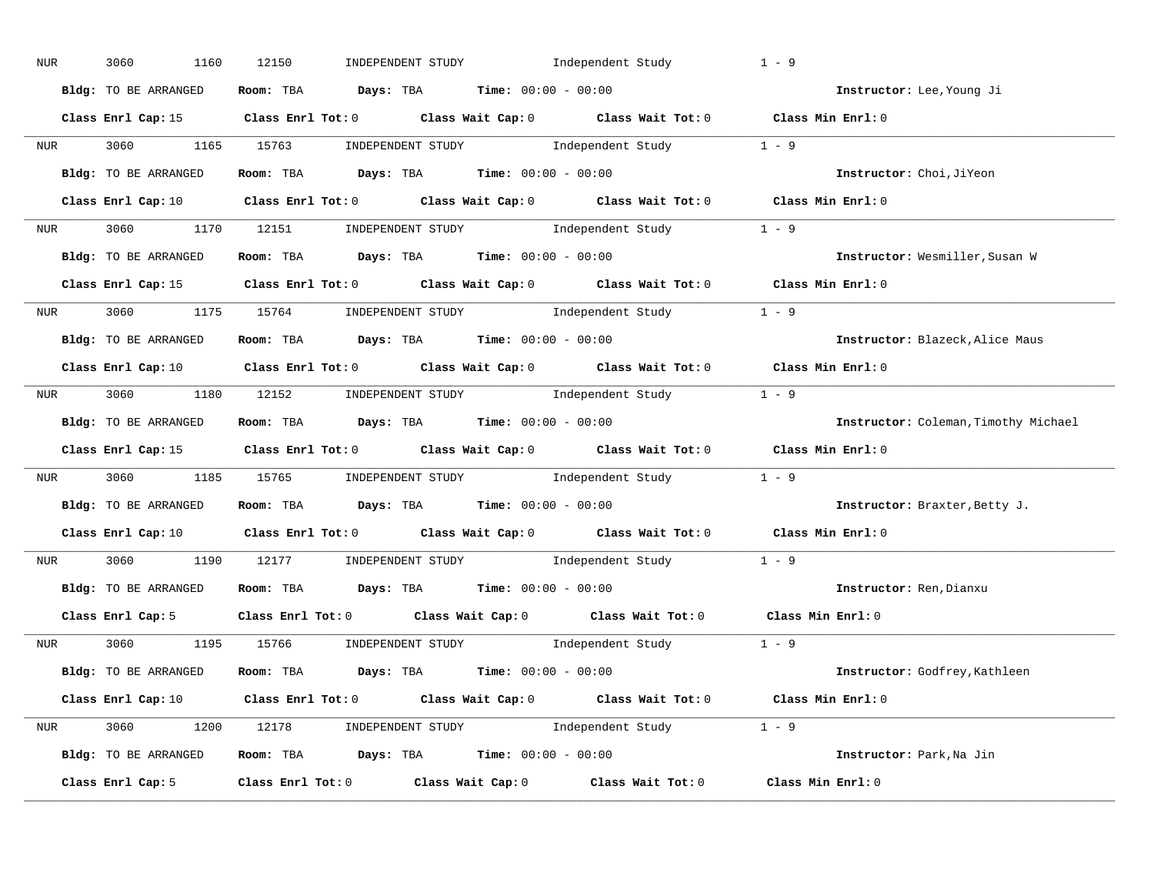| NUR        | 3060<br>1160         | INDEPENDENT STUDY 1ndependent Study<br>12150                                                                                   | $1 - 9$                              |
|------------|----------------------|--------------------------------------------------------------------------------------------------------------------------------|--------------------------------------|
|            | Bldg: TO BE ARRANGED | Room: TBA $Days:$ TBA $Time: 00:00 - 00:00$                                                                                    | Instructor: Lee, Young Ji            |
|            |                      | Class Enrl Cap: 15 (Class Enrl Tot: 0 (Class Wait Cap: 0 (Class Wait Tot: 0 (Class Min Enrl: 0)                                |                                      |
|            |                      | NUR 3060 1165 15763 INDEPENDENT STUDY Independent Study 1 - 9                                                                  |                                      |
|            | Bldg: TO BE ARRANGED | Room: TBA $Days:$ TBA $Time: 00:00 - 00:00$                                                                                    | Instructor: Choi, JiYeon             |
|            |                      | Class Enrl Cap: 10 $\qquad$ Class Enrl Tot: 0 $\qquad$ Class Wait Cap: 0 $\qquad$ Class Wait Tot: 0 $\qquad$ Class Min Enrl: 0 |                                      |
|            |                      | NUR 3060 1170 12151 INDEPENDENT STUDY Independent Study 1 - 9                                                                  |                                      |
|            |                      | <b>Bldg:</b> TO BE ARRANGED <b>ROOM:</b> TBA <b>Days:</b> TBA <b>Time:</b> $00:00 - 00:00$                                     | Instructor: Wesmiller, Susan W       |
|            |                      | Class Enrl Cap: 15 Class Enrl Tot: 0 Class Wait Cap: 0 Class Wait Tot: 0 Class Min Enrl: 0                                     |                                      |
|            |                      | NUR 3060 1175 15764 INDEPENDENT STUDY Independent Study 1 - 9                                                                  |                                      |
|            | Bldg: TO BE ARRANGED | Room: TBA $Days:$ TBA $Time: 00:00 - 00:00$                                                                                    | Instructor: Blazeck, Alice Maus      |
|            |                      | Class Enrl Cap: 10 $\qquad$ Class Enrl Tot: 0 $\qquad$ Class Wait Cap: 0 $\qquad$ Class Wait Tot: 0 $\qquad$ Class Min Enrl: 0 |                                      |
|            |                      | NUR 3060 1180 12152 INDEPENDENT STUDY Independent Study 1 - 9                                                                  |                                      |
|            | Bldg: TO BE ARRANGED | Room: TBA $Days:$ TBA $Time:$ $00:00 - 00:00$                                                                                  | Instructor: Coleman, Timothy Michael |
|            |                      | Class Enrl Cap: 15 (Class Enrl Tot: 0 (Class Wait Cap: 0 (Class Wait Tot: 0 (Class Min Enrl: 0)                                |                                      |
|            |                      | NUR 3060 1185 15765 INDEPENDENT STUDY Independent Study 1 - 9                                                                  |                                      |
|            | Bldg: TO BE ARRANGED | Room: TBA $Days$ : TBA Time: $00:00 - 00:00$                                                                                   | Instructor: Braxter, Betty J.        |
|            |                      | Class Enrl Cap: 10 $\qquad$ Class Enrl Tot: 0 $\qquad$ Class Wait Cap: 0 $\qquad$ Class Wait Tot: 0 $\qquad$ Class Min Enrl: 0 |                                      |
| <b>NUR</b> |                      | 3060 1190 12177 INDEPENDENT STUDY Independent Study                                                                            | $1 - 9$                              |
|            | Bldg: TO BE ARRANGED | Room: TBA $Days:$ TBA $Time: 00:00 - 00:00$                                                                                    | Instructor: Ren, Dianxu              |
|            |                      | Class Enrl Cap: 5 $\qquad$ Class Enrl Tot: 0 $\qquad$ Class Wait Cap: 0 $\qquad$ Class Wait Tot: 0                             | Class Min Enrl: 0                    |
|            |                      | NUR 3060 1195 15766 INDEPENDENT STUDY Independent Study 1 - 9                                                                  |                                      |
|            | Bldg: TO BE ARRANGED | Room: TBA $\rule{1em}{0.15mm}$ Days: TBA Time: $00:00 - 00:00$                                                                 | <b>Instructor:</b> Godfrey, Kathleen |
|            |                      | Class Enrl Cap: 10 $\qquad$ Class Enrl Tot: 0 $\qquad$ Class Wait Cap: 0 $\qquad$ Class Wait Tot: 0 $\qquad$ Class Min Enrl: 0 |                                      |
|            |                      | NUR 3060 1200 12178 INDEPENDENT STUDY Independent Study 1 - 9                                                                  |                                      |
|            |                      | Bldg: TO BE ARRANGED Room: TBA Days: TBA Time: 00:00 - 00:00                                                                   | Instructor: Park, Na Jin             |
|            | Class Enrl Cap: 5    | Class Enrl Tot: $0$ Class Wait Cap: $0$ Class Wait Tot: $0$                                                                    | Class Min Enrl: 0                    |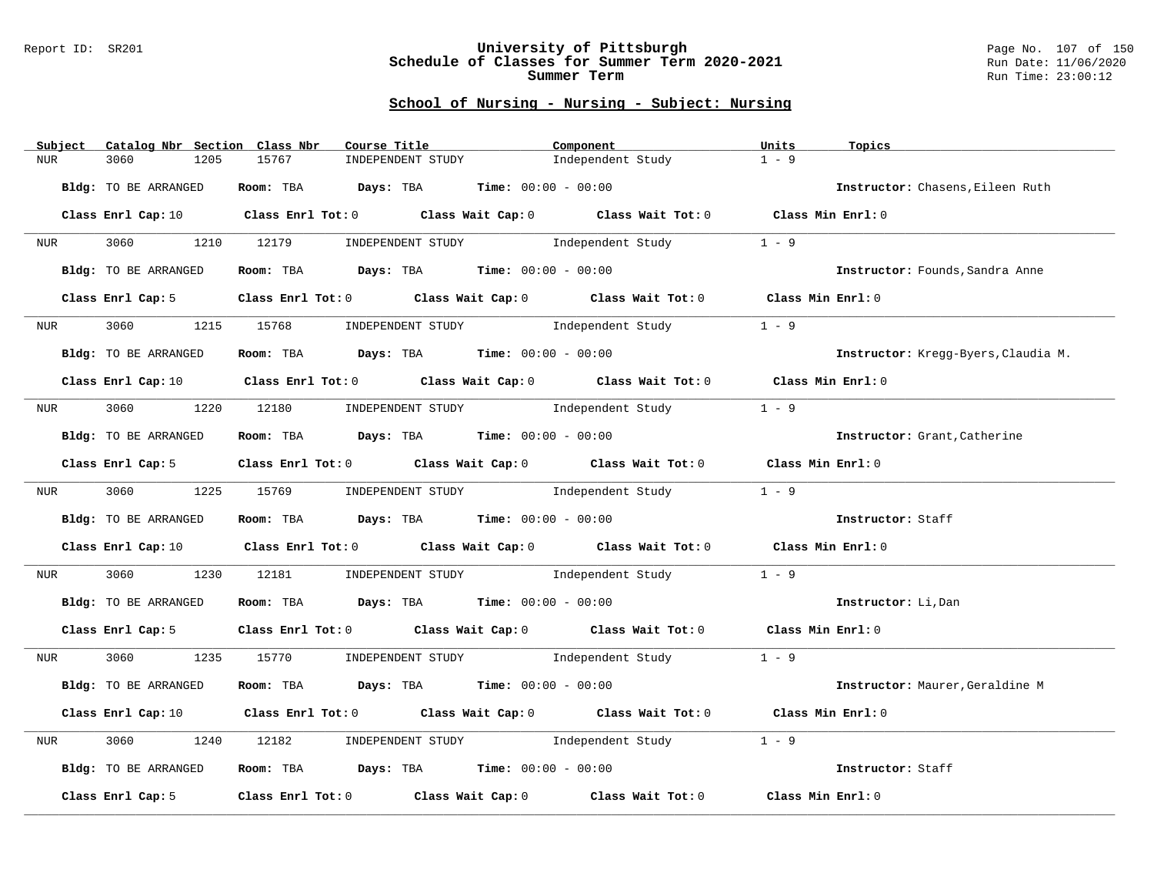#### Report ID: SR201 **University of Pittsburgh** Page No. 107 of 150 **Schedule of Classes for Summer Term 2020-2021** Run Date: 11/06/2020 **Summer Term** Run Time: 23:00:12

| Subject            | Catalog Nbr Section Class Nbr | Course Title                                                                          |                   | Component                                                                                                                      | Units             | Topics                              |
|--------------------|-------------------------------|---------------------------------------------------------------------------------------|-------------------|--------------------------------------------------------------------------------------------------------------------------------|-------------------|-------------------------------------|
| <b>NUR</b><br>3060 | 1205                          | 15767                                                                                 | INDEPENDENT STUDY | Independent Study                                                                                                              | $1 - 9$           |                                     |
|                    | Bldg: TO BE ARRANGED          | Room: TBA $\rule{1em}{0.15mm}$ Days: TBA Time: $00:00 - 00:00$                        |                   |                                                                                                                                |                   | Instructor: Chasens, Eileen Ruth    |
|                    |                               |                                                                                       |                   | Class Enrl Cap: 10 $\qquad$ Class Enrl Tot: 0 $\qquad$ Class Wait Cap: 0 $\qquad$ Class Wait Tot: 0 $\qquad$ Class Min Enrl: 0 |                   |                                     |
| NUR <sub>i</sub>   |                               | 3060 1210 12179                                                                       |                   | INDEPENDENT STUDY 1 - 9                                                                                                        |                   |                                     |
|                    | Bldg: TO BE ARRANGED          | Room: TBA $Days:$ TBA Time: $00:00 - 00:00$                                           |                   |                                                                                                                                |                   | Instructor: Founds, Sandra Anne     |
|                    | Class Enrl Cap: 5             |                                                                                       |                   | Class Enrl Tot: 0 Class Wait Cap: 0 Class Wait Tot: 0                                                                          | Class Min Enrl: 0 |                                     |
| <b>NUR</b>         | 3060 000                      |                                                                                       |                   | 1215 15768 INDEPENDENT STUDY Independent Study                                                                                 | $1 - 9$           |                                     |
|                    | Bldg: TO BE ARRANGED          | Room: TBA $Days:$ TBA $Time: 00:00 - 00:00$                                           |                   |                                                                                                                                |                   | Instructor: Kregg-Byers, Claudia M. |
|                    |                               |                                                                                       |                   | Class Enrl Cap: 10 Class Enrl Tot: 0 Class Wait Cap: 0 Class Wait Tot: 0 Class Min Enrl: 0                                     |                   |                                     |
|                    |                               |                                                                                       |                   | NUR 3060 1220 12180 INDEPENDENT STUDY Independent Study                                                                        | $1 - 9$           |                                     |
|                    | Bldg: TO BE ARRANGED          | Room: TBA $Days:$ TBA Time: $00:00 - 00:00$                                           |                   |                                                                                                                                |                   | Instructor: Grant, Catherine        |
|                    |                               |                                                                                       |                   | Class Enrl Cap: 5 Class Enrl Tot: 0 Class Wait Cap: 0 Class Wait Tot: 0 Class Min Enrl: 0                                      |                   |                                     |
|                    |                               | NUR 3060 1225 15769 INDEPENDENT STUDY Independent Study                               |                   |                                                                                                                                | $1 - 9$           |                                     |
|                    | Bldg: TO BE ARRANGED          | Room: TBA Days: TBA Time: $00:00 - 00:00$                                             |                   |                                                                                                                                |                   | Instructor: Staff                   |
|                    |                               |                                                                                       |                   | Class Enrl Cap: 10 $\qquad$ Class Enrl Tot: 0 $\qquad$ Class Wait Cap: 0 $\qquad$ Class Wait Tot: 0 $\qquad$ Class Min Enrl: 0 |                   |                                     |
|                    |                               |                                                                                       |                   | NUR 3060 1230 12181 INDEPENDENT STUDY Independent Study                                                                        | $1 - 9$           |                                     |
|                    | Bldg: TO BE ARRANGED          | Room: TBA $\rule{1em}{0.15mm}$ Days: TBA $\rule{1.5mm}{0.15mm}$ Time: $00:00 - 00:00$ |                   |                                                                                                                                |                   | Instructor: Li, Dan                 |
|                    | Class Enrl Cap: 5             |                                                                                       |                   | Class Enrl Tot: 0 Class Wait Cap: 0 Class Wait Tot: 0 Class Min Enrl: 0                                                        |                   |                                     |
|                    |                               |                                                                                       |                   | NUR 3060 1235 15770 INDEPENDENT STUDY Independent Study                                                                        | $1 - 9$           |                                     |
|                    | Bldg: TO BE ARRANGED          | Room: TBA $Days: TBA$ Time: $00:00 - 00:00$                                           |                   |                                                                                                                                |                   | Instructor: Maurer, Geraldine M     |
|                    |                               |                                                                                       |                   | Class Enrl Cap: 10 $\qquad$ Class Enrl Tot: 0 $\qquad$ Class Wait Cap: 0 $\qquad$ Class Wait Tot: 0 $\qquad$ Class Min Enrl: 0 |                   |                                     |
| 3060<br>NUR        |                               |                                                                                       |                   | 1240 12182 INDEPENDENT STUDY Independent Study                                                                                 | $1 - 9$           |                                     |
|                    | Bldg: TO BE ARRANGED          | Room: TBA $Days:$ TBA $Time: 00:00 - 00:00$                                           |                   |                                                                                                                                |                   | Instructor: Staff                   |
|                    | Class Enrl Cap: 5             |                                                                                       |                   | Class Enrl Tot: $0$ Class Wait Cap: $0$ Class Wait Tot: $0$                                                                    | Class Min Enrl: 0 |                                     |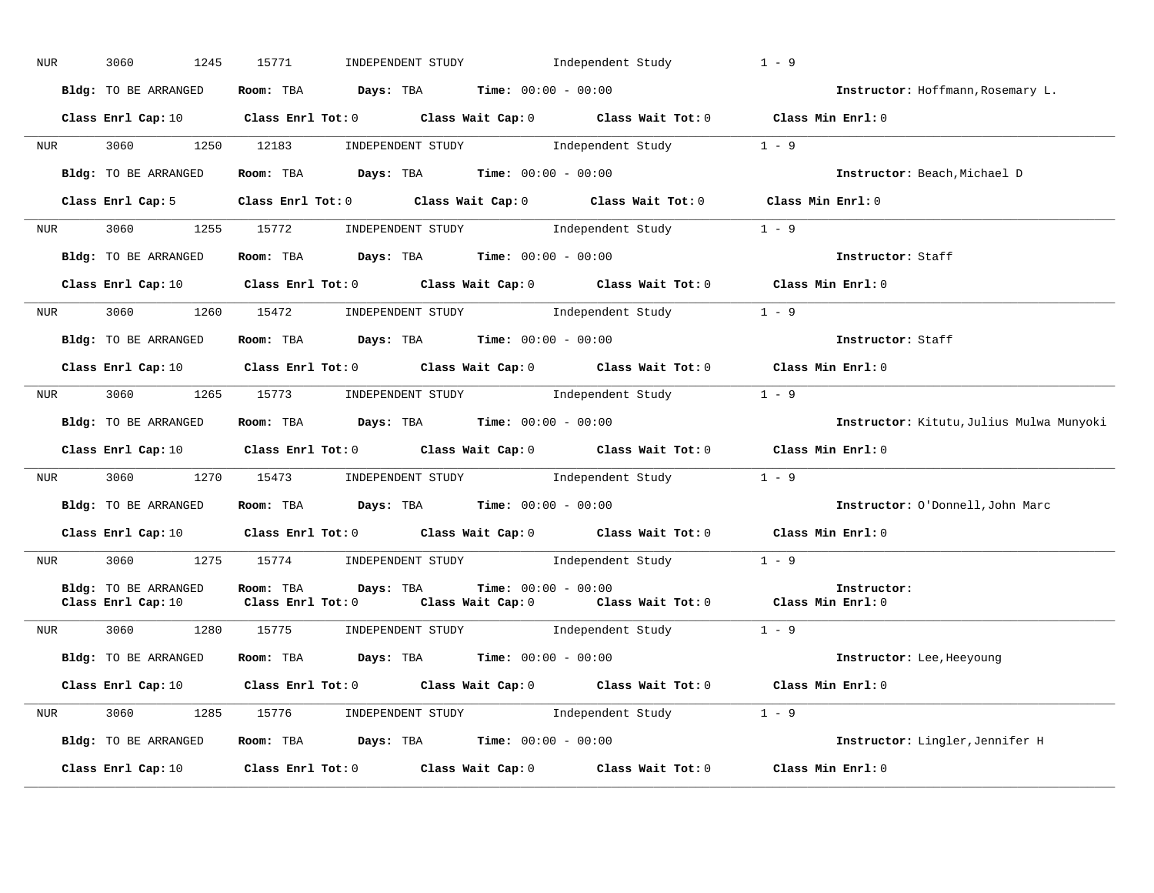| NUR              | 3060<br>1245                               | INDEPENDENT STUDY 1ndependent Study<br>15771                                                                                   | $1 - 9$                                  |
|------------------|--------------------------------------------|--------------------------------------------------------------------------------------------------------------------------------|------------------------------------------|
|                  | Bldg: TO BE ARRANGED                       | Room: TBA $Days:$ TBA $Time: 00:00 - 00:00$                                                                                    | Instructor: Hoffmann, Rosemary L.        |
|                  |                                            | Class Enrl Cap: 10 Class Enrl Tot: 0 Class Wait Cap: 0 Class Wait Tot: 0 Class Min Enrl: 0                                     |                                          |
|                  |                                            | NUR 3060 1250 12183 INDEPENDENT STUDY Independent Study 1 - 9                                                                  |                                          |
|                  |                                            | Bldg: TO BE ARRANGED Room: TBA Days: TBA Time: 00:00 - 00:00                                                                   | Instructor: Beach, Michael D             |
|                  |                                            | Class Enrl Cap: 5 Class Enrl Tot: 0 Class Wait Cap: 0 Class Wait Tot: 0 Class Min Enrl: 0                                      |                                          |
|                  |                                            | NUR 3060 1255 15772 INDEPENDENT STUDY Independent Study 1 - 9                                                                  |                                          |
|                  | Bldg: TO BE ARRANGED                       | Room: TBA $Days:$ TBA $Time:$ 00:00 - 00:00                                                                                    | Instructor: Staff                        |
|                  |                                            | Class Enrl Cap: 10 $\qquad$ Class Enrl Tot: 0 $\qquad$ Class Wait Cap: 0 $\qquad$ Class Wait Tot: 0 $\qquad$ Class Min Enrl: 0 |                                          |
| NUR <sub>e</sub> |                                            | 3060 1260 15472 INDEPENDENT STUDY Independent Study 1 - 9                                                                      |                                          |
|                  | Bldg: TO BE ARRANGED                       | Room: TBA $Days:$ TBA Time: $00:00 - 00:00$                                                                                    | Instructor: Staff                        |
|                  |                                            | Class Enrl Cap: 10 $\qquad$ Class Enrl Tot: 0 $\qquad$ Class Wait Cap: 0 $\qquad$ Class Wait Tot: 0 $\qquad$ Class Min Enrl: 0 |                                          |
| <b>NUR</b>       |                                            | 3060 1265 15773 INDEPENDENT STUDY Independent Study 1 - 9                                                                      |                                          |
|                  | Bldg: TO BE ARRANGED                       | Room: TBA $Days:$ TBA $Time: 00:00 - 00:00$                                                                                    | Instructor: Kitutu, Julius Mulwa Munyoki |
|                  |                                            | Class Enrl Cap: 10 $\qquad$ Class Enrl Tot: 0 $\qquad$ Class Wait Cap: 0 $\qquad$ Class Wait Tot: 0 $\qquad$ Class Min Enrl: 0 |                                          |
|                  |                                            | NUR 3060 1270 15473 INDEPENDENT STUDY Independent Study 1 - 9                                                                  |                                          |
|                  |                                            | Bldg: TO BE ARRANGED Room: TBA Days: TBA Time: 00:00 - 00:00                                                                   | Instructor: O'Donnell, John Marc         |
|                  |                                            | Class Enrl Cap: 10 $\qquad$ Class Enrl Tot: 0 $\qquad$ Class Wait Cap: 0 $\qquad$ Class Wait Tot: 0 $\qquad$ Class Min Enrl: 0 |                                          |
|                  |                                            | NUR 3060 1275 15774 INDEPENDENT STUDY Independent Study 1 - 9                                                                  |                                          |
|                  | Bldg: TO BE ARRANGED<br>Class Enrl Cap: 10 | Room: TBA Days: TBA Time: $00:00 - 00:00$<br>Class Enrl Tot: 0 Class Wait Cap: 0 Class Wait Tot: 0 Class Min Enrl: 0           | Instructor:                              |
| <b>NUR</b>       | 3060                                       | 1280 15775 INDEPENDENT STUDY Independent Study 1 - 9                                                                           |                                          |
|                  | Bldg: TO BE ARRANGED                       | Room: TBA $\rule{1em}{0.15mm}$ Days: TBA Time: $00:00 - 00:00$                                                                 | Instructor: Lee, Heeyoung                |
|                  |                                            | Class Enrl Cap: 10 $\qquad$ Class Enrl Tot: 0 $\qquad$ Class Wait Cap: 0 $\qquad$ Class Wait Tot: 0 $\qquad$ Class Min Enrl: 0 |                                          |
|                  |                                            | NUR 3060 1285 15776 INDEPENDENT STUDY Independent Study 1 - 9                                                                  |                                          |
|                  | Bldg: TO BE ARRANGED                       | Room: TBA $Days:$ TBA $Time: 00:00 - 00:00$                                                                                    | Instructor: Lingler, Jennifer H          |
|                  | Class Enrl Cap: 10                         | Class Enrl Tot: 0 $\qquad$ Class Wait Cap: 0 $\qquad$ Class Wait Tot: 0 $\qquad$ Class Min Enrl: 0                             |                                          |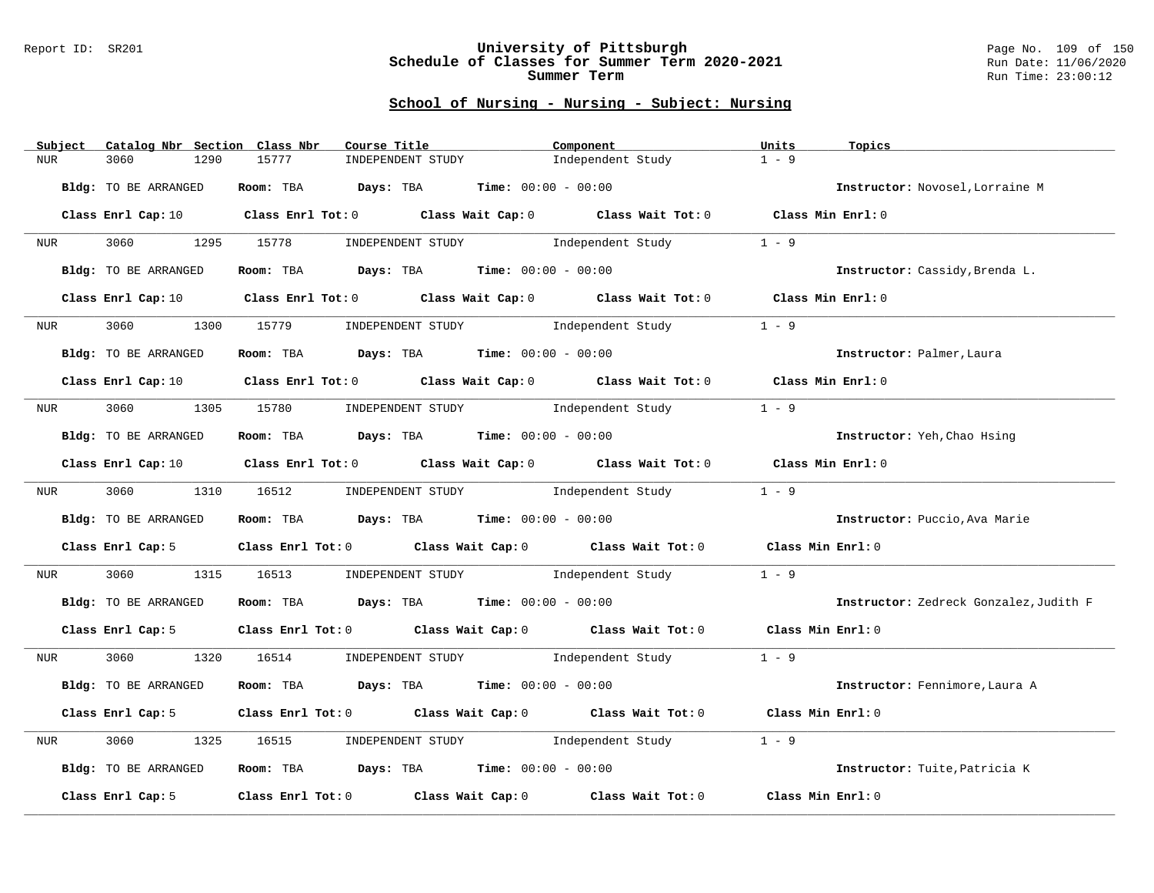### Report ID: SR201 **University of Pittsburgh** Page No. 109 of 150 **Schedule of Classes for Summer Term 2020-2021** Run Date: 11/06/2020 **Summer Term** Run Time: 23:00:12

| Catalog Nbr Section Class Nbr<br>Subject | Course Title                                                                                                                   | Component                           | Units<br>Topics                        |
|------------------------------------------|--------------------------------------------------------------------------------------------------------------------------------|-------------------------------------|----------------------------------------|
| 3060<br>1290<br><b>NUR</b>               | 15777<br>INDEPENDENT STUDY                                                                                                     | Independent Study                   | $1 - 9$                                |
| Bldg: TO BE ARRANGED                     | Room: TBA $Days:$ TBA $Time: 00:00 - 00:00$                                                                                    |                                     | Instructor: Novosel, Lorraine M        |
|                                          | Class Enrl Cap: 10 $\qquad$ Class Enrl Tot: 0 $\qquad$ Class Wait Cap: 0 $\qquad$ Class Wait Tot: 0 $\qquad$ Class Min Enrl: 0 |                                     |                                        |
| 3060 1295 15778<br>NUR <sub>p</sub>      | INDEPENDENT STUDY 1ndependent Study                                                                                            |                                     | $1 - 9$                                |
| Bldg: TO BE ARRANGED                     | Room: TBA $Days:$ TBA $Time: 00:00 - 00:00$                                                                                    |                                     | Instructor: Cassidy, Brenda L.         |
| Class Enrl Cap: 10                       | Class Enrl Tot: 0 Class Wait Cap: 0 Class Wait Tot: 0 Class Min Enrl: 0                                                        |                                     |                                        |
| 3060<br>1300<br><b>NUR</b>               | 15779                                                                                                                          | INDEPENDENT STUDY 1ndependent Study | $1 - 9$                                |
| Bldg: TO BE ARRANGED                     | Room: TBA $Days:$ TBA $Time: 00:00 - 00:00$                                                                                    |                                     | Instructor: Palmer, Laura              |
|                                          | Class Enrl Cap: 10 $\qquad$ Class Enrl Tot: 0 $\qquad$ Class Wait Cap: 0 $\qquad$ Class Wait Tot: 0 $\qquad$ Class Min Enrl: 0 |                                     |                                        |
|                                          | NUR 3060 1305 15780 INDEPENDENT STUDY Independent Study                                                                        |                                     | $1 - 9$                                |
| Bldg: TO BE ARRANGED                     | Room: TBA $\rule{1em}{0.15mm}$ Days: TBA $\rule{1.5mm}{0.15mm}$ Time: $00:00 - 00:00$                                          |                                     | Instructor: Yeh, Chao Hsing            |
|                                          | Class Enrl Cap: 10 $\qquad$ Class Enrl Tot: 0 $\qquad$ Class Wait Cap: 0 $\qquad$ Class Wait Tot: 0 $\qquad$ Class Min Enrl: 0 |                                     |                                        |
| NUR <sub>e</sub>                         | 3060 1310 16512 INDEPENDENT STUDY Independent Study                                                                            |                                     | $1 - 9$                                |
| Bldg: TO BE ARRANGED                     | Room: TBA $Days:$ TBA $Time: 00:00 - 00:00$                                                                                    |                                     | Instructor: Puccio, Ava Marie          |
| Class Enrl Cap: 5                        | Class Enrl Tot: $0$ Class Wait Cap: $0$ Class Wait Tot: $0$                                                                    |                                     | Class Min Enrl: 0                      |
| 3060<br>NUR                              | 1315 16513                                                                                                                     | INDEPENDENT STUDY 1ndependent Study | $1 - 9$                                |
| Bldg: TO BE ARRANGED                     | Room: TBA $Days: TBA$ Time: $00:00 - 00:00$                                                                                    |                                     | Instructor: Zedreck Gonzalez, Judith F |
| Class Enrl Cap: 5                        | Class Enrl Tot: 0 Class Wait Cap: 0 Class Wait Tot: 0 Class Min Enrl: 0                                                        |                                     |                                        |
| 3060 1320 16514<br>NUR <sub>tion</sub>   |                                                                                                                                | INDEPENDENT STUDY 1ndependent Study | $1 - 9$                                |
| Bldg: TO BE ARRANGED                     | Room: TBA $Days: TBA$ Time: $00:00 - 00:00$                                                                                    |                                     | Instructor: Fennimore, Laura A         |
| Class Enrl Cap: 5                        | Class Enrl Tot: $0$ Class Wait Cap: $0$ Class Wait Tot: $0$                                                                    |                                     | Class Min Enrl: 0                      |
| 3060<br>1325<br>NUR                      | INDEPENDENT STUDY 1ndependent Study<br>16515                                                                                   |                                     | $1 - 9$                                |
| Bldg: TO BE ARRANGED                     | Room: TBA $Days:$ TBA $Time: 00:00 - 00:00$                                                                                    |                                     | Instructor: Tuite, Patricia K          |
| Class Enrl Cap: 5                        | Class Enrl Tot: 0 Class Wait Cap: 0                                                                                            | Class Wait Tot: 0                   | Class Min Enrl: 0                      |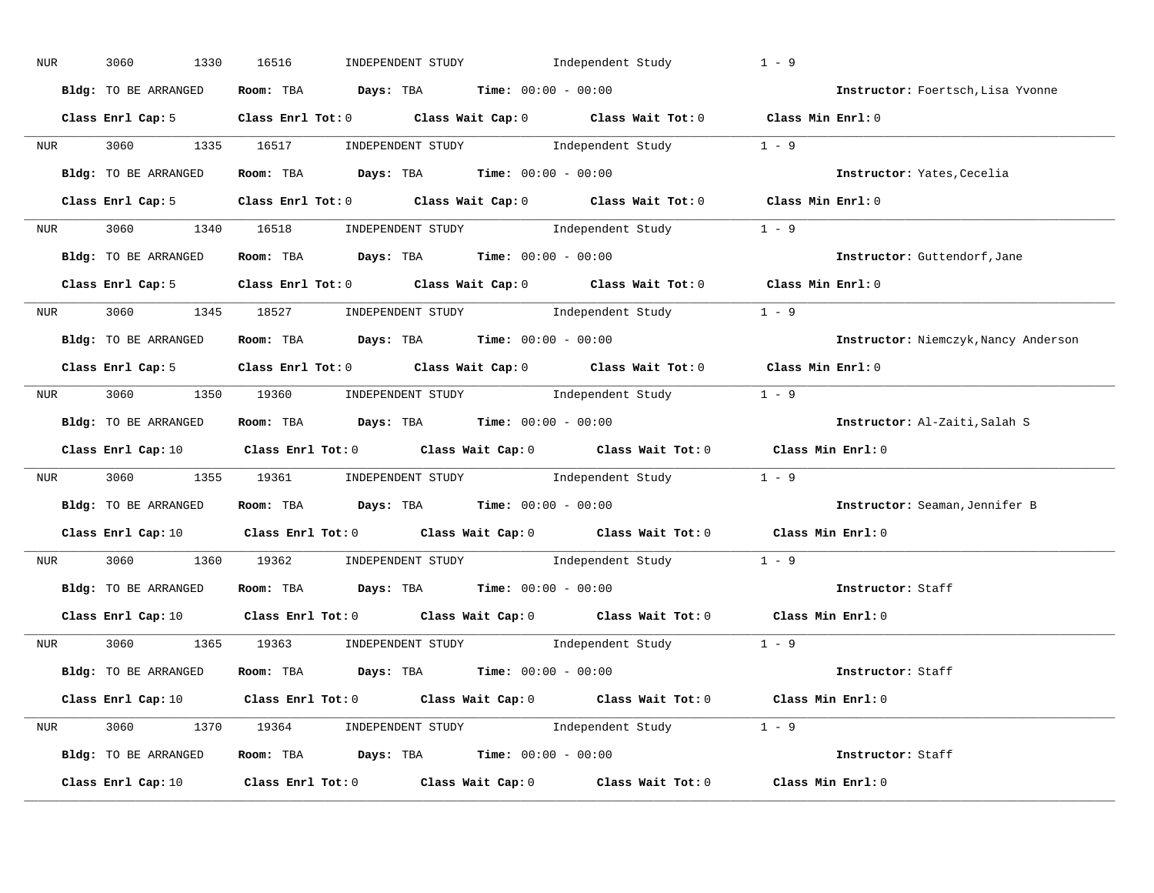| NUR        | 3060<br>1330         | INDEPENDENT STUDY 1ndependent Study<br>16516                                                                                   | $1 - 9$                              |
|------------|----------------------|--------------------------------------------------------------------------------------------------------------------------------|--------------------------------------|
|            | Bldg: TO BE ARRANGED | Room: TBA $Days:$ TBA $Time: 00:00 - 00:00$                                                                                    | Instructor: Foertsch, Lisa Yvonne    |
|            |                      | Class Enrl Cap: 5 Class Enrl Tot: 0 Class Wait Cap: 0 Class Wait Tot: 0 Class Min Enrl: 0                                      |                                      |
|            |                      | NUR 3060 1335 16517 INDEPENDENT STUDY Independent Study                                                                        | $1 - 9$                              |
|            | Bldg: TO BE ARRANGED | Room: TBA $Days:$ TBA $Time: 00:00 - 00:00$                                                                                    | Instructor: Yates, Cecelia           |
|            |                      | Class Enrl Cap: 5 Class Enrl Tot: 0 Class Wait Cap: 0 Class Wait Tot: 0 Class Min Enrl: 0                                      |                                      |
|            |                      | NUR 3060 1340 16518 INDEPENDENT STUDY Independent Study 1 - 9                                                                  |                                      |
|            |                      | <b>Bldg:</b> TO BE ARRANGED <b>ROOM:</b> TBA <b>Days:</b> TBA <b>Time:</b> $00:00 - 00:00$                                     | Instructor: Guttendorf, Jane         |
|            |                      | Class Enrl Cap: 5 Class Enrl Tot: 0 Class Wait Cap: 0 Class Wait Tot: 0 Class Min Enrl: 0                                      |                                      |
|            |                      | NUR 3060 1345 18527 INDEPENDENT STUDY Independent Study 1 - 9                                                                  |                                      |
|            | Bldg: TO BE ARRANGED | Room: TBA $Days:$ TBA $Time: 00:00 - 00:00$                                                                                    | Instructor: Niemczyk, Nancy Anderson |
|            |                      | Class Enrl Cap: 5 Class Enrl Tot: 0 Class Wait Cap: 0 Class Wait Tot: 0 Class Min Enrl: 0                                      |                                      |
|            |                      | NUR 3060 1350 19360 INDEPENDENT STUDY Independent Study 1 - 9                                                                  |                                      |
|            | Bldg: TO BE ARRANGED | Room: TBA $Days:$ TBA $Time: 00:00 - 00:00$                                                                                    | Instructor: Al-Zaiti, Salah S        |
|            |                      | Class Enrl Cap: 10 $\qquad$ Class Enrl Tot: 0 $\qquad$ Class Wait Cap: 0 $\qquad$ Class Wait Tot: 0 $\qquad$ Class Min Enrl: 0 |                                      |
|            |                      | NUR 3060 1355 19361 INDEPENDENT STUDY Independent Study 1 - 9                                                                  |                                      |
|            |                      | Bldg: TO BE ARRANGED Room: TBA Days: TBA Time: 00:00 - 00:00                                                                   | Instructor: Seaman, Jennifer B       |
|            |                      | Class Enrl Cap: 10 $\qquad$ Class Enrl Tot: 0 $\qquad$ Class Wait Cap: 0 $\qquad$ Class Wait Tot: 0 $\qquad$ Class Min Enrl: 0 |                                      |
| <b>NUR</b> |                      | 3060 1360 19362 INDEPENDENT STUDY Independent Study 1 - 9                                                                      |                                      |
|            |                      | Bldg: TO BE ARRANGED Room: TBA Days: TBA Time: 00:00 - 00:00                                                                   | Instructor: Staff                    |
|            |                      | Class Enrl Cap: 10 $\qquad$ Class Enrl Tot: 0 $\qquad$ Class Wait Cap: 0 $\qquad$ Class Wait Tot: 0 $\qquad$ Class Min Enrl: 0 |                                      |
|            |                      | NUR 3060 1365 19363 INDEPENDENT STUDY Independent Study 1 - 9                                                                  |                                      |
|            |                      | Bldg: TO BE ARRANGED Room: TBA Days: TBA Time: 00:00 - 00:00                                                                   | Instructor: Staff                    |
|            |                      | Class Enrl Cap: 10 $\qquad$ Class Enrl Tot: 0 $\qquad$ Class Wait Cap: 0 $\qquad$ Class Wait Tot: 0 $\qquad$ Class Min Enrl: 0 |                                      |
|            |                      | NUR 3060 1370 19364 INDEPENDENT STUDY Independent Study 1 - 9                                                                  |                                      |
|            |                      | Bldg: TO BE ARRANGED Room: TBA Days: TBA Time: 00:00 - 00:00                                                                   | Instructor: Staff                    |
|            |                      | Class Enrl Cap: 10 $\qquad$ Class Enrl Tot: 0 $\qquad$ Class Wait Cap: 0 $\qquad$ Class Wait Tot: 0 $\qquad$ Class Min Enrl: 0 |                                      |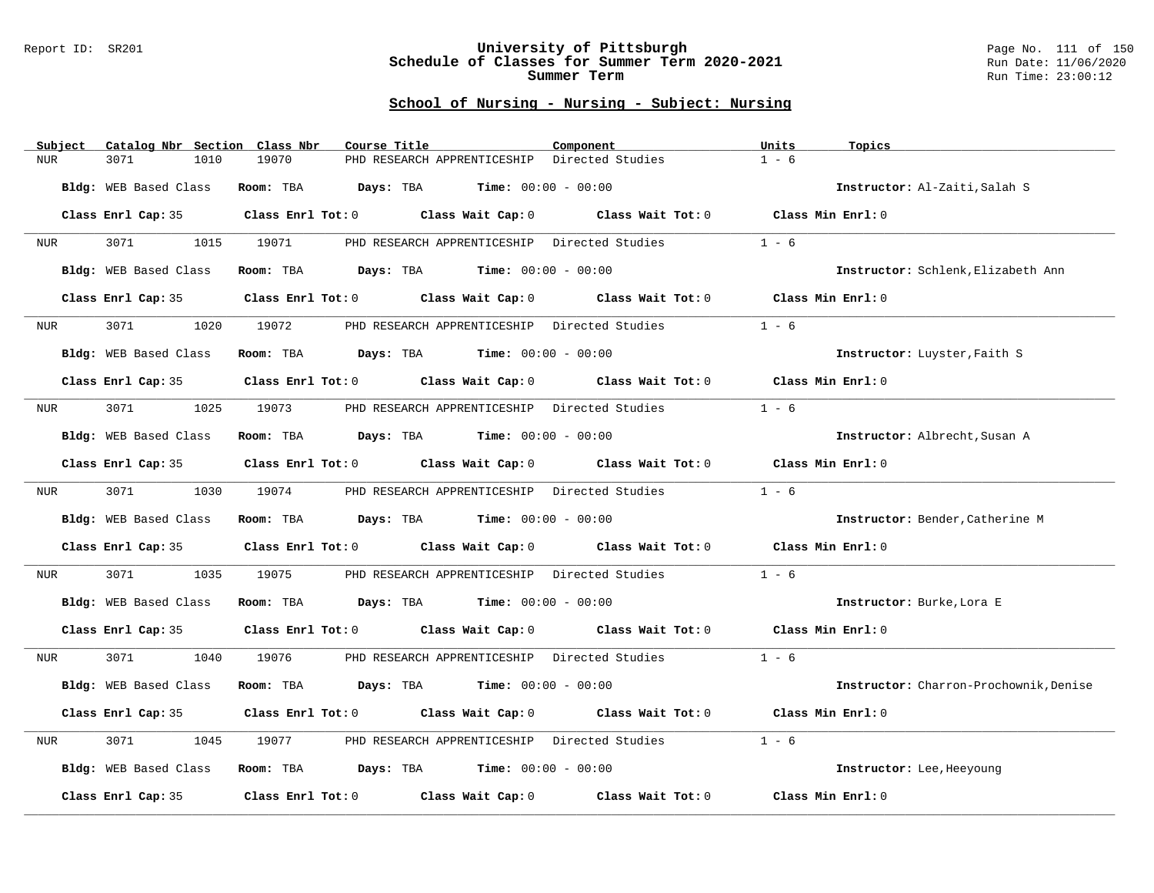### Report ID: SR201 **University of Pittsburgh** Page No. 111 of 150 **Schedule of Classes for Summer Term 2020-2021** Run Date: 11/06/2020 **Summer Term** Run Time: 23:00:12

| Subject | Catalog Nbr Section Class Nbr | Course Title                                                            | Component                                    | Units<br>Topics                        |
|---------|-------------------------------|-------------------------------------------------------------------------|----------------------------------------------|----------------------------------------|
| NUR.    | 3071<br>1010                  | 19070<br>PHD RESEARCH APPRENTICESHIP                                    | Directed Studies                             | $1 - 6$                                |
|         | Bldg: WEB Based Class         | Room: TBA<br>$\texttt{DayS:}$ TBA $\texttt{Time:}$ 00:00 - 00:00        |                                              | Instructor: Al-Zaiti, Salah S          |
|         |                               |                                                                         |                                              |                                        |
|         | Class Enrl Cap: 35            | Class Enrl Tot: 0 Class Wait Cap: 0                                     | Class Wait Tot: 0 Class Min Enrl: 0          |                                        |
| NUR     | 3071 300<br>1015              | 19071                                                                   | PHD RESEARCH APPRENTICESHIP Directed Studies | $1 - 6$                                |
|         | Bldg: WEB Based Class         | <b>Days:</b> TBA <b>Time:</b> $00:00 - 00:00$<br>Room: TBA              |                                              | Instructor: Schlenk, Elizabeth Ann     |
|         | Class Enrl Cap: 35            | Class Enrl Tot: 0 Class Wait Cap: 0 Class Wait Tot: 0                   |                                              | Class Min Enrl: 0                      |
| NUR     | 3071<br>1020                  | 19072<br>PHD RESEARCH APPRENTICESHIP Directed Studies                   |                                              | $1 - 6$                                |
|         | Bldg: WEB Based Class         | $\texttt{DayS:}$ TBA $\texttt{Time:}$ 00:00 - 00:00<br>Room: TBA        |                                              | Instructor: Luyster, Faith S           |
|         | Class Enrl Cap: 35            | Class Enrl Tot: 0 Class Wait Cap: 0 Class Wait Tot: 0 Class Min Enrl: 0 |                                              |                                        |
| NUR     | 3071 200<br>1025              | 19073<br>PHD RESEARCH APPRENTICESHIP Directed Studies                   |                                              | $1 - 6$                                |
|         | Bldg: WEB Based Class         | Room: TBA $Days:$ TBA $Time: 00:00 - 00:00$                             |                                              | Instructor: Albrecht, Susan A          |
|         | Class Enrl Cap: 35            | Class Enrl Tot: 0 Class Wait Cap: 0                                     | Class Wait Tot: 0                            | Class Min Enrl: 0                      |
|         |                               |                                                                         |                                              |                                        |
| NUR     | 3071<br>1030                  | PHD RESEARCH APPRENTICESHIP Directed Studies<br>19074                   |                                              | $1 - 6$                                |
|         | Bldg: WEB Based Class         | Room: TBA $Days:$ TBA $Time: 00:00 - 00:00$                             |                                              | Instructor: Bender, Catherine M        |
|         | Class Enrl Cap: 35            | Class Enrl Tot: 0 Class Wait Cap: 0 Class Wait Tot: 0                   |                                              | Class Min Enrl: 0                      |
| NUR     | 3071<br>1035                  | 19075<br>PHD RESEARCH APPRENTICESHIP Directed Studies                   |                                              | $1 - 6$                                |
|         | Bldg: WEB Based Class         | Room: TBA $Days:$ TBA $Time: 00:00 - 00:00$                             |                                              | Instructor: Burke, Lora E              |
|         | Class Enrl Cap: 35            | Class Enrl Tot: 0 Class Wait Cap: 0 Class Wait Tot: 0                   |                                              | Class Min Enrl: 0                      |
| NUR     | 3071 300<br>1040              | 19076                                                                   | PHD RESEARCH APPRENTICESHIP Directed Studies | $1 - 6$                                |
|         | Bldg: WEB Based Class         | <b>Days:</b> TBA <b>Time:</b> $00:00 - 00:00$<br>Room: TBA              |                                              | Instructor: Charron-Prochownik, Denise |
|         | Class Enrl Cap: 35            | Class Enrl Tot: 0 Class Wait Cap: 0 Class Wait Tot: 0                   |                                              | Class Min Enrl: 0                      |
| NUR     | 3071<br>1045                  | 19077<br>PHD RESEARCH APPRENTICESHIP Directed Studies                   |                                              | $1 - 6$                                |
|         | Bldg: WEB Based Class         | Room: TBA $Days:$ TBA $Time: 00:00 - 00:00$                             |                                              | Instructor: Lee, Heeyoung              |
|         | Class Enrl Cap: 35            | $Class$ $Enr1$ $Tot: 0$<br>Class Wait Cap: 0                            | Class Wait Tot: 0                            | Class Min Enrl: 0                      |
|         |                               |                                                                         |                                              |                                        |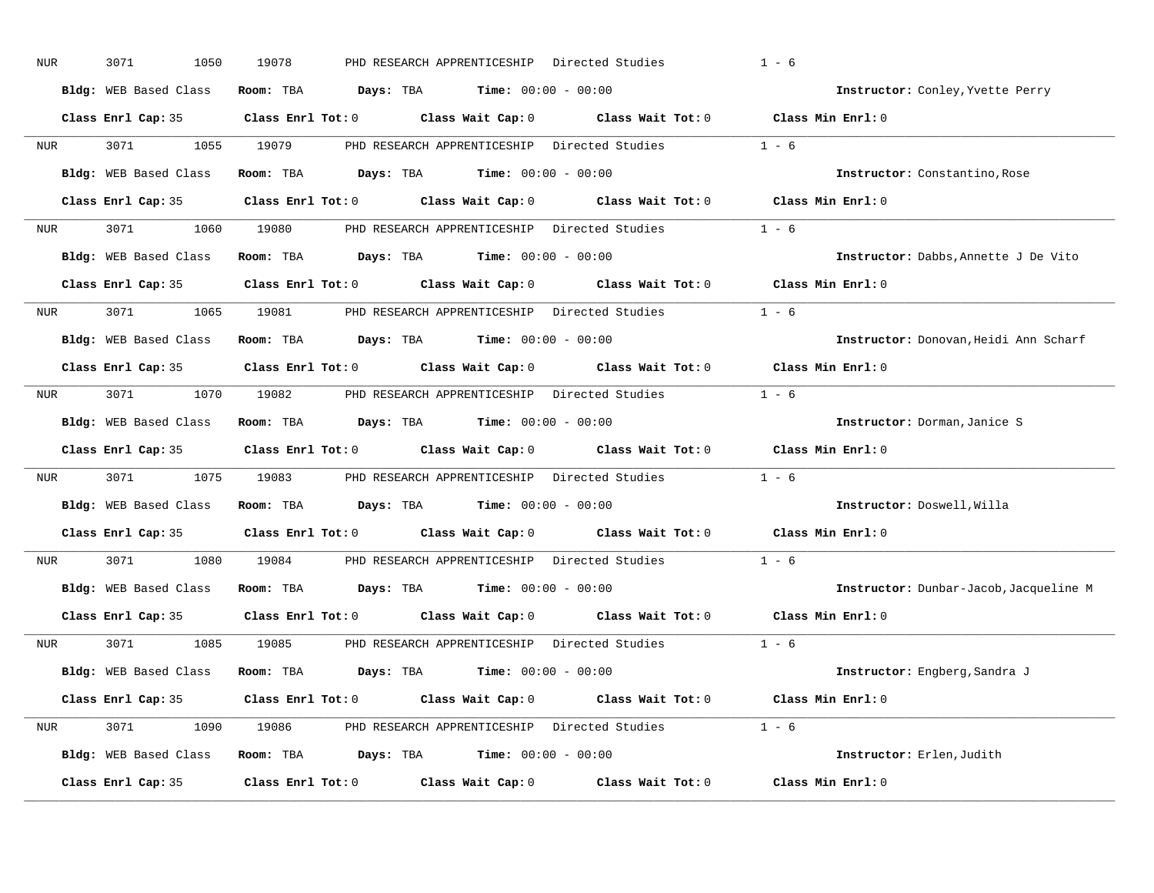| NUR              | 3071<br>1050          | 19078<br>PHD RESEARCH APPRENTICESHIP Directed Studies                                               | $1 - 6$                                |
|------------------|-----------------------|-----------------------------------------------------------------------------------------------------|----------------------------------------|
|                  | Bldg: WEB Based Class | Room: TBA $Days: TBA$ Time: $00:00 - 00:00$                                                         | Instructor: Conley, Yvette Perry       |
|                  |                       | Class Enrl Cap: 35 Class Enrl Tot: 0 Class Wait Cap: 0 Class Wait Tot: 0 Class Min Enrl: 0          |                                        |
| <b>NUR</b>       | 3071 1055 19079       | PHD RESEARCH APPRENTICESHIP Directed Studies                                                        | $1 - 6$                                |
|                  | Bldg: WEB Based Class | Room: TBA $Days: TBA$ Time: $00:00 - 00:00$                                                         | Instructor: Constantino, Rose          |
|                  |                       | Class Enrl Cap: 35 Class Enrl Tot: 0 Class Wait Cap: 0 Class Wait Tot: 0 Class Min Enrl: 0          |                                        |
|                  |                       | NUR 3071 1060 19080 PHD RESEARCH APPRENTICESHIP Directed Studies 1 - 6                              |                                        |
|                  |                       | Bldg: WEB Based Class Room: TBA Days: TBA Time: 00:00 - 00:00                                       | Instructor: Dabbs, Annette J De Vito   |
|                  |                       | Class Enrl Cap: 35 $\qquad$ Class Enrl Tot: 0 $\qquad$ Class Wait Cap: 0 $\qquad$ Class Wait Tot: 0 | Class Min Enrl: 0                      |
| NUR <sub>i</sub> |                       | 3071 1065 19081 PHD RESEARCH APPRENTICESHIP Directed Studies                                        | $1 - 6$                                |
|                  | Bldg: WEB Based Class | Room: TBA $Days: TBA$ Time: $00:00 - 00:00$                                                         | Instructor: Donovan, Heidi Ann Scharf  |
|                  |                       | Class Enrl Cap: 35 Class Enrl Tot: 0 Class Wait Cap: 0 Class Wait Tot: 0 Class Min Enrl: 0          |                                        |
| <b>NUR</b>       |                       | 3071 1070 19082 PHD RESEARCH APPRENTICESHIP Directed Studies 1 - 6                                  |                                        |
|                  | Bldg: WEB Based Class | Room: TBA $Days: TBA$ Time: $00:00 - 00:00$                                                         | Instructor: Dorman, Janice S           |
|                  |                       | Class Enrl Cap: 35 Class Enrl Tot: 0 Class Wait Cap: 0 Class Wait Tot: 0 Class Min Enrl: 0          |                                        |
| NUR <sub>i</sub> |                       | 3071 1075 19083 PHD RESEARCH APPRENTICESHIP Directed Studies                                        | $1 - 6$                                |
|                  |                       | Bldg: WEB Based Class Room: TBA Days: TBA Time: 00:00 - 00:00                                       | Instructor: Doswell, Willa             |
|                  |                       | Class Enrl Cap: 35 Class Enrl Tot: 0 Class Wait Cap: 0 Class Wait Tot: 0                            | Class Min Enrl: 0                      |
| NUR <sub>p</sub> | 3071 200              | 1080 19084 PHD RESEARCH APPRENTICESHIP Directed Studies                                             | $1 - 6$                                |
|                  |                       | Bldg: WEB Based Class Room: TBA Days: TBA Time: 00:00 - 00:00                                       | Instructor: Dunbar-Jacob, Jacqueline M |
|                  |                       | Class Enrl Cap: 35 Class Enrl Tot: 0 Class Wait Cap: 0 Class Wait Tot: 0                            | Class Min Enrl: 0                      |
|                  |                       | NUR 3071 1085 19085 PHD RESEARCH APPRENTICESHIP Directed Studies 1 - 6                              |                                        |
|                  |                       | Bldg: WEB Based Class Room: TBA Days: TBA Time: 00:00 - 00:00                                       | Instructor: Engberg, Sandra J          |
|                  | Class Enrl Cap: 35    | Class Enrl Tot: 0 $\qquad$ Class Wait Cap: 0 $\qquad$ Class Wait Tot: 0 $\qquad$ Class Min Enrl: 0  |                                        |
|                  |                       | NUR 3071 1090 19086 PHD RESEARCH APPRENTICESHIP Directed Studies 1 - 6                              |                                        |
|                  |                       | Bldg: WEB Based Class Room: TBA Days: TBA Time: 00:00 - 00:00                                       | Instructor: Erlen, Judith              |
|                  | Class Enrl Cap: 35    | Class Enrl Tot: $0$ Class Wait Cap: $0$ Class Wait Tot: $0$                                         | Class Min Enrl: 0                      |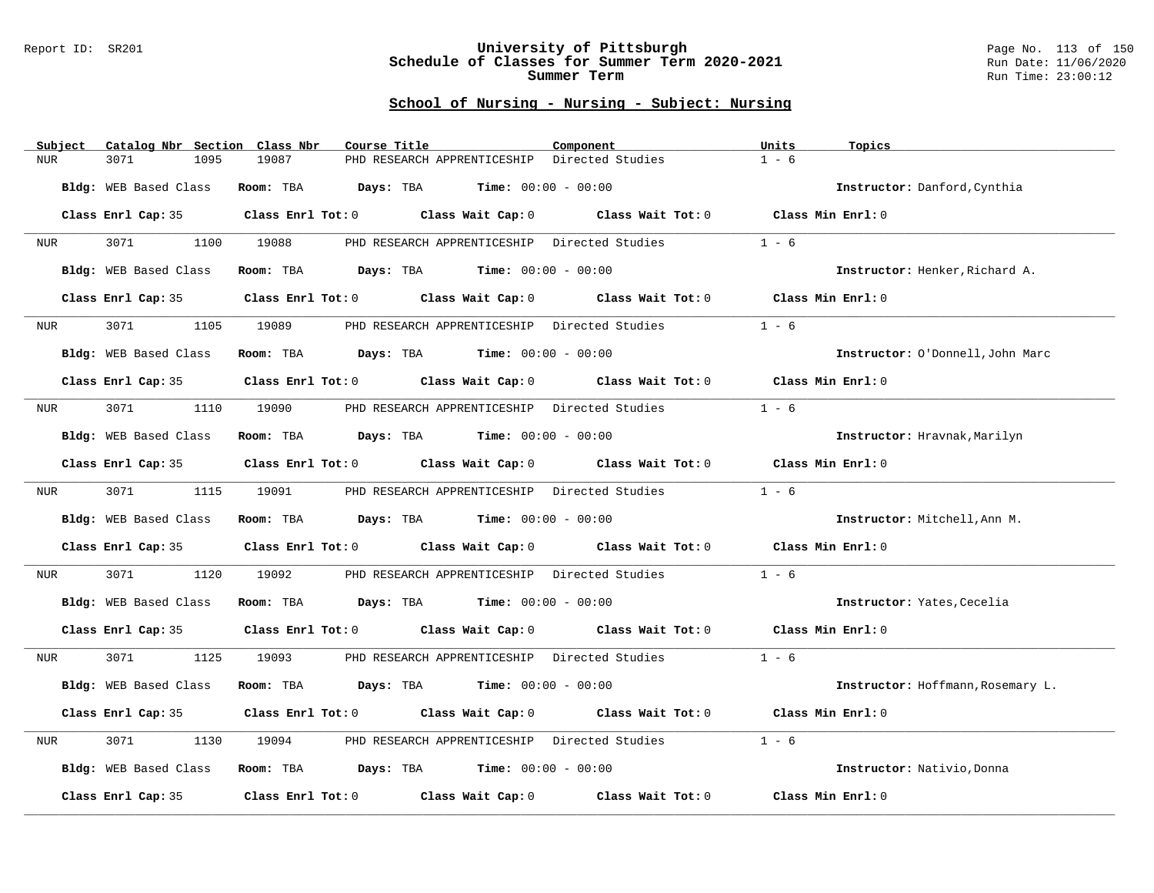### Report ID: SR201 **University of Pittsburgh** Page No. 113 of 150 **Schedule of Classes for Summer Term 2020-2021** Run Date: 11/06/2020 **Summer Term** Run Time: 23:00:12

| Subject    | Catalog Nbr Section Class Nbr | Course Title                                                            | Component                                    | Units<br>Topics                   |
|------------|-------------------------------|-------------------------------------------------------------------------|----------------------------------------------|-----------------------------------|
| <b>NUR</b> | 3071<br>1095                  | 19087<br>PHD RESEARCH APPRENTICESHIP                                    | Directed Studies                             | $1 - 6$                           |
|            | Bldg: WEB Based Class         | Room: TBA<br><b>Days:</b> TBA <b>Time:</b> $00:00 - 00:00$              |                                              | Instructor: Danford, Cynthia      |
|            | Class Enrl Cap: 35            | Class Enrl Tot: 0 Class Wait Cap: 0                                     | Class Wait Tot: $0$ Class Min Enrl: $0$      |                                   |
| NUR        | 3071<br>1100                  | 19088                                                                   | PHD RESEARCH APPRENTICESHIP Directed Studies | $1 - 6$                           |
|            | Bldg: WEB Based Class         | <b>Days:</b> TBA <b>Time:</b> $00:00 - 00:00$<br>Room: TBA              |                                              | Instructor: Henker, Richard A.    |
|            | Class Enrl Cap: 35            | Class Enrl Tot: 0 Class Wait Cap: 0 Class Wait Tot: 0                   |                                              | Class Min Enrl: 0                 |
| NUR        | 3071<br>1105                  | 19089<br>PHD RESEARCH APPRENTICESHIP Directed Studies                   |                                              | $1 - 6$                           |
|            | Bldg: WEB Based Class         | <b>Days:</b> TBA <b>Time:</b> $00:00 - 00:00$<br>Room: TBA              |                                              | Instructor: O'Donnell, John Marc  |
|            | Class Enrl Cap: 35            | Class Enrl Tot: 0 Class Wait Cap: 0 Class Wait Tot: 0 Class Min Enrl: 0 |                                              |                                   |
| NUR        | 3071<br>1110                  | 19090<br>PHD RESEARCH APPRENTICESHIP Directed Studies                   |                                              | $1 - 6$                           |
|            | Bldg: WEB Based Class         | Room: TBA $Days:$ TBA $Time: 00:00 - 00:00$                             |                                              | Instructor: Hravnak, Marilyn      |
|            | Class Enrl Cap: 35            | Class Enrl Tot: 0 Class Wait Cap: 0                                     | Class Wait Tot: 0                            | Class Min Enrl: 0                 |
| NUR        | 3071<br>1115                  | PHD RESEARCH APPRENTICESHIP Directed Studies<br>19091                   |                                              | $1 - 6$                           |
|            | Bldg: WEB Based Class         | <b>Room:</b> TBA $Days:$ TBA $Time: 00:00 - 00:00$                      |                                              | Instructor: Mitchell, Ann M.      |
|            | Class Enrl Cap: 35            | Class Enrl Tot: 0 Class Wait Cap: 0 Class Wait Tot: 0                   |                                              | Class Min Enrl: 0                 |
| NUR        | 3071<br>1120                  | 19092<br>PHD RESEARCH APPRENTICESHIP Directed Studies                   |                                              | $1 - 6$                           |
|            | Bldg: WEB Based Class         | Room: TBA $Days:$ TBA $Time: 00:00 - 00:00$                             |                                              | Instructor: Yates, Cecelia        |
|            | Class Enrl Cap: 35            | Class Enrl Tot: 0 Class Wait Cap: 0 Class Wait Tot: 0                   |                                              | Class Min Enrl: 0                 |
| NUR        | 3071<br>1125                  | 19093                                                                   | PHD RESEARCH APPRENTICESHIP Directed Studies | $1 - 6$                           |
|            | Bldg: WEB Based Class         | <b>Days:</b> TBA <b>Time:</b> $00:00 - 00:00$<br>Room: TBA              |                                              | Instructor: Hoffmann, Rosemary L. |
|            | Class Enrl Cap: 35            | Class Enrl Tot: 0 Class Wait Cap: 0 Class Wait Tot: 0                   |                                              | Class Min Enrl: 0                 |
| <b>NUR</b> | 3071<br>1130                  | 19094<br>PHD RESEARCH APPRENTICESHIP Directed Studies                   |                                              | $1 - 6$                           |
|            | Bldg: WEB Based Class         | Room: TBA $Days:$ TBA $Time: 00:00 - 00:00$                             |                                              | Instructor: Nativio, Donna        |
|            | Class Enrl Cap: 35            | Class Enrl Tot: 0 Class Wait Cap: 0                                     | Class Wait Tot: 0                            | Class Min Enrl: 0                 |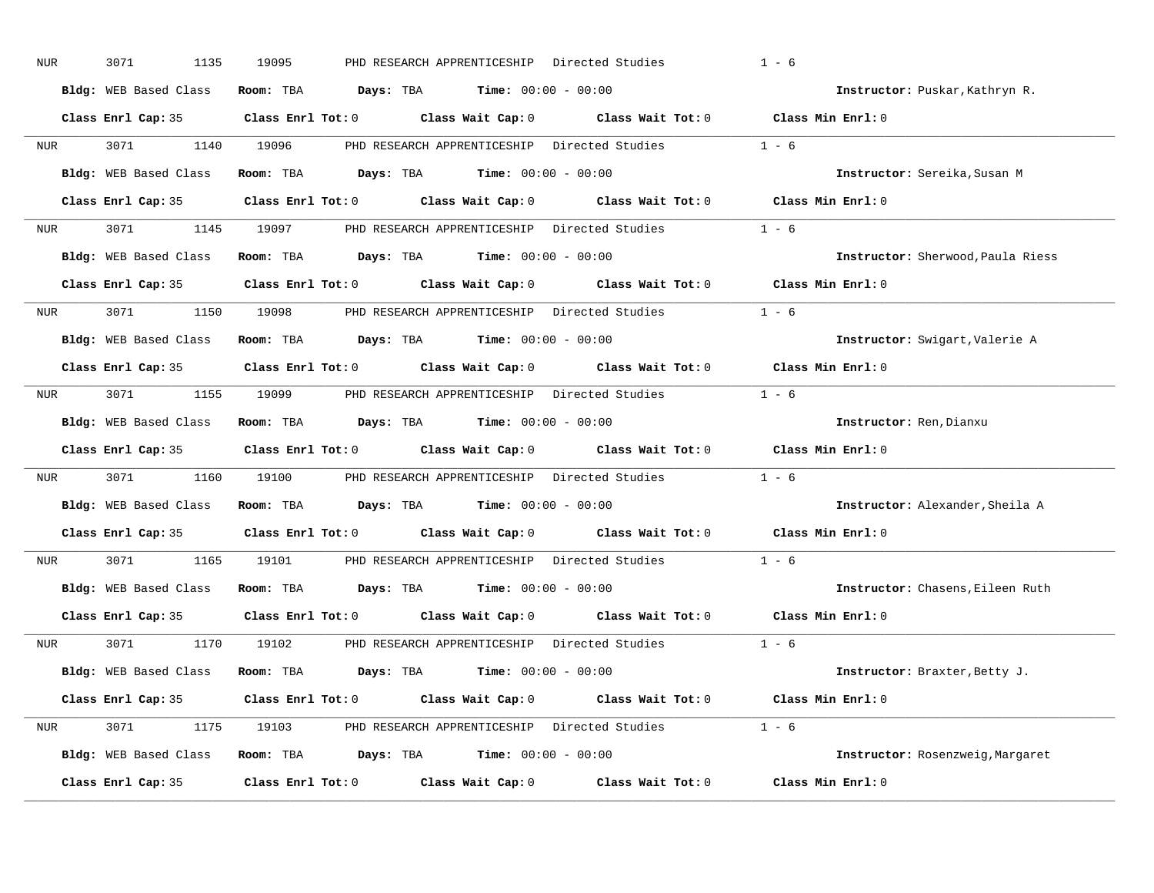| NUR              | 3071<br>1135          | 19095<br>PHD RESEARCH APPRENTICESHIP Directed Studies                                               | $1 - 6$                           |
|------------------|-----------------------|-----------------------------------------------------------------------------------------------------|-----------------------------------|
|                  | Bldg: WEB Based Class | Room: TBA $Days: TBA$ Time: $00:00 - 00:00$                                                         | Instructor: Puskar, Kathryn R.    |
|                  |                       | Class Enrl Cap: 35 Class Enrl Tot: 0 Class Wait Cap: 0 Class Wait Tot: 0 Class Min Enrl: 0          |                                   |
| <b>NUR</b>       | 3071 1140 19096       | PHD RESEARCH APPRENTICESHIP Directed Studies                                                        | $1 - 6$                           |
|                  | Bldg: WEB Based Class | Room: TBA $Days: TBA$ Time: $00:00 - 00:00$                                                         | Instructor: Sereika, Susan M      |
|                  |                       | Class Enrl Cap: 35 Class Enrl Tot: 0 Class Wait Cap: 0 Class Wait Tot: 0 Class Min Enrl: 0          |                                   |
|                  |                       | NUR 3071 1145 19097 PHD RESEARCH APPRENTICESHIP Directed Studies 1 - 6                              |                                   |
|                  |                       | Bldg: WEB Based Class Room: TBA Days: TBA Time: 00:00 - 00:00                                       | Instructor: Sherwood, Paula Riess |
|                  |                       | Class Enrl Cap: 35 $\qquad$ Class Enrl Tot: 0 $\qquad$ Class Wait Cap: 0 $\qquad$ Class Wait Tot: 0 | Class Min Enrl: 0                 |
| NUR <sub>i</sub> |                       | 3071 1150 19098 PHD RESEARCH APPRENTICESHIP Directed Studies                                        | $1 - 6$                           |
|                  | Bldg: WEB Based Class | <b>Room:</b> TBA $\qquad \qquad$ <b>Days:</b> TBA $\qquad \qquad$ <b>Time:</b> $00:00 - 00:00$      | Instructor: Swigart, Valerie A    |
|                  |                       | Class Enrl Cap: 35 Class Enrl Tot: 0 Class Wait Cap: 0 Class Wait Tot: 0 Class Min Enrl: 0          |                                   |
| <b>NUR</b>       |                       | 3071 1155 19099 PHD RESEARCH APPRENTICESHIP Directed Studies 1 - 6                                  |                                   |
|                  | Bldg: WEB Based Class | Room: TBA $Days:$ TBA $Time: 00:00 - 00:00$                                                         | Instructor: Ren, Dianxu           |
|                  |                       | Class Enrl Cap: 35 Class Enrl Tot: 0 Class Wait Cap: 0 Class Wait Tot: 0 Class Min Enrl: 0          |                                   |
| NUR <sub>i</sub> |                       | 3071 1160 19100 PHD RESEARCH APPRENTICESHIP Directed Studies                                        | $1 - 6$                           |
|                  |                       | Bldg: WEB Based Class Room: TBA Days: TBA Time: 00:00 - 00:00                                       | Instructor: Alexander, Sheila A   |
|                  |                       | Class Enrl Cap: 35 Class Enrl Tot: 0 Class Wait Cap: 0 Class Wait Tot: 0                            | Class Min Enrl: 0                 |
| NUR <sub>p</sub> | 3071 300<br>1165      | 19101 PHD RESEARCH APPRENTICESHIP Directed Studies                                                  | $1 - 6$                           |
|                  |                       | Bldg: WEB Based Class Room: TBA Days: TBA Time: 00:00 - 00:00                                       | Instructor: Chasens, Eileen Ruth  |
|                  |                       | Class Enrl Cap: 35 Class Enrl Tot: 0 Class Wait Cap: 0 Class Wait Tot: 0                            | Class Min Enrl: 0                 |
|                  |                       | NUR 3071 1170 19102 PHD RESEARCH APPRENTICESHIP Directed Studies 1 - 6                              |                                   |
|                  |                       | Bldg: WEB Based Class Room: TBA Days: TBA Time: 00:00 - 00:00                                       | Instructor: Braxter, Betty J.     |
|                  |                       | Class Enrl Cap: 35 Class Enrl Tot: 0 Class Wait Cap: 0 Class Wait Tot: 0 Class Min Enrl: 0          |                                   |
|                  |                       | NUR 3071 1175 19103 PHD RESEARCH APPRENTICESHIP Directed Studies 1 - 6                              |                                   |
|                  |                       | Bldg: WEB Based Class Room: TBA Days: TBA Time: 00:00 - 00:00                                       | Instructor: Rosenzweig, Margaret  |
|                  | Class Enrl Cap: 35    | Class Enrl Tot: $0$ Class Wait Cap: $0$ Class Wait Tot: $0$                                         | Class Min Enrl: 0                 |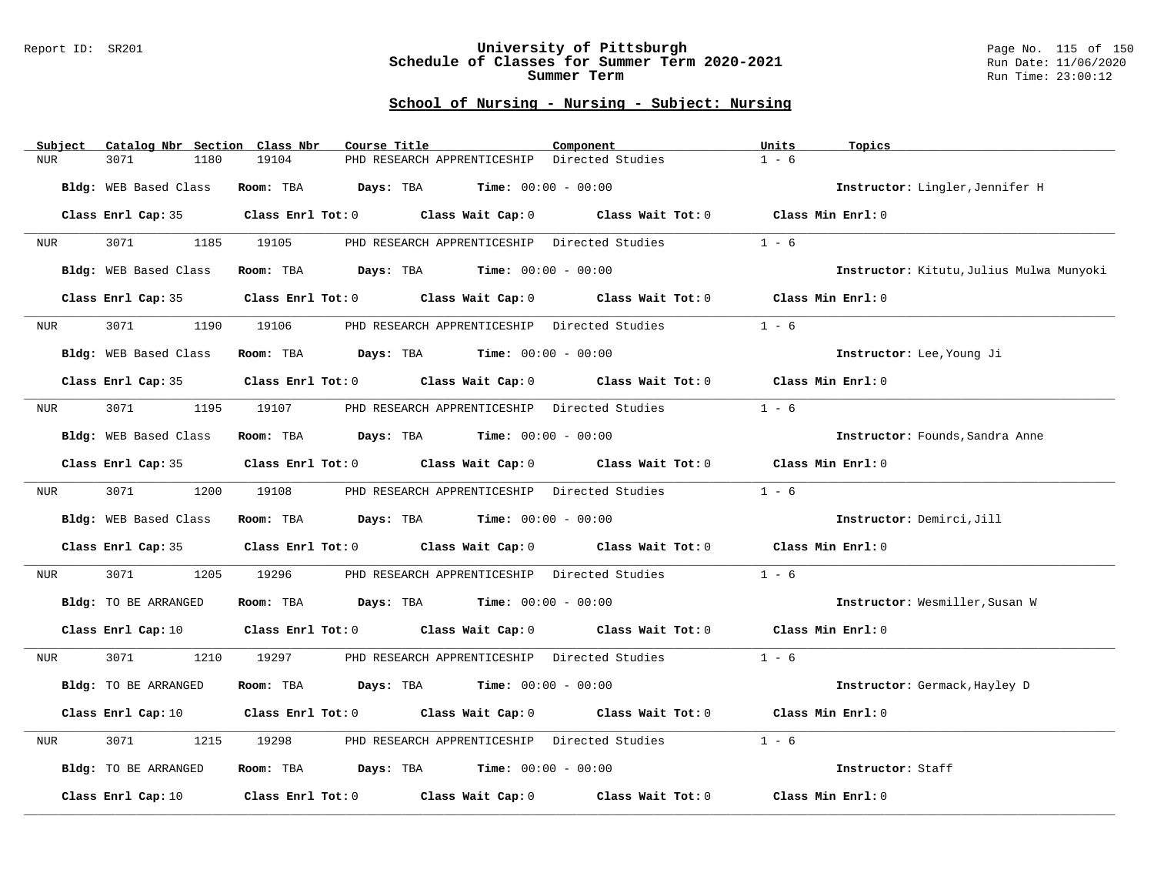### Report ID: SR201 **University of Pittsburgh** Page No. 115 of 150 **Schedule of Classes for Summer Term 2020-2021** Run Date: 11/06/2020 **Summer Term** Run Time: 23:00:12

| Subject    | Catalog Nbr Section Class Nbr | Course Title                                                            | Component                                    | Units<br>Topics                          |
|------------|-------------------------------|-------------------------------------------------------------------------|----------------------------------------------|------------------------------------------|
| <b>NUR</b> | 3071<br>1180                  | 19104<br>PHD RESEARCH APPRENTICESHIP                                    | Directed Studies                             | $1 - 6$                                  |
|            | Bldg: WEB Based Class         | <b>Days:</b> TBA <b>Time:</b> $00:00 - 00:00$<br>Room: TBA              |                                              | Instructor: Lingler, Jennifer H          |
|            | Class Enrl Cap: 35            | Class Enrl Tot: 0 Class Wait Cap: 0                                     | Class Wait Tot: 0 Class Min Enrl: 0          |                                          |
| NUR        | 3071 300<br>1185              | 19105                                                                   | PHD RESEARCH APPRENTICESHIP Directed Studies | $1 - 6$                                  |
|            | Bldg: WEB Based Class         | Room: TBA $Days:$ TBA $Time: 00:00 - 00:00$                             |                                              | Instructor: Kitutu, Julius Mulwa Munyoki |
|            | Class Enrl Cap: 35            | Class Enrl Tot: 0 Class Wait Cap: 0 Class Wait Tot: 0                   |                                              | Class Min Enrl: 0                        |
| NUR        | 3071<br>1190                  | 19106<br>PHD RESEARCH APPRENTICESHIP Directed Studies                   |                                              | $1 - 6$                                  |
|            | Bldg: WEB Based Class         | Room: TBA $Days:$ TBA $Time: 00:00 - 00:00$                             |                                              | Instructor: Lee, Young Ji                |
|            | Class Enrl Cap: 35            | Class Enrl Tot: 0 Class Wait Cap: 0 Class Wait Tot: 0 Class Min Enrl: 0 |                                              |                                          |
| NUR        | 3071 200<br>1195              | 19107<br>PHD RESEARCH APPRENTICESHIP Directed Studies                   |                                              | $1 - 6$                                  |
|            | Bldg: WEB Based Class         | Room: TBA $Days:$ TBA $Time: 00:00 - 00:00$                             |                                              | Instructor: Founds, Sandra Anne          |
|            | Class Enrl Cap: 35            | Class Enrl Tot: 0 Class Wait Cap: 0                                     | Class Wait Tot: 0                            | Class Min Enrl: 0                        |
| NUR        | 3071<br>1200                  | PHD RESEARCH APPRENTICESHIP Directed Studies<br>19108                   |                                              | $1 - 6$                                  |
|            | Bldg: WEB Based Class         | Room: TBA $Days:$ TBA $Time: 00:00 - 00:00$                             |                                              | Instructor: Demirci, Jill                |
|            | Class Enrl Cap: 35            | Class Enrl Tot: $0$ Class Wait Cap: $0$ Class Wait Tot: $0$             |                                              | Class Min Enrl: 0                        |
| NUR        | 3071<br>1205                  | 19296                                                                   | PHD RESEARCH APPRENTICESHIP Directed Studies | $1 - 6$                                  |
|            | Bldg: TO BE ARRANGED          | Room: TBA $Days:$ TBA $Time: 00:00 - 00:00$                             |                                              | Instructor: Wesmiller, Susan W           |
|            | Class Enrl Cap: 10            | Class Enrl Tot: 0 Class Wait Cap: 0 Class Wait Tot: 0 Class Min Enrl: 0 |                                              |                                          |
| NUR        | 3071 200<br>1210              | 19297                                                                   | PHD RESEARCH APPRENTICESHIP Directed Studies | $1 - 6$                                  |
|            | Bldg: TO BE ARRANGED          | Room: TBA<br><b>Days:</b> TBA <b>Time:</b> $00:00 - 00:00$              |                                              | Instructor: Germack, Hayley D            |
|            | Class Enrl Cap: 10            | Class Enrl Tot: 0 Class Wait Cap: 0 Class Wait Tot: 0                   |                                              | Class Min Enrl: 0                        |
| NUR        | 3071<br>1215                  | PHD RESEARCH APPRENTICESHIP Directed Studies<br>19298                   |                                              | $1 - 6$                                  |
|            | Bldg: TO BE ARRANGED          | Room: TBA $Days:$ TBA $Time: 00:00 - 00:00$                             |                                              | Instructor: Staff                        |
|            | Class Enrl Cap: 10            | Class Enrl Tot: 0 Class Wait Cap: 0 Class Wait Tot: 0                   |                                              | Class Min Enrl: 0                        |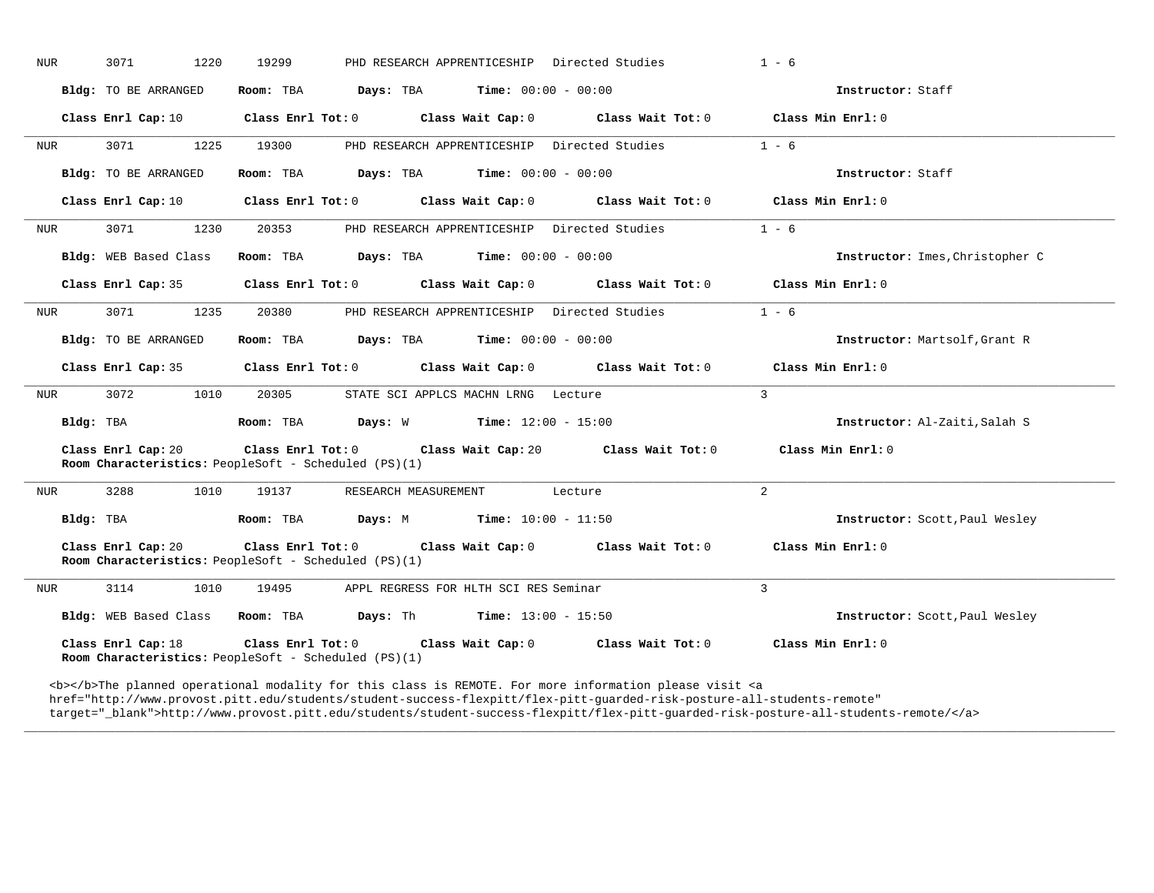| NUR | 1220<br>3071          | 19299                                                        | PHD RESEARCH APPRENTICESHIP Directed Studies |                                                                                  | $1 - 6$                         |
|-----|-----------------------|--------------------------------------------------------------|----------------------------------------------|----------------------------------------------------------------------------------|---------------------------------|
|     | Bldg: TO BE ARRANGED  | Room: TBA $Days:$ TBA $Time: 00:00 - 00:00$                  |                                              |                                                                                  | Instructor: Staff               |
|     | Class Enrl Cap: 10    |                                                              |                                              | Class Enrl Tot: 0 Class Wait Cap: 0 Class Wait Tot: 0                            | Class Min Enrl: 0               |
| NUR | 3071<br>1225          | 19300                                                        | PHD RESEARCH APPRENTICESHIP Directed Studies |                                                                                  | $1 - 6$                         |
|     | Bldg: TO BE ARRANGED  | Room: TBA $Days:$ TBA $Time:$ $00:00 - 00:00$                |                                              |                                                                                  | Instructor: Staff               |
|     | Class Enrl Cap: 10    |                                                              |                                              | Class Enrl Tot: 0 Class Wait Cap: 0 Class Wait Tot: 0                            | Class Min Enrl: 0               |
| NUR | 3071<br>1230          | 20353                                                        | PHD RESEARCH APPRENTICESHIP Directed Studies |                                                                                  | $1 - 6$                         |
|     | Bldg: WEB Based Class | Room: TBA $Days:$ TBA $Time: 00:00 - 00:00$                  |                                              |                                                                                  | Instructor: Imes, Christopher C |
|     | Class Enrl Cap: 35    |                                                              |                                              | Class Enrl Tot: $0$ Class Wait Cap: $0$ Class Wait Tot: $0$                      | Class Min Enrl: 0               |
| NUR | 3071<br>1235          | 20380                                                        | PHD RESEARCH APPRENTICESHIP Directed Studies |                                                                                  | $1 - 6$                         |
|     | Bldg: TO BE ARRANGED  | Room: TBA $Days:$ TBA $Time: 00:00 - 00:00$                  |                                              |                                                                                  | Instructor: Martsolf, Grant R   |
|     | Class Enrl Cap: 35    |                                                              |                                              | Class Enrl Tot: 0 Class Wait Cap: 0 Class Wait Tot: 0                            | Class Min Enrl: 0               |
| NUR | 3072<br>1010          | 20305                                                        | STATE SCI APPLCS MACHN LRNG Lecture          |                                                                                  | $\mathbf{3}$                    |
|     | Bldg: TBA             | Room: TBA $Days: W$ Time: $12:00 - 15:00$                    |                                              |                                                                                  | Instructor: Al-Zaiti, Salah S   |
|     | Class Enrl Cap: 20    | Room Characteristics: PeopleSoft - Scheduled (PS)(1)         |                                              | Class Enrl Tot: $0$ Class Wait Cap: $20$ Class Wait Tot: $0$ Class Min Enrl: $0$ |                                 |
| NUR | 3288<br>1010          | 19137                                                        | RESEARCH MEASUREMENT                         | Lecture                                                                          | $\overline{2}$                  |
|     | Bldg: TBA             | <b>Room:</b> TBA <b>Days:</b> M <b>Time:</b> $10:00 - 11:50$ |                                              |                                                                                  | Instructor: Scott, Paul Wesley  |
|     | Class Enrl Cap: 20    | Room Characteristics: PeopleSoft - Scheduled (PS)(1)         |                                              | Class Enrl Tot: 0 Class Wait Cap: 0 Class Wait Tot: 0                            | Class Min Enrl: 0               |
| NUR | 3114<br>1010          |                                                              | 19495 APPL REGRESS FOR HLTH SCI RES Seminar  |                                                                                  | $\mathbf{3}$                    |
|     |                       | Bldg: WEB Based Class Room: TBA Days: Th Time: 13:00 - 15:50 |                                              |                                                                                  | Instructor: Scott, Paul Wesley  |
|     | Class Enrl Cap: 18    | Room Characteristics: PeopleSoft - Scheduled (PS)(1)         |                                              | Class Enrl Tot: $0$ Class Wait Cap: $0$ Class Wait Tot: $0$                      | Class Min Enrl: 0               |

<b></b>The planned operational modality for this class is REMOTE. For more information please visit <a href="http://www.provost.pitt.edu/students/student-success-flexpitt/flex-pitt-guarded-risk-posture-all-students-remote" target="\_blank">http://www.provost.pitt.edu/students/student-success-flexpitt/flex-pitt-guarded-risk-posture-all-students-remote/</a>

**\_\_\_\_\_\_\_\_\_\_\_\_\_\_\_\_\_\_\_\_\_\_\_\_\_\_\_\_\_\_\_\_\_\_\_\_\_\_\_\_\_\_\_\_\_\_\_\_\_\_\_\_\_\_\_\_\_\_\_\_\_\_\_\_\_\_\_\_\_\_\_\_\_\_\_\_\_\_\_\_\_\_\_\_\_\_\_\_\_\_\_\_\_\_\_\_\_\_\_\_\_\_\_\_\_\_\_\_\_\_\_\_\_\_\_\_\_\_\_\_\_\_\_\_\_\_\_\_\_\_\_\_\_\_\_\_\_\_\_\_\_\_\_\_\_\_\_\_\_\_\_\_\_\_\_\_**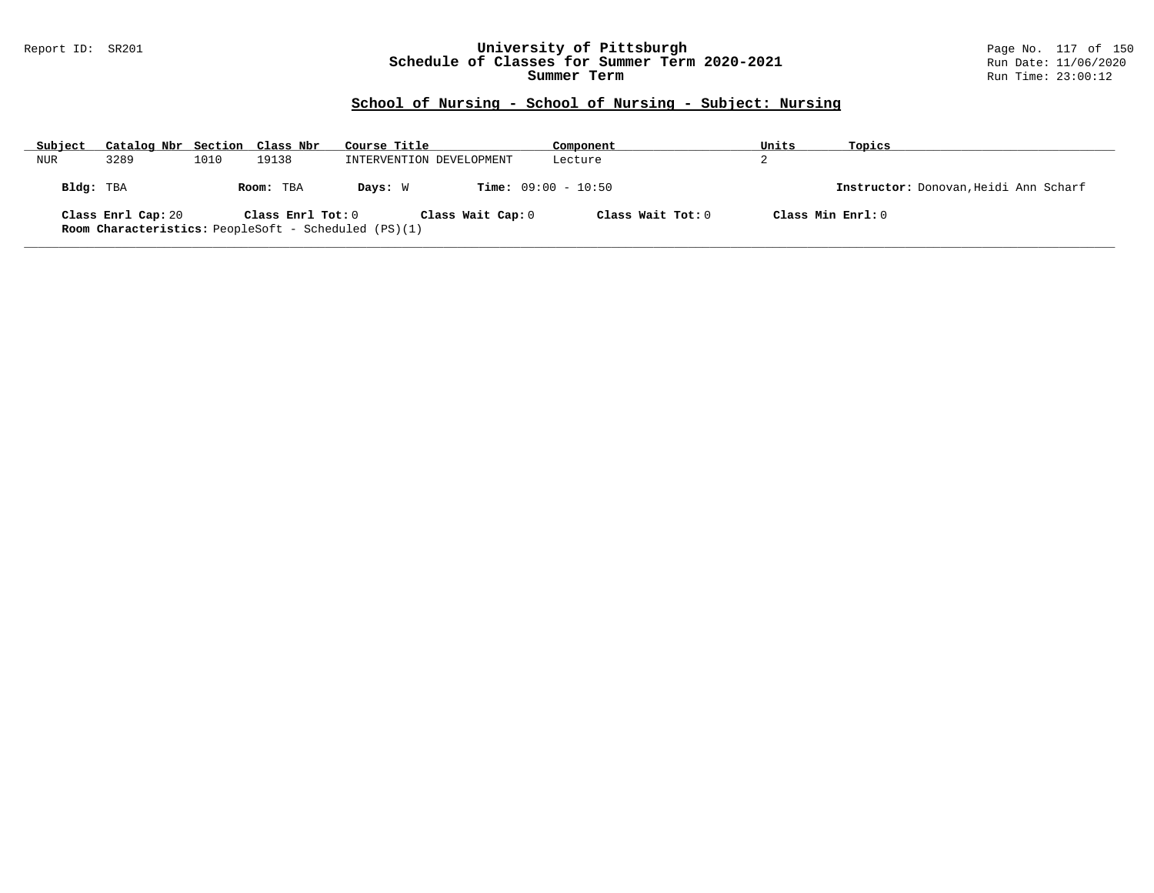### Report ID: SR201 **University of Pittsburgh** Page No. 117 of 150 **Schedule of Classes for Summer Term 2020-2021** Run Date: 11/06/2020 **Summer Term** Run Time: 23:00:12

| Subject   | Catalog Nbr Section Class Nbr |      |                   | Course Title                                                                     |                              | Component         | Units | Topics                                |
|-----------|-------------------------------|------|-------------------|----------------------------------------------------------------------------------|------------------------------|-------------------|-------|---------------------------------------|
| NUR       | 3289                          | 1010 | 19138             | INTERVENTION DEVELOPMENT                                                         |                              | Lecture           | z.    |                                       |
| Bldg: TBA |                               |      | Room: TBA         | Davs: W                                                                          | <b>Time:</b> $09:00 - 10:50$ |                   |       | Instructor: Donovan, Heidi Ann Scharf |
|           | Class Enrl Cap: 20            |      | Class Enrl Tot: 0 | Class Wait Cap: 0<br><b>Room Characteristics:</b> PeopleSoft - Scheduled (PS)(1) |                              | Class Wait Tot: 0 |       | Class Min Enrl: 0                     |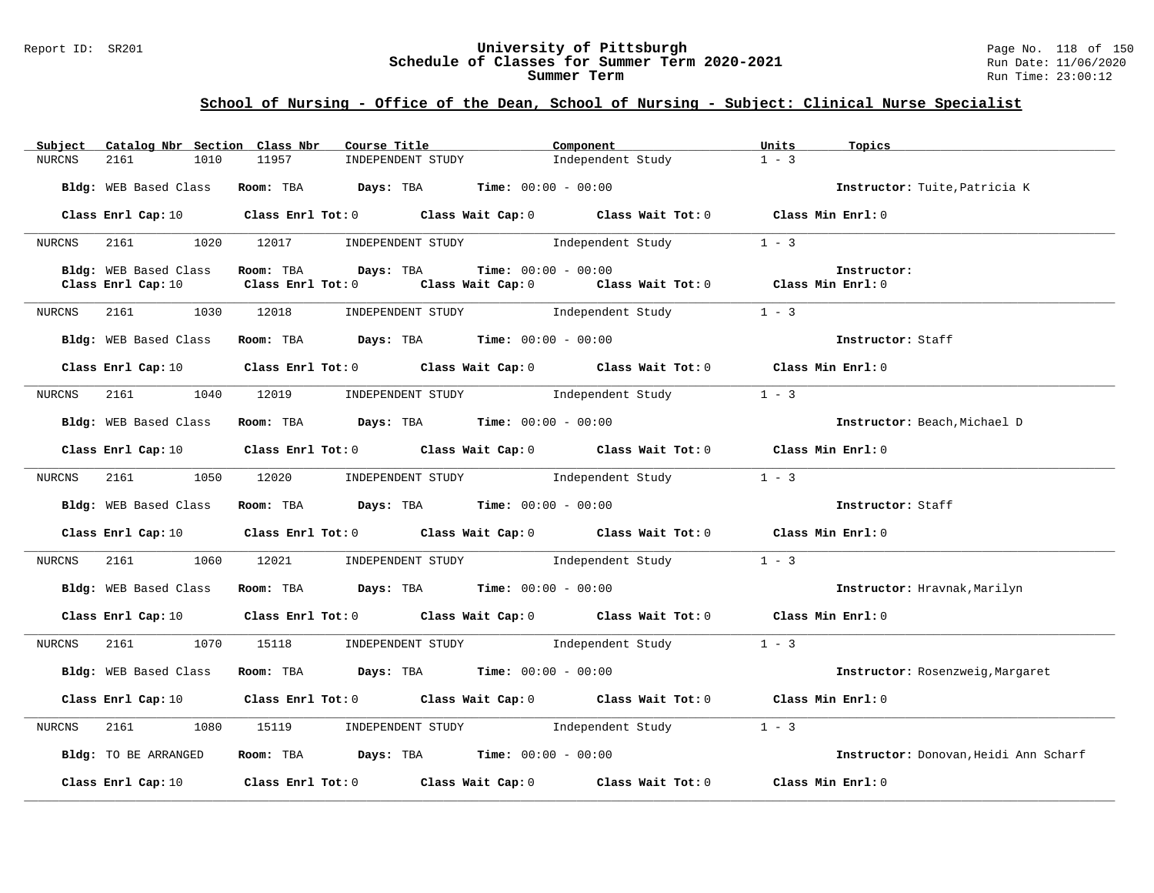#### Report ID: SR201 **University of Pittsburgh** Page No. 118 of 150 **Schedule of Classes for Summer Term 2020-2021** Run Date: 11/06/2020 **Summer Term** Run Time: 23:00:12

| Catalog Nbr Section Class Nbr<br>Subject | Course Title                                                     | Component                                                                                                                      | Units<br>Topics                       |
|------------------------------------------|------------------------------------------------------------------|--------------------------------------------------------------------------------------------------------------------------------|---------------------------------------|
| 2161<br>1010<br>NURCNS                   | 11957<br>INDEPENDENT STUDY                                       | Independent Study                                                                                                              | $1 - 3$                               |
| Bldg: WEB Based Class                    | Room: TBA $Days: TBA$ Time: $00:00 - 00:00$                      |                                                                                                                                | Instructor: Tuite, Patricia K         |
|                                          |                                                                  | Class Enrl Cap: 10 $\qquad$ Class Enrl Tot: 0 $\qquad$ Class Wait Cap: 0 $\qquad$ Class Wait Tot: 0 $\qquad$ Class Min Enrl: 0 |                                       |
| NURCNS                                   | 2161 1020 12017 INDEPENDENT STUDY Independent Study              |                                                                                                                                | $1 - 3$                               |
| Bldg: WEB Based Class                    | $\texttt{Days:}$ TBA $\texttt{Time:}$ 00:00 - 00:00<br>Room: TBA |                                                                                                                                | Instructor:                           |
| Class Enrl Cap: 10                       | Class Enrl Tot: 0                                                | Class Wait Cap: 0 Class Wait Tot: 0 Class Min Enrl: 0                                                                          |                                       |
|                                          |                                                                  |                                                                                                                                |                                       |
| NURCNS 2161 1030 12018                   |                                                                  | INDEPENDENT STUDY 1 - 3                                                                                                        |                                       |
| Bldg: WEB Based Class                    | Room: TBA $Days:$ TBA $Time: 00:00 - 00:00$                      |                                                                                                                                | Instructor: Staff                     |
|                                          |                                                                  | Class Enrl Cap: 10 Class Enrl Tot: 0 Class Wait Cap: 0 Class Wait Tot: 0 Class Min Enrl: 0                                     |                                       |
| NURCNS                                   | 2161 1040 12019 INDEPENDENT STUDY Independent Study              |                                                                                                                                | $1 - 3$                               |
|                                          | Bldg: WEB Based Class Room: TBA Days: TBA Time: 00:00 - 00:00    |                                                                                                                                | Instructor: Beach, Michael D          |
|                                          |                                                                  |                                                                                                                                |                                       |
|                                          |                                                                  | Class Enrl Cap: 10 Class Enrl Tot: 0 Class Wait Cap: 0 Class Wait Tot: 0 Class Min Enrl: 0                                     |                                       |
| 2161<br>1050<br>NURCNS                   |                                                                  | 12020 INDEPENDENT STUDY Independent Study                                                                                      | $1 - 3$                               |
| Bldg: WEB Based Class                    | Room: TBA $Days:$ TBA Time: $00:00 - 00:00$                      |                                                                                                                                | Instructor: Staff                     |
|                                          |                                                                  | Class Enrl Cap: 10 $\qquad$ Class Enrl Tot: 0 $\qquad$ Class Wait Cap: 0 $\qquad$ Class Wait Tot: 0 $\qquad$ Class Min Enrl: 0 |                                       |
|                                          |                                                                  | NURCNS 2161 1060 12021 INDEPENDENT STUDY Independent Study 1 - 3                                                               |                                       |
| Bldg: WEB Based Class                    | Room: TBA $\rule{1em}{0.15mm}$ Days: TBA Time: $00:00 - 00:00$   |                                                                                                                                | Instructor: Hravnak, Marilyn          |
|                                          |                                                                  | Class Enrl Cap: 10 $\qquad$ Class Enrl Tot: 0 $\qquad$ Class Wait Cap: 0 $\qquad$ Class Wait Tot: 0 $\qquad$ Class Min Enrl: 0 |                                       |
| NURCNS                                   | 2161 1070 15118 INDEPENDENT STUDY Independent Study              |                                                                                                                                | $1 - 3$                               |
|                                          | Bldg: WEB Based Class Room: TBA Days: TBA Time: 00:00 - 00:00    |                                                                                                                                | Instructor: Rosenzweig, Margaret      |
|                                          |                                                                  | Class Enrl Cap: 10 $\qquad$ Class Enrl Tot: 0 $\qquad$ Class Wait Cap: 0 $\qquad$ Class Wait Tot: 0 $\qquad$ Class Min Enrl: 0 |                                       |
| 2161<br>1080<br>NURCNS                   |                                                                  | 15119 INDEPENDENT STUDY 1ndependent Study                                                                                      | $1 - 3$                               |
| Bldg: TO BE ARRANGED                     | Room: TBA $\rule{1em}{0.15mm}$ Days: TBA Time: $00:00 - 00:00$   |                                                                                                                                | Instructor: Donovan, Heidi Ann Scharf |
|                                          |                                                                  | Class Enrl Cap: 10 $\qquad$ Class Enrl Tot: 0 $\qquad$ Class Wait Cap: 0 $\qquad$ Class Wait Tot: 0 $\qquad$ Class Min Enrl: 0 |                                       |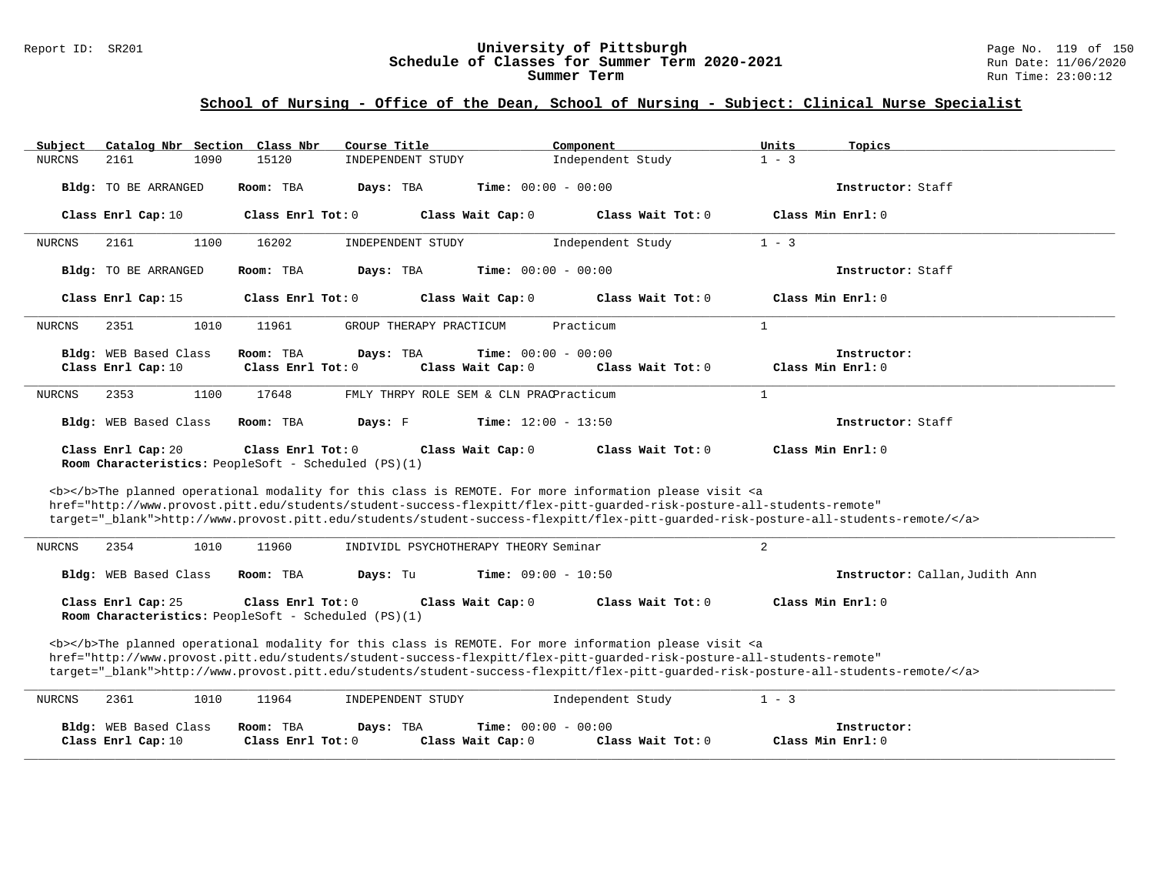#### Report ID: SR201 **University of Pittsburgh** Page No. 119 of 150 **Schedule of Classes for Summer Term 2020-2021** Run Date: 11/06/2020 **Summer Term** Run Time: 23:00:12

| Catalog Nbr Section<br>Subject                                                                                                                                                                                                                                                                                                                                                     | Class Nbr<br>Course Title                                                           | Component<br>Units           | Topics                                    |  |
|------------------------------------------------------------------------------------------------------------------------------------------------------------------------------------------------------------------------------------------------------------------------------------------------------------------------------------------------------------------------------------|-------------------------------------------------------------------------------------|------------------------------|-------------------------------------------|--|
| 2161<br><b>NURCNS</b><br>1090                                                                                                                                                                                                                                                                                                                                                      | 15120<br>INDEPENDENT STUDY                                                          | $1 - 3$<br>Independent Study |                                           |  |
| Bldg: TO BE ARRANGED<br>Room: TBA                                                                                                                                                                                                                                                                                                                                                  | <b>Time:</b> $00:00 - 00:00$<br>Days: TBA                                           |                              | Instructor: Staff                         |  |
| Class Enrl Cap: 10                                                                                                                                                                                                                                                                                                                                                                 | Class Enrl Tot: 0<br>Class Wait Cap: 0                                              | Class Wait Tot: 0            | Class Min Enrl: 0                         |  |
| 2161<br>1100<br><b>NURCNS</b>                                                                                                                                                                                                                                                                                                                                                      | 16202<br>INDEPENDENT STUDY                                                          | $1 - 3$<br>Independent Study |                                           |  |
| Bldg: TO BE ARRANGED<br>Room: TBA                                                                                                                                                                                                                                                                                                                                                  | Days: TBA<br><b>Time:</b> $00:00 - 00:00$                                           |                              | Instructor: Staff                         |  |
| Class Enrl Cap: 15                                                                                                                                                                                                                                                                                                                                                                 | Class Enrl Tot: 0<br>Class Wait Cap: 0                                              | Class Wait Tot: 0            | Class Min Enrl: 0                         |  |
| <b>NURCNS</b><br>2351<br>1010                                                                                                                                                                                                                                                                                                                                                      | 11961<br>GROUP THERAPY PRACTICUM                                                    | Practicum<br>1               |                                           |  |
| Bldg: WEB Based Class<br>Room: TBA                                                                                                                                                                                                                                                                                                                                                 | Days: TBA<br><b>Time:</b> $00:00 - 00:00$                                           |                              | Instructor:                               |  |
| Class Enrl Cap: 10                                                                                                                                                                                                                                                                                                                                                                 | Class Enrl Tot: 0<br>Class Wait Cap: 0                                              | Class Wait Tot: 0            | $\texttt{Class Min}$ $\texttt{Enrl:}$ $0$ |  |
| 2353<br>1100<br><b>NURCNS</b>                                                                                                                                                                                                                                                                                                                                                      | 17648<br>FMLY THRPY ROLE SEM & CLN PRACPracticum                                    | $\mathbf{1}$                 |                                           |  |
| Bldg: WEB Based Class<br>Room: TBA                                                                                                                                                                                                                                                                                                                                                 | <b>Time:</b> $12:00 - 13:50$<br>Days: F                                             |                              | Instructor: Staff                         |  |
| Class Enrl Cap: 20<br>Room Characteristics: PeopleSoft - Scheduled (PS)(1)                                                                                                                                                                                                                                                                                                         | Class Enrl Tot: 0<br>Class Wait Cap: 0                                              | Class Wait Tot: 0            | Class Min Enrl: 0                         |  |
| <b></b> The planned operational modality for this class is REMOTE. For more information please visit <a<br>href="http://www.provost.pitt.edu/students/student-success-flexpitt/flex-pitt-quarded-risk-posture-all-students-remote"<br/>target="_blank"&gt;http://www.provost.pitt.edu/students/student-success-flexpitt/flex-pitt-quarded-risk-posture-all-students-remote/</a<br> |                                                                                     |                              |                                           |  |
| 2354<br>1010<br><b>NURCNS</b>                                                                                                                                                                                                                                                                                                                                                      | 11960<br>INDIVIDL PSYCHOTHERAPY THEORY Seminar                                      | $\overline{2}$               |                                           |  |
| Bldg: WEB Based Class<br>Room: TBA                                                                                                                                                                                                                                                                                                                                                 | <b>Time:</b> $09:00 - 10:50$<br>Days: Tu                                            |                              | Instructor: Callan, Judith Ann            |  |
| Class Enrl Cap: 25<br>Class Enrl Tot: 0<br>Class Wait Cap: 0<br>Class Wait Tot: 0<br>Class Min Enrl: 0<br>Room Characteristics: PeopleSoft - Scheduled (PS)(1)                                                                                                                                                                                                                     |                                                                                     |                              |                                           |  |
| <b></b> The planned operational modality for this class is REMOTE. For more information please visit <a<br>href="http://www.provost.pitt.edu/students/student-success-flexpitt/flex-pitt-quarded-risk-posture-all-students-remote"<br/>target="_blank"&gt;http://www.provost.pitt.edu/students/student-success-flexpitt/flex-pitt-quarded-risk-posture-all-students-remote/</a<br> |                                                                                     |                              |                                           |  |
| <b>NURCNS</b><br>2361<br>1010                                                                                                                                                                                                                                                                                                                                                      | 11964<br>INDEPENDENT STUDY                                                          | Independent Study<br>$1 - 3$ |                                           |  |
| Bldg: WEB Based Class<br>Room: TBA<br>Class Enrl Cap: 10                                                                                                                                                                                                                                                                                                                           | <b>Time:</b> $00:00 - 00:00$<br>Days: TBA<br>Class Enrl Tot: 0<br>Class Wait Cap: 0 | Class Wait Tot: 0            | Instructor:<br>Class Min Enrl: 0          |  |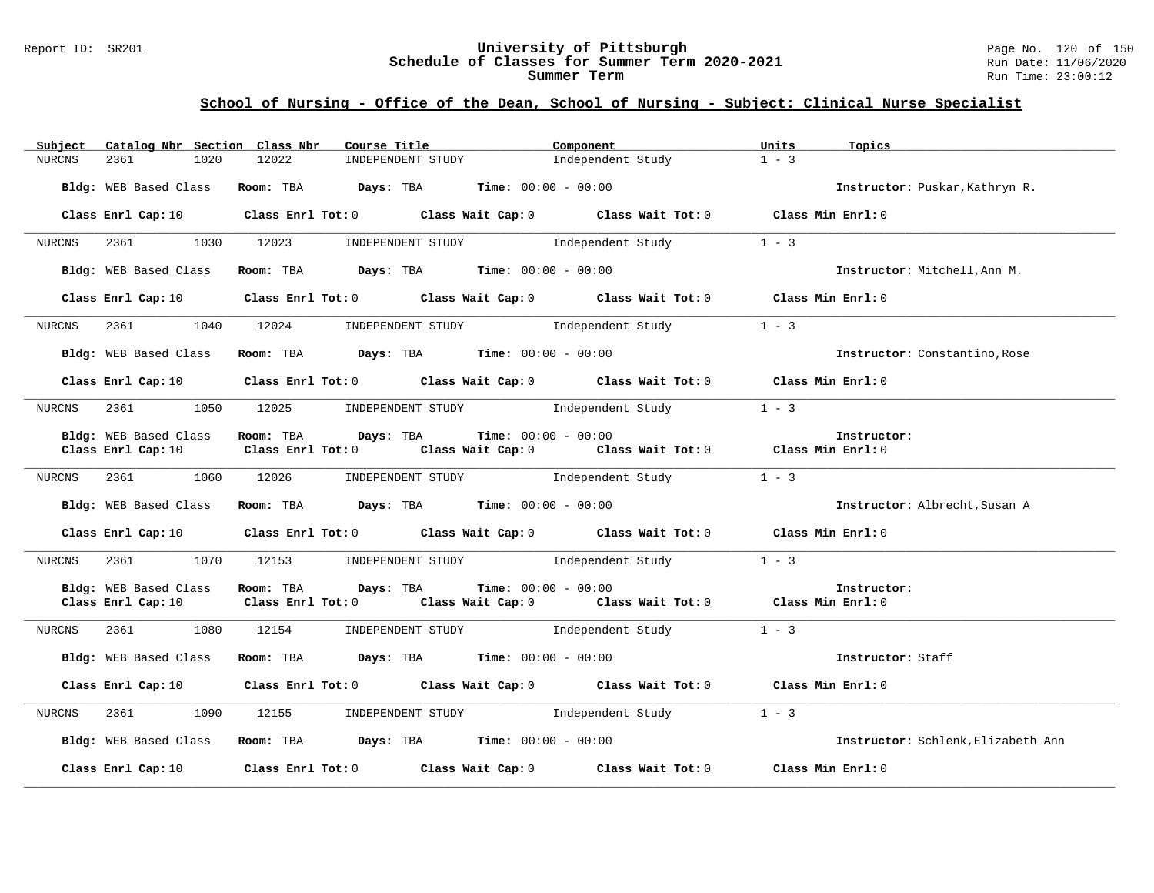#### Report ID: SR201 **University of Pittsburgh** Page No. 120 of 150 **Schedule of Classes for Summer Term 2020-2021** Run Date: 11/06/2020 **Summer Term** Run Time: 23:00:12

| Catalog Nbr Section Class Nbr<br>Subject    | Course Title                                                                                                                   | Component                    | Units<br>Topics                    |
|---------------------------------------------|--------------------------------------------------------------------------------------------------------------------------------|------------------------------|------------------------------------|
| 1020<br><b>NURCNS</b><br>2361               | INDEPENDENT STUDY<br>12022                                                                                                     | Independent Study            | $1 - 3$                            |
| Bldg: WEB Based Class                       | Room: TBA $Days:$ TBA $Time: 00:00 - 00:00$                                                                                    |                              | Instructor: Puskar, Kathryn R.     |
|                                             | Class Enrl Cap: 10 $\qquad$ Class Enrl Tot: 0 $\qquad$ Class Wait Cap: 0 $\qquad$ Class Wait Tot: 0                            |                              | Class Min Enrl: 0                  |
| 2361<br>NURCNS                              | 1030 12023<br>INDEPENDENT STUDY 1ndependent Study                                                                              |                              | $1 - 3$                            |
| Bldg: WEB Based Class                       | Room: TBA $Days:$ TBA $Time: 00:00 - 00:00$                                                                                    |                              | Instructor: Mitchell, Ann M.       |
| Class Enrl Cap: 10                          | Class Enrl Tot: 0 $\qquad$ Class Wait Cap: 0 $\qquad$ Class Wait Tot: 0 $\qquad$ Class Min Enrl: 0                             |                              |                                    |
| NURCNS                                      | 2361 1040 12024 INDEPENDENT STUDY Independent Study                                                                            |                              | $1 - 3$                            |
| Bldg: WEB Based Class                       | Room: TBA $Days:$ TBA $Time: 00:00 - 00:00$                                                                                    |                              | Instructor: Constantino, Rose      |
|                                             | Class Enrl Cap: 10 Class Enrl Tot: 0 Class Wait Cap: 0 Class Wait Tot: 0 Class Min Enrl: 0                                     |                              |                                    |
| NURCNS                                      | 2361 1050 12025 INDEPENDENT STUDY Independent Study 1 - 3                                                                      |                              |                                    |
| Bldg: WEB Based Class                       | Room: TBA Days: TBA<br><b>Time:</b> $00:00 - 00:00$                                                                            |                              | Instructor:                        |
| Class Enrl Cap: 10                          | Class Enrl Tot: 0 $\qquad$ Class Wait Cap: 0 $\qquad$ Class Wait Tot: 0 $\qquad$ Class Min Enrl: 0                             |                              |                                    |
| NURCNS 2361 1060 12026                      | INDEPENDENT STUDY 1ndependent Study                                                                                            |                              | $1 - 3$                            |
| Bldg: WEB Based Class                       | Room: TBA $Days:$ TBA $Time: 00:00 - 00:00$                                                                                    |                              | Instructor: Albrecht, Susan A      |
| Class Enrl Cap: 10                          | Class Enrl Tot: 0 Class Wait Cap: 0 Class Wait Tot: 0 Class Min Enrl: 0                                                        |                              |                                    |
| 1070<br>NURCNS<br>2361                      | 12153 INDEPENDENT STUDY Independent Study                                                                                      |                              | $1 - 3$                            |
| Bldg: WEB Based Class<br>Class Enrl Cap: 10 | Room: TBA Days: TBA<br>Class Enrl Tot: $0$ Class Wait Cap: $0$ Class Wait Tot: $0$ Class Min Enrl: $0$                         | <b>Time:</b> $00:00 - 00:00$ | Instructor:                        |
|                                             |                                                                                                                                |                              |                                    |
| 2361<br>1080<br>NURCNS                      | INDEPENDENT STUDY 1ndependent Study<br>12154                                                                                   |                              | $1 - 3$                            |
| Bldg: WEB Based Class                       | Room: TBA $Days:$ TBA $Time: 00:00 - 00:00$                                                                                    |                              | Instructor: Staff                  |
|                                             | Class Enrl Cap: 10 $\qquad$ Class Enrl Tot: 0 $\qquad$ Class Wait Cap: 0 $\qquad$ Class Wait Tot: 0 $\qquad$ Class Min Enrl: 0 |                              |                                    |
| NURCNS                                      | 1090 12155 INDEPENDENT STUDY Independent Study                                                                                 |                              | $1 - 3$                            |
|                                             | Bldg: WEB Based Class Room: TBA Days: TBA Time: 00:00 - 00:00                                                                  |                              | Instructor: Schlenk, Elizabeth Ann |
| Class Enrl Cap: 10                          | Class Enrl Tot: $0$ Class Wait Cap: $0$ Class Wait Tot: $0$ Class Min Enrl: $0$                                                |                              |                                    |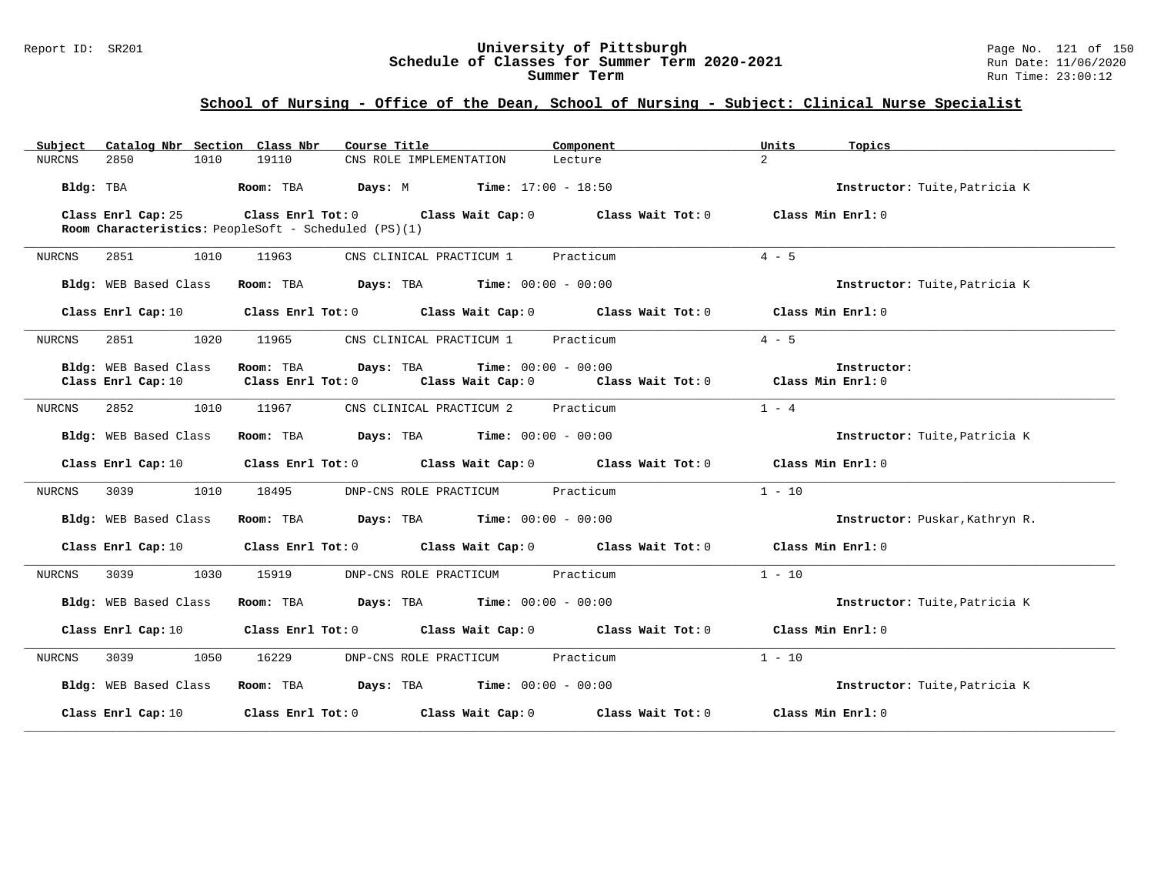#### Report ID: SR201 **University of Pittsburgh** Page No. 121 of 150 **Schedule of Classes for Summer Term 2020-2021** Run Date: 11/06/2020 **Summer Term** Run Time: 23:00:12

| Catalog Nbr Section Class Nbr<br>Subject    | Course Title                                                                                                                            | Component                                             | Units<br>Topics                |
|---------------------------------------------|-----------------------------------------------------------------------------------------------------------------------------------------|-------------------------------------------------------|--------------------------------|
| 1010<br>2850<br>NURCNS                      | 19110<br>CNS ROLE IMPLEMENTATION                                                                                                        | Lecture                                               | $\overline{a}$                 |
| Bldg: TBA                                   | <b>Room:</b> TBA <b>Days:</b> M <b>Time:</b> 17:00 - 18:50                                                                              |                                                       | Instructor: Tuite, Patricia K  |
| Class Enrl Cap: 25                          | Class Enrl Tot: $0$ Class Wait Cap: $0$ Class Wait Tot: $0$ Class Min Enrl: $0$<br>Room Characteristics: PeopleSoft - Scheduled (PS)(1) |                                                       |                                |
| 2851<br>1010<br>NURCNS                      | 11963<br>CNS CLINICAL PRACTICUM 1 Practicum                                                                                             |                                                       | $4 - 5$                        |
| Bldg: WEB Based Class                       | <b>Room:</b> TBA <b>Days:</b> TBA <b>Time:</b> 00:00 - 00:00                                                                            |                                                       | Instructor: Tuite, Patricia K  |
| Class Enrl Cap: 10                          | Class Enrl Tot: 0 Class Wait Cap: 0 Class Wait Tot: 0 Class Min Enrl: 0                                                                 |                                                       |                                |
| 2851<br>1020<br>NURCNS                      | 11965<br>CNS CLINICAL PRACTICUM 1 Practicum                                                                                             |                                                       | $4 - 5$                        |
| Bldg: WEB Based Class<br>Class Enrl Cap: 10 | Room: TBA<br><b>Days:</b> TBA <b>Time:</b> $00:00 - 00:00$<br>$Class$ $Enr1$ $Tot: 0$                                                   | Class Wait Cap: 0 Class Wait Tot: 0 Class Min Enrl: 0 | Instructor:                    |
| 2852<br>1010<br>NURCNS                      | CNS CLINICAL PRACTICUM 2 Practicum<br>11967                                                                                             |                                                       | $1 - 4$                        |
| Bldg: WEB Based Class                       | Room: TBA $Days:$ TBA $Time: 00:00 - 00:00$                                                                                             |                                                       | Instructor: Tuite, Patricia K  |
| Class Enrl Cap: 10                          | Class Enrl Tot: $0$ Class Wait Cap: $0$ Class Wait Tot: $0$ Class Min Enrl: $0$                                                         |                                                       |                                |
| 1010<br>NURCNS<br>3039                      | DNP-CNS ROLE PRACTICUM Practicum<br>18495                                                                                               |                                                       | $1 - 10$                       |
| Bldg: WEB Based Class                       | Room: TBA $Days:$ TBA $Time: 00:00 - 00:00$                                                                                             |                                                       | Instructor: Puskar, Kathryn R. |
| Class Enrl Cap: 10                          | Class Enrl Tot: 0 Class Wait Cap: 0 Class Wait Tot: 0 Class Min Enrl: 0                                                                 |                                                       |                                |
| 1030<br>NURCNS<br>3039                      | 15919<br>DNP-CNS ROLE PRACTICUM                                                                                                         | Practicum                                             | $1 - 10$                       |
| Bldg: WEB Based Class                       | Room: TBA $Days: TBA$ Time: $00:00 - 00:00$                                                                                             |                                                       | Instructor: Tuite, Patricia K  |
| Class Enrl Cap: 10                          | Class Enrl Tot: 0 Class Wait Cap: 0 Class Wait Tot: 0 Class Min Enrl: 0                                                                 |                                                       |                                |
| 3039 30<br>1050<br>NURCNS                   | 16229<br>DNP-CNS ROLE PRACTICUM                                                                                                         | Practicum                                             | $1 - 10$                       |
| Bldg: WEB Based Class                       | <b>Room:</b> TBA <b>Days:</b> TBA <b>Time:</b> 00:00 - 00:00                                                                            |                                                       | Instructor: Tuite, Patricia K  |
| Class Enrl Cap: 10                          | Class Enrl Tot: $0$ Class Wait Cap: $0$ Class Wait Tot: $0$                                                                             |                                                       | Class Min Enrl: 0              |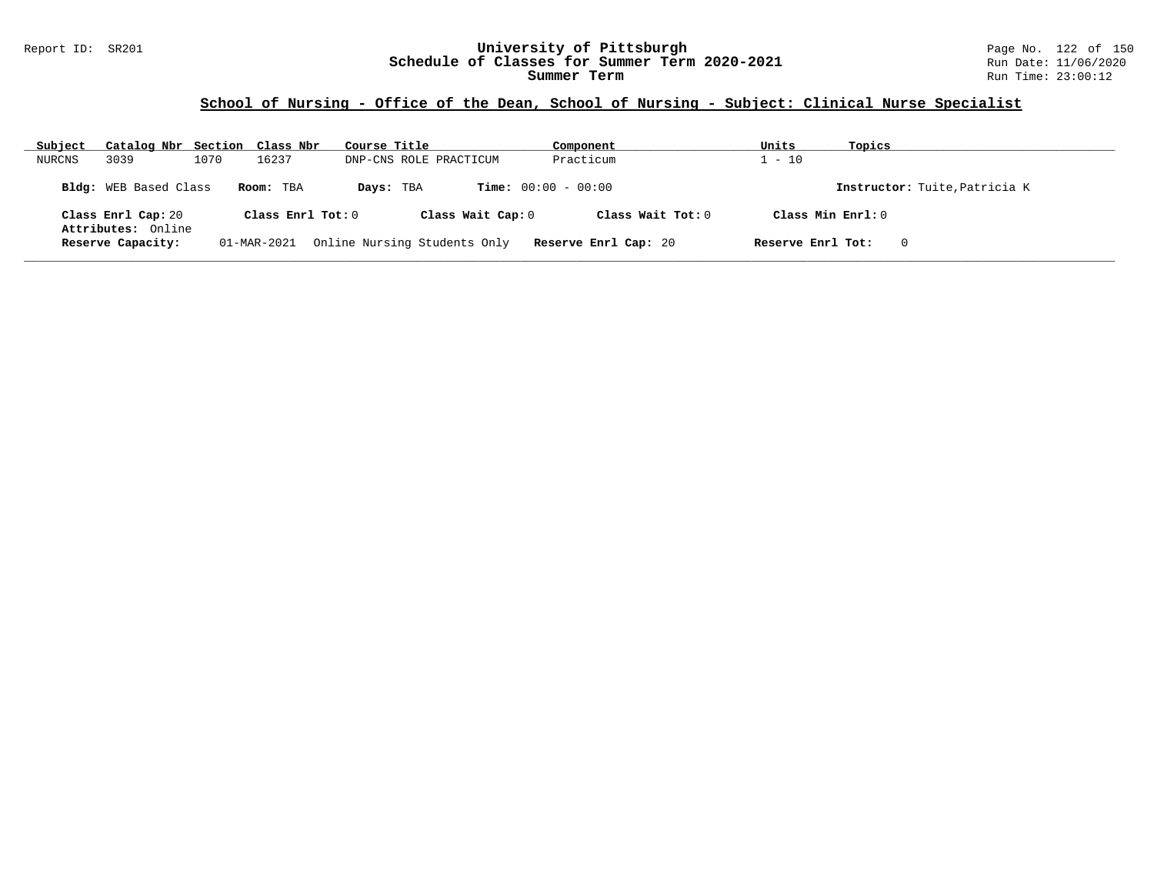#### Report ID: SR201 **University of Pittsburgh** Page No. 122 of 150 **Schedule of Classes for Summer Term 2020-2021** Run Date: 11/06/2020 **Summer Term** Run Time: 23:00:12

| Subject | Catalog Nbr Section Class Nbr           |      |                     | Course Title |                              | Component             | Units               | Topics                        |
|---------|-----------------------------------------|------|---------------------|--------------|------------------------------|-----------------------|---------------------|-------------------------------|
| NURCNS  | 3039                                    | 1070 | 16237               |              | DNP-CNS ROLE PRACTICUM       | Practicum             | $1 - 10$            |                               |
|         | <b>Bldg:</b> WEB Based Class            |      | Room: TBA           | Days: TBA    |                              | $Time: 00:00 - 00:00$ |                     | Instructor: Tuite, Patricia K |
|         | Class Enrl Cap: 20                      |      | Class Enrl Tot: $0$ |              | Class Wait Cap: 0            | Class Wait $Tot: 0$   | Class Min $Enrl: 0$ |                               |
|         | Attributes: Online<br>Reserve Capacity: |      | 01-MAR-2021         |              | Online Nursing Students Only | Reserve Enrl Cap: 20  | Reserve Enrl Tot:   | $\mathbf 0$                   |
|         |                                         |      |                     |              |                              |                       |                     |                               |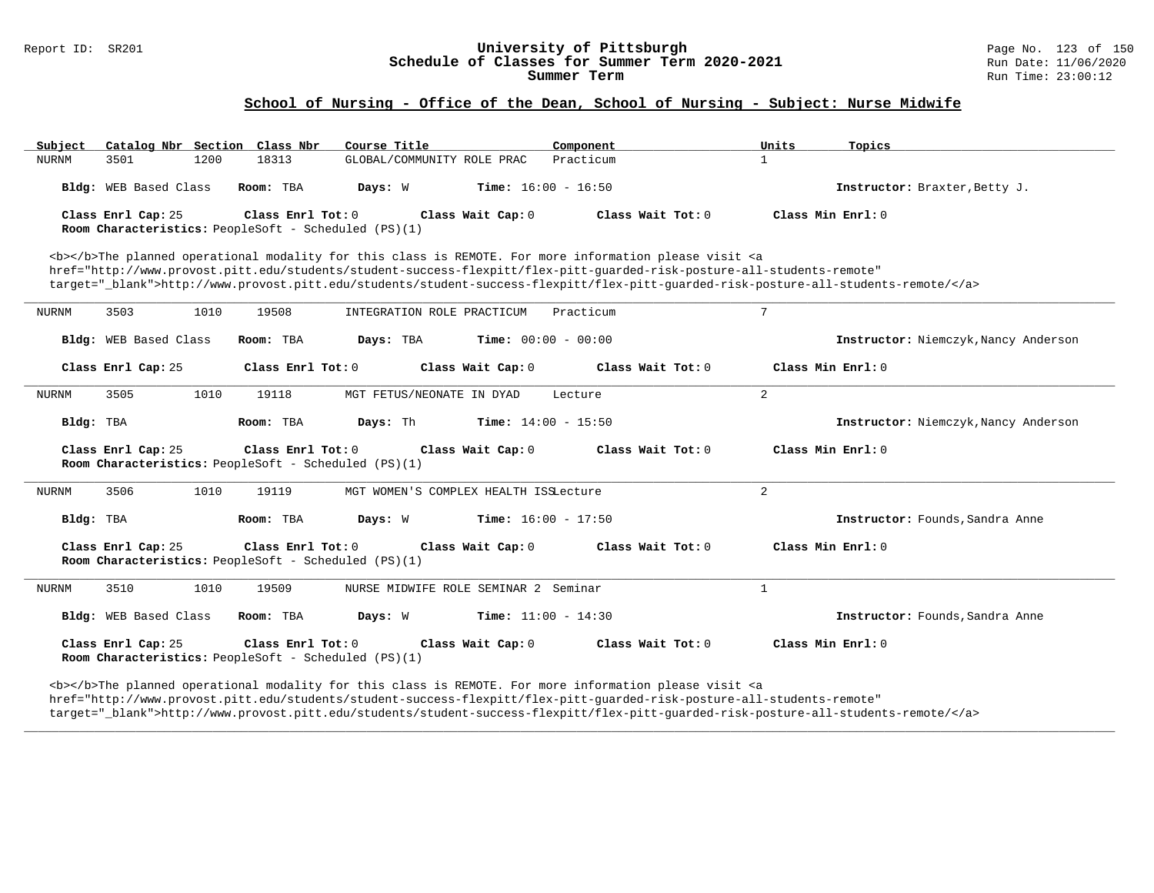# Report ID: SR201 **123 of 150**<br>**Schedule of Classes for Summer Term 2020-2021** Page No. 123 of 150 **Schedule of Classes for Summer Term 2020-2021**<br>Summer Term

### **School of Nursing - Office of the Dean, School of Nursing - Subject: Nurse Midwife**

| Catalog Nbr Section Class Nbr<br>Subject                                                                                                                         |                   | Course Title                              | Component                                                                                                                                                                                                                                                                                                                                                                          | Units             | Topics                               |  |  |  |
|------------------------------------------------------------------------------------------------------------------------------------------------------------------|-------------------|-------------------------------------------|------------------------------------------------------------------------------------------------------------------------------------------------------------------------------------------------------------------------------------------------------------------------------------------------------------------------------------------------------------------------------------|-------------------|--------------------------------------|--|--|--|
| <b>NURNM</b><br>3501<br>1200                                                                                                                                     | 18313             | GLOBAL/COMMUNITY ROLE PRAC                | Practicum                                                                                                                                                                                                                                                                                                                                                                          | $\mathbf{1}$      |                                      |  |  |  |
| Bldg: WEB Based Class                                                                                                                                            | Room: TBA         | Days: W<br><b>Time:</b> $16:00 - 16:50$   |                                                                                                                                                                                                                                                                                                                                                                                    |                   | Instructor: Braxter, Betty J.        |  |  |  |
| Class Enrl Cap: 25<br>Room Characteristics: PeopleSoft - Scheduled (PS)(1)                                                                                       | Class Enrl Tot: 0 | Class Wait Cap: 0                         | Class Wait Tot: 0                                                                                                                                                                                                                                                                                                                                                                  | Class Min Enrl: 0 |                                      |  |  |  |
|                                                                                                                                                                  |                   |                                           | <b></b> The planned operational modality for this class is REMOTE. For more information please visit <a<br>href="http://www.provost.pitt.edu/students/student-success-flexpitt/flex-pitt-quarded-risk-posture-all-students-remote"<br/>target="_blank"&gt;http://www.provost.pitt.edu/students/student-success-flexpitt/flex-pitt-quarded-risk-posture-all-students-remote/</a<br> |                   |                                      |  |  |  |
| <b>NURNM</b><br>3503<br>1010                                                                                                                                     | 19508             | INTEGRATION ROLE PRACTICUM                | Practicum                                                                                                                                                                                                                                                                                                                                                                          | 7                 |                                      |  |  |  |
| Bldg: WEB Based Class                                                                                                                                            | Room: TBA         | Days: TBA<br><b>Time:</b> $00:00 - 00:00$ |                                                                                                                                                                                                                                                                                                                                                                                    |                   | Instructor: Niemczyk, Nancy Anderson |  |  |  |
| Class Enrl Cap: 25                                                                                                                                               | Class Enrl Tot: 0 | Class Wait Cap: 0                         | Class Wait Tot: 0                                                                                                                                                                                                                                                                                                                                                                  | Class Min Enrl: 0 |                                      |  |  |  |
| 3505<br>1010<br><b>NURNM</b>                                                                                                                                     | 19118             | MGT FETUS/NEONATE IN DYAD                 | Lecture                                                                                                                                                                                                                                                                                                                                                                            | $\overline{2}$    |                                      |  |  |  |
| Bldg: TBA                                                                                                                                                        | Room: TBA         | Days: Th<br><b>Time:</b> $14:00 - 15:50$  |                                                                                                                                                                                                                                                                                                                                                                                    |                   | Instructor: Niemczyk, Nancy Anderson |  |  |  |
| Class Enrl Cap: 25<br>Room Characteristics: PeopleSoft - Scheduled (PS)(1)                                                                                       | Class Enrl Tot: 0 | Class Wait Cap: 0                         | Class Wait Tot: 0                                                                                                                                                                                                                                                                                                                                                                  | Class Min Enrl: 0 |                                      |  |  |  |
| 3506<br>1010<br><b>NURNM</b>                                                                                                                                     | 19119             | MGT WOMEN'S COMPLEX HEALTH ISSLecture     |                                                                                                                                                                                                                                                                                                                                                                                    | 2                 |                                      |  |  |  |
| Bldg: TBA                                                                                                                                                        | Room: TBA         | Days: W<br><b>Time:</b> $16:00 - 17:50$   |                                                                                                                                                                                                                                                                                                                                                                                    |                   | Instructor: Founds, Sandra Anne      |  |  |  |
| Class Enrl Cap: 25<br>Class Min Enrl: 0<br>Class Enrl Tot: 0<br>Class Wait Cap: 0<br>Class Wait $Tot: 0$<br>Room Characteristics: PeopleSoft - Scheduled (PS)(1) |                   |                                           |                                                                                                                                                                                                                                                                                                                                                                                    |                   |                                      |  |  |  |
| 3510<br>1010<br><b>NURNM</b>                                                                                                                                     | 19509             | NURSE MIDWIFE ROLE SEMINAR 2 Seminar      |                                                                                                                                                                                                                                                                                                                                                                                    | $\mathbf{1}$      |                                      |  |  |  |
| Bldg: WEB Based Class                                                                                                                                            | Room: TBA         | Days: W<br><b>Time:</b> $11:00 - 14:30$   |                                                                                                                                                                                                                                                                                                                                                                                    |                   | Instructor: Founds, Sandra Anne      |  |  |  |
| Class Enrl Cap: 25<br>Room Characteristics: PeopleSoft - Scheduled (PS)(1)                                                                                       | Class Enrl Tot: 0 | Class Wait Cap: 0                         | Class Wait $Tot: 0$                                                                                                                                                                                                                                                                                                                                                                | Class Min Enrl: 0 |                                      |  |  |  |

<b></b>The planned operational modality for this class is REMOTE. For more information please visit <a href="http://www.provost.pitt.edu/students/student-success-flexpitt/flex-pitt-guarded-risk-posture-all-students-remote" target="\_blank">http://www.provost.pitt.edu/students/student-success-flexpitt/flex-pitt-guarded-risk-posture-all-students-remote/</a>

**\_\_\_\_\_\_\_\_\_\_\_\_\_\_\_\_\_\_\_\_\_\_\_\_\_\_\_\_\_\_\_\_\_\_\_\_\_\_\_\_\_\_\_\_\_\_\_\_\_\_\_\_\_\_\_\_\_\_\_\_\_\_\_\_\_\_\_\_\_\_\_\_\_\_\_\_\_\_\_\_\_\_\_\_\_\_\_\_\_\_\_\_\_\_\_\_\_\_\_\_\_\_\_\_\_\_\_\_\_\_\_\_\_\_\_\_\_\_\_\_\_\_\_\_\_\_\_\_\_\_\_\_\_\_\_\_\_\_\_\_\_\_\_\_\_\_\_\_\_\_\_\_\_\_\_\_**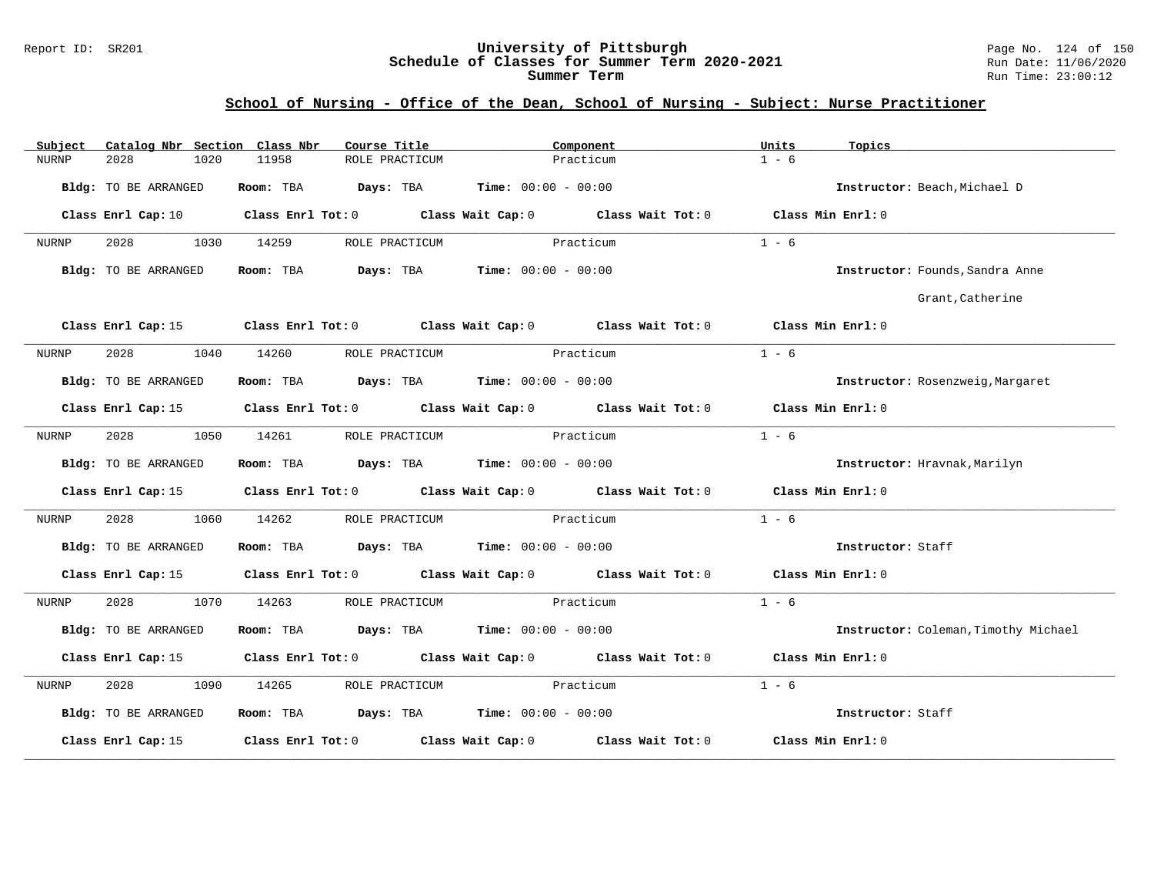#### Report ID: SR201 **University of Pittsburgh** Page No. 124 of 150 **Schedule of Classes for Summer Term 2020-2021** Run Date: 11/06/2020 **Summer Term** Run Time: 23:00:12

| Subject |                      |      | Catalog Nbr Section Class Nbr | Course Title                                                 |           | Component                                                                                       | Units   | Topics                               |
|---------|----------------------|------|-------------------------------|--------------------------------------------------------------|-----------|-------------------------------------------------------------------------------------------------|---------|--------------------------------------|
| NURNP   | 2028                 | 1020 | 11958                         | ROLE PRACTICUM                                               |           | Practicum                                                                                       | $1 - 6$ |                                      |
|         | Bldg: TO BE ARRANGED |      | Room: TBA                     | <b>Days:</b> TBA <b>Time:</b> $00:00 - 00:00$                |           |                                                                                                 |         | Instructor: Beach, Michael D         |
|         | Class Enrl Cap: 10   |      |                               |                                                              |           | Class Enrl Tot: $0$ Class Wait Cap: $0$ Class Wait Tot: $0$ Class Min Enrl: $0$                 |         |                                      |
| NURNP   | 2028                 | 1030 | 14259                         | ROLE PRACTICUM                                               |           | Practicum                                                                                       | $1 - 6$ |                                      |
|         | Bldg: TO BE ARRANGED |      |                               | Room: TBA $Days:$ TBA $Time: 00:00 - 00:00$                  |           |                                                                                                 |         | Instructor: Founds, Sandra Anne      |
|         |                      |      |                               |                                                              |           |                                                                                                 |         | Grant, Catherine                     |
|         |                      |      |                               |                                                              |           | Class Enrl Cap: 15 Class Enrl Tot: 0 Class Wait Cap: 0 Class Wait Tot: 0 Class Min Enrl: 0      |         |                                      |
| NURNP   | 2028                 | 1040 | 14260                         | ROLE PRACTICUM                                               | Practicum |                                                                                                 | $1 - 6$ |                                      |
|         | Bldg: TO BE ARRANGED |      |                               | Room: TBA $Days:$ TBA $Time: 00:00 - 00:00$                  |           |                                                                                                 |         | Instructor: Rosenzweig, Margaret     |
|         |                      |      |                               |                                                              |           | Class Enrl Cap: 15 (Class Enrl Tot: 0 (Class Wait Cap: 0 (Class Wait Tot: 0 (Class Min Enrl: 0) |         |                                      |
| NURNP   | 2028                 | 1050 | 14261                         | ROLE PRACTICUM                                               | Practicum |                                                                                                 | $1 - 6$ |                                      |
|         | Bldg: TO BE ARRANGED |      |                               | <b>Room:</b> TBA <b>Days:</b> TBA <b>Time:</b> 00:00 - 00:00 |           |                                                                                                 |         | Instructor: Hravnak, Marilyn         |
|         |                      |      |                               |                                                              |           | Class Enrl Cap: 15 Class Enrl Tot: 0 Class Wait Cap: 0 Class Wait Tot: 0 Class Min Enrl: 0      |         |                                      |
| NURNP   | 2028                 | 1060 | 14262                         | ROLE PRACTICUM                                               | Practicum |                                                                                                 | $1 - 6$ |                                      |
|         | Bldg: TO BE ARRANGED |      |                               | Room: TBA $Days:$ TBA $Time: 00:00 - 00:00$                  |           |                                                                                                 |         | Instructor: Staff                    |
|         |                      |      |                               |                                                              |           | Class Enrl Cap: 15 (Class Enrl Tot: 0 (Class Wait Cap: 0 (Class Wait Tot: 0 (Class Min Enrl: 0) |         |                                      |
| NURNP   |                      | 1070 | 14263                         | ROLE PRACTICUM                                               |           | Practicum                                                                                       | $1 - 6$ |                                      |
|         | Bldg: TO BE ARRANGED |      |                               | Room: TBA $Days:$ TBA $Time: 00:00 - 00:00$                  |           |                                                                                                 |         | Instructor: Coleman, Timothy Michael |
|         |                      |      |                               |                                                              |           | Class Enrl Cap: 15 (Class Enrl Tot: 0 (Class Wait Cap: 0 (Class Wait Tot: 0 (Class Min Enrl: 0) |         |                                      |
| NURNP   | 2028                 | 1090 | 14265                         | ROLE PRACTICUM                                               | Practicum |                                                                                                 | $1 - 6$ |                                      |
|         | Bldg: TO BE ARRANGED |      |                               | Room: TBA $Days:$ TBA Time: $00:00 - 00:00$                  |           |                                                                                                 |         | Instructor: Staff                    |
|         | Class Enrl Cap: 15   |      |                               |                                                              |           | Class Enrl Tot: $0$ Class Wait Cap: $0$ Class Wait Tot: $0$                                     |         | Class Min Enrl: 0                    |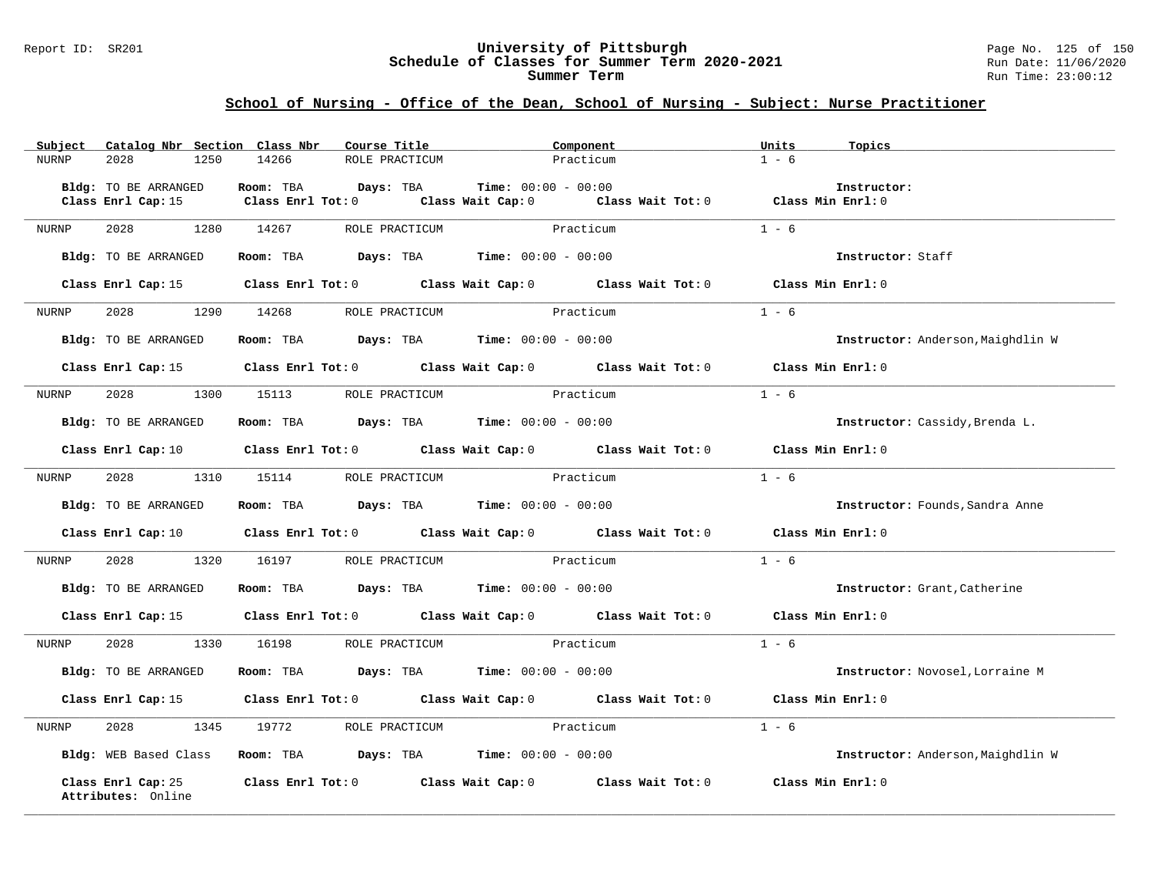#### Report ID: SR201 **University of Pittsburgh** Page No. 125 of 150 **Schedule of Classes for Summer Term 2020-2021** Run Date: 11/06/2020 **Summer Term** Run Time: 23:00:12

| Subject                                  | Catalog Nbr Section Class Nbr<br>Course Title                  | Component                                                                                                                      | Units<br>Topics                   |
|------------------------------------------|----------------------------------------------------------------|--------------------------------------------------------------------------------------------------------------------------------|-----------------------------------|
| NURNP<br>2028<br>1250                    | 14266<br>ROLE PRACTICUM                                        | Practicum                                                                                                                      | $1 - 6$                           |
|                                          |                                                                |                                                                                                                                |                                   |
| Bldg: TO BE ARRANGED                     | Room: TBA<br>Days: TBA                                         | <b>Time:</b> $00:00 - 00:00$                                                                                                   | Instructor:                       |
| Class Enrl Cap: 15                       | $Class$ $Enr1$ $Tot: 0$                                        | Class Wait Cap: 0 Class Wait Tot: 0 Class Min Enrl: 0                                                                          |                                   |
| NURNP<br>2028                            | 1280 14267<br>ROLE PRACTICUM                                   | Practicum                                                                                                                      | $1 - 6$                           |
|                                          |                                                                |                                                                                                                                |                                   |
| Bldg: TO BE ARRANGED                     | Room: TBA $Days:$ TBA $Time: 00:00 - 00:00$                    |                                                                                                                                | Instructor: Staff                 |
|                                          |                                                                | Class Enrl Cap: 15 Class Enrl Tot: 0 Class Wait Cap: 0 Class Wait Tot: 0 Class Min Enrl: 0                                     |                                   |
| 2028 30<br>NURNP                         | 1290 14268                                                     | ROLE PRACTICUM Practicum                                                                                                       | $1 - 6$                           |
|                                          |                                                                |                                                                                                                                |                                   |
| Bldg: TO BE ARRANGED                     | Room: TBA $Days:$ TBA $Time: 00:00 - 00:00$                    |                                                                                                                                | Instructor: Anderson, Maighdlin W |
|                                          |                                                                | Class Enrl Cap: 15 (Class Enrl Tot: 0 (Class Wait Cap: 0 (Class Wait Tot: 0 (Class Min Enrl: 0)                                |                                   |
|                                          |                                                                |                                                                                                                                |                                   |
| 2028<br>1300<br>NURNP                    | 15113<br>ROLE PRACTICUM                                        | Practicum                                                                                                                      | $1 - 6$                           |
| Bldg: TO BE ARRANGED                     | Room: TBA $Days:$ TBA $Time: 00:00 - 00:00$                    |                                                                                                                                | Instructor: Cassidy, Brenda L.    |
|                                          |                                                                | Class Enrl Cap: 10 $\qquad$ Class Enrl Tot: 0 $\qquad$ Class Wait Cap: 0 $\qquad$ Class Wait Tot: 0 $\qquad$ Class Min Enrl: 0 |                                   |
|                                          |                                                                |                                                                                                                                |                                   |
| NURNP                                    | 2028 1310 15114 ROLE PRACTICUM Practicum                       |                                                                                                                                | $1 - 6$                           |
| Bldg: TO BE ARRANGED                     | Room: TBA $Days: TBA$ Time: $00:00 - 00:00$                    |                                                                                                                                | Instructor: Founds, Sandra Anne   |
|                                          |                                                                | Class Enrl Cap: 10 Class Enrl Tot: 0 Class Wait Cap: 0 Class Wait Tot: 0 Class Min Enrl: 0                                     |                                   |
|                                          |                                                                |                                                                                                                                |                                   |
| 2028<br>1320<br>NURNP                    | 16197<br>ROLE PRACTICUM                                        | Practicum                                                                                                                      | $1 - 6$                           |
| Bldg: TO BE ARRANGED                     | Room: TBA $Days:$ TBA $Time: 00:00 - 00:00$                    |                                                                                                                                | Instructor: Grant, Catherine      |
|                                          |                                                                | Class Enrl Cap: 15 Class Enrl Tot: 0 Class Wait Cap: 0 Class Wait Tot: 0 Class Min Enrl: 0                                     |                                   |
| 2028<br>NURNP                            | 1330 16198 ROLE PRACTICUM                                      | Practicum                                                                                                                      | $1 - 6$                           |
| Bldg: TO BE ARRANGED                     | Room: TBA $Days:$ TBA $Time: 00:00 - 00:00$                    |                                                                                                                                | Instructor: Novosel, Lorraine M   |
|                                          |                                                                |                                                                                                                                |                                   |
|                                          |                                                                | Class Enrl Cap: 15 Class Enrl Tot: 0 Class Wait Cap: 0 Class Wait Tot: 0                                                       | Class Min Enrl: 0                 |
| 2028<br>1345<br>NURNP                    | 19772<br>ROLE PRACTICUM                                        | Practicum                                                                                                                      | $1 - 6$                           |
| Bldg: WEB Based Class                    | Room: TBA $\rule{1em}{0.15mm}$ Days: TBA Time: $00:00 - 00:00$ |                                                                                                                                | Instructor: Anderson, Maighdlin W |
| Class Enrl Cap: 25<br>Attributes: Online |                                                                | Class Enrl Tot: $0$ Class Wait Cap: $0$ Class Wait Tot: $0$                                                                    | Class Min Enrl: 0                 |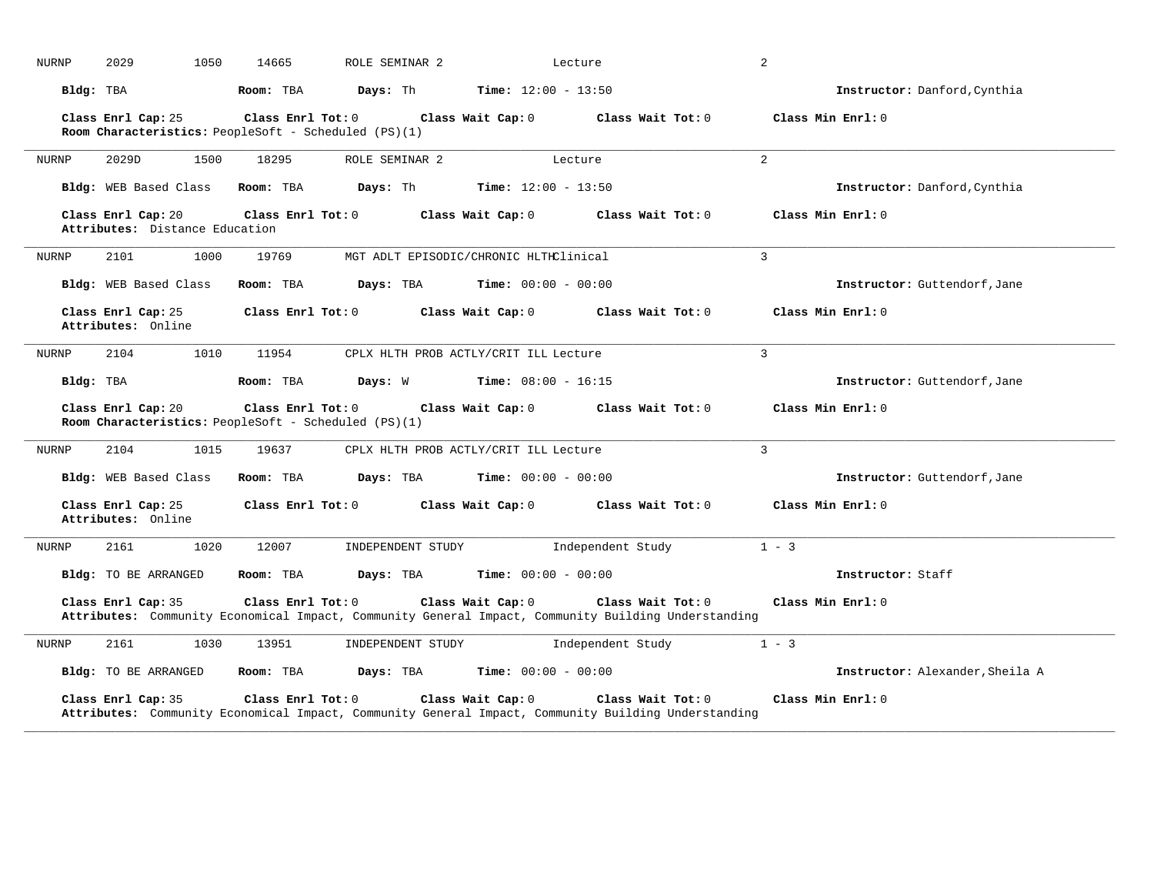| NURNP        | 2029                                                                                                                                                                                                          | 1050<br>14665                                                             | ROLE SEMINAR 2                         |                              | Lecture                                                                                                                  | 2                               |  |  |
|--------------|---------------------------------------------------------------------------------------------------------------------------------------------------------------------------------------------------------------|---------------------------------------------------------------------------|----------------------------------------|------------------------------|--------------------------------------------------------------------------------------------------------------------------|---------------------------------|--|--|
| Bldg: TBA    |                                                                                                                                                                                                               | Room: TBA                                                                 | Days: Th                               | <b>Time:</b> $12:00 - 13:50$ |                                                                                                                          | Instructor: Danford, Cynthia    |  |  |
|              | Class Enrl Cap: 25                                                                                                                                                                                            | Class Enrl Tot: 0<br>Room Characteristics: PeopleSoft - Scheduled (PS)(1) |                                        | Class Wait Cap: 0            | Class Wait Tot: 0                                                                                                        | Class Min Enrl: 0               |  |  |
| <b>NURNP</b> | 2029D                                                                                                                                                                                                         | 1500<br>18295                                                             | ROLE SEMINAR 2                         |                              | Lecture                                                                                                                  | $\overline{2}$                  |  |  |
|              | Bldg: WEB Based Class                                                                                                                                                                                         | Room: TBA                                                                 | Days: Th                               | <b>Time:</b> $12:00 - 13:50$ |                                                                                                                          | Instructor: Danford, Cynthia    |  |  |
|              | Class Enrl Cap: 20<br>Attributes: Distance Education                                                                                                                                                          | Class Enrl Tot: 0                                                         |                                        | Class Wait Cap: 0            | Class Wait Tot: 0                                                                                                        | Class Min Enrl: 0               |  |  |
| NURNP        | 2101                                                                                                                                                                                                          | 19769<br>1000                                                             | MGT ADLT EPISODIC/CHRONIC HLTHClinical |                              |                                                                                                                          | 3                               |  |  |
|              | Bldg: WEB Based Class                                                                                                                                                                                         | Room: TBA                                                                 | Days: TBA                              | <b>Time:</b> $00:00 - 00:00$ |                                                                                                                          | Instructor: Guttendorf, Jane    |  |  |
|              | Class Enrl Cap: 25<br>Attributes: Online                                                                                                                                                                      | Class Enrl Tot: 0                                                         |                                        | Class Wait Cap: 0            | Class Wait Tot: 0                                                                                                        | Class Min Enrl: 0               |  |  |
| <b>NURNP</b> | 2104                                                                                                                                                                                                          | 1010<br>11954                                                             | CPLX HLTH PROB ACTLY/CRIT ILL Lecture  |                              |                                                                                                                          | 3                               |  |  |
| Bldg: TBA    |                                                                                                                                                                                                               | Room: TBA                                                                 | Days: W                                | <b>Time:</b> $08:00 - 16:15$ |                                                                                                                          | Instructor: Guttendorf, Jane    |  |  |
|              | Class Enrl Cap: 20                                                                                                                                                                                            | Class Enrl Tot: 0<br>Room Characteristics: PeopleSoft - Scheduled (PS)(1) |                                        | Class Wait Cap: 0            | Class Wait Tot: 0                                                                                                        | Class Min Enrl: 0               |  |  |
| <b>NURNP</b> | 2104                                                                                                                                                                                                          | 1015<br>19637                                                             | CPLX HLTH PROB ACTLY/CRIT ILL Lecture  |                              |                                                                                                                          | $\overline{3}$                  |  |  |
|              | Bldg: WEB Based Class                                                                                                                                                                                         | Room: TBA                                                                 | Days: TBA                              | <b>Time:</b> $00:00 - 00:00$ |                                                                                                                          | Instructor: Guttendorf, Jane    |  |  |
|              | Class Enrl Cap: 25<br>Attributes: Online                                                                                                                                                                      | Class Enrl Tot: 0                                                         |                                        | Class Wait Cap: 0            | Class Wait Tot: 0                                                                                                        | Class Min Enrl: 0               |  |  |
| NURNP        | 2161                                                                                                                                                                                                          | 1020<br>12007                                                             | INDEPENDENT STUDY                      |                              | Independent Study                                                                                                        | $1 - 3$                         |  |  |
|              | Bldg: TO BE ARRANGED                                                                                                                                                                                          | Room: TBA                                                                 | Days: TBA                              | <b>Time:</b> $00:00 - 00:00$ |                                                                                                                          | Instructor: Staff               |  |  |
|              | Class Enrl Tot: 0<br>Class Wait Cap: 0<br>Class Min Enrl: 0<br>Class Enrl Cap: 35<br>Class Wait Tot: 0<br>Attributes: Community Economical Impact, Community General Impact, Community Building Understanding |                                                                           |                                        |                              |                                                                                                                          |                                 |  |  |
| NURNP        | 2161                                                                                                                                                                                                          | 1030<br>13951                                                             | INDEPENDENT STUDY                      |                              | Independent Study                                                                                                        | $1 - 3$                         |  |  |
|              | Bldg: TO BE ARRANGED                                                                                                                                                                                          | Room: TBA                                                                 | Days: TBA                              | <b>Time:</b> $00:00 - 00:00$ |                                                                                                                          | Instructor: Alexander, Sheila A |  |  |
|              | Class Enrl Cap: 35                                                                                                                                                                                            | Class Enrl Tot: 0                                                         |                                        | Class Wait Cap: 0            | Class Wait Tot: 0<br>Attributes: Community Economical Impact, Community General Impact, Community Building Understanding | Class Min Enrl: 0               |  |  |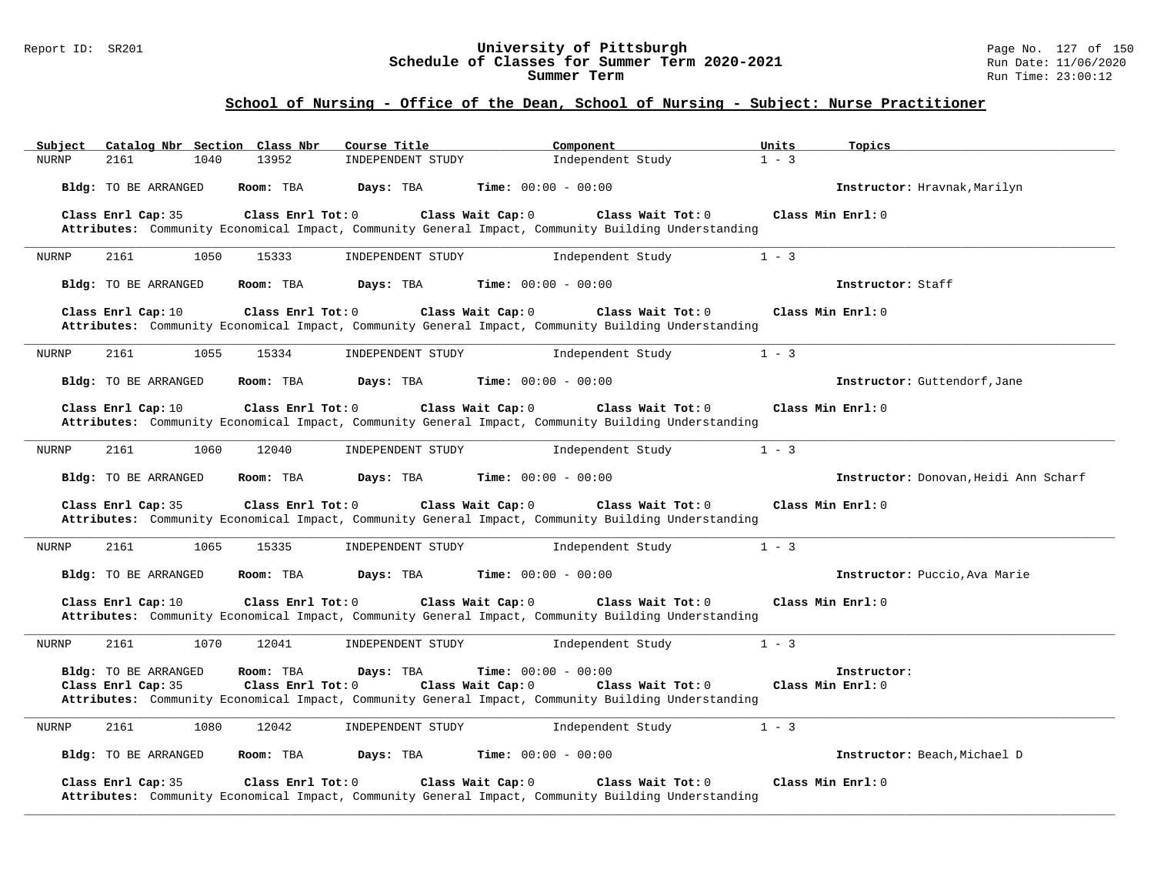#### Report ID: SR201 **University of Pittsburgh** Page No. 127 of 150 **Schedule of Classes for Summer Term 2020-2021** Run Date: 11/06/2020 **Summer Term** Run Time: 23:00:12

| Subject      |                    |                             |      | Catalog Nbr Section Class Nbr | Course Title      |                              | Component                                                                                                                | Units   | Topics                                |
|--------------|--------------------|-----------------------------|------|-------------------------------|-------------------|------------------------------|--------------------------------------------------------------------------------------------------------------------------|---------|---------------------------------------|
| <b>NURNP</b> | 2161               |                             | 1040 | 13952                         | INDEPENDENT STUDY |                              | Independent Study                                                                                                        | $1 - 3$ |                                       |
|              |                    | Bldg: TO BE ARRANGED        |      | Room: TBA                     | Days: TBA         | <b>Time:</b> $00:00 - 00:00$ |                                                                                                                          |         | Instructor: Hravnak, Marilyn          |
|              | Class Enrl Cap: 35 |                             |      | Class Enrl Tot: $0$           |                   | Class Wait Cap: 0            | Class Wait $Tot: 0$                                                                                                      |         | Class Min $Enrl: 0$                   |
|              |                    |                             |      |                               |                   |                              | Attributes: Community Economical Impact, Community General Impact, Community Building Understanding                      |         |                                       |
| <b>NURNP</b> | 2161               |                             | 1050 | 15333                         | INDEPENDENT STUDY |                              | Independent Study                                                                                                        | $1 - 3$ |                                       |
|              |                    | <b>Bldg:</b> TO BE ARRANGED |      | Room: TBA                     | Days: TBA         | <b>Time:</b> $00:00 - 00:00$ |                                                                                                                          |         | Instructor: Staff                     |
|              | Class Enrl Cap: 10 |                             |      | Class Enrl Tot: 0             |                   | Class Wait Cap: 0            | Class Wait Tot: 0<br>Attributes: Community Economical Impact, Community General Impact, Community Building Understanding |         | Class Min Enrl: 0                     |
| NURNP        | 2161               |                             | 1055 | 15334                         | INDEPENDENT STUDY |                              | Independent Study                                                                                                        | $1 - 3$ |                                       |
|              |                    | Bldg: TO BE ARRANGED        |      | Room: TBA                     | Days: TBA         | <b>Time:</b> $00:00 - 00:00$ |                                                                                                                          |         | Instructor: Guttendorf, Jane          |
|              | Class Enrl Cap: 10 |                             |      | Class Enrl Tot: 0             |                   | Class Wait Cap: 0            | Class Wait Tot: 0<br>Attributes: Community Economical Impact, Community General Impact, Community Building Understanding |         | Class Min Enrl: 0                     |
| <b>NURNP</b> | 2161               |                             | 1060 | 12040                         | INDEPENDENT STUDY |                              | Independent Study                                                                                                        | $1 - 3$ |                                       |
|              |                    | Bldg: TO BE ARRANGED        |      | Room: TBA                     | Days: TBA         | <b>Time:</b> $00:00 - 00:00$ |                                                                                                                          |         | Instructor: Donovan, Heidi Ann Scharf |
|              | Class Enrl Cap: 35 |                             |      | Class Enrl Tot: 0             |                   | Class Wait Cap: 0            | Class Wait Tot: 0<br>Attributes: Community Economical Impact, Community General Impact, Community Building Understanding |         | Class Min $Enrl: 0$                   |
| NURNP        | 2161               |                             | 1065 | 15335                         | INDEPENDENT STUDY |                              | Independent Study                                                                                                        | $1 - 3$ |                                       |
|              |                    | Bldg: TO BE ARRANGED        |      | Room: TBA                     | Days: TBA         | Time: $00:00 - 00:00$        |                                                                                                                          |         | Instructor: Puccio, Ava Marie         |
|              | Class Enrl Cap: 10 |                             |      | Class Enrl Tot: 0             |                   | Class Wait Cap: 0            | Class Wait Tot: 0<br>Attributes: Community Economical Impact, Community General Impact, Community Building Understanding |         | Class Min Enrl: 0                     |
| <b>NURNP</b> | 2161               |                             | 1070 | 12041                         | INDEPENDENT STUDY |                              | Independent Study                                                                                                        | $1 - 3$ |                                       |
|              |                    | Bldg: TO BE ARRANGED        |      | Room: TBA                     | Days: TBA         | <b>Time:</b> $00:00 - 00:00$ |                                                                                                                          |         | Instructor:                           |
|              | Class Enrl Cap: 35 |                             |      | Class Enrl Tot: 0             |                   | Class Wait Cap: 0            | Class Wait Tot: 0<br>Attributes: Community Economical Impact, Community General Impact, Community Building Understanding |         | Class Min Enrl: 0                     |
| <b>NURNP</b> | 2161               |                             | 1080 | 12042                         | INDEPENDENT STUDY |                              | Independent Study                                                                                                        | $1 - 3$ |                                       |
|              |                    | Bldg: TO BE ARRANGED        |      | Room: TBA                     | Days: TBA         | <b>Time:</b> $00:00 - 00:00$ |                                                                                                                          |         | Instructor: Beach, Michael D          |
|              | Class Enrl Cap: 35 |                             |      | Class Enrl Tot: 0             |                   | Class Wait Cap: 0            | Class Wait Tot: 0<br>Attributes: Community Economical Impact, Community General Impact, Community Building Understanding |         | Class Min Enrl: 0                     |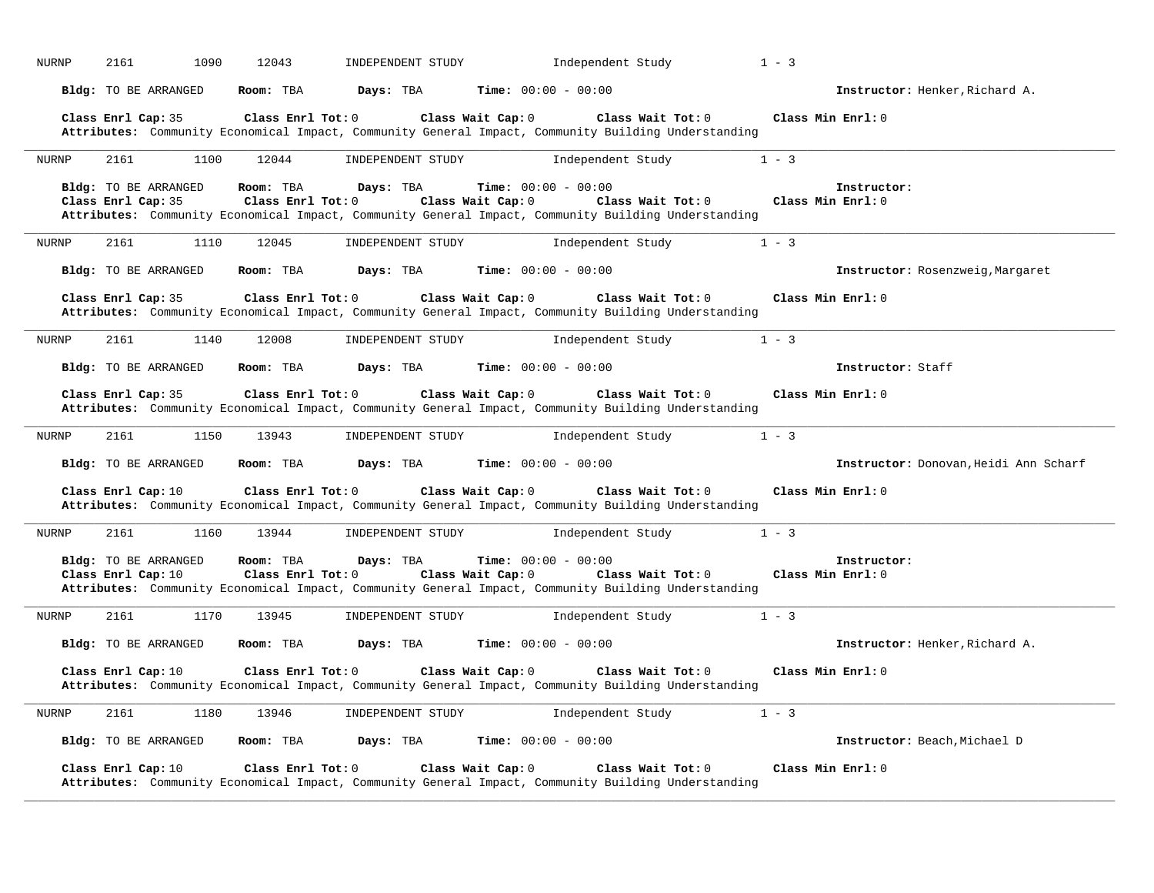| <b>NURNP</b>       | 2161 | 1090                        | 12043                          | INDEPENDENT STUDY | Independent Study                                                                                                                                                             | $1 - 3$                               |
|--------------------|------|-----------------------------|--------------------------------|-------------------|-------------------------------------------------------------------------------------------------------------------------------------------------------------------------------|---------------------------------------|
|                    |      | <b>Bldg:</b> TO BE ARRANGED | Room: TBA                      | Days: TBA         | <b>Time:</b> $00:00 - 00:00$                                                                                                                                                  | Instructor: Henker, Richard A.        |
| Class Enrl Cap: 35 |      |                             | Class Enrl Tot: 0              |                   | Class Wait Cap: 0<br>Class Wait Tot: 0<br>Attributes: Community Economical Impact, Community General Impact, Community Building Understanding                                 | Class Min Enrl: 0                     |
| <b>NURNP</b>       | 2161 | 1100                        | 12044                          | INDEPENDENT STUDY | Independent Study                                                                                                                                                             | $1 - 3$                               |
| Class Enrl Cap: 35 |      | <b>Bldg:</b> TO BE ARRANGED | Room: TBA<br>Class Enrl Tot: 0 | Days: TBA         | Time: $00:00 - 00:00$<br>Class Wait Cap: 0<br>Class Wait Tot: 0<br>Attributes: Community Economical Impact, Community General Impact, Community Building Understanding        | Instructor:<br>Class Min Enrl: 0      |
| <b>NURNP</b>       | 2161 | 1110                        | 12045                          | INDEPENDENT STUDY | Independent Study                                                                                                                                                             | $1 - 3$                               |
|                    |      | Bldg: TO BE ARRANGED        | Room: TBA                      | Days: TBA         | <b>Time:</b> $00:00 - 00:00$                                                                                                                                                  | Instructor: Rosenzweig, Margaret      |
| Class Enrl Cap: 35 |      |                             | Class Enrl Tot: 0              |                   | Class Wait Cap: 0<br>Class Wait Tot: 0<br>Attributes: Community Economical Impact, Community General Impact, Community Building Understanding                                 | Class Min Enrl: 0                     |
| <b>NURNP</b>       | 2161 | 1140                        | 12008                          | INDEPENDENT STUDY | Independent Study                                                                                                                                                             | $1 - 3$                               |
|                    |      | <b>Bldg:</b> TO BE ARRANGED | Room: TBA                      | Days: TBA         | Time: $00:00 - 00:00$                                                                                                                                                         | Instructor: Staff                     |
| Class Enrl Cap: 35 |      |                             | Class Enrl Tot: 0              |                   | Class Wait Cap: 0<br>Class Wait Tot: 0<br>Attributes: Community Economical Impact, Community General Impact, Community Building Understanding                                 | Class Min Enrl: 0                     |
| <b>NURNP</b>       | 2161 | 1150                        | 13943                          | INDEPENDENT STUDY | Independent Study                                                                                                                                                             | $1 - 3$                               |
|                    |      | <b>Bldg:</b> TO BE ARRANGED | Room: TBA                      | Days: TBA         | <b>Time:</b> $00:00 - 00:00$                                                                                                                                                  | Instructor: Donovan, Heidi Ann Scharf |
| Class Enrl Cap: 10 |      |                             | Class Enrl Tot: 0              |                   | Class Wait Cap: 0<br>Class Wait Tot: 0<br>Attributes: Community Economical Impact, Community General Impact, Community Building Understanding                                 | Class Min Enrl: 0                     |
| NURNP              | 2161 | 1160                        | 13944                          | INDEPENDENT STUDY | Independent Study                                                                                                                                                             | $1 - 3$                               |
| Class Enrl Cap: 10 |      | Bldg: TO BE ARRANGED        | Room: TBA<br>Class Enrl Tot: 0 | Days: TBA         | <b>Time:</b> $00:00 - 00:00$<br>Class Wait Cap: 0<br>Class Wait Tot: 0<br>Attributes: Community Economical Impact, Community General Impact, Community Building Understanding | Instructor:<br>Class Min Enrl: 0      |
| <b>NURNP</b>       | 2161 | 1170                        | 13945                          | INDEPENDENT STUDY | Independent Study                                                                                                                                                             | $1 - 3$                               |
|                    |      | <b>Bldg:</b> TO BE ARRANGED | Room: TBA                      | Days: TBA         | <b>Time:</b> $00:00 - 00:00$                                                                                                                                                  | Instructor: Henker, Richard A.        |
| Class Enrl Cap: 10 |      |                             | Class Enrl Tot: 0              |                   | Class Wait Cap: 0<br>Class Wait Tot: 0<br>Attributes: Community Economical Impact, Community General Impact, Community Building Understanding                                 | Class Min $Enrl: 0$                   |
| NURNP              | 2161 | 1180                        | 13946                          | INDEPENDENT STUDY | Independent Study                                                                                                                                                             | $1 - 3$                               |
|                    |      | <b>Bldg:</b> TO BE ARRANGED | Room: TBA                      | Days: TBA         | <b>Time:</b> $00:00 - 00:00$                                                                                                                                                  | Instructor: Beach, Michael D          |
| Class Enrl Cap: 10 |      |                             | Class Enrl Tot: 0              |                   | Class Wait Cap: 0<br>Class Wait Tot: 0<br>Attributes: Community Economical Impact, Community General Impact, Community Building Understanding                                 | Class Min Enrl: 0                     |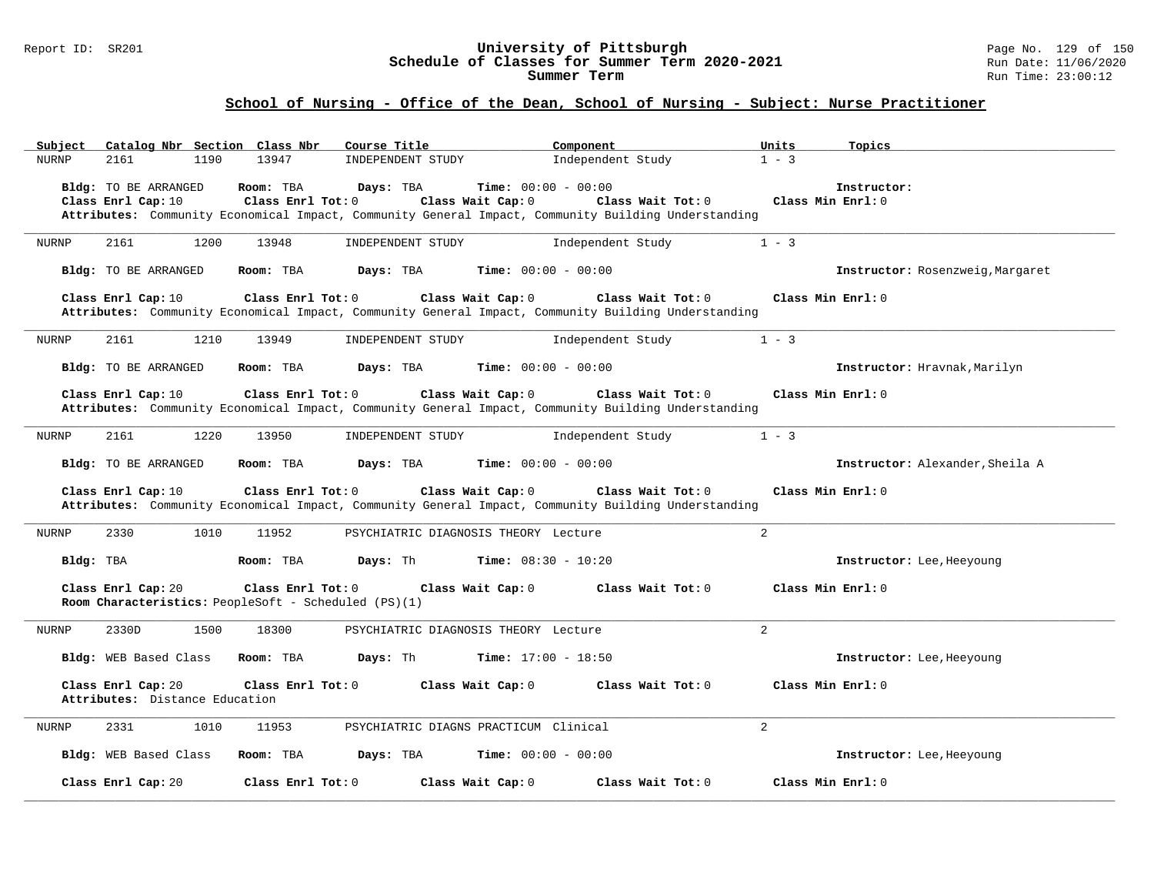#### Report ID: SR201 **University of Pittsburgh** Page No. 129 of 150 **Schedule of Classes for Summer Term 2020-2021** Run Date: 11/06/2020 **Summer Term** Run Time: 23:00:12

| Catalog Nbr Section Class Nbr<br>Subject             | Course Title                                                                                                                                                            | Component<br>Units                                | Topics                           |
|------------------------------------------------------|-------------------------------------------------------------------------------------------------------------------------------------------------------------------------|---------------------------------------------------|----------------------------------|
| <b>NURNP</b><br>2161<br>1190                         | 13947<br>INDEPENDENT STUDY                                                                                                                                              | Independent Study<br>$1 - 3$                      |                                  |
| Bldg: TO BE ARRANGED<br>Class Enrl Cap: 10           | Room: TBA<br>Days: TBA<br>Class Wait Cap: 0<br>Class Enrl Tot: 0<br>Attributes: Community Economical Impact, Community General Impact, Community Building Understanding | <b>Time:</b> $00:00 - 00:00$<br>Class Wait Tot: 0 | Instructor:<br>Class Min Enrl: 0 |
| 1200<br>2161<br>NURNP                                | 13948<br>INDEPENDENT STUDY                                                                                                                                              | Independent Study<br>$1 - 3$                      |                                  |
| <b>Bldg:</b> TO BE ARRANGED                          | Room: TBA<br>Days: TBA                                                                                                                                                  | <b>Time:</b> $00:00 - 00:00$                      | Instructor: Rosenzweig, Margaret |
| Class Enrl Cap: 10                                   | Class Enrl Tot: 0<br>Class Wait Cap: 0<br>Attributes: Community Economical Impact, Community General Impact, Community Building Understanding                           | Class Wait Tot: 0                                 | Class Min Enrl: 0                |
| 2161<br>1210<br>NURNP                                | 13949<br>INDEPENDENT STUDY                                                                                                                                              | Independent Study<br>$1 - 3$                      |                                  |
| Bldg: TO BE ARRANGED                                 | Room: TBA<br>Days: TBA                                                                                                                                                  | <b>Time:</b> $00:00 - 00:00$                      | Instructor: Hravnak, Marilyn     |
| Class Enrl Cap: 10                                   | Class Enrl Tot: 0<br>Class Wait Cap: 0<br>Attributes: Community Economical Impact, Community General Impact, Community Building Understanding                           | Class Wait Tot: 0                                 | Class Min Enrl: 0                |
| 2161<br>1220<br>NURNP                                | 13950<br>INDEPENDENT STUDY                                                                                                                                              | $1 - 3$<br>Independent Study                      |                                  |
| Bldg: TO BE ARRANGED                                 | Days: TBA<br>Room: TBA                                                                                                                                                  | <b>Time:</b> $00:00 - 00:00$                      | Instructor: Alexander, Sheila A  |
| Class Enrl Cap: 10                                   | Class Enrl Tot: 0<br>Class Wait Cap: 0<br>Attributes: Community Economical Impact, Community General Impact, Community Building Understanding                           | Class Wait Tot: 0                                 | Class Min $Enrl: 0$              |
| 2330<br>1010<br><b>NURNP</b>                         | 11952<br>PSYCHIATRIC DIAGNOSIS THEORY Lecture                                                                                                                           | $\overline{2}$                                    |                                  |
| Bldg: TBA                                            | Days: Th<br><b>Time:</b> $08:30 - 10:20$<br>Room: TBA                                                                                                                   |                                                   | Instructor: Lee, Heeyoung        |
| Class Enrl Cap: 20                                   | Class Enrl Tot: 0<br>Class Wait Cap: 0<br>Room Characteristics: PeopleSoft - Scheduled (PS)(1)                                                                          | Class Wait Tot: 0                                 | Class Min Enrl: 0                |
| 2330D<br>1500<br>NURNP                               | 18300<br>PSYCHIATRIC DIAGNOSIS THEORY Lecture                                                                                                                           | 2                                                 |                                  |
| Bldg: WEB Based Class                                | Room: TBA<br>Days: Th                                                                                                                                                   | <b>Time:</b> $17:00 - 18:50$                      | Instructor: Lee, Heeyoung        |
| Class Enrl Cap: 20<br>Attributes: Distance Education | Class Enrl Tot: 0<br>Class Wait Cap: 0                                                                                                                                  | Class Wait Tot: 0                                 | Class Min Enrl: 0                |
| 2331<br>1010<br>NURNP                                | 11953<br>PSYCHIATRIC DIAGNS PRACTICUM Clinical                                                                                                                          | 2                                                 |                                  |
| Bldg: WEB Based Class                                | Room: TBA<br>Days: TBA                                                                                                                                                  | <b>Time:</b> $00:00 - 00:00$                      | Instructor: Lee, Heeyoung        |
| Class Enrl Cap: 20                                   | Class Enrl Tot: 0<br>Class Wait Cap: 0                                                                                                                                  | Class Wait Tot: 0                                 | Class Min Enrl: 0                |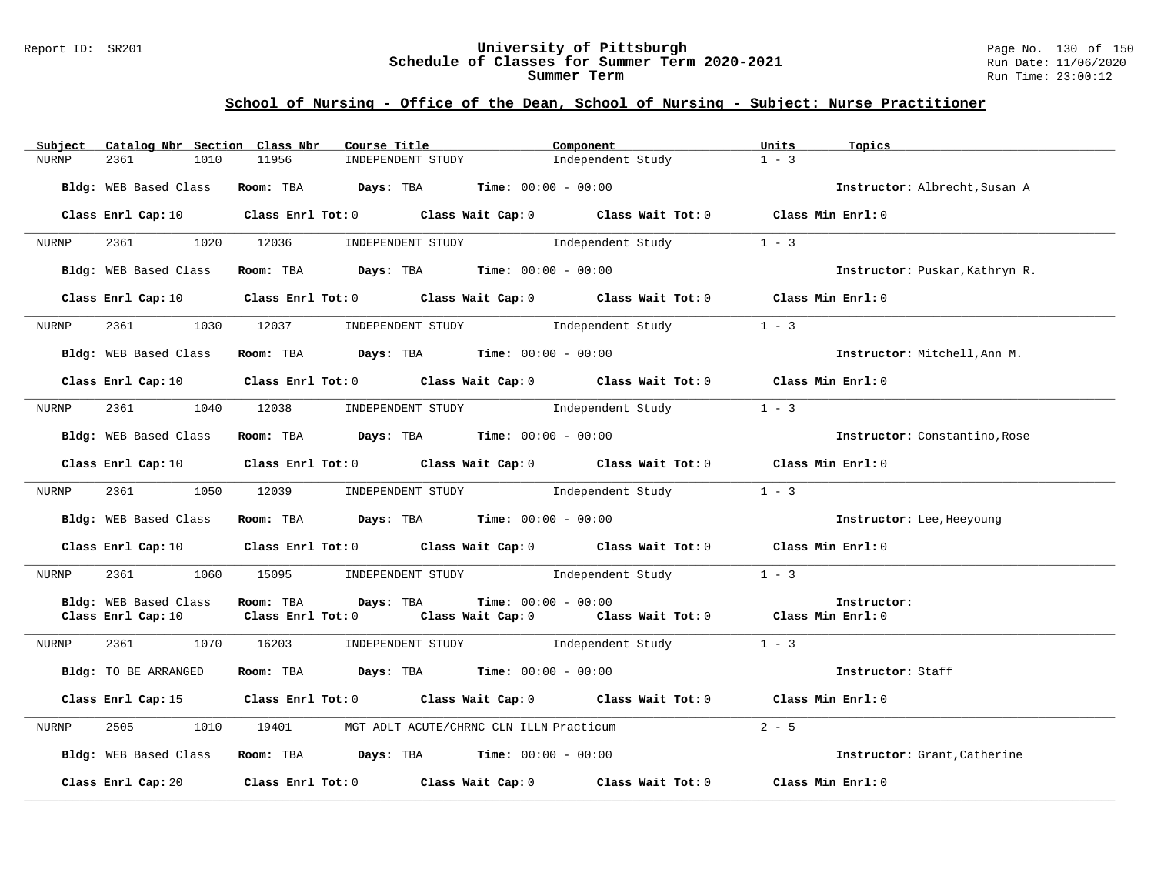#### Report ID: SR201 **University of Pittsburgh** Page No. 130 of 150 **Schedule of Classes for Summer Term 2020-2021** Run Date: 11/06/2020 **Summer Term** Run Time: 23:00:12

| Catalog Nbr Section Class Nbr<br>Subject | Course Title                                                   | Component                                                                                                                      | Units<br>Topics                |
|------------------------------------------|----------------------------------------------------------------|--------------------------------------------------------------------------------------------------------------------------------|--------------------------------|
| <b>NURNP</b><br>2361<br>1010             | 11956<br>INDEPENDENT STUDY                                     | Independent Study                                                                                                              | $1 - 3$                        |
| Bldg: WEB Based Class                    | Room: TBA $Days: TBA$ Time: $00:00 - 00:00$                    |                                                                                                                                | Instructor: Albrecht, Susan A  |
|                                          |                                                                | Class Enrl Cap: 10 Class Enrl Tot: 0 Class Wait Cap: 0 Class Wait Tot: 0 Class Min Enrl: 0                                     |                                |
| 2361<br>NURNP                            | 1020 12036                                                     | INDEPENDENT STUDY 1ndependent Study                                                                                            | $1 - 3$                        |
| Bldg: WEB Based Class                    | Room: TBA $Days:$ TBA $Time: 00:00 - 00:00$                    |                                                                                                                                | Instructor: Puskar, Kathryn R. |
|                                          |                                                                | Class Enrl Cap: 10 Class Enrl Tot: 0 Class Wait Cap: 0 Class Wait Tot: 0 Class Min Enrl: 0                                     |                                |
| NURNP                                    | 1030 12037                                                     | INDEPENDENT STUDY 1 - 3                                                                                                        |                                |
| Bldg: WEB Based Class                    | Room: TBA $Days:$ TBA $Time: 00:00 - 00:00$                    |                                                                                                                                | Instructor: Mitchell, Ann M.   |
| Class Enrl Cap: 10                       |                                                                | Class Enrl Tot: 0 $\qquad$ Class Wait Cap: 0 $\qquad$ Class Wait Tot: 0 $\qquad$ Class Min Enrl: 0                             |                                |
| 2361<br>1040<br>NURNP                    | 12038                                                          | INDEPENDENT STUDY 1ndependent Study                                                                                            | $1 - 3$                        |
| Bldg: WEB Based Class                    | Room: TBA $Days: TBA$ Time: $00:00 - 00:00$                    |                                                                                                                                | Instructor: Constantino, Rose  |
|                                          |                                                                | Class Enrl Cap: 10 $\qquad$ Class Enrl Tot: 0 $\qquad$ Class Wait Cap: 0 $\qquad$ Class Wait Tot: 0 $\qquad$ Class Min Enrl: 0 |                                |
| NURNP                                    | 1050 12039 INDEPENDENT STUDY Independent Study                 |                                                                                                                                | $1 - 3$                        |
| Bldg: WEB Based Class                    | Room: TBA $Days:$ TBA $Time: 00:00 - 00:00$                    |                                                                                                                                | Instructor: Lee, Heeyoung      |
|                                          |                                                                | Class Enrl Cap: 10 $\qquad$ Class Enrl Tot: 0 $\qquad$ Class Wait Cap: 0 $\qquad$ Class Wait Tot: 0 $\qquad$ Class Min Enrl: 0 |                                |
| NURNP                                    |                                                                | 2361 1060 15095 INDEPENDENT STUDY Independent Study                                                                            | $1 - 3$                        |
| Bldg: WEB Based Class                    | Room: TBA<br>Days: TBA                                         | <b>Time:</b> $00:00 - 00:00$                                                                                                   | Instructor:                    |
| Class Enrl Cap: 10                       |                                                                | Class Enrl Tot: 0 $\qquad$ Class Wait Cap: 0 $\qquad$ Class Wait Tot: 0 $\qquad$ Class Min Enrl: 0                             |                                |
| 2361 236<br>NURNP                        | 1070 16203<br>INDEPENDENT STUDY                                | Independent Study                                                                                                              | $1 - 3$                        |
| Bldg: TO BE ARRANGED                     | Room: TBA $Days:$ TBA $Time: 00:00 - 00:00$                    |                                                                                                                                | Instructor: Staff              |
|                                          |                                                                | Class Enrl Cap: 15 Class Enrl Tot: 0 Class Wait Cap: 0 Class Wait Tot: 0 Class Min Enrl: 0                                     |                                |
| 2505<br>1010<br>NURNP                    | 19401 MGT ADLT ACUTE/CHRNC CLN ILLN Practicum                  |                                                                                                                                | $2 - 5$                        |
| Bldg: WEB Based Class                    | Room: TBA $\rule{1em}{0.15mm}$ Days: TBA Time: $00:00 - 00:00$ |                                                                                                                                | Instructor: Grant, Catherine   |
|                                          |                                                                | Class Enrl Cap: 20 $\qquad$ Class Enrl Tot: 0 $\qquad$ Class Wait Cap: 0 $\qquad$ Class Wait Tot: 0                            | Class Min Enrl: 0              |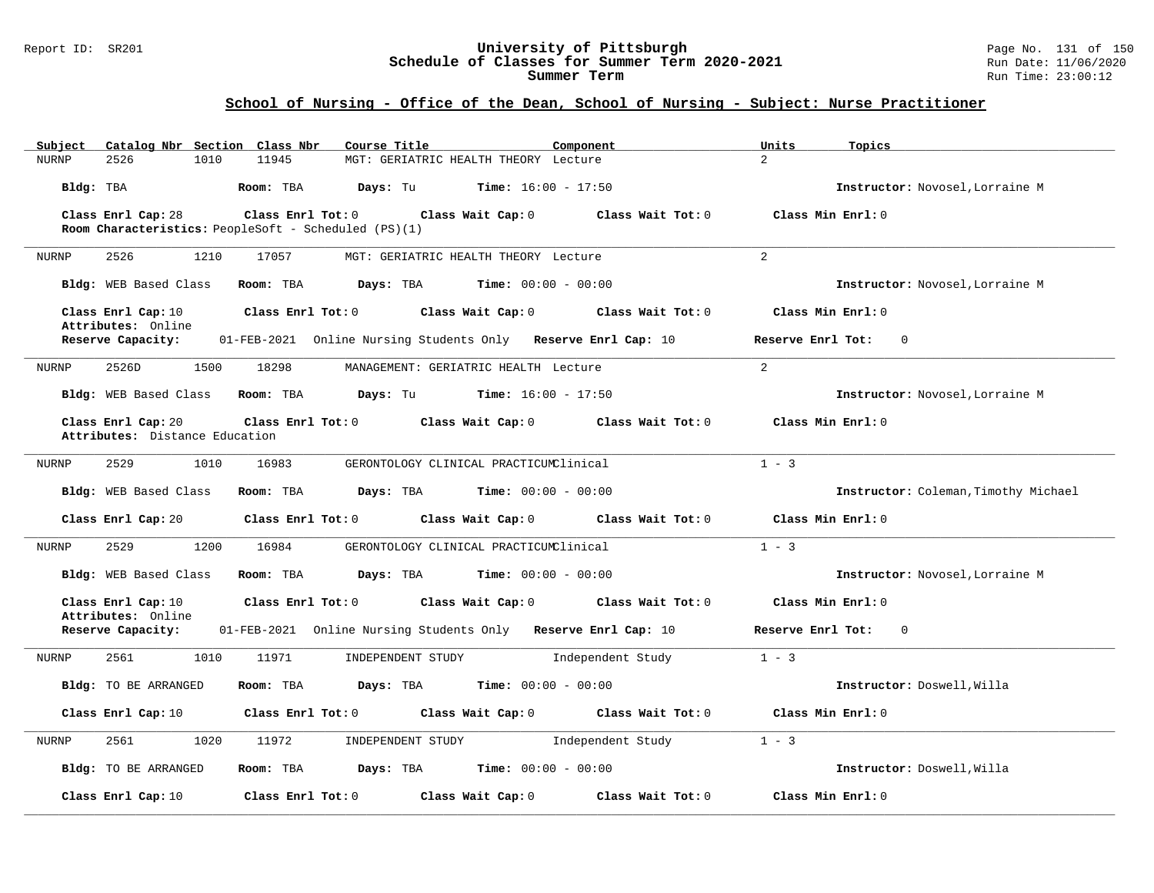#### Report ID: SR201 **University of Pittsburgh** Page No. 131 of 150 **Schedule of Classes for Summer Term 2020-2021** Run Date: 11/06/2020 **Summer Term** Run Time: 23:00:12

| Catalog Nbr Section Class Nbr<br>Course Title<br>Subject<br>Component                                               | Units<br>Topics                      |
|---------------------------------------------------------------------------------------------------------------------|--------------------------------------|
| 2526<br>1010<br>11945<br>MGT: GERIATRIC HEALTH THEORY Lecture<br><b>NURNP</b>                                       | $\overline{2}$                       |
| Bldg: TBA<br>Room: TBA<br>Days: Tu<br><b>Time:</b> $16:00 - 17:50$                                                  | Instructor: Novosel, Lorraine M      |
| Class Enrl Cap: 28<br>Class Enrl Tot: 0<br>Class Wait Cap: 0<br>Class Wait $Tot: 0$                                 | Class Min Enrl: 0                    |
| Room Characteristics: PeopleSoft - Scheduled (PS)(1)                                                                |                                      |
| 2526<br>1210<br>17057<br>MGT: GERIATRIC HEALTH THEORY Lecture<br>NURNP                                              | $\overline{2}$                       |
| Bldg: WEB Based Class<br>Room: TBA<br><b>Time:</b> $00:00 - 00:00$<br>Days: TBA                                     | Instructor: Novosel, Lorraine M      |
| Class Enrl Cap: 10<br>Class Enrl Tot: 0<br>Class Wait Cap: 0<br>Class Wait Tot: 0                                   | Class Min Enrl: 0                    |
| Attributes: Online<br>Reserve Capacity:<br>01-FEB-2021 Online Nursing Students Only Reserve Enrl Cap: 10            | Reserve Enrl Tot:<br>$\mathbf 0$     |
| 2526D<br>1500<br>18298<br>NURNP<br>MANAGEMENT: GERIATRIC HEALTH Lecture                                             | 2                                    |
| Bldg: WEB Based Class<br><b>Time:</b> $16:00 - 17:50$<br>Room: TBA<br>Days: Tu                                      | Instructor: Novosel, Lorraine M      |
| Class Enrl Cap: 20<br>Class Wait Cap: 0<br>Class Enrl Tot: 0<br>Class Wait Tot: 0<br>Attributes: Distance Education | Class Min Enrl: 0                    |
| 2529<br>1010<br>16983<br>GERONTOLOGY CLINICAL PRACTICUMClinical<br>NURNP                                            | $1 - 3$                              |
| Bldg: WEB Based Class<br>Room: TBA<br>Days: TBA<br><b>Time:</b> $00:00 - 00:00$                                     | Instructor: Coleman, Timothy Michael |
| Class Wait Cap: 0<br>Class Enrl Cap: 20<br>Class Enrl Tot: 0<br>Class Wait Tot: 0                                   | Class Min Enrl: 0                    |
| 2529<br>1200<br>16984<br>NURNP<br>GERONTOLOGY CLINICAL PRACTICUMClinical                                            | $1 - 3$                              |
| Bldg: WEB Based Class<br>Room: TBA<br>Days: TBA<br><b>Time:</b> $00:00 - 00:00$                                     | Instructor: Novosel, Lorraine M      |
| Class Enrl Cap: 10<br>Class Enrl Tot: 0<br>Class Wait Cap: 0<br>Class Wait Tot: 0<br>Attributes: Online             | Class Min Enrl: 0                    |
| Reserve Capacity:<br>01-FEB-2021 Online Nursing Students Only Reserve Enrl Cap: 10                                  | Reserve Enrl Tot:<br>$\Omega$        |
| 2561<br>1010<br>11971<br>NURNP<br>INDEPENDENT STUDY<br>Independent Study                                            | $1 - 3$                              |
| <b>Time:</b> $00:00 - 00:00$<br>Bldg: TO BE ARRANGED<br>Room: TBA<br>Days: TBA                                      | Instructor: Doswell, Willa           |
| Class Wait Tot: 0<br>Class Enrl Cap: 10<br>Class Enrl Tot: 0<br>Class Wait Cap: 0                                   | Class Min Enrl: 0                    |
| 2561<br>1020<br>11972<br>INDEPENDENT STUDY<br>Independent Study<br>NURNP                                            | $1 - 3$                              |
| Bldg: TO BE ARRANGED<br>Room: TBA<br>Days: TBA<br><b>Time:</b> $00:00 - 00:00$                                      | Instructor: Doswell, Willa           |
| Class Wait Tot: 0<br>Class Enrl Cap: 10<br>Class Enrl Tot: 0<br>Class Wait Cap: 0                                   | Class Min Enrl: 0                    |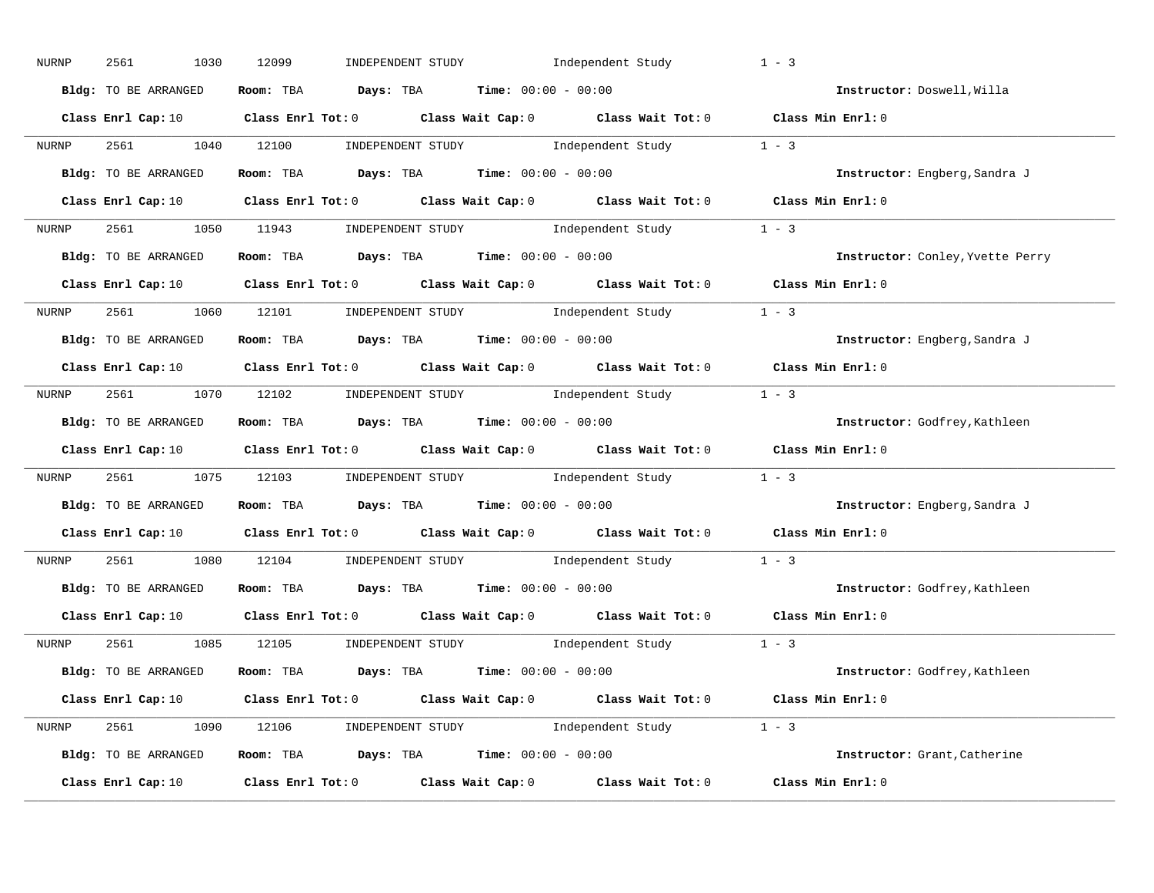| NURNP | 2561<br>1030         | 12099<br>INDEPENDENT STUDY Independent Study                                                                                   | $1 - 3$           |                                  |
|-------|----------------------|--------------------------------------------------------------------------------------------------------------------------------|-------------------|----------------------------------|
|       | Bldg: TO BE ARRANGED | Room: TBA $Days:$ TBA $Time: 00:00 - 00:00$                                                                                    |                   | Instructor: Doswell, Willa       |
|       |                      | Class Enrl Cap: 10 $\qquad$ Class Enrl Tot: 0 $\qquad$ Class Wait Cap: 0 $\qquad$ Class Wait Tot: 0 $\qquad$ Class Min Enrl: 0 |                   |                                  |
| NURNP |                      | 2561 1040 12100 INDEPENDENT STUDY Independent Study 1 - 3                                                                      |                   |                                  |
|       | Bldg: TO BE ARRANGED | Room: TBA $\rule{1em}{0.15mm}$ Days: TBA Time: $00:00 - 00:00$                                                                 |                   | Instructor: Engberg, Sandra J    |
|       |                      | Class Enrl Cap: 10 $\qquad$ Class Enrl Tot: 0 $\qquad$ Class Wait Cap: 0 $\qquad$ Class Wait Tot: 0 $\qquad$ Class Min Enrl: 0 |                   |                                  |
| NURNP |                      | 2561 1050 11943 INDEPENDENT STUDY Independent Study 1 - 3                                                                      |                   |                                  |
|       | Bldg: TO BE ARRANGED | Room: TBA $Days:$ TBA $Time:$ 00:00 - 00:00                                                                                    |                   | Instructor: Conley, Yvette Perry |
|       |                      | Class Enrl Cap: 10 Class Enrl Tot: 0 Class Wait Cap: 0 Class Wait Tot: 0 Class Min Enrl: 0                                     |                   |                                  |
| NURNP |                      | 2561 1060 12101 INDEPENDENT STUDY Independent Study 1 - 3                                                                      |                   |                                  |
|       | Bldg: TO BE ARRANGED | Room: TBA $\rule{1em}{0.15mm}$ Days: TBA $\rule{1.15mm}{0.15mm}$ Time: $00:00 - 00:00$                                         |                   | Instructor: Engberg, Sandra J    |
|       |                      | Class Enrl Cap: 10 $\qquad$ Class Enrl Tot: 0 $\qquad$ Class Wait Cap: 0 $\qquad$ Class Wait Tot: 0 $\qquad$ Class Min Enrl: 0 |                   |                                  |
| NURNP |                      | 2561 1070 12102 INDEPENDENT STUDY Independent Study 1 - 3                                                                      |                   |                                  |
|       | Bldg: TO BE ARRANGED | Room: TBA $\rule{1em}{0.15mm}$ Days: TBA $\rule{1.5mm}{0.15mm}$ Time: $00:00 - 00:00$                                          |                   | Instructor: Godfrey, Kathleen    |
|       |                      | Class Enrl Cap: 10 $\qquad$ Class Enrl Tot: 0 $\qquad$ Class Wait Cap: 0 $\qquad$ Class Wait Tot: 0 $\qquad$ Class Min Enrl: 0 |                   |                                  |
| NURNP |                      | 2561 1075 12103 INDEPENDENT STUDY Independent Study 1 - 3                                                                      |                   |                                  |
|       | Bldg: TO BE ARRANGED | Room: TBA $Days:$ TBA Time: $00:00 - 00:00$                                                                                    |                   | Instructor: Engberg, Sandra J    |
|       |                      | Class Enrl Cap: 10 Class Enrl Tot: 0 Class Wait Cap: 0 Class Wait Tot: 0                                                       | Class Min Enrl: 0 |                                  |
| NURNP |                      | 2561 1080 12104 INDEPENDENT STUDY Independent Study 1 - 3                                                                      |                   |                                  |
|       | Bldg: TO BE ARRANGED | Room: TBA $Days:$ TBA $Time: 00:00 - 00:00$                                                                                    |                   | Instructor: Godfrey, Kathleen    |
|       | Class Enrl Cap: 10   | Class Enrl Tot: $0$ Class Wait Cap: $0$ Class Wait Tot: $0$                                                                    | Class Min Enrl: 0 |                                  |
| NURNP |                      | 2561 1085 12105 INDEPENDENT STUDY Independent Study 1 - 3                                                                      |                   |                                  |
|       | Bldg: TO BE ARRANGED | Room: TBA $Days:$ TBA $Time: 00:00 - 00:00$                                                                                    |                   | Instructor: Godfrey, Kathleen    |
|       |                      | Class Enrl Cap: 10 $\qquad$ Class Enrl Tot: 0 $\qquad$ Class Wait Cap: 0 $\qquad$ Class Wait Tot: 0 $\qquad$ Class Min Enrl: 0 |                   |                                  |
|       |                      | NURNP 2561 1090 12106 INDEPENDENT STUDY Independent Study 1 - 3                                                                |                   |                                  |
|       | Bldg: TO BE ARRANGED | Room: TBA $\rule{1em}{0.5em}$ Days: TBA Time: $00:00 - 00:00$                                                                  |                   | Instructor: Grant, Catherine     |
|       | Class Enrl Cap: 10   | Class Enrl Tot: $0$ Class Wait Cap: $0$ Class Wait Tot: $0$                                                                    | Class Min Enrl: 0 |                                  |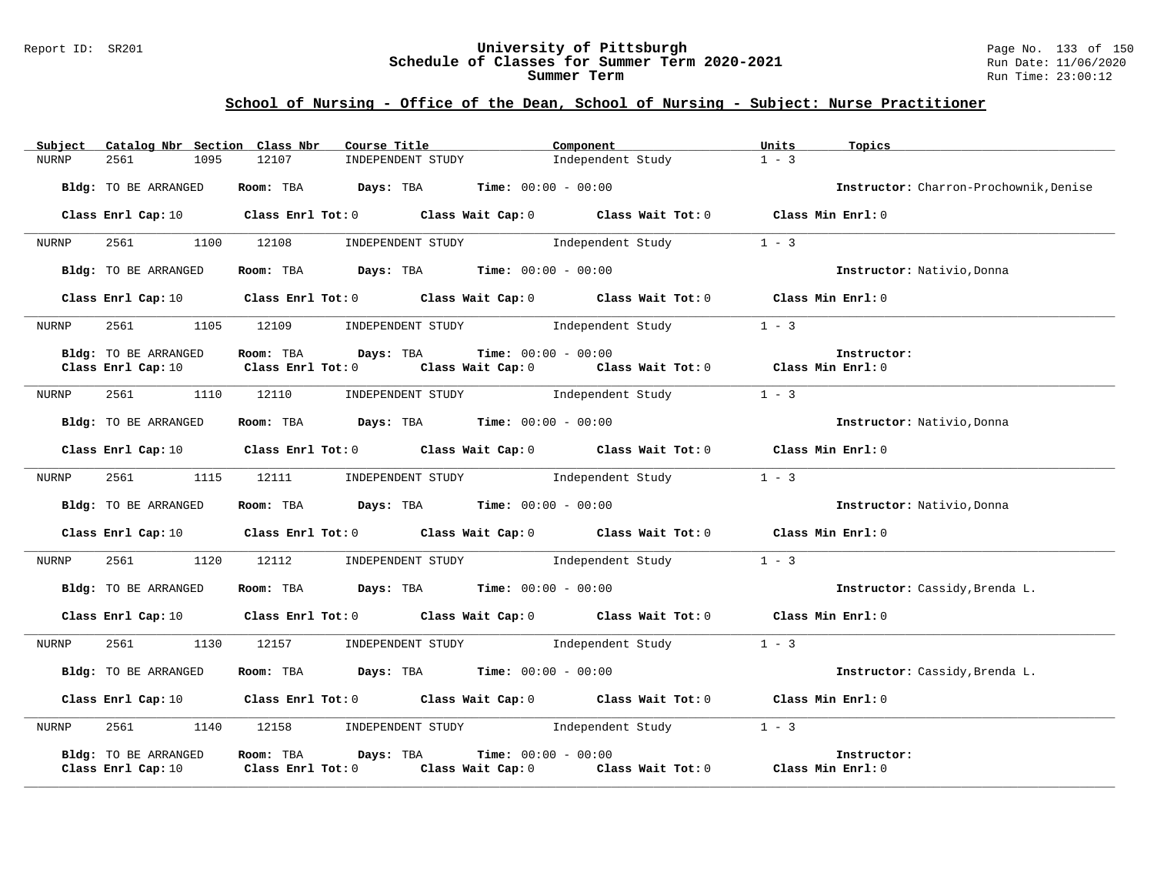#### Report ID: SR201 **University of Pittsburgh** Page No. 133 of 150 **Schedule of Classes for Summer Term 2020-2021** Run Date: 11/06/2020 **Summer Term** Run Time: 23:00:12

| Catalog Nbr Section Class Nbr<br>Subject   | Course Title                                                                                                                   | Component                                                           | Units<br>Topics                        |
|--------------------------------------------|--------------------------------------------------------------------------------------------------------------------------------|---------------------------------------------------------------------|----------------------------------------|
| 1095<br><b>NURNP</b><br>2561               | 12107<br>INDEPENDENT STUDY                                                                                                     | Independent Study                                                   | $1 - 3$                                |
| Bldg: TO BE ARRANGED                       | <b>Room:</b> TBA <b>Days:</b> TBA <b>Time:</b> 00:00 - 00:00                                                                   |                                                                     | Instructor: Charron-Prochownik, Denise |
|                                            | Class Enrl Cap: 10 $\qquad$ Class Enrl Tot: 0 $\qquad$ Class Wait Cap: 0 $\qquad$ Class Wait Tot: 0 $\qquad$ Class Min Enrl: 0 |                                                                     |                                        |
| 1100<br>2561<br>NURNP                      | 12108                                                                                                                          | INDEPENDENT STUDY 1ndependent Study                                 | $1 - 3$                                |
| Bldg: TO BE ARRANGED                       | Room: TBA $\rule{1em}{0.15mm}$ Days: TBA $\rule{1em}{0.15mm}$ Time: $00:00 - 00:00$                                            |                                                                     | Instructor: Nativio, Donna             |
| Class Enrl Cap: 10                         | Class Enrl Tot: $0$ Class Wait Cap: $0$ Class Wait Tot: $0$ Class Min Enrl: $0$                                                |                                                                     |                                        |
| 2561<br>1105<br>NURNP                      | 12109                                                                                                                          | INDEPENDENT STUDY Independent Study                                 | $1 - 3$                                |
| Bldg: TO BE ARRANGED                       | $Days: TBA$ $Time: 00:00 - 00:00$<br>Room: TBA                                                                                 |                                                                     | Instructor:                            |
| Class Enrl Cap: 10                         | $Class$ $Enr1$ $Tot: 0$                                                                                                        | Class Wait Cap: 0 Class Wait Tot: 0 Class Min Enrl: 0               |                                        |
| 2561 200<br>NURNP                          | 1110 12110                                                                                                                     | INDEPENDENT STUDY Independent Study                                 | $1 - 3$                                |
| Bldg: TO BE ARRANGED                       | Room: TBA $Days:$ TBA $Time: 00:00 - 00:00$                                                                                    |                                                                     | Instructor: Nativio, Donna             |
|                                            | Class Enrl Cap: 10 Class Enrl Tot: 0 Class Wait Cap: 0 Class Wait Tot: 0 Class Min Enrl: 0                                     |                                                                     |                                        |
| 2561<br>NURNP                              | 1115 12111                                                                                                                     | INDEPENDENT STUDY 1ndependent Study                                 | $1 - 3$                                |
| Bldg: TO BE ARRANGED                       | Room: TBA $Days:$ TBA $Time: 00:00 - 00:00$                                                                                    |                                                                     | Instructor: Nativio, Donna             |
| Class Enrl Cap: 10                         | Class Enrl Tot: $0$ Class Wait Cap: $0$ Class Wait Tot: $0$                                                                    |                                                                     | Class Min Enrl: 0                      |
| 2561<br>1120<br>NURNP                      | INDEPENDENT STUDY<br>12112                                                                                                     | Independent Study                                                   | $1 - 3$                                |
| Bldg: TO BE ARRANGED                       | Room: TBA $Days:$ TBA $Time: 00:00 - 00:00$                                                                                    |                                                                     | Instructor: Cassidy, Brenda L.         |
|                                            | Class Enrl Cap: 10 $\qquad$ Class Enrl Tot: 0 $\qquad$ Class Wait Cap: 0 $\qquad$ Class Wait Tot: 0                            |                                                                     | Class Min Enrl: 0                      |
| 2561<br>1130<br>NURNP                      | 12157 INDEPENDENT STUDY Independent Study                                                                                      |                                                                     | $1 - 3$                                |
| Bldg: TO BE ARRANGED                       | Room: TBA $Days:$ TBA $Time: 00:00 - 00:00$                                                                                    |                                                                     | Instructor: Cassidy, Brenda L.         |
|                                            | Class Enrl Cap: 10 $\qquad$ Class Enrl Tot: 0 $\qquad$ Class Wait Cap: 0 $\qquad$ Class Wait Tot: 0 $\qquad$ Class Min Enrl: 0 |                                                                     |                                        |
| 2561<br>1140<br>NURNP                      | 12158 INDEPENDENT STUDY Independent Study                                                                                      |                                                                     | $1 - 3$                                |
| Bldg: TO BE ARRANGED<br>Class Enrl Cap: 10 | Room: TBA<br>Days: TBA<br>Class Enrl Tot: 0                                                                                    | <b>Time:</b> $00:00 - 00:00$<br>Class Wait Cap: 0 Class Wait Tot: 0 | Instructor:<br>Class Min Enrl: 0       |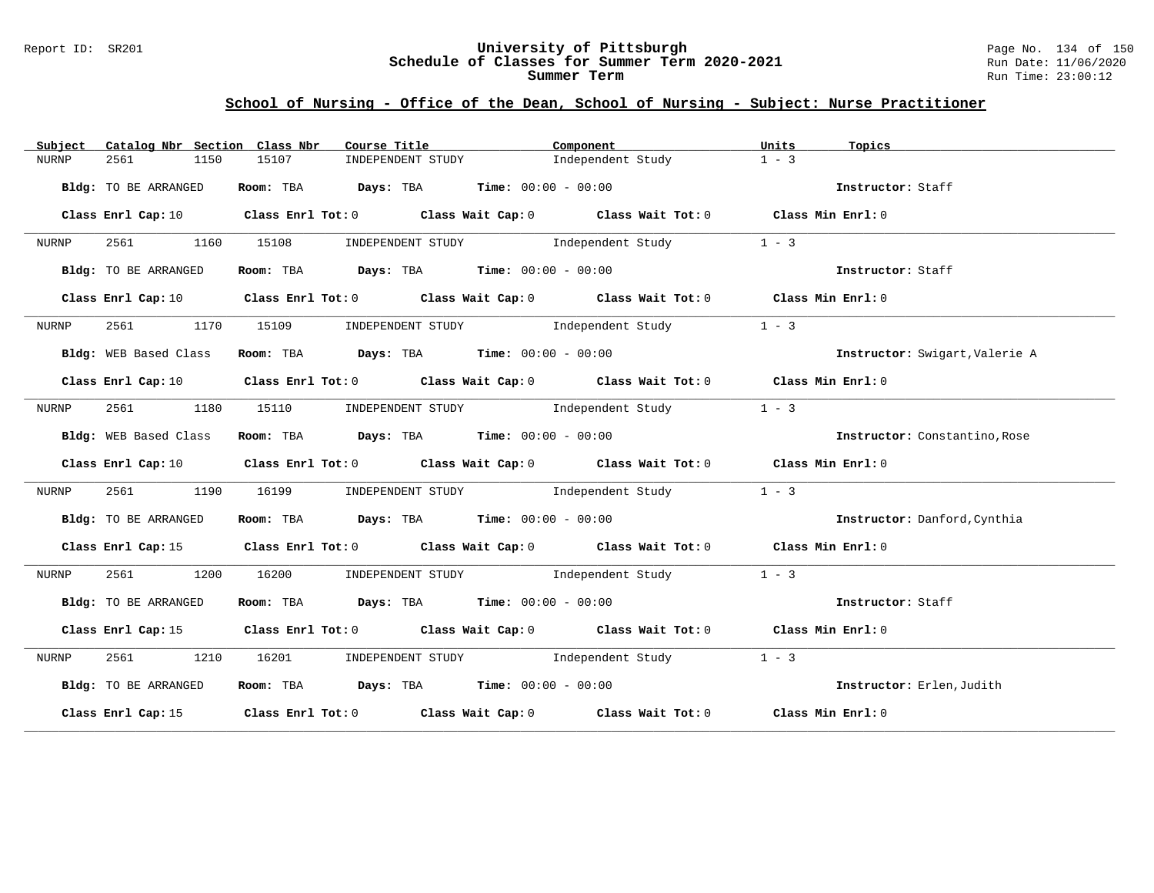#### Report ID: SR201 **University of Pittsburgh** Page No. 134 of 150 **Schedule of Classes for Summer Term 2020-2021** Run Date: 11/06/2020 **Summer Term** Run Time: 23:00:12

| Subject               | Catalog Nbr Section Class Nbr<br>Course Title                                                                                  | Component                                                       | Units<br>Topics                |
|-----------------------|--------------------------------------------------------------------------------------------------------------------------------|-----------------------------------------------------------------|--------------------------------|
| 2561<br>NURNP         | 15107<br>INDEPENDENT STUDY<br>1150                                                                                             | Independent Study                                               | $1 - 3$                        |
| Bldg: TO BE ARRANGED  | Room: TBA $Days:$ TBA $Time: 00:00 - 00:00$                                                                                    |                                                                 | Instructor: Staff              |
|                       | Class Enrl Cap: 10 Class Enrl Tot: 0 Class Wait Cap: 0 Class Wait Tot: 0 Class Min Enrl: 0                                     |                                                                 |                                |
| NURNP                 | 2561 1160 15108                                                                                                                | INDEPENDENT STUDY The Independent Study                         | $1 - 3$                        |
| Bldg: TO BE ARRANGED  | Room: TBA $Days:$ TBA $Time: 00:00 - 00:00$                                                                                    |                                                                 | Instructor: Staff              |
|                       | Class Enrl Cap: 10 $\qquad$ Class Enrl Tot: 0 $\qquad$ Class Wait Cap: 0 $\qquad$ Class Wait Tot: 0 $\qquad$ Class Min Enrl: 0 |                                                                 |                                |
| NURNP                 | 2561 1170 15109                                                                                                                | INDEPENDENT STUDY 1ndependent Study                             | $1 - 3$                        |
| Bldg: WEB Based Class | Room: TBA $Days:$ TBA $Time: 00:00 - 00:00$                                                                                    |                                                                 | Instructor: Swigart, Valerie A |
|                       | Class Enrl Cap: 10 $\qquad$ Class Enrl Tot: 0 $\qquad$ Class Wait Cap: 0 $\qquad$ Class Wait Tot: 0 $\qquad$ Class Min Enrl: 0 |                                                                 |                                |
| NURNP                 | 2561 1180 15110 INDEPENDENT STUDY Independent Study                                                                            |                                                                 | $1 - 3$                        |
| Bldg: WEB Based Class | Room: TBA $\rule{1em}{0.15mm}$ Days: TBA Time: $00:00 - 00:00$                                                                 |                                                                 | Instructor: Constantino, Rose  |
|                       | Class Enrl Cap: 10 $\qquad$ Class Enrl Tot: 0 $\qquad$ Class Wait Cap: 0 $\qquad$ Class Wait Tot: 0 $\qquad$ Class Min Enrl: 0 |                                                                 |                                |
| 2561<br>NURNP         | 1190                                                                                                                           | 16199        INDEPENDENT STUDY                Independent Study | $1 - 3$                        |
| Bldg: TO BE ARRANGED  | Room: TBA $Days:$ TBA $Time: 00:00 - 00:00$                                                                                    |                                                                 | Instructor: Danford, Cynthia   |
|                       | Class Enrl Cap: 15 Class Enrl Tot: 0 Class Wait Cap: 0 Class Wait Tot: 0 Class Min Enrl: 0                                     |                                                                 |                                |
| 2561 1200<br>NURNP    | 16200                                                                                                                          | INDEPENDENT STUDY 1ndependent Study                             | $1 - 3$                        |
| Bldg: TO BE ARRANGED  |                                                                                                                                | <b>Room:</b> TBA <b>Days:</b> TBA <b>Time:</b> 00:00 - 00:00    | Instructor: Staff              |
|                       | Class Enrl Cap: 15 (Class Enrl Tot: 0 (Class Wait Cap: 0 (Class Wait Tot: 0 (Class Min Enrl: 0                                 |                                                                 |                                |
| 2561 1210<br>NURNP    |                                                                                                                                | 16201 INDEPENDENT STUDY 1ndependent Study                       | $1 - 3$                        |
| Bldg: TO BE ARRANGED  | Room: TBA $Days:$ TBA $Time: 00:00 - 00:00$                                                                                    |                                                                 | Instructor: Erlen, Judith      |
|                       | Class Enrl Cap: 15 Class Enrl Tot: 0 Class Wait Cap: 0 Class Wait Tot: 0 Class Min Enrl: 0                                     |                                                                 |                                |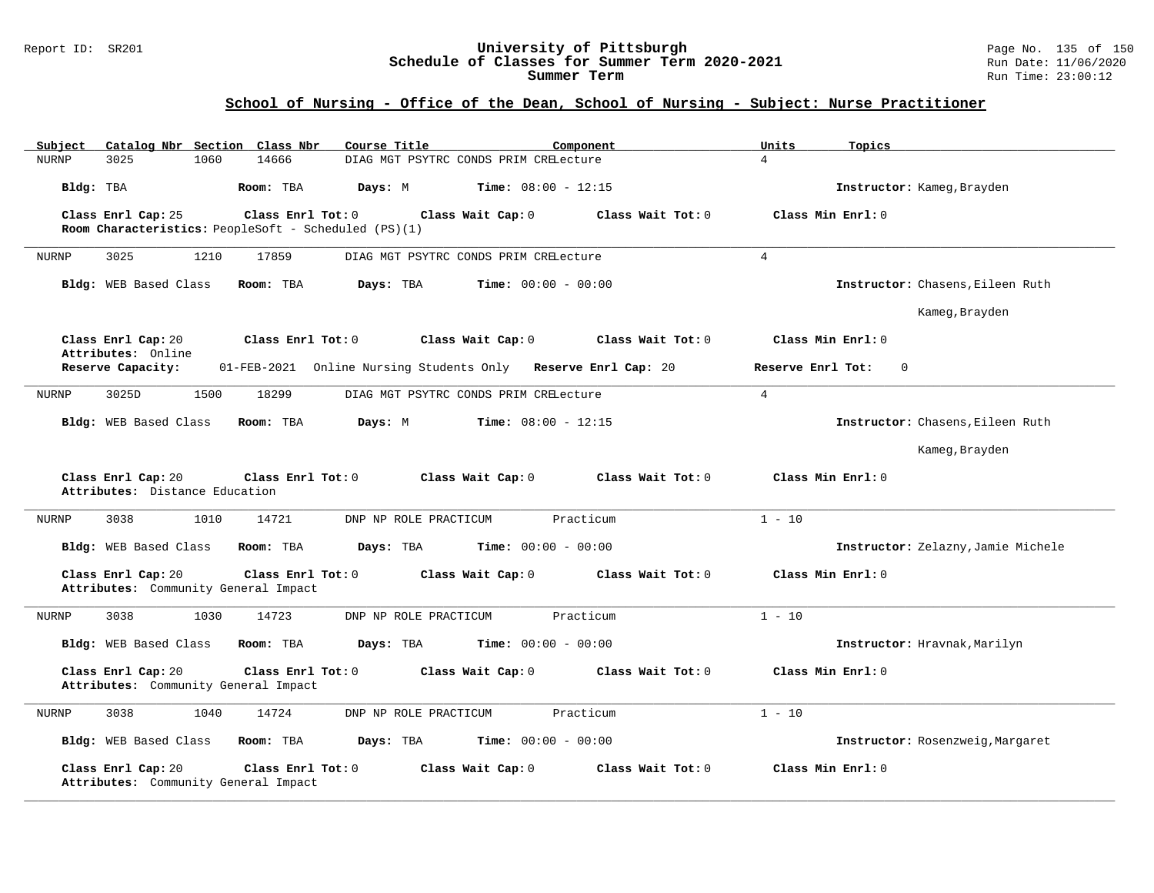#### Report ID: SR201 **University of Pittsburgh** Page No. 135 of 150 **Schedule of Classes for Summer Term 2020-2021** Run Date: 11/06/2020 **Summer Term** Run Time: 23:00:12

| Catalog Nbr Section Class Nbr<br>Subject                                        | Course Title<br>Component                                     | Units<br>Topics                    |
|---------------------------------------------------------------------------------|---------------------------------------------------------------|------------------------------------|
| 3025<br>1060<br>14666<br><b>NURNP</b>                                           | DIAG MGT PSYTRC CONDS PRIM CRELecture                         | $\overline{4}$                     |
| Bldg: TBA<br>Room: TBA                                                          | <b>Time:</b> $08:00 - 12:15$<br>Days: M                       | Instructor: Kameg, Brayden         |
| Class Enrl Cap: 25<br>Class Enrl Tot: 0                                         | Class Wait Tot: 0<br>Class Wait Cap: 0                        | Class Min Enrl: 0                  |
| Room Characteristics: PeopleSoft - Scheduled (PS)(1)                            |                                                               |                                    |
| 3025<br>NURNP<br>1210<br>17859                                                  | DIAG MGT PSYTRC CONDS PRIM CRELecture                         | $\overline{4}$                     |
| Bldg: WEB Based Class<br>Room: TBA                                              | Days: TBA<br><b>Time:</b> $00:00 - 00:00$                     | Instructor: Chasens, Eileen Ruth   |
|                                                                                 |                                                               | Kameg, Brayden                     |
| Class Enrl Cap: 20<br>Class Enrl Tot: 0<br>Attributes: Online                   | Class Wait Cap: 0<br>Class Wait Tot: 0                        | Class Min Enrl: 0                  |
| Reserve Capacity:                                                               | 01-FEB-2021 Online Nursing Students Only Reserve Enrl Cap: 20 | Reserve Enrl Tot:<br>$\Omega$      |
| 1500<br>3025D<br>18299<br>NURNP                                                 | DIAG MGT PSYTRC CONDS PRIM CRELecture                         | $4\overline{ }$                    |
| Bldg: WEB Based Class<br>Room: TBA                                              | Days: M<br><b>Time:</b> $08:00 - 12:15$                       | Instructor: Chasens, Eileen Ruth   |
|                                                                                 |                                                               | Kameg, Brayden                     |
| Class Enrl Cap: 20<br>Class Enrl Tot: 0<br>Attributes: Distance Education       | Class Wait Cap: 0<br>Class Wait Tot: 0                        | Class Min Enrl: 0                  |
| 1010<br>14721<br>3038<br>NURNP                                                  | DNP NP ROLE PRACTICUM<br>Practicum                            | $1 - 10$                           |
| Bldg: WEB Based Class<br>Room: TBA                                              | Days: TBA<br><b>Time:</b> $00:00 - 00:00$                     | Instructor: Zelazny, Jamie Michele |
| Class Enrl Cap: 20<br>Class Enrl Tot: 0<br>Attributes: Community General Impact | Class Wait Cap: 0<br>Class Wait Tot: 0                        | Class Min Enrl: 0                  |
| 3038<br>1030<br>14723<br>NURNP                                                  | DNP NP ROLE PRACTICUM<br>Practicum                            | $1 - 10$                           |
| Bldg: WEB Based Class<br>Room: TBA                                              | Days: TBA<br><b>Time:</b> $00:00 - 00:00$                     | Instructor: Hravnak, Marilyn       |
| Class Enrl Cap: 20<br>Class Enrl Tot: 0<br>Attributes: Community General Impact | Class Wait Tot: 0<br>Class Wait Cap: 0                        | Class Min Enrl: 0                  |
| 14724<br><b>NURNP</b><br>3038<br>1040                                           | DNP NP ROLE PRACTICUM<br>Practicum                            | $1 - 10$                           |
|                                                                                 |                                                               |                                    |
| Bldg: WEB Based Class<br>Room: TBA                                              | <b>Time:</b> $00:00 - 00:00$<br>Days: TBA                     | Instructor: Rosenzweig, Margaret   |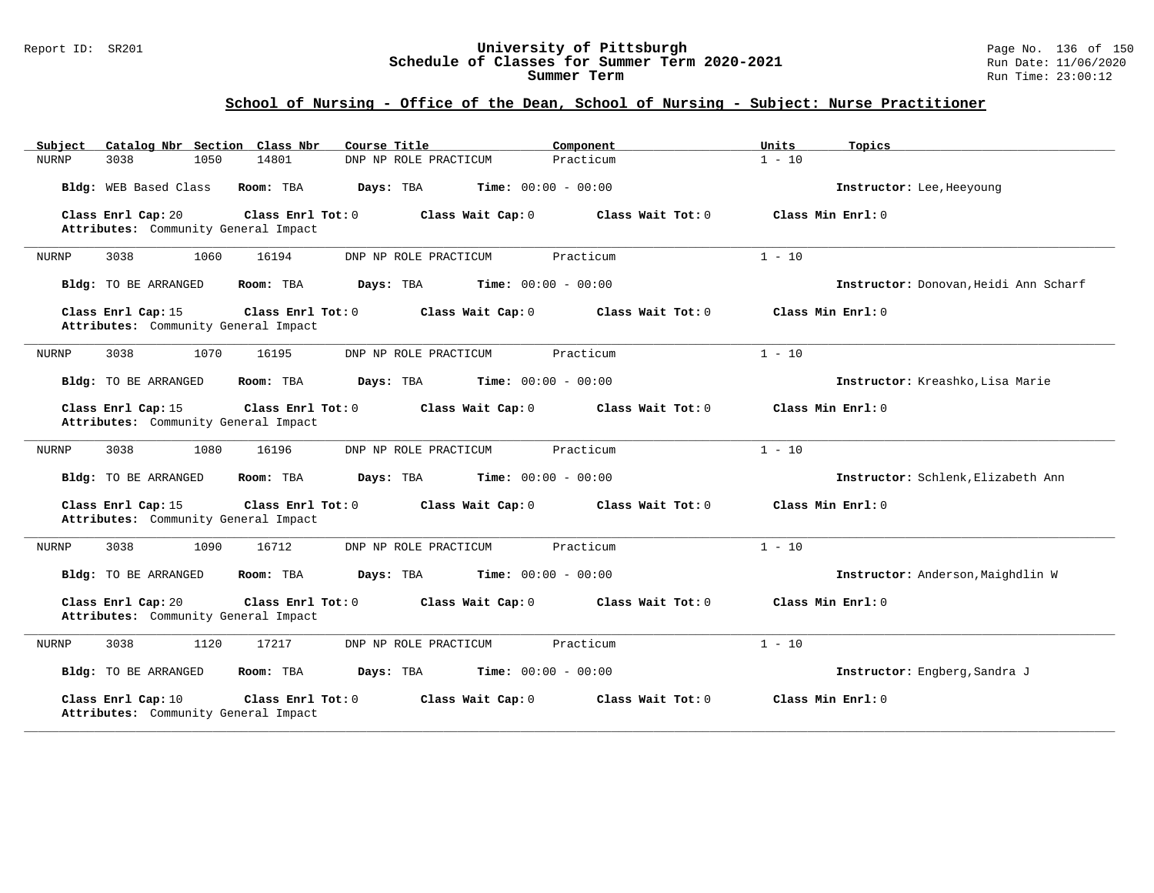#### Report ID: SR201 **University of Pittsburgh** Page No. 136 of 150 **Schedule of Classes for Summer Term 2020-2021** Run Date: 11/06/2020 **Summer Term** Run Time: 23:00:12

| Catalog Nbr Section Class Nbr<br>Subject                   | Course Title                                           | Component         | Units<br>Topics                       |
|------------------------------------------------------------|--------------------------------------------------------|-------------------|---------------------------------------|
| <b>NURNP</b><br>3038<br>1050                               | 14801<br>DNP NP ROLE PRACTICUM                         | Practicum         | $1 - 10$                              |
| Bldg: WEB Based Class                                      | Time: $00:00 - 00:00$<br>Room: TBA<br>Days: TBA        |                   | Instructor: Lee, Heeyoung             |
| Class Enrl Cap: 20<br>Attributes: Community General Impact | Class Enrl Tot: $0$<br>Class Wait Cap: 0               | Class Wait Tot: 0 | Class Min Enrl: 0                     |
| 3038<br>1060<br>NURNP                                      | 16194<br>DNP NP ROLE PRACTICUM                         | Practicum         | $1 - 10$                              |
| Bldg: TO BE ARRANGED                                       | Room: TBA<br>Days: TBA<br><b>Time:</b> $00:00 - 00:00$ |                   | Instructor: Donovan, Heidi Ann Scharf |
| Class Enrl Cap: 15<br>Attributes: Community General Impact | Class Enrl Tot: $0$<br>Class Wait Cap: 0               | Class Wait Tot: 0 | Class Min Enrl: 0                     |
| <b>NURNP</b><br>3038<br>1070                               | 16195<br>DNP NP ROLE PRACTICUM                         | Practicum         | $1 - 10$                              |
| Bldg: TO BE ARRANGED                                       | Time: $00:00 - 00:00$<br>Room: TBA<br>Days: TBA        |                   | Instructor: Kreashko, Lisa Marie      |
| Class Enrl Cap: 15<br>Attributes: Community General Impact | Class Enrl Tot: 0<br>Class Wait Cap: 0                 | Class Wait Tot: 0 | Class Min Enrl: 0                     |
| 3038<br>1080<br>NURNP                                      | 16196<br>DNP NP ROLE PRACTICUM                         | Practicum         | $1 - 10$                              |
| Bldg: TO BE ARRANGED                                       | Room: TBA<br>Days: TBA<br><b>Time:</b> $00:00 - 00:00$ |                   | Instructor: Schlenk, Elizabeth Ann    |
| Class Enrl Cap: 15<br>Attributes: Community General Impact | Class Enrl Tot: 0<br>Class Wait Cap: 0                 | Class Wait Tot: 0 | Class Min Enrl: 0                     |
| <b>NURNP</b><br>3038<br>1090                               | 16712<br>DNP NP ROLE PRACTICUM                         | Practicum         | $1 - 10$                              |
| Bldg: TO BE ARRANGED                                       | <b>Time:</b> $00:00 - 00:00$<br>Room: TBA<br>Days: TBA |                   | Instructor: Anderson, Maighdlin W     |
| Class Enrl Cap: 20<br>Attributes: Community General Impact | Class Enrl Tot: 0<br>Class Wait Cap: 0                 | Class Wait Tot: 0 | Class Min Enrl: 0                     |
| <b>NURNP</b><br>3038<br>1120                               | 17217<br>DNP NP ROLE PRACTICUM                         | Practicum         | $1 - 10$                              |
| Bldg: TO BE ARRANGED                                       | Room: TBA<br>Days: TBA<br><b>Time:</b> $00:00 - 00:00$ |                   | Instructor: Engberg, Sandra J         |
| Class Enrl Cap: 10<br>Attributes: Community General Impact | Class Enrl Tot: 0<br>Class Wait Cap: 0                 | Class Wait Tot: 0 | Class Min Enrl: 0                     |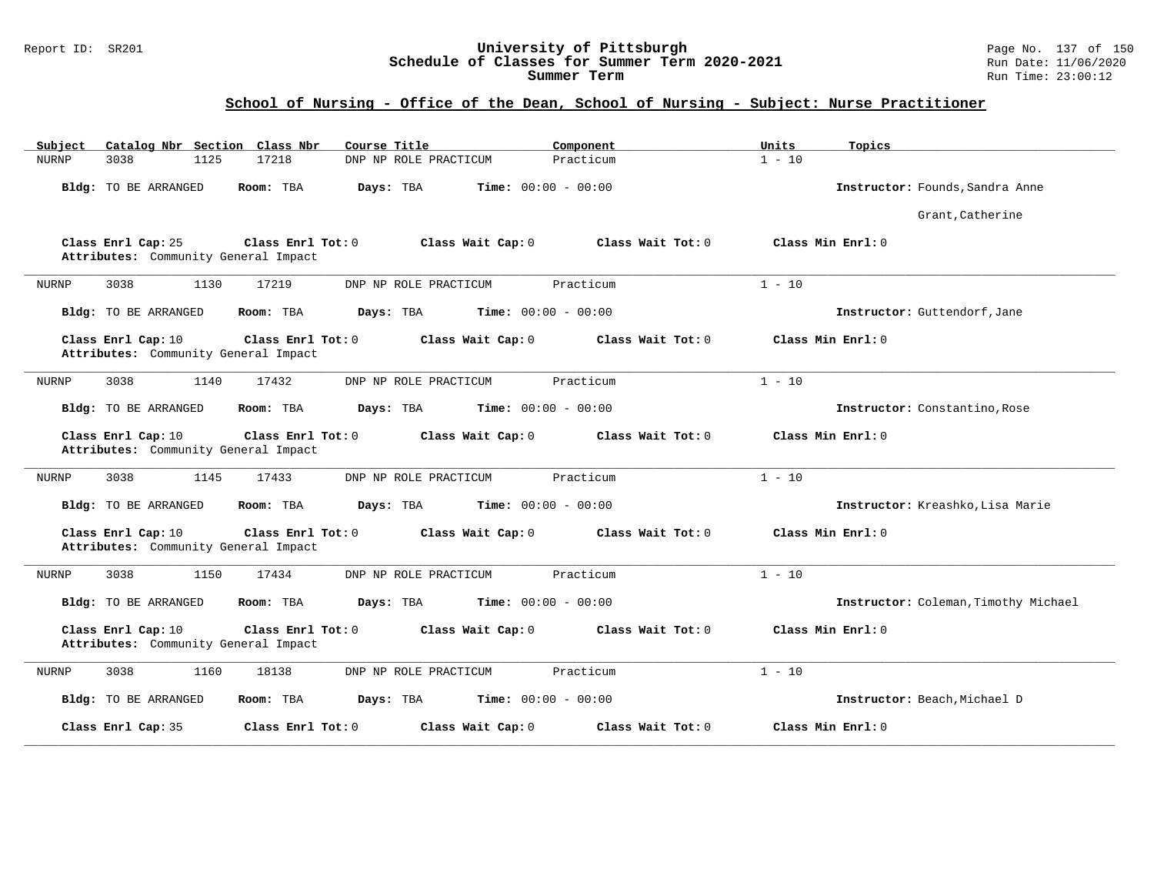#### Report ID: SR201 **University of Pittsburgh** Page No. 137 of 150 **Schedule of Classes for Summer Term 2020-2021** Run Date: 11/06/2020 **Summer Term** Run Time: 23:00:12

| Catalog Nbr Section Class Nbr<br>Subject                   | Course Title                                           | Component         | Units<br>Topics                      |
|------------------------------------------------------------|--------------------------------------------------------|-------------------|--------------------------------------|
| <b>NURNP</b><br>3038<br>1125                               | 17218<br>DNP NP ROLE PRACTICUM                         | Practicum         | $1 - 10$                             |
| Bldg: TO BE ARRANGED                                       | <b>Time:</b> $00:00 - 00:00$<br>Room: TBA<br>Days: TBA |                   | Instructor: Founds, Sandra Anne      |
|                                                            |                                                        |                   | Grant, Catherine                     |
| Class Enrl Cap: 25<br>Attributes: Community General Impact | Class Enrl Tot: 0<br>Class Wait Cap: 0                 | Class Wait Tot: 0 | Class Min Enrl: 0                    |
| <b>NURNP</b><br>3038<br>1130                               | 17219<br>DNP NP ROLE PRACTICUM                         | Practicum         | $1 - 10$                             |
| Bldg: TO BE ARRANGED                                       | Room: TBA<br><b>Time:</b> $00:00 - 00:00$<br>Days: TBA |                   | Instructor: Guttendorf, Jane         |
| Class Enrl Cap: 10<br>Attributes: Community General Impact | Class Enrl Tot: 0<br>Class Wait Cap: 0                 | Class Wait Tot: 0 | Class Min Enrl: 0                    |
| 3038<br>1140<br>NURNP                                      | 17432<br>DNP NP ROLE PRACTICUM                         | Practicum         | $1 - 10$                             |
| Bldg: TO BE ARRANGED                                       | Room: TBA<br>Days: TBA<br><b>Time:</b> $00:00 - 00:00$ |                   | Instructor: Constantino, Rose        |
| Class Enrl Cap: 10<br>Attributes: Community General Impact | Class Enrl Tot: 0<br>Class Wait Cap: 0                 | Class Wait Tot: 0 | Class Min Enrl: 0                    |
| 3038<br>1145<br>NURNP                                      | 17433<br>DNP NP ROLE PRACTICUM                         | Practicum         | $1 - 10$                             |
| Bldg: TO BE ARRANGED                                       | Room: TBA<br>Days: TBA<br><b>Time:</b> $00:00 - 00:00$ |                   | Instructor: Kreashko, Lisa Marie     |
| Class Enrl Cap: 10<br>Attributes: Community General Impact | Class Enrl Tot: 0<br>Class Wait Cap: 0                 | Class Wait Tot: 0 | Class Min Enrl: 0                    |
| 3038<br><b>NURNP</b><br>1150                               | 17434<br>DNP NP ROLE PRACTICUM                         | Practicum         | $1 - 10$                             |
| Bldg: TO BE ARRANGED                                       | <b>Time:</b> $00:00 - 00:00$<br>Room: TBA<br>Days: TBA |                   | Instructor: Coleman, Timothy Michael |
| Class Enrl Cap: 10<br>Attributes: Community General Impact | Class Enrl Tot: 0<br>Class Wait Cap: 0                 | Class Wait Tot: 0 | Class Min Enrl: 0                    |
| 3038<br>1160<br>NURNP                                      | 18138<br>DNP NP ROLE PRACTICUM                         | Practicum         | $1 - 10$                             |
| Bldg: TO BE ARRANGED                                       | Days: TBA<br><b>Time:</b> $00:00 - 00:00$<br>Room: TBA |                   | Instructor: Beach, Michael D         |
| Class Enrl Cap: 35                                         | Class Enrl Tot: 0<br>Class Wait Cap: 0                 | Class Wait Tot: 0 | Class Min Enrl: 0                    |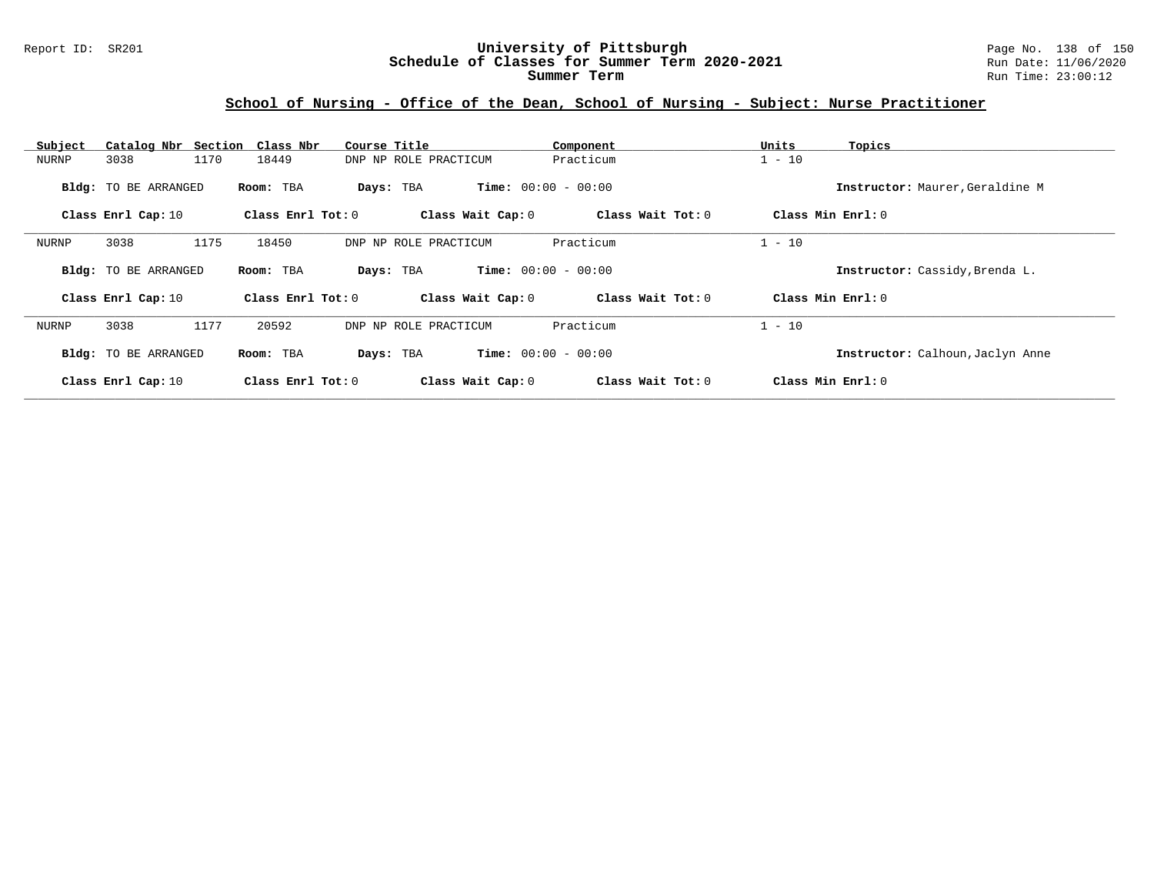#### Report ID: SR201 **University of Pittsburgh** Page No. 138 of 150 **Schedule of Classes for Summer Term 2020-2021** Run Date: 11/06/2020 **Summer Term** Run Time: 23:00:12

| Subject | Catalog Nbr Section Class Nbr |      |                     | Course Title |                       | Component                    | Units    | Topics                           |  |
|---------|-------------------------------|------|---------------------|--------------|-----------------------|------------------------------|----------|----------------------------------|--|
| NURNP   | 3038                          | 1170 | 18449               |              | DNP NP ROLE PRACTICUM | Practicum                    | $1 - 10$ |                                  |  |
|         | <b>Bldg:</b> TO BE ARRANGED   |      | Room: TBA           |              | Days: TBA             | <b>Time:</b> $00:00 - 00:00$ |          | Instructor: Maurer, Geraldine M  |  |
|         | Class Enrl Cap: 10            |      | Class Enrl Tot: $0$ |              | Class Wait Cap: 0     | Class Wait Tot: 0            |          | Class Min Enrl: 0                |  |
| NURNP   | 3038                          | 1175 | 18450               |              | DNP NP ROLE PRACTICUM | Practicum                    | $1 - 10$ |                                  |  |
|         | <b>Bldg:</b> TO BE ARRANGED   |      | Room: TBA           |              | Days: TBA             | <b>Time:</b> $00:00 - 00:00$ |          | Instructor: Cassidy, Brenda L.   |  |
|         | Class Enrl Cap: 10            |      | Class Enrl Tot: 0   |              | Class Wait Cap: 0     | Class Wait Tot: 0            |          | Class Min $Enr1: 0$              |  |
| NURNP   | 3038                          | 1177 | 20592               |              | DNP NP ROLE PRACTICUM | Practicum                    | $1 - 10$ |                                  |  |
|         | <b>Bldg:</b> TO BE ARRANGED   |      | Room: TBA           |              | Days: TBA             | <b>Time:</b> $00:00 - 00:00$ |          | Instructor: Calhoun, Jaclyn Anne |  |
|         | Class Enrl Cap: 10            |      | Class Enrl Tot: 0   |              | Class Wait Cap: 0     | Class Wait Tot: 0            |          | Class Min Enrl: 0                |  |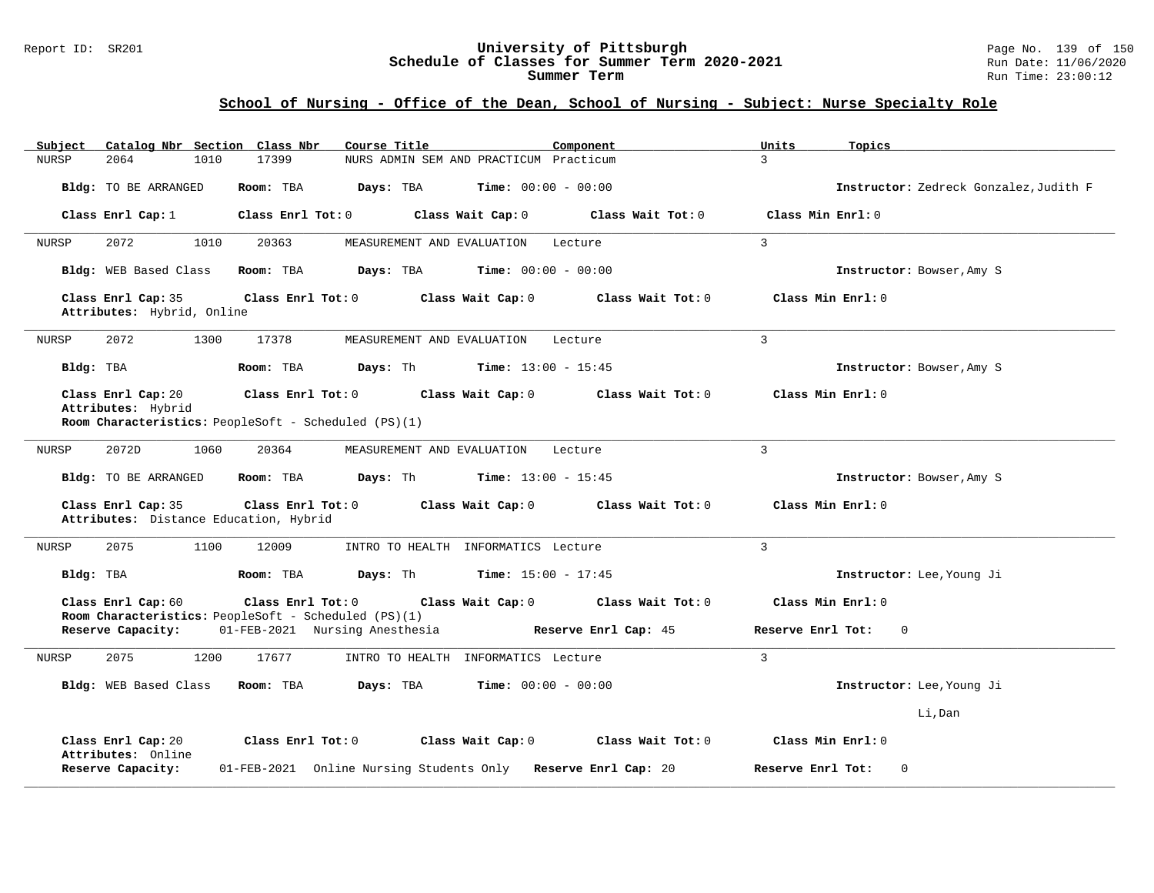#### Report ID: SR201 **University of Pittsburgh** Page No. 139 of 150 **Schedule of Classes for Summer Term 2020-2021** Run Date: 11/06/2020 **Summer Term** Run Time: 23:00:12

| Catalog Nbr Section Class Nbr<br>Course Title<br>Subject<br>Component                                                                                           | Units<br>Topics                        |
|-----------------------------------------------------------------------------------------------------------------------------------------------------------------|----------------------------------------|
| <b>NURSP</b><br>2064<br>1010<br>17399<br>NURS ADMIN SEM AND PRACTICUM Practicum                                                                                 | 3                                      |
| <b>Time:</b> $00:00 - 00:00$<br>Bldg: TO BE ARRANGED<br>Room: TBA<br>Days: TBA                                                                                  | Instructor: Zedreck Gonzalez, Judith F |
| Class Enrl Tot: 0<br>Class Wait Cap: 0<br>Class Wait Tot: 0<br>Class Enrl Cap: 1                                                                                | Class Min Enrl: 0                      |
| 2072<br>1010<br>20363<br>MEASUREMENT AND EVALUATION<br>NURSP<br>Lecture                                                                                         | $\overline{3}$                         |
| Bldg: WEB Based Class<br>Room: TBA<br>Days: TBA<br><b>Time:</b> $00:00 - 00:00$                                                                                 | Instructor: Bowser, Amy S              |
| Class Enrl Cap: 35<br>Class Enrl Tot: 0<br>Class Wait Cap: 0<br>Class Wait Tot: 0<br>Attributes: Hybrid, Online                                                 | Class Min Enrl: 0                      |
| 2072<br>1300<br>17378<br>NURSP<br>MEASUREMENT AND EVALUATION<br>Lecture                                                                                         | $\overline{3}$                         |
| Days: Th<br><b>Time:</b> $13:00 - 15:45$<br>Bldg: TBA<br>Room: TBA                                                                                              | Instructor: Bowser, Amy S              |
| Class Enrl Cap: 20<br>Class Enrl Tot: 0<br>Class Wait Cap: 0<br>Class Wait Tot: 0<br>Attributes: Hybrid<br>Room Characteristics: PeopleSoft - Scheduled (PS)(1) | Class Min Enrl: 0                      |
| 2072D<br>1060<br>20364<br><b>NURSP</b><br>MEASUREMENT AND EVALUATION<br>Lecture                                                                                 | $\mathbf{3}$                           |
| Bldg: TO BE ARRANGED<br>Room: TBA<br>Days: Th<br><b>Time:</b> $13:00 - 15:45$                                                                                   | Instructor: Bowser, Amy S              |
| Class Enrl Cap: 35<br>Class Enrl Tot: 0<br>Class Wait Cap: 0<br>Class Wait Tot: 0<br>Attributes: Distance Education, Hybrid                                     | Class Min Enrl: 0                      |
| 2075<br>1100<br>12009<br>INTRO TO HEALTH INFORMATICS Lecture<br>NURSP                                                                                           | $\mathbf{3}$                           |
| Bldg: TBA<br>Room: TBA<br>Days: Th<br><b>Time:</b> $15:00 - 17:45$                                                                                              | Instructor: Lee, Young Ji              |
| Class Enrl Cap: 60<br>Class Enrl Tot: 0<br>Class Wait Cap: 0<br>Class Wait Tot: 0<br>Room Characteristics: PeopleSoft - Scheduled (PS)(1)                       | Class Min Enrl: 0                      |
| Reserve Capacity:<br>01-FEB-2021 Nursing Anesthesia<br>Reserve Enrl Cap: 45                                                                                     | Reserve Enrl Tot:<br>$\mathbf{0}$      |
| 2075<br>1200<br>17677<br>INTRO TO HEALTH INFORMATICS Lecture<br>NURSP                                                                                           | $\overline{3}$                         |
| Bldg: WEB Based Class<br><b>Time:</b> $00:00 - 00:00$<br>Room: TBA<br>Days: TBA                                                                                 | Instructor: Lee, Young Ji              |
|                                                                                                                                                                 | Li, Dan                                |
| Class Enrl Cap: 20<br>Class Enrl Tot: 0<br>Class Wait Cap: 0<br>Class Wait Tot: 0<br>Attributes: Online                                                         | Class Min Enrl: 0                      |
| Reserve Capacity:<br>01-FEB-2021 Online Nursing Students Only Reserve Enrl Cap: 20                                                                              | Reserve Enrl Tot:<br>$\Omega$          |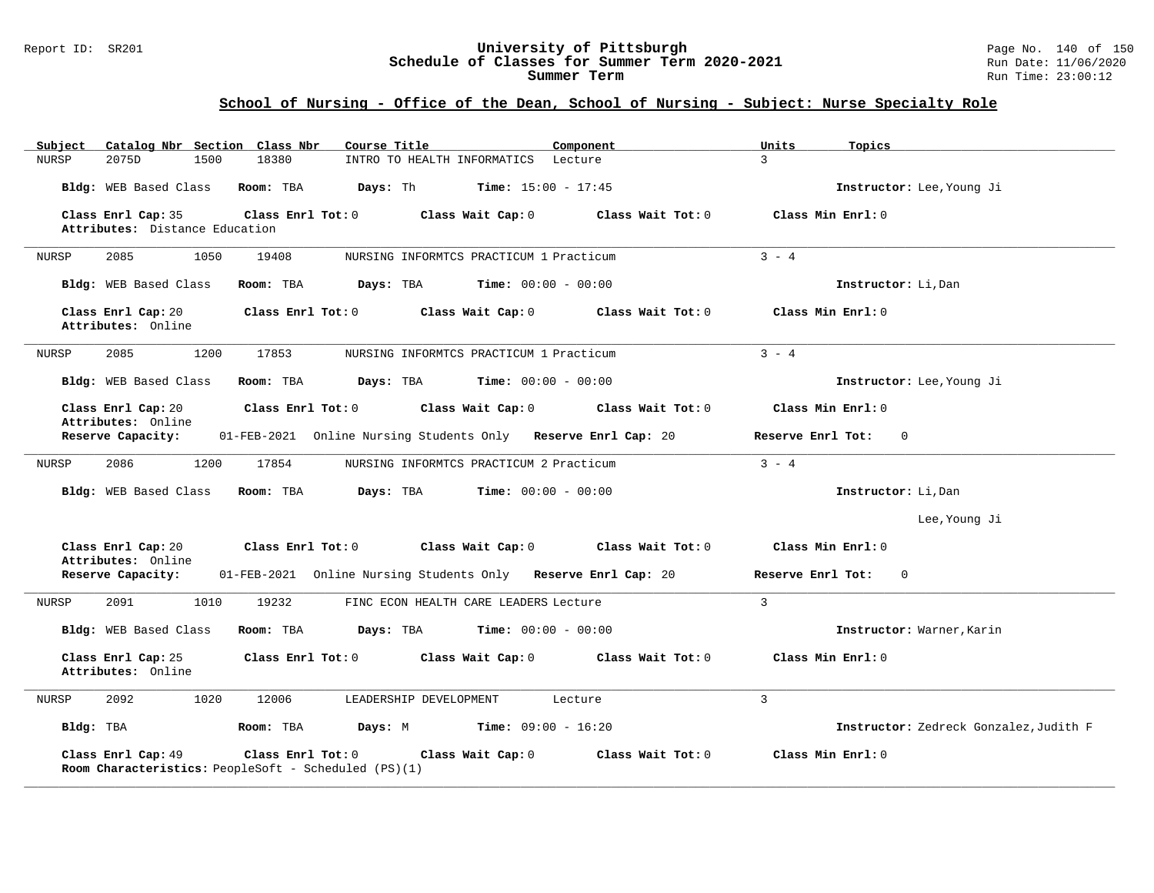#### Report ID: SR201 **University of Pittsburgh** Page No. 140 of 150 **Schedule of Classes for Summer Term 2020-2021** Run Date: 11/06/2020 **Summer Term** Run Time: 23:00:12

| Catalog Nbr Section Class Nbr<br>Subject                                   | Course Title                                                  | Component<br>Units | Topics                                 |
|----------------------------------------------------------------------------|---------------------------------------------------------------|--------------------|----------------------------------------|
| 2075D<br><b>NURSP</b><br>1500                                              | 18380<br>INTRO TO HEALTH INFORMATICS Lecture                  | $\mathbf{z}$       |                                        |
| Bldg: WEB Based Class                                                      | Room: TBA<br>Days: Th<br><b>Time:</b> $15:00 - 17:45$         |                    | Instructor: Lee, Young Ji              |
| Class Enrl Cap: 35                                                         | Class Enrl Tot: 0<br>Class Wait Cap: 0                        | Class Wait Tot: 0  | Class Min Enrl: 0                      |
| Attributes: Distance Education                                             |                                                               |                    |                                        |
| NURSP<br>2085<br>1050                                                      | 19408<br>NURSING INFORMTCS PRACTICUM 1 Practicum              | $3 - 4$            |                                        |
| Bldg: WEB Based Class                                                      | Days: TBA<br><b>Time:</b> $00:00 - 00:00$<br>Room: TBA        |                    | Instructor: Li, Dan                    |
| Class Enrl Cap: 20<br>Attributes: Online                                   | Class Enrl Tot: 0<br>Class Wait Cap: 0                        | Class Wait Tot: 0  | Class Min Enrl: 0                      |
| 2085<br>1200<br>NURSP                                                      | 17853<br>NURSING INFORMTCS PRACTICUM 1 Practicum              | $3 - 4$            |                                        |
| Bldg: WEB Based Class                                                      | Room: TBA<br>Days: TBA<br><b>Time:</b> $00:00 - 00:00$        |                    | Instructor: Lee, Young Ji              |
| Class Enrl Cap: 20<br>Attributes: Online                                   | Class Wait Cap: 0<br>Class Enrl Tot: 0                        | Class Wait Tot: 0  | Class Min Enrl: 0                      |
| Reserve Capacity:                                                          | 01-FEB-2021 Online Nursing Students Only Reserve Enrl Cap: 20 |                    | Reserve Enrl Tot:<br>$\Omega$          |
| NURSP<br>2086<br>1200                                                      | 17854<br>NURSING INFORMTCS PRACTICUM 2 Practicum              | $3 - 4$            |                                        |
| Bldg: WEB Based Class                                                      | Days: TBA<br><b>Time:</b> $00:00 - 00:00$<br>Room: TBA        |                    | Instructor: Li, Dan                    |
|                                                                            |                                                               |                    | Lee, Young Ji                          |
| Class Enrl Cap: 20<br>Attributes: Online                                   | Class Enrl Tot: 0<br>Class Wait Cap: 0                        | Class Wait Tot: 0  | Class Min Enrl: 0                      |
| Reserve Capacity:                                                          | 01-FEB-2021 Online Nursing Students Only Reserve Enrl Cap: 20 |                    | Reserve Enrl Tot:<br>$\mathbf{0}$      |
| NURSP<br>2091<br>1010                                                      | 19232<br>FINC ECON HEALTH CARE LEADERS Lecture                | $\overline{3}$     |                                        |
| Bldg: WEB Based Class                                                      | Room: TBA<br>Days: TBA<br><b>Time:</b> $00:00 - 00:00$        |                    | Instructor: Warner, Karin              |
| Class Enrl Cap: 25<br>Attributes: Online                                   | Class Enrl Tot: 0<br>Class Wait Cap: 0                        | Class Wait Tot: 0  | Class Min Enrl: 0                      |
| 1020<br>NURSP<br>2092                                                      | 12006<br>LEADERSHIP DEVELOPMENT                               | 3<br>Lecture       |                                        |
| Bldg: TBA                                                                  | $Time: 09:00 - 16:20$<br>Room: TBA<br>Days: M                 |                    | Instructor: Zedreck Gonzalez, Judith F |
| Class Enrl Cap: 49<br>Room Characteristics: PeopleSoft - Scheduled (PS)(1) | Class Enrl Tot: 0<br>Class Wait Cap: 0                        | Class Wait Tot: 0  | Class Min Enrl: 0                      |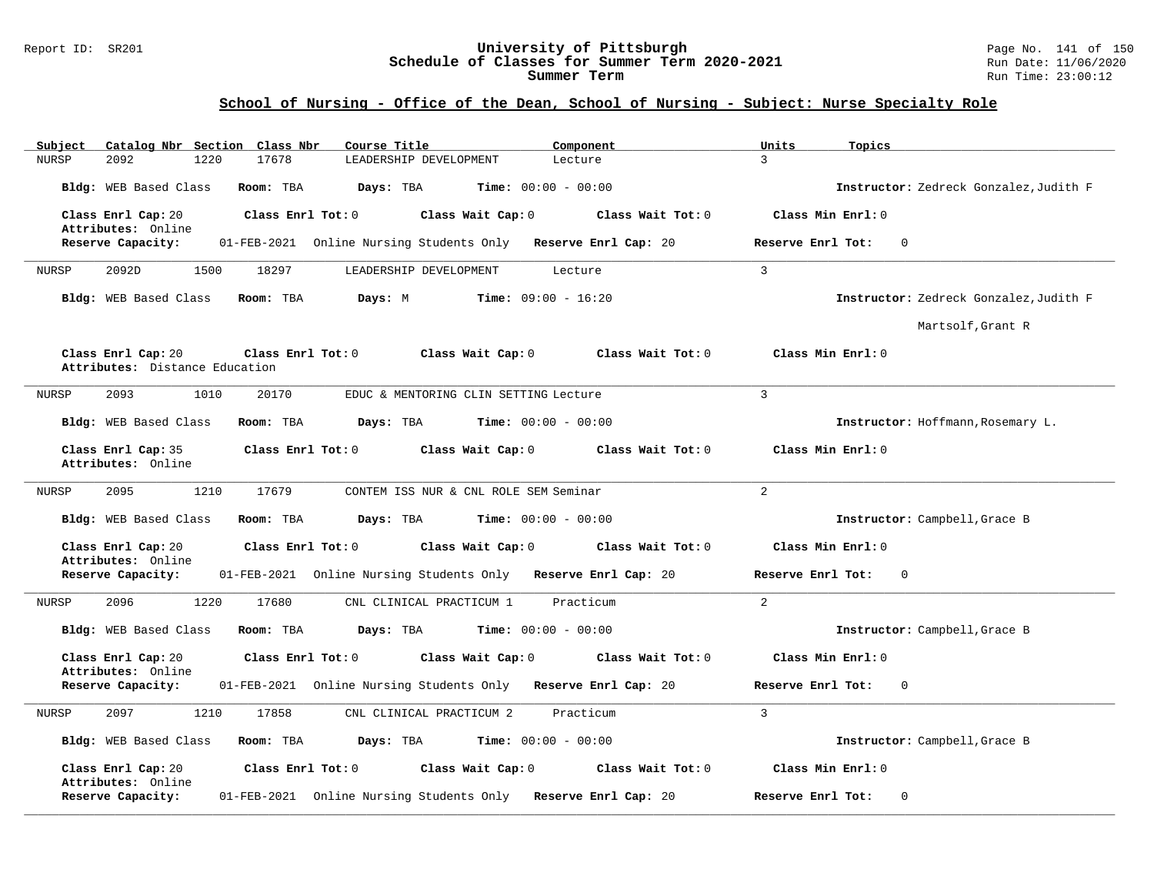#### Report ID: SR201 **University of Pittsburgh** Page No. 141 of 150 **Schedule of Classes for Summer Term 2020-2021** Run Date: 11/06/2020 **Summer Term** Run Time: 23:00:12

| Catalog Nbr Section Class Nbr<br>Subject                                  | Course Title<br>Component                                        | Units<br>Topics                        |
|---------------------------------------------------------------------------|------------------------------------------------------------------|----------------------------------------|
| 17678<br><b>NURSP</b><br>2092<br>1220                                     | LEADERSHIP DEVELOPMENT<br>Lecture                                | 3                                      |
| Bldg: WEB Based Class<br>Room: TBA                                        | <b>Time:</b> $00:00 - 00:00$<br>Days: TBA                        | Instructor: Zedreck Gonzalez, Judith F |
| Class Enrl Cap: 20<br>Class Enrl Tot: 0<br>Attributes: Online             | Class Wait Cap: 0<br>Class Wait Tot: 0                           | Class Min Enrl: 0                      |
| Reserve Capacity:                                                         | 01-FEB-2021 Online Nursing Students Only Reserve Enrl Cap: 20    | Reserve Enrl Tot:<br>0                 |
| 2092D<br>1500<br>18297<br>NURSP                                           | LEADERSHIP DEVELOPMENT<br>Lecture                                | $\overline{3}$                         |
| Bldg: WEB Based Class<br>Room: TBA                                        | Days: M<br><b>Time:</b> $09:00 - 16:20$                          | Instructor: Zedreck Gonzalez, Judith F |
|                                                                           |                                                                  | Martsolf, Grant R                      |
| Class Enrl Cap: 20<br>Class Enrl Tot: 0<br>Attributes: Distance Education | Class Wait Cap: 0<br>Class Wait Tot: 0                           | Class Min Enrl: 0                      |
| 2093<br>1010<br>20170<br>NURSP                                            | EDUC & MENTORING CLIN SETTING Lecture                            | $\overline{3}$                         |
| Bldg: WEB Based Class<br>Room: TBA                                        | Days: TBA<br>Time: $00:00 - 00:00$                               | Instructor: Hoffmann, Rosemary L.      |
| Class Enrl Cap: 35<br>Attributes: Online                                  | Class Enrl Tot: 0<br>Class Wait Cap: 0<br>Class Wait Tot: 0      | Class Min Enrl: 0                      |
| 2095<br>1210<br>17679<br>NURSP                                            | CONTEM ISS NUR & CNL ROLE SEM Seminar                            | $\overline{2}$                         |
| Bldg: WEB Based Class<br>Room: TBA                                        | <b>Time:</b> $00:00 - 00:00$<br>Days: TBA                        | Instructor: Campbell, Grace B          |
| Class Enrl Cap: 20<br>Class Enrl Tot: 0<br>Attributes: Online             | Class Wait Cap: 0<br>Class Wait Tot: 0                           | Class Min Enrl: 0                      |
| Reserve Capacity:                                                         | 01-FEB-2021 Online Nursing Students Only Reserve Enrl Cap: 20    | Reserve Enrl Tot:<br>$\Omega$          |
| 1220<br>17680<br>NURSP<br>2096                                            | Practicum<br>CNL CLINICAL PRACTICUM 1                            | $\overline{2}$                         |
| Bldg: WEB Based Class<br>Room: TBA                                        | Days: TBA<br><b>Time:</b> $00:00 - 00:00$                        | Instructor: Campbell, Grace B          |
| Class Enrl Cap: 20<br>Class Enrl Tot: 0<br>Attributes: Online             | Class Wait Cap: 0<br>Class Wait Tot: 0                           | Class Min Enrl: 0                      |
| Reserve Capacity:                                                         | 01-FEB-2021 Online Nursing Students Only<br>Reserve Enrl Cap: 20 | Reserve Enrl Tot:<br>0                 |
| 2097<br>1210<br>17858<br>NURSP                                            | Practicum<br>CNL CLINICAL PRACTICUM 2                            | 3                                      |
| Bldg: WEB Based Class<br>Room: TBA                                        | Days: TBA<br><b>Time:</b> $00:00 - 00:00$                        | Instructor: Campbell, Grace B          |
| Class Enrl Cap: 20<br>Class Enrl Tot: 0<br>Attributes: Online             | Class Wait Cap: 0<br>Class Wait Tot: 0                           | Class Min Enrl: 0                      |
| Reserve Capacity:                                                         | 01-FEB-2021 Online Nursing Students Only Reserve Enrl Cap: 20    | Reserve Enrl Tot:<br>0                 |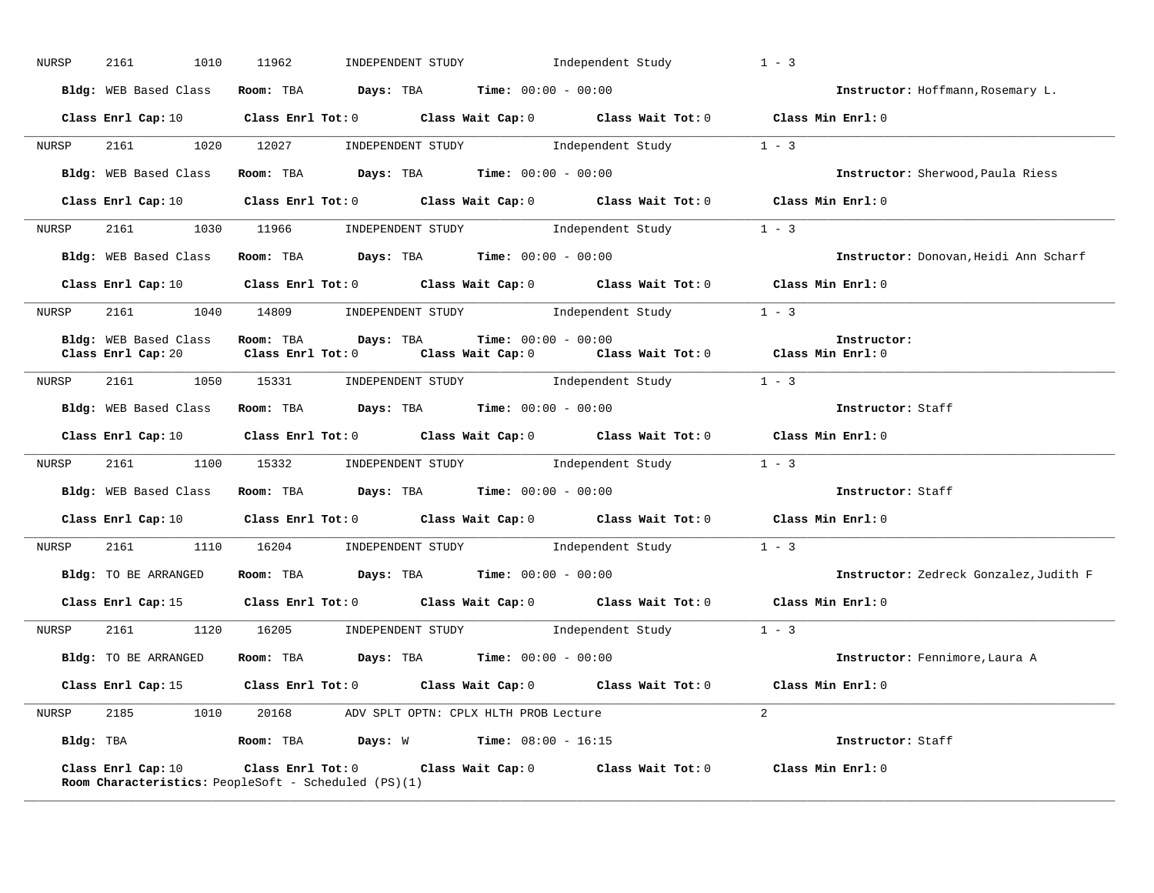| NURSP | 2161<br>1010          | 11962 |                                                                                    | INDEPENDENT STUDY $\qquad \qquad$ Independent Study $\qquad \qquad 1$ - 3                                                      |                                        |
|-------|-----------------------|-------|------------------------------------------------------------------------------------|--------------------------------------------------------------------------------------------------------------------------------|----------------------------------------|
|       |                       |       | Bldg: WEB Based Class Room: TBA Days: TBA Time: 00:00 - 00:00                      |                                                                                                                                | Instructor: Hoffmann, Rosemary L.      |
|       |                       |       |                                                                                    | Class Enrl Cap: 10 $\qquad$ Class Enrl Tot: 0 $\qquad$ Class Wait Cap: 0 $\qquad$ Class Wait Tot: 0 $\qquad$ Class Min Enrl: 0 |                                        |
|       |                       |       |                                                                                    | NURSP 2161 1020 12027 INDEPENDENT STUDY Independent Study 1 - 3                                                                |                                        |
|       |                       |       | Bldg: WEB Based Class Room: TBA Days: TBA Time: 00:00 - 00:00                      |                                                                                                                                | Instructor: Sherwood, Paula Riess      |
|       |                       |       |                                                                                    | Class Enrl Cap: 10 $\qquad$ Class Enrl Tot: 0 $\qquad$ Class Wait Cap: 0 $\qquad$ Class Wait Tot: 0 $\qquad$ Class Min Enrl: 0 |                                        |
| NURSP |                       |       |                                                                                    | 2161 1030 11966 INDEPENDENT STUDY Independent Study 1 - 3                                                                      |                                        |
|       | Bldg: WEB Based Class |       |                                                                                    | Room: TBA $Days$ : TBA $Time: 00:00 - 00:00$                                                                                   | Instructor: Donovan, Heidi Ann Scharf  |
|       |                       |       |                                                                                    | Class Enrl Cap: 10 $\qquad$ Class Enrl Tot: 0 $\qquad$ Class Wait Cap: 0 $\qquad$ Class Wait Tot: 0 $\qquad$ Class Min Enrl: 0 |                                        |
| NURSP |                       |       |                                                                                    | 2161 1040 14809 INDEPENDENT STUDY Independent Study 1 - 3                                                                      |                                        |
|       | Bldg: WEB Based Class |       | Room: TBA $Days:$ TBA $Time:$ $00:00 - 00:00$                                      | Class Enrl Cap: 20 $\qquad$ Class Enrl Tot: 0 $\qquad$ Class Wait Cap: 0 $\qquad$ Class Wait Tot: 0 $\qquad$ Class Min Enrl: 0 | Instructor:                            |
|       |                       |       |                                                                                    | NURSP 2161 1050 15331 INDEPENDENT STUDY Independent Study 1 - 3                                                                |                                        |
|       |                       |       |                                                                                    | Bldg: WEB Based Class Room: TBA Days: TBA Time: 00:00 - 00:00                                                                  | Instructor: Staff                      |
|       |                       |       |                                                                                    |                                                                                                                                |                                        |
|       |                       |       |                                                                                    | Class Enrl Cap: 10 $\qquad$ Class Enrl Tot: 0 $\qquad$ Class Wait Cap: 0 $\qquad$ Class Wait Tot: 0 $\qquad$ Class Min Enrl: 0 |                                        |
| NURSP |                       |       |                                                                                    | 2161 1100 15332 INDEPENDENT STUDY Independent Study 1 - 3                                                                      |                                        |
|       |                       |       |                                                                                    | Bldg: WEB Based Class Room: TBA Days: TBA Time: 00:00 - 00:00                                                                  | Instructor: Staff                      |
|       |                       |       |                                                                                    | Class Enrl Cap: 10 $\qquad$ Class Enrl Tot: 0 $\qquad$ Class Wait Cap: 0 $\qquad$ Class Wait Tot: 0 $\qquad$ Class Min Enrl: 0 |                                        |
| NURSP |                       |       |                                                                                    | 2161 1110 16204 INDEPENDENT STUDY Independent Study 1 - 3                                                                      |                                        |
|       |                       |       | Bldg: TO BE ARRANGED Room: TBA Days: TBA Time: 00:00 - 00:00                       |                                                                                                                                | Instructor: Zedreck Gonzalez, Judith F |
|       |                       |       |                                                                                    | Class Enrl Cap: 15 Class Enrl Tot: 0 Class Wait Cap: 0 Class Wait Tot: 0 Class Min Enrl: 0                                     |                                        |
| NURSP |                       |       |                                                                                    | 2161 1120 16205 INDEPENDENT STUDY Independent Study 1 - 3                                                                      |                                        |
|       | Bldg: TO BE ARRANGED  |       | Room: TBA $Days:$ TBA $Time:$ 00:00 - 00:00                                        |                                                                                                                                | Instructor: Fennimore, Laura A         |
|       |                       |       |                                                                                    | Class Enrl Cap: 15 (Class Enrl Tot: 0 (Class Wait Cap: 0 (Class Wait Tot: 0 (Class Min Enrl: 0)                                |                                        |
|       |                       |       | NURSP 2185 1010 20168 ADV SPLT OPTN: CPLX HLTH PROB Lecture                        |                                                                                                                                | 2 <sup>0</sup>                         |
|       |                       |       | Bldg: TBA                   Room: TBA         Days: W          Time: 08:00 - 16:15 |                                                                                                                                | <b>Instructor:</b> Staff               |

**\_\_\_\_\_\_\_\_\_\_\_\_\_\_\_\_\_\_\_\_\_\_\_\_\_\_\_\_\_\_\_\_\_\_\_\_\_\_\_\_\_\_\_\_\_\_\_\_\_\_\_\_\_\_\_\_\_\_\_\_\_\_\_\_\_\_\_\_\_\_\_\_\_\_\_\_\_\_\_\_\_\_\_\_\_\_\_\_\_\_\_\_\_\_\_\_\_\_\_\_\_\_\_\_\_\_\_\_\_\_\_\_\_\_\_\_\_\_\_\_\_\_\_\_\_\_\_\_\_\_\_\_\_\_\_\_\_\_\_\_\_\_\_\_\_\_\_\_\_\_\_\_\_\_\_\_**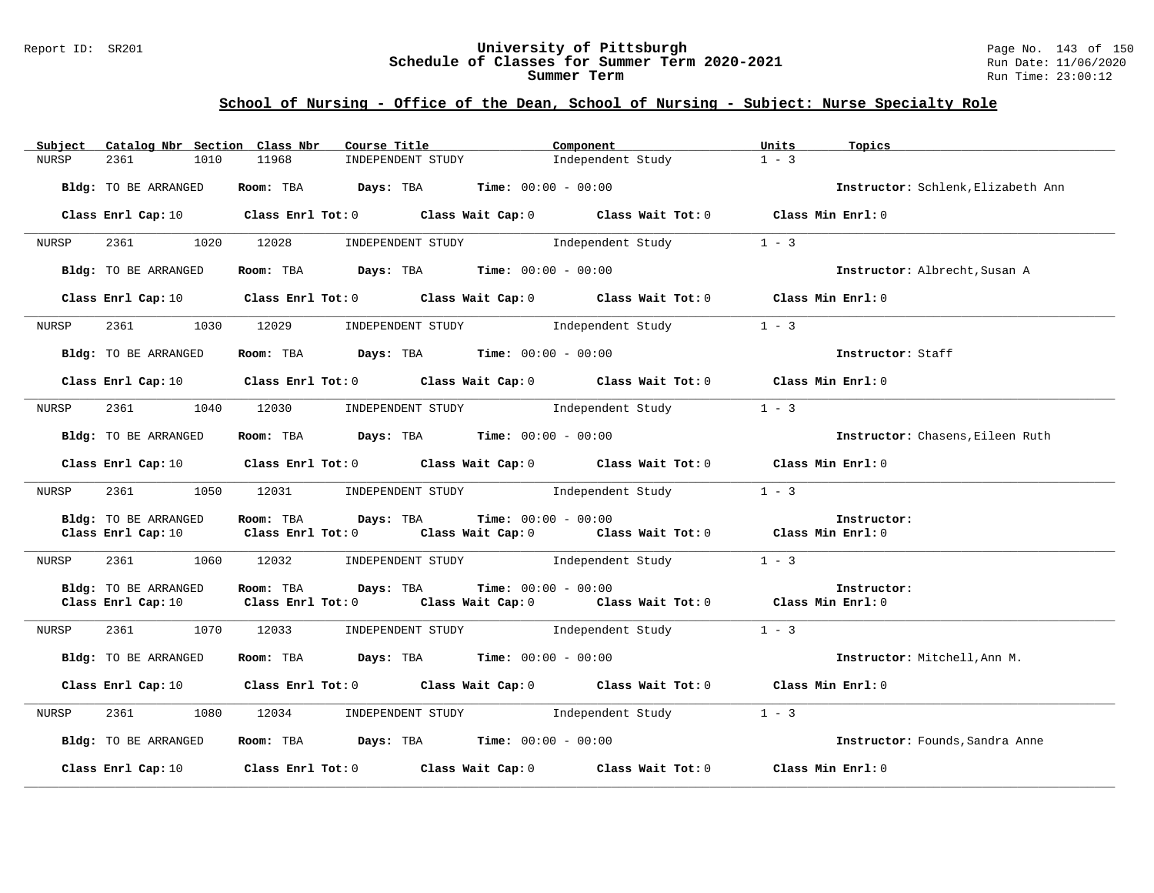#### Report ID: SR201 **University of Pittsburgh** Page No. 143 of 150 **Schedule of Classes for Summer Term 2020-2021** Run Date: 11/06/2020 **Summer Term** Run Time: 23:00:12

| Subject      | Catalog Nbr Section Class Nbr              | Course Title                                                                               | Component                                                                                                                          | Units<br>Topics                    |
|--------------|--------------------------------------------|--------------------------------------------------------------------------------------------|------------------------------------------------------------------------------------------------------------------------------------|------------------------------------|
| <b>NURSP</b> | 2361<br>1010                               | 11968<br>INDEPENDENT STUDY                                                                 | Independent Study                                                                                                                  | $1 - 3$                            |
|              | Bldg: TO BE ARRANGED                       | Room: TBA $Days:$ TBA $Time: 00:00 - 00:00$                                                |                                                                                                                                    | Instructor: Schlenk, Elizabeth Ann |
|              | Class Enrl Cap: 10                         |                                                                                            | Class Enrl Tot: 0 Class Wait Cap: 0 Class Wait Tot: 0                                                                              | Class Min Enrl: 0                  |
| NURSP        | 2361<br>1020                               | 12028                                                                                      | INDEPENDENT STUDY 1ndependent Study                                                                                                | $1 - 3$                            |
|              | Bldg: TO BE ARRANGED                       | Room: TBA $Days:$ TBA $Time: 00:00 - 00:00$                                                |                                                                                                                                    | Instructor: Albrecht, Susan A      |
|              | Class Enrl Cap: 10                         |                                                                                            | Class Enrl Tot: 0 Class Wait Cap: 0 Class Wait Tot: 0 Class Min Enrl: 0                                                            |                                    |
| NURSP        | 2361 236                                   | 1030 12029 INDEPENDENT STUDY Independent Study                                             |                                                                                                                                    | $1 - 3$                            |
|              | Bldg: TO BE ARRANGED                       | Room: TBA $Days:$ TBA Time: $00:00 - 00:00$                                                |                                                                                                                                    | Instructor: Staff                  |
|              | Class Enrl Cap: 10                         |                                                                                            | Class Enrl Tot: 0 Class Wait Cap: 0 Class Wait Tot: 0 Class Min Enrl: 0                                                            |                                    |
| NURSP        |                                            | 1040 12030                                                                                 | INDEPENDENT STUDY 1ndependent Study                                                                                                | $1 - 3$                            |
|              | Bldg: TO BE ARRANGED                       | Room: TBA $Days:$ TBA $Time: 00:00 - 00:00$                                                |                                                                                                                                    | Instructor: Chasens, Eileen Ruth   |
|              | Class Enrl Cap: 10                         |                                                                                            | Class Enrl Tot: 0 Class Wait Cap: 0 Class Wait Tot: 0 Class Min Enrl: 0                                                            |                                    |
| NURSP        | 2361<br>1050                               | 12031 INDEPENDENT STUDY                                                                    | Independent Study                                                                                                                  | $1 - 3$                            |
|              | Bldg: TO BE ARRANGED<br>Class Enrl Cap: 10 | Room: TBA<br>Days: TBA                                                                     | <b>Time:</b> $00:00 - 00:00$<br>Class Enrl Tot: 0 $\qquad$ Class Wait Cap: 0 $\qquad$ Class Wait Tot: 0 $\qquad$ Class Min Enrl: 0 | Instructor:                        |
| NURSP        | 2361<br>1060                               | 12032                                                                                      | INDEPENDENT STUDY 1ndependent Study                                                                                                | $1 - 3$                            |
|              | Bldg: TO BE ARRANGED<br>Class Enrl Cap: 10 | Room: TBA<br>Days: TBA<br>Class Enrl Tot: 0 Class Wait Cap: 0 Class Wait Tot: 0            | <b>Time:</b> $00:00 - 00:00$                                                                                                       | Instructor:<br>Class Min Enrl: 0   |
| NURSP        | 2361<br>1070                               | 12033                                                                                      | INDEPENDENT STUDY 1ndependent Study                                                                                                | $1 - 3$                            |
|              | Bldg: TO BE ARRANGED                       | Room: TBA $Days:$ TBA $Time: 00:00 - 00:00$                                                |                                                                                                                                    | Instructor: Mitchell, Ann M.       |
|              |                                            | Class Enrl Cap: 10 Class Enrl Tot: 0 Class Wait Cap: 0 Class Wait Tot: 0 Class Min Enrl: 0 |                                                                                                                                    |                                    |
| NURSP        | 2361<br>1080                               | 12034 INDEPENDENT STUDY Independent Study                                                  |                                                                                                                                    | $1 - 3$                            |
|              | Bldg: TO BE ARRANGED                       | Room: TBA $Days:$ TBA Time: $00:00 - 00:00$                                                |                                                                                                                                    | Instructor: Founds, Sandra Anne    |
|              | Class Enrl Cap: 10                         | Class Enrl Tot: $0$ Class Wait Cap: $0$ Class Wait Tot: $0$                                |                                                                                                                                    | Class Min Enrl: 0                  |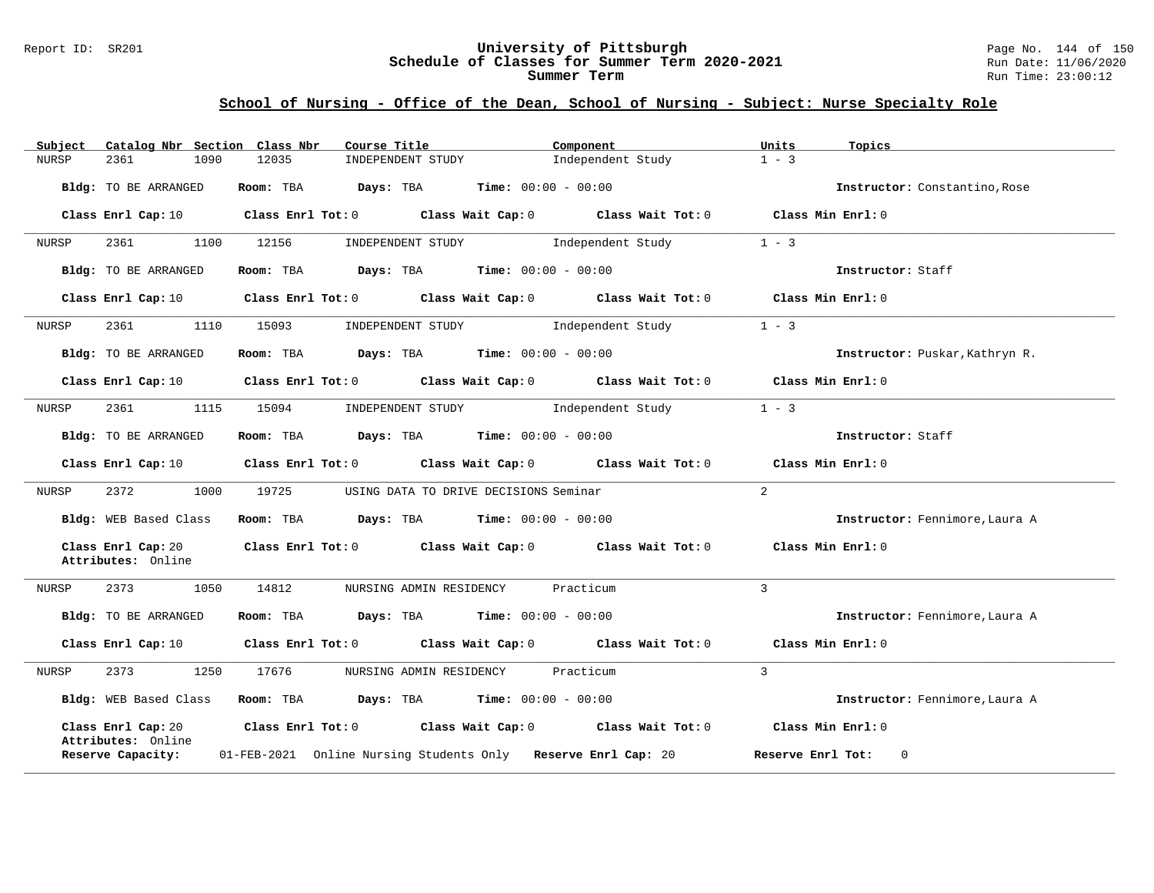#### Report ID: SR201 **University of Pittsburgh** Page No. 144 of 150 **Schedule of Classes for Summer Term 2020-2021** Run Date: 11/06/2020 **Summer Term** Run Time: 23:00:12

| Subject      | Catalog Nbr Section Class Nbr            |      |           | Course Title                                                            |                              | Component                                                                                                                      | Units             | Topics                         |
|--------------|------------------------------------------|------|-----------|-------------------------------------------------------------------------|------------------------------|--------------------------------------------------------------------------------------------------------------------------------|-------------------|--------------------------------|
| <b>NURSP</b> | 2361                                     | 1090 | 12035     | INDEPENDENT STUDY                                                       |                              | Independent Study                                                                                                              | $1 - 3$           |                                |
|              | Bldg: TO BE ARRANGED                     |      | Room: TBA | Days: TBA                                                               | <b>Time:</b> $00:00 - 00:00$ |                                                                                                                                |                   | Instructor: Constantino, Rose  |
|              | Class Enrl Cap: 10                       |      |           |                                                                         |                              | Class Enrl Tot: $0$ Class Wait Cap: $0$ Class Wait Tot: $0$ Class Min Enrl: $0$                                                |                   |                                |
| NURSP        | 2361                                     | 1100 | 12156     | INDEPENDENT STUDY                                                       |                              | Independent Study                                                                                                              | $1 - 3$           |                                |
|              | Bldg: TO BE ARRANGED                     |      | Room: TBA | Days: TBA                                                               | $Time: 00:00 - 00:00$        |                                                                                                                                |                   | Instructor: Staff              |
|              | Class Enrl Cap: 10                       |      |           |                                                                         |                              | Class Enrl Tot: $0$ Class Wait Cap: $0$ Class Wait Tot: $0$ Class Min Enrl: $0$                                                |                   |                                |
| NURSP        | 2361                                     | 1110 | 15093     | INDEPENDENT STUDY 1ndependent Study                                     |                              |                                                                                                                                | $1 - 3$           |                                |
|              | Bldg: TO BE ARRANGED                     |      |           | <b>Room:</b> TBA <b>Days:</b> TBA <b>Time:</b> $00:00 - 00:00$          |                              |                                                                                                                                |                   | Instructor: Puskar, Kathryn R. |
|              |                                          |      |           |                                                                         |                              | Class Enrl Cap: 10 $\qquad$ Class Enrl Tot: 0 $\qquad$ Class Wait Cap: 0 $\qquad$ Class Wait Tot: 0 $\qquad$ Class Min Enrl: 0 |                   |                                |
| NURSP        | 2361                                     | 1115 | 15094     | INDEPENDENT STUDY 1ndependent Study                                     |                              |                                                                                                                                | $1 - 3$           |                                |
|              | Bldg: TO BE ARRANGED                     |      |           | Room: TBA $\rule{1em}{0.15mm}$ Days: TBA $\qquad$ Time: $00:00 - 00:00$ |                              |                                                                                                                                |                   | Instructor: Staff              |
|              | Class Enrl Cap: 10                       |      |           | Class Enrl Tot: 0 Class Wait Cap: 0                                     |                              | Class Wait Tot: 0 Class Min Enrl: 0                                                                                            |                   |                                |
| NURSP        | 2372                                     | 1000 | 19725     | USING DATA TO DRIVE DECISIONS Seminar                                   |                              |                                                                                                                                | $\overline{2}$    |                                |
|              | Bldg: WEB Based Class                    |      |           | Room: TBA $Days:$ TBA $Time: 00:00 - 00:00$                             |                              |                                                                                                                                |                   | Instructor: Fennimore, Laura A |
|              | Class Enrl Cap: 20<br>Attributes: Online |      |           |                                                                         |                              | Class Enrl Tot: 0 Class Wait Cap: 0 Class Wait Tot: 0                                                                          | Class Min Enrl: 0 |                                |
| NURSP        | 2373                                     | 1050 | 14812     | NURSING ADMIN RESIDENCY                                                 |                              | Practicum                                                                                                                      | 3                 |                                |
|              | Bldg: TO BE ARRANGED                     |      |           | <b>Room:</b> TBA <b>Days:</b> TBA <b>Time:</b> 00:00 - 00:00            |                              |                                                                                                                                |                   | Instructor: Fennimore, Laura A |
|              | Class Enrl Cap: 10                       |      |           |                                                                         |                              | Class Enrl Tot: 0 Class Wait Cap: 0 Class Wait Tot: 0                                                                          |                   | Class Min Enrl: 0              |
| NURSP        | 2373                                     | 1250 | 17676     | NURSING ADMIN RESIDENCY                                                 |                              | Practicum                                                                                                                      | 3                 |                                |
|              | Bldg: WEB Based Class                    |      |           | Room: TBA $Days:$ TBA $Time: 00:00 - 00:00$                             |                              |                                                                                                                                |                   | Instructor: Fennimore, Laura A |
|              | Class Enrl Cap: 20<br>Attributes: Online |      |           |                                                                         |                              | Class Enrl Tot: $0$ Class Wait Cap: $0$ Class Wait Tot: $0$                                                                    | Class Min Enrl: 0 |                                |
|              | Reserve Capacity:                        |      |           | 01-FEB-2021 Online Nursing Students Only Reserve Enrl Cap: 20           |                              |                                                                                                                                |                   | Reserve Enrl Tot:<br>$\Omega$  |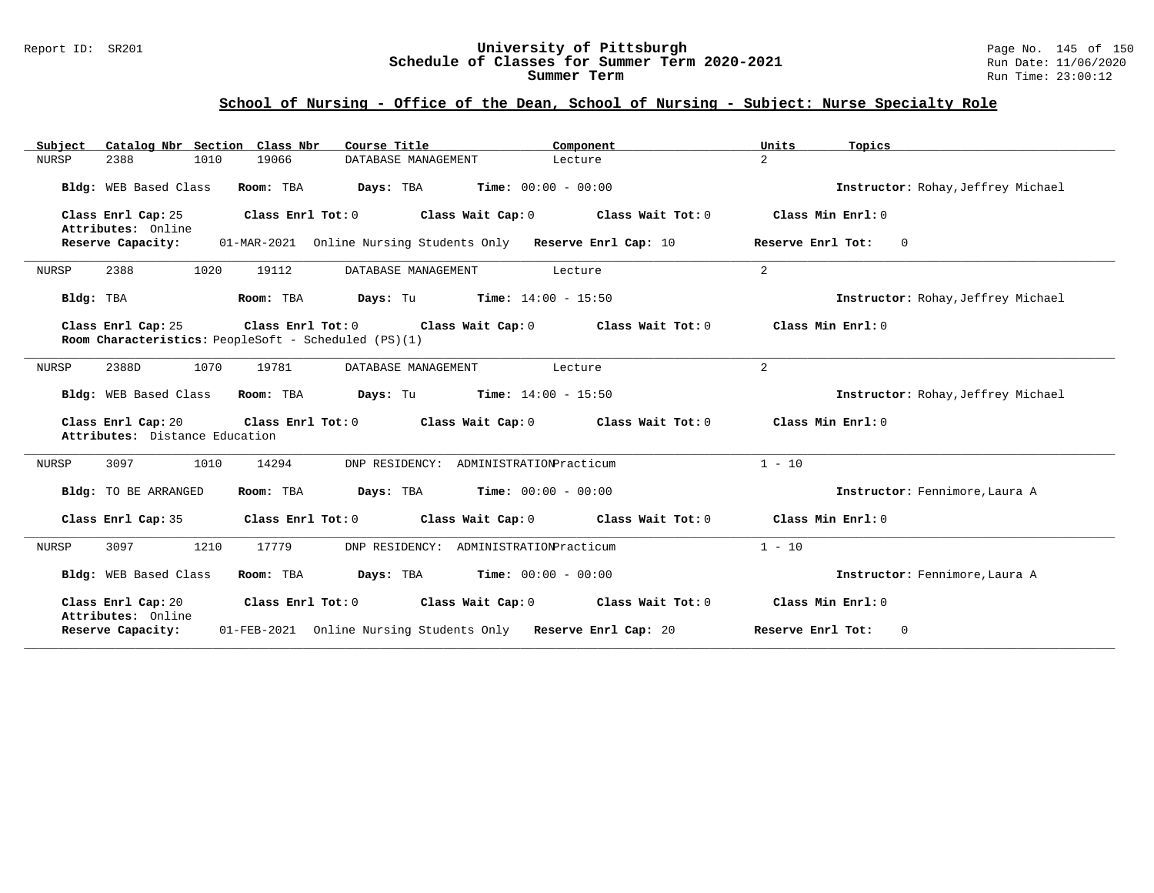#### Report ID: SR201 **University of Pittsburgh** Page No. 145 of 150 **Schedule of Classes for Summer Term 2020-2021** Run Date: 11/06/2020 **Summer Term** Run Time: 23:00:12

# **School of Nursing - Office of the Dean, School of Nursing - Subject: Nurse Specialty Role**

| Catalog Nbr Section Class Nbr<br>Subject<br>1010<br><b>NURSP</b><br>2388    | Course Title<br>19066<br>DATABASE MANAGEMENT                                                   | Component<br>Lecture | Units<br>Topics<br>$\overline{a}$   |
|-----------------------------------------------------------------------------|------------------------------------------------------------------------------------------------|----------------------|-------------------------------------|
|                                                                             |                                                                                                |                      |                                     |
| Bldg: WEB Based Class                                                       | Room: TBA<br><b>Days:</b> TBA <b>Time:</b> $00:00 - 00:00$                                     |                      | Instructor: Rohay, Jeffrey Michael  |
| Class Enrl Cap: 25<br>Attributes: Online                                    | Class Enrl Tot: 0<br>Class Wait Cap: 0                                                         | Class Wait Tot: 0    | Class Min Enrl: 0                   |
| Reserve Capacity:                                                           | 01-MAR-2021 Online Nursing Students Only Reserve Enrl Cap: 10                                  |                      | Reserve Enrl Tot:<br>$\overline{0}$ |
| 2388<br>1020<br>NURSP                                                       | 19112<br>DATABASE MANAGEMENT                                                                   | Lecture              | $\overline{a}$                      |
| Bldg: TBA                                                                   | <b>Days:</b> Tu <b>Time:</b> $14:00 - 15:50$<br>Room: TBA                                      |                      | Instructor: Rohay, Jeffrey Michael  |
| Class Enrl Cap: 25                                                          | Class Enrl Tot: 0<br>Class Wait Cap: 0<br>Room Characteristics: PeopleSoft - Scheduled (PS)(1) | Class Wait Tot: 0    | Class Min Enrl: 0                   |
| 1070<br>2388D<br>NURSP                                                      | 19781<br>DATABASE MANAGEMENT                                                                   | Lecture              | 2                                   |
| Bldg: WEB Based Class                                                       | Room: TBA<br><b>Days:</b> Tu <b>Time:</b> $14:00 - 15:50$                                      |                      | Instructor: Rohay, Jeffrey Michael  |
| Class Enrl Cap: 20<br>Attributes: Distance Education                        | Class Enrl Tot: $0$ Class Wait Cap: $0$                                                        | Class Min Enrl: 0    |                                     |
| 1010<br>NURSP<br>3097                                                       | DNP RESIDENCY: ADMINISTRATIONPracticum<br>14294                                                |                      | $1 - 10$                            |
| Bldg: TO BE ARRANGED                                                        | <b>Days:</b> TBA <b>Time:</b> $00:00 - 00:00$<br>Room: TBA                                     |                      | Instructor: Fennimore, Laura A      |
| Class Enrl Cap: 35                                                          | Class Enrl Tot: 0 Class Wait Cap: 0                                                            | Class Wait Tot: 0    | Class Min Enrl: 0                   |
| 1210<br>3097<br>NURSP                                                       | 17779<br>DNP RESIDENCY: ADMINISTRATIONPracticum                                                |                      | $1 - 10$                            |
| Bldg: WEB Based Class                                                       | <b>Days:</b> TBA <b>Time:</b> $00:00 - 00:00$<br>Room: TBA                                     |                      | Instructor: Fennimore, Laura A      |
| Class Enrl Cap: 20<br>Class Enrl Tot: 0 Class Wait Cap: 0 Class Wait Tot: 0 |                                                                                                |                      | Class Min Enrl: 0                   |
| Attributes: Online<br>Reserve Capacity:                                     | 01-FEB-2021 Online Nursing Students Only Reserve Enrl Cap: 20                                  |                      | Reserve Enrl Tot:<br>$\mathbf 0$    |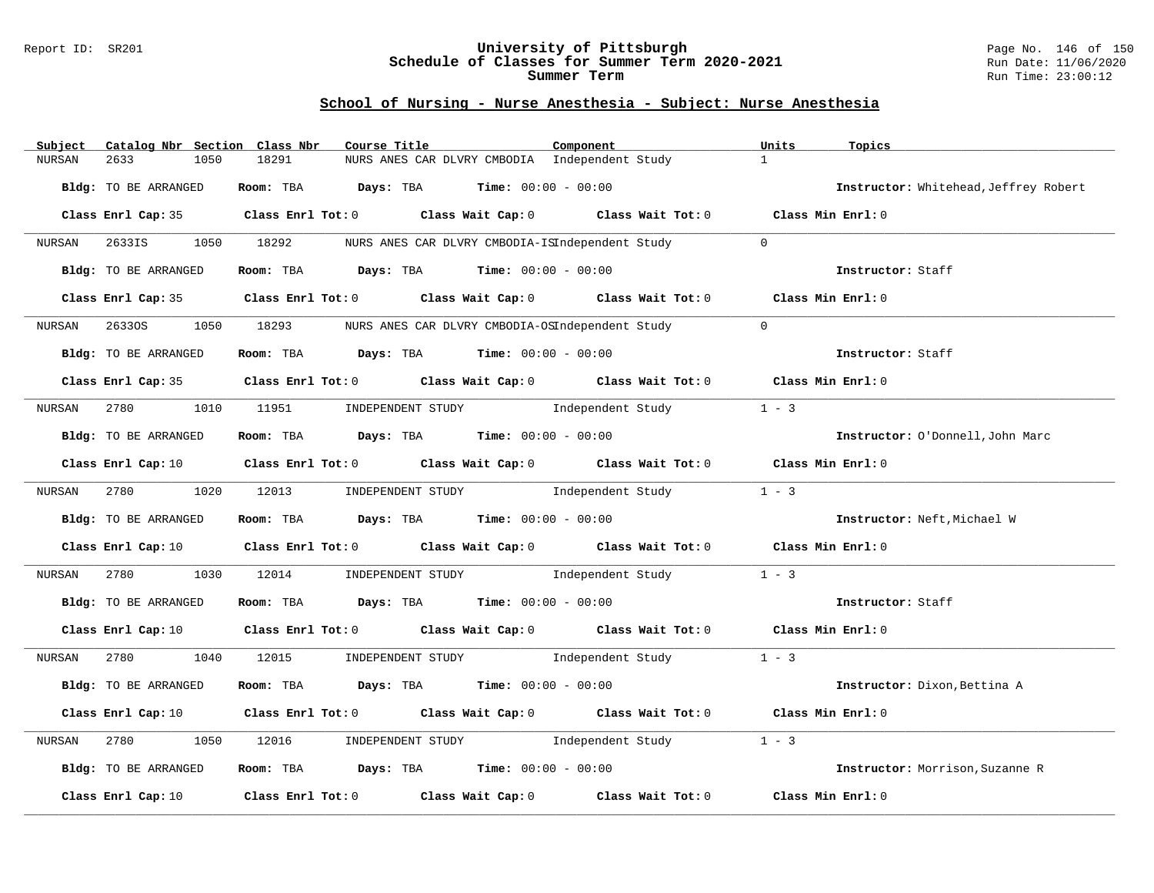### Report ID: SR201 **University of Pittsburgh** Page No. 146 of 150 **Schedule of Classes for Summer Term 2020-2021** Run Date: 11/06/2020 **Summer Term** Run Time: 23:00:12

# **School of Nursing - Nurse Anesthesia - Subject: Nurse Anesthesia**

| Subject | Catalog Nbr Section Class Nbr | Course Title                                                                                                                   | Component         | Units<br>Topics                       |
|---------|-------------------------------|--------------------------------------------------------------------------------------------------------------------------------|-------------------|---------------------------------------|
| NURSAN  | 2633<br>1050                  | 18291<br>NURS ANES CAR DLVRY CMBODIA Independent Study                                                                         |                   | $\mathbf{1}$                          |
|         | Bldg: TO BE ARRANGED          | Room: TBA $Days:$ TBA $Time: 00:00 - 00:00$                                                                                    |                   | Instructor: Whitehead, Jeffrey Robert |
|         | Class Enrl Cap: 35            | Class Enrl Tot: 0 Class Wait Cap: 0 Class Wait Tot: 0 Class Min Enrl: 0                                                        |                   |                                       |
| NURSAN  | 2633IS                        | 1050 18292<br>NURS ANES CAR DLVRY CMBODIA-ISIndependent Study                                                                  |                   | $\Omega$                              |
|         | Bldg: TO BE ARRANGED          | Room: TBA $Days:$ TBA $Time: 00:00 - 00:00$                                                                                    |                   | Instructor: Staff                     |
|         | Class Enrl Cap: 35            | Class Enrl Tot: 0 Class Wait Cap: 0 Class Wait Tot: 0 Class Min Enrl: 0                                                        |                   |                                       |
| NURSAN  | 26330S                        | 1050 18293<br>NURS ANES CAR DLVRY CMBODIA-OSIndependent Study                                                                  |                   | $\Omega$                              |
|         | Bldg: TO BE ARRANGED          | Room: TBA $Days: TBA$ Time: $00:00 - 00:00$                                                                                    |                   | Instructor: Staff                     |
|         |                               | Class Enrl Cap: 35 Class Enrl Tot: 0 Class Wait Cap: 0 Class Wait Tot: 0 Class Min Enrl: 0                                     |                   |                                       |
| NURSAN  | 2780                          | 1010 11951 INDEPENDENT STUDY Independent Study                                                                                 |                   | $1 - 3$                               |
|         | Bldg: TO BE ARRANGED          | Room: TBA $\rule{1em}{0.15mm}$ Days: TBA Time: $00:00 - 00:00$                                                                 |                   | Instructor: O'Donnell, John Marc      |
|         | Class Enrl Cap: 10            | Class Enrl Tot: 0 Class Wait Cap: 0 Class Wait Tot: 0                                                                          |                   | Class Min Enrl: 0                     |
| NURSAN  | 2780 200                      | 1020 12013<br>INDEPENDENT STUDY 1ndependent Study                                                                              |                   | $1 - 3$                               |
|         | Bldg: TO BE ARRANGED          | Room: TBA $Days: TBA$ Time: $00:00 - 00:00$                                                                                    |                   | Instructor: Neft, Michael W           |
|         | Class Enrl Cap: 10            | Class Enrl Tot: 0 Class Wait Cap: 0 Class Wait Tot: 0 Class Min Enrl: 0                                                        |                   |                                       |
| NURSAN  | 1030<br>2780                  | 12014<br>INDEPENDENT STUDY 1ndependent Study                                                                                   |                   | $1 - 3$                               |
|         | Bldg: TO BE ARRANGED          | Room: TBA $\rule{1em}{0.15mm}$ Days: TBA Time: $00:00 - 00:00$                                                                 |                   | Instructor: Staff                     |
|         |                               | Class Enrl Cap: 10 $\qquad$ Class Enrl Tot: 0 $\qquad$ Class Wait Cap: 0 $\qquad$ Class Wait Tot: 0 $\qquad$ Class Min Enrl: 0 |                   |                                       |
| NURSAN  | 2780 200                      | 1040 12015 INDEPENDENT STUDY 1ndependent Study                                                                                 |                   | $1 - 3$                               |
|         | Bldg: TO BE ARRANGED          | Room: TBA $Days:$ TBA $Time: 00:00 - 00:00$                                                                                    |                   | Instructor: Dixon, Bettina A          |
|         |                               | Class Enrl Cap: 10 Class Enrl Tot: 0 Class Wait Cap: 0 Class Wait Tot: 0                                                       |                   | Class Min Enrl: 0                     |
| NURSAN  | 2780<br>1050                  | 12016<br>INDEPENDENT STUDY                                                                                                     | Independent Study | $1 - 3$                               |
|         | Bldg: TO BE ARRANGED          | Room: TBA $Days: TBA$ Time: $00:00 - 00:00$                                                                                    |                   | Instructor: Morrison, Suzanne R       |
|         | Class Enrl Cap: 10            | Class Enrl Tot: 0 Class Wait Cap: 0                                                                                            | Class Wait Tot: 0 | Class Min Enrl: 0                     |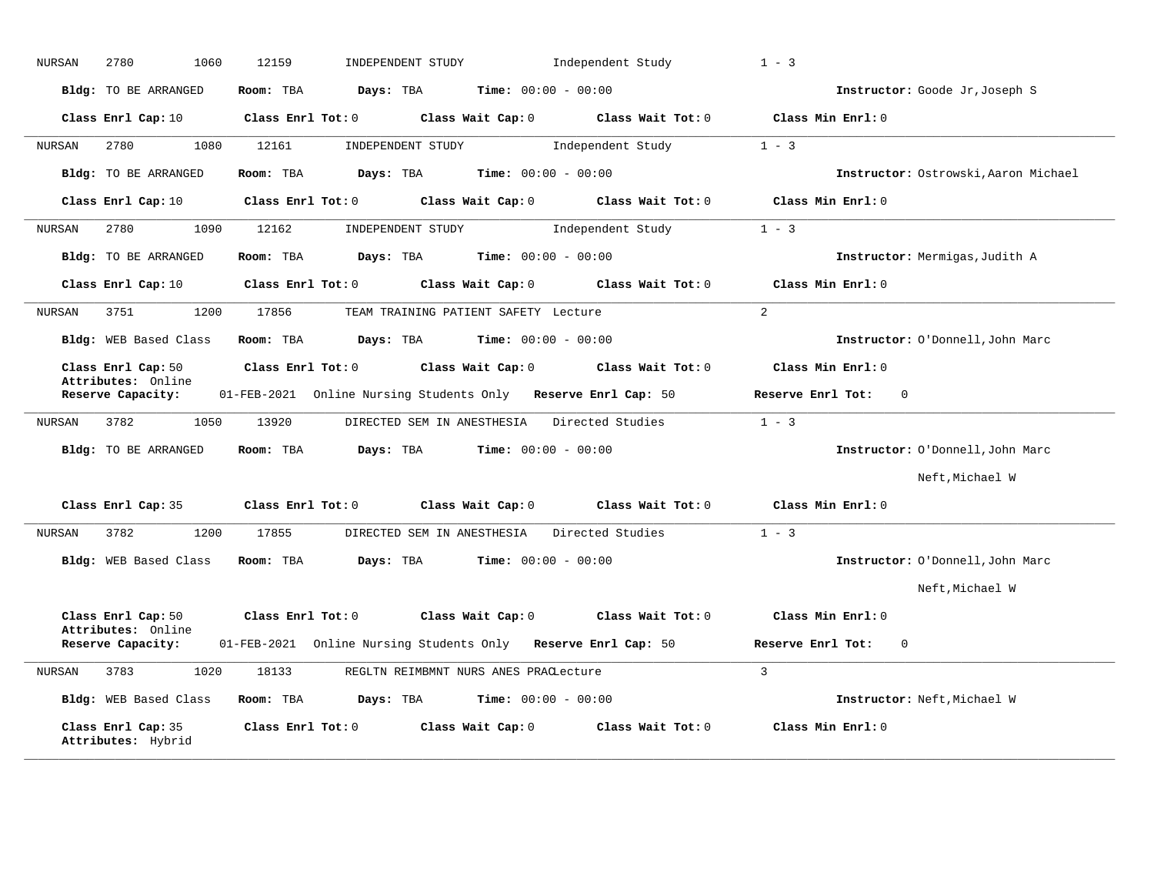| Bldg: TO BE ARRANGED<br>Class Enrl Cap: 10<br>2780<br>1080 | Room: TBA<br>Class Enrl Tot: 0                                 | Days: TBA         | <b>Time:</b> $00:00 - 00:00$                                                                          |                                                                                                                                     | Instructor: Goode Jr, Joseph S                                                                                                                                                                                                                                                                                                                                                                                                                                          |
|------------------------------------------------------------|----------------------------------------------------------------|-------------------|-------------------------------------------------------------------------------------------------------|-------------------------------------------------------------------------------------------------------------------------------------|-------------------------------------------------------------------------------------------------------------------------------------------------------------------------------------------------------------------------------------------------------------------------------------------------------------------------------------------------------------------------------------------------------------------------------------------------------------------------|
|                                                            |                                                                |                   |                                                                                                       |                                                                                                                                     |                                                                                                                                                                                                                                                                                                                                                                                                                                                                         |
|                                                            |                                                                |                   | Class Wait Cap: 0                                                                                     | Class Wait Tot: 0                                                                                                                   | Class Min Enrl: 0                                                                                                                                                                                                                                                                                                                                                                                                                                                       |
|                                                            | 12161                                                          | INDEPENDENT STUDY |                                                                                                       | Independent Study                                                                                                                   | $1 - 3$                                                                                                                                                                                                                                                                                                                                                                                                                                                                 |
| <b>Bldg:</b> TO BE ARRANGED                                | Room: TBA                                                      | Days: TBA         | <b>Time:</b> $00:00 - 00:00$                                                                          |                                                                                                                                     | Instructor: Ostrowski, Aaron Michael                                                                                                                                                                                                                                                                                                                                                                                                                                    |
| Class Enrl Cap: 10                                         | Class Enrl Tot: 0                                              |                   | Class Wait Cap: 0                                                                                     | Class Wait Tot: 0                                                                                                                   | Class Min Enrl: 0                                                                                                                                                                                                                                                                                                                                                                                                                                                       |
| 2780<br>1090                                               | 12162                                                          | INDEPENDENT STUDY |                                                                                                       |                                                                                                                                     | $1 - 3$                                                                                                                                                                                                                                                                                                                                                                                                                                                                 |
| <b>Bldg:</b> TO BE ARRANGED                                | Room: TBA                                                      | Days: TBA         |                                                                                                       |                                                                                                                                     | Instructor: Mermigas, Judith A                                                                                                                                                                                                                                                                                                                                                                                                                                          |
| Class Enrl Cap: 10                                         |                                                                |                   |                                                                                                       | Class Wait Tot: 0                                                                                                                   | Class Min Enrl: 0                                                                                                                                                                                                                                                                                                                                                                                                                                                       |
| 3751<br>1200                                               | 17856                                                          |                   |                                                                                                       |                                                                                                                                     | $\overline{2}$                                                                                                                                                                                                                                                                                                                                                                                                                                                          |
| Bldg: WEB Based Class                                      | Room: TBA                                                      | Days: TBA         |                                                                                                       |                                                                                                                                     | Instructor: O'Donnell, John Marc                                                                                                                                                                                                                                                                                                                                                                                                                                        |
| Class Enrl Cap: 50                                         |                                                                |                   |                                                                                                       | Class Wait Tot: 0                                                                                                                   | Class Min Enrl: 0                                                                                                                                                                                                                                                                                                                                                                                                                                                       |
| Reserve Capacity:                                          |                                                                |                   |                                                                                                       |                                                                                                                                     | Reserve Enrl Tot:<br>0                                                                                                                                                                                                                                                                                                                                                                                                                                                  |
| 3782<br>1050                                               | 13920                                                          |                   |                                                                                                       |                                                                                                                                     | $1 - 3$                                                                                                                                                                                                                                                                                                                                                                                                                                                                 |
| <b>Bldg:</b> TO BE ARRANGED                                | Room: TBA                                                      | Days: TBA         |                                                                                                       |                                                                                                                                     | Instructor: O'Donnell, John Marc                                                                                                                                                                                                                                                                                                                                                                                                                                        |
|                                                            |                                                                |                   |                                                                                                       |                                                                                                                                     | Neft, Michael W                                                                                                                                                                                                                                                                                                                                                                                                                                                         |
| Class Enrl Cap: 35                                         |                                                                |                   |                                                                                                       | Class Wait Tot: 0                                                                                                                   | Class Min Enrl: 0                                                                                                                                                                                                                                                                                                                                                                                                                                                       |
| 3782<br>1200                                               | 17855                                                          |                   |                                                                                                       |                                                                                                                                     | $1 - 3$                                                                                                                                                                                                                                                                                                                                                                                                                                                                 |
| Bldg: WEB Based Class                                      | Room: TBA                                                      | Days: TBA         |                                                                                                       |                                                                                                                                     | Instructor: O'Donnell, John Marc                                                                                                                                                                                                                                                                                                                                                                                                                                        |
|                                                            |                                                                |                   |                                                                                                       |                                                                                                                                     | Neft, Michael W                                                                                                                                                                                                                                                                                                                                                                                                                                                         |
| Class Enrl Cap: 50                                         |                                                                |                   |                                                                                                       | Class Wait Tot: 0                                                                                                                   | Class Min Enrl: 0                                                                                                                                                                                                                                                                                                                                                                                                                                                       |
| Reserve Capacity:                                          |                                                                |                   |                                                                                                       |                                                                                                                                     | Reserve Enrl Tot:<br>0                                                                                                                                                                                                                                                                                                                                                                                                                                                  |
| 3783<br>1020                                               | 18133                                                          |                   |                                                                                                       |                                                                                                                                     | $\overline{3}$                                                                                                                                                                                                                                                                                                                                                                                                                                                          |
| Bldg: WEB Based Class                                      | Room: TBA                                                      | Days: TBA         |                                                                                                       |                                                                                                                                     | Instructor: Neft, Michael W                                                                                                                                                                                                                                                                                                                                                                                                                                             |
| Class Enrl Cap: 35                                         |                                                                |                   |                                                                                                       | Class Wait Tot: 0                                                                                                                   | Class Min Enrl: 0                                                                                                                                                                                                                                                                                                                                                                                                                                                       |
|                                                            | Attributes: Online<br>Attributes: Online<br>Attributes: Hybrid |                   | Class Enrl Tot: 0<br>Class Enrl Tot: 0<br>Class Enrl Tot: 0<br>Class Enrl Tot: 0<br>Class Enrl Tot: 0 | Class Wait Cap: 0<br>Class Wait Cap: 0<br>Class Wait Cap: 0<br>DIRECTED SEM IN ANESTHESIA<br>Class Wait Cap: 0<br>Class Wait Cap: 0 | Independent Study<br><b>Time:</b> $00:00 - 00:00$<br>TEAM TRAINING PATIENT SAFETY Lecture<br><b>Time:</b> $00:00 - 00:00$<br>01-FEB-2021 Online Nursing Students Only Reserve Enrl Cap: 50<br>DIRECTED SEM IN ANESTHESIA Directed Studies<br><b>Time:</b> $00:00 - 00:00$<br>Directed Studies<br><b>Time:</b> $00:00 - 00:00$<br>01-FEB-2021 Online Nursing Students Only Reserve Enrl Cap: 50<br>REGLTN REIMBMNT NURS ANES PRACLecture<br><b>Time:</b> $00:00 - 00:00$ |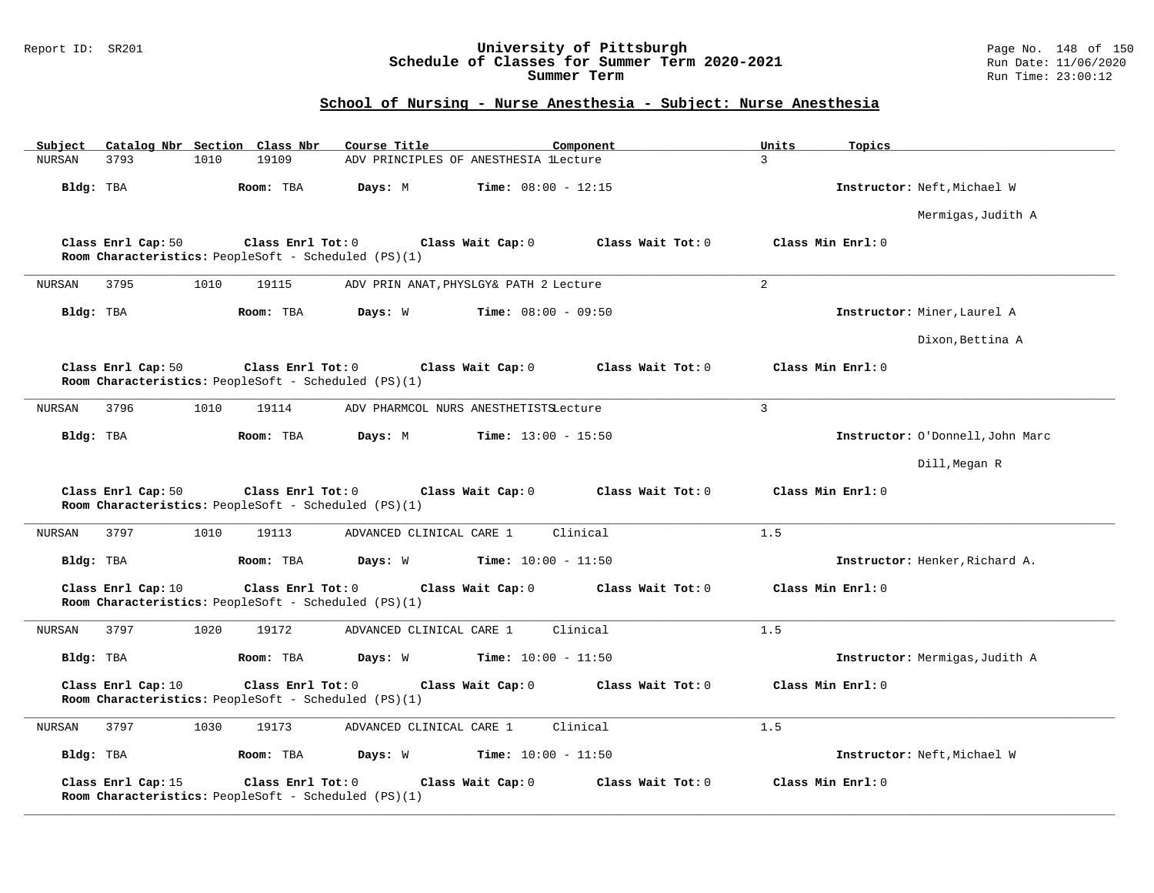### Report ID: SR201 **University of Pittsburgh** Page No. 148 of 150 **Schedule of Classes for Summer Term 2020-2021** Run Date: 11/06/2020 **Summer Term** Run Time: 23:00:12

# **School of Nursing - Nurse Anesthesia - Subject: Nurse Anesthesia**

| Subject<br>Catalog Nbr Section Class Nbr                                                        | Course Title                            | Component           | Units             | Topics                           |
|-------------------------------------------------------------------------------------------------|-----------------------------------------|---------------------|-------------------|----------------------------------|
| 19109<br>3793<br>1010<br>NURSAN                                                                 | ADV PRINCIPLES OF ANESTHESIA lLecture   |                     | $\overline{3}$    |                                  |
| Bldg: TBA<br>Room: TBA                                                                          | Days: M<br><b>Time:</b> $08:00 - 12:15$ |                     |                   | Instructor: Neft, Michael W      |
|                                                                                                 |                                         |                     |                   | Mermigas, Judith A               |
| Class Enrl Cap: 50<br>Class Enrl Tot: 0<br>Room Characteristics: PeopleSoft - Scheduled (PS)(1) | Class Wait Cap: 0                       | Class Wait Tot: $0$ | Class Min Enrl: 0 |                                  |
| 3795<br>1010<br>19115<br><b>NURSAN</b>                                                          | ADV PRIN ANAT, PHYSLGY& PATH 2 Lecture  |                     | 2                 |                                  |
| Bldg: TBA<br>Room: TBA                                                                          | Days: W<br><b>Time:</b> $08:00 - 09:50$ |                     |                   | Instructor: Miner, Laurel A      |
|                                                                                                 |                                         |                     |                   | Dixon, Bettina A                 |
| Class Enrl Cap: 50<br>Class Enrl Tot: 0<br>Room Characteristics: PeopleSoft - Scheduled (PS)(1) | Class Wait Cap: 0                       | Class Wait Tot: 0   | Class Min Enrl: 0 |                                  |
| 3796<br>1010<br>19114<br>NURSAN                                                                 | ADV PHARMCOL NURS ANESTHETISTSLecture   |                     | $\overline{3}$    |                                  |
| Bldg: TBA<br>Room: TBA                                                                          | Days: M<br>$Time: 13:00 - 15:50$        |                     |                   | Instructor: O'Donnell, John Marc |
|                                                                                                 |                                         |                     |                   | Dill, Megan R                    |
| Class Enrl Cap: 50<br>Class Enrl Tot: 0<br>Room Characteristics: PeopleSoft - Scheduled (PS)(1) | Class Wait Cap: 0                       | Class Wait Tot: 0   | Class Min Enrl: 0 |                                  |
| 3797<br>1010<br>19113<br>NURSAN                                                                 | ADVANCED CLINICAL CARE 1                | Clinical            | 1.5               |                                  |
| Bldg: TBA<br>Room: TBA                                                                          | Days: W<br><b>Time:</b> $10:00 - 11:50$ |                     |                   | Instructor: Henker, Richard A.   |
| Class Enrl Cap: 10<br>Class Enrl Tot: 0<br>Room Characteristics: PeopleSoft - Scheduled (PS)(1) | Class Wait Cap: 0                       | Class Wait Tot: 0   | Class Min Enrl: 0 |                                  |
| 1020<br>19172<br><b>NURSAN</b><br>3797                                                          | ADVANCED CLINICAL CARE 1                | Clinical            | 1.5               |                                  |
| Bldg: TBA<br>Room: TBA                                                                          | Days: W<br><b>Time:</b> $10:00 - 11:50$ |                     |                   | Instructor: Mermigas, Judith A   |
| Class Enrl Cap: 10<br>Class Enrl Tot: 0<br>Room Characteristics: PeopleSoft - Scheduled (PS)(1) | Class Wait Cap: 0                       | Class Wait Tot: 0   | Class Min Enrl: 0 |                                  |
| NURSAN<br>3797<br>1030<br>19173                                                                 | ADVANCED CLINICAL CARE 1                | Clinical            | 1.5               |                                  |
| Bldg: TBA<br>Room: TBA                                                                          | Days: W<br><b>Time:</b> $10:00 - 11:50$ |                     |                   | Instructor: Neft, Michael W      |
| Class Enrl Cap: 15<br>Class Enrl Tot: 0<br>Room Characteristics: PeopleSoft - Scheduled (PS)(1) | Class Wait Cap: 0                       | Class Wait Tot: 0   | Class Min Enrl: 0 |                                  |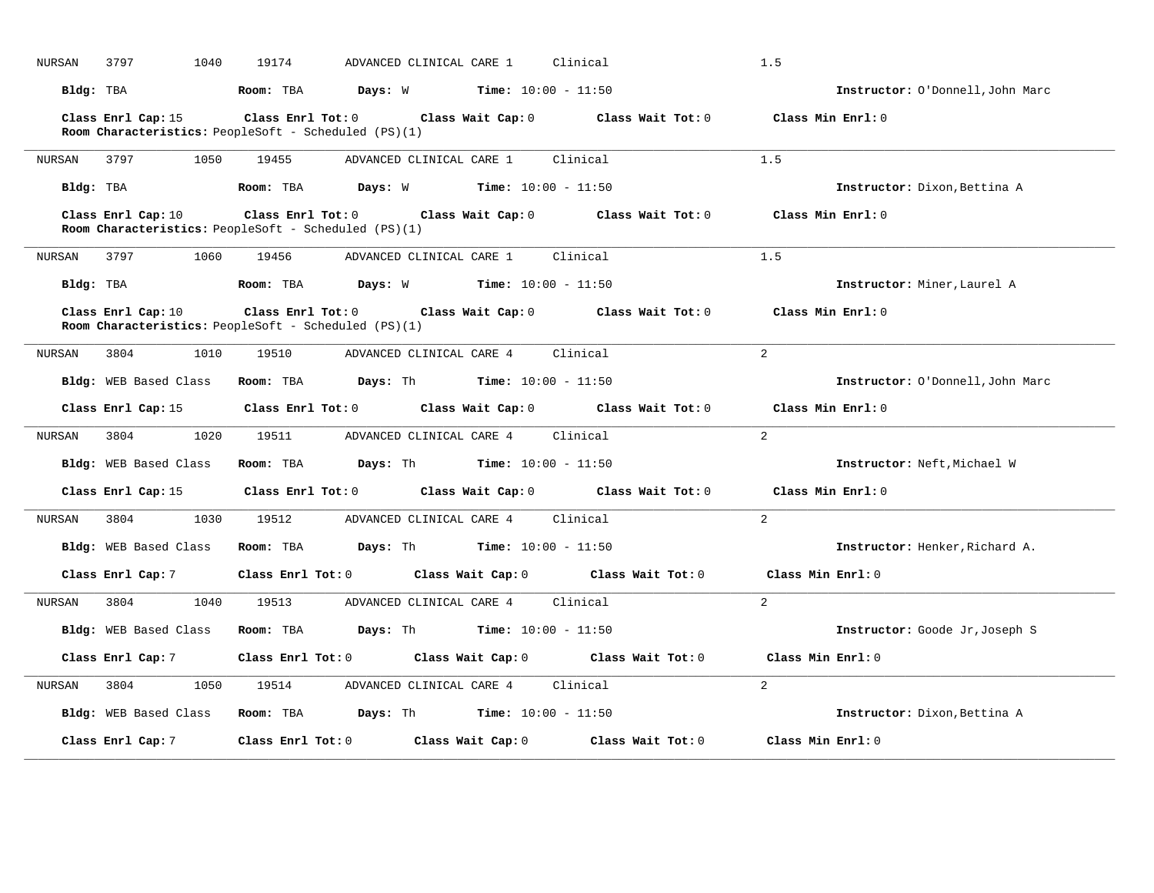| NURSAN    | 3797                  | 1040 | 19174 |                                                                                                                                            | ADVANCED CLINICAL CARE 1 Clinical |                   | 1.5                   |                                  |
|-----------|-----------------------|------|-------|--------------------------------------------------------------------------------------------------------------------------------------------|-----------------------------------|-------------------|-----------------------|----------------------------------|
| Bldg: TBA |                       |      |       | Room: TBA $Days: W$ Time: $10:00 - 11:50$                                                                                                  |                                   |                   |                       | Instructor: O'Donnell, John Marc |
|           | Class Enrl Cap: 15    |      |       | Class Enrl Tot: $0$ Class Wait Cap: $0$ Class Wait Tot: $0$<br>Room Characteristics: PeopleSoft - Scheduled (PS)(1)                        |                                   |                   | Class Min Enrl: 0     |                                  |
|           | NURSAN 3797 1050      |      | 19455 | ADVANCED CLINICAL CARE 1 Clinical                                                                                                          |                                   |                   | 1.5                   |                                  |
|           |                       |      |       | Bldg: TBA $\blacksquare$ Room: TBA $\blacksquare$ Days: W $\blacksquare$ Time: 10:00 - 11:50                                               |                                   |                   |                       | Instructor: Dixon, Bettina A     |
|           | Class Enrl Cap: 10    |      |       | Class Enrl Tot: 0 Class Wait Cap: 0 Class Wait Tot: 0<br>Room Characteristics: PeopleSoft - Scheduled (PS)(1)                              |                                   |                   | Class Min Enrl: 0     |                                  |
|           |                       |      |       | NURSAN 3797 1060 19456 ADVANCED CLINICAL CARE 1 Clinical                                                                                   |                                   |                   | 1.5                   |                                  |
|           |                       |      |       | Bldg: TBA                    Room: TBA         Days: W          Time: 10:00 - 11:50                                                        |                                   |                   |                       | Instructor: Miner, Laurel A      |
|           | Class Enrl Cap: 10    |      |       | Class Enrl Tot: $0$ (class Wait Cap: $0$ (class Wait Tot: $0$ (class Min Enrl: $0$<br>Room Characteristics: PeopleSoft - Scheduled (PS)(1) |                                   |                   |                       |                                  |
|           | NURSAN 3804 1010      |      |       | 19510 ADVANCED CLINICAL CARE 4 Clinical                                                                                                    |                                   |                   | 2                     |                                  |
|           | Bldg: WEB Based Class |      |       | <b>Room:</b> TBA <b>Days:</b> Th <b>Time:</b> $10:00 - 11:50$                                                                              |                                   |                   |                       | Instructor: O'Donnell, John Marc |
|           |                       |      |       | Class Enrl Cap: 15 Class Enrl Tot: 0 Class Wait Cap: 0 Class Wait Tot: 0                                                                   |                                   |                   | Class Min Enrl: 0     |                                  |
| NURSAN    | 3804                  | 1020 |       |                                                                                                                                            |                                   |                   | 2                     |                                  |
|           | Bldg: WEB Based Class |      |       | <b>Room:</b> TBA $\qquad \qquad$ <b>Days:</b> Th $\qquad \qquad$ <b>Time:</b> 10:00 - 11:50                                                |                                   |                   |                       | Instructor: Neft, Michael W      |
|           |                       |      |       | Class Enrl Cap: 15 Class Enrl Tot: 0 Class Wait Cap: 0 Class Wait Tot: 0 Class Min Enrl: 0                                                 |                                   |                   |                       |                                  |
| NURSAN    |                       |      |       | 3804 1030 19512 ADVANCED CLINICAL CARE 4 Clinical                                                                                          |                                   |                   | 2                     |                                  |
|           |                       |      |       | Bldg: WEB Based Class Room: TBA Days: Th Time: 10:00 - 11:50                                                                               |                                   |                   |                       | Instructor: Henker, Richard A.   |
|           |                       |      |       | Class Enrl Cap: 7 $\qquad$ Class Enrl Tot: 0 $\qquad$ Class Wait Cap: 0 $\qquad$ Class Wait Tot: 0                                         |                                   |                   | Class Min Enrl: 0     |                                  |
| NURSAN    |                       |      |       | 3804 1040 19513 ADVANCED CLINICAL CARE 4 Clinical                                                                                          |                                   |                   | 2                     |                                  |
|           | Bldg: WEB Based Class |      |       | Room: TBA $\rule{1em}{0.5em}$ Days: Th Time: 10:00 - 11:50                                                                                 |                                   |                   |                       | Instructor: Goode Jr, Joseph S   |
|           | Class Enrl Cap: 7     |      |       | Class Enrl Tot: 0 Class Wait Cap: 0 Class Wait Tot: 0                                                                                      |                                   |                   | $Class$ Min $Enrl: 0$ |                                  |
| NURSAN    | 3804                  |      |       | 1050 19514 ADVANCED CLINICAL CARE 4                                                                                                        |                                   | Clinical          | $\overline{2}$        |                                  |
|           |                       |      |       | Bldg: WEB Based Class Room: TBA Days: Th Time: 10:00 - 11:50                                                                               |                                   |                   |                       | Instructor: Dixon, Bettina A     |
|           | Class Enrl Cap: 7     |      |       | Class Enrl Tot: 0 Class Wait Cap: 0                                                                                                        |                                   | Class Wait Tot: 0 | Class Min Enrl: 0     |                                  |